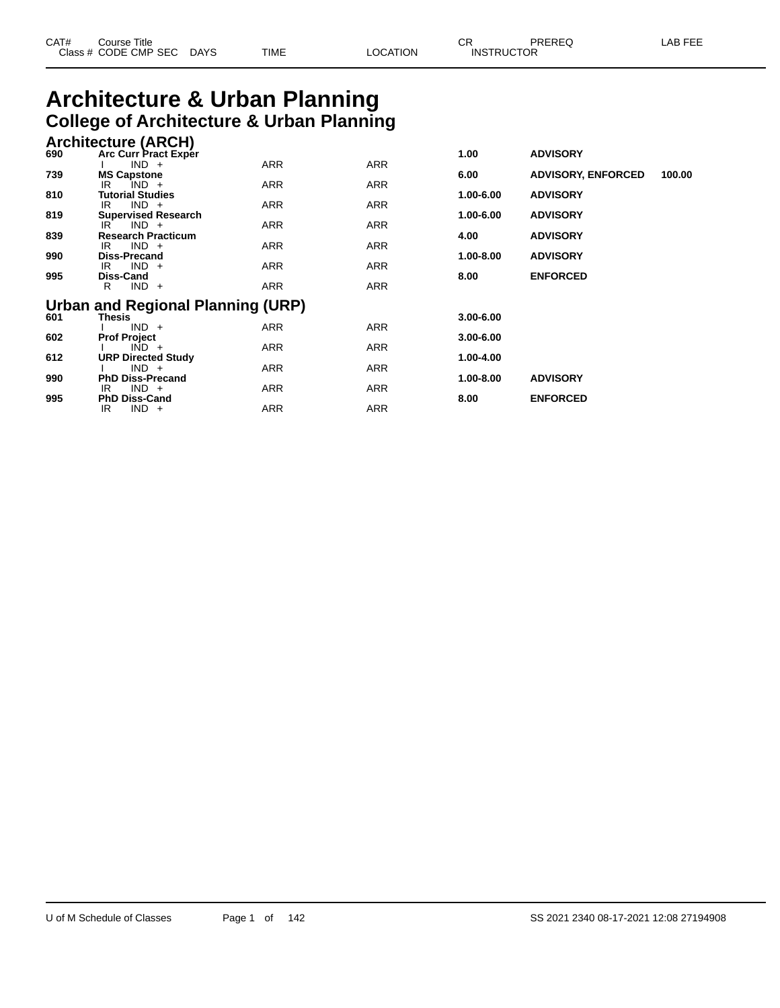| CAT# | Title<br>Course      |      |      |          | ⌒冖<br>- UN        | PREREQ | . EEF<br>A <sub>R</sub> |
|------|----------------------|------|------|----------|-------------------|--------|-------------------------|
|      | Class # CODE CMP SEC | DAYS | TIME | LOCATION | <b>INSTRUCTOR</b> |        |                         |

# **Architecture & Urban Planning College of Architecture & Urban Planning**

|     | <b>Architecture (ARCH)</b> |                 |
|-----|----------------------------|-----------------|
| 690 | Arc Curr Pract Exper       | <b>ADVISORY</b> |

| vəv | AIV VUITTIGUL LAPEI<br>$IND +$               | <b>ARR</b> | <b>ARR</b> | טעו           | <b>ADVIJUILI</b>          |        |
|-----|----------------------------------------------|------------|------------|---------------|---------------------------|--------|
| 739 | <b>MS Capstone</b>                           |            |            | 6.00          | <b>ADVISORY, ENFORCED</b> | 100.00 |
|     | $IND +$<br>IR                                | <b>ARR</b> | <b>ARR</b> |               |                           |        |
| 810 | <b>Tutorial Studies</b>                      |            |            | 1.00-6.00     | <b>ADVISORY</b>           |        |
|     | $IND +$<br>IR                                | <b>ARR</b> | ARR        |               |                           |        |
| 819 | <b>Supervised Research</b><br>$IND +$<br>IR. | <b>ARR</b> | <b>ARR</b> | 1.00-6.00     | <b>ADVISORY</b>           |        |
| 839 | <b>Research Practicum</b>                    |            |            | 4.00          | <b>ADVISORY</b>           |        |
|     | $IND +$<br>IR                                | ARR        | ARR        |               |                           |        |
| 990 | <b>Diss-Precand</b>                          |            |            | 1.00-8.00     | <b>ADVISORY</b>           |        |
|     | $IND +$<br>IR.                               | <b>ARR</b> | <b>ARR</b> |               |                           |        |
| 995 | Diss-Cand                                    |            |            | 8.00          | <b>ENFORCED</b>           |        |
|     | $IND +$<br>R                                 | <b>ARR</b> | <b>ARR</b> |               |                           |        |
|     | <b>Urban and Regional Planning (URP)</b>     |            |            |               |                           |        |
| 601 | <b>Thesis</b>                                |            |            | $3.00 - 6.00$ |                           |        |
|     | $IND +$                                      | ARR        | ARR        |               |                           |        |
| 602 | <b>Prof Project</b>                          |            |            | $3.00 - 6.00$ |                           |        |
|     | $IND +$                                      | ARR        | <b>ARR</b> |               |                           |        |
| 612 | <b>URP Directed Study</b>                    |            |            | 1.00-4.00     |                           |        |
|     | $IND +$<br><b>PhD Diss-Precand</b>           | <b>ARR</b> | <b>ARR</b> | 1.00-8.00     | <b>ADVISORY</b>           |        |
| 990 | $IND +$<br>IR                                | ARR        | ARR        |               |                           |        |
| 995 | <b>PhD Diss-Cand</b>                         |            |            | 8.00          | <b>ENFORCED</b>           |        |
|     | $IND +$<br>IR                                | ARR        | ARR        |               |                           |        |
|     |                                              |            |            |               |                           |        |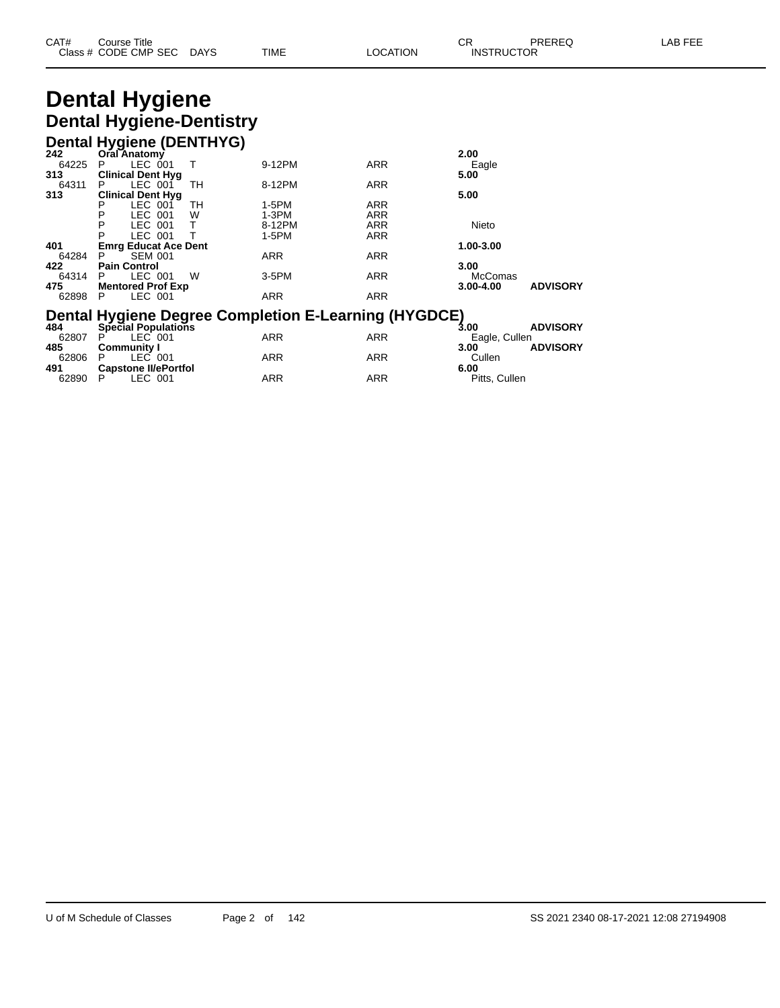| CAT# | Title<br>Course      |      |      |          | Ωn<br>◡∩          | PREREQ | . EEF<br>AR. |
|------|----------------------|------|------|----------|-------------------|--------|--------------|
|      | Class # CODE CMP SEC | DAYS | TIME | LOCATION | <b>INSTRUCTOR</b> |        |              |

# **Dental Hygiene Dental Hygiene-Dentistry**

#### **Dental Hygiene (DENTHYG) 242 Oral Anatomy 2.00** 64225 P LEC 001 T 9-12PM ARR Eagle **313 Clinical Dent Hyg 5.00** 64311 P LEC 001 TH 8-12PM ARR **313 Clinical Dent Hyg 11 Clinical Dent Hyg 5.00 5.00 5.00 5.00 5.00** P LEC 001 TH 1-5PM ARR P LEC 001 W 1-3PM ARR P LEC 001 T 8-12PM ARR Nieto P LEC 001 T 1-5PM ARR **401 Emrg Educat Ace Dent 1.00-3.00** 64284 P SEM 001<br> **422 Pain Control**<br>
64314 P LEC 001 **422 Pain Control 3.00** 64314 P LEC 001 W 3-5PM ARR McComas **475 Mentored Prof Exp 3.00-4.00 ADVISORY** 62898 P LEC 001 ARR ARR ARR **Dental Hygiene Degree Completion E-Learning (HYGDCE) 484 Special Populations 3.00 ADVISORY** 62807 P LEC 001 ARR ARR Eagle, Cullen **485 Community I 3.00 ADVISORY** 62806 P LEC 001 ARR ARR Cullen **491 Capstone II/ePortfol 6.00** 62806 P LEC 001 ARR ARR ARR Cullen<br>1 **Capstone Il/ePortfol** ARR ARR 6.00<br>62890 P LEC 001 ARR ARR ARR Pitts, Cullen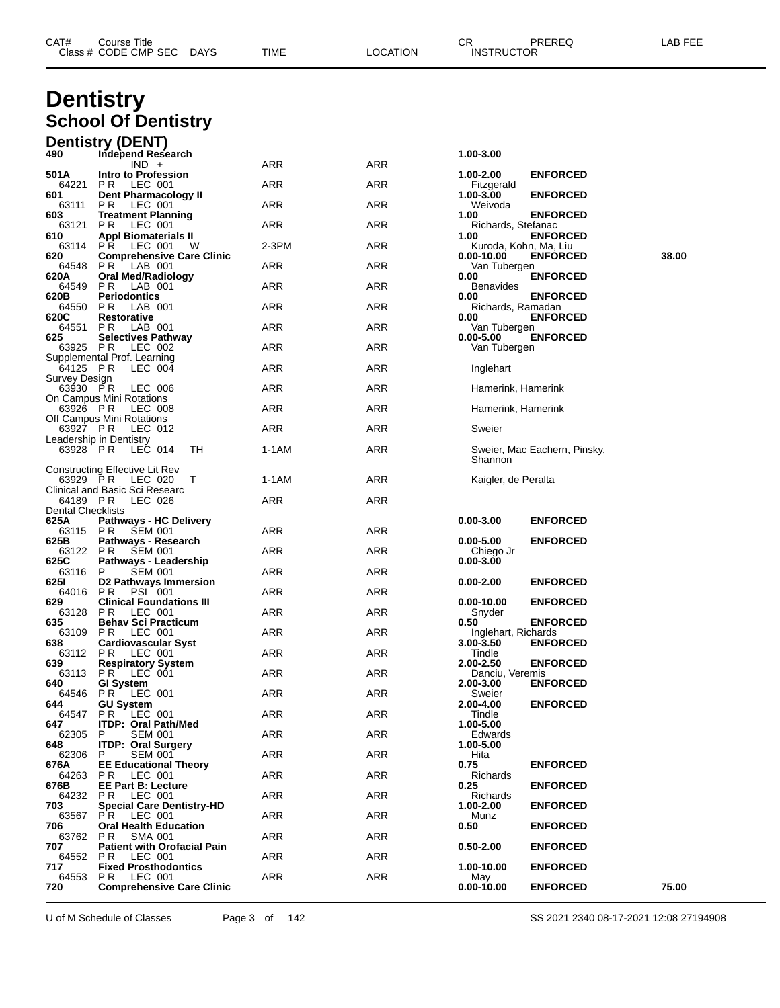| CAT# | Course Title              |      |          | ∩⊓<br>- UN        | PREREQ | LAB FEE |
|------|---------------------------|------|----------|-------------------|--------|---------|
|      | Class # CODE CMP SEC DAYS | TIME | LOCATION | <b>INSTRUCTOR</b> |        |         |
|      |                           |      |          |                   |        |         |

# **Dentistry School Of Dentistry**

| 490<br>Independ Research<br>1.00-3.00<br>ARR<br><b>ARR</b><br>$IND +$<br>Intro to Profession<br><b>ENFORCED</b><br>501 A<br>1.00-2.00<br>ARR<br>ARR<br>64221<br>LEC 001<br>PR.<br>Fitzgerald<br><b>ENFORCED</b><br>601<br>Dent Pharmacology II<br>1.00-3.00<br>ARR<br>ARR<br>Weivoda<br>63111<br>PR.<br>LEC 001<br><b>Treatment Planning</b><br><b>ENFORCED</b><br>603<br>1.00<br><b>ARR</b><br>63121<br>ARR<br>Richards, Stefanac<br>PR.<br>LEC 001<br><b>Appl Biomaterials II</b><br><b>ENFORCED</b><br>610<br>1.00<br>LEC 001<br>ARR<br>63114<br>PR.<br>$2-3PM$<br>Kuroda, Kohn, Ma, Liu<br>w<br>38.00<br>620<br><b>Comprehensive Care Clinic</b><br>$0.00 - 10.00$<br><b>ENFORCED</b><br>ARR<br>ARR<br>64548<br>PR.<br>LAB 001<br>Van Tubergen<br>620A<br>Oral Med/Radiology<br><b>ENFORCED</b><br>0.00<br>ARR<br>ARR<br>64549<br>P R<br>LAB 001<br><b>Benavides</b><br><b>Periodontics</b><br><b>ENFORCED</b><br>620B<br>0.00<br>ARR<br>64550<br>PR.<br>ARR<br>LAB 001<br>Richards, Ramadan<br>620C<br>Restorative<br><b>ENFORCED</b><br>0.00<br>ARR<br>ARR<br>Van Tubergen<br>64551 PR<br>LAB 001<br>625<br><b>ENFORCED</b><br><b>Selectives Pathway</b><br>$0.00 - 5.00$<br>ARR<br>ARR<br>63925 PR<br>LEC 002<br>Van Tubergen<br>Supplemental Prof. Learning<br>64125 PR<br>LEC 004<br>ARR<br>ARR<br>Inglehart<br>Survey Design<br>63930 PR<br>LEC 006<br>ARR<br>ARR<br>Hamerink, Hamerink<br>On Campus Mini Rotations<br>LEC 008<br>ARR<br>ARR<br>63926 PR<br>Hamerink, Hamerink<br>Off Campus Mini Rotations<br>LEC 012<br>ARR<br>ARR<br>63927 PR<br>Sweier<br>Leadership in Dentistry<br>63928 PR<br>LEC 014<br>1-1AM<br>ARR<br>TН<br>Sweier, Mac Eachern, Pinsky,<br>Shannon<br>Constructing Effective Lit Rev<br>63929 PR<br>1-1AM<br>ARR<br>LEC 020<br>T<br>Kaigler, de Peralta<br>Clinical and Basic Sci Researc<br>ARR<br>ARR<br>64189 PR<br>LEC 026<br>Dental Checklists<br>625A<br><b>Pathways - HC Delivery</b><br>$0.00 - 3.00$<br><b>ENFORCED</b><br>ARR<br>ARR<br>63115 PR<br>SEM 001<br><b>ENFORCED</b><br>625B<br>Pathways - Research<br>$0.00 - 5.00$<br>ARR<br>ARR<br>63122 PR<br>SEM 001<br>Chiego Jr<br>625C<br>Pathways - Leadership<br>$0.00 - 3.00$<br><b>SEM 001</b><br>ARR<br>ARR<br>63116<br>P.<br>D2 Pathways Immersion<br>6251<br>$0.00 - 2.00$<br><b>ENFORCED</b><br><b>ARR</b><br><b>PSI 001</b><br>ARR<br>64016 PR<br><b>ENFORCED</b><br>629<br><b>Clinical Foundations III</b><br>0.00-10.00<br><b>ARR</b><br>63128<br>LEC 001<br>ARR<br>PR<br>Snyder<br><b>ENFORCED</b><br>635<br><b>Behav Sci Practicum</b><br>0.50<br>63109 PR<br>ARR<br>ARR<br>LEC 001<br>Inglehart, Richards<br><b>Cardiovascular Syst</b><br>638<br>3.00-3.50<br><b>ENFORCED</b><br>ARR<br>ARR<br>63112 PR<br>LEC 001<br>Tindle<br>639<br><b>Respiratory System</b><br>2.00-2.50<br><b>ENFORCED</b><br>PR.<br>LEC 001<br>ARR<br>ARR<br>63113<br>Danciu, Veremis<br>640<br><b>GI System</b><br>2.00-3.00<br><b>ENFORCED</b><br>64546 PR LEC 001<br>ARR<br>ARR<br>Sweier<br><b>ENFORCED</b><br><b>GU System</b><br>2.00-4.00<br>644<br><b>ARR</b><br>64547 PR LEC 001<br><b>ARR</b><br>Tindle<br>647<br><b>ITDP: Oral Path/Med</b><br>1.00-5.00<br><b>SEM 001</b><br><b>ARR</b><br>ARR<br>62305<br>P<br>Edwards<br><b>ITDP: Oral Surgery</b><br>648<br>1.00-5.00<br><b>ARR</b><br>62306<br><b>SEM 001</b><br>ARR<br>Hita<br>P.<br><b>EE Educational Theory</b><br>0.75<br><b>ENFORCED</b><br>676A<br><b>ARR</b><br><b>ARR</b><br>64263<br>Richards<br>PR LEC 001<br>676B<br><b>EE Part B: Lecture</b><br>0.25<br><b>ENFORCED</b><br>PR LEC 001<br><b>ARR</b><br>ARR<br>64232<br>Richards<br>703<br><b>Special Care Dentistry-HD</b><br><b>ENFORCED</b><br>1.00-2.00<br><b>ARR</b><br>63567<br><b>PR LEC 001</b><br>ARR<br>Munz<br><b>Oral Health Education</b><br>706<br>0.50<br><b>ENFORCED</b><br><b>ARR</b><br><b>ARR</b><br>63762<br>P R<br>SMA 001<br>707<br><b>Patient with Orofacial Pain</b><br>$0.50 - 2.00$<br><b>ENFORCED</b><br>LEC 001<br><b>ARR</b><br>ARR<br>64552<br>PR<br>717<br><b>Fixed Prosthodontics</b><br>1.00-10.00<br><b>ENFORCED</b><br>ARR<br>64553 PR<br>LEC 001<br>ARR<br>May |     | <b>Dentistry (DENT)</b>          |  |                |                 |       |
|-----------------------------------------------------------------------------------------------------------------------------------------------------------------------------------------------------------------------------------------------------------------------------------------------------------------------------------------------------------------------------------------------------------------------------------------------------------------------------------------------------------------------------------------------------------------------------------------------------------------------------------------------------------------------------------------------------------------------------------------------------------------------------------------------------------------------------------------------------------------------------------------------------------------------------------------------------------------------------------------------------------------------------------------------------------------------------------------------------------------------------------------------------------------------------------------------------------------------------------------------------------------------------------------------------------------------------------------------------------------------------------------------------------------------------------------------------------------------------------------------------------------------------------------------------------------------------------------------------------------------------------------------------------------------------------------------------------------------------------------------------------------------------------------------------------------------------------------------------------------------------------------------------------------------------------------------------------------------------------------------------------------------------------------------------------------------------------------------------------------------------------------------------------------------------------------------------------------------------------------------------------------------------------------------------------------------------------------------------------------------------------------------------------------------------------------------------------------------------------------------------------------------------------------------------------------------------------------------------------------------------------------------------------------------------------------------------------------------------------------------------------------------------------------------------------------------------------------------------------------------------------------------------------------------------------------------------------------------------------------------------------------------------------------------------------------------------------------------------------------------------------------------------------------------------------------------------------------------------------------------------------------------------------------------------------------------------------------------------------------------------------------------------------------------------------------------------------------------------------------------------------------------------------------------------------------------------------------------------------------------------------------------------------------------------------------------------------------------------------------------------------------------------------------------------------------------------------------------------------------------------------------------------------------------------------------------------------------------------------------------------------------------------------------------------------------------------------------------------------------------|-----|----------------------------------|--|----------------|-----------------|-------|
|                                                                                                                                                                                                                                                                                                                                                                                                                                                                                                                                                                                                                                                                                                                                                                                                                                                                                                                                                                                                                                                                                                                                                                                                                                                                                                                                                                                                                                                                                                                                                                                                                                                                                                                                                                                                                                                                                                                                                                                                                                                                                                                                                                                                                                                                                                                                                                                                                                                                                                                                                                                                                                                                                                                                                                                                                                                                                                                                                                                                                                                                                                                                                                                                                                                                                                                                                                                                                                                                                                                                                                                                                                                                                                                                                                                                                                                                                                                                                                                                                                                                                                                       |     |                                  |  |                |                 |       |
|                                                                                                                                                                                                                                                                                                                                                                                                                                                                                                                                                                                                                                                                                                                                                                                                                                                                                                                                                                                                                                                                                                                                                                                                                                                                                                                                                                                                                                                                                                                                                                                                                                                                                                                                                                                                                                                                                                                                                                                                                                                                                                                                                                                                                                                                                                                                                                                                                                                                                                                                                                                                                                                                                                                                                                                                                                                                                                                                                                                                                                                                                                                                                                                                                                                                                                                                                                                                                                                                                                                                                                                                                                                                                                                                                                                                                                                                                                                                                                                                                                                                                                                       |     |                                  |  |                |                 |       |
|                                                                                                                                                                                                                                                                                                                                                                                                                                                                                                                                                                                                                                                                                                                                                                                                                                                                                                                                                                                                                                                                                                                                                                                                                                                                                                                                                                                                                                                                                                                                                                                                                                                                                                                                                                                                                                                                                                                                                                                                                                                                                                                                                                                                                                                                                                                                                                                                                                                                                                                                                                                                                                                                                                                                                                                                                                                                                                                                                                                                                                                                                                                                                                                                                                                                                                                                                                                                                                                                                                                                                                                                                                                                                                                                                                                                                                                                                                                                                                                                                                                                                                                       |     |                                  |  |                |                 |       |
|                                                                                                                                                                                                                                                                                                                                                                                                                                                                                                                                                                                                                                                                                                                                                                                                                                                                                                                                                                                                                                                                                                                                                                                                                                                                                                                                                                                                                                                                                                                                                                                                                                                                                                                                                                                                                                                                                                                                                                                                                                                                                                                                                                                                                                                                                                                                                                                                                                                                                                                                                                                                                                                                                                                                                                                                                                                                                                                                                                                                                                                                                                                                                                                                                                                                                                                                                                                                                                                                                                                                                                                                                                                                                                                                                                                                                                                                                                                                                                                                                                                                                                                       |     |                                  |  |                |                 |       |
|                                                                                                                                                                                                                                                                                                                                                                                                                                                                                                                                                                                                                                                                                                                                                                                                                                                                                                                                                                                                                                                                                                                                                                                                                                                                                                                                                                                                                                                                                                                                                                                                                                                                                                                                                                                                                                                                                                                                                                                                                                                                                                                                                                                                                                                                                                                                                                                                                                                                                                                                                                                                                                                                                                                                                                                                                                                                                                                                                                                                                                                                                                                                                                                                                                                                                                                                                                                                                                                                                                                                                                                                                                                                                                                                                                                                                                                                                                                                                                                                                                                                                                                       |     |                                  |  |                |                 |       |
|                                                                                                                                                                                                                                                                                                                                                                                                                                                                                                                                                                                                                                                                                                                                                                                                                                                                                                                                                                                                                                                                                                                                                                                                                                                                                                                                                                                                                                                                                                                                                                                                                                                                                                                                                                                                                                                                                                                                                                                                                                                                                                                                                                                                                                                                                                                                                                                                                                                                                                                                                                                                                                                                                                                                                                                                                                                                                                                                                                                                                                                                                                                                                                                                                                                                                                                                                                                                                                                                                                                                                                                                                                                                                                                                                                                                                                                                                                                                                                                                                                                                                                                       |     |                                  |  |                |                 |       |
|                                                                                                                                                                                                                                                                                                                                                                                                                                                                                                                                                                                                                                                                                                                                                                                                                                                                                                                                                                                                                                                                                                                                                                                                                                                                                                                                                                                                                                                                                                                                                                                                                                                                                                                                                                                                                                                                                                                                                                                                                                                                                                                                                                                                                                                                                                                                                                                                                                                                                                                                                                                                                                                                                                                                                                                                                                                                                                                                                                                                                                                                                                                                                                                                                                                                                                                                                                                                                                                                                                                                                                                                                                                                                                                                                                                                                                                                                                                                                                                                                                                                                                                       |     |                                  |  |                |                 |       |
|                                                                                                                                                                                                                                                                                                                                                                                                                                                                                                                                                                                                                                                                                                                                                                                                                                                                                                                                                                                                                                                                                                                                                                                                                                                                                                                                                                                                                                                                                                                                                                                                                                                                                                                                                                                                                                                                                                                                                                                                                                                                                                                                                                                                                                                                                                                                                                                                                                                                                                                                                                                                                                                                                                                                                                                                                                                                                                                                                                                                                                                                                                                                                                                                                                                                                                                                                                                                                                                                                                                                                                                                                                                                                                                                                                                                                                                                                                                                                                                                                                                                                                                       |     |                                  |  |                |                 |       |
|                                                                                                                                                                                                                                                                                                                                                                                                                                                                                                                                                                                                                                                                                                                                                                                                                                                                                                                                                                                                                                                                                                                                                                                                                                                                                                                                                                                                                                                                                                                                                                                                                                                                                                                                                                                                                                                                                                                                                                                                                                                                                                                                                                                                                                                                                                                                                                                                                                                                                                                                                                                                                                                                                                                                                                                                                                                                                                                                                                                                                                                                                                                                                                                                                                                                                                                                                                                                                                                                                                                                                                                                                                                                                                                                                                                                                                                                                                                                                                                                                                                                                                                       |     |                                  |  |                |                 |       |
|                                                                                                                                                                                                                                                                                                                                                                                                                                                                                                                                                                                                                                                                                                                                                                                                                                                                                                                                                                                                                                                                                                                                                                                                                                                                                                                                                                                                                                                                                                                                                                                                                                                                                                                                                                                                                                                                                                                                                                                                                                                                                                                                                                                                                                                                                                                                                                                                                                                                                                                                                                                                                                                                                                                                                                                                                                                                                                                                                                                                                                                                                                                                                                                                                                                                                                                                                                                                                                                                                                                                                                                                                                                                                                                                                                                                                                                                                                                                                                                                                                                                                                                       |     |                                  |  |                |                 |       |
|                                                                                                                                                                                                                                                                                                                                                                                                                                                                                                                                                                                                                                                                                                                                                                                                                                                                                                                                                                                                                                                                                                                                                                                                                                                                                                                                                                                                                                                                                                                                                                                                                                                                                                                                                                                                                                                                                                                                                                                                                                                                                                                                                                                                                                                                                                                                                                                                                                                                                                                                                                                                                                                                                                                                                                                                                                                                                                                                                                                                                                                                                                                                                                                                                                                                                                                                                                                                                                                                                                                                                                                                                                                                                                                                                                                                                                                                                                                                                                                                                                                                                                                       |     |                                  |  |                |                 |       |
|                                                                                                                                                                                                                                                                                                                                                                                                                                                                                                                                                                                                                                                                                                                                                                                                                                                                                                                                                                                                                                                                                                                                                                                                                                                                                                                                                                                                                                                                                                                                                                                                                                                                                                                                                                                                                                                                                                                                                                                                                                                                                                                                                                                                                                                                                                                                                                                                                                                                                                                                                                                                                                                                                                                                                                                                                                                                                                                                                                                                                                                                                                                                                                                                                                                                                                                                                                                                                                                                                                                                                                                                                                                                                                                                                                                                                                                                                                                                                                                                                                                                                                                       |     |                                  |  |                |                 |       |
|                                                                                                                                                                                                                                                                                                                                                                                                                                                                                                                                                                                                                                                                                                                                                                                                                                                                                                                                                                                                                                                                                                                                                                                                                                                                                                                                                                                                                                                                                                                                                                                                                                                                                                                                                                                                                                                                                                                                                                                                                                                                                                                                                                                                                                                                                                                                                                                                                                                                                                                                                                                                                                                                                                                                                                                                                                                                                                                                                                                                                                                                                                                                                                                                                                                                                                                                                                                                                                                                                                                                                                                                                                                                                                                                                                                                                                                                                                                                                                                                                                                                                                                       |     |                                  |  |                |                 |       |
|                                                                                                                                                                                                                                                                                                                                                                                                                                                                                                                                                                                                                                                                                                                                                                                                                                                                                                                                                                                                                                                                                                                                                                                                                                                                                                                                                                                                                                                                                                                                                                                                                                                                                                                                                                                                                                                                                                                                                                                                                                                                                                                                                                                                                                                                                                                                                                                                                                                                                                                                                                                                                                                                                                                                                                                                                                                                                                                                                                                                                                                                                                                                                                                                                                                                                                                                                                                                                                                                                                                                                                                                                                                                                                                                                                                                                                                                                                                                                                                                                                                                                                                       |     |                                  |  |                |                 |       |
|                                                                                                                                                                                                                                                                                                                                                                                                                                                                                                                                                                                                                                                                                                                                                                                                                                                                                                                                                                                                                                                                                                                                                                                                                                                                                                                                                                                                                                                                                                                                                                                                                                                                                                                                                                                                                                                                                                                                                                                                                                                                                                                                                                                                                                                                                                                                                                                                                                                                                                                                                                                                                                                                                                                                                                                                                                                                                                                                                                                                                                                                                                                                                                                                                                                                                                                                                                                                                                                                                                                                                                                                                                                                                                                                                                                                                                                                                                                                                                                                                                                                                                                       |     |                                  |  |                |                 |       |
|                                                                                                                                                                                                                                                                                                                                                                                                                                                                                                                                                                                                                                                                                                                                                                                                                                                                                                                                                                                                                                                                                                                                                                                                                                                                                                                                                                                                                                                                                                                                                                                                                                                                                                                                                                                                                                                                                                                                                                                                                                                                                                                                                                                                                                                                                                                                                                                                                                                                                                                                                                                                                                                                                                                                                                                                                                                                                                                                                                                                                                                                                                                                                                                                                                                                                                                                                                                                                                                                                                                                                                                                                                                                                                                                                                                                                                                                                                                                                                                                                                                                                                                       |     |                                  |  |                |                 |       |
|                                                                                                                                                                                                                                                                                                                                                                                                                                                                                                                                                                                                                                                                                                                                                                                                                                                                                                                                                                                                                                                                                                                                                                                                                                                                                                                                                                                                                                                                                                                                                                                                                                                                                                                                                                                                                                                                                                                                                                                                                                                                                                                                                                                                                                                                                                                                                                                                                                                                                                                                                                                                                                                                                                                                                                                                                                                                                                                                                                                                                                                                                                                                                                                                                                                                                                                                                                                                                                                                                                                                                                                                                                                                                                                                                                                                                                                                                                                                                                                                                                                                                                                       |     |                                  |  |                |                 |       |
|                                                                                                                                                                                                                                                                                                                                                                                                                                                                                                                                                                                                                                                                                                                                                                                                                                                                                                                                                                                                                                                                                                                                                                                                                                                                                                                                                                                                                                                                                                                                                                                                                                                                                                                                                                                                                                                                                                                                                                                                                                                                                                                                                                                                                                                                                                                                                                                                                                                                                                                                                                                                                                                                                                                                                                                                                                                                                                                                                                                                                                                                                                                                                                                                                                                                                                                                                                                                                                                                                                                                                                                                                                                                                                                                                                                                                                                                                                                                                                                                                                                                                                                       |     |                                  |  |                |                 |       |
|                                                                                                                                                                                                                                                                                                                                                                                                                                                                                                                                                                                                                                                                                                                                                                                                                                                                                                                                                                                                                                                                                                                                                                                                                                                                                                                                                                                                                                                                                                                                                                                                                                                                                                                                                                                                                                                                                                                                                                                                                                                                                                                                                                                                                                                                                                                                                                                                                                                                                                                                                                                                                                                                                                                                                                                                                                                                                                                                                                                                                                                                                                                                                                                                                                                                                                                                                                                                                                                                                                                                                                                                                                                                                                                                                                                                                                                                                                                                                                                                                                                                                                                       |     |                                  |  |                |                 |       |
|                                                                                                                                                                                                                                                                                                                                                                                                                                                                                                                                                                                                                                                                                                                                                                                                                                                                                                                                                                                                                                                                                                                                                                                                                                                                                                                                                                                                                                                                                                                                                                                                                                                                                                                                                                                                                                                                                                                                                                                                                                                                                                                                                                                                                                                                                                                                                                                                                                                                                                                                                                                                                                                                                                                                                                                                                                                                                                                                                                                                                                                                                                                                                                                                                                                                                                                                                                                                                                                                                                                                                                                                                                                                                                                                                                                                                                                                                                                                                                                                                                                                                                                       |     |                                  |  |                |                 |       |
|                                                                                                                                                                                                                                                                                                                                                                                                                                                                                                                                                                                                                                                                                                                                                                                                                                                                                                                                                                                                                                                                                                                                                                                                                                                                                                                                                                                                                                                                                                                                                                                                                                                                                                                                                                                                                                                                                                                                                                                                                                                                                                                                                                                                                                                                                                                                                                                                                                                                                                                                                                                                                                                                                                                                                                                                                                                                                                                                                                                                                                                                                                                                                                                                                                                                                                                                                                                                                                                                                                                                                                                                                                                                                                                                                                                                                                                                                                                                                                                                                                                                                                                       |     |                                  |  |                |                 |       |
|                                                                                                                                                                                                                                                                                                                                                                                                                                                                                                                                                                                                                                                                                                                                                                                                                                                                                                                                                                                                                                                                                                                                                                                                                                                                                                                                                                                                                                                                                                                                                                                                                                                                                                                                                                                                                                                                                                                                                                                                                                                                                                                                                                                                                                                                                                                                                                                                                                                                                                                                                                                                                                                                                                                                                                                                                                                                                                                                                                                                                                                                                                                                                                                                                                                                                                                                                                                                                                                                                                                                                                                                                                                                                                                                                                                                                                                                                                                                                                                                                                                                                                                       |     |                                  |  |                |                 |       |
|                                                                                                                                                                                                                                                                                                                                                                                                                                                                                                                                                                                                                                                                                                                                                                                                                                                                                                                                                                                                                                                                                                                                                                                                                                                                                                                                                                                                                                                                                                                                                                                                                                                                                                                                                                                                                                                                                                                                                                                                                                                                                                                                                                                                                                                                                                                                                                                                                                                                                                                                                                                                                                                                                                                                                                                                                                                                                                                                                                                                                                                                                                                                                                                                                                                                                                                                                                                                                                                                                                                                                                                                                                                                                                                                                                                                                                                                                                                                                                                                                                                                                                                       |     |                                  |  |                |                 |       |
|                                                                                                                                                                                                                                                                                                                                                                                                                                                                                                                                                                                                                                                                                                                                                                                                                                                                                                                                                                                                                                                                                                                                                                                                                                                                                                                                                                                                                                                                                                                                                                                                                                                                                                                                                                                                                                                                                                                                                                                                                                                                                                                                                                                                                                                                                                                                                                                                                                                                                                                                                                                                                                                                                                                                                                                                                                                                                                                                                                                                                                                                                                                                                                                                                                                                                                                                                                                                                                                                                                                                                                                                                                                                                                                                                                                                                                                                                                                                                                                                                                                                                                                       |     |                                  |  |                |                 |       |
|                                                                                                                                                                                                                                                                                                                                                                                                                                                                                                                                                                                                                                                                                                                                                                                                                                                                                                                                                                                                                                                                                                                                                                                                                                                                                                                                                                                                                                                                                                                                                                                                                                                                                                                                                                                                                                                                                                                                                                                                                                                                                                                                                                                                                                                                                                                                                                                                                                                                                                                                                                                                                                                                                                                                                                                                                                                                                                                                                                                                                                                                                                                                                                                                                                                                                                                                                                                                                                                                                                                                                                                                                                                                                                                                                                                                                                                                                                                                                                                                                                                                                                                       |     |                                  |  |                |                 |       |
|                                                                                                                                                                                                                                                                                                                                                                                                                                                                                                                                                                                                                                                                                                                                                                                                                                                                                                                                                                                                                                                                                                                                                                                                                                                                                                                                                                                                                                                                                                                                                                                                                                                                                                                                                                                                                                                                                                                                                                                                                                                                                                                                                                                                                                                                                                                                                                                                                                                                                                                                                                                                                                                                                                                                                                                                                                                                                                                                                                                                                                                                                                                                                                                                                                                                                                                                                                                                                                                                                                                                                                                                                                                                                                                                                                                                                                                                                                                                                                                                                                                                                                                       |     |                                  |  |                |                 |       |
|                                                                                                                                                                                                                                                                                                                                                                                                                                                                                                                                                                                                                                                                                                                                                                                                                                                                                                                                                                                                                                                                                                                                                                                                                                                                                                                                                                                                                                                                                                                                                                                                                                                                                                                                                                                                                                                                                                                                                                                                                                                                                                                                                                                                                                                                                                                                                                                                                                                                                                                                                                                                                                                                                                                                                                                                                                                                                                                                                                                                                                                                                                                                                                                                                                                                                                                                                                                                                                                                                                                                                                                                                                                                                                                                                                                                                                                                                                                                                                                                                                                                                                                       |     |                                  |  |                |                 |       |
|                                                                                                                                                                                                                                                                                                                                                                                                                                                                                                                                                                                                                                                                                                                                                                                                                                                                                                                                                                                                                                                                                                                                                                                                                                                                                                                                                                                                                                                                                                                                                                                                                                                                                                                                                                                                                                                                                                                                                                                                                                                                                                                                                                                                                                                                                                                                                                                                                                                                                                                                                                                                                                                                                                                                                                                                                                                                                                                                                                                                                                                                                                                                                                                                                                                                                                                                                                                                                                                                                                                                                                                                                                                                                                                                                                                                                                                                                                                                                                                                                                                                                                                       |     |                                  |  |                |                 |       |
|                                                                                                                                                                                                                                                                                                                                                                                                                                                                                                                                                                                                                                                                                                                                                                                                                                                                                                                                                                                                                                                                                                                                                                                                                                                                                                                                                                                                                                                                                                                                                                                                                                                                                                                                                                                                                                                                                                                                                                                                                                                                                                                                                                                                                                                                                                                                                                                                                                                                                                                                                                                                                                                                                                                                                                                                                                                                                                                                                                                                                                                                                                                                                                                                                                                                                                                                                                                                                                                                                                                                                                                                                                                                                                                                                                                                                                                                                                                                                                                                                                                                                                                       |     |                                  |  |                |                 |       |
|                                                                                                                                                                                                                                                                                                                                                                                                                                                                                                                                                                                                                                                                                                                                                                                                                                                                                                                                                                                                                                                                                                                                                                                                                                                                                                                                                                                                                                                                                                                                                                                                                                                                                                                                                                                                                                                                                                                                                                                                                                                                                                                                                                                                                                                                                                                                                                                                                                                                                                                                                                                                                                                                                                                                                                                                                                                                                                                                                                                                                                                                                                                                                                                                                                                                                                                                                                                                                                                                                                                                                                                                                                                                                                                                                                                                                                                                                                                                                                                                                                                                                                                       |     |                                  |  |                |                 |       |
|                                                                                                                                                                                                                                                                                                                                                                                                                                                                                                                                                                                                                                                                                                                                                                                                                                                                                                                                                                                                                                                                                                                                                                                                                                                                                                                                                                                                                                                                                                                                                                                                                                                                                                                                                                                                                                                                                                                                                                                                                                                                                                                                                                                                                                                                                                                                                                                                                                                                                                                                                                                                                                                                                                                                                                                                                                                                                                                                                                                                                                                                                                                                                                                                                                                                                                                                                                                                                                                                                                                                                                                                                                                                                                                                                                                                                                                                                                                                                                                                                                                                                                                       |     |                                  |  |                |                 |       |
|                                                                                                                                                                                                                                                                                                                                                                                                                                                                                                                                                                                                                                                                                                                                                                                                                                                                                                                                                                                                                                                                                                                                                                                                                                                                                                                                                                                                                                                                                                                                                                                                                                                                                                                                                                                                                                                                                                                                                                                                                                                                                                                                                                                                                                                                                                                                                                                                                                                                                                                                                                                                                                                                                                                                                                                                                                                                                                                                                                                                                                                                                                                                                                                                                                                                                                                                                                                                                                                                                                                                                                                                                                                                                                                                                                                                                                                                                                                                                                                                                                                                                                                       |     |                                  |  |                |                 |       |
|                                                                                                                                                                                                                                                                                                                                                                                                                                                                                                                                                                                                                                                                                                                                                                                                                                                                                                                                                                                                                                                                                                                                                                                                                                                                                                                                                                                                                                                                                                                                                                                                                                                                                                                                                                                                                                                                                                                                                                                                                                                                                                                                                                                                                                                                                                                                                                                                                                                                                                                                                                                                                                                                                                                                                                                                                                                                                                                                                                                                                                                                                                                                                                                                                                                                                                                                                                                                                                                                                                                                                                                                                                                                                                                                                                                                                                                                                                                                                                                                                                                                                                                       |     |                                  |  |                |                 |       |
|                                                                                                                                                                                                                                                                                                                                                                                                                                                                                                                                                                                                                                                                                                                                                                                                                                                                                                                                                                                                                                                                                                                                                                                                                                                                                                                                                                                                                                                                                                                                                                                                                                                                                                                                                                                                                                                                                                                                                                                                                                                                                                                                                                                                                                                                                                                                                                                                                                                                                                                                                                                                                                                                                                                                                                                                                                                                                                                                                                                                                                                                                                                                                                                                                                                                                                                                                                                                                                                                                                                                                                                                                                                                                                                                                                                                                                                                                                                                                                                                                                                                                                                       |     |                                  |  |                |                 |       |
|                                                                                                                                                                                                                                                                                                                                                                                                                                                                                                                                                                                                                                                                                                                                                                                                                                                                                                                                                                                                                                                                                                                                                                                                                                                                                                                                                                                                                                                                                                                                                                                                                                                                                                                                                                                                                                                                                                                                                                                                                                                                                                                                                                                                                                                                                                                                                                                                                                                                                                                                                                                                                                                                                                                                                                                                                                                                                                                                                                                                                                                                                                                                                                                                                                                                                                                                                                                                                                                                                                                                                                                                                                                                                                                                                                                                                                                                                                                                                                                                                                                                                                                       |     |                                  |  |                |                 |       |
|                                                                                                                                                                                                                                                                                                                                                                                                                                                                                                                                                                                                                                                                                                                                                                                                                                                                                                                                                                                                                                                                                                                                                                                                                                                                                                                                                                                                                                                                                                                                                                                                                                                                                                                                                                                                                                                                                                                                                                                                                                                                                                                                                                                                                                                                                                                                                                                                                                                                                                                                                                                                                                                                                                                                                                                                                                                                                                                                                                                                                                                                                                                                                                                                                                                                                                                                                                                                                                                                                                                                                                                                                                                                                                                                                                                                                                                                                                                                                                                                                                                                                                                       |     |                                  |  |                |                 |       |
|                                                                                                                                                                                                                                                                                                                                                                                                                                                                                                                                                                                                                                                                                                                                                                                                                                                                                                                                                                                                                                                                                                                                                                                                                                                                                                                                                                                                                                                                                                                                                                                                                                                                                                                                                                                                                                                                                                                                                                                                                                                                                                                                                                                                                                                                                                                                                                                                                                                                                                                                                                                                                                                                                                                                                                                                                                                                                                                                                                                                                                                                                                                                                                                                                                                                                                                                                                                                                                                                                                                                                                                                                                                                                                                                                                                                                                                                                                                                                                                                                                                                                                                       |     |                                  |  |                |                 |       |
|                                                                                                                                                                                                                                                                                                                                                                                                                                                                                                                                                                                                                                                                                                                                                                                                                                                                                                                                                                                                                                                                                                                                                                                                                                                                                                                                                                                                                                                                                                                                                                                                                                                                                                                                                                                                                                                                                                                                                                                                                                                                                                                                                                                                                                                                                                                                                                                                                                                                                                                                                                                                                                                                                                                                                                                                                                                                                                                                                                                                                                                                                                                                                                                                                                                                                                                                                                                                                                                                                                                                                                                                                                                                                                                                                                                                                                                                                                                                                                                                                                                                                                                       |     |                                  |  |                |                 |       |
|                                                                                                                                                                                                                                                                                                                                                                                                                                                                                                                                                                                                                                                                                                                                                                                                                                                                                                                                                                                                                                                                                                                                                                                                                                                                                                                                                                                                                                                                                                                                                                                                                                                                                                                                                                                                                                                                                                                                                                                                                                                                                                                                                                                                                                                                                                                                                                                                                                                                                                                                                                                                                                                                                                                                                                                                                                                                                                                                                                                                                                                                                                                                                                                                                                                                                                                                                                                                                                                                                                                                                                                                                                                                                                                                                                                                                                                                                                                                                                                                                                                                                                                       |     |                                  |  |                |                 |       |
|                                                                                                                                                                                                                                                                                                                                                                                                                                                                                                                                                                                                                                                                                                                                                                                                                                                                                                                                                                                                                                                                                                                                                                                                                                                                                                                                                                                                                                                                                                                                                                                                                                                                                                                                                                                                                                                                                                                                                                                                                                                                                                                                                                                                                                                                                                                                                                                                                                                                                                                                                                                                                                                                                                                                                                                                                                                                                                                                                                                                                                                                                                                                                                                                                                                                                                                                                                                                                                                                                                                                                                                                                                                                                                                                                                                                                                                                                                                                                                                                                                                                                                                       |     |                                  |  |                |                 |       |
|                                                                                                                                                                                                                                                                                                                                                                                                                                                                                                                                                                                                                                                                                                                                                                                                                                                                                                                                                                                                                                                                                                                                                                                                                                                                                                                                                                                                                                                                                                                                                                                                                                                                                                                                                                                                                                                                                                                                                                                                                                                                                                                                                                                                                                                                                                                                                                                                                                                                                                                                                                                                                                                                                                                                                                                                                                                                                                                                                                                                                                                                                                                                                                                                                                                                                                                                                                                                                                                                                                                                                                                                                                                                                                                                                                                                                                                                                                                                                                                                                                                                                                                       |     |                                  |  |                |                 |       |
|                                                                                                                                                                                                                                                                                                                                                                                                                                                                                                                                                                                                                                                                                                                                                                                                                                                                                                                                                                                                                                                                                                                                                                                                                                                                                                                                                                                                                                                                                                                                                                                                                                                                                                                                                                                                                                                                                                                                                                                                                                                                                                                                                                                                                                                                                                                                                                                                                                                                                                                                                                                                                                                                                                                                                                                                                                                                                                                                                                                                                                                                                                                                                                                                                                                                                                                                                                                                                                                                                                                                                                                                                                                                                                                                                                                                                                                                                                                                                                                                                                                                                                                       |     |                                  |  |                |                 |       |
|                                                                                                                                                                                                                                                                                                                                                                                                                                                                                                                                                                                                                                                                                                                                                                                                                                                                                                                                                                                                                                                                                                                                                                                                                                                                                                                                                                                                                                                                                                                                                                                                                                                                                                                                                                                                                                                                                                                                                                                                                                                                                                                                                                                                                                                                                                                                                                                                                                                                                                                                                                                                                                                                                                                                                                                                                                                                                                                                                                                                                                                                                                                                                                                                                                                                                                                                                                                                                                                                                                                                                                                                                                                                                                                                                                                                                                                                                                                                                                                                                                                                                                                       |     |                                  |  |                |                 |       |
|                                                                                                                                                                                                                                                                                                                                                                                                                                                                                                                                                                                                                                                                                                                                                                                                                                                                                                                                                                                                                                                                                                                                                                                                                                                                                                                                                                                                                                                                                                                                                                                                                                                                                                                                                                                                                                                                                                                                                                                                                                                                                                                                                                                                                                                                                                                                                                                                                                                                                                                                                                                                                                                                                                                                                                                                                                                                                                                                                                                                                                                                                                                                                                                                                                                                                                                                                                                                                                                                                                                                                                                                                                                                                                                                                                                                                                                                                                                                                                                                                                                                                                                       |     |                                  |  |                |                 |       |
|                                                                                                                                                                                                                                                                                                                                                                                                                                                                                                                                                                                                                                                                                                                                                                                                                                                                                                                                                                                                                                                                                                                                                                                                                                                                                                                                                                                                                                                                                                                                                                                                                                                                                                                                                                                                                                                                                                                                                                                                                                                                                                                                                                                                                                                                                                                                                                                                                                                                                                                                                                                                                                                                                                                                                                                                                                                                                                                                                                                                                                                                                                                                                                                                                                                                                                                                                                                                                                                                                                                                                                                                                                                                                                                                                                                                                                                                                                                                                                                                                                                                                                                       | 720 | <b>Comprehensive Care Clinic</b> |  | $0.00 - 10.00$ | <b>ENFORCED</b> | 75.00 |

U of M Schedule of Classes Page 3 of 142 SS 2021 2340 08-17-2021 12:08 27194908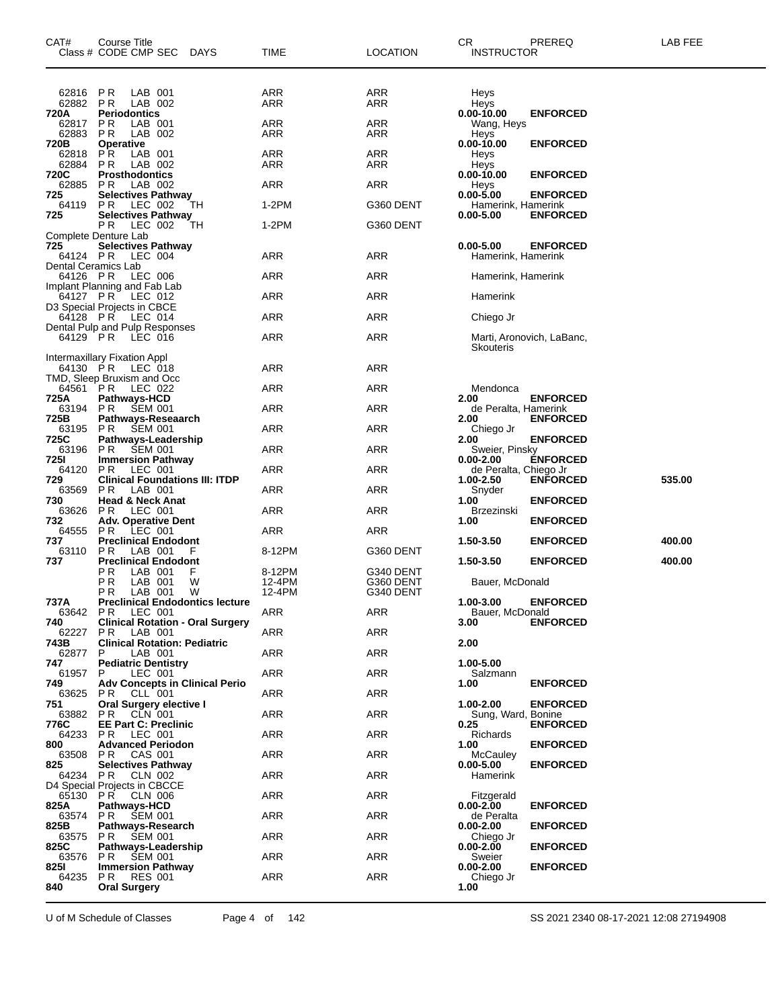| CAT#                            | Course Title<br>Class # CODE CMP SEC<br>DAYS                  | TIME       | LOCATION   | СR<br><b>INSTRUCTOR</b>                | PREREQ                    | LAB FEE |
|---------------------------------|---------------------------------------------------------------|------------|------------|----------------------------------------|---------------------------|---------|
| 62816<br>62882<br>720A          | P R<br>LAB 001<br>P R<br>LAB 002<br><b>Periodontics</b>       | ARR<br>ARR | ARR<br>ARR | Heys<br>Heys<br>0.00-10.00             | <b>ENFORCED</b>           |         |
| 62817<br>62883                  | P R<br>LAB 001<br>P R<br>LAB 002                              | ARR<br>ARR | ARR<br>ARR | Wang, Heys<br>Heys                     |                           |         |
| 720B<br>62818<br>62884          | <b>Operative</b><br>P R<br>LAB 001<br>P R<br>LAB 002          | ARR<br>ARR | ARR<br>ARR | 0.00-10.00<br>Heys<br>Heys             | <b>ENFORCED</b>           |         |
| 720C<br>62885                   | <b>Prosthodontics</b><br>P R<br>LAB 002                       | ARR        | ARR        | 0.00-10.00<br>Heys                     | <b>ENFORCED</b>           |         |
| 725<br>64119                    | <b>Selectives Pathway</b><br>P R<br>LEC 002<br>TН             | 1-2PM      | G360 DENT  | $0.00 - 5.00$<br>Hamerink, Hamerink    | <b>ENFORCED</b>           |         |
| 725                             | <b>Selectives Pathway</b><br>P R<br>LEC 002<br>TН             | 1-2PM      | G360 DENT  | $0.00 - 5.00$                          | <b>ENFORCED</b>           |         |
|                                 | Complete Denture Lab                                          |            |            |                                        |                           |         |
| 725<br>64124 PR                 | <b>Selectives Pathway</b><br>LEC 004                          | ARR        | ARR        | $0.00 - 5.00$<br>Hamerink, Hamerink    | <b>ENFORCED</b>           |         |
| Dental Ceramics Lab<br>64126 PR | LEC 006                                                       | ARR        | ARR        | Hamerink, Hamerink                     |                           |         |
| 64127 PR                        | Implant Planning and Fab Lab<br>LEC 012                       | ARR        | ARR        | Hamerink                               |                           |         |
| 64128 PR                        | D3 Special Projects in CBCE<br>LEC 014                        | ARR        | ARR        | Chiego Jr                              |                           |         |
| 64129 PR                        | Dental Pulp and Pulp Responses<br>LEC 016                     | ARR        | <b>ARR</b> | Skouteris                              | Marti, Aronovich, LaBanc, |         |
| 64130 PR                        | Intermaxillary Fixation Appl<br>LEC 018                       | ARR        | ARR        |                                        |                           |         |
| 64561 PR                        | TMD, Sleep Bruxism and Occ<br>LEC 022                         | ARR        | ARR        | Mendonca                               |                           |         |
| 725A<br>63194 PR                | <b>Pathways-HCD</b><br><b>SEM 001</b>                         | ARR        | ARR        | 2.00<br>de Peralta, Hamerink           | <b>ENFORCED</b>           |         |
| 725B<br>63195                   | Pathways-Reseaarch<br>SEM 001<br>PR                           | ARR        | <b>ARR</b> | 2.00<br>Chiego Jr                      | <b>ENFORCED</b>           |         |
| 725C<br>63196                   | Pathways-Leadership<br><b>SEM 001</b><br>P R                  | ARR        | ARR        | 2.00<br>Sweier, Pinsky                 | <b>ENFORCED</b>           |         |
| 7251<br>64120                   | <b>Immersion Pathway</b><br>P R<br>LEC 001                    | ARR        | ARR        | $0.00 - 2.00$<br>de Peralta, Chiego Jr | <b>ENFORCED</b>           |         |
| 729<br>63569                    | <b>Clinical Foundations III: ITDP</b><br>LAB 001<br>P R       | ARR        | <b>ARR</b> | 1.00-2.50<br>Snyder                    | <b>ENFORCED</b>           | 535.00  |
| 730<br>63626                    | <b>Head &amp; Neck Anat</b><br>P R<br>LEC 001                 | ARR        | ARR        | 1.00<br>Brzezinski                     | <b>ENFORCED</b>           |         |
| 732<br>64555                    | <b>Adv. Operative Dent</b><br>LEC 001<br>P R                  | ARR        | ARR        | 1.00                                   | <b>ENFORCED</b>           |         |
| 737<br>63110                    | <b>Preclinical Endodont</b><br>P R<br>LAB 001<br>F            | 8-12PM     | G360 DENT  | 1.50-3.50                              | <b>ENFORCED</b>           | 400.00  |
| 737                             | <b>Preclinical Endodont</b><br>ΡR<br>LAB 001<br>F             | 8-12PM     | G340 DENT  | 1.50-3.50                              | <b>ENFORCED</b>           | 400.00  |
|                                 | РR<br>LAB 001<br>W                                            | 12-4PM     | G360 DENT  | Bauer, McDonald                        |                           |         |
| 737A                            | P R<br>LAB 001<br>W<br><b>Preclinical Endodontics lecture</b> | 12-4PM     | G340 DENT  | $1.00 - 3.00$                          | <b>ENFORCED</b>           |         |
| 740                             | 63642 PR LEC 001<br><b>Clinical Rotation - Oral Surgery</b>   | ARR        | ARR        | Bauer, McDonald<br>3.00                | <b>ENFORCED</b>           |         |
| 62227<br>743B                   | LAB 001<br>PR.<br><b>Clinical Rotation: Pediatric</b>         | ARR        | ARR        | 2.00                                   |                           |         |
| 62877<br>747                    | P.<br>LAB 001<br><b>Pediatric Dentistry</b>                   | ARR        | ARR        | 1.00-5.00                              |                           |         |
| 61957<br>749                    | P<br>LEC 001<br><b>Adv Concepts in Clinical Perio</b>         | ARR        | ARR        | Salzmann<br>1.00                       | <b>ENFORCED</b>           |         |
| 63625<br>751                    | <b>PR CLL 001</b><br>Oral Surgery elective I                  | ARR        | ARR        | 1.00-2.00                              | <b>ENFORCED</b>           |         |
| 63882<br>776C                   | PR<br>CLN 001<br><b>EE Part C: Preclinic</b>                  | ARR        | ARR        | Sung, Ward, Bonine<br>0.25             | <b>ENFORCED</b>           |         |
| 64233<br>800                    | <b>PR LEC 001</b><br><b>Advanced Periodon</b>                 | ARR        | ARR        | Richards<br>1.00                       | <b>ENFORCED</b>           |         |
| 63508<br>825                    | PR<br>CAS 001<br><b>Selectives Pathway</b>                    | ARR        | ARR        | McCauley<br>$0.00 - 5.00$              | <b>ENFORCED</b>           |         |
| 64234 PR                        | CLN 002                                                       | ARR        | ARR        | Hamerink                               |                           |         |
| 65130 PR                        | D4 Special Projects in CBCCE<br>CLN 006                       | ARR        | ARR        | Fitzgerald                             |                           |         |
| 825A<br>63574                   | Pathways-HCD<br><b>PR SEM 001</b>                             | ARR        | ARR        | $0.00 - 2.00$<br>de Peralta            | <b>ENFORCED</b>           |         |
| 825B<br>63575                   | Pathways-Research<br>PR.<br><b>SEM 001</b>                    | ARR        | ARR        | $0.00 - 2.00$<br>Chiego Jr             | <b>ENFORCED</b>           |         |
| 825C<br>63576                   | Pathways-Leadership<br><b>PR SEM 001</b>                      | ARR        | ARR        | 0.00-2.00<br>Sweier                    | <b>ENFORCED</b>           |         |
| 8251<br>64235                   | <b>Immersion Pathway</b><br><b>PR RES 001</b>                 | ARR        | ARR        | $0.00 - 2.00$<br>Chiego Jr             | <b>ENFORCED</b>           |         |
| 840                             | <b>Oral Surgery</b>                                           |            |            | 1.00                                   |                           |         |

U of M Schedule of Classes Page 4 of 142 <br>SS 2021 2340 08-17-2021 12:08 27194908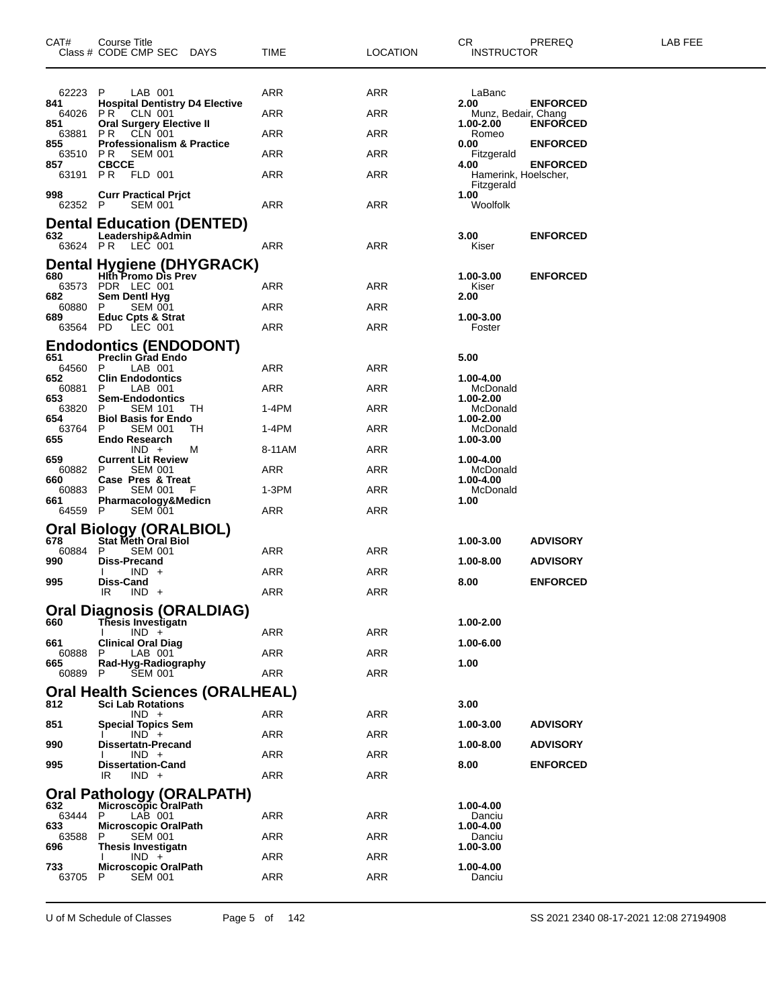| CAT#            | Course Title<br>Class # CODE CMP SEC DAYS                           | TIME       | <b>LOCATION</b> | CR.<br><b>INSTRUCTOR</b>    | PREREQ                                  | LAB FEE |
|-----------------|---------------------------------------------------------------------|------------|-----------------|-----------------------------|-----------------------------------------|---------|
| 62223 P         | LAB 001                                                             | ARR        | ARR             | LaBanc                      |                                         |         |
| 841<br>64026    | <b>Hospital Dentistry D4 Elective</b><br><b>PR CLN 001</b>          | ARR        | ARR             | 2.00<br>Munz, Bedair, Chang | <b>ENFORCED</b>                         |         |
| 851             | <b>Oral Surgery Elective II</b><br>63881 PR CLN 001                 | ARR        | ARR             | 1.00-2.00<br>Romeo          | <b>ENFORCED</b>                         |         |
| 855             | <b>Professionalism &amp; Practice</b><br>63510 PR<br><b>SEM 001</b> | ARR        | ARR             | 0.00<br>Fitzgerald          | <b>ENFORCED</b>                         |         |
| 857             | <b>CBCCE</b><br>63191 PR FLD 001                                    | ARR        | ARR             | 4.00                        | <b>ENFORCED</b><br>Hamerink, Hoelscher, |         |
|                 |                                                                     |            |                 | Fitzgerald                  |                                         |         |
| 998<br>62352 P  | <b>Curr Practical Prjct</b><br><b>SEM 001</b>                       | ARR        | ARR             | 1.00<br>Woolfolk            |                                         |         |
|                 | <b>Dental Education (DENTED)</b>                                    |            |                 |                             |                                         |         |
| 632<br>63624 PR | Leadership&Admin<br>LEC 001                                         | ARR        | ARR             | 3.00<br>Kiser               | <b>ENFORCED</b>                         |         |
|                 | <b>Dental Hygiene (DHYGRACK)</b>                                    |            |                 |                             |                                         |         |
| 680             | <b>Hith Promo Dis Prev</b><br>63573 PDR LEC 001                     | ARR        | ARR             | 1.00-3.00<br>Kiser          | <b>ENFORCED</b>                         |         |
| 682             | Sem Dentl Hyg                                                       |            |                 | 2.00                        |                                         |         |
| 60880<br>689    | P.<br><b>SEM 001</b><br><b>Educ Cpts &amp; Strat</b>                | ARR        | ARR             | 1.00-3.00                   |                                         |         |
| 63564 PD        | LEC 001                                                             | ARR        | ARR             | Foster                      |                                         |         |
| 651             | <b>Endodontics (ENDODONT)</b><br><b>Preclin Grad Endo</b>           |            |                 | 5.00                        |                                         |         |
| 64560 P         | LAB 001                                                             | ARR        | ARR             |                             |                                         |         |
| 652<br>60881    | <b>Clin Endodontics</b><br>LAB 001<br>P                             | ARR        | ARR             | 1.00-4.00<br>McDonald       |                                         |         |
| 653<br>63820 P  | <b>Sem-Endodontics</b><br><b>SEM 101</b><br>TH                      | 1-4PM      | ARR             | 1.00-2.00<br>McDonald       |                                         |         |
| 654<br>63764    | <b>Biol Basis for Endo</b><br><b>SEM 001</b><br>TН<br>P             | 1-4PM      | ARR             | 1.00-2.00<br>McDonald       |                                         |         |
| 655             | <b>Endo Research</b>                                                |            |                 | 1.00-3.00                   |                                         |         |
| 659             | $IND +$<br>м<br><b>Current Lit Review</b>                           | 8-11AM     | ARR             | 1.00-4.00                   |                                         |         |
| 60882 P<br>660  | <b>SEM 001</b><br>Case Pres & Treat                                 | ARR        | ARR             | McDonald<br>1.00-4.00       |                                         |         |
| 60883<br>661    | <b>SEM 001</b><br>P.<br>F<br>Pharmacology&Medicn                    | 1-3PM      | ARR             | McDonald<br>1.00            |                                         |         |
| 64559 P         | SEM 001                                                             | ARR        | ARR             |                             |                                         |         |
|                 | <b>Oral Biology (ORALBIOL)</b>                                      |            |                 |                             |                                         |         |
| 678<br>60884    | Stat Meth Oral Biol<br><b>SEM 001</b><br>P                          | ARR        | ARR             | 1.00-3.00                   | <b>ADVISORY</b>                         |         |
| 990             | Diss-Precand<br>$IND +$                                             | ARR        | ARR             | $1.00 - 8.00$               | <b>ADVISORY</b>                         |         |
| 995             | <b>Diss-Cand</b><br>IR<br>$IND +$                                   | ARR        | ARR             | 8.00                        | <b>ENFORCED</b>                         |         |
|                 | <b>Oral Diagnosis (ORALDIAG)</b>                                    |            |                 |                             |                                         |         |
| 660             | <b>Thesis Investigatn</b>                                           |            |                 | 1.00-2.00                   |                                         |         |
| 661             | $IND +$<br><b>Clinical Oral Diag</b>                                | ARR        | ARR             | 1.00-6.00                   |                                         |         |
| 60888<br>665.   | LAB 001<br>Rad-Hyg-Radiography                                      | ARR        | ARR             | 1.00                        |                                         |         |
| 60889           | P<br><b>SEM 001</b>                                                 | <b>ARR</b> | ARR             |                             |                                         |         |
|                 | Oral Health Sciences (ORALHEAL)                                     |            |                 |                             |                                         |         |
| 812             | <b>Sci Lab Rotations</b><br>$IND +$                                 | ARR        | ARR             | 3.00                        |                                         |         |
| 851             | <b>Special Topics Sem</b><br>$IND +$                                | ARR        | ARR             | 1.00-3.00                   | <b>ADVISORY</b>                         |         |
| 990             | <b>Dissertatn-Precand</b><br>$IND +$                                | ARR        | ARR             | 1.00-8.00                   | <b>ADVISORY</b>                         |         |
| 995             | <b>Dissertation-Cand</b>                                            |            |                 | 8.00                        | <b>ENFORCED</b>                         |         |
|                 | IR<br>$IND +$                                                       | ARR        | ARR             |                             |                                         |         |
| 632             | Oral Pathology (ORALPATH)<br><b>Microscopic OralPath</b>            |            |                 | 1.00-4.00                   |                                         |         |
| 63444<br>633    | LAB 001<br>P<br><b>Microscopic OralPath</b>                         | ARR        | ARR             | Danciu<br>1.00-4.00         |                                         |         |
| 63588           | P<br><b>SEM 001</b>                                                 | ARR        | ARR             | Danciu                      |                                         |         |
| 696             | <b>Thesis Investigatn</b><br>$IND +$                                | ARR        | ARR             | 1.00-3.00                   |                                         |         |
| 733<br>63705    | <b>Microscopic OralPath</b><br>P<br><b>SEM 001</b>                  | ARR        | ARR             | 1.00-4.00<br>Danciu         |                                         |         |
|                 |                                                                     |            |                 |                             |                                         |         |

U of M Schedule of Classes Page 5 of 142 SS 2021 2340 08-17-2021 12:08 27194908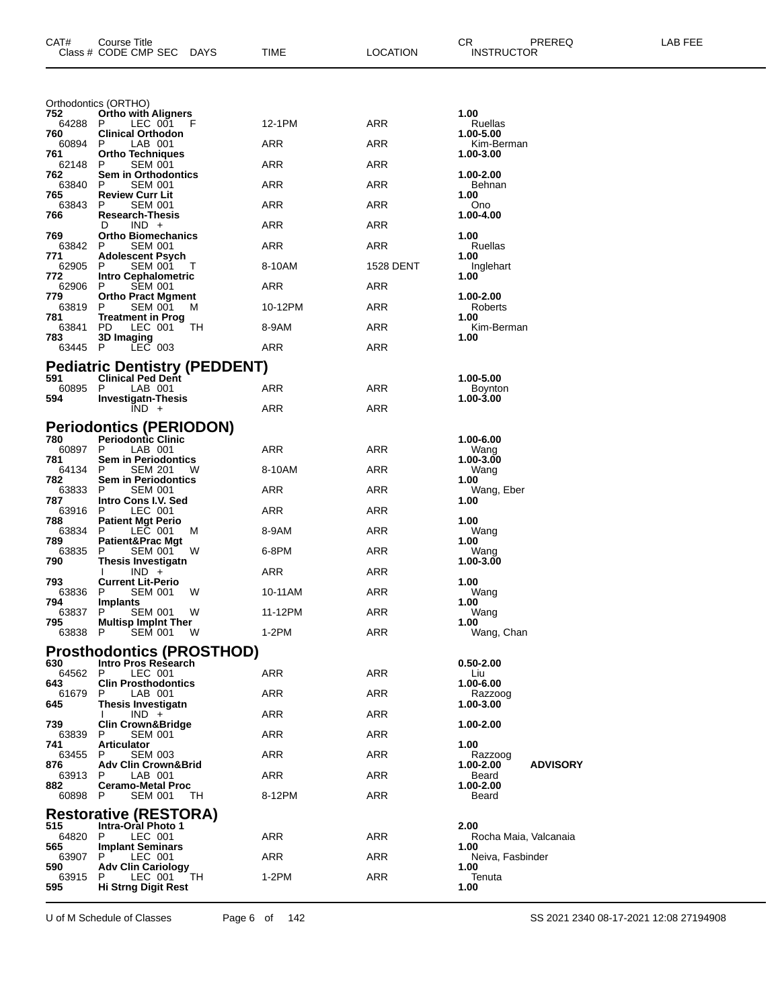| CAT#           | <b>Course Title</b><br>Class # CODE CMP SEC<br>DAYS    | TIME       | <b>LOCATION</b>  | CR<br>PREREQ<br><b>INSTRUCTOR</b>     | LAB FEE |
|----------------|--------------------------------------------------------|------------|------------------|---------------------------------------|---------|
|                | Orthodontics (ORTHO)                                   |            |                  |                                       |         |
| 752<br>64288   | <b>Ortho with Aligners</b><br>P<br>LEC 001<br>F        | 12-1PM     | <b>ARR</b>       | 1.00<br>Ruellas                       |         |
| 760<br>60894   | <b>Clinical Orthodon</b><br>P<br>LAB 001               | ARR        | ARR              | 1.00-5.00<br>Kim-Berman               |         |
| 761<br>62148   | <b>Ortho Techniques</b><br>P<br><b>SEM 001</b>         | ARR        | ARR              | 1.00-3.00                             |         |
| 762<br>63840   | Sem in Orthodontics<br><b>SEM 001</b><br>P             | ARR        | ARR              | 1.00-2.00<br>Behnan                   |         |
| 765<br>63843   | <b>Review Curr Lit</b><br><b>SEM 001</b><br>P          | ARR        | ARR              | 1.00<br>Ono                           |         |
| 766            | <b>Research-Thesis</b><br>$IND +$<br>D                 | ARR        | ARR              | 1.00-4.00                             |         |
| 769<br>63842   | <b>Ortho Biomechanics</b><br><b>SEM 001</b><br>P       | ARR        | ARR              | 1.00<br>Ruellas                       |         |
| 771<br>62905   | <b>Adolescent Psych</b><br><b>SEM 001</b><br>P<br>Τ    | 8-10AM     | <b>1528 DENT</b> | 1.00<br>Inglehart                     |         |
| 772<br>62906   | <b>Intro Cephalometric</b><br><b>SEM 001</b><br>P      | ARR        | ARR              | 1.00                                  |         |
| 779<br>63819   | <b>Ortho Pract Mgment</b><br><b>SEM 001</b><br>P<br>м  | 10-12PM    | ARR              | 1.00-2.00<br>Roberts                  |         |
| 781<br>63841   | <b>Treatment in Prog</b><br>PD.<br>LEC 001<br>TH       | 8-9AM      | ARR              | 1.00<br>Kim-Berman                    |         |
| 783<br>63445 P | 3D Imaging<br>$LEC$ 003                                | ARR        | ARR              | 1.00                                  |         |
|                | <b>Pediatric Dentistry (PEDDENT)</b>                   |            |                  |                                       |         |
| 591<br>60895   | <b>Clinical Ped Dent</b><br>P<br>LAB 001               | <b>ARR</b> | ARR              | 1.00-5.00<br><b>Boynton</b>           |         |
| 594            | <b>Investigatn-Thesis</b><br>$IND +$                   | ARR        | <b>ARR</b>       | 1.00-3.00                             |         |
|                | <b>Periodontics (PERIODON)</b>                         |            |                  |                                       |         |
| 780<br>60897 P | <b>Periodontic Clinic</b><br>LAB 001                   | ARR        | ARR              | 1.00-6.00<br>Wang                     |         |
| 781<br>64134   | <b>Sem in Periodontics</b><br>P<br><b>SEM 201</b><br>w | 8-10AM     | ARR              | 1.00-3.00<br>Wang                     |         |
| 782<br>63833   | Sem in Periodontics<br>P<br><b>SEM 001</b>             | ARR        | ARR              | 1.00<br>Wang, Eber                    |         |
| 787<br>63916   | Intro Cons I.V. Sed<br>P<br>LEC 001                    | ARR        | ARR              | 1.00                                  |         |
| 788<br>63834   | <b>Patient Mgt Perio</b><br>P<br>LEC 001<br>M          | 8-9AM      | ARR              | 1.00<br>Wang                          |         |
| 789<br>63835   | <b>Patient&amp;Prac Mgt</b><br>P<br>SEM 001<br>W       | 6-8PM      | ARR              | 1.00<br>Wang                          |         |
| 790            | Thesis Investigatn<br>$IND +$                          | ARR        | ARR              | 1.00-3.00                             |         |
| 793<br>63836   | <b>Current Lit-Perio</b><br>P<br><b>SEM 001</b><br>w   | 10-11AM    | ARR              | 1.00<br>Wang                          |         |
| 794<br>63837 P | <b>Implants</b><br>SEM 001 W                           | 11-12PM    | ARR              | 1.00<br>Wang                          |         |
| 795<br>63838 P | <b>Multisp Implnt Ther</b><br><b>SEM 001</b><br>W      | $1-2PM$    | ARR              | 1.00<br>Wang, Chan                    |         |
|                | <b>Prosthodontics (PROSTHOD)</b>                       |            |                  |                                       |         |
| 630<br>64562 P | Intro Pros Research<br>LEC 001                         | ARR        | <b>ARR</b>       | $0.50 - 2.00$<br>Liu                  |         |
| 643<br>61679   | <b>Clin Prosthodontics</b><br>P<br>LAB 001             | ARR        | ARR              | 1.00-6.00<br>Razzoog                  |         |
| 645            | Thesis Investigatn<br>$IND +$                          | ARR        | <b>ARR</b>       | 1.00-3.00                             |         |
| 739<br>63839   | <b>Clin Crown&amp;Bridge</b><br>P<br><b>SEM 001</b>    | ARR        | ARR              | 1.00-2.00                             |         |
| 741<br>63455   | <b>Articulator</b><br><b>SEM 003</b><br>P              | ARR        | ARR              | 1.00<br>Razzoog                       |         |
| 876<br>63913   | <b>Adv Clin Crown&amp;Brid</b><br>P<br>LAB 001         | ARR        | ARR              | <b>ADVISORY</b><br>1.00-2.00<br>Beard |         |
| 882<br>60898   | <b>Ceramo-Metal Proc</b><br>-P<br><b>SEM 001</b><br>TН | 8-12PM     | ARR              | 1.00-2.00<br>Beard                    |         |
|                | <b>Restorative (RESTORA)</b>                           |            |                  |                                       |         |
| 515<br>64820   | <b>Intra-Oral Photo 1</b><br>P<br>LEC 001              | ARR        | ARR              | 2.00<br>Rocha Maia, Valcanaia         |         |
| 565<br>63907   | <b>Implant Seminars</b><br>P<br>LEC 001                | ARR        | ARR              | 1.00<br>Neiva, Fasbinder              |         |
| 590<br>63915   | <b>Adv Clin Cariology</b><br>P<br>LEC 001<br>TH        | $1-2PM$    | ARR              | 1.00<br>Tenuta                        |         |
| 595            | Hi Strng Digit Rest                                    |            |                  | 1.00                                  |         |

U of M Schedule of Classes Page 6 of 142 SS 2021 2340 08-17-2021 12:08 27194908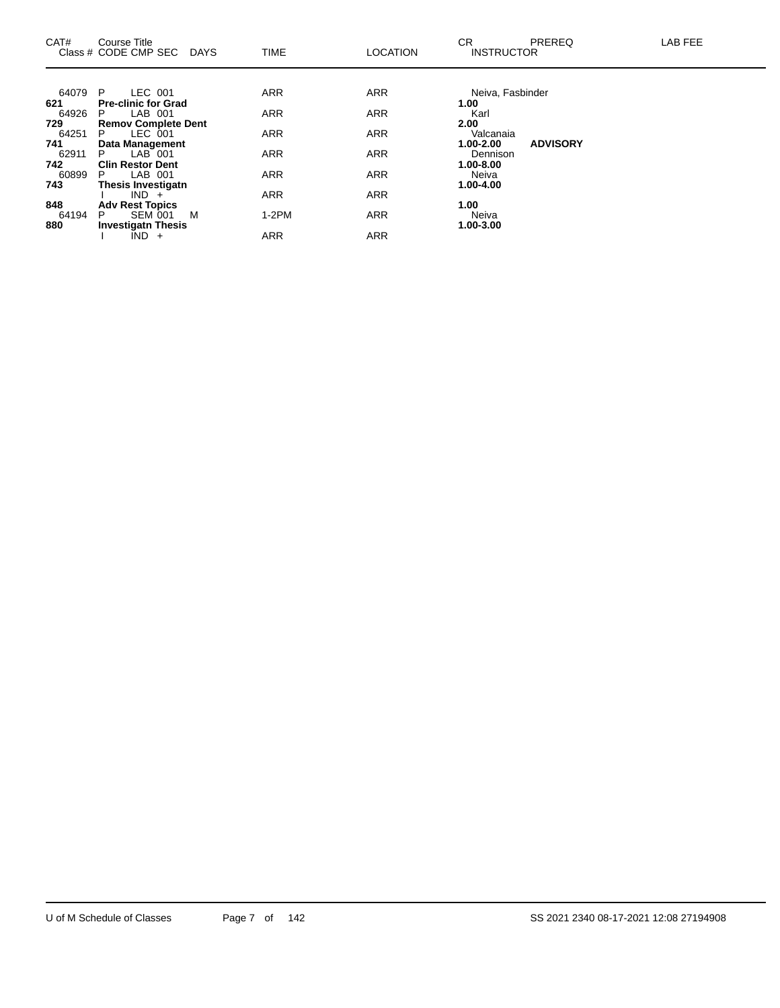| CAT#  | Course Title<br>Class # CODE CMP SEC DAYS | <b>TIME</b> | <b>LOCATION</b> | CR.<br><b>PREREQ</b><br><b>INSTRUCTOR</b> | <b>LAB FEE</b> |
|-------|-------------------------------------------|-------------|-----------------|-------------------------------------------|----------------|
|       |                                           |             |                 |                                           |                |
| 64079 | LEC 001<br>P                              | <b>ARR</b>  | <b>ARR</b>      | Neiva, Fasbinder                          |                |
| 621   | <b>Pre-clinic for Grad</b>                |             |                 | 1.00                                      |                |
| 64926 | LAB 001<br>P.                             | <b>ARR</b>  | <b>ARR</b>      | Karl                                      |                |
| 729   | <b>Remov Complete Dent</b>                |             |                 | 2.00                                      |                |
| 64251 | LEC 001<br>P.                             | <b>ARR</b>  | <b>ARR</b>      | Valcanaia                                 |                |
| 741   | Data Management                           |             |                 | <b>ADVISORY</b><br>1.00-2.00              |                |
| 62911 | LAB 001<br>P.                             | <b>ARR</b>  | <b>ARR</b>      | Dennison                                  |                |
| 742   | <b>Clin Restor Dent</b>                   |             |                 | 1.00-8.00                                 |                |
| 60899 | LAB 001<br>P.                             | <b>ARR</b>  | <b>ARR</b>      | Neiva                                     |                |
| 743   | <b>Thesis Investigatn</b>                 |             |                 | 1.00-4.00                                 |                |
|       | $IND +$                                   | <b>ARR</b>  | <b>ARR</b>      |                                           |                |
| 848   | <b>Adv Rest Topics</b>                    |             |                 | 1.00                                      |                |
| 64194 | <b>SEM 001</b><br>M<br>P.                 | $1-2PM$     | <b>ARR</b>      | Neiva                                     |                |
| 880   | <b>Investigatn Thesis</b>                 |             |                 | 1.00-3.00                                 |                |
|       | $\overline{IND}$ +                        | <b>ARR</b>  | <b>ARR</b>      |                                           |                |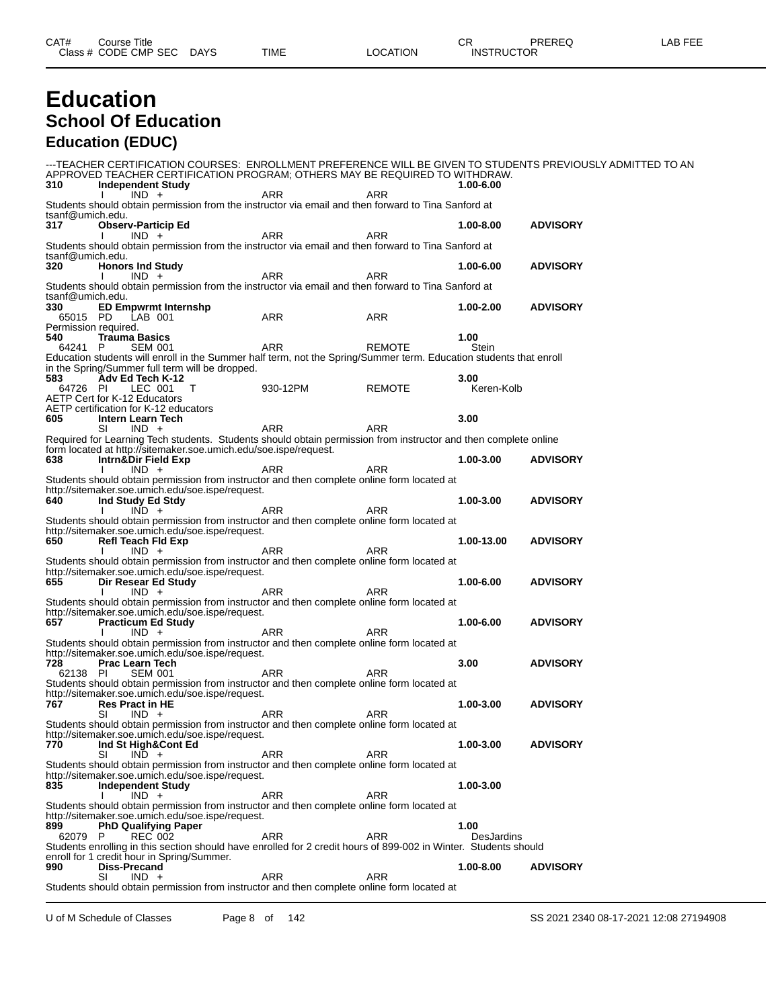## **Education School Of Education Education (EDUC)**

---TEACHER CERTIFICATION COURSES: ENROLLMENT PREFERENCE WILL BE GIVEN TO STUDENTS PREVIOUSLY ADMITTED TO AN APPROVED TEACHER CERTIFICATION PROGRAM; OTHERS MAY BE REQUIRED TO WITHDRAW.<br>310 Independent Study **310 Independent Study 1.00-6.00** I IND + ARR ARR ARR Students should obtain permission from the instructor via email and then forward to Tina Sanford at tsanf@umich.edu.<br>317 Obser **317 Observ-Particip Ed 1.00-8.00 ADVISORY** I IND + ARR ARR ARR Students should obtain permission from the instructor via email and then forward to Tina Sanford at tsanf@umich.edu.<br>320 Honors **320 Honors Ind Study 1.00-6.00 ADVISORY** I IND + ARR ARR ARR Students should obtain permission from the instructor via email and then forward to Tina Sanford at tsanf@umich.edu.<br>330 FD Fm **330 ED Empwrmt Internshp 1.00-2.00 ADVISORY**  $LAB$  001 Permission required.<br> **540** Trauma **540 Trauma Basics 1.00** 64241 P SEM 001 ARR REMOTE Stein Education students will enroll in the Summer half term, not the Spring/Summer term. Education students that enroll in the Spring/Summer full term will be dropped.<br>583 **Adv Ed Tech K-12 583 Adv Ed Tech K-12 3.00** 64726 PI LEC 001 T 930-12PM REMOTE Keren-Kolb AETP Cert for K-12 Educators AETP certification for K-12 educators<br>605 **Intern Learn Tech find the Intern Learn Tech 61.000 CIT**<br> **60.000 CIT**<br> **60.000 CITT**<br> **60.000 CITT**<br> **60.000 CITT**<br> **60.000 CITT**<br> **60.000 CITT**<br> **60.000 CITT** SI IND + ARR ARR ARR Required for Learning Tech students. Students should obtain permission from instructor and then complete online form located at http://sitemaker.soe.umich.edu/soe.ispe/request.<br>638 **Intrn&Dir Field Exp 638 Intrn&Dir Field Exp 1.00-3.00 ADVISORY** I IND + ARR ARR ARR Students should obtain permission from instructor and then complete online form located at http://sitemaker.soe.umich.edu/soe.ispe/request. **640 Ind Study Ed Stdy 1.00-3.00 ADVISORY** I IND + ARR ARR ARR Students should obtain permission from instructor and then complete online form located at http://sitemaker.soe.umich.edu/soe.ispe/request. **650 Refl Teach Fld Exp 1.00-13.00 ADVISORY** I IND + ARR ARR ARR Students should obtain permission from instructor and then complete online form located at http://sitemaker.soe.umich.edu/soe.ispe/request. **655 Dir Resear Ed Study 1.00-6.00 ADVISORY** I IND + ARR ARR ARR Students should obtain permission from instructor and then complete online form located at http://sitemaker.soe.umich.edu/soe.ispe/request. **657 Practicum Ed Study 1.00-6.00 ADVISORY** I IND + ARR ARR ARR Students should obtain permission from instructor and then complete online form located at http://sitemaker.soe.umich.edu/soe.ispe/request. **728 Prac Learn Tech 3.00 ADVISORY** 62138 PI SEM 001 ARR ARR Students should obtain permission from instructor and then complete online form located at http://sitemaker.soe.umich.edu/soe.ispe/request.<br>767<br>Res Pract in HF **767 Res Pract in HE 1.00-3.00 ADVISORY**  $IND +$ Students should obtain permission from instructor and then complete online form located at http://sitemaker.soe.umich.edu/soe.ispe/request.<br>770 **Ind St High&Cont Ed 770 Ind St High&Cont Ed 1.00-3.00 ADVISORY**  $IN\bar{D}$  + Students should obtain permission from instructor and then complete online form located at http://sitemaker.soe.umich.edu/soe.ispe/request.<br>835 **Independent Study 835 Independent Study 1.00-3.00** I IND + ARR ARR ARR Students should obtain permission from instructor and then complete online form located at http://sitemaker.soe.umich.edu/soe.ispe/request.<br>899 PhD Qualifying Paper **899 PhD Qualifying Paper 1.00** 62079 P REC 002 ARR ARR DesJardins Students enrolling in this section should have enrolled for 2 credit hours of 899-002 in Winter. Students should enroll for 1 credit hour in Spring/Summer. **990 Diss-Precand 1.00-8.00 ADVISORY** SI IND + ARR ARR ARR Students should obtain permission from instructor and then complete online form located at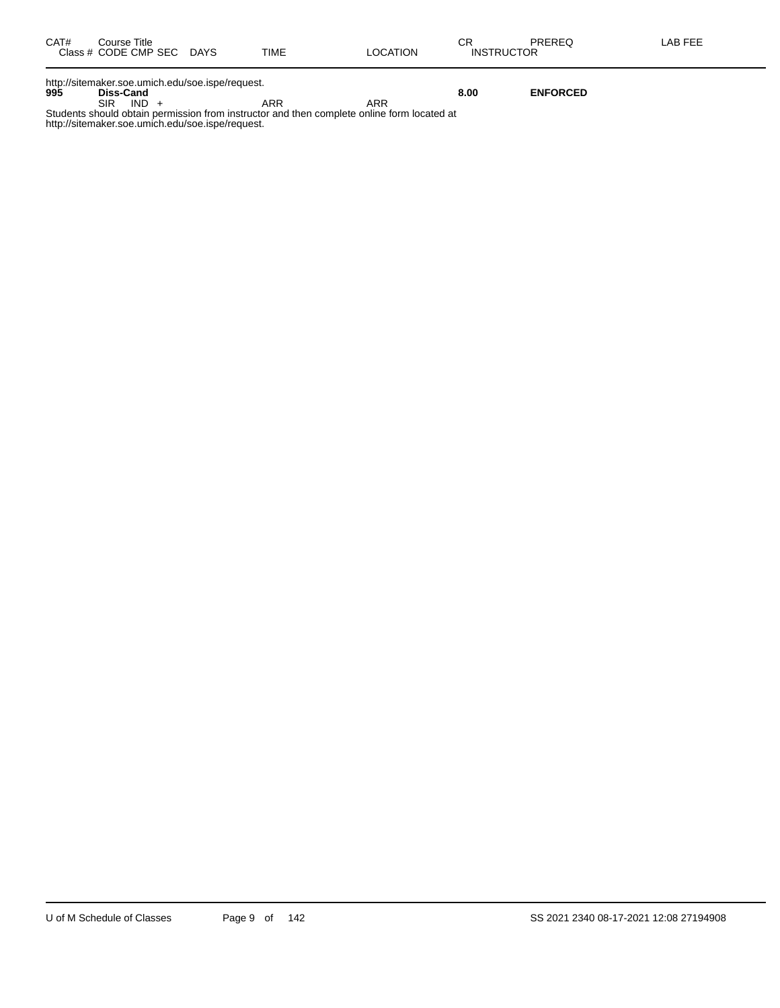| CAT#<br>Course Title<br>Class # CODE CMP SEC DAYS | TIME | LOCATION | СF<br>PREREQ<br><b>INSTRUCTOR</b> | LAB FEE |
|---------------------------------------------------|------|----------|-----------------------------------|---------|
| http://sitemaker.soe.umich.edu/soe.ispe/request.  |      |          |                                   |         |

**995 Diss-Cand 8.00 ENFORCED**

SIR IND + ARR ARR ARR Students should obtain permission from instructor and then complete online form located at http://sitemaker.soe.umich.edu/soe.ispe/request.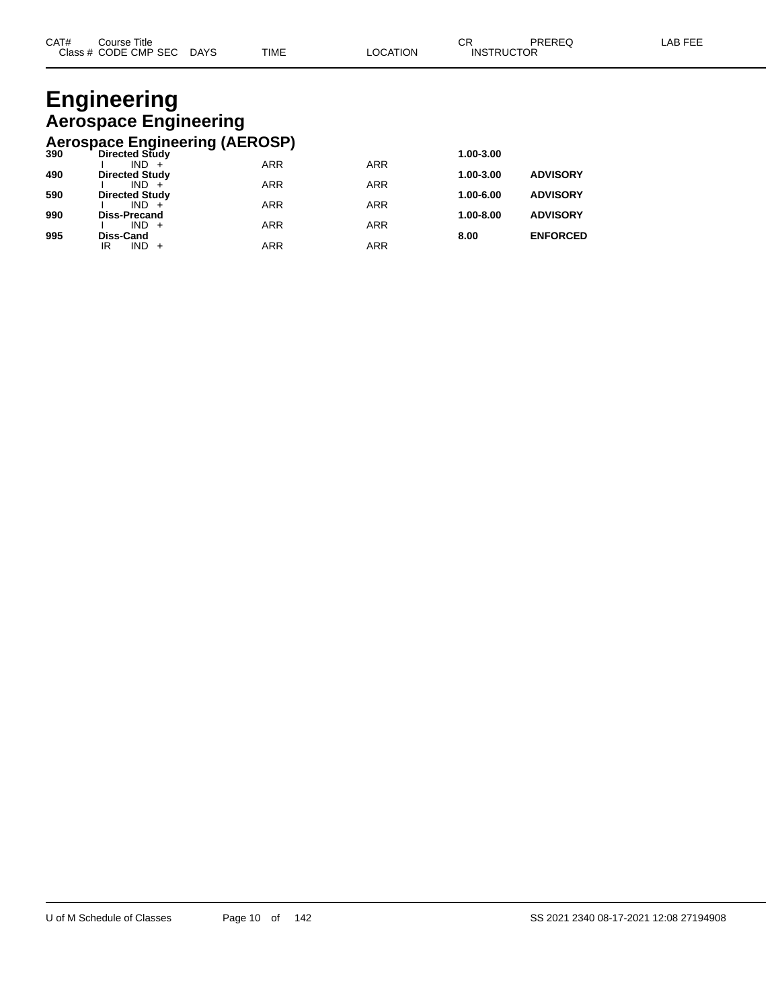#### **Engineering Aerospace Engineering Aerospace Engineering (AEROSP)**

|     | $1.91$ versue chighneemig (TCTTV of $1$ |            |            |               |                 |
|-----|-----------------------------------------|------------|------------|---------------|-----------------|
| 390 | Directed Study                          |            |            | 1.00-3.00     |                 |
|     | $IND +$                                 | <b>ARR</b> | <b>ARR</b> |               |                 |
| 490 | <b>Directed Study</b>                   |            |            | 1.00-3.00     | <b>ADVISORY</b> |
|     | $IND +$                                 | <b>ARR</b> | <b>ARR</b> |               |                 |
| 590 | <b>Directed Study</b>                   |            |            | $1.00 - 6.00$ | <b>ADVISORY</b> |
|     | $IND +$                                 | <b>ARR</b> | <b>ARR</b> |               |                 |
| 990 | <b>Diss-Precand</b>                     |            |            | $1.00 - 8.00$ | <b>ADVISORY</b> |
|     | $IND +$                                 | <b>ARR</b> | <b>ARR</b> |               |                 |
| 995 | <b>Diss-Cand</b>                        |            |            | 8.00          | <b>ENFORCED</b> |
|     | $IND +$<br>IR                           | ARR        | ARR        |               |                 |
|     |                                         |            |            |               |                 |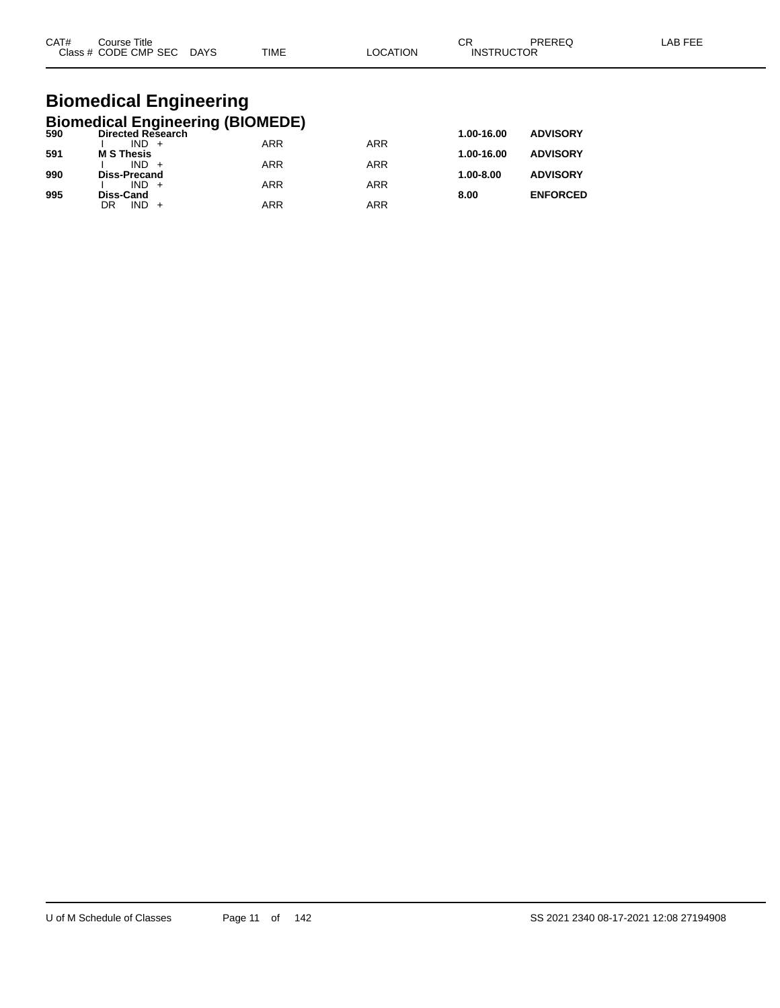| CAT#<br>C <sub>base</sub> | Title<br>Course<br>CODE CMP SEC<br>__ | <b>DAYS</b><br>$\sim$ | <b>TIME</b> | ΙOΝ | ⌒г<br>◡<br><b>CTOR</b><br>INS<br>וופד | _____ |  |
|---------------------------|---------------------------------------|-----------------------|-------------|-----|---------------------------------------|-------|--|
|                           |                                       |                       |             |     |                                       |       |  |

#### **Biomedical Engineering Biomedical Engineering (BIOMEDE)**

| 590 | <b>Directed Research</b> |            |            | 1.00-16.00    | <b>ADVISORY</b> |
|-----|--------------------------|------------|------------|---------------|-----------------|
|     | $IND +$                  | <b>ARR</b> | <b>ARR</b> |               |                 |
| 591 | <b>M S Thesis</b>        |            |            | 1.00-16.00    | <b>ADVISORY</b> |
|     | $IND +$                  | <b>ARR</b> | ARR        |               |                 |
| 990 | <b>Diss-Precand</b>      |            |            | $1.00 - 8.00$ | <b>ADVISORY</b> |
|     | $IND +$                  | <b>ARR</b> | ARR        |               |                 |
| 995 | Diss-Cand                |            |            | 8.00          | <b>ENFORCED</b> |
|     | $IND +$<br>DR            | <b>ARR</b> | ARR        |               |                 |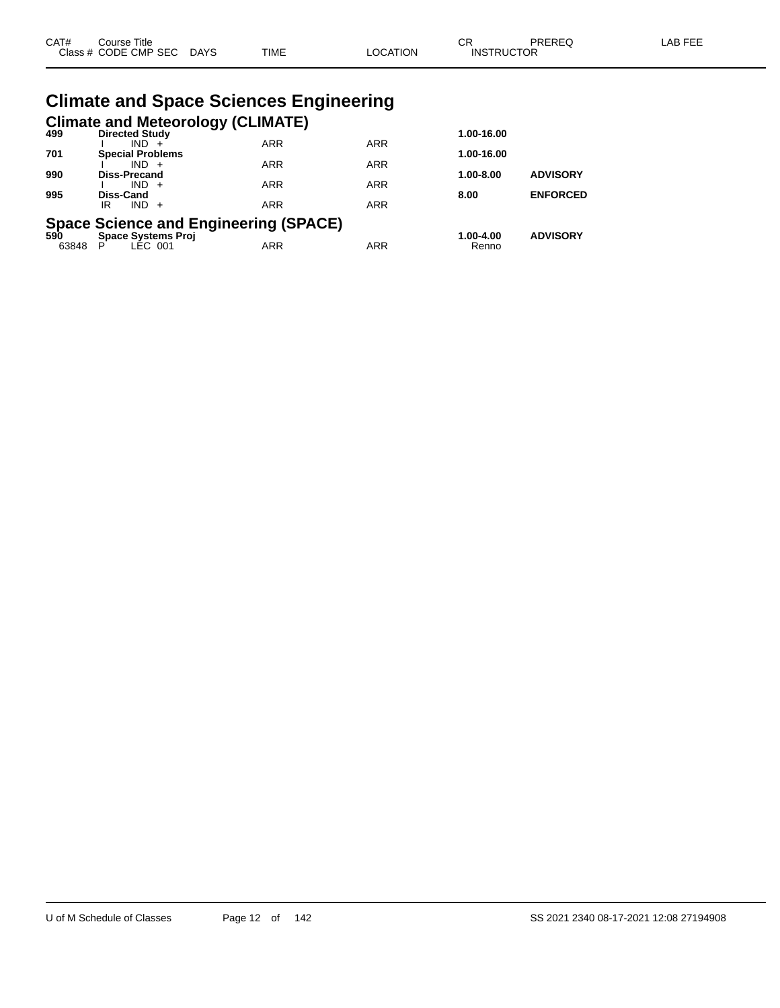| CAT# | Course Title<br>Class # CODE CMP SEC DAYS | <b>TIME</b>                                   | <b>LOCATION</b> | CR<br><b>INSTRUCTOR</b> | <b>PREREQ</b>   | <b>LAB FEE</b> |
|------|-------------------------------------------|-----------------------------------------------|-----------------|-------------------------|-----------------|----------------|
|      |                                           | <b>Climate and Space Sciences Engineering</b> |                 |                         |                 |                |
| 499  | <b>Directed Study</b>                     | <b>Climate and Meteorology (CLIMATE)</b>      |                 | 1.00-16.00              |                 |                |
| 701  | $IND +$<br><b>Special Problems</b>        | <b>ARR</b>                                    | <b>ARR</b>      | 1.00-16.00              |                 |                |
| 990  | $IND +$<br>Diss-Precand                   | <b>ARR</b>                                    | <b>ARR</b>      | $1.00 - 8.00$           | <b>ADVISORY</b> |                |
| 995  | $IND +$<br>Diss-Cand                      | <b>ARR</b>                                    | <b>ARR</b>      | 8.00                    | <b>ENFORCED</b> |                |
|      | $IND +$<br>IR                             | <b>ARR</b>                                    | <b>ARR</b>      |                         |                 |                |
| 590  | <b>Space Systems Proj</b>                 | <b>Space Science and Engineering (SPACE)</b>  |                 | 1.00-4.00               | <b>ADVISORY</b> |                |

63848 P LEC 001 ARR ARR Renno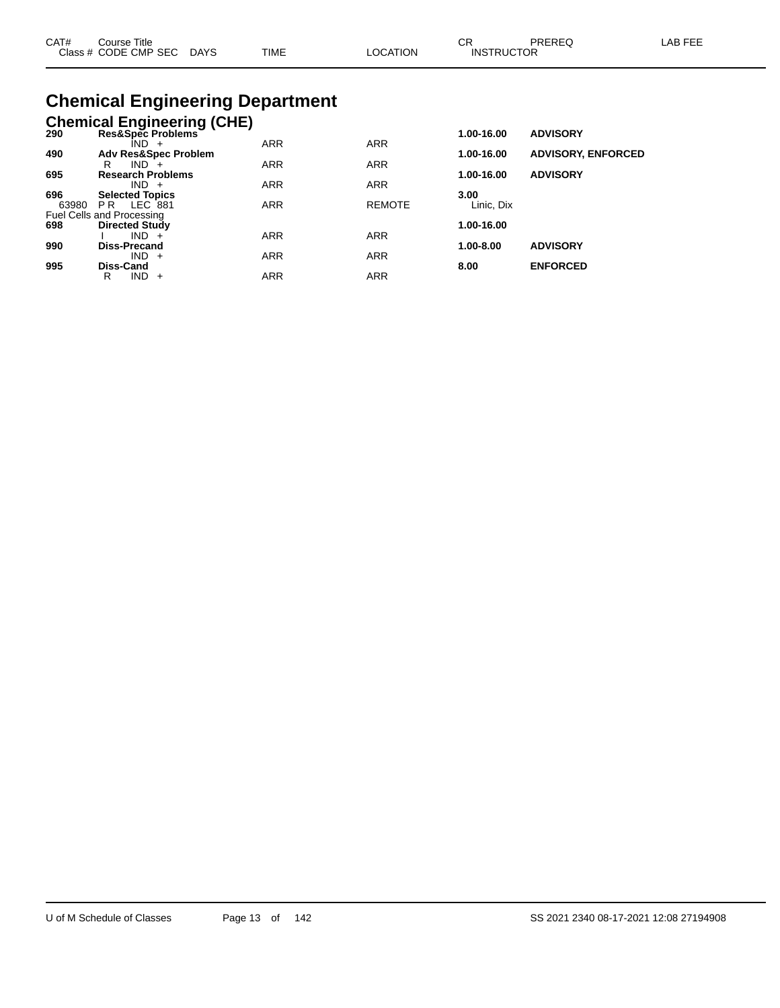| CAT# | Course Title<br>Class # CODE CMP SEC | <b>DAYS</b> | <b>TIME</b><br>$\cdots$ | <b>OCATION</b> | $\sim$<br>◡<br><b>INSTRUCTOR</b> | PREREQ | LAB FEE |
|------|--------------------------------------|-------------|-------------------------|----------------|----------------------------------|--------|---------|
|      |                                      |             |                         |                |                                  |        |         |

# **Chemical Engineering Department**

## **Chemical Engineering (CHE)**

| 290   | Res&Spec Problems <sup>-1</sup> |            |               | 1.00-16.00 | <b>ADVISORY</b>           |
|-------|---------------------------------|------------|---------------|------------|---------------------------|
|       | $IND +$                         | <b>ARR</b> | <b>ARR</b>    |            |                           |
| 490   | <b>Adv Res&amp;Spec Problem</b> |            |               | 1.00-16.00 | <b>ADVISORY, ENFORCED</b> |
|       | $IND +$<br>R                    | <b>ARR</b> | <b>ARR</b>    |            |                           |
| 695   | <b>Research Problems</b>        |            |               | 1.00-16.00 | <b>ADVISORY</b>           |
|       | $IND +$                         | <b>ARR</b> | <b>ARR</b>    |            |                           |
| 696   | <b>Selected Topics</b>          |            |               | 3.00       |                           |
| 63980 | LEC 881<br>PR.                  | <b>ARR</b> | <b>REMOTE</b> | Linic. Dix |                           |
|       | Fuel Cells and Processing       |            |               |            |                           |
| 698   | <b>Directed Study</b>           |            |               | 1.00-16.00 |                           |
|       | $IND +$                         | <b>ARR</b> | <b>ARR</b>    |            |                           |
| 990   | Diss-Precand                    |            |               | 1.00-8.00  | <b>ADVISORY</b>           |
|       | $IND +$                         | <b>ARR</b> | <b>ARR</b>    |            |                           |
| 995   | Diss-Cand                       |            |               | 8.00       | <b>ENFORCED</b>           |
|       | $IND +$<br>R                    | ARR        | <b>ARR</b>    |            |                           |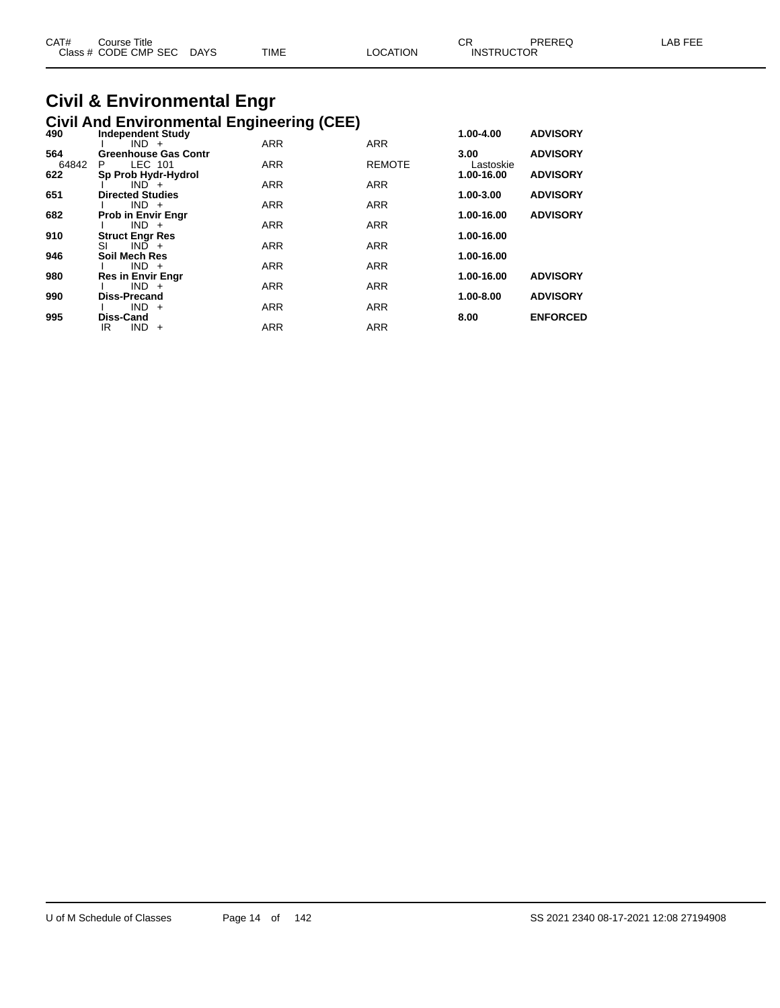| CAT# | Course Title<br>Class # CODE CMP SEC DAYS | TIME | LOCATION | <b>INSTRUCTOR</b> | PREREQ | LAB FEE |
|------|-------------------------------------------|------|----------|-------------------|--------|---------|
|      |                                           |      |          |                   |        |         |

# **Civil & Environmental Engr**

|       | <b>Civil And Environmental Engineering (CEE)</b> |            |               |                   |                 |
|-------|--------------------------------------------------|------------|---------------|-------------------|-----------------|
| 490   | <b>Independent Study</b>                         |            |               | 1.00-4.00         | <b>ADVISORY</b> |
| 564   | $IND +$<br><b>Greenhouse Gas Contr</b>           | <b>ARR</b> | <b>ARR</b>    |                   | <b>ADVISORY</b> |
| 64842 | LEC 101<br>P.                                    | <b>ARR</b> | <b>REMOTE</b> | 3.00<br>Lastoskie |                 |
| 622   | Sp Prob Hydr-Hydrol                              |            |               | 1.00-16.00        | <b>ADVISORY</b> |
|       | $IND +$                                          | <b>ARR</b> | <b>ARR</b>    |                   |                 |
| 651   | <b>Directed Studies</b><br>$IND +$               | <b>ARR</b> | <b>ARR</b>    | 1.00-3.00         | <b>ADVISORY</b> |
| 682   | <b>Prob in Envir Engr</b>                        |            |               | 1.00-16.00        | <b>ADVISORY</b> |
|       | $IND +$                                          | <b>ARR</b> | <b>ARR</b>    |                   |                 |
| 910   | <b>Struct Engr Res</b>                           |            |               | 1.00-16.00        |                 |
|       | $IND +$<br>SI                                    | <b>ARR</b> | <b>ARR</b>    |                   |                 |
| 946   | Soil Mech Res<br>$IND +$                         | <b>ARR</b> | <b>ARR</b>    | 1.00-16.00        |                 |
| 980   | <b>Res in Envir Engr</b>                         |            |               | 1.00-16.00        | <b>ADVISORY</b> |
|       | $IND +$                                          | <b>ARR</b> | <b>ARR</b>    |                   |                 |
| 990   | <b>Diss-Precand</b>                              |            |               | 1.00-8.00         | <b>ADVISORY</b> |
| 995   | $IND +$<br><b>Diss-Cand</b>                      | <b>ARR</b> | <b>ARR</b>    | 8.00              | <b>ENFORCED</b> |
|       | IR<br><b>IND</b><br>$+$                          | <b>ARR</b> | <b>ARR</b>    |                   |                 |
|       |                                                  |            |               |                   |                 |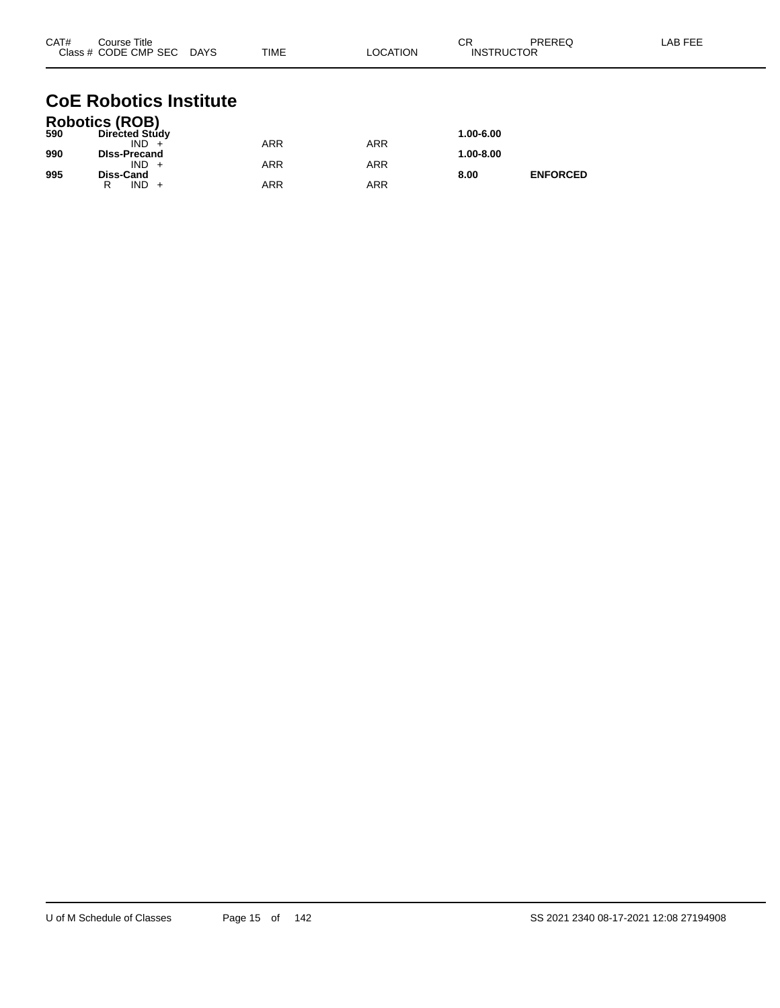| CAT# | Course Title<br>Class # CODE CMP SEC DAYS | TIME       | <b>LOCATION</b> | CR<br><b>INSTRUCTOR</b> | PREREQ          | LAB FEE |
|------|-------------------------------------------|------------|-----------------|-------------------------|-----------------|---------|
|      | <b>CoE Robotics Institute</b>             |            |                 |                         |                 |         |
| 590  | Robotics (ROB)<br>Directed Study          |            |                 | 1.00-6.00               |                 |         |
|      | $IND +$                                   | <b>ARR</b> | <b>ARR</b>      |                         |                 |         |
| 990  | <b>DIss-Precand</b>                       |            |                 | 1.00-8.00               |                 |         |
| 995  | $IND +$<br>Diss-Cand                      | <b>ARR</b> | <b>ARR</b>      | 8.00                    | <b>ENFORCED</b> |         |

R IND + ARR ARR ARR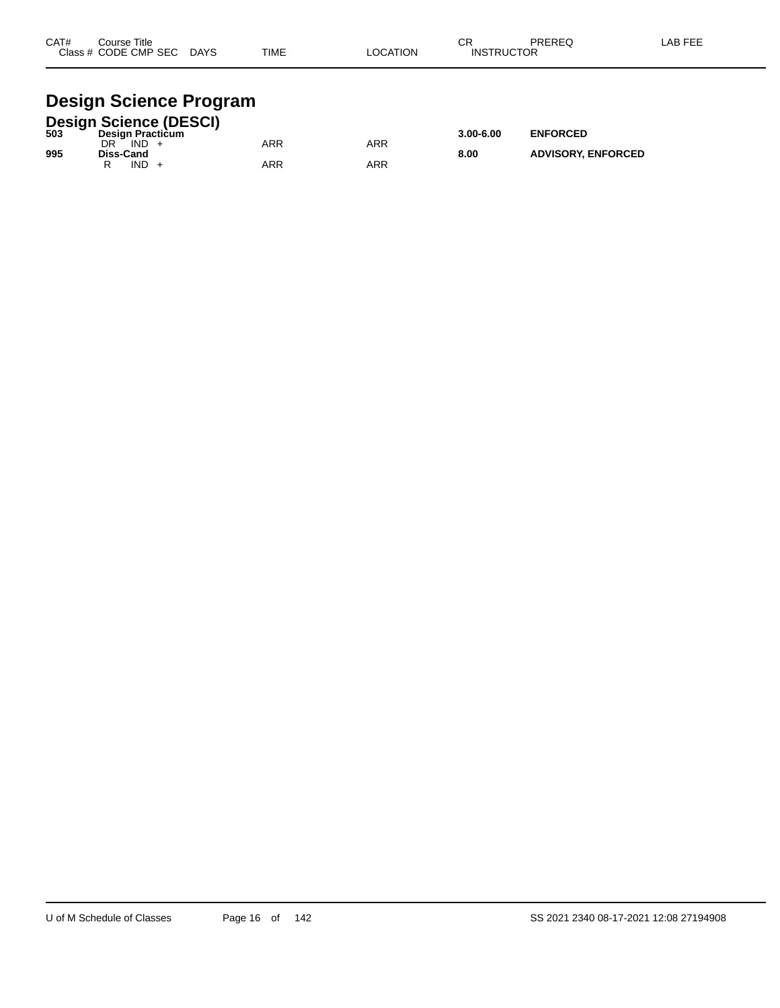| CAT# | Course Title<br>Class # CODE CMP SEC | <b>DAYS</b> | <b>TIME</b> | <b>OCATION</b> | ◠⊏<br>- UN<br><b>INSTRUCTOR</b> | <b>PREREQ</b> | _AB FEF |
|------|--------------------------------------|-------------|-------------|----------------|---------------------------------|---------------|---------|
|      |                                      |             |             |                |                                 |               |         |

## **Design Science Program**

|     |                         |      | <b>Design Science (DESCI)</b> |     |     |               |                           |
|-----|-------------------------|------|-------------------------------|-----|-----|---------------|---------------------------|
| 503 | <b>Design Practicum</b> |      |                               |     |     | $3.00 - 6.00$ | <b>ENFORCED</b>           |
|     | DR                      | IND  |                               | ARR | ARR |               |                           |
| 995 | Diss-Cand               | IND. |                               | ARR | ARR | 8.00          | <b>ADVISORY, ENFORCED</b> |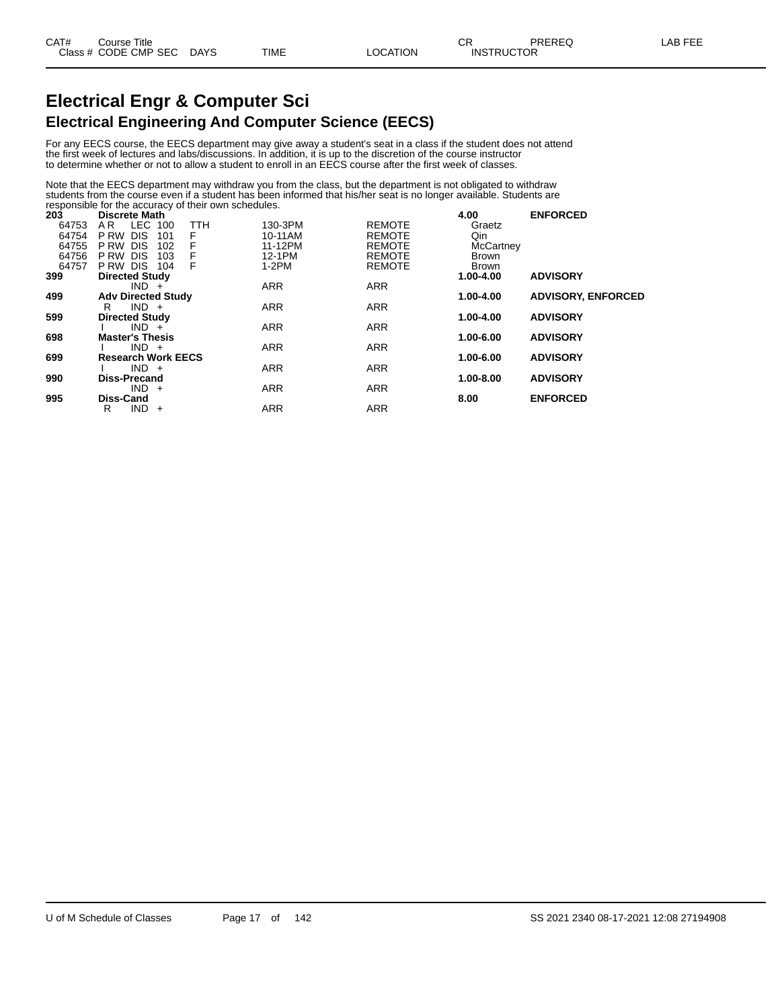## **Electrical Engr & Computer Sci Electrical Engineering And Computer Science (EECS)**

For any EECS course, the EECS department may give away a student's seat in a class if the student does not attend the first week of lectures and labs/discussions. In addition, it is up to the discretion of the course instructor to determine whether or not to allow a student to enroll in an EECS course after the first week of classes.

Note that the EECS department may withdraw you from the class, but the department is not obligated to withdraw students from the course even if a student has been informed that his/her seat is no longer available. Students are responsible for the accuracy of their own schedules.

| 203   | <b>Discrete Math</b>            |            |               | 4.00             | <b>ENFORCED</b>           |
|-------|---------------------------------|------------|---------------|------------------|---------------------------|
| 64753 | LEC<br><b>TTH</b><br>AR.<br>100 | 130-3PM    | <b>REMOTE</b> | Graetz           |                           |
| 64754 | <b>DIS</b><br>P RW<br>101<br>F  | 10-11AM    | <b>REMOTE</b> | Qin              |                           |
| 64755 | P RW<br><b>DIS</b><br>F<br>102  | 11-12PM    | <b>REMOTE</b> | <b>McCartney</b> |                           |
| 64756 | F<br>P RW<br><b>DIS</b><br>103  | 12-1PM     | <b>REMOTE</b> | Brown            |                           |
| 64757 | F<br>P RW DIS<br>104            | $1-2PM$    | <b>REMOTE</b> | Brown            |                           |
| 399   | <b>Directed Study</b>           |            |               | $1.00 - 4.00$    | <b>ADVISORY</b>           |
|       | $IND +$                         | <b>ARR</b> | <b>ARR</b>    |                  |                           |
| 499   | <b>Adv Directed Study</b>       |            |               | 1.00-4.00        | <b>ADVISORY, ENFORCED</b> |
|       | $IND +$<br>R                    | <b>ARR</b> | <b>ARR</b>    |                  |                           |
| 599   | <b>Directed Study</b>           |            |               | 1.00-4.00        | <b>ADVISORY</b>           |
|       | $IND +$                         | <b>ARR</b> | <b>ARR</b>    |                  |                           |
| 698   | <b>Master's Thesis</b>          |            |               | 1.00-6.00        | <b>ADVISORY</b>           |
|       | $IND +$                         | <b>ARR</b> | <b>ARR</b>    |                  |                           |
| 699   | <b>Research Work EECS</b>       |            |               | 1.00-6.00        | <b>ADVISORY</b>           |
|       | $IND +$                         | <b>ARR</b> | <b>ARR</b>    |                  |                           |
| 990   | <b>Diss-Precand</b>             |            |               | 1.00-8.00        | <b>ADVISORY</b>           |
|       | $IND +$                         | <b>ARR</b> | <b>ARR</b>    |                  |                           |
| 995   | <b>Diss-Cand</b>                |            |               | 8.00             | <b>ENFORCED</b>           |
|       | IND -<br>R<br>$+$               | <b>ARR</b> | <b>ARR</b>    |                  |                           |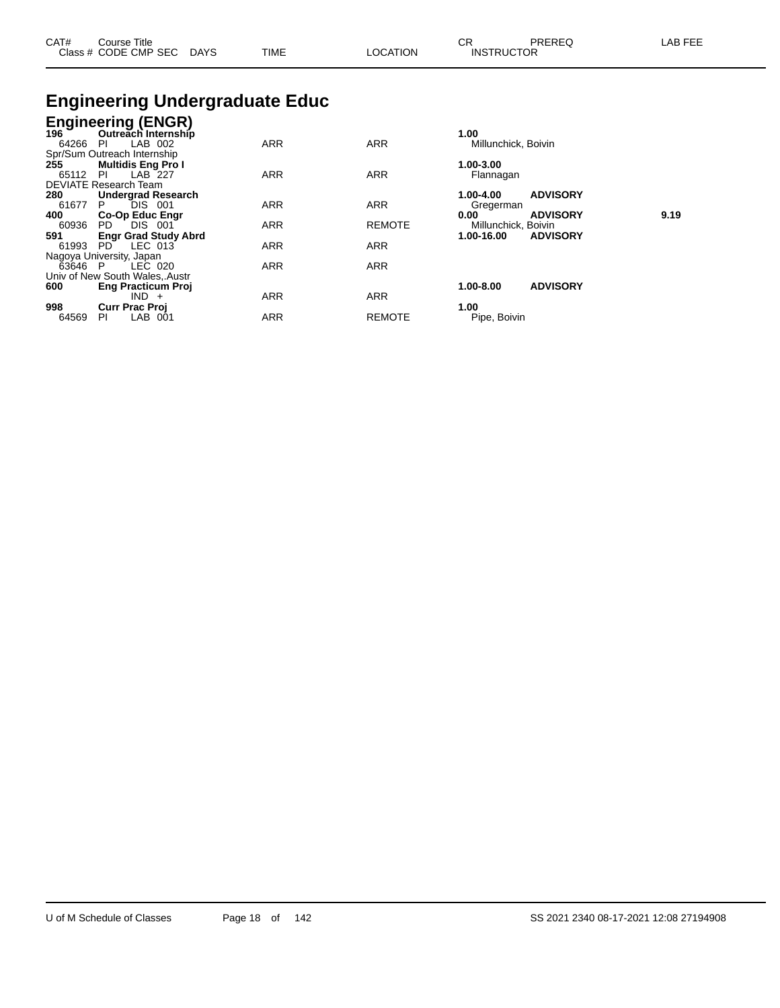| CAT# | Course Title<br>Class # CODE CMP SEC | <b>DAYS</b> | <b>TIME</b><br>. <b>.</b> | <b>OCATION</b> | СR<br><b>INSTRUCTOR</b> | <b>DDEDEC</b><br>TREREQ | _AB_ |
|------|--------------------------------------|-------------|---------------------------|----------------|-------------------------|-------------------------|------|
|      |                                      |             |                           |                |                         |                         |      |

## **Engineering Undergraduate Educ**

| Outreach Internship          |                                                                                                                                                                                                                                                                                                                                         |                                                                           | 1.00                                                                                                 |                                                                                                                                                         |
|------------------------------|-----------------------------------------------------------------------------------------------------------------------------------------------------------------------------------------------------------------------------------------------------------------------------------------------------------------------------------------|---------------------------------------------------------------------------|------------------------------------------------------------------------------------------------------|---------------------------------------------------------------------------------------------------------------------------------------------------------|
| LAB 002<br>-PI               | <b>ARR</b>                                                                                                                                                                                                                                                                                                                              | <b>ARR</b>                                                                | Millunchick, Boivin                                                                                  |                                                                                                                                                         |
| Spr/Sum Outreach Internship  |                                                                                                                                                                                                                                                                                                                                         |                                                                           |                                                                                                      |                                                                                                                                                         |
| <b>Multidis Eng Pro I</b>    |                                                                                                                                                                                                                                                                                                                                         |                                                                           | 1.00-3.00                                                                                            |                                                                                                                                                         |
| <b>PI</b>                    |                                                                                                                                                                                                                                                                                                                                         |                                                                           | Flannagan                                                                                            |                                                                                                                                                         |
| <b>DEVIATE Research Team</b> |                                                                                                                                                                                                                                                                                                                                         |                                                                           |                                                                                                      |                                                                                                                                                         |
|                              |                                                                                                                                                                                                                                                                                                                                         |                                                                           |                                                                                                      |                                                                                                                                                         |
| P.                           |                                                                                                                                                                                                                                                                                                                                         |                                                                           | Gregerman                                                                                            |                                                                                                                                                         |
|                              |                                                                                                                                                                                                                                                                                                                                         |                                                                           | 0.00                                                                                                 | 9.19                                                                                                                                                    |
| PD.                          |                                                                                                                                                                                                                                                                                                                                         |                                                                           |                                                                                                      |                                                                                                                                                         |
|                              |                                                                                                                                                                                                                                                                                                                                         |                                                                           |                                                                                                      |                                                                                                                                                         |
| PD.                          |                                                                                                                                                                                                                                                                                                                                         |                                                                           |                                                                                                      |                                                                                                                                                         |
|                              |                                                                                                                                                                                                                                                                                                                                         |                                                                           |                                                                                                      |                                                                                                                                                         |
| 63646 P                      |                                                                                                                                                                                                                                                                                                                                         |                                                                           |                                                                                                      |                                                                                                                                                         |
|                              |                                                                                                                                                                                                                                                                                                                                         |                                                                           |                                                                                                      |                                                                                                                                                         |
|                              |                                                                                                                                                                                                                                                                                                                                         |                                                                           |                                                                                                      |                                                                                                                                                         |
|                              |                                                                                                                                                                                                                                                                                                                                         |                                                                           |                                                                                                      |                                                                                                                                                         |
|                              |                                                                                                                                                                                                                                                                                                                                         |                                                                           | 1.00                                                                                                 |                                                                                                                                                         |
| PI.<br>-001                  |                                                                                                                                                                                                                                                                                                                                         |                                                                           |                                                                                                      |                                                                                                                                                         |
|                              | <b>Engineering (ENGR)</b><br>196 Outreach Internship<br>LAB 227<br><b>Undergrad Research</b><br>DIS 001<br><b>Co-Op Educ Engr</b><br>DIS 001<br><b>Engr Grad Study Abrd</b><br>LEC 013<br>Nagoya University, Japan<br>LEC 020<br>Univ of New South Wales, Austr<br><b>Eng Practicum Proj</b><br>$IND +$<br><b>Curr Prac Proj</b><br>LAB | <b>ARR</b><br>ARR<br>ARR<br><b>ARR</b><br>ARR<br><b>ARR</b><br><b>ARR</b> | <b>ARR</b><br><b>ARR</b><br><b>REMOTE</b><br><b>ARR</b><br><b>ARR</b><br><b>ARR</b><br><b>REMOTE</b> | <b>ADVISORY</b><br>1.00-4.00<br><b>ADVISORY</b><br>Millunchick, Boivin<br>1.00-16.00<br><b>ADVISORY</b><br>1.00-8.00<br><b>ADVISORY</b><br>Pipe, Boivin |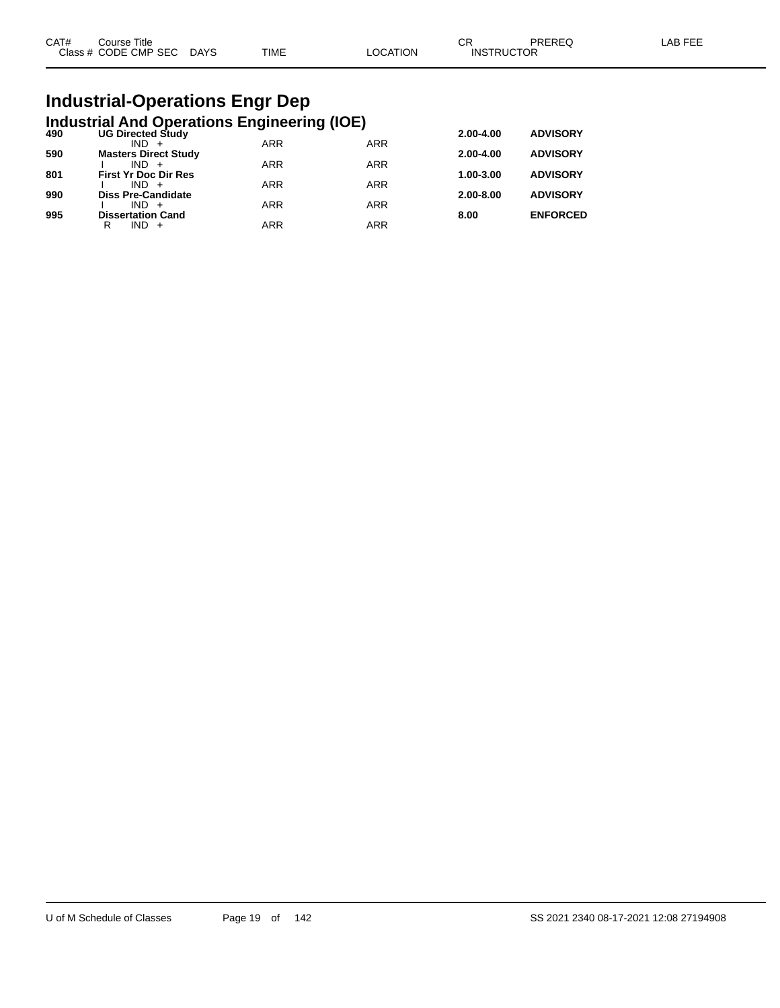| CAT# | Course Title              |      |          | ∩⊓<br>- UN        | PREREQ | _AB FEE |
|------|---------------------------|------|----------|-------------------|--------|---------|
|      | Class # CODE CMP SEC DAYS | TIME | LOCATION | <b>INSTRUCTOR</b> |        |         |

# **Industrial-Operations Engr Dep**

|     | <b>Industrial And Operations Engineering (IOE)</b> |            |            |           |                 |
|-----|----------------------------------------------------|------------|------------|-----------|-----------------|
| 490 | <b>UG Directed Study</b>                           |            |            | 2.00-4.00 | <b>ADVISORY</b> |
| 590 | $IND +$<br><b>Masters Direct Study</b>             | <b>ARR</b> | <b>ARR</b> | 2.00-4.00 | <b>ADVISORY</b> |
|     | $IND +$                                            | <b>ARR</b> | <b>ARR</b> |           |                 |
| 801 | <b>First Yr Doc Dir Res</b>                        |            |            | 1.00-3.00 | <b>ADVISORY</b> |
| 990 | $IND +$<br><b>Diss Pre-Candidate</b>               | <b>ARR</b> | <b>ARR</b> | 2.00-8.00 | <b>ADVISORY</b> |
|     | $IND +$                                            | <b>ARR</b> | <b>ARR</b> |           |                 |
| 995 | <b>Dissertation Cand</b>                           |            |            | 8.00      | <b>ENFORCED</b> |
|     | $IND +$<br>R                                       | ARR        | <b>ARR</b> |           |                 |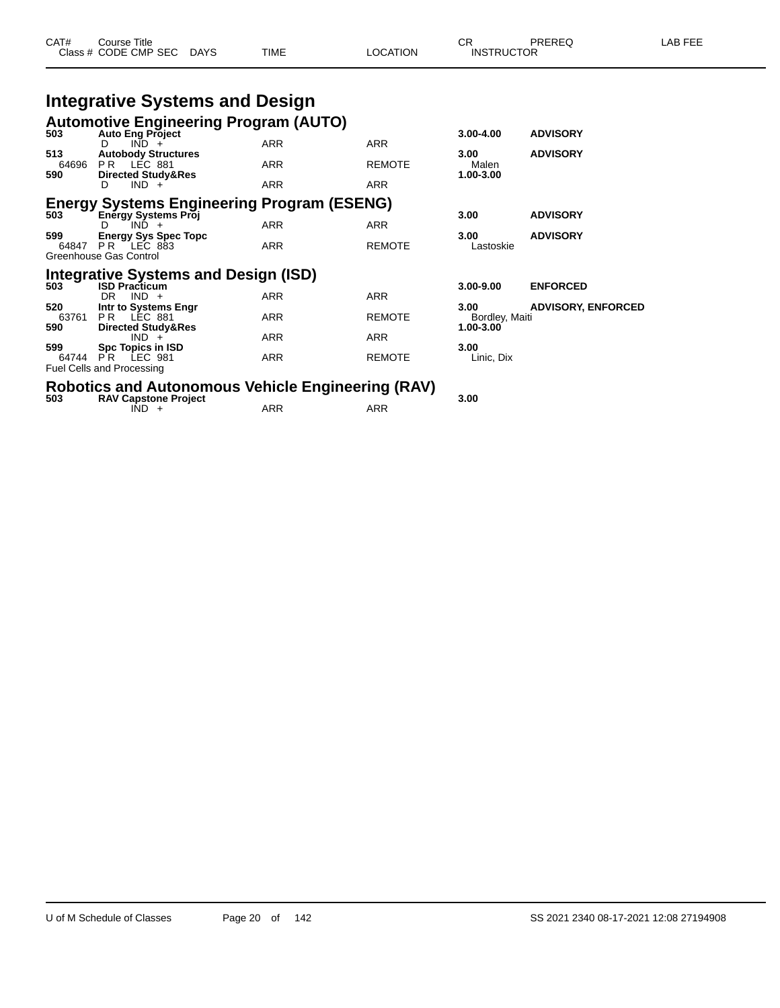| CAT#<br>ourse Titleٽ |             |             |                | ົ                 | PREREQ | AB FFF |
|----------------------|-------------|-------------|----------------|-------------------|--------|--------|
| Class # CODE CMP SEC | <b>DAYS</b> | <b>TIME</b> | <b>OCATION</b> | <b>INSTRUCTOR</b> |        |        |

# **Integrative Systems and Design**

| 503                 | <b>Automotive Engineering Program (AUTO)</b><br><b>Auto Eng Project</b>                   |            |               | $3.00 - 4.00$                           | <b>ADVISORY</b>           |
|---------------------|-------------------------------------------------------------------------------------------|------------|---------------|-----------------------------------------|---------------------------|
|                     | $IND +$<br>D.                                                                             | <b>ARR</b> | <b>ARR</b>    |                                         |                           |
| 513<br>64696<br>590 | <b>Autobody Structures</b><br>PR LEC 881<br><b>Directed Study&amp;Res</b>                 | <b>ARR</b> | <b>REMOTE</b> | 3.00<br>Malen<br>1.00-3.00              | <b>ADVISORY</b>           |
|                     | $IND +$<br>D                                                                              | <b>ARR</b> | <b>ARR</b>    |                                         |                           |
| 503                 | <b>Energy Systems Engineering Program (ESENG)</b><br><b>Energy Systems Proj</b>           |            |               | 3.00                                    | <b>ADVISORY</b>           |
| 599                 | $IND +$<br>D                                                                              | <b>ARR</b> | <b>ARR</b>    | 3.00                                    | <b>ADVISORY</b>           |
| 64847               | <b>Energy Sys Spec Topc</b><br>LEC 883<br>PR.<br>Greenhouse Gas Control                   | <b>ARR</b> | <b>REMOTE</b> | Lastoskie                               |                           |
| 503                 | <b>Integrative Systems and Design (ISD)</b><br><b>ISD Practicum</b>                       |            |               | 3.00-9.00                               | <b>ENFORCED</b>           |
|                     | $IND +$<br>DR.                                                                            | <b>ARR</b> | <b>ARR</b>    |                                         |                           |
| 520<br>63761<br>590 | Intr to Systems Engr<br>PR.<br>LEC 881<br><b>Directed Study&amp;Res</b>                   | <b>ARR</b> | <b>REMOTE</b> | 3.00<br>Bordley, Maiti<br>$1.00 - 3.00$ | <b>ADVISORY, ENFORCED</b> |
|                     | $IND +$                                                                                   | <b>ARR</b> | <b>ARR</b>    |                                         |                           |
| 599<br>64744        | <b>Spc Topics in ISD</b><br>P <sup>R</sup><br>LEC 981<br><b>Fuel Cells and Processing</b> | ARR        | <b>REMOTE</b> | 3.00<br>Linic, Dix                      |                           |

# **Robotics and Autonomous Vehicle Engineering (RAV) 503 RAV Capstone Project 3.00**

 $\overline{IND}$  +  $\overline{ARR}$   $\overline{ARR}$   $\overline{ARR}$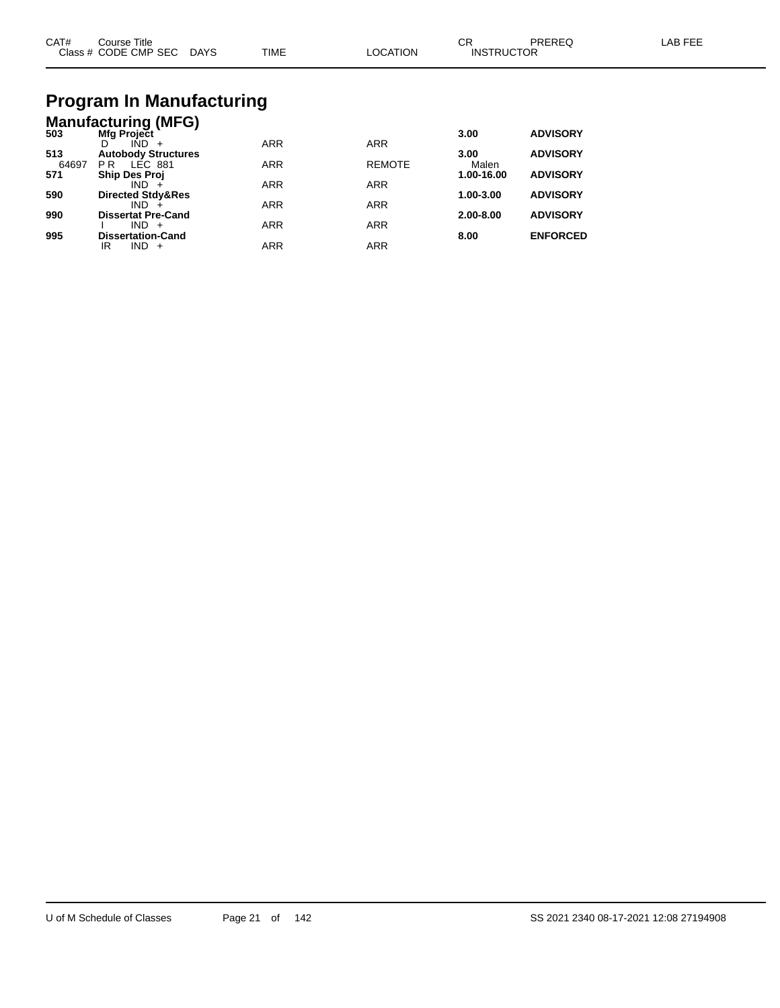| CAT#<br>Close L | Title<br>Course<br>CODE CMP SEC | <b>DAYS</b><br>$\sim$ | <b>TIME</b> | λſ | ົ<br>◡<br>ICTOR<br>INS.<br>гот<br>$  -$ |  |
|-----------------|---------------------------------|-----------------------|-------------|----|-----------------------------------------|--|
|                 |                                 |                       |             |    |                                         |  |

#### **Program In Manufacturing Manufacturing (MFG)**

|       | $m$ ananaotannig (iii) $\bullet$ |            |               |               |                 |
|-------|----------------------------------|------------|---------------|---------------|-----------------|
| 503   | <b>Mfg Project</b><br>$IND +$    | <b>ARR</b> | <b>ARR</b>    | 3.00          | <b>ADVISORY</b> |
| 513   | <b>Autobody Structures</b>       |            |               | 3.00          | <b>ADVISORY</b> |
| 64697 | LEC 881<br>P R                   | <b>ARR</b> | <b>REMOTE</b> | Malen         |                 |
| 571   | <b>Ship Des Proj</b>             |            |               | 1.00-16.00    | <b>ADVISORY</b> |
|       | $IND +$                          | <b>ARR</b> | <b>ARR</b>    |               |                 |
| 590   | <b>Directed Stdy&amp;Res</b>     |            |               | 1.00-3.00     | <b>ADVISORY</b> |
|       | $IND +$                          | <b>ARR</b> | <b>ARR</b>    |               |                 |
| 990   | <b>Dissertat Pre-Cand</b>        |            |               | $2.00 - 8.00$ | <b>ADVISORY</b> |
|       | $IND +$                          | <b>ARR</b> | <b>ARR</b>    |               |                 |
| 995   | <b>Dissertation-Cand</b>         |            |               | 8.00          | <b>ENFORCED</b> |
|       | IND<br>IR<br>$+$                 | ARR        | <b>ARR</b>    |               |                 |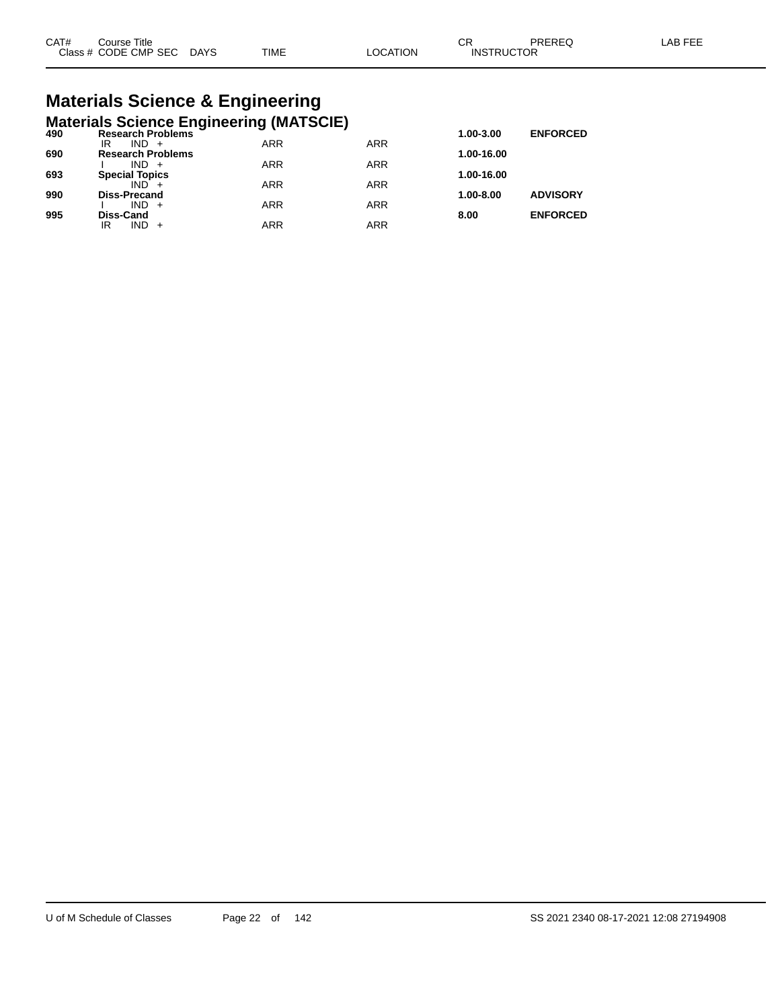# **Materials Science & Engineering**

|     | <b>Materials Science Engineering (MATSCIE)</b> |            |            |            |                 |
|-----|------------------------------------------------|------------|------------|------------|-----------------|
| 490 | <b>Research Problems</b>                       |            |            | 1.00-3.00  | <b>ENFORCED</b> |
|     | $IND +$<br>IR                                  | <b>ARR</b> | <b>ARR</b> |            |                 |
| 690 | <b>Research Problems</b>                       |            |            | 1.00-16.00 |                 |
|     | $IND +$                                        | <b>ARR</b> | <b>ARR</b> |            |                 |
| 693 | <b>Special Topics</b>                          |            |            | 1.00-16.00 |                 |
|     | $IND +$                                        | <b>ARR</b> | <b>ARR</b> |            |                 |
| 990 | <b>Diss-Precand</b>                            |            |            | 1.00-8.00  | <b>ADVISORY</b> |
|     | $IND +$                                        | <b>ARR</b> | <b>ARR</b> |            |                 |
| 995 | <b>Diss-Cand</b>                               |            |            | 8.00       | <b>ENFORCED</b> |
|     | $IND +$<br>IR                                  | <b>ARR</b> | ARR        |            |                 |
|     |                                                |            |            |            |                 |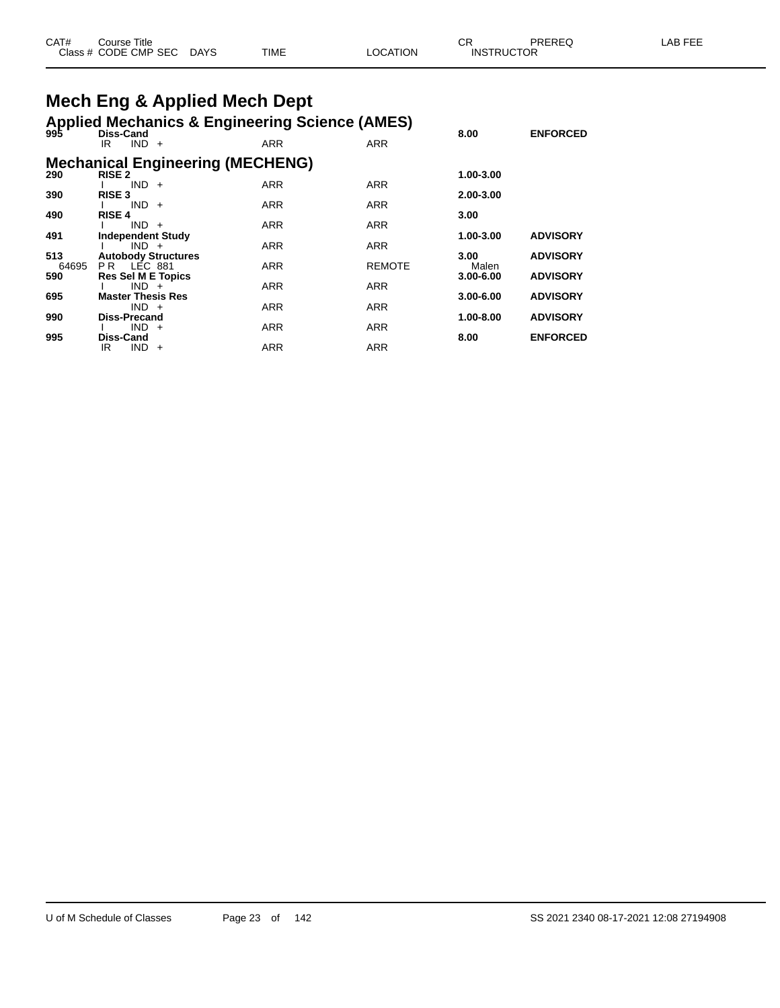| CAT# | Title<br>ڪourse      |             |             |          | СF                | PREREQ | AB FFF |
|------|----------------------|-------------|-------------|----------|-------------------|--------|--------|
|      | Class # CODE CMP SEC | <b>DAYS</b> | <b>TIME</b> | _OCATION | <b>INSTRUCTOR</b> |        |        |

# **Mech Eng & Applied Mech Dept**

#### **Applied Mechanics & Engineering Science (AMES)**

| 995   | <b>Diss-Cand</b>                      |                                         |               | 8.00          | <b>ENFORCED</b> |
|-------|---------------------------------------|-----------------------------------------|---------------|---------------|-----------------|
|       | $IND +$<br>IR                         | <b>ARR</b>                              | <b>ARR</b>    |               |                 |
|       |                                       | <b>Mechanical Engineering (MECHENG)</b> |               |               |                 |
| 290   | <b>RISE 2</b><br>$IND +$              | <b>ARR</b>                              | <b>ARR</b>    | 1.00-3.00     |                 |
| 390   | <b>RISE 3</b><br>$IND +$              | <b>ARR</b>                              | <b>ARR</b>    | 2.00-3.00     |                 |
| 490   | <b>RISE 4</b>                         |                                         |               | 3.00          |                 |
| 491   | $IND +$<br><b>Independent Study</b>   | <b>ARR</b>                              | <b>ARR</b>    | 1.00-3.00     | <b>ADVISORY</b> |
| 513   | $IND +$<br><b>Autobody Structures</b> | <b>ARR</b>                              | <b>ARR</b>    | 3.00          | <b>ADVISORY</b> |
| 64695 | PR LEC 881                            | <b>ARR</b>                              | <b>REMOTE</b> | Malen         |                 |
| 590   | <b>Res Sel M E Topics</b><br>$IND +$  | <b>ARR</b>                              | <b>ARR</b>    | $3.00 - 6.00$ | <b>ADVISORY</b> |
| 695   | <b>Master Thesis Res</b><br>$IND +$   | <b>ARR</b>                              | <b>ARR</b>    | $3.00 - 6.00$ | <b>ADVISORY</b> |
| 990   | Diss-Precand                          |                                         |               | 1.00-8.00     | <b>ADVISORY</b> |
| 995   | $IND +$<br><b>Diss-Cand</b>           | <b>ARR</b>                              | <b>ARR</b>    | 8.00          | <b>ENFORCED</b> |
|       | IND.<br>IR<br>$+$                     | <b>ARR</b>                              | <b>ARR</b>    |               |                 |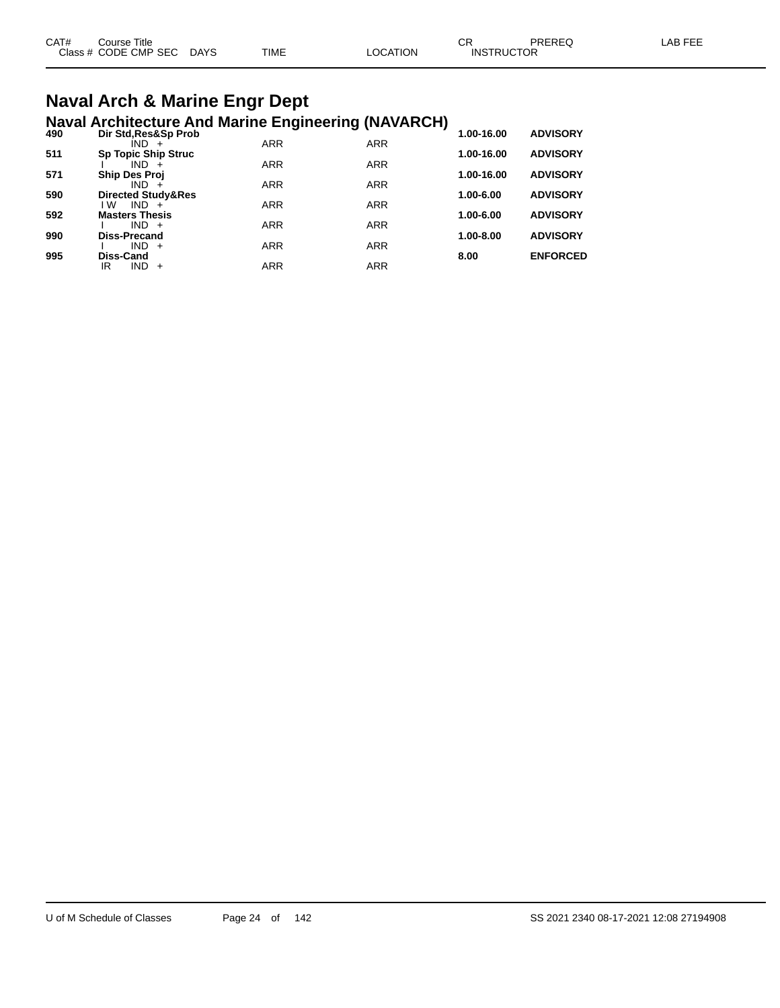| CAT# | Course Title              |             |          | СR                | PREREQ | LAB FEE |
|------|---------------------------|-------------|----------|-------------------|--------|---------|
|      | Class # CODE CMP SEC DAYS | <b>TIME</b> | LOCATION | <b>INSTRUCTOR</b> |        |         |
|      |                           |             |          |                   |        |         |

#### **Naval Arch & Marine Engr Dept Naval Architecture And Marine Engineering (NAVARCH)**

| 490 | $\cdots$<br>Dir Std, Res&Sp Prob |            |            | 1.00-16.00    | <b>ADVISORY</b> |
|-----|----------------------------------|------------|------------|---------------|-----------------|
|     | IND +                            | <b>ARR</b> | <b>ARR</b> |               |                 |
| 511 | <b>Sp Topic Ship Struc</b>       |            |            | 1.00-16.00    | <b>ADVISORY</b> |
|     | $IND +$                          | <b>ARR</b> | <b>ARR</b> |               |                 |
| 571 | <b>Ship Des Proj</b>             |            |            | 1.00-16.00    | <b>ADVISORY</b> |
|     | $IND +$                          | <b>ARR</b> | <b>ARR</b> |               |                 |
| 590 | <b>Directed Study&amp;Res</b>    |            |            | 1.00-6.00     | <b>ADVISORY</b> |
|     | l W<br>$IND +$                   | <b>ARR</b> | <b>ARR</b> |               |                 |
| 592 | <b>Masters Thesis</b>            |            |            | 1.00-6.00     | <b>ADVISORY</b> |
|     | $IND +$                          | <b>ARR</b> | <b>ARR</b> | $1.00 - 8.00$ |                 |
| 990 | <b>Diss-Precand</b><br>$IND +$   | <b>ARR</b> | <b>ARR</b> |               | <b>ADVISORY</b> |
| 995 | Diss-Cand                        |            |            | 8.00          | <b>ENFORCED</b> |
|     | $IND +$<br>IR                    | ARR        | <b>ARR</b> |               |                 |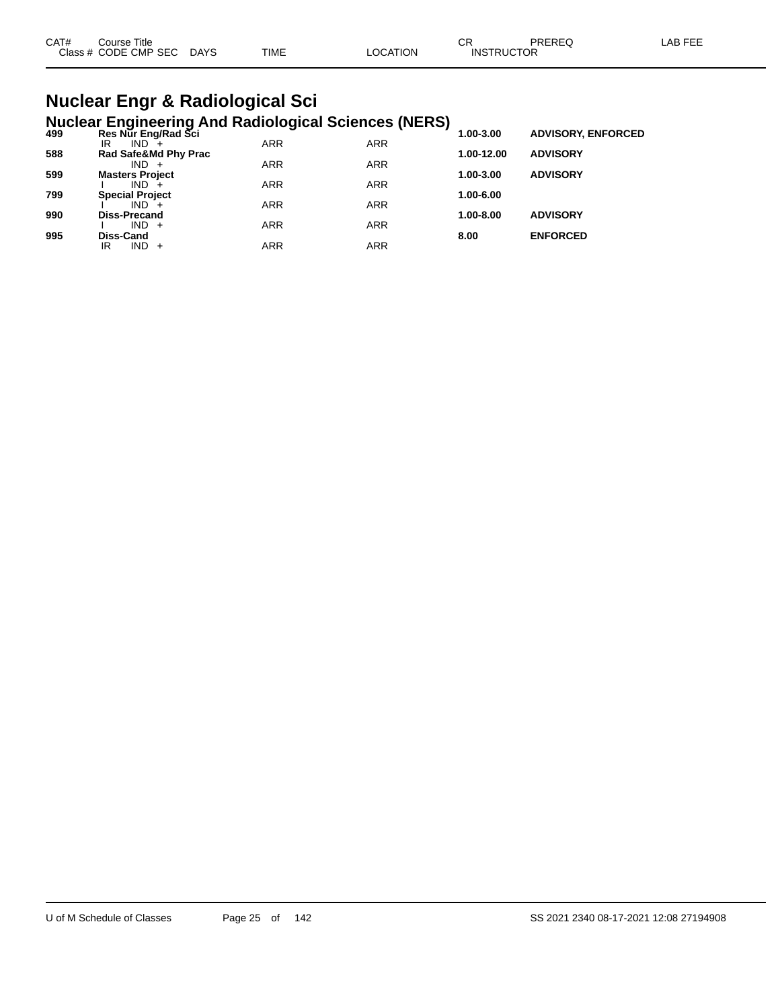| CAT#<br>Course Title |      |             |                | ⌒冖 | PREREC            | _AB FEE |
|----------------------|------|-------------|----------------|----|-------------------|---------|
| Class # CODE CMP SEC | DAYS | <b>TIME</b> | <b>OCATION</b> |    | <b>INSTRUCTOR</b> |         |

#### **Nuclear Engr & Radiological Sci Nuclear Engineering And Radiological Sciences (NERS)**

| 499 | Res Nur Eng/Rad Sci    |            |            | - 1<br>1.00-3.00 | <b>ADVISORY, ENFORCED</b> |  |
|-----|------------------------|------------|------------|------------------|---------------------------|--|
|     | $IND +$<br>IR          | <b>ARR</b> | <b>ARR</b> |                  |                           |  |
| 588 | Rad Safe&Md Phy Prac   |            |            | 1.00-12.00       | <b>ADVISORY</b>           |  |
|     | $IND +$                | <b>ARR</b> | <b>ARR</b> |                  |                           |  |
| 599 | <b>Masters Project</b> |            |            | 1.00-3.00        | <b>ADVISORY</b>           |  |
|     | $IND +$                | <b>ARR</b> | <b>ARR</b> |                  |                           |  |
| 799 | <b>Special Project</b> |            |            | 1.00-6.00        |                           |  |
|     | $IND +$                | <b>ARR</b> | <b>ARR</b> |                  |                           |  |
| 990 | <b>Diss-Precand</b>    |            |            | 1.00-8.00        | <b>ADVISORY</b>           |  |
|     | $IND +$                | <b>ARR</b> | <b>ARR</b> |                  |                           |  |
| 995 | Diss-Cand              |            |            | 8.00             | <b>ENFORCED</b>           |  |
|     | $IND +$<br>IR          | ARR        | ARR        |                  |                           |  |
|     |                        |            |            |                  |                           |  |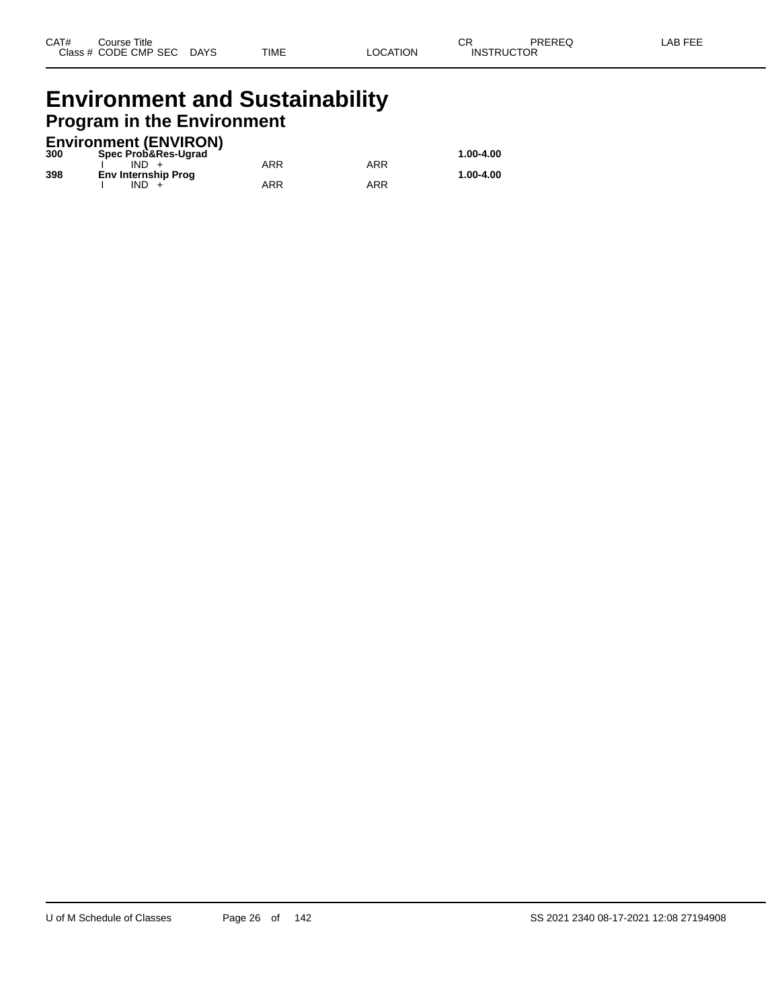# **Environment and Sustainability Program in the Environment**

#### **Environment (ENVIRON)**

| 300 | Spec Prob&Res-Ugrad        |     |     | 1.00-4.00 |
|-----|----------------------------|-----|-----|-----------|
|     | IND.                       | ARR | ARR |           |
| 398 | <b>Env Internship Prog</b> |     |     | 1.00-4.00 |
|     | IND.                       | ARR | ARR |           |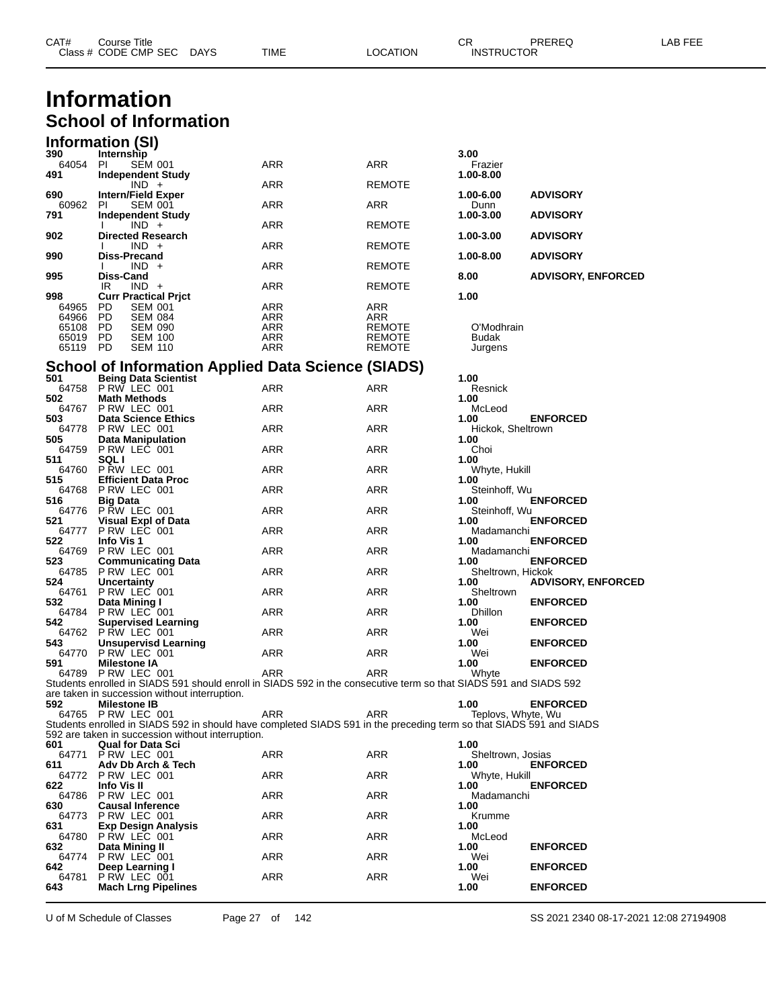| CAT#           | <b>Course Title</b><br>Class # CODE CMP SEC DAYS |                                  |                                                   | TIME                                                                                                                | LOCATION         | СR<br><b>INSTRUCTOR</b>    | PREREQ                    | LAB FEE |
|----------------|--------------------------------------------------|----------------------------------|---------------------------------------------------|---------------------------------------------------------------------------------------------------------------------|------------------|----------------------------|---------------------------|---------|
|                |                                                  |                                  |                                                   |                                                                                                                     |                  |                            |                           |         |
|                | <b>Information</b>                               |                                  |                                                   |                                                                                                                     |                  |                            |                           |         |
|                | <b>School of Information</b>                     |                                  |                                                   |                                                                                                                     |                  |                            |                           |         |
|                |                                                  |                                  |                                                   |                                                                                                                     |                  |                            |                           |         |
| 390            | Information (SI)<br>Internship                   |                                  |                                                   |                                                                                                                     |                  | 3.00                       |                           |         |
| 64054<br>491   | PI<br><b>Independent Study</b>                   | <b>SEM 001</b>                   |                                                   | ARR                                                                                                                 | ARR              | Frazier<br>1.00-8.00       |                           |         |
| 690            | $IND +$<br><b>Intern/Field Exper</b>             |                                  |                                                   | ARR                                                                                                                 | REMOTE           | 1.00-6.00                  | <b>ADVISORY</b>           |         |
| 60962          | -PI                                              | <b>SEM 001</b>                   |                                                   | ARR                                                                                                                 | ARR              | Dunn                       |                           |         |
| 791            | <b>Independent Study</b><br>$IND +$              |                                  |                                                   | ARR                                                                                                                 | REMOTE           | 1.00-3.00                  | <b>ADVISORY</b>           |         |
| 902            | <b>Directed Research</b><br>$IND +$              |                                  |                                                   | ARR                                                                                                                 | REMOTE           | 1.00-3.00                  | <b>ADVISORY</b>           |         |
| 990            | <b>Diss-Precand</b><br>$IND +$                   |                                  |                                                   | ARR                                                                                                                 | REMOTE           | 1.00-8.00                  | <b>ADVISORY</b>           |         |
| 995            | Diss-Cand<br>IR<br>$IND +$                       |                                  |                                                   | ARR                                                                                                                 | REMOTE           | 8.00                       | <b>ADVISORY, ENFORCED</b> |         |
| 998<br>64965   | <b>Curr Practical Prict</b><br>PD.               | <b>SEM 001</b>                   |                                                   | ARR                                                                                                                 | ARR              | 1.00                       |                           |         |
| 64966          | PD                                               | <b>SEM 084</b>                   |                                                   | ARR                                                                                                                 | ARR              |                            |                           |         |
| 65108<br>65019 | PD<br>PD                                         | <b>SEM 090</b><br><b>SEM 100</b> |                                                   | ARR<br>ARR                                                                                                          | REMOTE<br>REMOTE | O'Modhrain<br>Budak        |                           |         |
| 65119          | PD                                               | SEM 110                          |                                                   | ARR                                                                                                                 | REMOTE           | Jurgens                    |                           |         |
| 501            | <b>Being Data Scientist</b>                      |                                  |                                                   | <b>School of Information Applied Data Science (SIADS)</b>                                                           |                  | 1.00                       |                           |         |
| 502            | 64758 PRW LEC 001<br><b>Math Methods</b>         |                                  |                                                   | ARR                                                                                                                 | ARR              | Resnick<br>1.00            |                           |         |
| 64767          | PRW LEC 001                                      |                                  |                                                   | ARR                                                                                                                 | ARR              | McLeod                     |                           |         |
| 503<br>64778   | <b>Data Science Ethics</b><br>PRW LEC 001        |                                  |                                                   | ARR                                                                                                                 | ARR              | 1.00<br>Hickok, Sheltrown  | <b>ENFORCED</b>           |         |
| 505<br>64759   | <b>Data Manipulation</b><br>PRW LEC 001          |                                  |                                                   | ARR                                                                                                                 | ARR              | 1.00<br>Choi               |                           |         |
| 511<br>64760   | <b>SQLI</b><br>PRW LEC 001                       |                                  |                                                   | ARR                                                                                                                 | ARR              | 1.00<br>Whyte, Hukill      |                           |         |
| 515<br>64768   | <b>Efficient Data Proc</b><br>PRW LEC 001        |                                  |                                                   | ARR                                                                                                                 | ARR              | 1.00<br>Steinhoff, Wu      |                           |         |
| 516            | <b>Big Data</b><br>64776 P RW LEC 001            |                                  |                                                   | ARR                                                                                                                 | <b>ARR</b>       | 1.00<br>Steinhoff, Wu      | <b>ENFORCED</b>           |         |
| 521            | Visual Expl of Data                              |                                  |                                                   |                                                                                                                     |                  | 1.00                       | <b>ENFORCED</b>           |         |
| 64777<br>522   | PRW LEC 001<br>Info Vis 1                        |                                  |                                                   | ARR                                                                                                                 | ARR              | Madamanchi<br>1.00         | <b>ENFORCED</b>           |         |
| 64769<br>523   | PRW LEC 001<br><b>Communicating Data</b>         |                                  |                                                   | ARR                                                                                                                 | ARR              | Madamanchi<br>1.00         | <b>ENFORCED</b>           |         |
| 64785<br>524   | PRW LEC 001<br><b>Uncertainty</b>                |                                  |                                                   | ARR                                                                                                                 | ARR              | Sheltrown, Hickok<br>1.00  | <b>ADVISORY, ENFORCED</b> |         |
| 64761<br>532   | PRW LEC 001<br>Data Mining I                     |                                  |                                                   | ARR                                                                                                                 | ARR              | Sheltrown<br>1.00          | <b>ENFORCED</b>           |         |
|                | 64784 P RW LEC 001                               |                                  |                                                   | ARR                                                                                                                 | ARR              | Dhillon                    |                           |         |
| 542            | <b>Supervised Learning</b><br>64762 P RW LEC 001 |                                  |                                                   | ARR                                                                                                                 | <b>ARR</b>       | 1.00<br>Wei                | <b>ENFORCED</b>           |         |
| 543<br>64770   | Unsupervisd Learning<br>PRW LEC 001              |                                  |                                                   | ARR                                                                                                                 | ARR              | 1.00<br>Wei                | <b>ENFORCED</b>           |         |
| 591            | <b>Milestone IA</b><br>64789 P RW LEC 001        |                                  |                                                   | ARR                                                                                                                 | ARR              | 1.00<br>Whyte              | <b>ENFORCED</b>           |         |
|                |                                                  |                                  | are taken in succession without interruption.     | Students enrolled in SIADS 591 should enroll in SIADS 592 in the consecutive term so that SIADS 591 and SIADS 592   |                  |                            |                           |         |
| 592            | <b>Milestone IB</b><br>64765 P RW LEC 001        |                                  |                                                   | ARR                                                                                                                 | ARR              | 1.00<br>Teplovs, Whyte, Wu | <b>ENFORCED</b>           |         |
|                |                                                  |                                  |                                                   | Students enrolled in SIADS 592 in should have completed SIADS 591 in the preceding term so that SIADS 591 and SIADS |                  |                            |                           |         |
| 601            | <b>Qual for Data Sci</b>                         |                                  | 592 are taken in succession without interruption. |                                                                                                                     |                  | 1.00                       |                           |         |
| 611            | 64771 P RW LEC 001<br>Adv Db Arch & Tech         |                                  |                                                   | ARR                                                                                                                 | ARR              | Sheltrown, Josias<br>1.00  | <b>ENFORCED</b>           |         |
| 622            | 64772 P RW LEC 001<br>Info Vis II                |                                  |                                                   | ARR                                                                                                                 | ARR              | Whyte, Hukill<br>1.00      | <b>ENFORCED</b>           |         |
| 64786<br>630   | PRW LEC 001<br><b>Causal Inference</b>           |                                  |                                                   | ARR                                                                                                                 | ARR              | Madamanchi<br>1.00         |                           |         |
| 64773          | PRW LEC 001                                      |                                  |                                                   | ARR                                                                                                                 | ARR              | Krumme                     |                           |         |
| 631<br>64780   | <b>Exp Design Analysis</b><br>P RW LEC 001       |                                  |                                                   | ARR                                                                                                                 | ARR              | 1.00<br>McLeod             |                           |         |
| 632            | Data Mining II<br>64774 P RW LEC 001             |                                  |                                                   | ARR                                                                                                                 | ARR              | 1.00<br>Wei                | <b>ENFORCED</b>           |         |
| 642.<br>64781  | Deep Learning I<br>P RW LEC 001                  |                                  |                                                   | <b>ARR</b>                                                                                                          | <b>ARR</b>       | 1.00<br>Wei                | <b>ENFORCED</b>           |         |
| 643            | <b>Mach Lrng Pipelines</b>                       |                                  |                                                   |                                                                                                                     |                  | 1.00                       | <b>ENFORCED</b>           |         |

U of M Schedule of Classes Page 27 of 142 SS 2021 2340 08-17-2021 12:08 27194908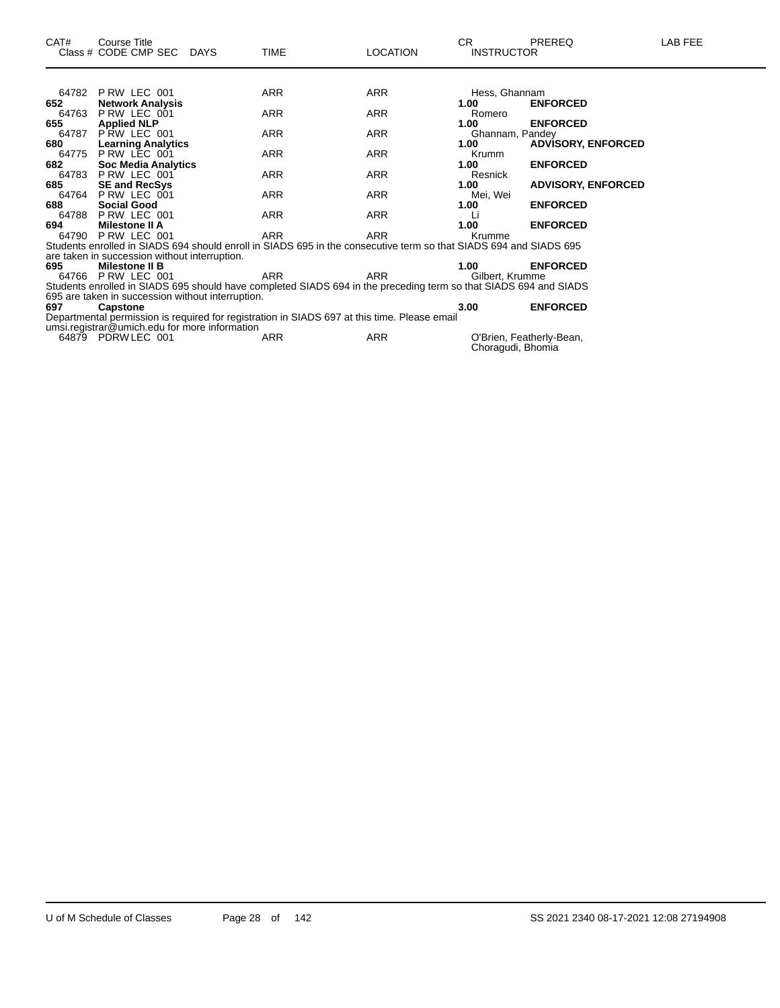| 64782 | PRW LEC 001                                                                                                       | <b>ARR</b> | <b>ARR</b> | Hess, Ghannam     |                           |  |
|-------|-------------------------------------------------------------------------------------------------------------------|------------|------------|-------------------|---------------------------|--|
| 652   | <b>Network Analysis</b>                                                                                           |            |            | 1.00              | <b>ENFORCED</b>           |  |
| 64763 | PRW LEC 001                                                                                                       | <b>ARR</b> | ARR        | Romero            |                           |  |
| 655   | <b>Applied NLP</b>                                                                                                |            |            | 1.00              | <b>ENFORCED</b>           |  |
| 64787 | PRW LEC 001                                                                                                       | <b>ARR</b> | <b>ARR</b> | Ghannam, Pandey   |                           |  |
| 680   | <b>Learning Analytics</b>                                                                                         |            |            | 1.00              | <b>ADVISORY, ENFORCED</b> |  |
| 64775 | P RW LEC 001                                                                                                      | <b>ARR</b> | ARR        | Krumm             |                           |  |
| 682   | <b>Soc Media Analytics</b>                                                                                        |            |            | 1.00              | <b>ENFORCED</b>           |  |
|       | 64783 P RW LEC 001                                                                                                | <b>ARR</b> | <b>ARR</b> | Resnick           |                           |  |
| 685   | <b>SE and RecSys</b>                                                                                              |            |            | 1.00              | <b>ADVISORY, ENFORCED</b> |  |
| 64764 | P RW LEC 001                                                                                                      | <b>ARR</b> | <b>ARR</b> | Mei, Wei          |                           |  |
| 688   | <b>Social Good</b>                                                                                                |            |            | 1.00              | <b>ENFORCED</b>           |  |
|       | 64788 P RW LEC 001                                                                                                | <b>ARR</b> | <b>ARR</b> | Li                |                           |  |
| 694   | Milestone II A                                                                                                    |            |            | 1.00              | <b>ENFORCED</b>           |  |
|       | 64790 P RW LEC 001                                                                                                | <b>ARR</b> | <b>ARR</b> | Krumme            |                           |  |
|       | Students enrolled in SIADS 694 should enroll in SIADS 695 in the consecutive term so that SIADS 694 and SIADS 695 |            |            |                   |                           |  |
|       | are taken in succession without interruption.                                                                     |            |            |                   |                           |  |
| 695   | Milestone II B                                                                                                    |            |            | 1.00              | <b>ENFORCED</b>           |  |
| 64766 | PRW LEC 001                                                                                                       | ARR        | <b>ARR</b> | Gilbert, Krumme   |                           |  |
|       | Students enrolled in SIADS 695 should have completed SIADS 694 in the preceding term so that SIADS 694 and SIADS  |            |            |                   |                           |  |
|       | 695 are taken in succession without interruption.                                                                 |            |            |                   |                           |  |
| 697   | Capstone                                                                                                          |            |            | 3.00              | <b>ENFORCED</b>           |  |
|       | Departmental permission is required for registration in SIADS 697 at this time. Please email                      |            |            |                   |                           |  |
|       | umsi.registrar@umich.edu for more information                                                                     |            |            |                   |                           |  |
|       | 64879 PDRW LEC 001                                                                                                | <b>ARR</b> | <b>ARR</b> | Choragudi, Bhomia | O'Brien, Featherly-Bean,  |  |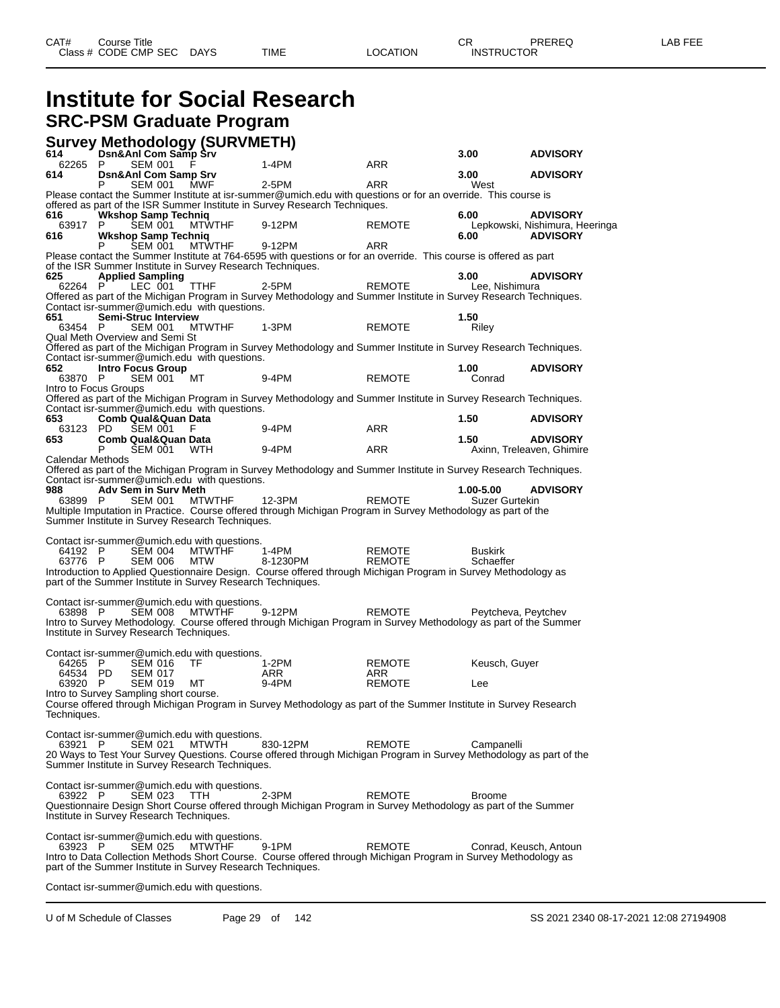# **Institute for Social Research SRC-PSM Graduate Program**

#### **Survey Methodology (SURVMETH)**

| 614                   | <b>Survey McGrouply (SORVMLETTI)</b><br>614 Dsn&Ani Com Samp Srv |               |                                                                                                                            |               | 3.00                | <b>ADVISORY</b>                |
|-----------------------|------------------------------------------------------------------|---------------|----------------------------------------------------------------------------------------------------------------------------|---------------|---------------------|--------------------------------|
| 62265 P               | <b>SEM 001</b>                                                   |               | $1-4PM$                                                                                                                    | ARR           |                     |                                |
| 614                   | <b>Dsn&amp;Anl Com Samp Srv</b>                                  |               |                                                                                                                            |               | 3.00                | <b>ADVISORY</b>                |
|                       | SEM 001                                                          | <b>MWF</b>    | 2-5PM                                                                                                                      | <b>ARR</b>    | West                |                                |
|                       |                                                                  |               | Please contact the Summer Institute at isr-summer@umich.edu with questions or for an override. This course is              |               |                     |                                |
| 616                   | <b>Wkshop Samp Technig</b>                                       |               | offered as part of the ISR Summer Institute in Survey Research Techniques.                                                 |               | 6.00                | <b>ADVISORY</b>                |
| 63917 P               | <b>SEM 001</b>                                                   | <b>MTWTHF</b> | 9-12PM                                                                                                                     | <b>REMOTE</b> |                     | Lepkowski, Nishimura, Heeringa |
| 616                   | <b>Wkshop Samp Techniq</b>                                       |               |                                                                                                                            |               | 6.00                | <b>ADVISORY</b>                |
|                       | <b>SEM 001</b>                                                   | <b>MTWTHF</b> | 9-12PM                                                                                                                     | <b>ARR</b>    |                     |                                |
|                       |                                                                  |               | Please contact the Summer Institute at 764-6595 with questions or for an override. This course is offered as part          |               |                     |                                |
|                       | of the ISR Summer Institute in Survey Research Techniques.       |               |                                                                                                                            |               |                     |                                |
| 625                   | <b>Applied Sampling</b>                                          |               |                                                                                                                            |               | 3.00                | <b>ADVISORY</b>                |
| 62264 P               | LEC 001                                                          | TTHF          | 2-5PM                                                                                                                      | <b>REMOTE</b> | Lee, Nishimura      |                                |
|                       | Contact isr-summer@umich.edu with questions.                     |               | Offered as part of the Michigan Program in Survey Methodology and Summer Institute in Survey Research Techniques.          |               |                     |                                |
| 651                   | <b>Semi-Struc Interview</b>                                      |               |                                                                                                                            |               | 1.50                |                                |
| 63454 P               | <b>SEM 001</b>                                                   | <b>MTWTHF</b> | $1-3PM$                                                                                                                    | <b>REMOTE</b> | Riley               |                                |
|                       | Qual Meth Overview and Semi St                                   |               |                                                                                                                            |               |                     |                                |
|                       |                                                                  |               | Offered as part of the Michigan Program in Survey Methodology and Summer Institute in Survey Research Techniques.          |               |                     |                                |
|                       | Contact isr-summer@umich.edu with questions.                     |               |                                                                                                                            |               |                     |                                |
| 652<br>63870 P        | <b>Intro Focus Group</b><br><b>SEM 001</b>                       | МT            | 9-4PM                                                                                                                      | <b>REMOTE</b> | 1.00<br>Conrad      | <b>ADVISORY</b>                |
| Intro to Focus Groups |                                                                  |               |                                                                                                                            |               |                     |                                |
|                       |                                                                  |               | Offered as part of the Michigan Program in Survey Methodology and Summer Institute in Survey Research Techniques.          |               |                     |                                |
|                       | Contact isr-summer@umich.edu with questions.                     |               |                                                                                                                            |               |                     |                                |
| 653.                  | <b>Comb Qual&amp;Quan Data</b>                                   |               |                                                                                                                            |               | 1.50                | <b>ADVISORY</b>                |
| 63123                 | PD.<br><b>SEM 001</b>                                            | F             | $9-4PM$                                                                                                                    | <b>ARR</b>    |                     |                                |
| 653                   | <b>Comb Qual&amp;Quan Data</b>                                   |               |                                                                                                                            |               | 1.50                | <b>ADVISORY</b>                |
|                       | P<br>SEM 001                                                     | WTH           | 9-4PM                                                                                                                      | ARR           |                     | Axinn, Treleaven, Ghimire      |
| Calendar Methods      |                                                                  |               | Offered as part of the Michigan Program in Survey Methodology and Summer Institute in Survey Research Techniques.          |               |                     |                                |
|                       | Contact isr-summer@umich.edu with questions.                     |               |                                                                                                                            |               |                     |                                |
| 988                   | Adv Sem in Surv Meth                                             |               |                                                                                                                            |               | 1.00-5.00           | <b>ADVISORY</b>                |
| 63899 P               | <b>SEM 001</b>                                                   | MTWTHF        | 12-3PM                                                                                                                     | <b>REMOTE</b> | Suzer Gurtekin      |                                |
|                       |                                                                  |               | Multiple Imputation in Practice. Course offered through Michigan Program in Survey Methodology as part of the              |               |                     |                                |
|                       | Summer Institute in Survey Research Techniques.                  |               |                                                                                                                            |               |                     |                                |
|                       | Contact isr-summer@umich.edu with questions.                     |               |                                                                                                                            |               |                     |                                |
| 64192 P               | <b>SEM 004</b>                                                   | <b>MTWTHF</b> | 1-4PM                                                                                                                      | <b>REMOTE</b> | <b>Buskirk</b>      |                                |
| 63776 P               | <b>SEM 006</b>                                                   | <b>MTW</b>    | 8-1230PM                                                                                                                   | <b>REMOTE</b> | Schaeffer           |                                |
|                       |                                                                  |               | Introduction to Applied Questionnaire Design. Course offered through Michigan Program in Survey Methodology as             |               |                     |                                |
|                       | part of the Summer Institute in Survey Research Techniques.      |               |                                                                                                                            |               |                     |                                |
|                       |                                                                  |               |                                                                                                                            |               |                     |                                |
|                       | Contact isr-summer@umich.edu with questions.                     |               |                                                                                                                            |               |                     |                                |
| 63898 P               | <b>SEM 008</b>                                                   | <b>MTWTHF</b> | 9-12PM<br>Intro to Survey Methodology. Course offered through Michigan Program in Survey Methodology as part of the Summer | <b>REMOTE</b> | Peytcheva, Peytchev |                                |
|                       | Institute in Survey Research Techniques.                         |               |                                                                                                                            |               |                     |                                |
|                       |                                                                  |               |                                                                                                                            |               |                     |                                |
|                       | Contact isr-summer@umich.edu with questions.                     |               |                                                                                                                            |               |                     |                                |
| 64265 P               | <b>SEM 016</b>                                                   | TF            | 1-2PM                                                                                                                      | <b>REMOTE</b> | Keusch, Guyer       |                                |
| 64534 PD              | <b>SEM 017</b>                                                   |               | ARR                                                                                                                        | ARR           |                     |                                |
| 63920 P               | <b>SEM 019</b>                                                   | МT            | 9-4PM                                                                                                                      | <b>REMOTE</b> | Lee                 |                                |
|                       | Intro to Survey Sampling short course.                           |               |                                                                                                                            |               |                     |                                |
|                       |                                                                  |               | Course offered through Michigan Program in Survey Methodology as part of the Summer Institute in Survey Research           |               |                     |                                |
| Techniques.           |                                                                  |               |                                                                                                                            |               |                     |                                |
|                       | Contact isr-summer@umich.edu with questions.                     |               |                                                                                                                            |               |                     |                                |
| 63921 P               | SEM 021                                                          | MTWTH         | 830-12PM                                                                                                                   | <b>REMOTE</b> | Campanelli          |                                |
|                       |                                                                  |               | 20 Ways to Test Your Survey Questions. Course offered through Michigan Program in Survey Methodology as part of the        |               |                     |                                |
|                       | Summer Institute in Survey Research Techniques.                  |               |                                                                                                                            |               |                     |                                |
|                       |                                                                  |               |                                                                                                                            |               |                     |                                |
|                       | Contact isr-summer@umich.edu with questions.                     |               |                                                                                                                            |               |                     |                                |
| 63922 P               | <b>SEM 023</b>                                                   | TTH           | 2-3PM<br>Questionnaire Design Short Course offered through Michigan Program in Survey Methodology as part of the Summer    | <b>REMOTE</b> | <b>Broome</b>       |                                |
|                       | Institute in Survey Research Techniques.                         |               |                                                                                                                            |               |                     |                                |
|                       |                                                                  |               |                                                                                                                            |               |                     |                                |
|                       | Contact isr-summer@umich.edu with questions.                     |               |                                                                                                                            |               |                     |                                |
| 63923 P               | <b>SEM 025</b>                                                   | <b>MTWTHF</b> | 9-1PM                                                                                                                      | <b>REMOTE</b> |                     | Conrad, Keusch, Antoun         |
|                       |                                                                  |               | Intro to Data Collection Methods Short Course. Course offered through Michigan Program in Survey Methodology as            |               |                     |                                |
|                       | part of the Summer Institute in Survey Research Techniques.      |               |                                                                                                                            |               |                     |                                |
|                       |                                                                  |               |                                                                                                                            |               |                     |                                |

Contact isr-summer@umich.edu with questions.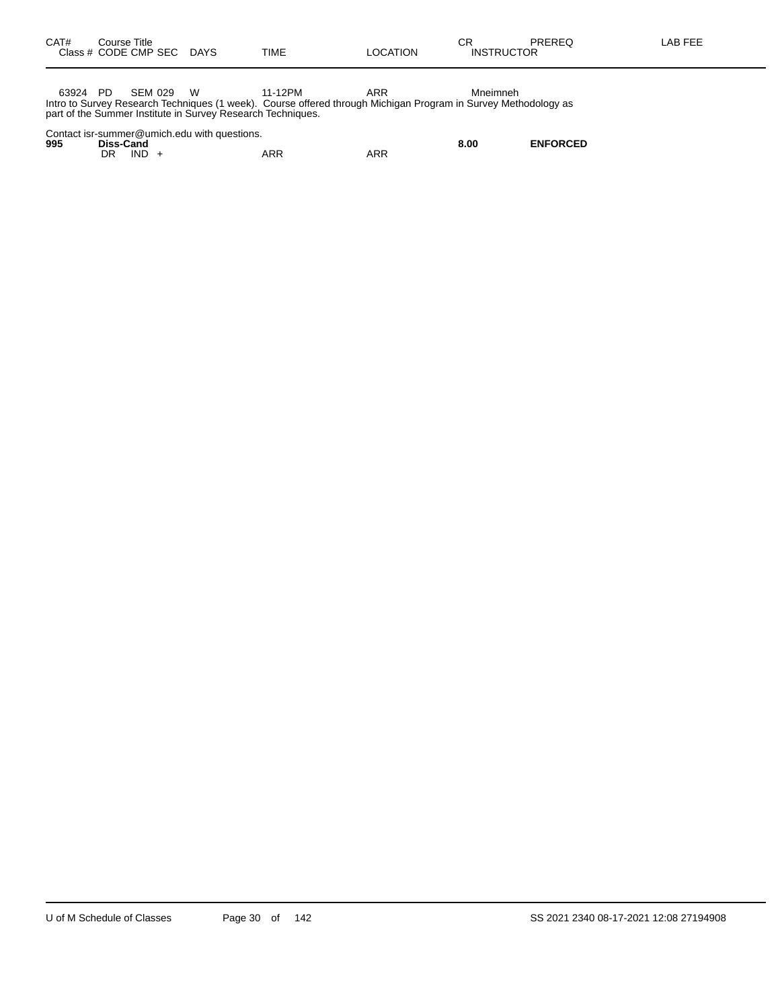63924 PD SEM 029 W 11-12PM ARR Mneimneh Intro to Survey Research Techniques (1 week). Course offered through Michigan Program in Survey Methodology as part of the Summer Institute in Survey Research Techniques.

| Contact isr-summer@umich.edu with questions. |
|----------------------------------------------|
|----------------------------------------------|

| 995 | Diss-Cand |     |            | 8.00 | <b>ENFORCED</b> |
|-----|-----------|-----|------------|------|-----------------|
|     | IND<br>DR | ARR | <b>ARR</b> |      |                 |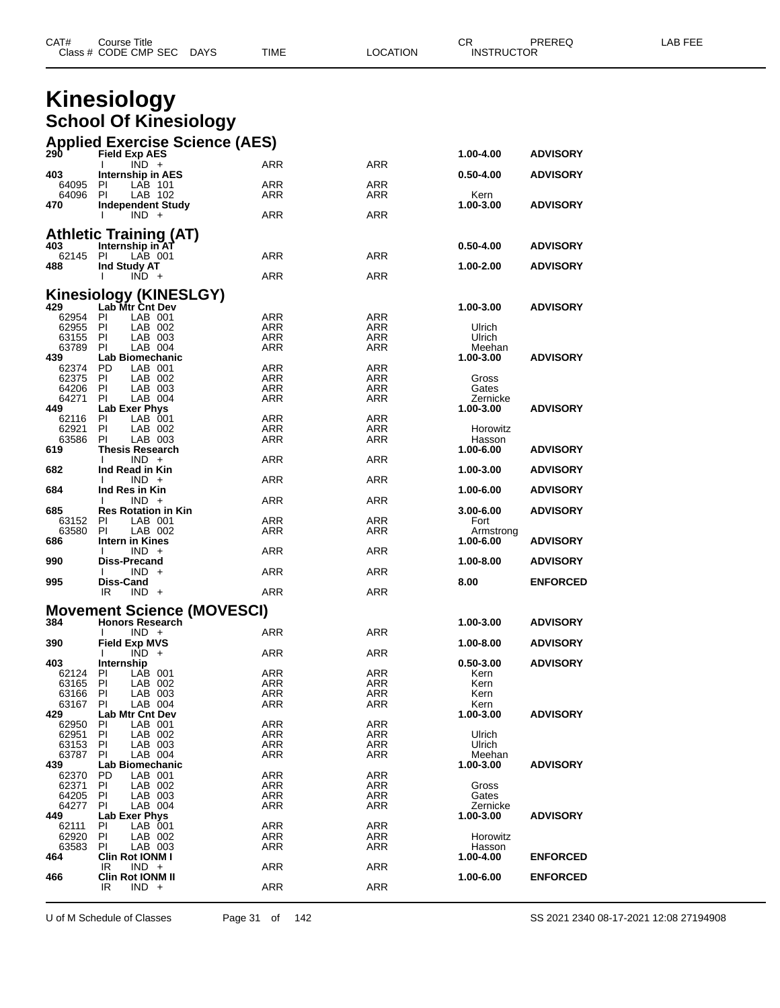|                      | Class # CODE CMP SEC<br>DAYS                  | TIME              | LOCATION          | <b>INSTRUCTOR</b>     |                 |  |
|----------------------|-----------------------------------------------|-------------------|-------------------|-----------------------|-----------------|--|
|                      |                                               |                   |                   |                       |                 |  |
|                      | <b>Kinesiology</b>                            |                   |                   |                       |                 |  |
|                      | <b>School Of Kinesiology</b>                  |                   |                   |                       |                 |  |
|                      | Applied Exercise Science (AES)                |                   |                   |                       |                 |  |
|                      | $IND +$                                       |                   |                   | 1.00-4.00             | <b>ADVISORY</b> |  |
| 403                  | Ι.<br><b>Internship in AES</b>                | ARR               | <b>ARR</b>        | $0.50 - 4.00$         | <b>ADVISORY</b> |  |
| 64095 PI<br>64096 PI | LAB 101<br>LAB 102                            | ARR<br>ARR        | ARR<br>ARR        | Kern                  |                 |  |
| 470                  | <b>Independent Study</b>                      |                   |                   | 1.00-3.00             | <b>ADVISORY</b> |  |
|                      | $IND +$                                       | ARR               | ARR               |                       |                 |  |
|                      | <b>Athletic Training (AT)</b>                 |                   |                   |                       |                 |  |
| 403<br>62145 PI      | Internship in AT<br>LAB 001                   | ARR               | <b>ARR</b>        | $0.50 - 4.00$         | <b>ADVISORY</b> |  |
| 488                  | Ind Study AT<br>$IND +$                       | ARR               | ARR               | 1.00-2.00             | <b>ADVISORY</b> |  |
|                      |                                               |                   |                   |                       |                 |  |
|                      | Kinesiology (KINESLGY)<br>429 Lab Mtr Cnt Dev |                   |                   | 1.00-3.00             | <b>ADVISORY</b> |  |
| 62954 PI             | LAB 001                                       | <b>ARR</b>        | ARR               |                       |                 |  |
| 62955 PI<br>63155 PI | LAB 002<br>LAB 003                            | ARR<br>ARR        | ARR<br>ARR        | Ulrich<br>Ulrich      |                 |  |
| 63789<br>439         | PI<br>LAB 004<br><b>Lab Biomechanic</b>       | <b>ARR</b>        | <b>ARR</b>        | Meehan<br>1.00-3.00   | <b>ADVISORY</b> |  |
| 62374 PD             | LAB 001                                       | ARR               | ARR               |                       |                 |  |
| 62375 PI<br>64206 PI | LAB 002<br>LAB 003                            | <b>ARR</b><br>ARR | ARR<br>ARR        | Gross<br>Gates        |                 |  |
| 64271 PI             | LAB 004                                       | ARR               | ARR               | Zernicke              |                 |  |
| 449<br>62116 PI      | Lab Exer Phys<br>LAB 001                      | ARR               | ARR               | 1.00-3.00             | <b>ADVISORY</b> |  |
| 62921 PI<br>63586    | LAB 002<br>LAB 003<br>PI                      | ARR<br>ARR        | ARR<br><b>ARR</b> | Horowitz              |                 |  |
| 619.                 | <b>Thesis Research</b>                        |                   |                   | Hasson<br>1.00-6.00   | <b>ADVISORY</b> |  |
| 682                  | $IND +$<br>Ind Read in Kin                    | ARR               | ARR               | 1.00-3.00             | <b>ADVISORY</b> |  |
|                      | $IND +$                                       | ARR               | ARR               |                       |                 |  |
| 684                  | Ind Res in Kin<br>$IND +$                     | ARR               | ARR               | 1.00-6.00             | <b>ADVISORY</b> |  |
| 685<br>63152 PI      | <b>Res Rotation in Kin</b><br>LAB 001         | ARR               | ARR               | 3.00-6.00<br>Fort     | <b>ADVISORY</b> |  |
| 63580                | PI<br>LAB 002                                 | <b>ARR</b>        | ARR               | Armstrong             |                 |  |
| 686                  | Intern in Kines<br>$IND +$                    | ARR               | ARR               | 1.00-6.00             | <b>ADVISORY</b> |  |
| 990                  | Diss-Precand                                  |                   |                   | 1.00-8.00             | <b>ADVISORY</b> |  |
| 995                  | $IND +$<br>Diss-Cand                          | ARR               | ARR               | 8.00                  | <b>ENFORCED</b> |  |
|                      | IR<br>$IND +$                                 | <b>ARR</b>        | ARR               |                       |                 |  |
|                      | <b>Movement Science (MOVESCI)</b>             |                   |                   |                       |                 |  |
| 384                  | <b>Honors Research</b><br>$IND +$<br>I.       | ARR               | ARR               | 1.00-3.00             | <b>ADVISORY</b> |  |
| 390                  | <b>Field Exp MVS</b><br>$\overline{IND}$ +    | ARR               | ARR               | 1.00-8.00             | <b>ADVISORY</b> |  |
| 403                  | Internship                                    |                   |                   | 0.50-3.00             | <b>ADVISORY</b> |  |
| 62124<br>63165       | LAB 001<br>PI<br>PI<br>LAB 002                | <b>ARR</b><br>ARR | ARR<br>ARR        | Kern<br>Kern          |                 |  |
| 63166                | LAB 003<br>PI                                 | ARR               | ARR               | Kern                  |                 |  |
| 63167<br>429         | LAB 004<br>-PI<br><b>Lab Mtr Cnt Dev</b>      | ARR               | ARR               | Kern<br>1.00-3.00     | <b>ADVISORY</b> |  |
| 62950<br>62951       | LAB 001<br>PI<br>PI<br>LAB 002                | <b>ARR</b><br>ARR | ARR               | Ulrich                |                 |  |
| 63153                | LAB 003<br>PI                                 | ARR               | ARR<br>ARR        | Ulrich                |                 |  |
| 63787<br>439         | LAB 004<br>-PI<br><b>Lab Biomechanic</b>      | ARR               | ARR               | Meehan<br>1.00-3.00   | <b>ADVISORY</b> |  |
| 62370                | LAB 001<br>PD.                                | ARR               | ARR               |                       |                 |  |
| 62371<br>64205       | LAB 002<br>PI<br>LAB 003<br>PI                | ARR<br><b>ARR</b> | ARR<br>ARR        | Gross<br>Gates        |                 |  |
| 64277<br>449         | PI<br>LAB 004<br>Lab Exer Phys                | <b>ARR</b>        | ARR               | Zernicke<br>1.00-3.00 | <b>ADVISORY</b> |  |
| 62111                | LAB 001<br>PI                                 | <b>ARR</b>        | ARR               |                       |                 |  |
| 62920<br>63583       | PI<br>LAB 002<br>PI<br>LAB 003                | <b>ARR</b><br>ARR | ARR<br>ARR        | Horowitz<br>Hasson    |                 |  |
| 464                  | Clin Rot IONM I                               |                   |                   | 1.00-4.00             | <b>ENFORCED</b> |  |
| 466                  | $IND +$<br>IR<br>Clin Rot IONM II             | <b>ARR</b>        | ARR               | 1.00-6.00             | <b>ENFORCED</b> |  |
|                      | $IND +$<br>IR                                 | ARR               | ARR               |                       |                 |  |

CAT# Course Title Case CR PREREQ LAB FEE

U of M Schedule of Classes Page 31 of 142 SS 2021 2340 08-17-2021 12:08 27194908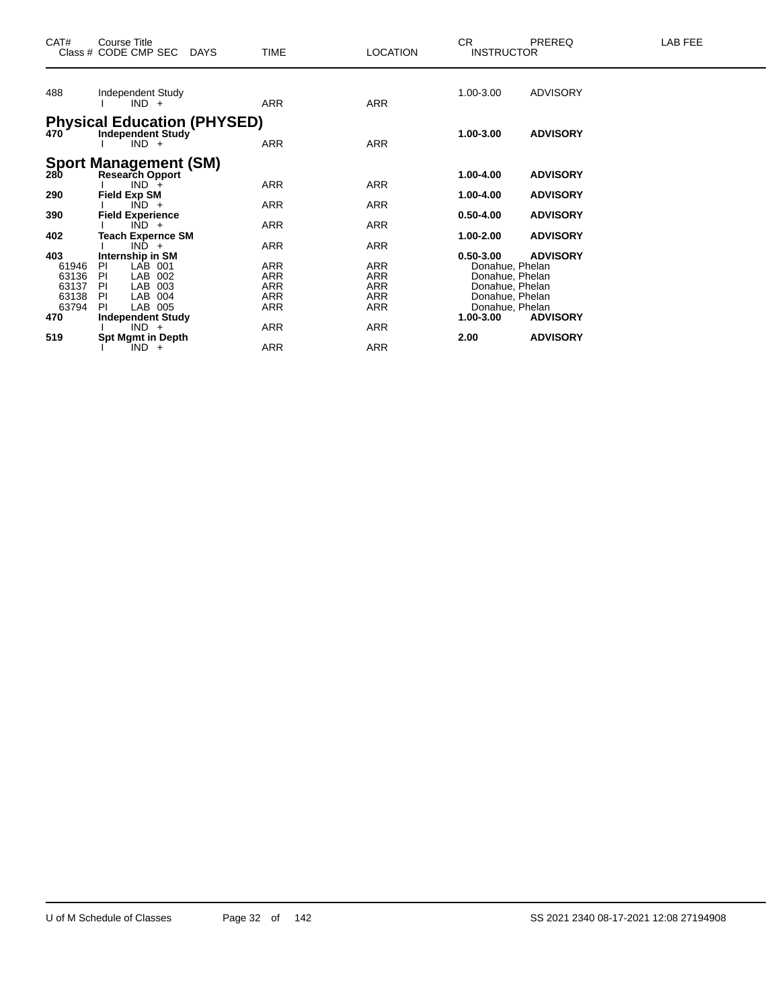| CAT#                    | <b>Course Title</b><br>Class # CODE CMP SEC<br><b>DAYS</b>                | TIME                     | <b>LOCATION</b>   | CR.<br><b>INSTRUCTOR</b>                              | <b>PREREQ</b>                      | LAB FEE |
|-------------------------|---------------------------------------------------------------------------|--------------------------|-------------------|-------------------------------------------------------|------------------------------------|---------|
| 488                     | Independent Study<br>$IND +$                                              | <b>ARR</b>               | ARR               | 1.00-3.00                                             | <b>ADVISORY</b>                    |         |
| 470                     | <b>Physical Education (PHYSED)</b><br><b>Independent Study</b><br>$IND +$ | <b>ARR</b>               | <b>ARR</b>        | 1.00-3.00                                             | <b>ADVISORY</b>                    |         |
| 280                     | <b>Sport Management (SM)</b><br><b>Research Opport</b><br>$IND +$         | ARR                      | <b>ARR</b>        | 1.00-4.00                                             | <b>ADVISORY</b>                    |         |
| 290                     | <b>Field Exp SM</b><br>$IND +$                                            | ARR                      | <b>ARR</b>        | 1.00-4.00                                             | <b>ADVISORY</b>                    |         |
| 390<br>402              | <b>Field Experience</b><br>$IND +$<br>Teach Expernce SM                   | ARR                      | ARR               | $0.50 - 4.00$<br>1.00-2.00                            | <b>ADVISORY</b><br><b>ADVISORY</b> |         |
| 403                     | $IND +$<br>Internship in SM                                               | ARR                      | <b>ARR</b>        | $0.50 - 3.00$                                         | <b>ADVISORY</b>                    |         |
| 61946<br>63136<br>63137 | <b>PI</b><br>LAB 001<br>LAB 002<br>-PI<br>LAB 003<br><b>PI</b>            | ARR<br>ARR<br>ARR        | ARR<br>ARR<br>ARR | Donahue, Phelan<br>Donahue, Phelan<br>Donahue, Phelan |                                    |         |
| 63138<br>63794<br>470   | LAB 004<br>PI<br>LAB 005<br>PI.<br><b>Independent Study</b>               | <b>ARR</b><br><b>ARR</b> | ARR<br>ARR        | Donahue, Phelan<br>Donahue, Phelan<br>1.00-3.00       | <b>ADVISORY</b>                    |         |
| 519                     | $IND +$<br><b>Spt Mgmt in Depth</b>                                       | ARR                      | ARR               | 2.00                                                  | <b>ADVISORY</b>                    |         |
|                         | $IND +$                                                                   | ARR                      | ARR               |                                                       |                                    |         |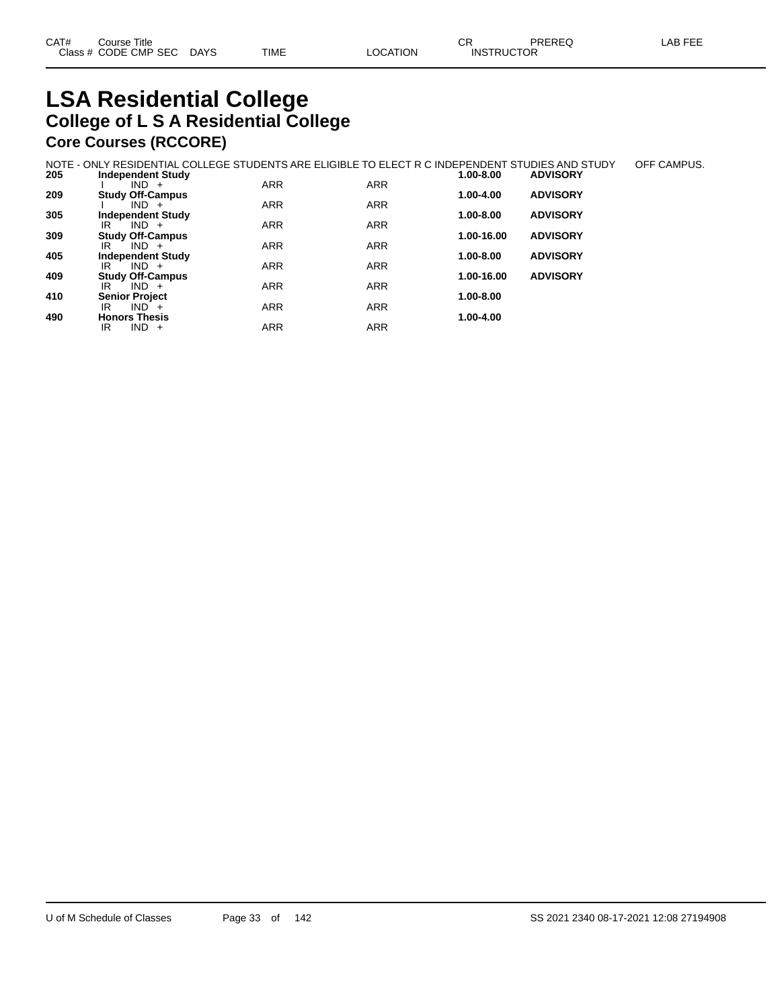# **LSA Residential College College of L S A Residential College Core Courses (RCCORE)**

|     | NOTE - ONLY RESIDENTIAL COLLEGE STUDENTS ARE ELIGIBLE TO ELECT R C INDEPENDENT STUDIES AND STUDY |            |            |            |                 | OFF CAMPUS. |
|-----|--------------------------------------------------------------------------------------------------|------------|------------|------------|-----------------|-------------|
| 205 | <b>Independent Study</b>                                                                         |            |            | 1.00-8.00  | <b>ADVISORY</b> |             |
|     | $IND +$                                                                                          | <b>ARR</b> | <b>ARR</b> |            |                 |             |
| 209 | <b>Study Off-Campus</b>                                                                          |            |            | 1.00-4.00  | <b>ADVISORY</b> |             |
|     | $IND +$                                                                                          | <b>ARR</b> | <b>ARR</b> |            |                 |             |
| 305 | <b>Independent Study</b>                                                                         |            |            | 1.00-8.00  | <b>ADVISORY</b> |             |
|     | $IND +$<br>IR                                                                                    | <b>ARR</b> | <b>ARR</b> |            |                 |             |
| 309 | <b>Study Off-Campus</b>                                                                          |            |            | 1.00-16.00 | <b>ADVISORY</b> |             |
|     | $IND +$<br>IR                                                                                    | <b>ARR</b> | <b>ARR</b> |            |                 |             |
| 405 | <b>Independent Study</b>                                                                         |            |            | 1.00-8.00  | <b>ADVISORY</b> |             |
|     | $IND +$<br>IR                                                                                    | ARR        | <b>ARR</b> |            |                 |             |
| 409 | <b>Study Off-Campus</b>                                                                          |            |            | 1.00-16.00 | <b>ADVISORY</b> |             |
|     | $IND +$<br>IR                                                                                    | <b>ARR</b> | <b>ARR</b> |            |                 |             |
| 410 | <b>Senior Project</b>                                                                            |            |            | 1.00-8.00  |                 |             |
|     | $IND +$<br>IR                                                                                    | <b>ARR</b> | <b>ARR</b> |            |                 |             |
| 490 | <b>Honors Thesis</b>                                                                             |            |            | 1.00-4.00  |                 |             |
|     | $IND +$<br>IR                                                                                    | ARR        | <b>ARR</b> |            |                 |             |
|     |                                                                                                  |            |            |            |                 |             |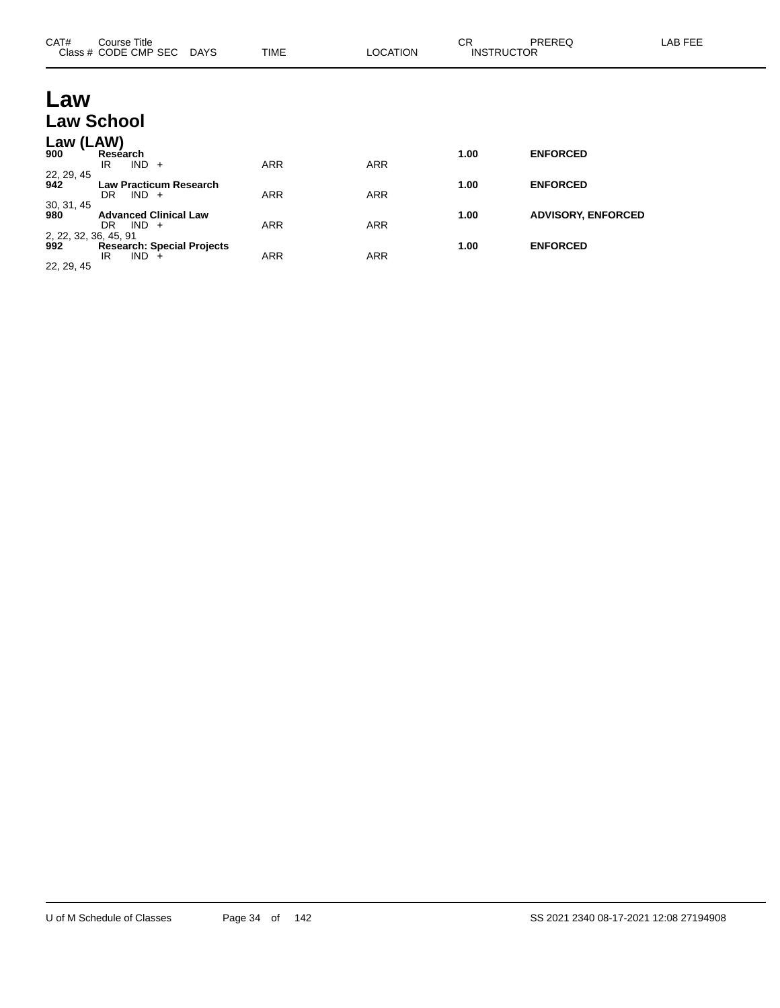| CAT#                         | Course Title<br>Class # CODE CMP SEC DAYS              | <b>TIME</b> | <b>LOCATION</b> | <b>CR</b><br><b>INSTRUCTOR</b> | PREREQ                    | LAB FEE |
|------------------------------|--------------------------------------------------------|-------------|-----------------|--------------------------------|---------------------------|---------|
| Law                          |                                                        |             |                 |                                |                           |         |
|                              | <b>Law School</b>                                      |             |                 |                                |                           |         |
| Law (LAW)<br>900             | Research<br>$IND +$<br>IR                              | <b>ARR</b>  | <b>ARR</b>      | 1.00                           | <b>ENFORCED</b>           |         |
| 22, 29, 45<br>942            | <b>Law Practicum Research</b><br>$IND +$<br>DR.        | <b>ARR</b>  | <b>ARR</b>      | 1.00                           | <b>ENFORCED</b>           |         |
| 30, 31, 45<br>980            | <b>Advanced Clinical Law</b><br>$IND +$<br>DR.         | <b>ARR</b>  | <b>ARR</b>      | 1.00                           | <b>ADVISORY, ENFORCED</b> |         |
| 2, 22, 32, 36, 45, 91<br>992 | <b>Research: Special Projects</b><br>IND.<br>IR<br>$+$ | <b>ARR</b>  | <b>ARR</b>      | 1.00                           | <b>ENFORCED</b>           |         |

22, 29, 45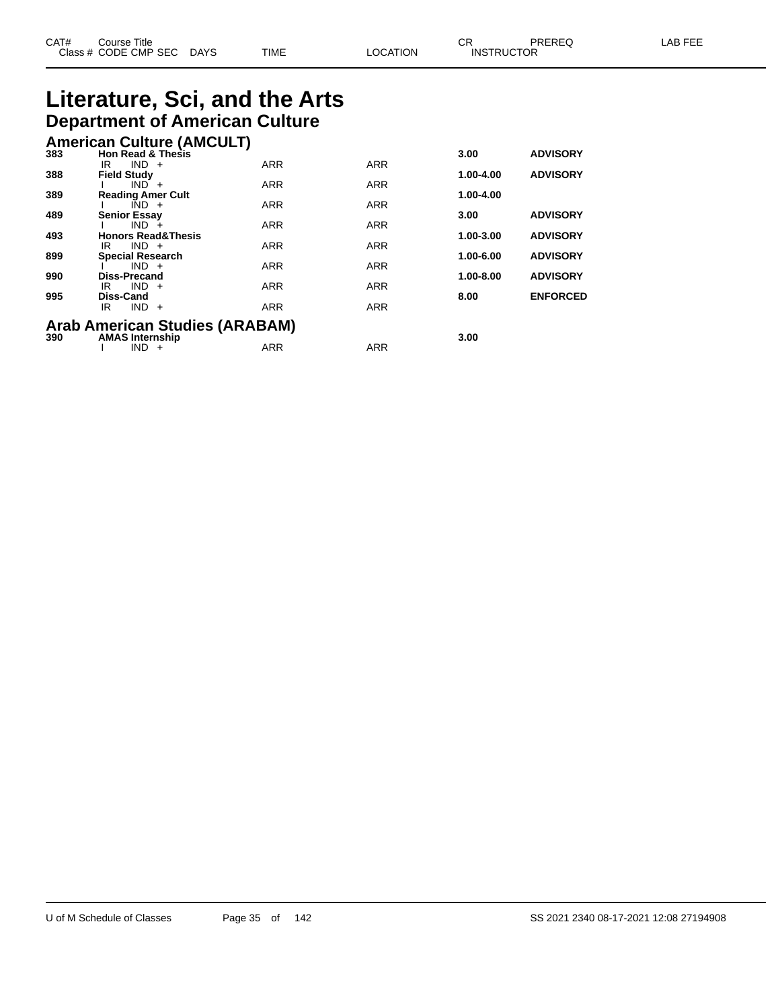# **Literature, Sci, and the Arts Department of American Culture**

|     | <b>American Culture (AMCULT)</b>      |            |            |           |                 |
|-----|---------------------------------------|------------|------------|-----------|-----------------|
| 383 | <b>Hon Read &amp; Thesis</b>          |            |            | 3.00      | <b>ADVISORY</b> |
| 388 | $IND +$<br>IR<br><b>Field Study</b>   | <b>ARR</b> | <b>ARR</b> | 1.00-4.00 | <b>ADVISORY</b> |
|     | $IND +$                               | <b>ARR</b> | <b>ARR</b> |           |                 |
| 389 | <b>Reading Amer Cult</b>              |            |            | 1.00-4.00 |                 |
|     | $IND +$                               | <b>ARR</b> | <b>ARR</b> |           |                 |
| 489 | <b>Senior Essav</b><br>$IND +$        | <b>ARR</b> | <b>ARR</b> | 3.00      | <b>ADVISORY</b> |
| 493 | <b>Honors Read&amp;Thesis</b>         |            |            | 1.00-3.00 | <b>ADVISORY</b> |
|     | $IND +$<br>IR                         | <b>ARR</b> | <b>ARR</b> |           |                 |
| 899 | <b>Special Research</b>               |            |            | 1.00-6.00 | <b>ADVISORY</b> |
|     | $IND +$                               | <b>ARR</b> | <b>ARR</b> |           |                 |
| 990 | Diss-Precand<br>$IND +$<br>IR         | <b>ARR</b> | <b>ARR</b> | 1.00-8.00 | <b>ADVISORY</b> |
| 995 | <b>Diss-Cand</b>                      |            |            | 8.00      | <b>ENFORCED</b> |
|     | $IND +$<br>IR.                        | <b>ARR</b> | <b>ARR</b> |           |                 |
|     | <b>Arab American Studies (ARABAM)</b> |            |            |           |                 |
| 390 | <b>AMAS Internship</b>                |            |            | 3.00      |                 |
|     | $IND +$                               | <b>ARR</b> | <b>ARR</b> |           |                 |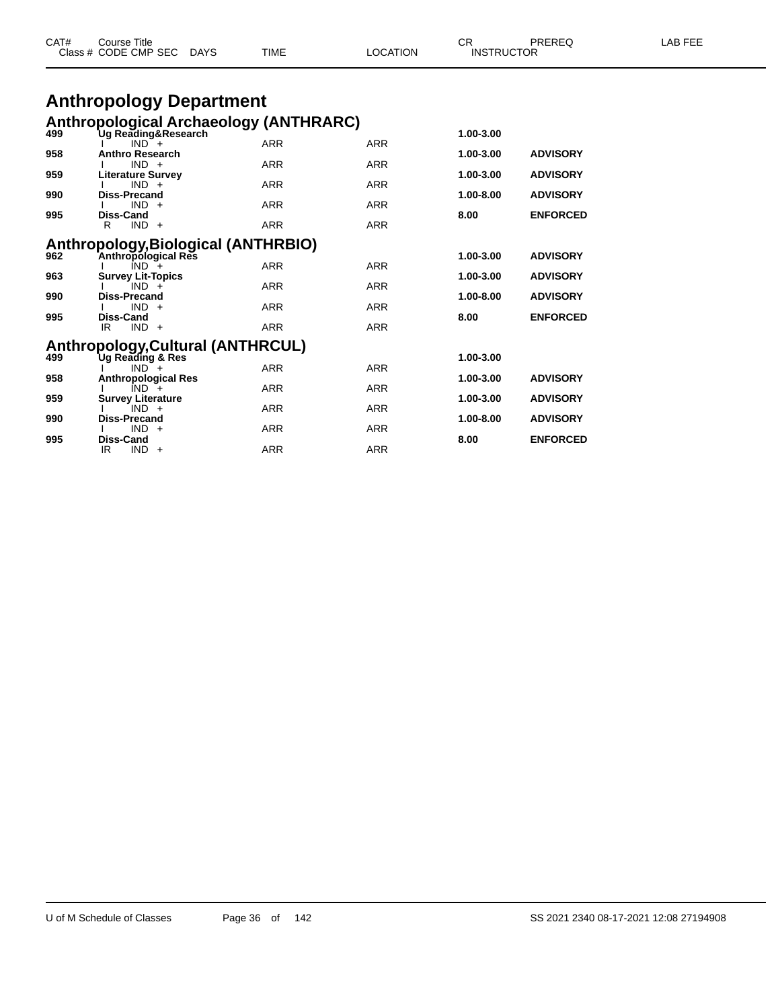|     | Class # CODE CMP SEC DAYS                                            | TIME       | LOCATION   | <b>INSTRUCTOR</b> |                 |  |
|-----|----------------------------------------------------------------------|------------|------------|-------------------|-----------------|--|
|     | <b>Anthropology Department</b>                                       |            |            |                   |                 |  |
|     |                                                                      |            |            |                   |                 |  |
| 499 | <b>Anthropological Archaeology (ANTHRARC)</b><br>Ug Reading&Research |            |            | 1.00-3.00         |                 |  |
|     | $IND^-$ +                                                            | <b>ARR</b> | <b>ARR</b> |                   |                 |  |
| 958 | <b>Anthro Research</b>                                               |            |            | 1.00-3.00         | <b>ADVISORY</b> |  |
| 959 | $IND +$<br><b>Literature Survey</b>                                  | <b>ARR</b> | <b>ARR</b> | 1.00-3.00         | <b>ADVISORY</b> |  |
|     | $IND +$                                                              | <b>ARR</b> | <b>ARR</b> |                   |                 |  |
| 990 | Diss-Precand<br>$IND +$                                              |            |            | 1.00-8.00         | <b>ADVISORY</b> |  |
| 995 | Diss-Cand                                                            | <b>ARR</b> | <b>ARR</b> | 8.00              | <b>ENFORCED</b> |  |
|     | $IND +$<br>R                                                         | <b>ARR</b> | <b>ARR</b> |                   |                 |  |
|     | Anthropology, Biological (ANTHRBIO)                                  |            |            |                   |                 |  |
| 962 | Anthropological Res                                                  |            |            | 1.00-3.00         | <b>ADVISORY</b> |  |
|     | $IND +$                                                              | <b>ARR</b> | <b>ARR</b> |                   |                 |  |
| 963 | <b>Survey Lit-Topics</b><br>$IND +$                                  | <b>ARR</b> | <b>ARR</b> | 1.00-3.00         | <b>ADVISORY</b> |  |
| 990 | <b>Diss-Precand</b>                                                  |            |            | 1.00-8.00         | <b>ADVISORY</b> |  |
|     | $IND +$                                                              | <b>ARR</b> | <b>ARR</b> |                   |                 |  |
| 995 | Diss-Cand<br>$IND +$<br>IR.                                          | <b>ARR</b> | <b>ARR</b> | 8.00              | <b>ENFORCED</b> |  |
|     |                                                                      |            |            |                   |                 |  |
|     | Anthropology, Cultural (ANTHRCUL)                                    |            |            |                   |                 |  |
| 499 | Ug Reading & Res<br>$IND +$                                          | <b>ARR</b> | <b>ARR</b> | 1.00-3.00         |                 |  |
| 958 | <b>Anthropological Res</b>                                           |            |            | 1.00-3.00         | <b>ADVISORY</b> |  |
|     | $IND +$                                                              | <b>ARR</b> | <b>ARR</b> |                   |                 |  |
| 959 | <b>Survey Literature</b><br>$IND +$                                  | <b>ARR</b> | <b>ARR</b> | 1.00-3.00         | <b>ADVISORY</b> |  |
| 990 | <b>Diss-Precand</b>                                                  |            |            | 1.00-8.00         | <b>ADVISORY</b> |  |
|     | $IND +$                                                              | <b>ARR</b> | <b>ARR</b> |                   |                 |  |

CAT# Course Title Case CR PREREQ LAB FEE

I IND + ARR ARR ARR

IR IND + ARR ARR ARR

**995 Diss-Cand 8.00 ENFORCED**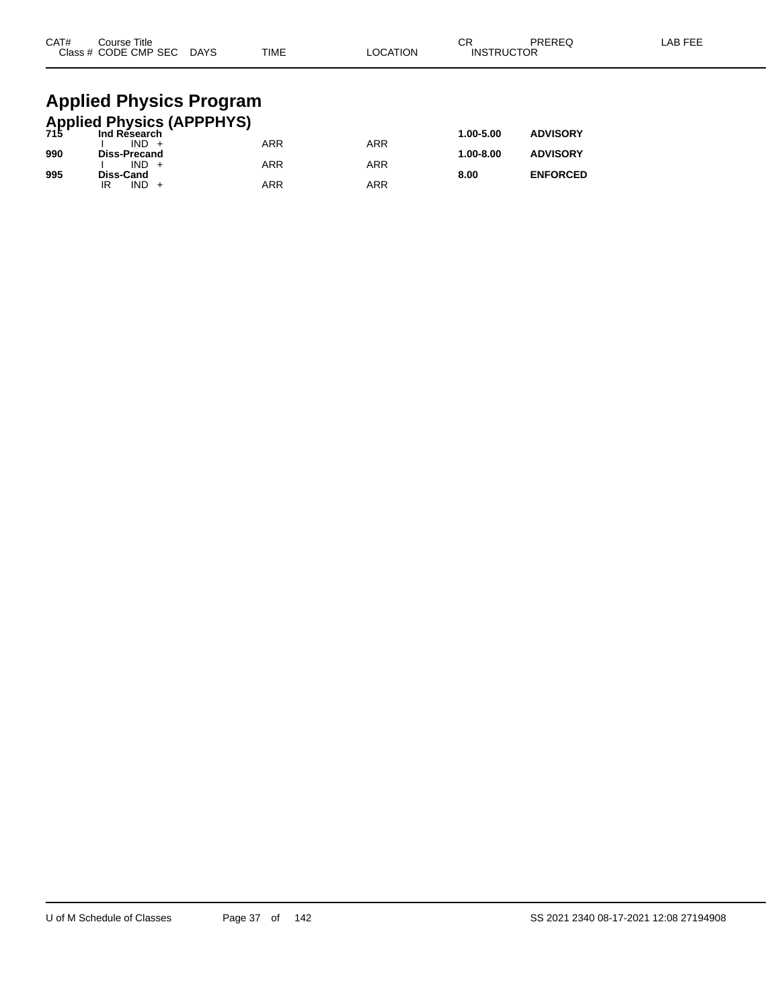| CAT# | Course Title<br>Class # CODE CMP SEC DAYS            | TIME       | <b>LOCATION</b> | CR<br><b>INSTRUCTOR</b> | PREREQ          | LAB FEE |
|------|------------------------------------------------------|------------|-----------------|-------------------------|-----------------|---------|
|      |                                                      |            |                 |                         |                 |         |
|      | <b>Applied Physics Program</b>                       |            |                 |                         |                 |         |
|      | <b>Applied Physics (APPPHYS)</b><br>715 Ind Research |            |                 |                         |                 |         |
|      |                                                      |            |                 | 1.00-5.00               | <b>ADVISORY</b> |         |
|      | $IND +$                                              | <b>ARR</b> | <b>ARR</b>      |                         |                 |         |
| 990  | <b>Diss-Precand</b>                                  |            |                 | 1.00-8.00               | <b>ADVISORY</b> |         |

I IND + ARR ARR ARR

IR IND + ARR ARR ARR

**995 Diss-Cand 8.00 ENFORCED**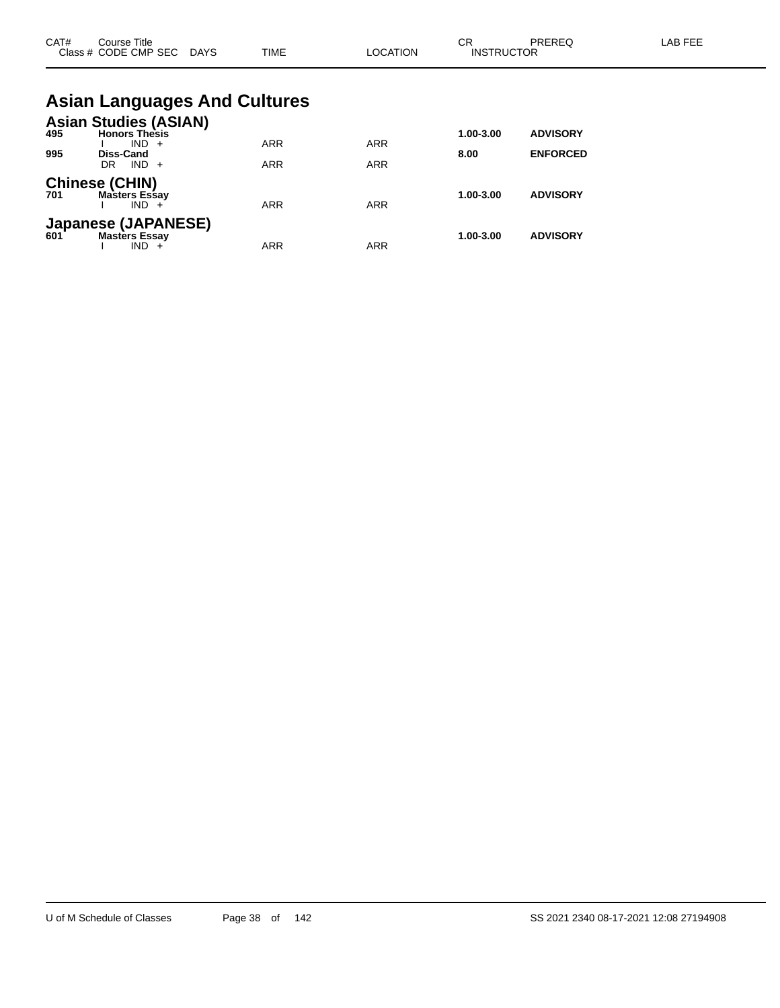| CAT# | Course Title<br>Class # CODE CMP SEC DAYS                                        | <b>TIME</b>                         | <b>LOCATION</b> | CR<br><b>INSTRUCTOR</b> | PREREQ                             | LAB FEE |
|------|----------------------------------------------------------------------------------|-------------------------------------|-----------------|-------------------------|------------------------------------|---------|
|      |                                                                                  | <b>Asian Languages And Cultures</b> |                 |                         |                                    |         |
| 995  | <b>Asian Studies (ASIAN)</b><br>495 <b>Honors Thesis</b><br>$IND +$<br>Diss-Cand | <b>ARR</b>                          | <b>ARR</b>      | 1.00-3.00<br>8.00       | <b>ADVISORY</b><br><b>ENFORCED</b> |         |
|      | $IND +$<br>DR.                                                                   | <b>ARR</b>                          | <b>ARR</b>      |                         |                                    |         |
| 701  | <b>Chinese (CHIN)</b><br><b>Masters Essay</b><br>$IND +$                         | <b>ARR</b>                          | <b>ARR</b>      | 1.00-3.00               | <b>ADVISORY</b>                    |         |
|      | Japanese (JAPANESE)<br>601 Masters Essav<br><b>Masters Essay</b><br>$IND +$      | <b>ARR</b>                          | <b>ARR</b>      | 1.00-3.00               | <b>ADVISORY</b>                    |         |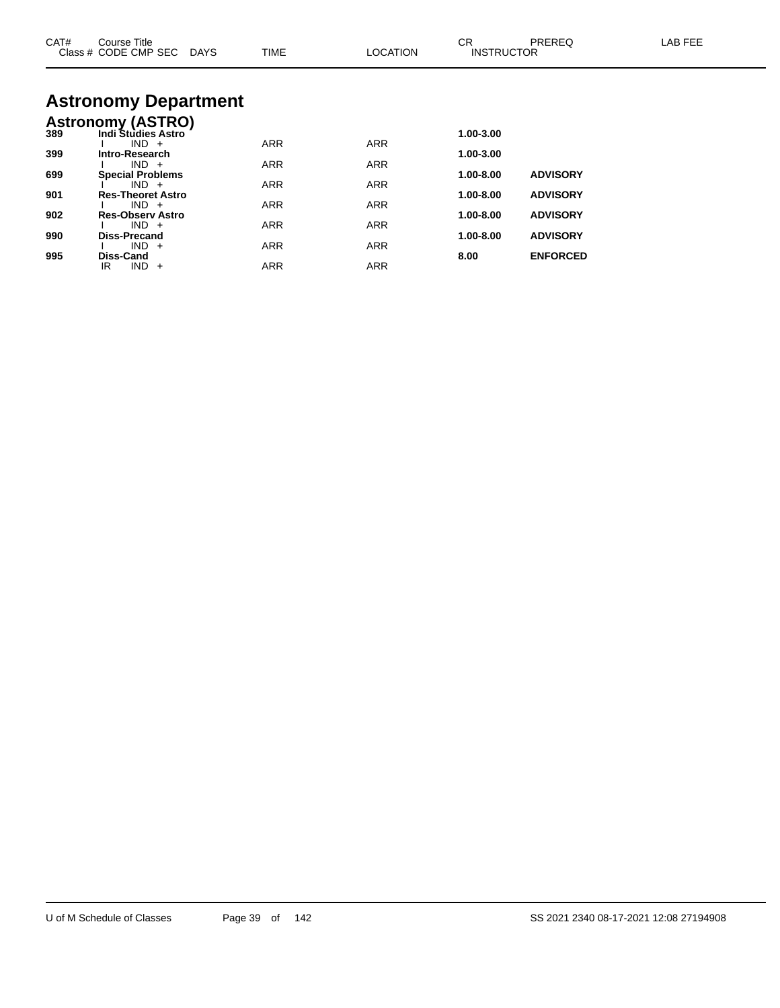| CAT# | Course Title<br>Class # CODE CMP SEC DAYS | TIME       | LOCATION   | CR.<br><b>INSTRUCTOR</b> | <b>PREREQ</b>   | LAB FEE |
|------|-------------------------------------------|------------|------------|--------------------------|-----------------|---------|
|      | <b>Astronomy Department</b>               |            |            |                          |                 |         |
|      | <b>Astronomy (ASTRO)</b>                  |            |            |                          |                 |         |
| 389  | <b>Indi Studies Astro</b>                 |            |            | 1.00-3.00                |                 |         |
| 399  | $IND +$<br>Intro-Research                 | <b>ARR</b> | <b>ARR</b> | 1.00-3.00                |                 |         |
|      | $IND +$                                   | ARR        | <b>ARR</b> |                          |                 |         |
| 699  | <b>Special Problems</b>                   |            |            | 1.00-8.00                | <b>ADVISORY</b> |         |
|      | $IND +$                                   | <b>ARR</b> | <b>ARR</b> |                          |                 |         |
| 901  | <b>Res-Theoret Astro</b><br>$IND +$       | <b>ARR</b> | <b>ARR</b> | 1.00-8.00                | <b>ADVISORY</b> |         |
| 902  | <b>Res-Observ Astro</b>                   |            |            | 1.00-8.00                | <b>ADVISORY</b> |         |
|      | $IND +$                                   | <b>ARR</b> | <b>ARR</b> |                          |                 |         |
| 990  | <b>Diss-Precand</b><br>$IND +$            |            |            | 1.00-8.00                | <b>ADVISORY</b> |         |
| 995  | Diss-Cand                                 | <b>ARR</b> | <b>ARR</b> | 8.00                     | <b>ENFORCED</b> |         |
|      | $IND +$<br>IR.                            | <b>ARR</b> | <b>ARR</b> |                          |                 |         |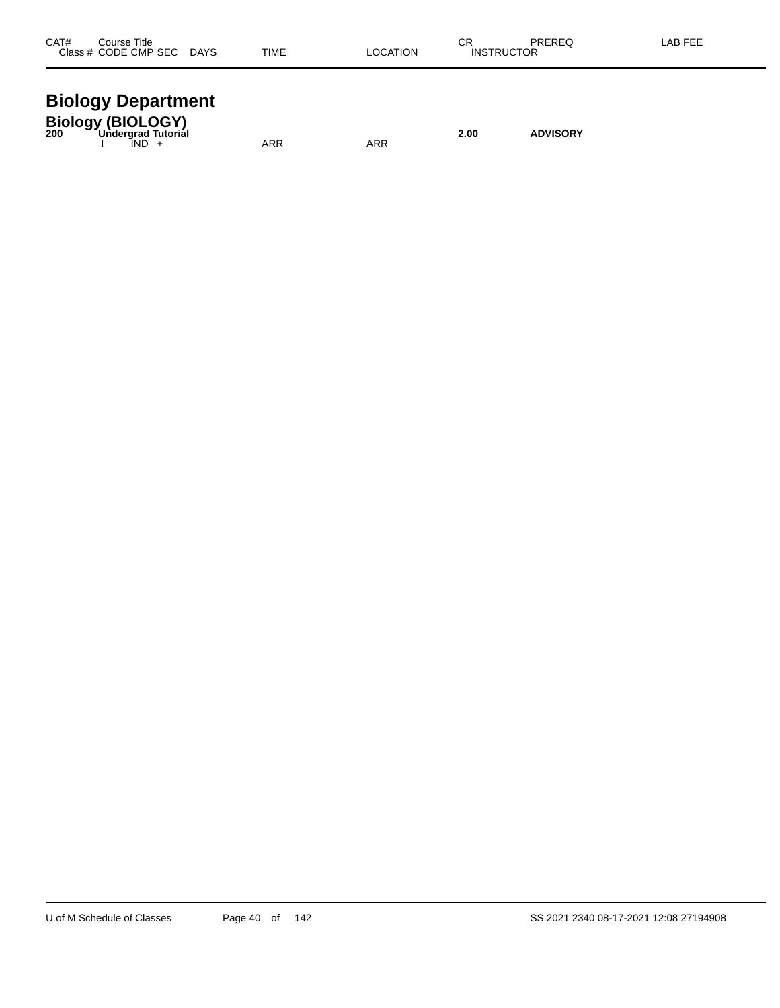| CAT#<br>Title<br>`ourse                                |                              |      |            | CR  | <b>DDEDEC</b> | ΑP |
|--------------------------------------------------------|------------------------------|------|------------|-----|---------------|----|
| ODE<br><b>CMP SEC</b><br>5E (<br>$\sim$ $\sim$<br>$ -$ | <b>DAYS</b><br>$\sim$ $\sim$ | TIME | TION<br>ΩC | ıN۶ | או<br>.       |    |
|                                                        |                              |      |            |     |               |    |

### **Biology Department**

| <b>Biology (BIOLOGY)</b><br>Undergrad Tutorial<br>200 |            |     | 2.00 | <b>ADVISORY</b> |
|-------------------------------------------------------|------------|-----|------|-----------------|
| IND -                                                 | <b>ARR</b> | ARR |      |                 |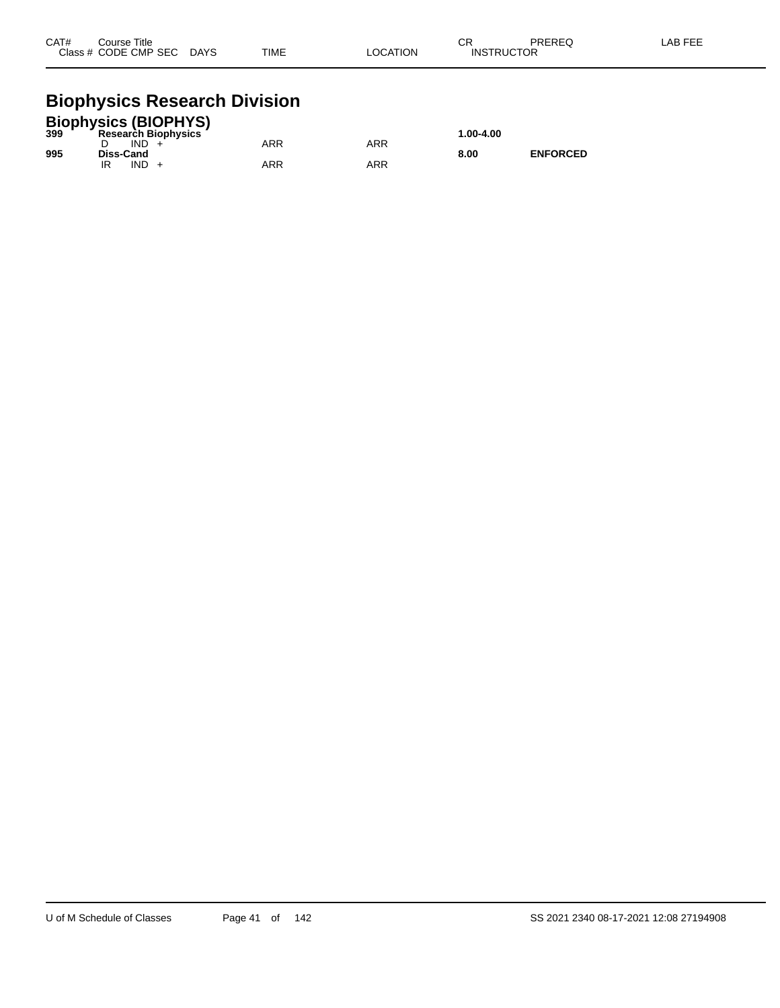| CAT# | Course Title              |             |                 | $\cap$            | PREREQ | _AB FEE |
|------|---------------------------|-------------|-----------------|-------------------|--------|---------|
|      | Class # CODE CMP SEC DAYS | <b>TIME</b> | <b>LOCATION</b> | <b>INSTRUCTOR</b> |        |         |

## **Biophysics Research Division**

|     | <b>Biophysics (BIOPHYS)</b> |     |     |           |                 |
|-----|-----------------------------|-----|-----|-----------|-----------------|
| 399 | <b>Research Biophysics</b>  |     |     | 1.00-4.00 |                 |
|     | IND.                        | ARR | ARR |           |                 |
| 995 | Diss-Cand                   |     |     | 8.00      | <b>ENFORCED</b> |
|     | <b>IND</b>                  | ARR | ARR |           |                 |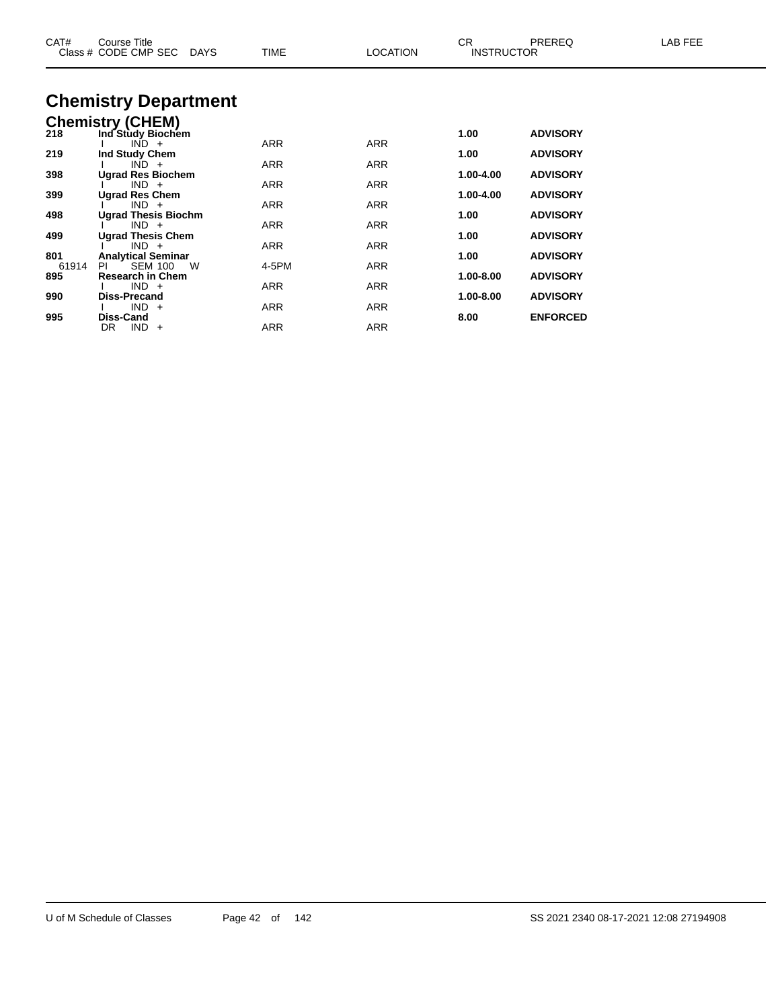| <b>Chemistry Department</b><br><b>Chemistry (CHEM)</b><br>218<br>Ind Study Biochem<br>1.00<br><b>ADVISORY</b><br><b>ARR</b><br>ARR<br>$IND +$<br>219<br><b>ADVISORY</b><br>Ind Study Chem<br>1.00<br>ARR<br>ARR<br>$IND +$<br>398<br><b>Ugrad Res Biochem</b><br>1.00-4.00<br><b>ADVISORY</b><br>ARR<br>ARR<br>$IND +$<br>399<br><b>Ugrad Res Chem</b><br><b>ADVISORY</b><br>1.00-4.00<br>ARR<br>ARR<br>$IND +$<br>498<br><b>ADVISORY</b><br><b>Ugrad Thesis Biochm</b><br>1.00<br>ARR<br>ARR<br>$IND +$<br><b>Ugrad Thesis Chem</b><br>499<br>1.00<br><b>ADVISORY</b><br><b>ARR</b><br>ARR<br>$IND +$<br>801<br><b>Analytical Seminar</b><br>1.00<br><b>ADVISORY</b><br>4-5PM<br><b>ARR</b><br>61914<br>PL<br><b>SEM 100</b><br>W<br>895<br><b>Research in Chem</b><br>1.00-8.00<br><b>ADVISORY</b><br><b>ARR</b><br><b>ARR</b><br>$IND +$ | CAT# | Course Title<br>Class # CODE CMP SEC<br>DAYS | TIME | <b>LOCATION</b> | CR.<br><b>INSTRUCTOR</b> | PREREQ          | LAB FEE |
|---------------------------------------------------------------------------------------------------------------------------------------------------------------------------------------------------------------------------------------------------------------------------------------------------------------------------------------------------------------------------------------------------------------------------------------------------------------------------------------------------------------------------------------------------------------------------------------------------------------------------------------------------------------------------------------------------------------------------------------------------------------------------------------------------------------------------------------------|------|----------------------------------------------|------|-----------------|--------------------------|-----------------|---------|
|                                                                                                                                                                                                                                                                                                                                                                                                                                                                                                                                                                                                                                                                                                                                                                                                                                             |      |                                              |      |                 |                          |                 |         |
|                                                                                                                                                                                                                                                                                                                                                                                                                                                                                                                                                                                                                                                                                                                                                                                                                                             |      |                                              |      |                 |                          |                 |         |
|                                                                                                                                                                                                                                                                                                                                                                                                                                                                                                                                                                                                                                                                                                                                                                                                                                             |      |                                              |      |                 |                          |                 |         |
|                                                                                                                                                                                                                                                                                                                                                                                                                                                                                                                                                                                                                                                                                                                                                                                                                                             |      |                                              |      |                 |                          |                 |         |
|                                                                                                                                                                                                                                                                                                                                                                                                                                                                                                                                                                                                                                                                                                                                                                                                                                             |      |                                              |      |                 |                          |                 |         |
|                                                                                                                                                                                                                                                                                                                                                                                                                                                                                                                                                                                                                                                                                                                                                                                                                                             |      |                                              |      |                 |                          |                 |         |
|                                                                                                                                                                                                                                                                                                                                                                                                                                                                                                                                                                                                                                                                                                                                                                                                                                             |      |                                              |      |                 |                          |                 |         |
|                                                                                                                                                                                                                                                                                                                                                                                                                                                                                                                                                                                                                                                                                                                                                                                                                                             |      |                                              |      |                 |                          |                 |         |
|                                                                                                                                                                                                                                                                                                                                                                                                                                                                                                                                                                                                                                                                                                                                                                                                                                             |      |                                              |      |                 |                          |                 |         |
|                                                                                                                                                                                                                                                                                                                                                                                                                                                                                                                                                                                                                                                                                                                                                                                                                                             |      |                                              |      |                 |                          |                 |         |
|                                                                                                                                                                                                                                                                                                                                                                                                                                                                                                                                                                                                                                                                                                                                                                                                                                             |      |                                              |      |                 |                          |                 |         |
|                                                                                                                                                                                                                                                                                                                                                                                                                                                                                                                                                                                                                                                                                                                                                                                                                                             |      |                                              |      |                 |                          |                 |         |
|                                                                                                                                                                                                                                                                                                                                                                                                                                                                                                                                                                                                                                                                                                                                                                                                                                             |      |                                              |      |                 |                          |                 |         |
|                                                                                                                                                                                                                                                                                                                                                                                                                                                                                                                                                                                                                                                                                                                                                                                                                                             |      |                                              |      |                 |                          |                 |         |
|                                                                                                                                                                                                                                                                                                                                                                                                                                                                                                                                                                                                                                                                                                                                                                                                                                             | 990  | <b>Diss-Precand</b>                          |      |                 | 1.00-8.00                | <b>ADVISORY</b> |         |
| $IND +$<br><b>ARR</b><br>ARR<br>995<br><b>ENFORCED</b><br>8.00<br>Diss-Cand                                                                                                                                                                                                                                                                                                                                                                                                                                                                                                                                                                                                                                                                                                                                                                 |      |                                              |      |                 |                          |                 |         |
| ARR<br><b>ARR</b><br>$IND +$<br>DR                                                                                                                                                                                                                                                                                                                                                                                                                                                                                                                                                                                                                                                                                                                                                                                                          |      |                                              |      |                 |                          |                 |         |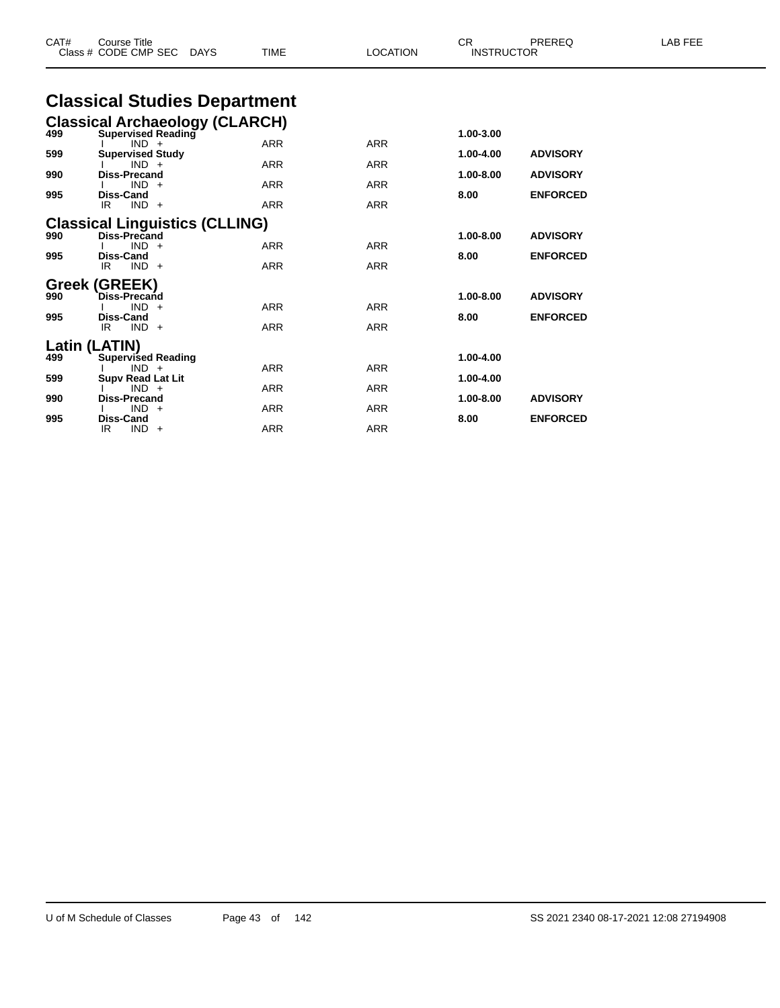| CAT# | <b>Course Title</b><br>Class # CODE CMP SEC<br>DAYS | <b>TIME</b> | <b>LOCATION</b> | CR<br><b>INSTRUCTOR</b> | PREREQ          | LAB FEE |
|------|-----------------------------------------------------|-------------|-----------------|-------------------------|-----------------|---------|
|      | <b>Classical Studies Department</b>                 |             |                 |                         |                 |         |
|      | <b>Classical Archaeology (CLARCH)</b>               |             |                 |                         |                 |         |
| 499  | <b>Supervised Reading</b>                           |             |                 | 1.00-3.00               |                 |         |
| 599  | $IND +$<br><b>Supervised Study</b>                  | <b>ARR</b>  | <b>ARR</b>      | 1.00-4.00               | <b>ADVISORY</b> |         |
|      | $IND +$                                             | <b>ARR</b>  | <b>ARR</b>      |                         |                 |         |
| 990  | <b>Diss-Precand</b><br>$IND +$                      | <b>ARR</b>  | <b>ARR</b>      | 1.00-8.00               | <b>ADVISORY</b> |         |
| 995  | <b>Diss-Cand</b>                                    |             |                 | 8.00                    | <b>ENFORCED</b> |         |
|      | $IND +$<br>IR.                                      | <b>ARR</b>  | <b>ARR</b>      |                         |                 |         |
|      | <b>Classical Linguistics (CLLING)</b>               |             |                 |                         |                 |         |
| 990  | Diss-Precand                                        |             |                 | 1.00-8.00               | <b>ADVISORY</b> |         |
| 995  | $IND +$<br><b>Diss-Cand</b>                         | <b>ARR</b>  | <b>ARR</b>      | 8.00                    | <b>ENFORCED</b> |         |
|      | IR<br>$IND +$                                       | <b>ARR</b>  | <b>ARR</b>      |                         |                 |         |
|      | Greek (GREEK)                                       |             |                 |                         |                 |         |
| 990  | Diss-Precand                                        |             |                 | 1.00-8.00               | <b>ADVISORY</b> |         |
|      | $IND +$                                             | <b>ARR</b>  | <b>ARR</b>      |                         |                 |         |
| 995  | <b>Diss-Cand</b><br>$IND +$<br>IR                   | <b>ARR</b>  | <b>ARR</b>      | 8.00                    | <b>ENFORCED</b> |         |
|      |                                                     |             |                 |                         |                 |         |
| 499  | Latin (LATIN)<br><b>Supervised Reading</b>          |             |                 | 1.00-4.00               |                 |         |
|      | $IND +$                                             | <b>ARR</b>  | <b>ARR</b>      |                         |                 |         |
| 599  | <b>Supv Read Lat Lit</b><br>$IND +$                 | <b>ARR</b>  | <b>ARR</b>      | 1.00-4.00               |                 |         |
| 990  | <b>Diss-Precand</b>                                 |             |                 | 1.00-8.00               | <b>ADVISORY</b> |         |
|      | $IND +$                                             | <b>ARR</b>  | <b>ARR</b>      |                         |                 |         |
| 995  | <b>Diss-Cand</b>                                    |             |                 | 8.00                    | <b>ENFORCED</b> |         |

IR IND + ARR ARR ARR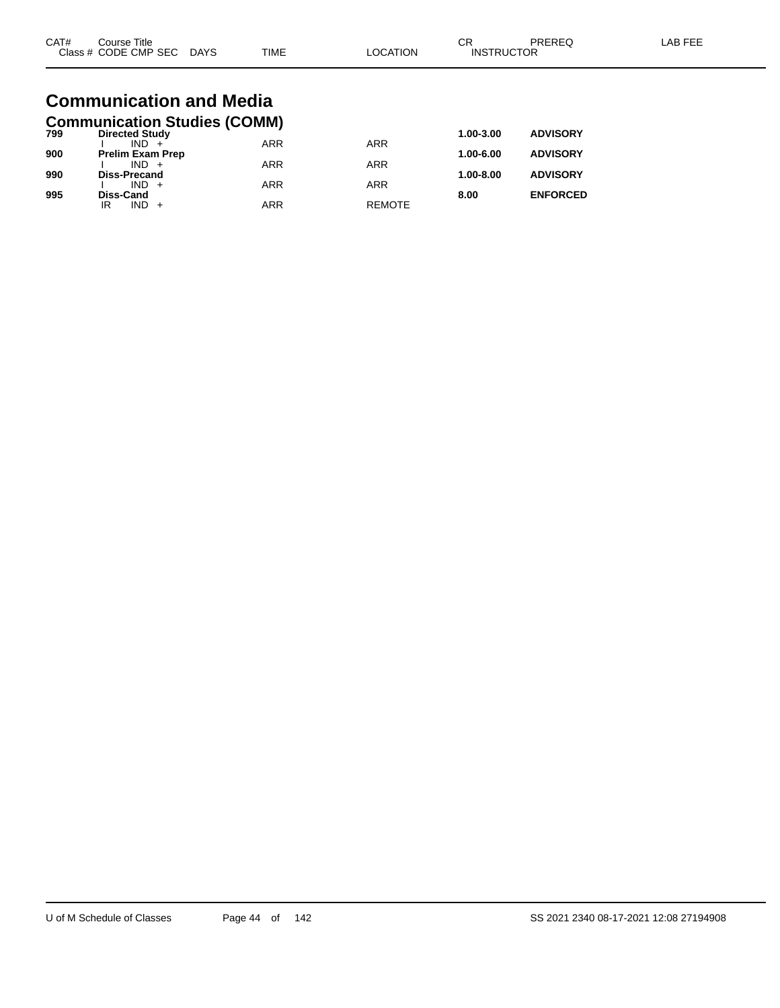| CAT#<br>⌒冖<br>PREREQ<br>Course Title<br>◡∩<br>Class # CODE CMP SEC<br><b>TIME</b><br><b>INSTRUCTOR</b><br><b>LOCATION</b><br><b>DAYS</b> | _AB FEF |
|------------------------------------------------------------------------------------------------------------------------------------------|---------|
|------------------------------------------------------------------------------------------------------------------------------------------|---------|

#### **Communication and Media Communication Studies (COMM)**

| 799 | <b>Directed Study</b>   |            |               | 1.00-3.00     | <b>ADVISORY</b> |
|-----|-------------------------|------------|---------------|---------------|-----------------|
|     | $IND +$                 | <b>ARR</b> | <b>ARR</b>    |               |                 |
| 900 | <b>Prelim Exam Prep</b> |            |               | 1.00-6.00     | <b>ADVISORY</b> |
|     | $IND +$                 | <b>ARR</b> | <b>ARR</b>    |               |                 |
| 990 | <b>Diss-Precand</b>     |            |               | $1.00 - 8.00$ | <b>ADVISORY</b> |
|     | $IND +$                 | <b>ARR</b> | <b>ARR</b>    |               |                 |
| 995 | Diss-Cand               |            |               | 8.00          | <b>ENFORCED</b> |
|     | $IND +$<br>ΙR           | ARR        | <b>REMOTE</b> |               |                 |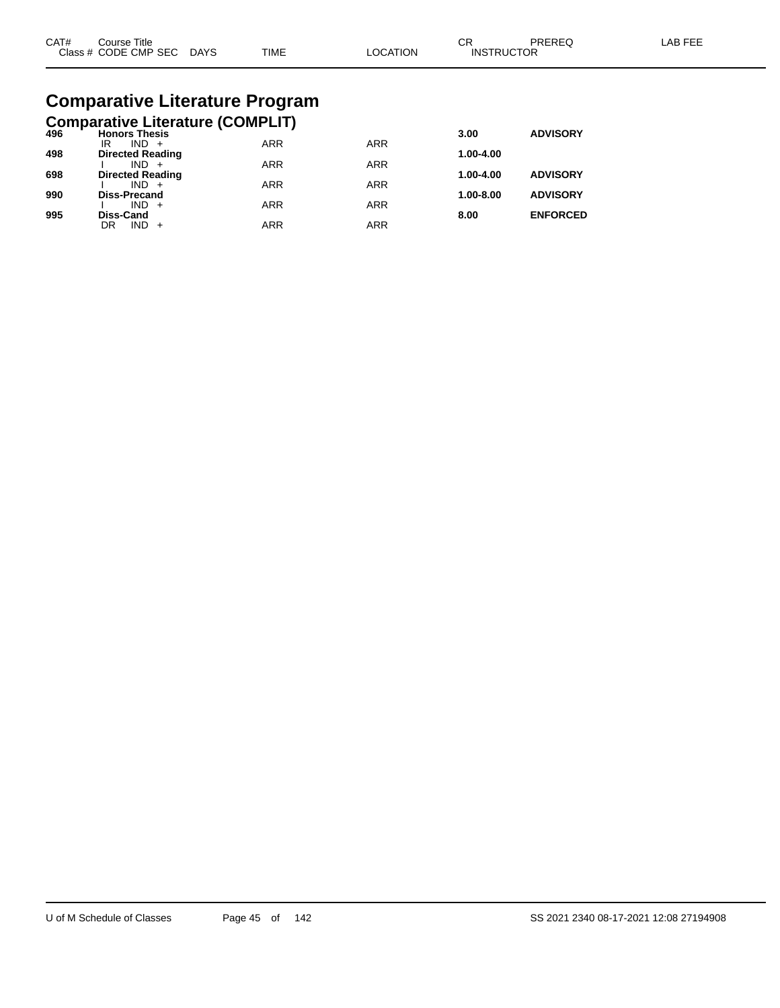| CAT# | Course Title         |             |             |         | СR                | PREREC | AB FFF |
|------|----------------------|-------------|-------------|---------|-------------------|--------|--------|
|      | Class # CODE CMP SEC | <b>DAYS</b> | <b>TIME</b> | OCATION | <b>INSTRUCTOR</b> |        |        |

## **Comparative Literature Program**

|  | <b>Comparative Literature (COMPLIT)</b> |  |
|--|-----------------------------------------|--|
|  |                                         |  |

| 496 | <b>Honors Thesis</b>               |            |            | 3.00      | <b>ADVISORY</b> |
|-----|------------------------------------|------------|------------|-----------|-----------------|
|     | $IND +$<br>IR                      | <b>ARR</b> | <b>ARR</b> |           |                 |
| 498 | <b>Directed Reading</b><br>$IND +$ | <b>ARR</b> | <b>ARR</b> | 1.00-4.00 |                 |
| 698 | <b>Directed Reading</b>            |            |            | 1.00-4.00 | <b>ADVISORY</b> |
|     | $IND +$                            | <b>ARR</b> | <b>ARR</b> |           |                 |
| 990 | <b>Diss-Precand</b>                |            |            | 1.00-8.00 | <b>ADVISORY</b> |
|     | $IND +$                            | <b>ARR</b> | <b>ARR</b> |           |                 |
| 995 | <b>Diss-Cand</b>                   |            |            | 8.00      | <b>ENFORCED</b> |
|     | $IND +$<br>DR                      | ARR        | ARR        |           |                 |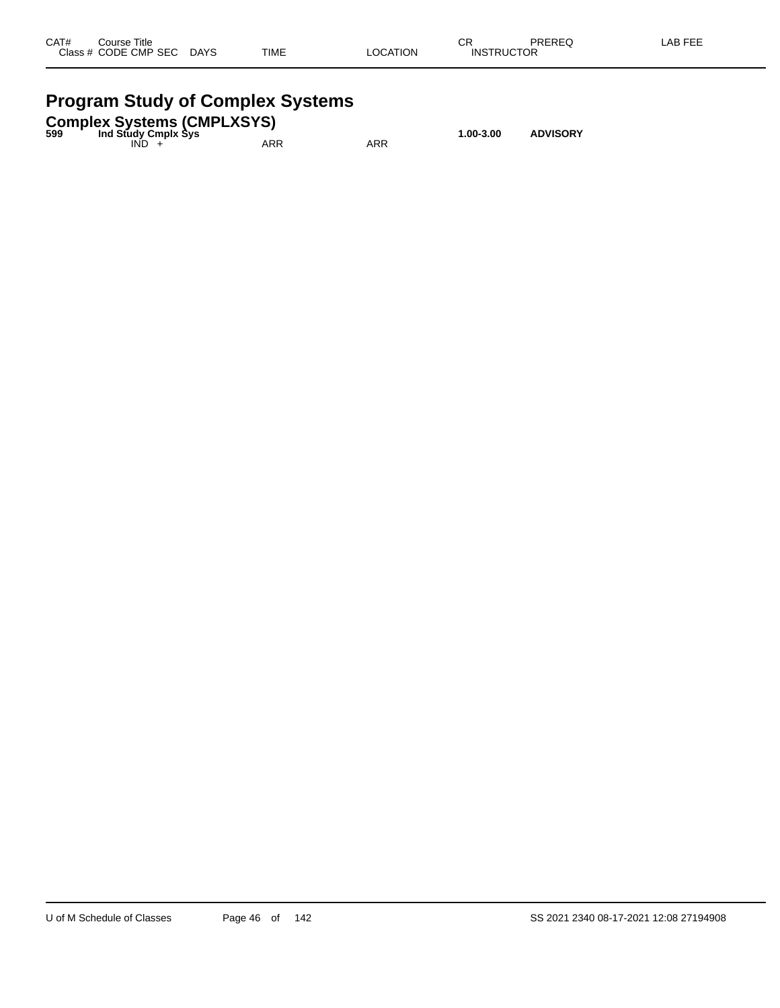| CAT#      | Title<br>Course     |             |             |                 | СR                                   | <b>DDEDEA</b> | AB FFF |
|-----------|---------------------|-------------|-------------|-----------------|--------------------------------------|---------------|--------|
| Class $#$ | <b>CODE CMP SEC</b> | <b>DAYS</b> | <b>TIME</b> | `ATION<br>_OCA` | <b>TDI ICTOD</b><br>INS <sup>-</sup> | UΚ            |        |
|           |                     |             |             |                 |                                      |               |        |

## **Program Study of Complex Systems**

| 599 | Ind Study Cmplx Sys | <b>Complex Systems (CMPLXSYS)</b> |     | 1.00-3.00 | <b>ADVISORY</b> |
|-----|---------------------|-----------------------------------|-----|-----------|-----------------|
|     | IND.                | ARR                               | ARR |           |                 |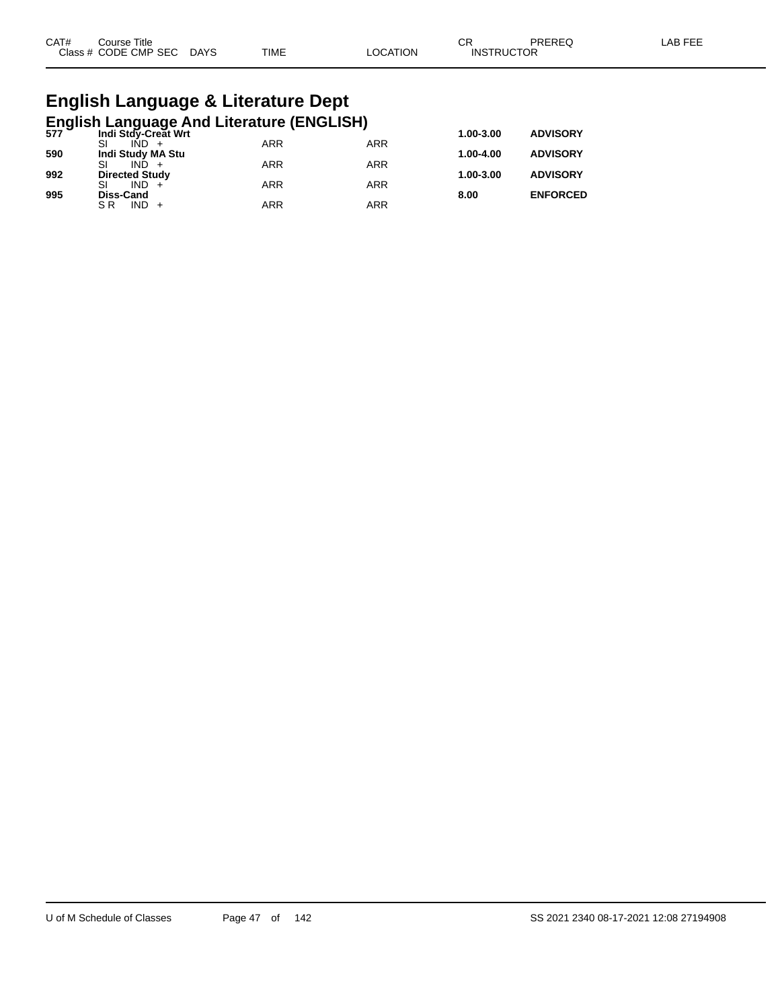| CAT# | ourse Titleٽ              |      |          | ⌒冖<br>◡ド          | PREREQ | LAB FEE |
|------|---------------------------|------|----------|-------------------|--------|---------|
|      | Class # CODE CMP SEC DAYS | TIME | LOCATION | <b>INSTRUCTOR</b> |        |         |

# **English Language & Literature Dept**

|     |                       | English Language And Literature (ENGLISH)<br>577 Indi Stdy-Creat Wrt |            |               |                 |
|-----|-----------------------|----------------------------------------------------------------------|------------|---------------|-----------------|
|     |                       |                                                                      |            | $1.00 - 3.00$ | <b>ADVISORY</b> |
|     |                       | <b>ARR</b>                                                           | <b>ARR</b> |               |                 |
| 590 | Indi Study MA Stu     |                                                                      |            | 1.00-4.00     | <b>ADVISORY</b> |
|     | SI                    | <b>ARR</b>                                                           | <b>ARR</b> |               |                 |
| 992 | <b>Directed Study</b> |                                                                      |            | 1.00-3.00     | <b>ADVISORY</b> |
|     | $IND +$               | <b>ARR</b>                                                           | <b>ARR</b> |               |                 |
| 995 | <b>Diss-Cand</b>      |                                                                      |            | 8.00          | <b>ENFORCED</b> |
|     | $IND +$<br>S R        | <b>ARR</b>                                                           | ARR        |               |                 |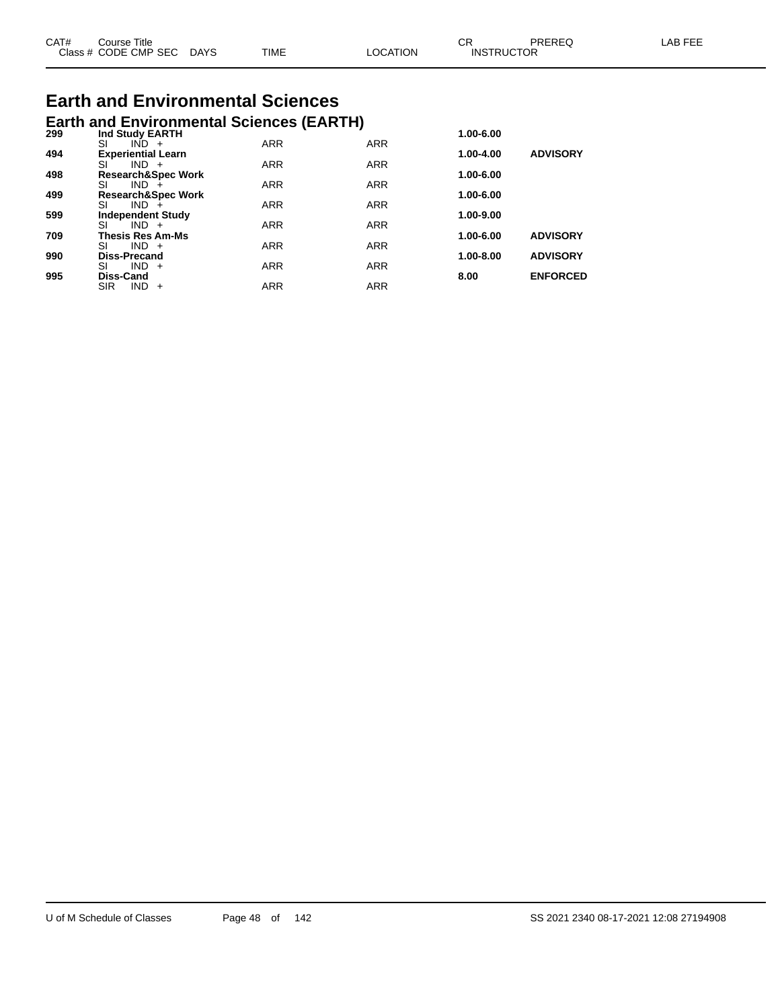| CAT# | Course Title              |      |          | ∪κ                | PREREQ | LAB FEE |
|------|---------------------------|------|----------|-------------------|--------|---------|
|      | Class # CODE CMP SEC DAYS | TIME | ∟OCATION | <b>INSTRUCTOR</b> |        |         |

# **Earth and Environmental Sciences**

|     | <b>Earth and Environmental Sciences (EARTH)</b> |            |            |               |                 |
|-----|-------------------------------------------------|------------|------------|---------------|-----------------|
| 299 | Ind Study EARTH<br>SI<br>$IND +$                | <b>ARR</b> | <b>ARR</b> | 1.00-6.00     |                 |
| 494 | <b>Experiential Learn</b>                       |            |            | $1.00 - 4.00$ | <b>ADVISORY</b> |
| 498 | SI<br>$IND +$<br><b>Research&amp;Spec Work</b>  | <b>ARR</b> | <b>ARR</b> | 1.00-6.00     |                 |
|     | SI<br>$IND +$                                   | <b>ARR</b> | <b>ARR</b> |               |                 |
| 499 | <b>Research&amp;Spec Work</b><br>SI<br>$IND +$  | <b>ARR</b> | <b>ARR</b> | 1.00-6.00     |                 |
| 599 | <b>Independent Study</b>                        |            |            | 1.00-9.00     |                 |
|     | $IND +$<br>SI                                   | <b>ARR</b> | <b>ARR</b> |               |                 |
| 709 | <b>Thesis Res Am-Ms</b><br>SI<br>$IND +$        | <b>ARR</b> | <b>ARR</b> | $1.00 - 6.00$ | <b>ADVISORY</b> |
| 990 | <b>Diss-Precand</b>                             |            |            | 1.00-8.00     | <b>ADVISORY</b> |
| 995 | $IND +$<br>SI<br><b>Diss-Cand</b>               | <b>ARR</b> | <b>ARR</b> | 8.00          | <b>ENFORCED</b> |
|     | <b>SIR</b><br><b>IND</b><br>$+$                 | <b>ARR</b> | <b>ARR</b> |               |                 |
|     |                                                 |            |            |               |                 |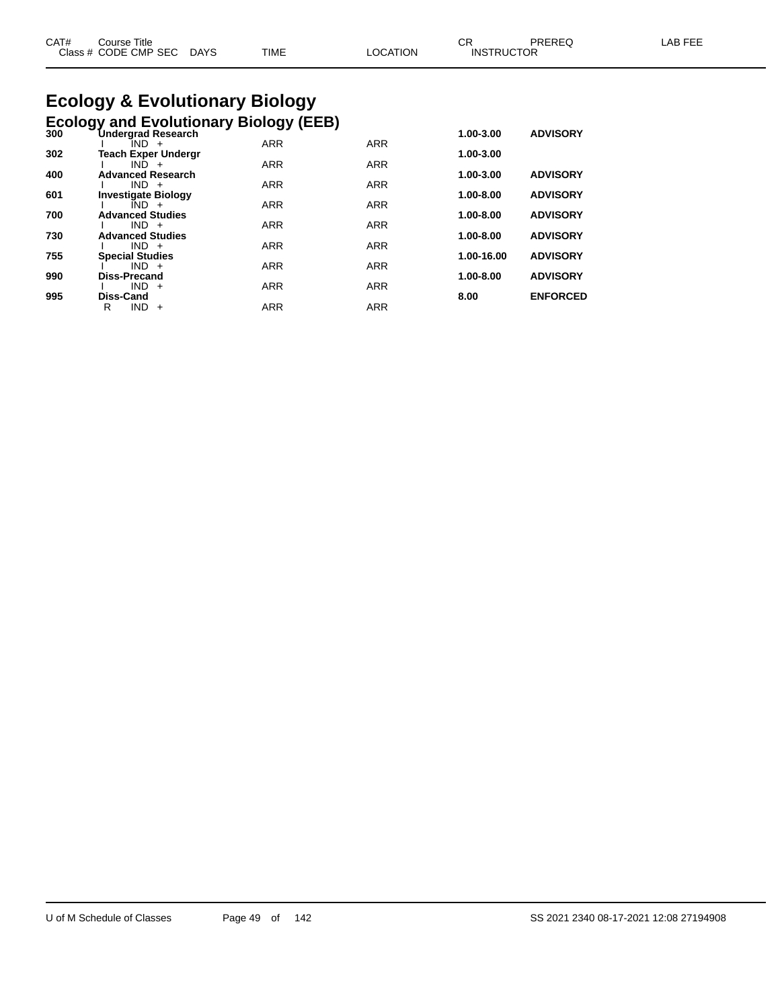| CAT# | ourse Titleٽ              |             |                 | ∼י<br>◡┍          | PREREQ | LAB FEE |
|------|---------------------------|-------------|-----------------|-------------------|--------|---------|
|      | Class # CODE CMP SEC DAYS | <b>TIME</b> | <b>LOCATION</b> | <b>INSTRUCTOR</b> |        |         |

# **Ecology & Evolutionary Biology**

|     | <b>Ecology and Evolutionary Biology (EEB)</b> |            |            |            |                 |
|-----|-----------------------------------------------|------------|------------|------------|-----------------|
| 300 | <b>Undergrad Research</b><br>IND +            | <b>ARR</b> | <b>ARR</b> | 1.00-3.00  | <b>ADVISORY</b> |
| 302 | <b>Teach Exper Undergr</b>                    |            |            | 1.00-3.00  |                 |
|     | $IND +$                                       | <b>ARR</b> | <b>ARR</b> |            |                 |
| 400 | <b>Advanced Research</b><br>$IND +$           | <b>ARR</b> | <b>ARR</b> | 1.00-3.00  | <b>ADVISORY</b> |
| 601 | <b>Investigate Biology</b>                    |            |            | 1.00-8.00  | <b>ADVISORY</b> |
|     | $IND +$                                       | <b>ARR</b> | <b>ARR</b> |            |                 |
| 700 | <b>Advanced Studies</b><br>$IND +$            | <b>ARR</b> | <b>ARR</b> | 1.00-8.00  | <b>ADVISORY</b> |
| 730 | <b>Advanced Studies</b>                       |            |            | 1.00-8.00  | <b>ADVISORY</b> |
|     | $IND +$                                       | <b>ARR</b> | <b>ARR</b> |            |                 |
| 755 | <b>Special Studies</b><br>$IND +$             | <b>ARR</b> | <b>ARR</b> | 1.00-16.00 | <b>ADVISORY</b> |
| 990 | <b>Diss-Precand</b>                           |            |            | 1.00-8.00  | <b>ADVISORY</b> |
|     | $IND +$                                       | <b>ARR</b> | <b>ARR</b> |            |                 |
| 995 | <b>Diss-Cand</b>                              |            |            | 8.00       | <b>ENFORCED</b> |
|     | R<br><b>IND</b><br>$+$                        | <b>ARR</b> | <b>ARR</b> |            |                 |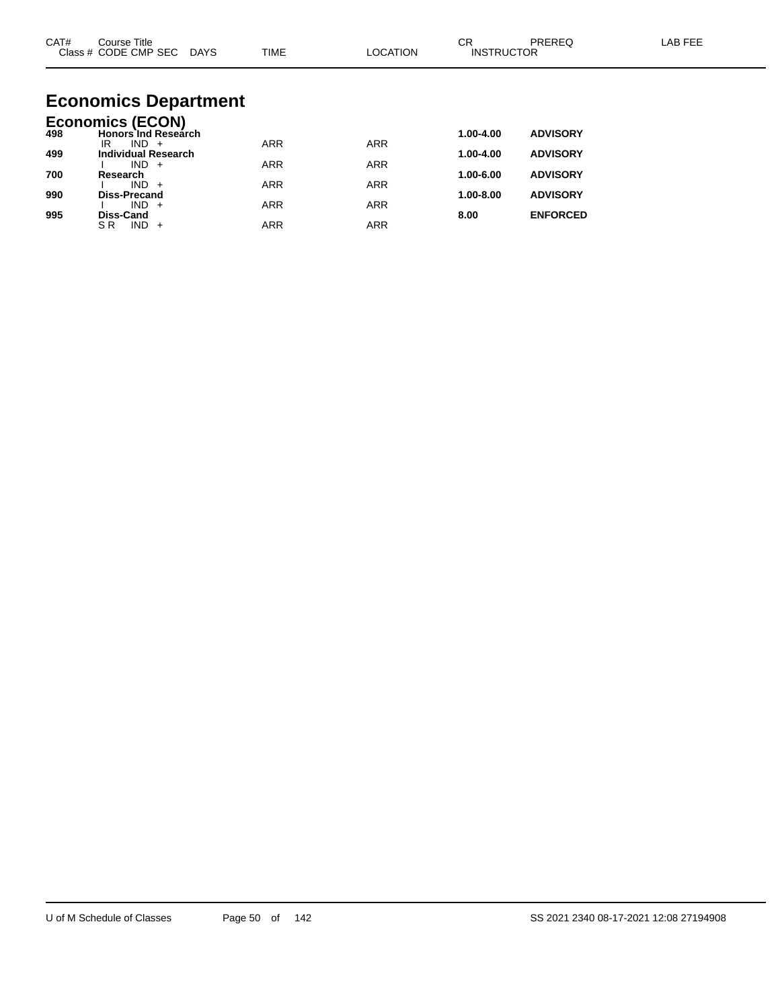| CAT#       | Course Title<br>Class # CODE CMP SEC DAYS                        | <b>TIME</b> | <b>LOCATION</b> | <b>CR</b><br><b>INSTRUCTOR</b> | <b>PREREQ</b>                      | LAB FEE |
|------------|------------------------------------------------------------------|-------------|-----------------|--------------------------------|------------------------------------|---------|
|            | <b>Economics Department</b>                                      |             |                 |                                |                                    |         |
| 498        | <b>Economics (ECON)</b><br><b>Honors Ind Research</b><br>$IND +$ | <b>ARR</b>  | <b>ARR</b>      | 1.00-4.00                      | <b>ADVISORY</b>                    |         |
| 499        | IR.<br><b>Individual Research</b><br>$IND +$                     | <b>ARR</b>  | <b>ARR</b>      | 1.00-4.00                      | <b>ADVISORY</b>                    |         |
| 700        | Research<br>$IND +$                                              | <b>ARR</b>  | <b>ARR</b>      | 1.00-6.00                      | <b>ADVISORY</b>                    |         |
| 990<br>995 | <b>Diss-Precand</b><br>$IND +$<br>Diss-Cand                      | <b>ARR</b>  | <b>ARR</b>      | 1.00-8.00<br>8.00              | <b>ADVISORY</b><br><b>ENFORCED</b> |         |

SR IND + ARR ARR ARR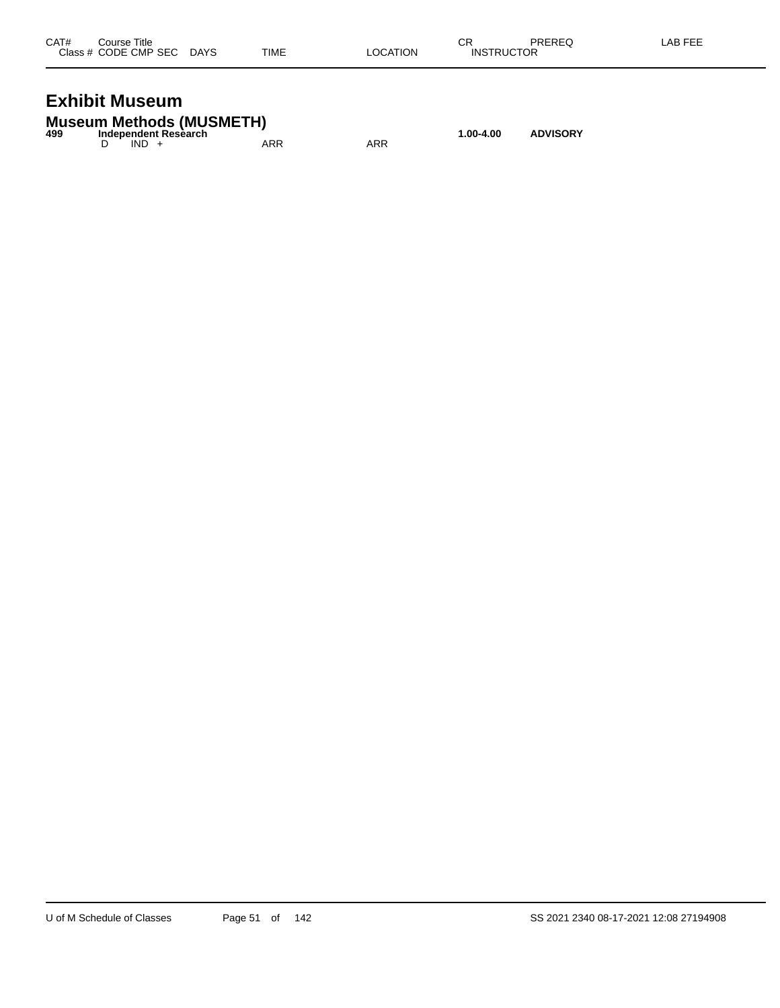| CAT# | Course Title              |      |          | СR                | PREREQ | LAB FEE |
|------|---------------------------|------|----------|-------------------|--------|---------|
|      | Class # CODE CMP SEC DAYS | TIME | LOCATION | <b>INSTRUCTOR</b> |        |         |
|      |                           |      |          |                   |        |         |

### **Exhibit Museum**

|     | <b>Museum Methods (MUSMETH)</b> |     |     |           |                 |
|-----|---------------------------------|-----|-----|-----------|-----------------|
| 499 | Independent Research            |     |     | 1.00-4.00 | <b>ADVISORY</b> |
|     | $IND +$                         | ARR | ARR |           |                 |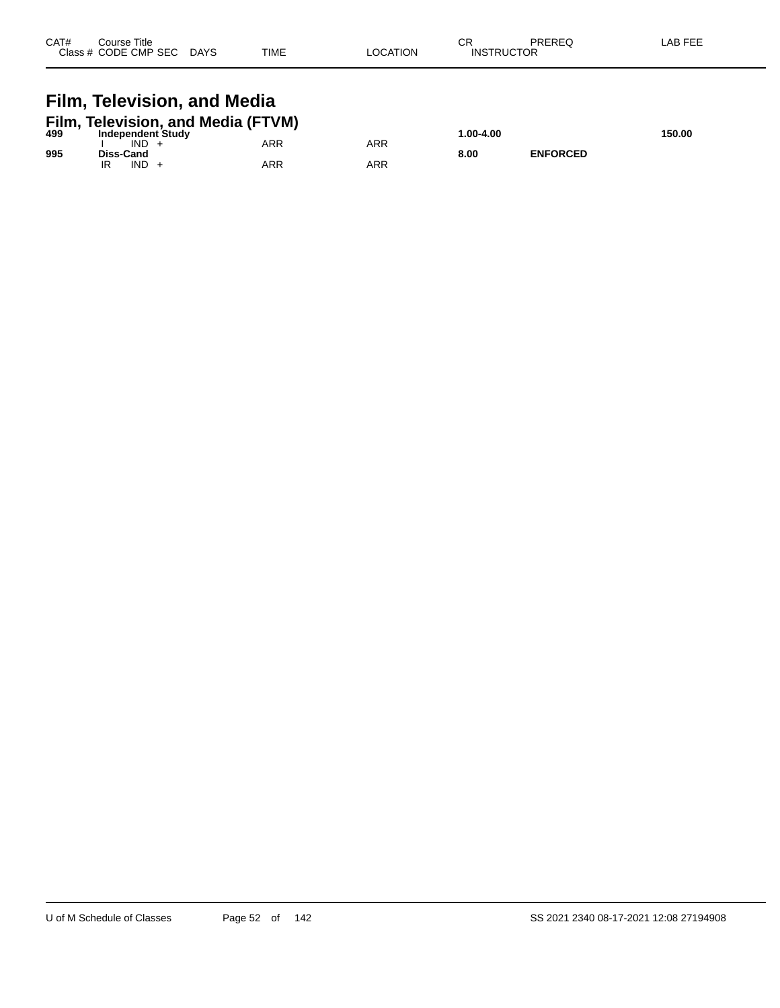| CAT# | Course Title<br>Class # CODE CMP SEC | <b>DAYS</b> | <b>TIME</b> | <b>OCATION</b> | СR<br><b>INSTRUCTOR</b> | PREREQ | AB FEE |
|------|--------------------------------------|-------------|-------------|----------------|-------------------------|--------|--------|
|      |                                      |             |             |                |                         |        |        |

## **Film, Television, and Media**

| 499 | Film, Television, and Media (FTVM)<br>Independent Study |     |     | 00-4.00. ا |                 | 150.00 |
|-----|---------------------------------------------------------|-----|-----|------------|-----------------|--------|
|     | IND                                                     | ARR | ARR |            |                 |        |
| 995 | Diss-Cand<br><b>IND</b>                                 | ARR | ARR | 8.00       | <b>ENFORCED</b> |        |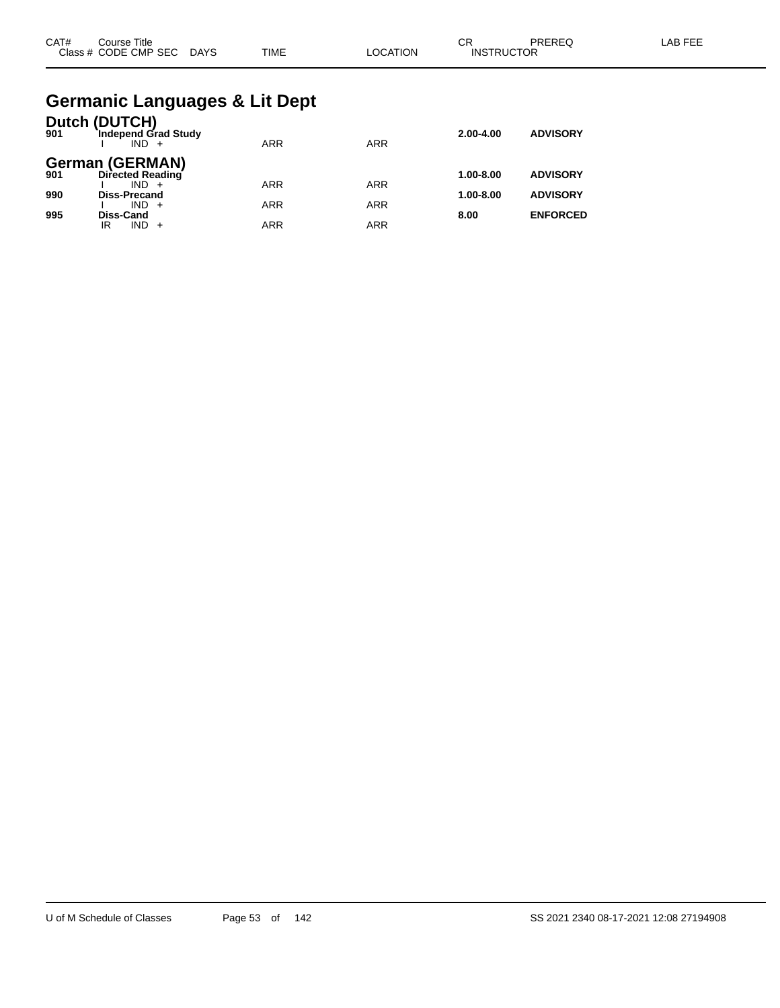| CAT# | Title<br>Course      |             |             |                | ~-<br>ັບເ         | PREREC | AR EEI |
|------|----------------------|-------------|-------------|----------------|-------------------|--------|--------|
|      | Class # CODE CMP SEC | <b>DAYS</b> | <b>TIME</b> | <b>OCATION</b> | <b>INSTRUCTOR</b> |        |        |

#### **Germanic Languages & Lit Dept**

| 901 | Dutch (DUTCH)<br>Independ Grad Study<br>$IND +$ | <b>ARR</b> | <b>ARR</b> | $2.00 - 4.00$ | <b>ADVISORY</b> |
|-----|-------------------------------------------------|------------|------------|---------------|-----------------|
| 901 | <b>German (GERMAN)</b><br>Directed Reading      |            |            | $1.00 - 8.00$ | <b>ADVISORY</b> |
| 990 | $IND +$<br><b>Diss-Precand</b>                  | <b>ARR</b> | <b>ARR</b> | $1.00 - 8.00$ | <b>ADVISORY</b> |
| 995 | $IND +$<br>Diss-Cand                            | <b>ARR</b> | <b>ARR</b> | 8.00          | <b>ENFORCED</b> |
|     | IND.<br>IR                                      | <b>ARR</b> | ARR        |               |                 |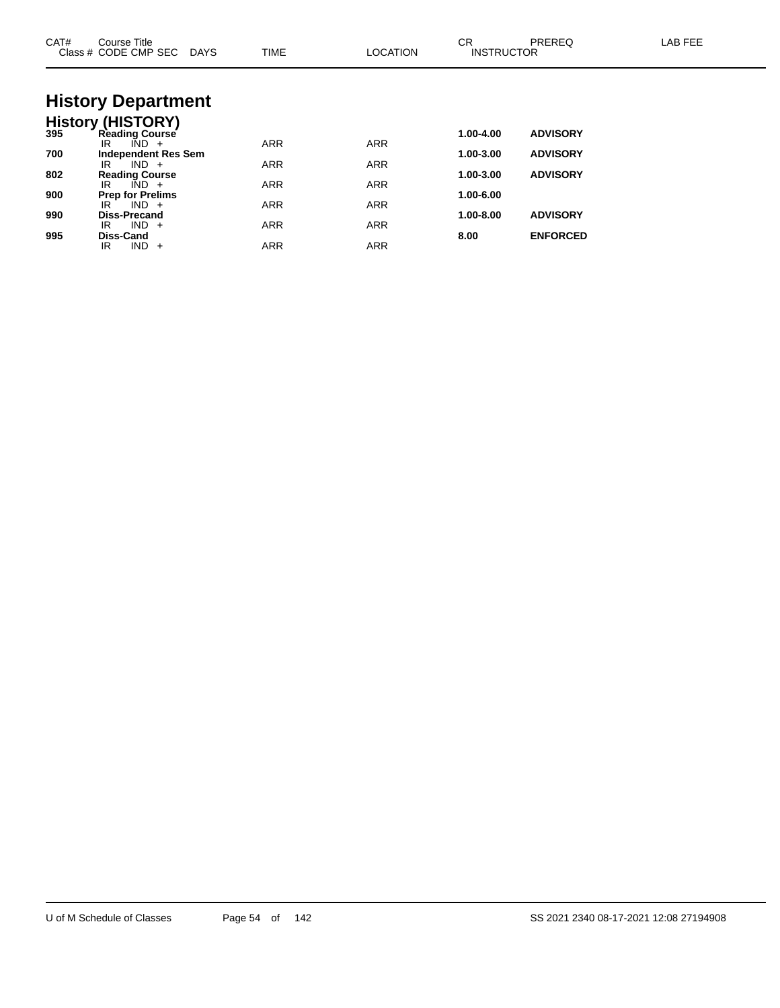| CAT# | Course Title<br>Class # CODE CMP SEC DAYS              | <b>TIME</b> | <b>LOCATION</b> | <b>CR</b><br><b>INSTRUCTOR</b> | PREREQ          | LAB FEE |
|------|--------------------------------------------------------|-------------|-----------------|--------------------------------|-----------------|---------|
|      | <b>History Department</b>                              |             |                 |                                |                 |         |
|      |                                                        |             |                 |                                |                 |         |
|      | <b>History (HISTORY)</b><br>395 Reading Course         |             |                 | 1.00-4.00                      | <b>ADVISORY</b> |         |
| 700  | $\overline{IND}$ +<br>IR<br><b>Independent Res Sem</b> | <b>ARR</b>  | <b>ARR</b>      | 1.00-3.00                      | <b>ADVISORY</b> |         |
|      | $IND +$<br>IR                                          | <b>ARR</b>  | <b>ARR</b>      |                                |                 |         |
| 802  | <b>Reading Course</b>                                  |             |                 | 1.00-3.00                      | <b>ADVISORY</b> |         |
| 900  | $\overline{IND}$ +<br>IR<br><b>Prep for Prelims</b>    | <b>ARR</b>  | <b>ARR</b>      | 1.00-6.00                      |                 |         |
|      | $IND +$<br>IR                                          | <b>ARR</b>  | <b>ARR</b>      |                                |                 |         |
| 990  | <b>Diss-Precand</b>                                    |             |                 | 1.00-8.00                      | <b>ADVISORY</b> |         |
| 995  | $IND +$<br>IR<br>Diss-Cand                             | <b>ARR</b>  | <b>ARR</b>      | 8.00                           | <b>ENFORCED</b> |         |
|      | $IND +$<br>IR.                                         | <b>ARR</b>  | <b>ARR</b>      |                                |                 |         |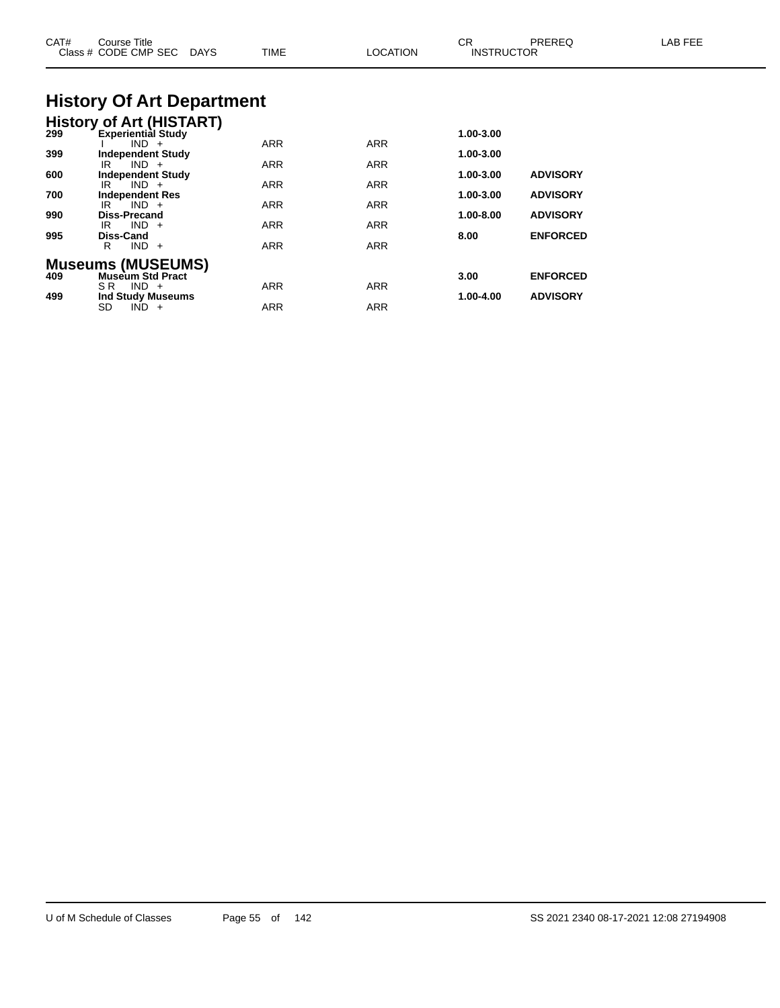| CAT#       | Course Title<br>Class # CODE CMP SEC<br><b>DAYS</b>                              | TIME                     | <b>LOCATION</b>          | CR<br><b>INSTRUCTOR</b> | PREREQ                             | LAB FEE |
|------------|----------------------------------------------------------------------------------|--------------------------|--------------------------|-------------------------|------------------------------------|---------|
|            | <b>History Of Art Department</b>                                                 |                          |                          |                         |                                    |         |
|            | <b>History of Art (HISTART)</b><br>299 Experiential Study<br>$IND +$             | <b>ARR</b>               | <b>ARR</b>               | 1.00-3.00               |                                    |         |
| 399<br>600 | <b>Independent Study</b><br>$IND +$<br>IR.<br><b>Independent Study</b>           | ARR                      | ARR                      | 1.00-3.00<br>1.00-3.00  | <b>ADVISORY</b>                    |         |
| 700<br>990 | $IND +$<br>IR<br><b>Independent Res</b><br>$IND +$<br>IR.<br><b>Diss-Precand</b> | ARR<br>ARR               | ARR<br><b>ARR</b>        | 1.00-3.00<br>1.00-8.00  | <b>ADVISORY</b><br><b>ADVISORY</b> |         |
| 995        | $IND +$<br>IR<br><b>Diss-Cand</b><br>$IND +$<br>R                                | <b>ARR</b><br><b>ARR</b> | <b>ARR</b><br><b>ARR</b> | 8.00                    | <b>ENFORCED</b>                    |         |
| 409        | <b>Museums (MUSEUMS)</b><br><b>Museum Std Pract</b>                              |                          |                          | 3.00                    | <b>ENFORCED</b>                    |         |
| 499        | $SR$ $IND +$<br><b>Ind Study Museums</b><br>SD<br>$IND +$                        | <b>ARR</b><br>ARR        | <b>ARR</b><br><b>ARR</b> | 1.00-4.00               | <b>ADVISORY</b>                    |         |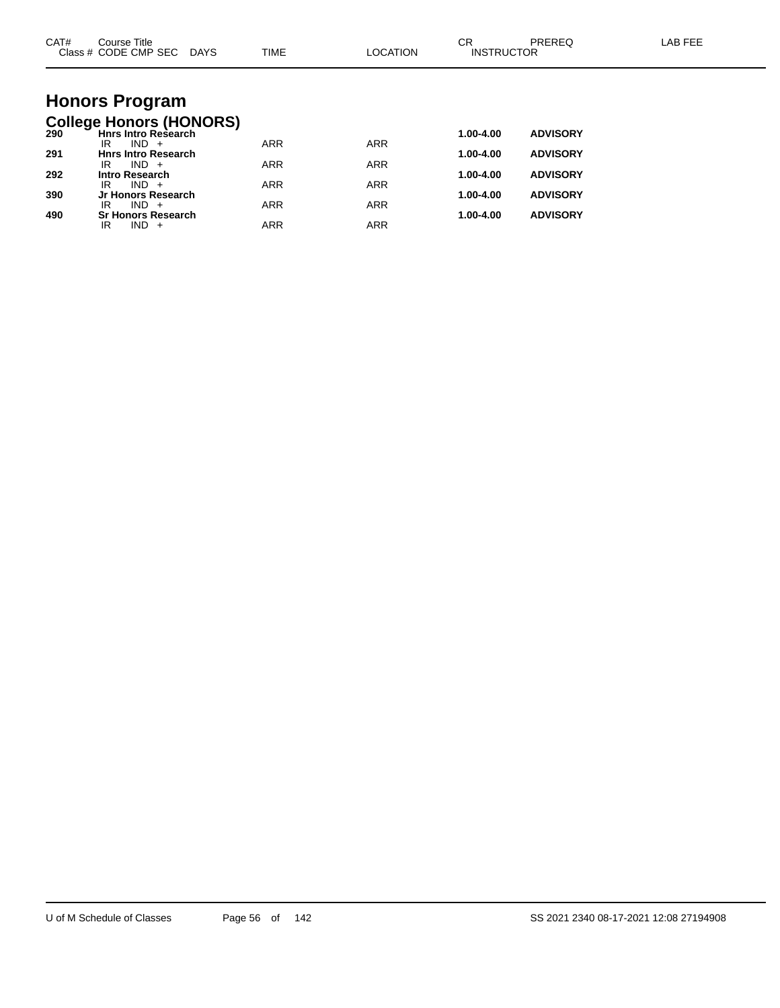| CAT# | Course Title<br>Class # CODE CMP SEC DAYS                    | TIME       | <b>LOCATION</b> | <b>CR</b><br><b>INSTRUCTOR</b> | PREREQ          | <b>LAB FEE</b> |
|------|--------------------------------------------------------------|------------|-----------------|--------------------------------|-----------------|----------------|
|      |                                                              |            |                 |                                |                 |                |
|      | <b>Honors Program</b>                                        |            |                 |                                |                 |                |
| 290  | <b>College Honors (HONORS)</b><br><b>Hnrs Intro Research</b> |            |                 | 1.00-4.00                      | <b>ADVISORY</b> |                |
| 291  | $IND +$<br>IR<br><b>Hnrs Intro Research</b>                  | <b>ARR</b> | <b>ARR</b>      | 1.00-4.00                      | <b>ADVISORY</b> |                |
| 292  | $IND +$<br>IR<br><b>Intro Research</b>                       | <b>ARR</b> | <b>ARR</b>      | 1.00-4.00                      | <b>ADVISORY</b> |                |
|      | $IND +$<br>IR                                                | <b>ARR</b> | <b>ARR</b>      |                                |                 |                |
| 390  | Jr Honors Research<br>$IND +$<br>IR                          | <b>ARR</b> | <b>ARR</b>      | 1.00-4.00                      | <b>ADVISORY</b> |                |
| 490  | <b>Sr Honors Research</b><br>$IND +$<br>IR                   | <b>ARR</b> | <b>ARR</b>      | 1.00-4.00                      | <b>ADVISORY</b> |                |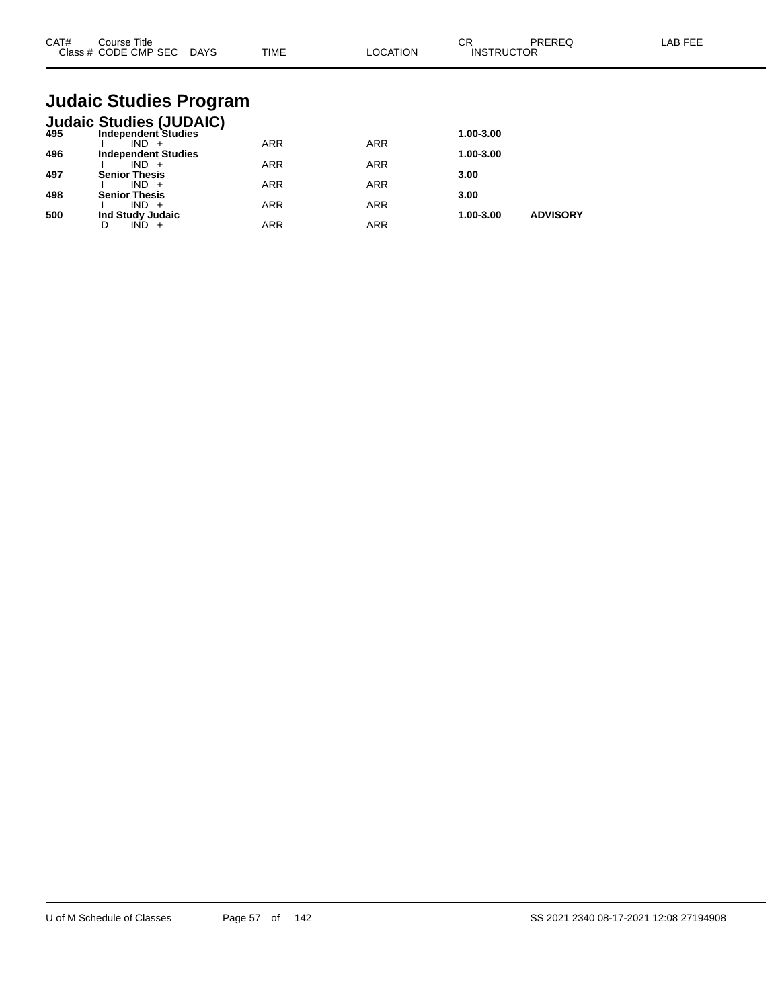| CAT# | Course Title<br>Class # CODE CMP SEC | <b>DAYS</b> | <b>TIME</b> | LOCATION | oπ<br>◡<br><b>INSTRUCTOR</b> | PREREQ | <b>AB FEF</b> |
|------|--------------------------------------|-------------|-------------|----------|------------------------------|--------|---------------|
|      |                                      |             |             |          |                              |        |               |

## **Judaic Studies Program**

|     | <b>Judaic Studies (JUDAIC)</b> |     |            |           |                 |
|-----|--------------------------------|-----|------------|-----------|-----------------|
| 495 | <b>Independent Studies</b>     |     |            | 1.00-3.00 |                 |
|     | IND.                           | ARR | <b>ARR</b> |           |                 |
| 496 | <b>Independent Studies</b>     |     |            | 1.00-3.00 |                 |
|     | $IND +$                        | ARR | <b>ARR</b> |           |                 |
| 497 | <b>Senior Thesis</b>           |     |            | 3.00      |                 |
|     | $IND +$                        | ARR | <b>ARR</b> |           |                 |
| 498 | <b>Senior Thesis</b>           |     |            | 3.00      |                 |
|     | $IND +$                        | ARR | <b>ARR</b> |           |                 |
| 500 | Ind Study Judaic               |     |            | 1.00-3.00 | <b>ADVISORY</b> |
|     |                                | ARR | <b>ARR</b> |           |                 |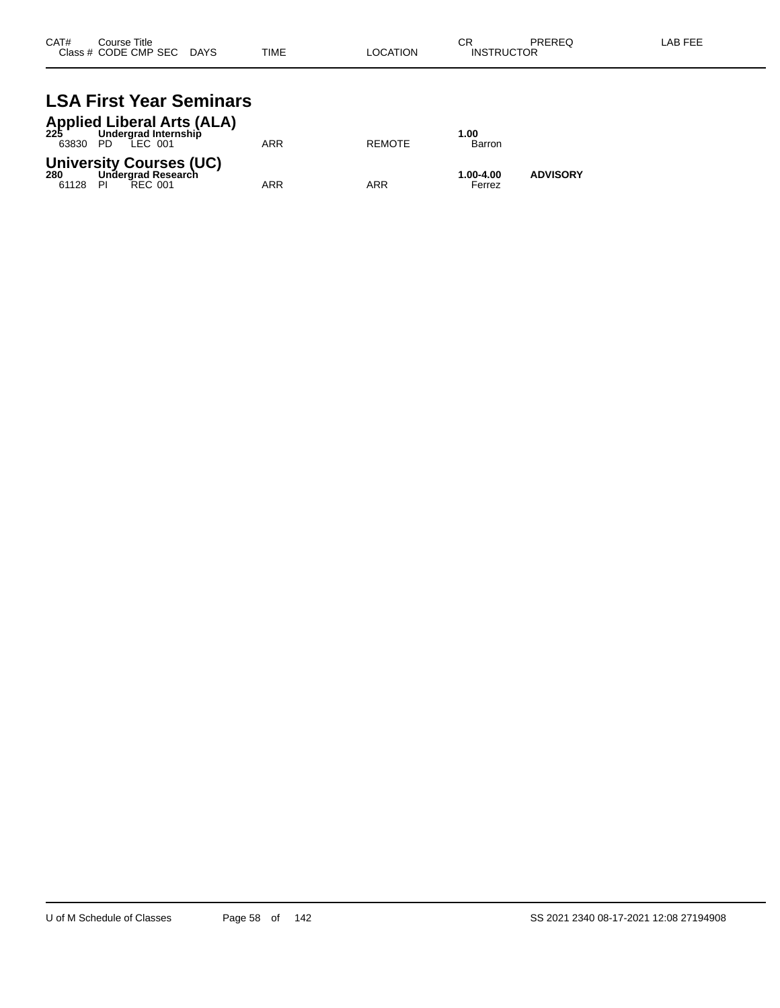| CAT# | Course Title              |             |          | СR                | PREREQ | LAB FEE |
|------|---------------------------|-------------|----------|-------------------|--------|---------|
|      | Class # CODE CMP SEC DAYS | <b>TIME</b> | LOCATION | <b>INSTRUCTOR</b> |        |         |

## **LSA First Year Seminars**

|                 | <b>Applied Liberal Arts (ALA)</b><br>225 Undergrad Internship<br>63830 PD LEC 001 | ARR | <b>REMOTE</b> | 1.00<br>Barron      |                 |
|-----------------|-----------------------------------------------------------------------------------|-----|---------------|---------------------|-----------------|
| 280<br>61128 PI | <b>University Courses (UC)</b><br>Undergrad Research<br>REC 001                   | ARR | ARR           | 1.00-4.00<br>Ferrez | <b>ADVISORY</b> |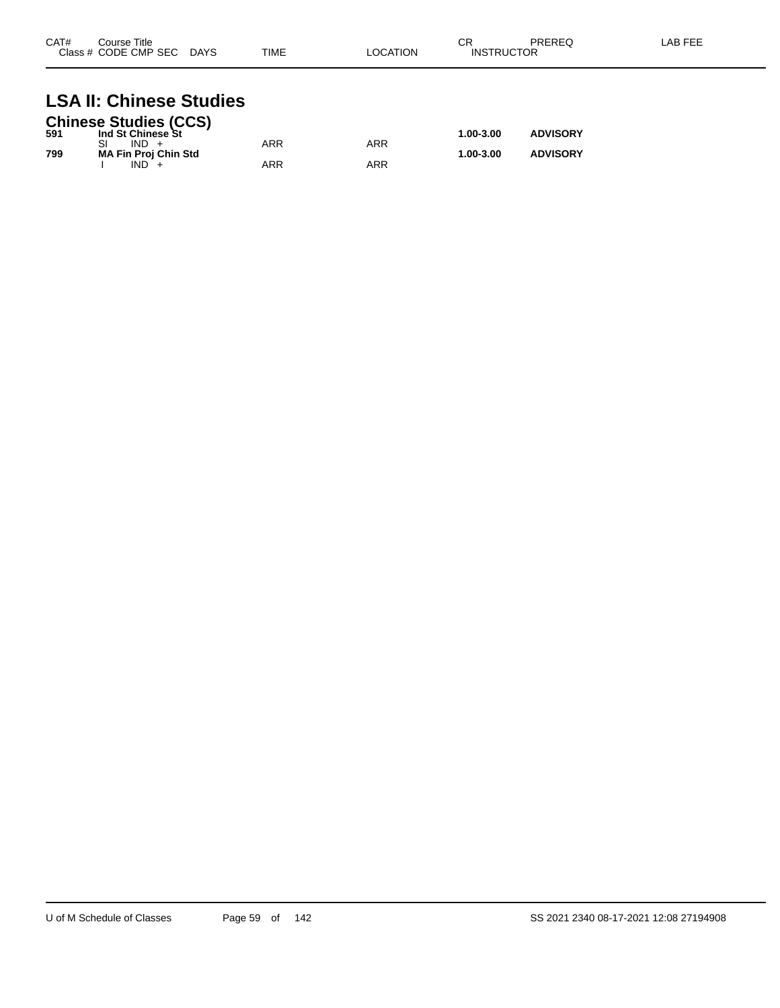| CAT#<br>Course Title<br>Class # CODE CMP SEC | <b>DAYS</b> | <b>TIME</b> | <b>LOCATION</b> | СR<br>ICTOR<br>INSTRI | PREREQ | LAB FEF |
|----------------------------------------------|-------------|-------------|-----------------|-----------------------|--------|---------|
|                                              |             |             |                 |                       |        |         |

## **LSA II: Chinese Studies**

|     | <b>Chinese Studies (CCS)</b> |     |     |           |                 |
|-----|------------------------------|-----|-----|-----------|-----------------|
| 591 | Ind St Chinese St            |     |     | 1.00-3.00 | <b>ADVISORY</b> |
|     | $IND +$                      | ARR | ARR |           |                 |
| 799 | <b>MA Fin Proj Chin Std</b>  |     |     | 1.00-3.00 | <b>ADVISORY</b> |
|     | $IND +$                      | ARR | ARR |           |                 |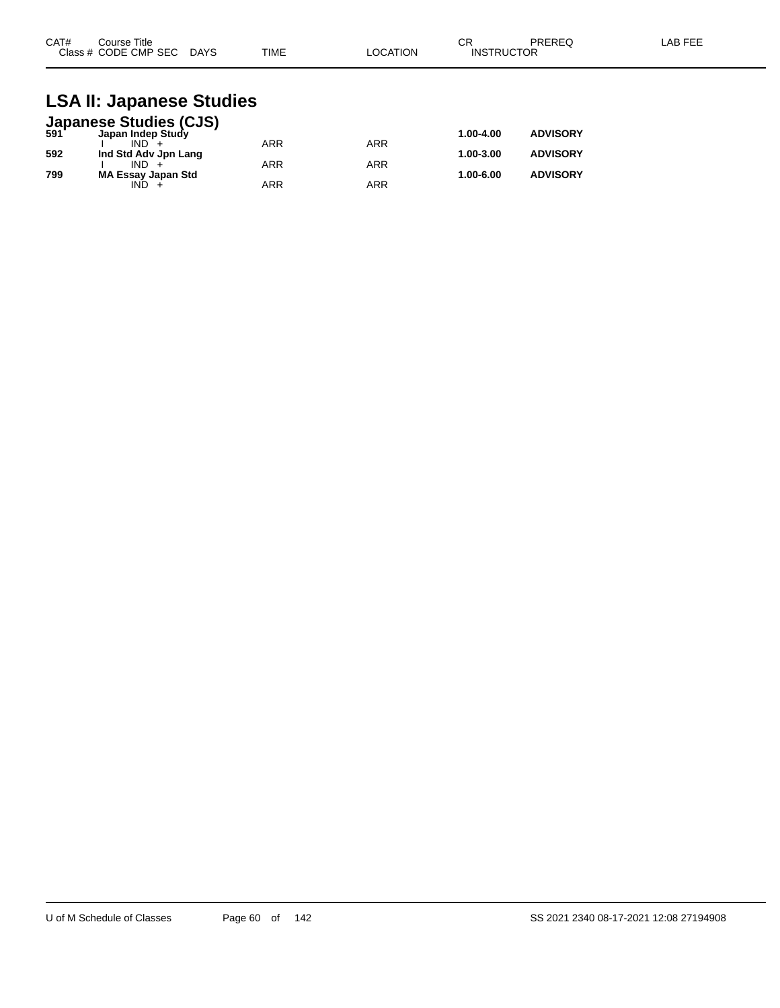| CAT#<br>Course Title      |             | ⌒冖<br>◡┍ |                   | PREREQ | LAB FEE |
|---------------------------|-------------|----------|-------------------|--------|---------|
| Class # CODE CMP SEC DAYS | <b>TIME</b> | LOCATION | <b>INSTRUCTOR</b> |        |         |

#### **LSA II: Japanese Studies**

|     | <b>Japanese Studies (CJS)</b><br>591 Japan Indep Study |            |            |           |                 |
|-----|--------------------------------------------------------|------------|------------|-----------|-----------------|
|     |                                                        |            |            | 1.00-4.00 | <b>ADVISORY</b> |
|     | $IND +$                                                | <b>ARR</b> | ARR        |           |                 |
| 592 | Ind Std Adv Jpn Lang                                   |            |            | 1.00-3.00 | <b>ADVISORY</b> |
|     | $IND +$                                                | <b>ARR</b> | <b>ARR</b> |           |                 |
| 799 | <b>MA Essay Japan Std</b>                              |            |            | 1.00-6.00 | <b>ADVISORY</b> |
|     | IND.                                                   | <b>ARR</b> | ARR        |           |                 |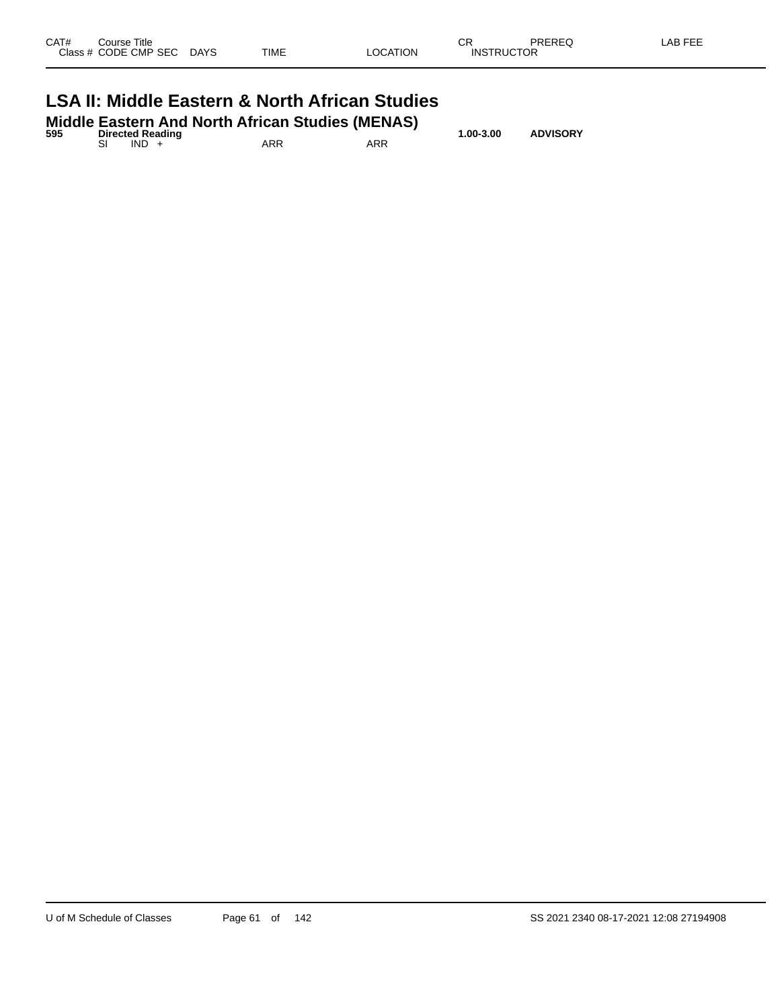| Class # CODE CMP SEC DAYS                                 |  | TIME | LOCATION | <b>INSTRUCTOR</b> |  |  |  |  |
|-----------------------------------------------------------|--|------|----------|-------------------|--|--|--|--|
| <b>LSA II: Middle Eastern &amp; North African Studies</b> |  |      |          |                   |  |  |  |  |

| 595 | <b>Directed Reading</b> |         | <b>Middle Eastern And North African Studies (MENAS)</b> | 1.00-3.00 | <b>ADVISORY</b> |  |  |
|-----|-------------------------|---------|---------------------------------------------------------|-----------|-----------------|--|--|
|     |                         | $IND +$ | ARR                                                     | ARR       |                 |  |  |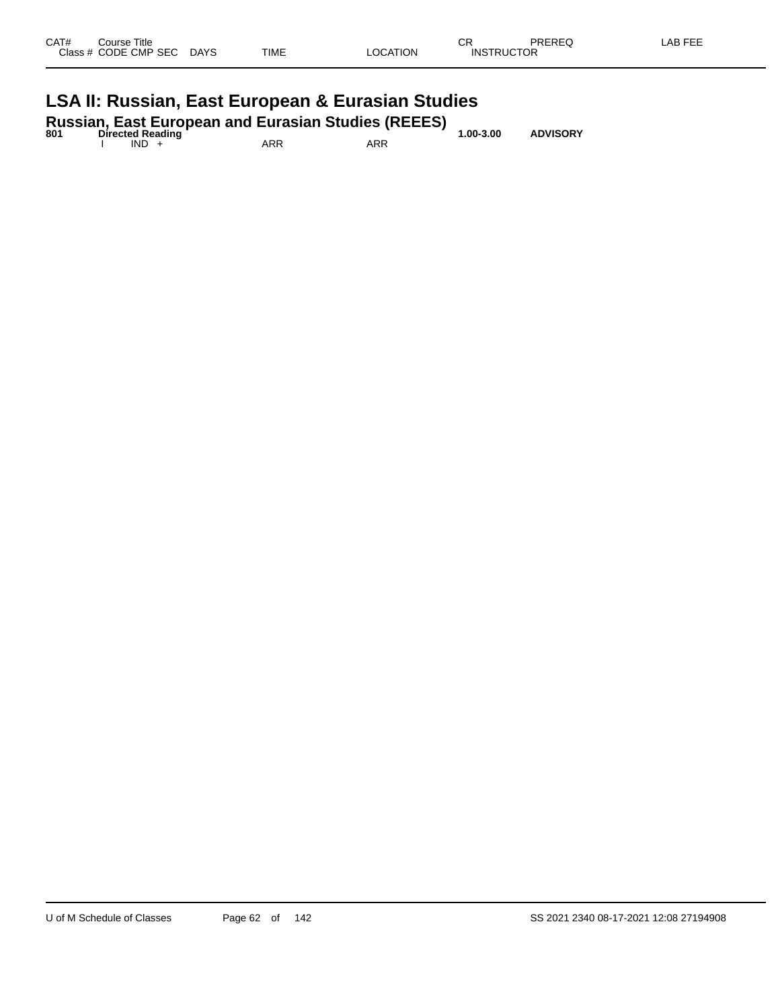| CAT#<br>Course Title<br>Class # CODE CMP SEC | <b>DAYS</b> | TIME | LOCATION | СR<br><b>INSTRUCTOR</b> | PREREQ | LAB FEE |
|----------------------------------------------|-------------|------|----------|-------------------------|--------|---------|
| .                                            | $\sim$      | - -  | - -      |                         |        |         |

#### **LSA II: Russian, East European & Eurasian Studies**

| 801 |         | <b>Directed Reading</b> |     | <b>Russian, East European and Eurasian Studies (REEES)</b> | $1.00 - 3.00$ | <b>ADVISORY</b> |
|-----|---------|-------------------------|-----|------------------------------------------------------------|---------------|-----------------|
|     | $IND +$ |                         | ARR | ARR                                                        |               |                 |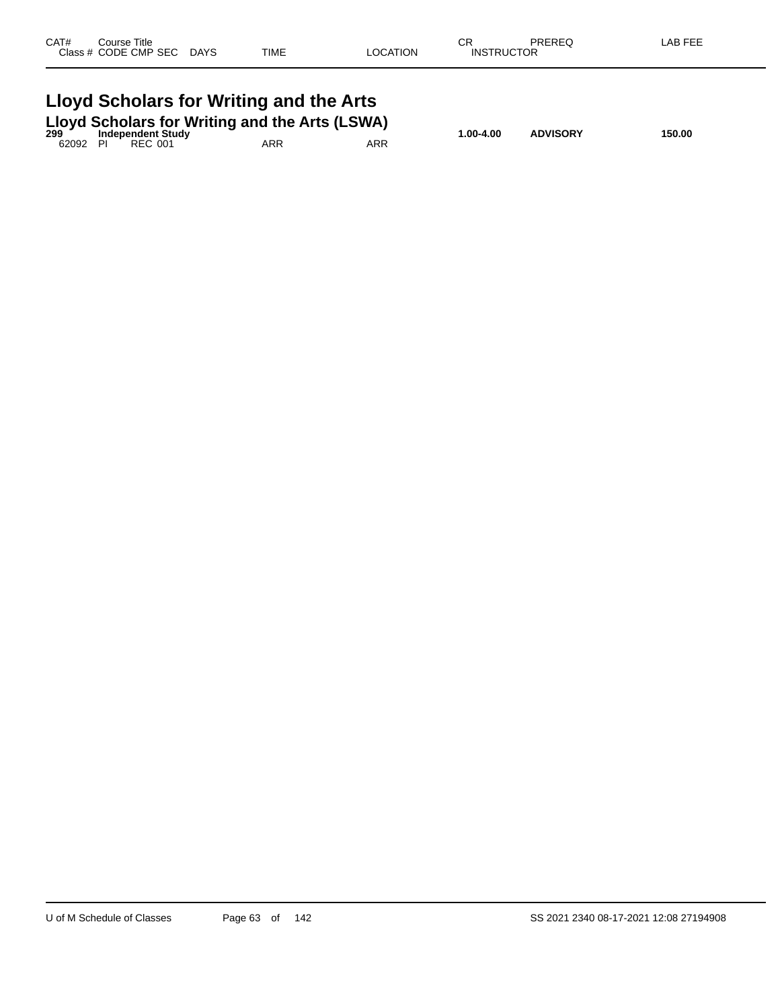| CAT#<br>Course Title<br>Class # CODE CMP SEC DAYS                                                                  | TIME | <b>LOCATION</b> | СR<br><b>INSTRUCTOR</b> | PREREQ          | LAB FEE |  |  |  |  |
|--------------------------------------------------------------------------------------------------------------------|------|-----------------|-------------------------|-----------------|---------|--|--|--|--|
| Lloyd Scholars for Writing and the Arts<br>Lloyd Scholars for Writing and the Arts (LSWA)<br>299 Independent Study |      |                 |                         |                 |         |  |  |  |  |
| 62092 PI<br>REC 001                                                                                                | ARR  | ARR             | 1.00-4.00               | <b>ADVISORY</b> | 150.00  |  |  |  |  |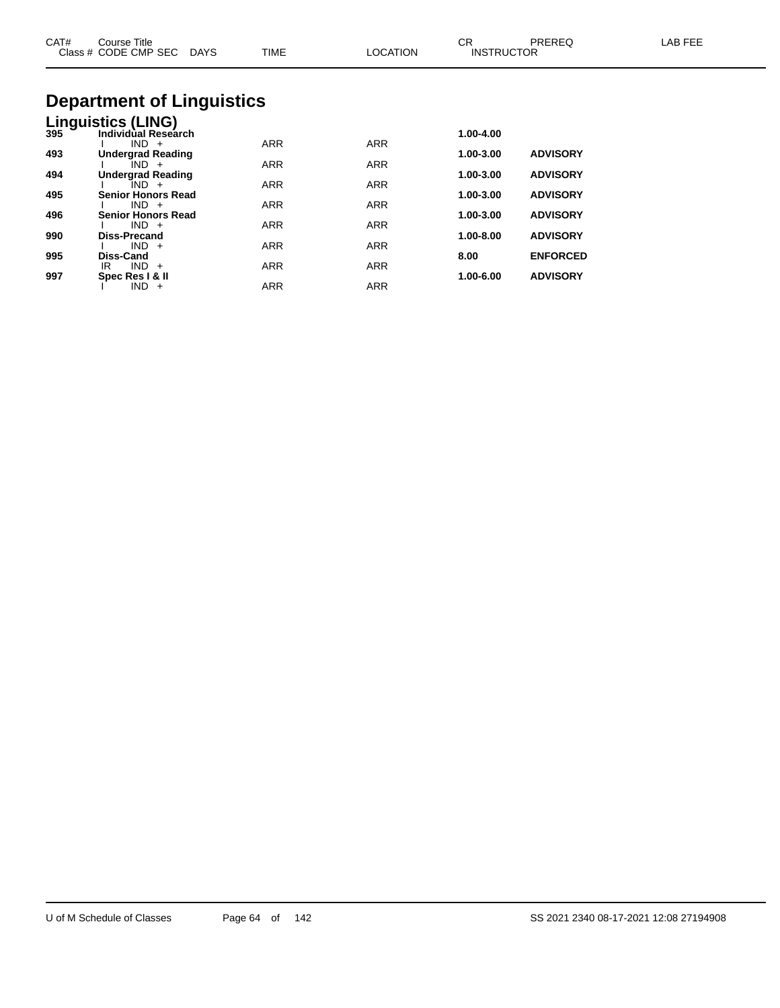| CAT# | Course Title<br>Class # CODE CMP SEC DAYS | <b>TIME</b> | <b>LOCATION</b> | CR<br><b>INSTRUCTOR</b> | PREREQ          | LAB FEE |
|------|-------------------------------------------|-------------|-----------------|-------------------------|-----------------|---------|
|      | <b>Department of Linguistics</b>          |             |                 |                         |                 |         |
|      | Linguistics (LING)                        |             |                 |                         |                 |         |
| 395  | Individual Research                       |             |                 | 1.00-4.00               |                 |         |
| 493  | $IND +$<br><b>Undergrad Reading</b>       | <b>ARR</b>  | <b>ARR</b>      | 1.00-3.00               | <b>ADVISORY</b> |         |
|      | $IND +$                                   | <b>ARR</b>  | <b>ARR</b>      |                         |                 |         |
| 494  | <b>Undergrad Reading</b>                  |             |                 | 1.00-3.00               | <b>ADVISORY</b> |         |
|      | $IND +$                                   | <b>ARR</b>  | <b>ARR</b>      |                         |                 |         |
| 495  | <b>Senior Honors Read</b><br>$IND +$      | <b>ARR</b>  | <b>ARR</b>      | 1.00-3.00               | <b>ADVISORY</b> |         |
| 496  | Senior Honors Read                        |             |                 | 1.00-3.00               | <b>ADVISORY</b> |         |
|      | $IND +$                                   | <b>ARR</b>  | <b>ARR</b>      |                         |                 |         |
| 990  | <b>Diss-Precand</b>                       |             |                 | 1.00-8.00               | <b>ADVISORY</b> |         |
| 995  | $IND +$<br>Diss-Cand                      | <b>ARR</b>  | <b>ARR</b>      | 8.00                    | <b>ENFORCED</b> |         |

IR IND + ARR ARR ARR

I IND + ARR ARR

**997 Spec Res I & II 1.00-6.00 ADVISORY**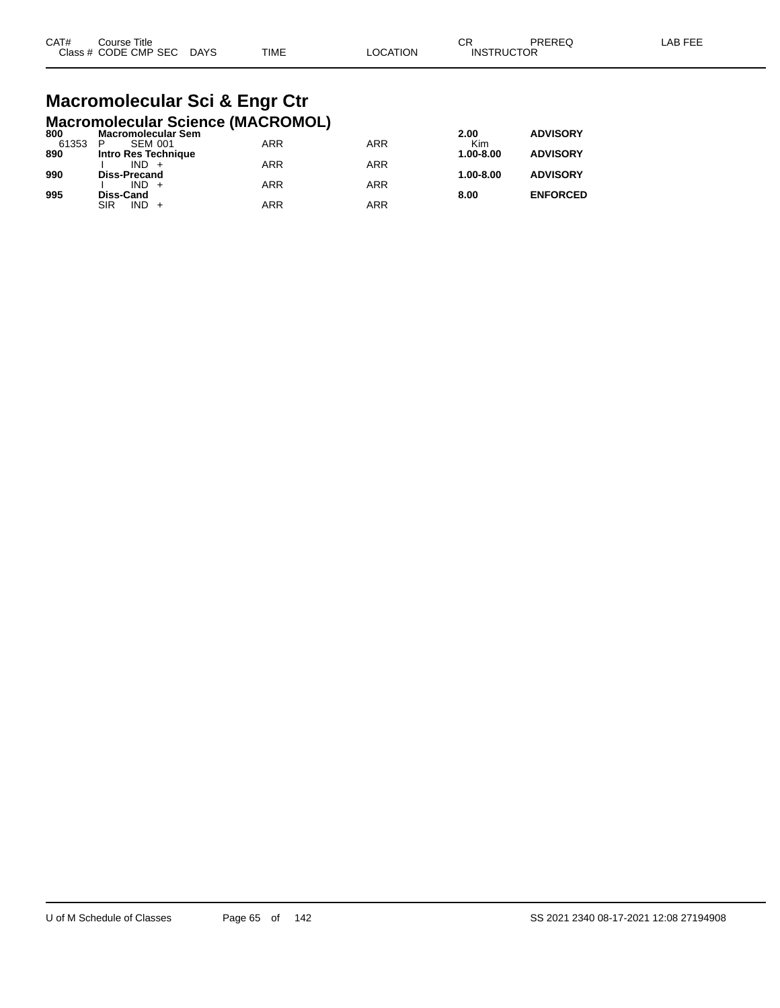| CAT# | Course Title              |      |          | СR                | PREREQ | LAB FEE |
|------|---------------------------|------|----------|-------------------|--------|---------|
|      | Class # CODE CMP SEC DAYS | TIME | LOCATION | <b>INSTRUCTOR</b> |        |         |

#### **Macromolecular Sci & Engr Ctr Macromolecular Science (MACROMOL)**

|                     |                                               |     | 2.00          | <b>ADVISORY</b> |
|---------------------|-----------------------------------------------|-----|---------------|-----------------|
| <b>SEM 001</b><br>P | <b>ARR</b>                                    | ARR | Kim           |                 |
| Intro Res Technique |                                               |     | 1.00-8.00     | <b>ADVISORY</b> |
| $IND +$             | <b>ARR</b>                                    | ARR |               |                 |
| <b>Diss-Precand</b> |                                               |     | $1.00 - 8.00$ | <b>ADVISORY</b> |
| $IND +$             | <b>ARR</b>                                    | ARR |               |                 |
|                     |                                               |     |               | <b>ENFORCED</b> |
| $IND +$<br>SIR      | <b>ARR</b>                                    | ARR |               |                 |
|                     | <b>Macromolecular Sem</b><br><b>Diss-Cand</b> |     |               | 8.00            |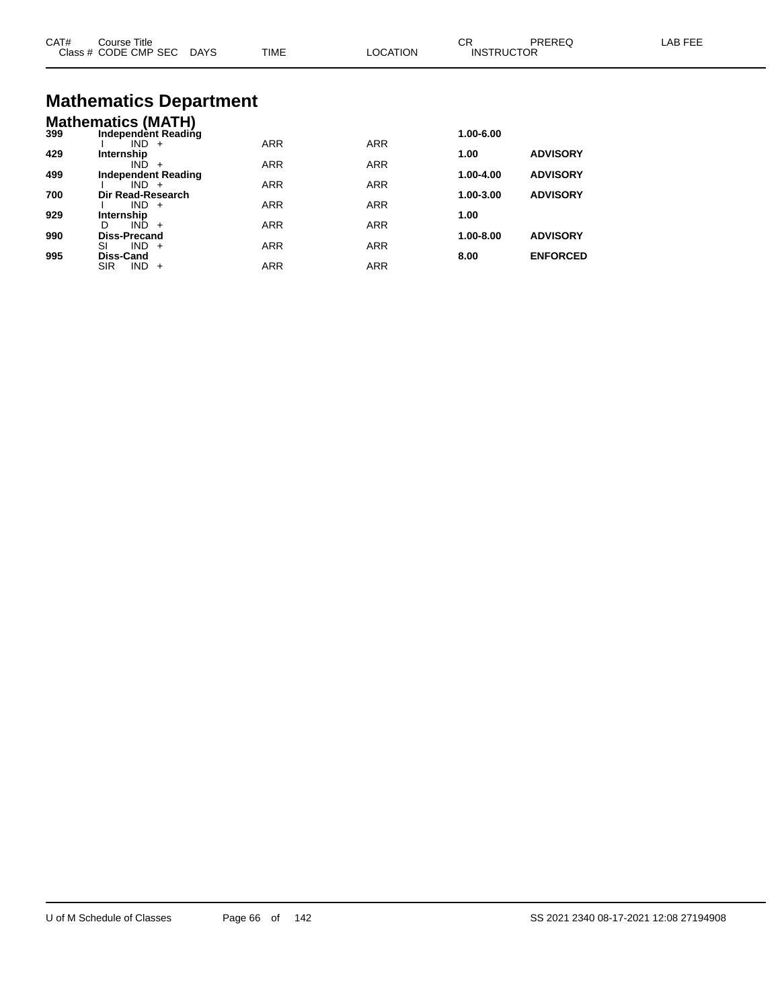| CAT# | Course Title<br>Class # CODE CMP SEC DAYS                   | <b>TIME</b> | <b>LOCATION</b> | CR<br><b>INSTRUCTOR</b> | PREREQ          | LAB FEE |
|------|-------------------------------------------------------------|-------------|-----------------|-------------------------|-----------------|---------|
|      | <b>Mathematics Department</b>                               |             |                 |                         |                 |         |
| 399  | <b>Mathematics (MATH)</b><br>Independent Reading<br>$IND +$ | <b>ARR</b>  | <b>ARR</b>      | 1.00-6.00               |                 |         |
| 429  | Internship<br>$IND +$                                       | <b>ARR</b>  | ARR             | 1.00                    | <b>ADVISORY</b> |         |
| 499  | <b>Independent Reading</b><br>$IND +$                       | <b>ARR</b>  | <b>ARR</b>      | 1.00-4.00               | <b>ADVISORY</b> |         |
| 700  | Dir Read-Research<br>$IND +$                                | <b>ARR</b>  | <b>ARR</b>      | 1.00-3.00               | <b>ADVISORY</b> |         |
| 929  | Internship<br>$IND +$<br>D.                                 |             |                 | 1.00                    |                 |         |
| 990  | <b>Diss-Precand</b>                                         | <b>ARR</b>  | <b>ARR</b>      | 1.00-8.00               | <b>ADVISORY</b> |         |
| 995  | $IND +$<br>SI<br>Diss-Cand                                  | <b>ARR</b>  | <b>ARR</b>      | 8.00                    | <b>ENFORCED</b> |         |

SIR IND + ARR ARR ARR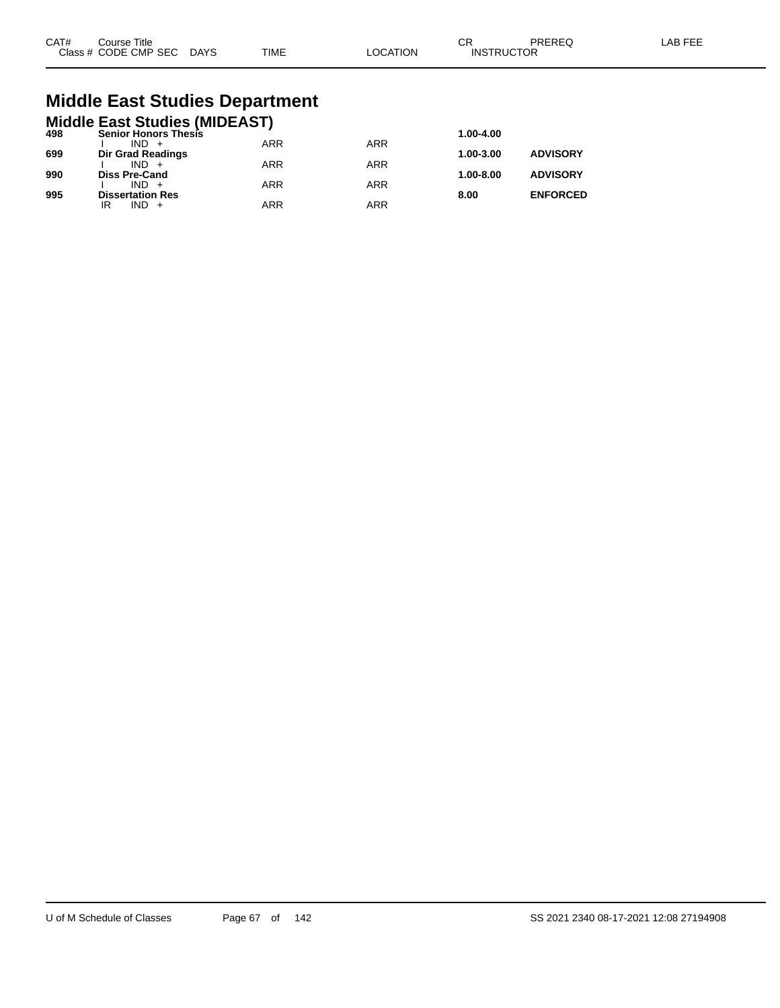| CAT# | Course Title         |             |             |         | СR                | PREREC | AB FFF |
|------|----------------------|-------------|-------------|---------|-------------------|--------|--------|
|      | Class # CODE CMP SEC | <b>DAYS</b> | <b>TIME</b> | OCATION | <b>INSTRUCTOR</b> |        |        |

## **Middle East Studies Department**

|     | <b>Middle East Studies (MIDEAST)</b> |            |            |               |                 |
|-----|--------------------------------------|------------|------------|---------------|-----------------|
| 498 | <b>Senior Honors Thesis</b>          |            |            | 1.00-4.00     |                 |
|     | $IND +$                              | <b>ARR</b> | <b>ARR</b> |               |                 |
| 699 | Dir Grad Readings                    |            |            | 1.00-3.00     | <b>ADVISORY</b> |
|     | $IND +$                              | <b>ARR</b> | <b>ARR</b> |               |                 |
| 990 | <b>Diss Pre-Cand</b>                 |            |            | $1.00 - 8.00$ | <b>ADVISORY</b> |
|     | $IND +$                              | <b>ARR</b> | <b>ARR</b> |               |                 |
| 995 | <b>Dissertation Res</b>              |            |            | 8.00          | <b>ENFORCED</b> |
|     | $IND +$<br>IR                        | <b>ARR</b> | <b>ARR</b> |               |                 |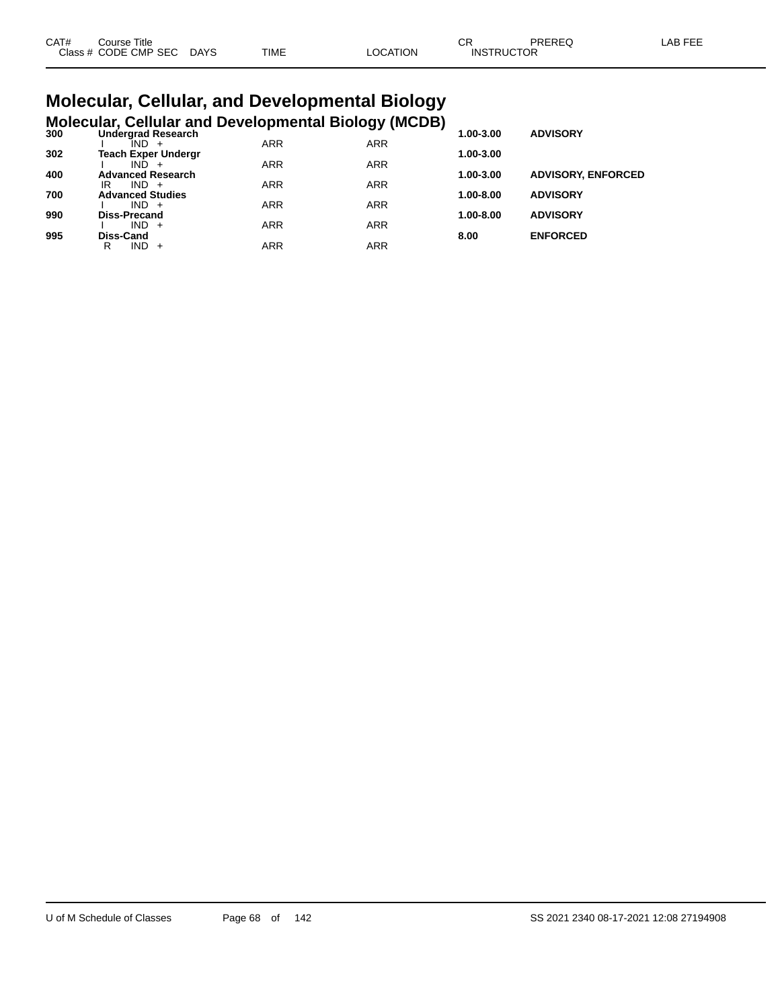| CAT# | Course Title              |      |                 | Ωn<br>◡◚          | PREREQ | LAB FEE |
|------|---------------------------|------|-----------------|-------------------|--------|---------|
|      | Class # CODE CMP SEC DAYS | TIME | <b>LOCATION</b> | <b>INSTRUCTOR</b> |        |         |

#### **Molecular, Cellular, and Developmental Biology Molecular, Cellular and Developmental Biology (MCDB)**

| 300 | <b>Undergrad Research</b>  |            | - ־יי נכ   | 1.00-3.00 | <b>ADVISORY</b>           |
|-----|----------------------------|------------|------------|-----------|---------------------------|
|     | IND.                       | <b>ARR</b> | <b>ARR</b> |           |                           |
| 302 | <b>Teach Exper Undergr</b> |            |            | 1.00-3.00 |                           |
|     | IND.                       | <b>ARR</b> | <b>ARR</b> |           |                           |
| 400 | <b>Advanced Research</b>   |            |            | 1.00-3.00 | <b>ADVISORY, ENFORCED</b> |
|     | $IND +$<br>IR              | <b>ARR</b> | <b>ARR</b> |           |                           |
| 700 | <b>Advanced Studies</b>    |            |            | 1.00-8.00 | <b>ADVISORY</b>           |
|     | $IND +$                    | <b>ARR</b> | <b>ARR</b> |           |                           |
| 990 | <b>Diss-Precand</b>        |            |            | 1.00-8.00 | <b>ADVISORY</b>           |
|     | $IND +$                    | <b>ARR</b> | <b>ARR</b> |           |                           |
| 995 | Diss-Cand                  |            |            | 8.00      | <b>ENFORCED</b>           |
|     | IND -<br>R<br>$+$          | ARR        | ARR        |           |                           |
|     |                            |            |            |           |                           |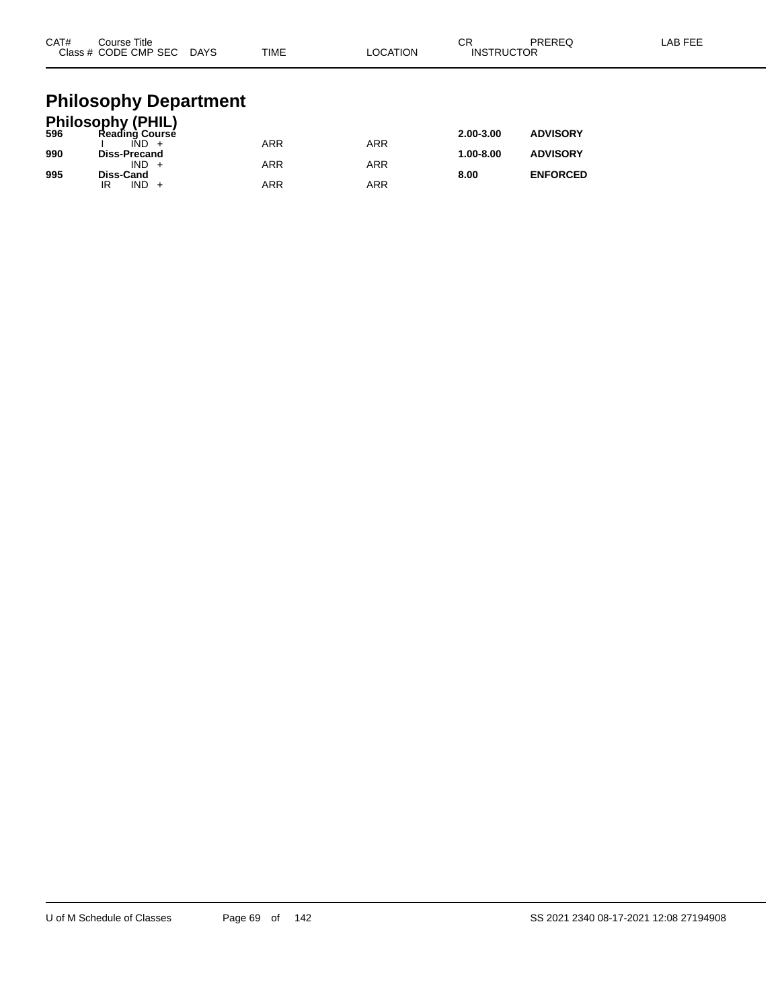| CAT#       | Course Title<br>Class # CODE CMP SEC DAYS                                                                               | TIME | <b>LOCATION</b> | CR<br><b>INSTRUCTOR</b> | <b>PREREQ</b>                      | LAB FEE |
|------------|-------------------------------------------------------------------------------------------------------------------------|------|-----------------|-------------------------|------------------------------------|---------|
| 596<br>990 | <b>Philosophy Department</b><br><b>Philosophy (PHIL)</b><br>Reading Course<br>$\overline{IND}$ +<br><b>Diss-Precand</b> | ARR  | <b>ARR</b>      | 2.00-3.00<br>1.00-8.00  | <b>ADVISORY</b><br><b>ADVISORY</b> |         |
|            | $IND +$                                                                                                                 | ARR  | <b>ARR</b>      |                         |                                    |         |

**995 Diss-Cand 8.00 ENFORCED**

IR IND + ARR ARR ARR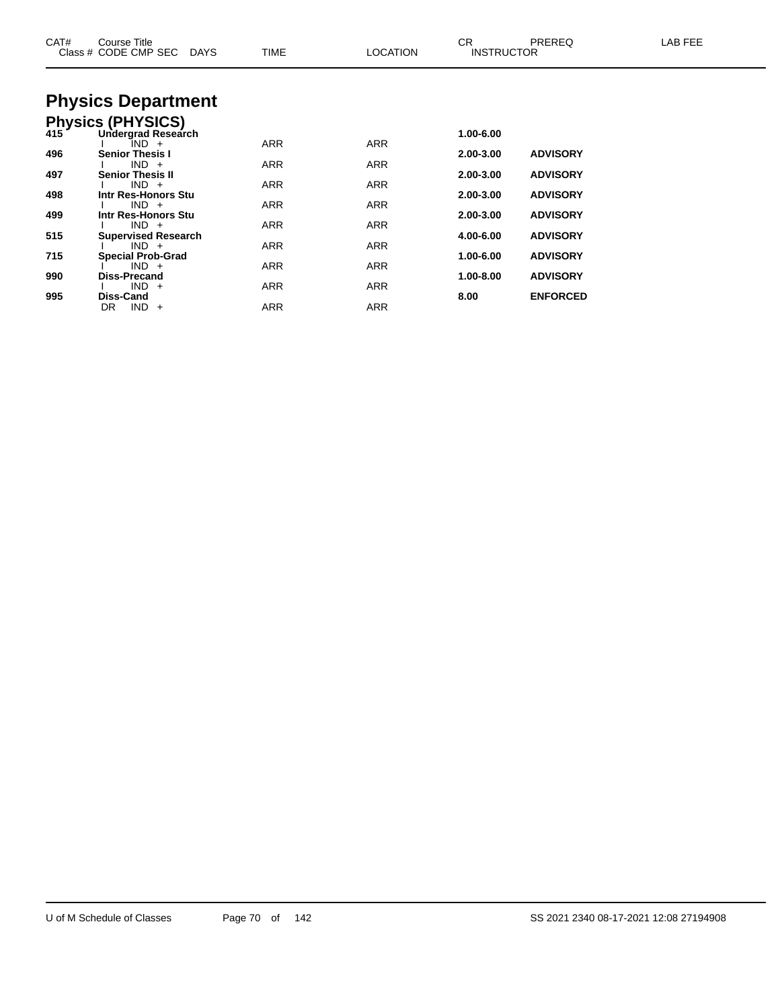| CAT# | Course Title<br>Class # CODE CMP SEC<br>DAYS | <b>TIME</b> | <b>LOCATION</b> | CR<br><b>INSTRUCTOR</b> | <b>PREREQ</b>   | LAB FEE |
|------|----------------------------------------------|-------------|-----------------|-------------------------|-----------------|---------|
|      | <b>Physics Department</b>                    |             |                 |                         |                 |         |
|      | Physics (PHYSICS)<br>415 Undergrad Researd   |             |                 |                         |                 |         |
|      | Undergrad Research                           |             |                 | 1.00-6.00               |                 |         |
| 496  | IND +<br><b>Senior Thesis I</b>              | <b>ARR</b>  | <b>ARR</b>      | 2.00-3.00               | <b>ADVISORY</b> |         |
|      | $IND +$                                      | ARR         | ARR             |                         |                 |         |
| 497  | <b>Senior Thesis II</b><br>$IND +$           | ARR         | ARR             | 2.00-3.00               | <b>ADVISORY</b> |         |
| 498  | Intr Res-Honors Stu                          |             |                 | 2.00-3.00               | <b>ADVISORY</b> |         |
| 499  | $IND +$<br>Intr Res-Honors Stu               | <b>ARR</b>  | <b>ARR</b>      | 2.00-3.00               | <b>ADVISORY</b> |         |
|      | $IND +$                                      | <b>ARR</b>  | <b>ARR</b>      |                         |                 |         |
| 515  | <b>Supervised Research</b><br>$IND +$        | ARR         | ARR             | 4.00-6.00               | <b>ADVISORY</b> |         |
| 715  | <b>Special Prob-Grad</b>                     |             |                 | 1.00-6.00               | <b>ADVISORY</b> |         |
| 990  | $IND +$<br><b>Diss-Precand</b>               | ARR         | ARR             | 1.00-8.00               | <b>ADVISORY</b> |         |
|      | $IND +$                                      | ARR         | ARR             |                         |                 |         |
| 995  | <b>Diss-Cand</b>                             |             |                 | 8.00                    | <b>ENFORCED</b> |         |
|      | $IND +$<br>DR                                | ARR         | <b>ARR</b>      |                         |                 |         |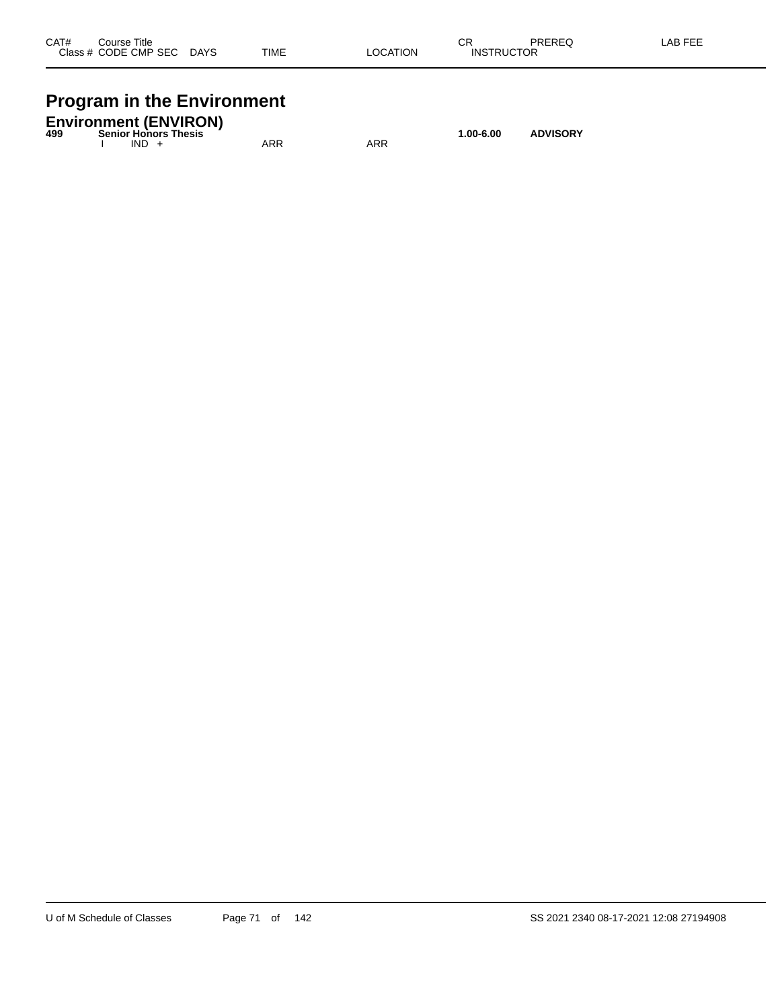| CAT#  | Course Title |             |             |                       | ^-<br>- UN   | <b>DDEDEC</b><br>שבוזבש | ---<br>A <sub>R</sub> |
|-------|--------------|-------------|-------------|-----------------------|--------------|-------------------------|-----------------------|
| Class | CODE CMP SEC | <b>DAYS</b> | <b>TIME</b> | ΆΤΙΟΝ<br>_OCA<br>____ | INS<br>1 I ( |                         |                       |
|       |              |             |             |                       |              |                         |                       |

## **Program in the Environment**

| 499 |         | <b>Environment (ENVIRON)</b><br><b>Senior Honors Thesis</b> |     |     | $1.00 - 6.00$ | <b>ADVISORY</b> |
|-----|---------|-------------------------------------------------------------|-----|-----|---------------|-----------------|
|     | $IND +$ |                                                             | ARR | ARR |               |                 |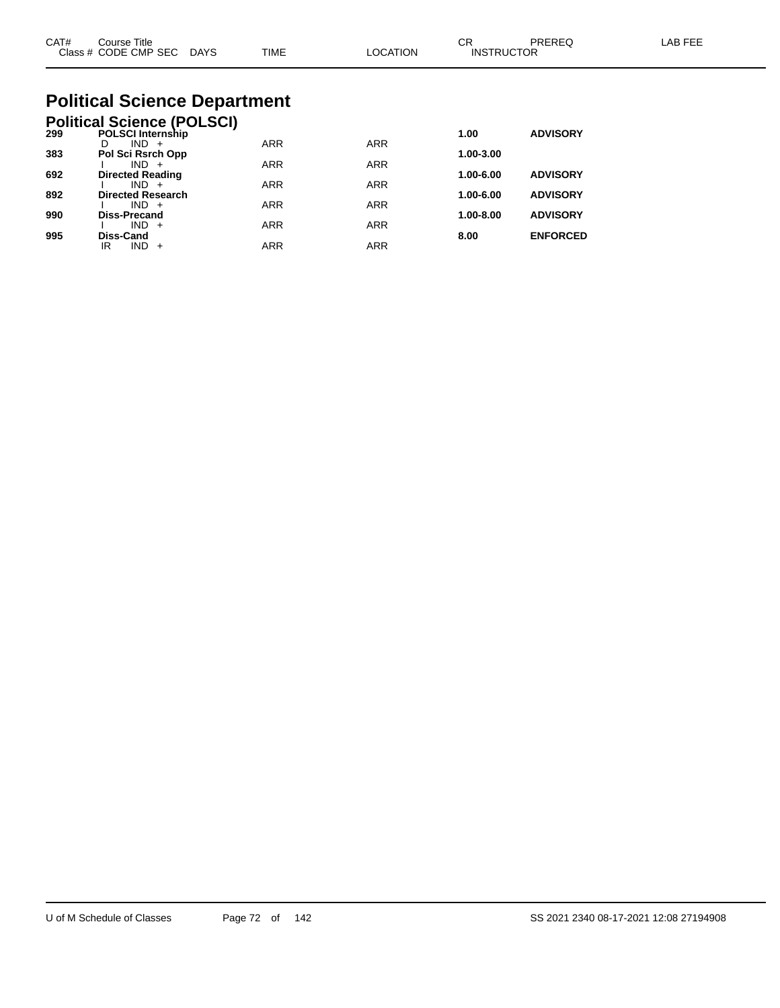| CAT#<br>Course Title<br>Class # CODE CMP SEC DAYS                    | TIME | <b>LOCATION</b> | CR<br><b>INSTRUCTOR</b> | PRERFO          | I AB FFF |
|----------------------------------------------------------------------|------|-----------------|-------------------------|-----------------|----------|
| <b>Political Science Department</b>                                  |      |                 |                         |                 |          |
| <b>Political Science (POLSCI)</b><br><b>POLSCI Internship</b><br>299 |      |                 | 1.00                    | <b>ADVISORY</b> |          |

|                          |                          |            |               | <b>ADVISORT</b> |
|--------------------------|--------------------------|------------|---------------|-----------------|
| $IND +$                  | <b>ARR</b>               | <b>ARR</b> |               |                 |
| Pol Sci Rsrch Opp        |                          |            | 1.00-3.00     |                 |
| $IND +$                  | <b>ARR</b>               | <b>ARR</b> |               |                 |
| <b>Directed Reading</b>  |                          |            | 1.00-6.00     | <b>ADVISORY</b> |
| $IND +$                  | <b>ARR</b>               | <b>ARR</b> |               |                 |
| <b>Directed Research</b> |                          |            | $1.00 - 6.00$ | <b>ADVISORY</b> |
| $IND +$                  | <b>ARR</b>               | <b>ARR</b> |               |                 |
| <b>Diss-Precand</b>      |                          |            | 1.00-8.00     | <b>ADVISORY</b> |
| $IND +$                  | <b>ARR</b>               | <b>ARR</b> |               |                 |
| Diss-Cand                |                          |            | 8.00          | <b>ENFORCED</b> |
| ΙR<br>$IND +$            | ARR                      | <b>ARR</b> |               |                 |
|                          | <b>PULSUI Internship</b> |            |               | 1.UU            |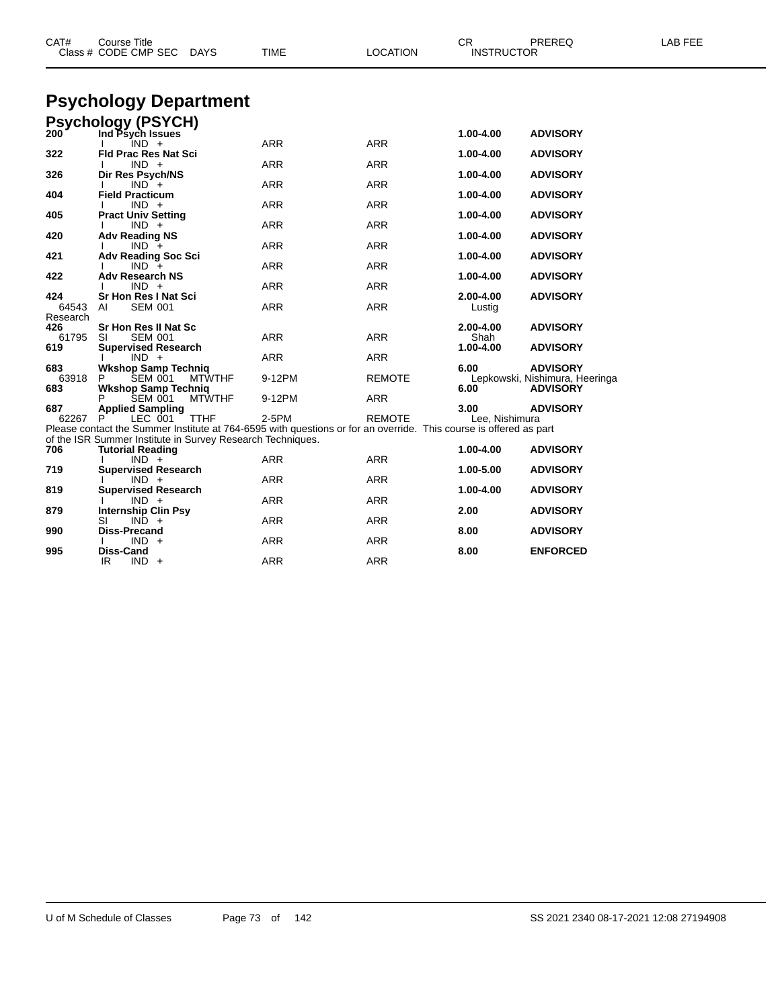| CAT#         | <b>Course Title</b><br>Class # CODE CMP SEC<br><b>DAYS</b>                                                        | TIME       | <b>LOCATION</b> | PREREQ<br>CR<br><b>INSTRUCTOR</b>                         | LAB FEE |
|--------------|-------------------------------------------------------------------------------------------------------------------|------------|-----------------|-----------------------------------------------------------|---------|
|              | <b>Psychology Department</b>                                                                                      |            |                 |                                                           |         |
|              | <b>Psychology (PSYCH)</b>                                                                                         |            |                 |                                                           |         |
| 200          | Ind Psych Issues<br>$IND +$                                                                                       | <b>ARR</b> | <b>ARR</b>      | 1.00-4.00<br><b>ADVISORY</b>                              |         |
| 322          | <b>Fld Prac Res Nat Sci</b>                                                                                       |            |                 | 1.00-4.00<br><b>ADVISORY</b>                              |         |
|              | $IND +$                                                                                                           | <b>ARR</b> | <b>ARR</b>      |                                                           |         |
| 326          | Dir Res Psych/NS<br>$IND +$                                                                                       | <b>ARR</b> | <b>ARR</b>      | 1.00-4.00<br><b>ADVISORY</b>                              |         |
| 404          | <b>Field Practicum</b>                                                                                            |            |                 | 1.00-4.00<br><b>ADVISORY</b>                              |         |
| 405          | $IND +$<br><b>Pract Univ Setting</b>                                                                              | <b>ARR</b> | <b>ARR</b>      | 1.00-4.00<br><b>ADVISORY</b>                              |         |
|              | $IND +$                                                                                                           | <b>ARR</b> | <b>ARR</b>      |                                                           |         |
| 420          | <b>Adv Reading NS</b>                                                                                             |            |                 | 1.00-4.00<br><b>ADVISORY</b>                              |         |
| 421          | $IND +$<br><b>Adv Reading Soc Sci</b>                                                                             | <b>ARR</b> | <b>ARR</b>      | <b>ADVISORY</b><br>1.00-4.00                              |         |
|              | $IND +$                                                                                                           | <b>ARR</b> | <b>ARR</b>      |                                                           |         |
| 422          | <b>Adv Research NS</b><br>$IND +$                                                                                 | <b>ARR</b> |                 | 1.00-4.00<br><b>ADVISORY</b>                              |         |
| 424          | Sr Hon Res I Nat Sci                                                                                              |            | <b>ARR</b>      | 2.00-4.00<br><b>ADVISORY</b>                              |         |
| 64543        | <b>SEM 001</b><br>AI                                                                                              | <b>ARR</b> | <b>ARR</b>      | Lustig                                                    |         |
| Research     | <b>Sr Hon Res II Nat Sc</b>                                                                                       |            |                 | 2.00-4.00<br><b>ADVISORY</b>                              |         |
| 426<br>61795 | <b>SEM 001</b><br>SI                                                                                              | <b>ARR</b> | <b>ARR</b>      | Shah                                                      |         |
| 619          | <b>Supervised Research</b>                                                                                        |            |                 | 1.00-4.00<br><b>ADVISORY</b>                              |         |
|              | $IND +$                                                                                                           | <b>ARR</b> | <b>ARR</b>      |                                                           |         |
| 683<br>63918 | <b>Wkshop Samp Techniq</b><br>SEM 001<br><b>MTWTHF</b><br>P                                                       | 9-12PM     | <b>REMOTE</b>   | 6.00<br><b>ADVISORY</b><br>Lepkowski, Nishimura, Heeringa |         |
| 683          | <b>Wkshop Samp Techniq</b>                                                                                        |            |                 | <b>ADVISORY</b><br>6.00                                   |         |
|              | <b>SEM 001</b><br><b>MTWTHF</b>                                                                                   | 9-12PM     | <b>ARR</b>      |                                                           |         |
| 687<br>62267 | <b>Applied Sampling</b><br><b>TTHF</b><br>LEC 001                                                                 | 2-5PM      | <b>REMOTE</b>   | 3.00<br><b>ADVISORY</b><br>Lee. Nishimura                 |         |
|              | Please contact the Summer Institute at 764-6595 with questions or for an override. This course is offered as part |            |                 |                                                           |         |
| 706          | of the ISR Summer Institute in Survey Research Techniques.                                                        |            |                 | 1.00-4.00<br><b>ADVISORY</b>                              |         |
|              | <b>Tutorial Reading</b><br>$IND +$                                                                                | ARR        | <b>ARR</b>      |                                                           |         |
| 719          | <b>Supervised Research</b>                                                                                        |            |                 | 1.00-5.00<br><b>ADVISORY</b>                              |         |
| 819          | $IND +$<br><b>Supervised Research</b>                                                                             | <b>ARR</b> | <b>ARR</b>      | 1.00-4.00<br><b>ADVISORY</b>                              |         |
|              | $IND +$                                                                                                           | <b>ARR</b> | <b>ARR</b>      |                                                           |         |
| 879          | Internship Clin Psy                                                                                               |            |                 | 2.00<br><b>ADVISORY</b>                                   |         |
| 990          | $IND +$<br>SI<br><b>Diss-Precand</b>                                                                              | <b>ARR</b> | <b>ARR</b>      | 8.00<br><b>ADVISORY</b>                                   |         |
|              | $IND +$                                                                                                           | ARR        | ARR             |                                                           |         |
| 995          | Diss-Cand                                                                                                         |            |                 | 8.00<br><b>ENFORCED</b>                                   |         |
|              | IR.<br>$IND +$                                                                                                    | <b>ARR</b> | <b>ARR</b>      |                                                           |         |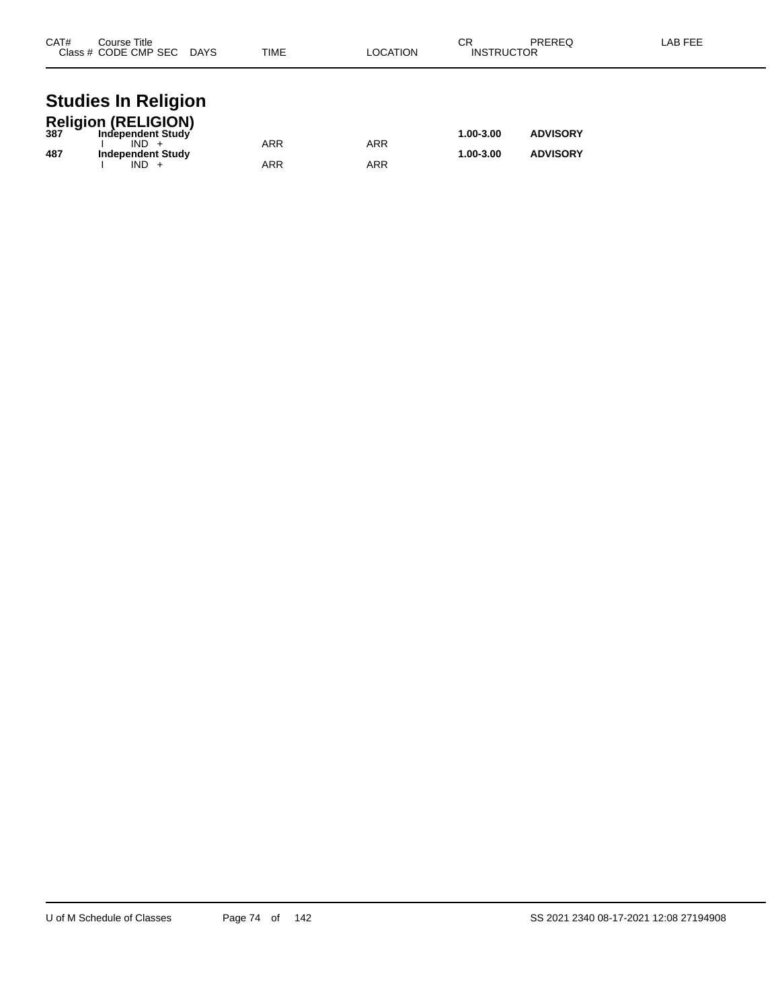| CAT# | Course Title<br>Class # CODE CMP SEC DAYS<br>TIME<br>LOCATION |            |            | СR<br><b>INSTRUCTOR</b> | LAB FEE         |  |
|------|---------------------------------------------------------------|------------|------------|-------------------------|-----------------|--|
|      | <b>Studies In Religion</b>                                    |            |            |                         |                 |  |
|      | Religion (RELIGION)<br>387 Independent Study                  |            |            | 1.00-3.00               | <b>ADVISORY</b> |  |
| 487  | $IND +$<br><b>Independent Study</b>                           | <b>ARR</b> | <b>ARR</b> | 1.00-3.00               | <b>ADVISORY</b> |  |
|      | $IND +$                                                       | ARR        | ARR        |                         |                 |  |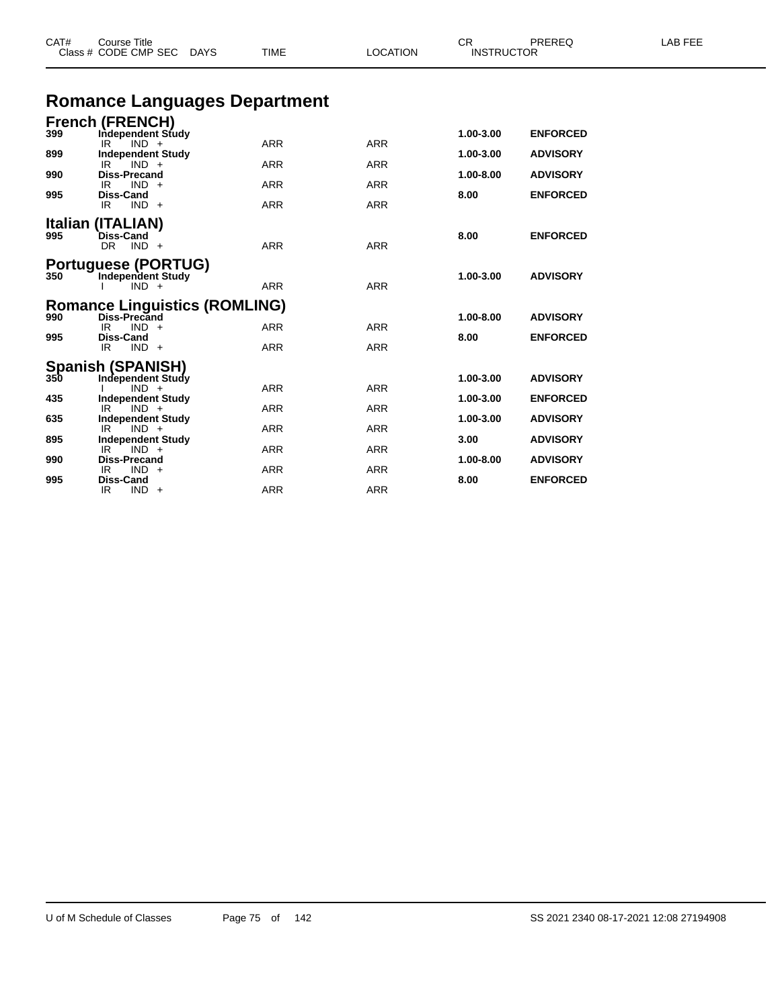| Class # CODE CMP SEC DAYS |                                                        | TIME<br>LOCATION |            | <b>INSTRUCTOR</b> |                 |  |
|---------------------------|--------------------------------------------------------|------------------|------------|-------------------|-----------------|--|
|                           | <b>Romance Languages Department</b>                    |                  |            |                   |                 |  |
|                           | <b>French (FRENCH)</b>                                 |                  |            |                   |                 |  |
| 399                       | Independent Study<br>$IND +$<br>IR                     | <b>ARR</b>       | <b>ARR</b> | 1.00-3.00         | <b>ENFORCED</b> |  |
| 899                       | <b>Independent Study</b>                               |                  |            | 1.00-3.00         | <b>ADVISORY</b> |  |
| 990                       | IR.<br>$IND +$<br><b>Diss-Precand</b>                  | <b>ARR</b>       | <b>ARR</b> | 1.00-8.00         | <b>ADVISORY</b> |  |
|                           | $IND +$<br>IR.                                         | ARR              | ARR        |                   |                 |  |
| 995                       | <b>Diss-Cand</b><br>$IND +$<br>IR                      | <b>ARR</b>       | <b>ARR</b> | 8.00              | <b>ENFORCED</b> |  |
|                           | Italian (ITALIAN)                                      |                  |            |                   |                 |  |
| 995                       | <b>Diss-Cand</b>                                       |                  |            | 8.00              | <b>ENFORCED</b> |  |
|                           | $DR$ $IND$ +                                           | <b>ARR</b>       | <b>ARR</b> |                   |                 |  |
| 350                       | <b>Portuguese (PORTUG)</b><br><b>Independent Study</b> |                  |            | 1.00-3.00         | <b>ADVISORY</b> |  |
|                           | $IND +$                                                | <b>ARR</b>       | <b>ARR</b> |                   |                 |  |
|                           | <b>Romance Linguistics (ROMLING)</b>                   |                  |            |                   |                 |  |
| 990                       | Diss-Precand<br>IR<br>$IND +$                          | <b>ARR</b>       | <b>ARR</b> | 1.00-8.00         | <b>ADVISORY</b> |  |
| 995                       | <b>Diss-Cand</b>                                       |                  |            | 8.00              | <b>ENFORCED</b> |  |
|                           | IR.<br>$IND +$                                         | <b>ARR</b>       | <b>ARR</b> |                   |                 |  |
|                           | Spanish (SPANISH)<br>350 Independent Study             |                  |            | 1.00-3.00         | <b>ADVISORY</b> |  |
|                           | Independent Study<br>$IND +$                           | <b>ARR</b>       | <b>ARR</b> |                   |                 |  |
| 435                       | <b>Independent Study</b><br>IR<br>$IND +$              | <b>ARR</b>       | <b>ARR</b> | 1.00-3.00         | <b>ENFORCED</b> |  |
| 635                       | <b>Independent Study</b>                               |                  |            | 1.00-3.00         | <b>ADVISORY</b> |  |
| 895                       | $IND +$<br>IR<br><b>Independent Study</b>              | ARR              | ARR        | 3.00              | <b>ADVISORY</b> |  |
| 990                       | $IND +$<br>IR.<br><b>Diss-Precand</b>                  | ARR              | ARR        | 1.00-8.00         | <b>ADVISORY</b> |  |
|                           | $IND +$<br>IR                                          | <b>ARR</b>       | <b>ARR</b> |                   |                 |  |
| 995                       | <b>Diss-Cand</b>                                       |                  |            | 8.00              | <b>ENFORCED</b> |  |

CAT# Course Title Case CR PREREQ LAB FEE

IR IND + ARR ARR ARR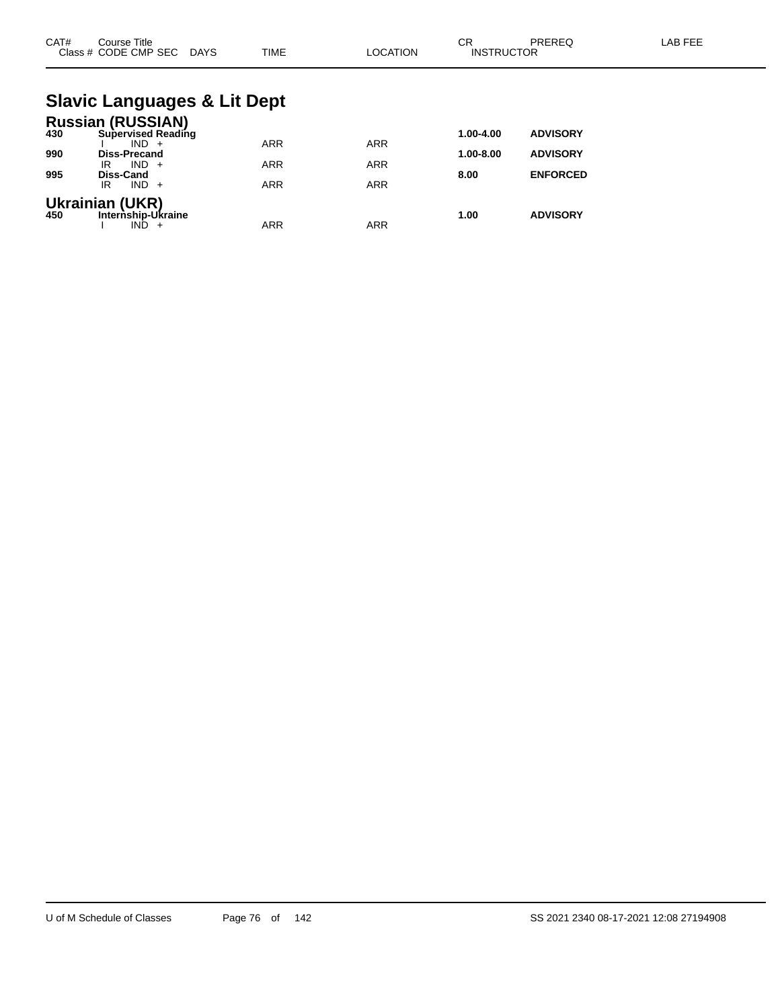| CAT# | Course Title<br>Class # CODE CMP SEC DAYS                        | <b>TIME</b> | <b>LOCATION</b> | <b>CR</b><br><b>INSTRUCTOR</b> | PREREQ          | <b>LAB FEE</b> |
|------|------------------------------------------------------------------|-------------|-----------------|--------------------------------|-----------------|----------------|
|      | <b>Slavic Languages &amp; Lit Dept</b>                           |             |                 |                                |                 |                |
| 430  | <b>Russian (RUSSIAN)</b><br><b>Supervised Reading</b><br>$IND +$ | <b>ARR</b>  | <b>ARR</b>      | 1.00-4.00                      | <b>ADVISORY</b> |                |
| 990  | Diss-Precand<br>$IND +$<br>IR                                    | <b>ARR</b>  | <b>ARR</b>      | 1.00-8.00                      | <b>ADVISORY</b> |                |
| 995  | <b>Diss-Cand</b><br>$IND +$<br>IR                                | <b>ARR</b>  | <b>ARR</b>      | 8.00                           | <b>ENFORCED</b> |                |
| 450  | <b>Ukrainian (UKR)</b><br>Internship-Ukraine<br>$IND +$          | <b>ARR</b>  | <b>ARR</b>      | 1.00                           | <b>ADVISORY</b> |                |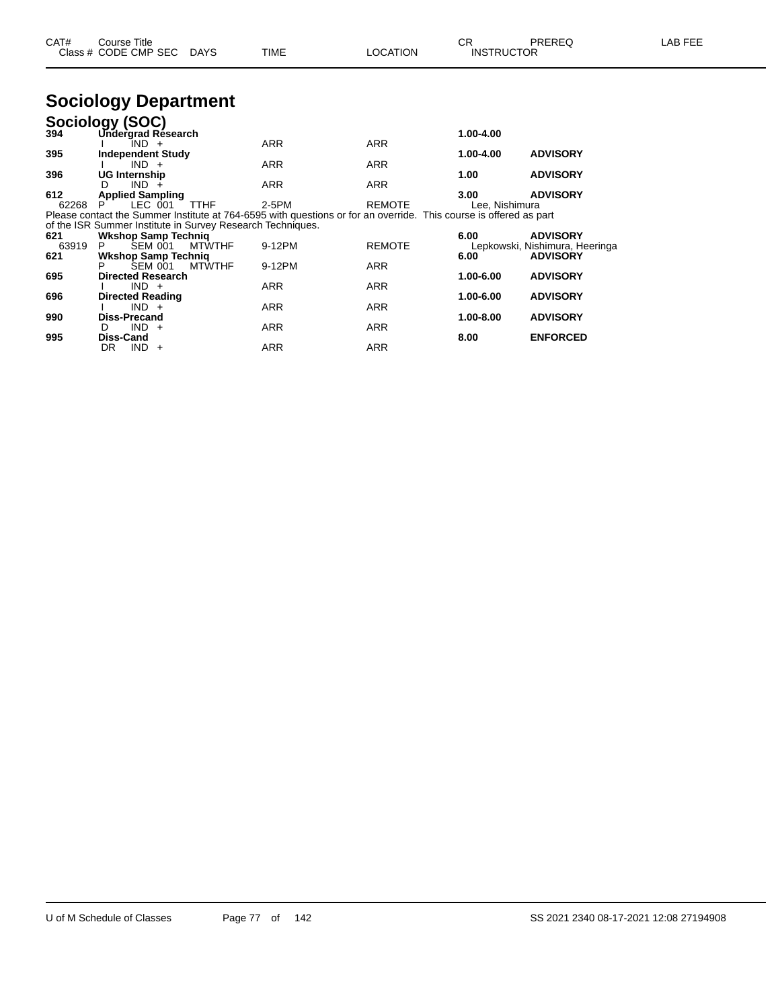| CAT# | $\mathop{\mathsf{course}}$ Title |      |          | СR                | PREREQ | LAB FEE |
|------|----------------------------------|------|----------|-------------------|--------|---------|
|      | Class # CODE CMP SEC DAYS        | TIME | LOCATION | <b>INSTRUCTOR</b> |        |         |

# **Sociology Department**

|       | Sociology (SOC)                                            |               |                                                                                                                   |               |                |                                |
|-------|------------------------------------------------------------|---------------|-------------------------------------------------------------------------------------------------------------------|---------------|----------------|--------------------------------|
| 394   | Undergrad Résearch                                         |               |                                                                                                                   |               | 1.00-4.00      |                                |
|       | IND +                                                      |               | <b>ARR</b>                                                                                                        | <b>ARR</b>    |                |                                |
| 395   | <b>Independent Study</b>                                   |               |                                                                                                                   |               | 1.00-4.00      | <b>ADVISORY</b>                |
|       | $IND +$                                                    |               | <b>ARR</b>                                                                                                        | <b>ARR</b>    |                |                                |
| 396   | <b>UG Internship</b>                                       |               |                                                                                                                   |               | 1.00           | <b>ADVISORY</b>                |
|       | $IND +$<br>D                                               |               | <b>ARR</b>                                                                                                        | <b>ARR</b>    |                |                                |
| 612   | <b>Applied Sampling</b>                                    |               |                                                                                                                   |               | 3.00           | <b>ADVISORY</b>                |
| 62268 | LEC 001                                                    | <b>TTHF</b>   | 2-5PM                                                                                                             | <b>REMOTE</b> | Lee, Nishimura |                                |
|       |                                                            |               | Please contact the Summer Institute at 764-6595 with questions or for an override. This course is offered as part |               |                |                                |
|       | of the ISR Summer Institute in Survey Research Techniques. |               |                                                                                                                   |               |                |                                |
| 621   | <b>Wkshop Samp Technig</b>                                 |               |                                                                                                                   |               | 6.00           | <b>ADVISORY</b>                |
| 63919 | SEM 001<br>P.                                              | <b>MTWTHF</b> | 9-12PM                                                                                                            | <b>REMOTE</b> |                | Lepkowski, Nishimura, Heeringa |
| 621   | <b>Wkshop Samp Technig</b>                                 |               |                                                                                                                   |               | 6.00           | <b>ADVISORY</b>                |
|       | <b>SEM 001</b>                                             | <b>MTWTHF</b> | 9-12PM                                                                                                            | <b>ARR</b>    |                |                                |
| 695   | <b>Directed Research</b>                                   |               |                                                                                                                   |               | 1.00-6.00      | <b>ADVISORY</b>                |
|       | $IND +$                                                    |               | <b>ARR</b>                                                                                                        | <b>ARR</b>    |                |                                |
| 696   | <b>Directed Reading</b>                                    |               |                                                                                                                   |               | 1.00-6.00      | <b>ADVISORY</b>                |
|       | $IND +$                                                    |               | <b>ARR</b>                                                                                                        | <b>ARR</b>    |                |                                |
| 990   | Diss-Precand                                               |               |                                                                                                                   |               | 1.00-8.00      | <b>ADVISORY</b>                |
|       | $IND +$<br>D                                               |               | <b>ARR</b>                                                                                                        | <b>ARR</b>    |                |                                |
| 995   | Diss-Cand                                                  |               |                                                                                                                   |               | 8.00           | <b>ENFORCED</b>                |
|       | DR.<br>$IND +$                                             |               | ARR                                                                                                               | <b>ARR</b>    |                |                                |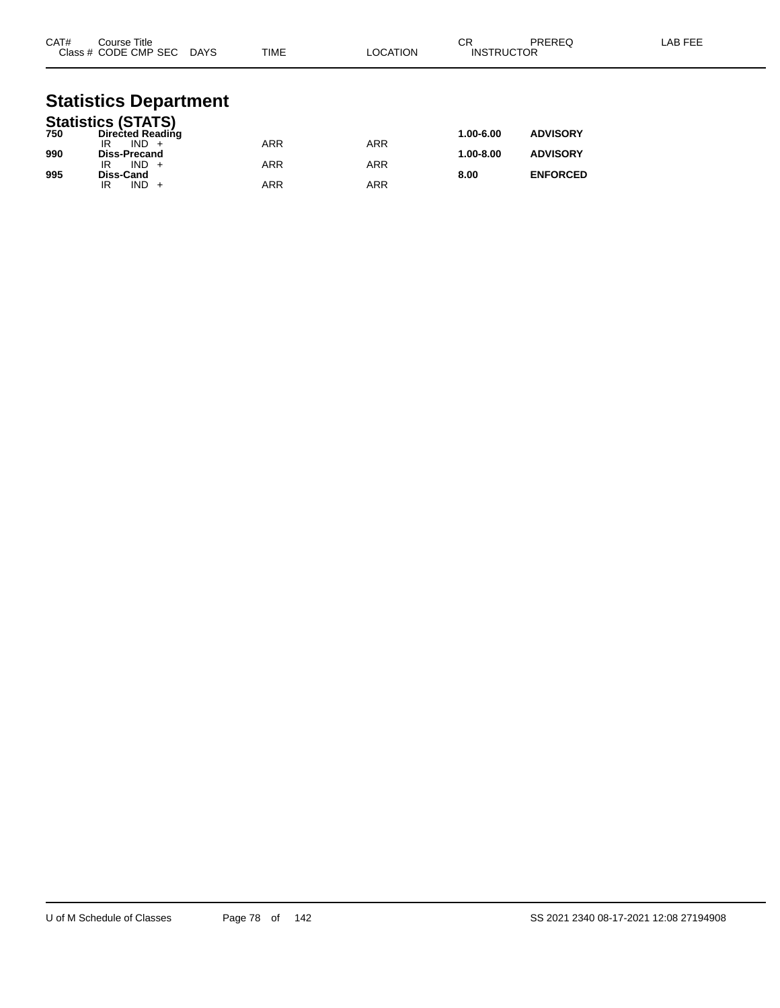| CAT# | Course Title<br>Class # CODE CMP SEC DAYS | TIME       | LOCATION   | <b>CR</b><br><b>INSTRUCTOR</b> | <b>PREREQ</b>   | LAB FEE |
|------|-------------------------------------------|------------|------------|--------------------------------|-----------------|---------|
|      | <b>Statistics Department</b>              |            |            |                                |                 |         |
|      | <b>Statistics (STATS)</b>                 |            |            |                                |                 |         |
| 750  | <b>Directed Reading</b>                   |            |            | 1.00-6.00                      | <b>ADVISORY</b> |         |
|      | $IND +$<br>IR                             | <b>ARR</b> | <b>ARR</b> |                                |                 |         |
| 990  | <b>Diss-Precand</b><br>$IND +$            |            |            | 1.00-8.00                      | <b>ADVISORY</b> |         |
| 995  | IR<br>Diss-Cand                           | <b>ARR</b> | <b>ARR</b> | 8.00                           | <b>ENFORCED</b> |         |
|      | $IND +$<br>IR                             | <b>ARR</b> | <b>ARR</b> |                                |                 |         |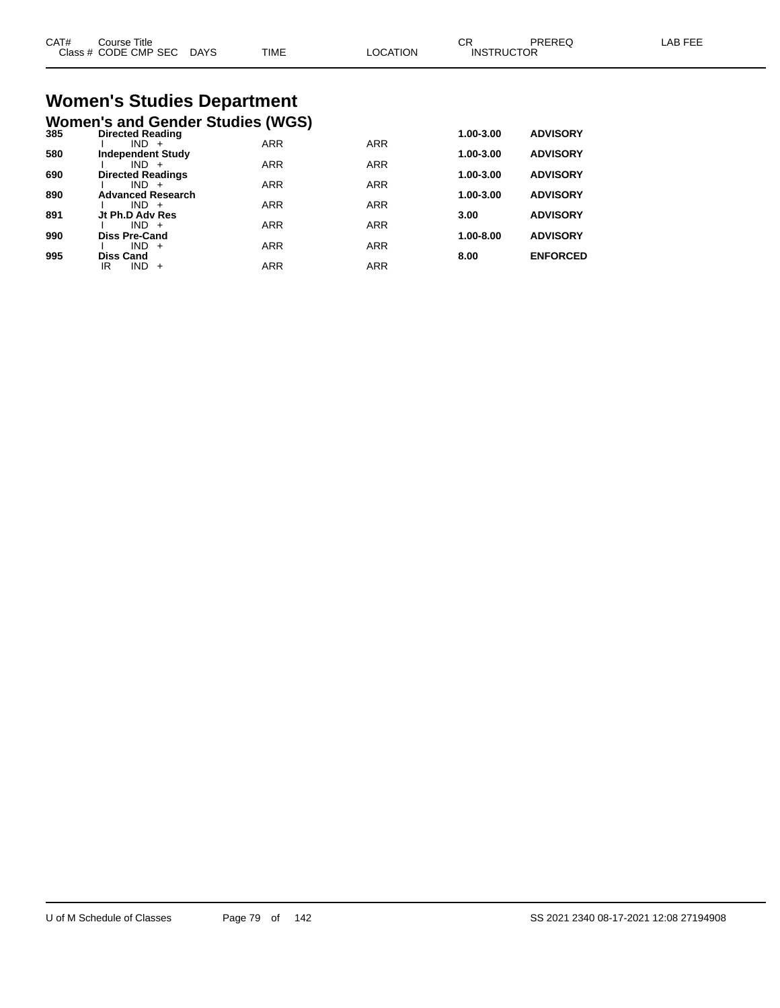| CAT#<br>$C \cdot 4$ | Course Title<br>CODE CMP SEC | <b>DAYS</b> | <b>TIME</b> | <b>ATION</b><br>ില | ∼⊏<br>◡<br>JCTOR<br><b>INSTRI</b> | חם בו | AR L |
|---------------------|------------------------------|-------------|-------------|--------------------|-----------------------------------|-------|------|
|                     |                              |             |             |                    |                                   |       |      |

# **Women's Studies Department**

|     | <b>Women's and Gender Studies (WGS)</b> |            |            |           |                 |
|-----|-----------------------------------------|------------|------------|-----------|-----------------|
| 385 | <b>Directed Reading</b>                 |            |            | 1.00-3.00 | <b>ADVISORY</b> |
|     | $IND +$                                 | <b>ARR</b> | <b>ARR</b> |           |                 |
| 580 | <b>Independent Study</b>                |            |            | 1.00-3.00 | <b>ADVISORY</b> |
|     | $IND +$                                 | <b>ARR</b> | <b>ARR</b> |           |                 |
| 690 | <b>Directed Readings</b>                |            |            | 1.00-3.00 | <b>ADVISORY</b> |
|     | $IND +$                                 | <b>ARR</b> | <b>ARR</b> |           |                 |
| 890 | <b>Advanced Research</b>                |            |            | 1.00-3.00 | <b>ADVISORY</b> |
|     | $IND +$                                 | <b>ARR</b> | <b>ARR</b> |           |                 |
| 891 | Jt Ph.D Adv Res                         |            |            | 3.00      | <b>ADVISORY</b> |
|     | $IND +$                                 | <b>ARR</b> | <b>ARR</b> |           |                 |
| 990 | <b>Diss Pre-Cand</b>                    |            |            | 1.00-8.00 | <b>ADVISORY</b> |
|     | IND.<br>$+$                             | <b>ARR</b> | <b>ARR</b> |           |                 |
| 995 | <b>Diss Cand</b>                        |            |            | 8.00      | <b>ENFORCED</b> |
|     | <b>IND</b><br>IR<br>$+$                 | <b>ARR</b> | <b>ARR</b> |           |                 |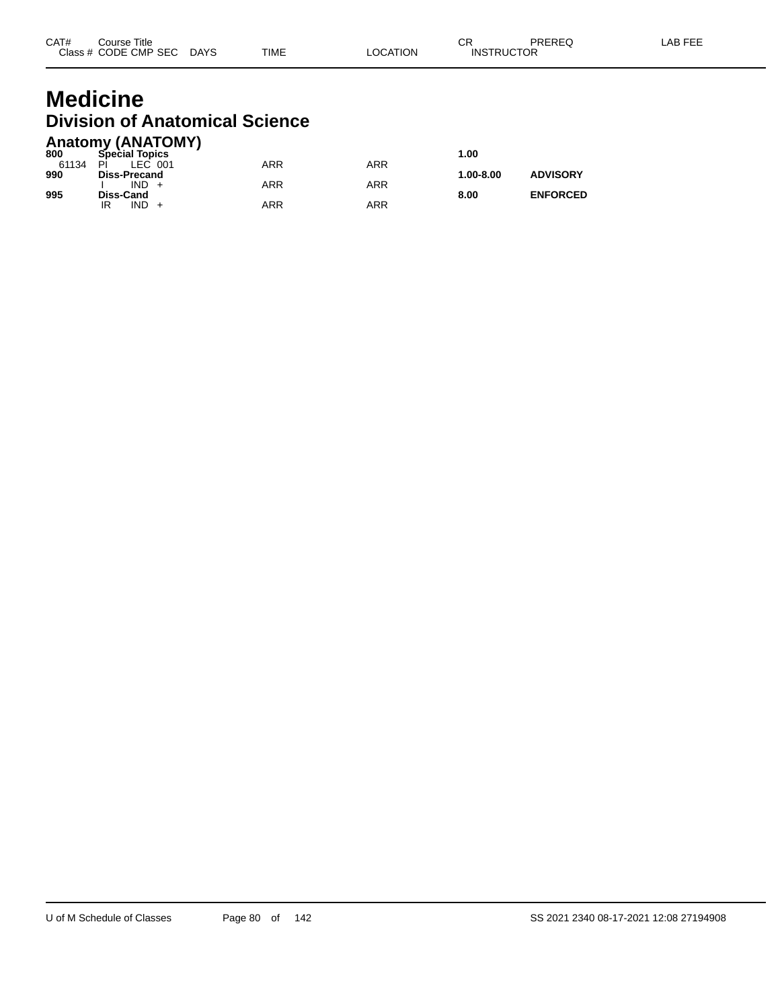### **Medicine Division of Anatomical Science Anatomy (ANATOMY)**

| Anatomy (ANATOMY |                           |  |
|------------------|---------------------------|--|
| 000              | $C_{\text{model}}$ Tanian |  |

| 800   | <b>Special Topics</b> |     |            | 1.00      |                 |
|-------|-----------------------|-----|------------|-----------|-----------------|
| 61134 | PÌ<br>LEC 001         | ARR | ARR        |           |                 |
| 990   | <b>Diss-Precand</b>   |     |            | 1.00-8.00 | <b>ADVISORY</b> |
| 995   | $IND +$<br>Diss-Cand  | ARR | <b>ARR</b> | 8.00      | <b>ENFORCED</b> |
|       | $IND +$<br>IR         | ARR | <b>ARR</b> |           |                 |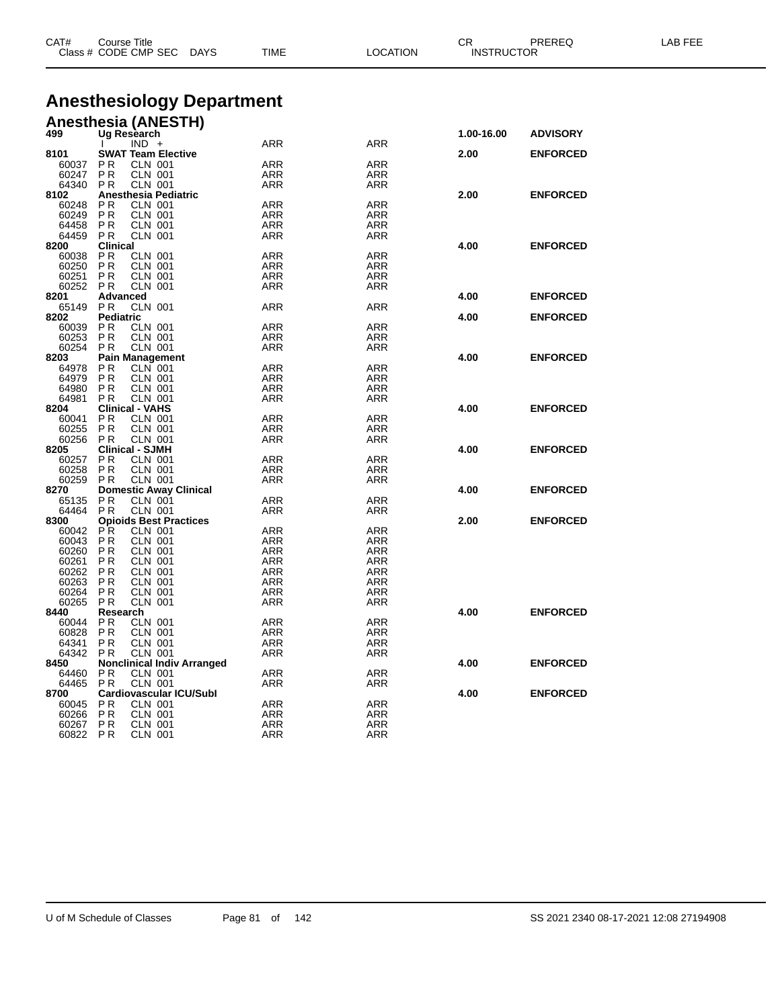| <b>Anesthesiology Department</b><br><b>Anesthesia (ANESTH)</b><br>Ug Research<br>499<br>1.00-16.00<br><b>ADVISORY</b><br>$IND +$<br>ARR<br>ARR<br><b>SWAT Team Elective</b><br>8101<br>2.00<br><b>ENFORCED</b><br><b>CLN 001</b><br><b>ARR</b><br>60037<br>P R<br>ARR<br>60247<br><b>PR</b><br><b>CLN 001</b><br><b>ARR</b><br><b>ARR</b><br>64340<br>P <sub>R</sub><br><b>CLN 001</b><br><b>ARR</b><br>ARR<br>8102<br>Anesthesia Pediatric<br>2.00<br><b>ENFORCED</b><br>PR.<br><b>CLN 001</b><br><b>ARR</b><br>60248<br>ARR<br>60249<br>PR<br><b>CLN 001</b><br><b>ARR</b><br><b>ARR</b><br>64458<br><b>CLN 001</b><br>P R<br>ARR<br>ARR<br>64459<br>PR<br><b>CLN 001</b><br>ARR<br><b>ARR</b><br><b>Clinical</b><br>8200<br>4.00<br><b>ENFORCED</b><br><b>CLN 001</b><br><b>ARR</b><br>60038<br>ΡR<br>ARR<br>60250<br><b>PR</b><br><b>CLN 001</b><br>ARR<br><b>ARR</b><br>P R<br><b>CLN 001</b><br>ARR<br>60251<br>ARR<br>60252<br><b>CLN 001</b><br>P R<br>ARR<br>ARR<br>Advanced<br>4.00<br><b>ENFORCED</b><br>8201<br><b>CLN 001</b><br><b>ARR</b><br><b>ARR</b><br>65149<br>P R<br><b>Pediatric</b><br>8202<br>4.00<br><b>ENFORCED</b><br>P <sub>R</sub><br><b>CLN 001</b><br><b>ARR</b><br>60039<br>ARR<br>P <sub>R</sub><br>60253<br><b>CLN 001</b><br><b>ARR</b><br><b>ARR</b><br><b>CLN 001</b><br>60254<br>P R<br>ARR<br>ARR<br>8203<br><b>Pain Management</b><br>4.00<br><b>ENFORCED</b><br><b>ARR</b><br><b>ARR</b><br>64978<br>ΡR<br><b>CLN 001</b><br>64979<br><b>CLN 001</b><br>P R<br>ARR<br>ARR<br>64980<br>PR<br><b>CLN 001</b><br><b>ARR</b><br><b>ARR</b><br><b>CLN 001</b><br><b>ARR</b><br>64981<br>P R<br>ARR<br><b>Clinical - VAHS</b><br>8204<br>4.00<br><b>ENFORCED</b><br>PR<br><b>CLN 001</b><br><b>ARR</b><br>60041<br>ARR<br>PR<br>CLN 001<br><b>ARR</b><br><b>ARR</b><br>60255<br>60256<br><b>CLN 001</b><br>PR.<br>ARR<br>ARR<br><b>Clinical - SJMH</b><br>8205<br>4.00<br><b>ENFORCED</b><br><b>ARR</b><br><b>ARR</b><br>ΡR<br><b>CLN 001</b><br>60257<br>60258<br>PR<br><b>CLN 001</b><br>ARR<br>ARR<br>60259<br>PR.<br><b>CLN 001</b><br>ARR<br><b>ARR</b><br><b>Domestic Away Clinical</b><br>8270<br><b>ENFORCED</b><br>4.00<br>PR<br><b>CLN 001</b><br>65135<br>ARR<br>ARR<br>64464<br>P R<br><b>CLN 001</b><br>ARR<br><b>ARR</b><br><b>Opioids Best Practices</b><br>2.00<br><b>ENFORCED</b><br>8300<br>PR.<br><b>CLN 001</b><br><b>ARR</b><br>60042<br>ARR<br>60043<br>PR.<br><b>CLN 001</b><br><b>ARR</b><br><b>ARR</b><br>CLN 001<br><b>ARR</b><br>60260<br>ΡR<br>ARR<br>60261<br><b>CLN 001</b><br>ΡR<br>ARR<br>ARR<br>PR<br><b>CLN 001</b><br><b>ARR</b><br>ARR<br>60262<br>CLN 001<br><b>ARR</b><br><b>ARR</b><br>60263<br>ΡR<br><b>CLN 001</b><br><b>ARR</b><br>60264<br>ΡR<br>ARR<br><b>ARR</b><br><b>ARR</b><br>60265<br>P R<br>CLN 001<br>8440<br>Research<br>4.00<br><b>ENFORCED</b><br>60044<br>P R<br><b>CLN 001</b><br>ARR<br>ARR<br>60828<br>PR<br><b>CLN 001</b><br>ARR<br><b>ARR</b><br>64341<br>PR.<br><b>CLN 001</b><br>ARR<br><b>ARR</b><br>64342<br><b>CLN 001</b><br>P R<br>ARR<br>ARR<br><b>Nonclinical Indiv Arranged</b><br>4.00<br><b>ENFORCED</b><br>8450<br><b>ARR</b><br><b>ARR</b><br>P R<br>CLN 001<br>64460<br><b>CLN 001</b><br>64465<br>P R<br>ARR<br>ARR<br><b>Cardiovascular ICU/Subl</b><br>8700<br>4.00<br><b>ENFORCED</b><br><b>ARR</b><br><b>ARR</b><br>60045<br>P R<br><b>CLN 001</b><br>60266<br><b>CLN 001</b><br>P R<br>ARR<br>ARR<br>60267<br><b>CLN 001</b><br><b>ARR</b><br>ARR<br>P R<br>60822<br><b>ARR</b><br><b>ARR</b><br>P R<br>CLN 001 | CAT# | <b>Course Title</b><br>Class # CODE CMP SEC DAYS | CR<br><b>INSTRUCTOR</b><br>TIME<br><b>LOCATION</b> |  | PREREQ | LAB FEE |  |
|---------------------------------------------------------------------------------------------------------------------------------------------------------------------------------------------------------------------------------------------------------------------------------------------------------------------------------------------------------------------------------------------------------------------------------------------------------------------------------------------------------------------------------------------------------------------------------------------------------------------------------------------------------------------------------------------------------------------------------------------------------------------------------------------------------------------------------------------------------------------------------------------------------------------------------------------------------------------------------------------------------------------------------------------------------------------------------------------------------------------------------------------------------------------------------------------------------------------------------------------------------------------------------------------------------------------------------------------------------------------------------------------------------------------------------------------------------------------------------------------------------------------------------------------------------------------------------------------------------------------------------------------------------------------------------------------------------------------------------------------------------------------------------------------------------------------------------------------------------------------------------------------------------------------------------------------------------------------------------------------------------------------------------------------------------------------------------------------------------------------------------------------------------------------------------------------------------------------------------------------------------------------------------------------------------------------------------------------------------------------------------------------------------------------------------------------------------------------------------------------------------------------------------------------------------------------------------------------------------------------------------------------------------------------------------------------------------------------------------------------------------------------------------------------------------------------------------------------------------------------------------------------------------------------------------------------------------------------------------------------------------------------------------------------------------------------------------------------------------------------------------------------------------------------------------------------------------------------------------------------------------------------------------------------------------------------------------------------------------------------------------------------------------------------------------------------------------------------------------------------------------------------------------------|------|--------------------------------------------------|----------------------------------------------------|--|--------|---------|--|
|                                                                                                                                                                                                                                                                                                                                                                                                                                                                                                                                                                                                                                                                                                                                                                                                                                                                                                                                                                                                                                                                                                                                                                                                                                                                                                                                                                                                                                                                                                                                                                                                                                                                                                                                                                                                                                                                                                                                                                                                                                                                                                                                                                                                                                                                                                                                                                                                                                                                                                                                                                                                                                                                                                                                                                                                                                                                                                                                                                                                                                                                                                                                                                                                                                                                                                                                                                                                                                                                                                                                       |      |                                                  |                                                    |  |        |         |  |
|                                                                                                                                                                                                                                                                                                                                                                                                                                                                                                                                                                                                                                                                                                                                                                                                                                                                                                                                                                                                                                                                                                                                                                                                                                                                                                                                                                                                                                                                                                                                                                                                                                                                                                                                                                                                                                                                                                                                                                                                                                                                                                                                                                                                                                                                                                                                                                                                                                                                                                                                                                                                                                                                                                                                                                                                                                                                                                                                                                                                                                                                                                                                                                                                                                                                                                                                                                                                                                                                                                                                       |      |                                                  |                                                    |  |        |         |  |
|                                                                                                                                                                                                                                                                                                                                                                                                                                                                                                                                                                                                                                                                                                                                                                                                                                                                                                                                                                                                                                                                                                                                                                                                                                                                                                                                                                                                                                                                                                                                                                                                                                                                                                                                                                                                                                                                                                                                                                                                                                                                                                                                                                                                                                                                                                                                                                                                                                                                                                                                                                                                                                                                                                                                                                                                                                                                                                                                                                                                                                                                                                                                                                                                                                                                                                                                                                                                                                                                                                                                       |      |                                                  |                                                    |  |        |         |  |
|                                                                                                                                                                                                                                                                                                                                                                                                                                                                                                                                                                                                                                                                                                                                                                                                                                                                                                                                                                                                                                                                                                                                                                                                                                                                                                                                                                                                                                                                                                                                                                                                                                                                                                                                                                                                                                                                                                                                                                                                                                                                                                                                                                                                                                                                                                                                                                                                                                                                                                                                                                                                                                                                                                                                                                                                                                                                                                                                                                                                                                                                                                                                                                                                                                                                                                                                                                                                                                                                                                                                       |      |                                                  |                                                    |  |        |         |  |
|                                                                                                                                                                                                                                                                                                                                                                                                                                                                                                                                                                                                                                                                                                                                                                                                                                                                                                                                                                                                                                                                                                                                                                                                                                                                                                                                                                                                                                                                                                                                                                                                                                                                                                                                                                                                                                                                                                                                                                                                                                                                                                                                                                                                                                                                                                                                                                                                                                                                                                                                                                                                                                                                                                                                                                                                                                                                                                                                                                                                                                                                                                                                                                                                                                                                                                                                                                                                                                                                                                                                       |      |                                                  |                                                    |  |        |         |  |
|                                                                                                                                                                                                                                                                                                                                                                                                                                                                                                                                                                                                                                                                                                                                                                                                                                                                                                                                                                                                                                                                                                                                                                                                                                                                                                                                                                                                                                                                                                                                                                                                                                                                                                                                                                                                                                                                                                                                                                                                                                                                                                                                                                                                                                                                                                                                                                                                                                                                                                                                                                                                                                                                                                                                                                                                                                                                                                                                                                                                                                                                                                                                                                                                                                                                                                                                                                                                                                                                                                                                       |      |                                                  |                                                    |  |        |         |  |
|                                                                                                                                                                                                                                                                                                                                                                                                                                                                                                                                                                                                                                                                                                                                                                                                                                                                                                                                                                                                                                                                                                                                                                                                                                                                                                                                                                                                                                                                                                                                                                                                                                                                                                                                                                                                                                                                                                                                                                                                                                                                                                                                                                                                                                                                                                                                                                                                                                                                                                                                                                                                                                                                                                                                                                                                                                                                                                                                                                                                                                                                                                                                                                                                                                                                                                                                                                                                                                                                                                                                       |      |                                                  |                                                    |  |        |         |  |
|                                                                                                                                                                                                                                                                                                                                                                                                                                                                                                                                                                                                                                                                                                                                                                                                                                                                                                                                                                                                                                                                                                                                                                                                                                                                                                                                                                                                                                                                                                                                                                                                                                                                                                                                                                                                                                                                                                                                                                                                                                                                                                                                                                                                                                                                                                                                                                                                                                                                                                                                                                                                                                                                                                                                                                                                                                                                                                                                                                                                                                                                                                                                                                                                                                                                                                                                                                                                                                                                                                                                       |      |                                                  |                                                    |  |        |         |  |
|                                                                                                                                                                                                                                                                                                                                                                                                                                                                                                                                                                                                                                                                                                                                                                                                                                                                                                                                                                                                                                                                                                                                                                                                                                                                                                                                                                                                                                                                                                                                                                                                                                                                                                                                                                                                                                                                                                                                                                                                                                                                                                                                                                                                                                                                                                                                                                                                                                                                                                                                                                                                                                                                                                                                                                                                                                                                                                                                                                                                                                                                                                                                                                                                                                                                                                                                                                                                                                                                                                                                       |      |                                                  |                                                    |  |        |         |  |
|                                                                                                                                                                                                                                                                                                                                                                                                                                                                                                                                                                                                                                                                                                                                                                                                                                                                                                                                                                                                                                                                                                                                                                                                                                                                                                                                                                                                                                                                                                                                                                                                                                                                                                                                                                                                                                                                                                                                                                                                                                                                                                                                                                                                                                                                                                                                                                                                                                                                                                                                                                                                                                                                                                                                                                                                                                                                                                                                                                                                                                                                                                                                                                                                                                                                                                                                                                                                                                                                                                                                       |      |                                                  |                                                    |  |        |         |  |
|                                                                                                                                                                                                                                                                                                                                                                                                                                                                                                                                                                                                                                                                                                                                                                                                                                                                                                                                                                                                                                                                                                                                                                                                                                                                                                                                                                                                                                                                                                                                                                                                                                                                                                                                                                                                                                                                                                                                                                                                                                                                                                                                                                                                                                                                                                                                                                                                                                                                                                                                                                                                                                                                                                                                                                                                                                                                                                                                                                                                                                                                                                                                                                                                                                                                                                                                                                                                                                                                                                                                       |      |                                                  |                                                    |  |        |         |  |
|                                                                                                                                                                                                                                                                                                                                                                                                                                                                                                                                                                                                                                                                                                                                                                                                                                                                                                                                                                                                                                                                                                                                                                                                                                                                                                                                                                                                                                                                                                                                                                                                                                                                                                                                                                                                                                                                                                                                                                                                                                                                                                                                                                                                                                                                                                                                                                                                                                                                                                                                                                                                                                                                                                                                                                                                                                                                                                                                                                                                                                                                                                                                                                                                                                                                                                                                                                                                                                                                                                                                       |      |                                                  |                                                    |  |        |         |  |
|                                                                                                                                                                                                                                                                                                                                                                                                                                                                                                                                                                                                                                                                                                                                                                                                                                                                                                                                                                                                                                                                                                                                                                                                                                                                                                                                                                                                                                                                                                                                                                                                                                                                                                                                                                                                                                                                                                                                                                                                                                                                                                                                                                                                                                                                                                                                                                                                                                                                                                                                                                                                                                                                                                                                                                                                                                                                                                                                                                                                                                                                                                                                                                                                                                                                                                                                                                                                                                                                                                                                       |      |                                                  |                                                    |  |        |         |  |
|                                                                                                                                                                                                                                                                                                                                                                                                                                                                                                                                                                                                                                                                                                                                                                                                                                                                                                                                                                                                                                                                                                                                                                                                                                                                                                                                                                                                                                                                                                                                                                                                                                                                                                                                                                                                                                                                                                                                                                                                                                                                                                                                                                                                                                                                                                                                                                                                                                                                                                                                                                                                                                                                                                                                                                                                                                                                                                                                                                                                                                                                                                                                                                                                                                                                                                                                                                                                                                                                                                                                       |      |                                                  |                                                    |  |        |         |  |
|                                                                                                                                                                                                                                                                                                                                                                                                                                                                                                                                                                                                                                                                                                                                                                                                                                                                                                                                                                                                                                                                                                                                                                                                                                                                                                                                                                                                                                                                                                                                                                                                                                                                                                                                                                                                                                                                                                                                                                                                                                                                                                                                                                                                                                                                                                                                                                                                                                                                                                                                                                                                                                                                                                                                                                                                                                                                                                                                                                                                                                                                                                                                                                                                                                                                                                                                                                                                                                                                                                                                       |      |                                                  |                                                    |  |        |         |  |
|                                                                                                                                                                                                                                                                                                                                                                                                                                                                                                                                                                                                                                                                                                                                                                                                                                                                                                                                                                                                                                                                                                                                                                                                                                                                                                                                                                                                                                                                                                                                                                                                                                                                                                                                                                                                                                                                                                                                                                                                                                                                                                                                                                                                                                                                                                                                                                                                                                                                                                                                                                                                                                                                                                                                                                                                                                                                                                                                                                                                                                                                                                                                                                                                                                                                                                                                                                                                                                                                                                                                       |      |                                                  |                                                    |  |        |         |  |
|                                                                                                                                                                                                                                                                                                                                                                                                                                                                                                                                                                                                                                                                                                                                                                                                                                                                                                                                                                                                                                                                                                                                                                                                                                                                                                                                                                                                                                                                                                                                                                                                                                                                                                                                                                                                                                                                                                                                                                                                                                                                                                                                                                                                                                                                                                                                                                                                                                                                                                                                                                                                                                                                                                                                                                                                                                                                                                                                                                                                                                                                                                                                                                                                                                                                                                                                                                                                                                                                                                                                       |      |                                                  |                                                    |  |        |         |  |
|                                                                                                                                                                                                                                                                                                                                                                                                                                                                                                                                                                                                                                                                                                                                                                                                                                                                                                                                                                                                                                                                                                                                                                                                                                                                                                                                                                                                                                                                                                                                                                                                                                                                                                                                                                                                                                                                                                                                                                                                                                                                                                                                                                                                                                                                                                                                                                                                                                                                                                                                                                                                                                                                                                                                                                                                                                                                                                                                                                                                                                                                                                                                                                                                                                                                                                                                                                                                                                                                                                                                       |      |                                                  |                                                    |  |        |         |  |
|                                                                                                                                                                                                                                                                                                                                                                                                                                                                                                                                                                                                                                                                                                                                                                                                                                                                                                                                                                                                                                                                                                                                                                                                                                                                                                                                                                                                                                                                                                                                                                                                                                                                                                                                                                                                                                                                                                                                                                                                                                                                                                                                                                                                                                                                                                                                                                                                                                                                                                                                                                                                                                                                                                                                                                                                                                                                                                                                                                                                                                                                                                                                                                                                                                                                                                                                                                                                                                                                                                                                       |      |                                                  |                                                    |  |        |         |  |
|                                                                                                                                                                                                                                                                                                                                                                                                                                                                                                                                                                                                                                                                                                                                                                                                                                                                                                                                                                                                                                                                                                                                                                                                                                                                                                                                                                                                                                                                                                                                                                                                                                                                                                                                                                                                                                                                                                                                                                                                                                                                                                                                                                                                                                                                                                                                                                                                                                                                                                                                                                                                                                                                                                                                                                                                                                                                                                                                                                                                                                                                                                                                                                                                                                                                                                                                                                                                                                                                                                                                       |      |                                                  |                                                    |  |        |         |  |
|                                                                                                                                                                                                                                                                                                                                                                                                                                                                                                                                                                                                                                                                                                                                                                                                                                                                                                                                                                                                                                                                                                                                                                                                                                                                                                                                                                                                                                                                                                                                                                                                                                                                                                                                                                                                                                                                                                                                                                                                                                                                                                                                                                                                                                                                                                                                                                                                                                                                                                                                                                                                                                                                                                                                                                                                                                                                                                                                                                                                                                                                                                                                                                                                                                                                                                                                                                                                                                                                                                                                       |      |                                                  |                                                    |  |        |         |  |
|                                                                                                                                                                                                                                                                                                                                                                                                                                                                                                                                                                                                                                                                                                                                                                                                                                                                                                                                                                                                                                                                                                                                                                                                                                                                                                                                                                                                                                                                                                                                                                                                                                                                                                                                                                                                                                                                                                                                                                                                                                                                                                                                                                                                                                                                                                                                                                                                                                                                                                                                                                                                                                                                                                                                                                                                                                                                                                                                                                                                                                                                                                                                                                                                                                                                                                                                                                                                                                                                                                                                       |      |                                                  |                                                    |  |        |         |  |
|                                                                                                                                                                                                                                                                                                                                                                                                                                                                                                                                                                                                                                                                                                                                                                                                                                                                                                                                                                                                                                                                                                                                                                                                                                                                                                                                                                                                                                                                                                                                                                                                                                                                                                                                                                                                                                                                                                                                                                                                                                                                                                                                                                                                                                                                                                                                                                                                                                                                                                                                                                                                                                                                                                                                                                                                                                                                                                                                                                                                                                                                                                                                                                                                                                                                                                                                                                                                                                                                                                                                       |      |                                                  |                                                    |  |        |         |  |
|                                                                                                                                                                                                                                                                                                                                                                                                                                                                                                                                                                                                                                                                                                                                                                                                                                                                                                                                                                                                                                                                                                                                                                                                                                                                                                                                                                                                                                                                                                                                                                                                                                                                                                                                                                                                                                                                                                                                                                                                                                                                                                                                                                                                                                                                                                                                                                                                                                                                                                                                                                                                                                                                                                                                                                                                                                                                                                                                                                                                                                                                                                                                                                                                                                                                                                                                                                                                                                                                                                                                       |      |                                                  |                                                    |  |        |         |  |
|                                                                                                                                                                                                                                                                                                                                                                                                                                                                                                                                                                                                                                                                                                                                                                                                                                                                                                                                                                                                                                                                                                                                                                                                                                                                                                                                                                                                                                                                                                                                                                                                                                                                                                                                                                                                                                                                                                                                                                                                                                                                                                                                                                                                                                                                                                                                                                                                                                                                                                                                                                                                                                                                                                                                                                                                                                                                                                                                                                                                                                                                                                                                                                                                                                                                                                                                                                                                                                                                                                                                       |      |                                                  |                                                    |  |        |         |  |
|                                                                                                                                                                                                                                                                                                                                                                                                                                                                                                                                                                                                                                                                                                                                                                                                                                                                                                                                                                                                                                                                                                                                                                                                                                                                                                                                                                                                                                                                                                                                                                                                                                                                                                                                                                                                                                                                                                                                                                                                                                                                                                                                                                                                                                                                                                                                                                                                                                                                                                                                                                                                                                                                                                                                                                                                                                                                                                                                                                                                                                                                                                                                                                                                                                                                                                                                                                                                                                                                                                                                       |      |                                                  |                                                    |  |        |         |  |
|                                                                                                                                                                                                                                                                                                                                                                                                                                                                                                                                                                                                                                                                                                                                                                                                                                                                                                                                                                                                                                                                                                                                                                                                                                                                                                                                                                                                                                                                                                                                                                                                                                                                                                                                                                                                                                                                                                                                                                                                                                                                                                                                                                                                                                                                                                                                                                                                                                                                                                                                                                                                                                                                                                                                                                                                                                                                                                                                                                                                                                                                                                                                                                                                                                                                                                                                                                                                                                                                                                                                       |      |                                                  |                                                    |  |        |         |  |
|                                                                                                                                                                                                                                                                                                                                                                                                                                                                                                                                                                                                                                                                                                                                                                                                                                                                                                                                                                                                                                                                                                                                                                                                                                                                                                                                                                                                                                                                                                                                                                                                                                                                                                                                                                                                                                                                                                                                                                                                                                                                                                                                                                                                                                                                                                                                                                                                                                                                                                                                                                                                                                                                                                                                                                                                                                                                                                                                                                                                                                                                                                                                                                                                                                                                                                                                                                                                                                                                                                                                       |      |                                                  |                                                    |  |        |         |  |
|                                                                                                                                                                                                                                                                                                                                                                                                                                                                                                                                                                                                                                                                                                                                                                                                                                                                                                                                                                                                                                                                                                                                                                                                                                                                                                                                                                                                                                                                                                                                                                                                                                                                                                                                                                                                                                                                                                                                                                                                                                                                                                                                                                                                                                                                                                                                                                                                                                                                                                                                                                                                                                                                                                                                                                                                                                                                                                                                                                                                                                                                                                                                                                                                                                                                                                                                                                                                                                                                                                                                       |      |                                                  |                                                    |  |        |         |  |
|                                                                                                                                                                                                                                                                                                                                                                                                                                                                                                                                                                                                                                                                                                                                                                                                                                                                                                                                                                                                                                                                                                                                                                                                                                                                                                                                                                                                                                                                                                                                                                                                                                                                                                                                                                                                                                                                                                                                                                                                                                                                                                                                                                                                                                                                                                                                                                                                                                                                                                                                                                                                                                                                                                                                                                                                                                                                                                                                                                                                                                                                                                                                                                                                                                                                                                                                                                                                                                                                                                                                       |      |                                                  |                                                    |  |        |         |  |
|                                                                                                                                                                                                                                                                                                                                                                                                                                                                                                                                                                                                                                                                                                                                                                                                                                                                                                                                                                                                                                                                                                                                                                                                                                                                                                                                                                                                                                                                                                                                                                                                                                                                                                                                                                                                                                                                                                                                                                                                                                                                                                                                                                                                                                                                                                                                                                                                                                                                                                                                                                                                                                                                                                                                                                                                                                                                                                                                                                                                                                                                                                                                                                                                                                                                                                                                                                                                                                                                                                                                       |      |                                                  |                                                    |  |        |         |  |
|                                                                                                                                                                                                                                                                                                                                                                                                                                                                                                                                                                                                                                                                                                                                                                                                                                                                                                                                                                                                                                                                                                                                                                                                                                                                                                                                                                                                                                                                                                                                                                                                                                                                                                                                                                                                                                                                                                                                                                                                                                                                                                                                                                                                                                                                                                                                                                                                                                                                                                                                                                                                                                                                                                                                                                                                                                                                                                                                                                                                                                                                                                                                                                                                                                                                                                                                                                                                                                                                                                                                       |      |                                                  |                                                    |  |        |         |  |
|                                                                                                                                                                                                                                                                                                                                                                                                                                                                                                                                                                                                                                                                                                                                                                                                                                                                                                                                                                                                                                                                                                                                                                                                                                                                                                                                                                                                                                                                                                                                                                                                                                                                                                                                                                                                                                                                                                                                                                                                                                                                                                                                                                                                                                                                                                                                                                                                                                                                                                                                                                                                                                                                                                                                                                                                                                                                                                                                                                                                                                                                                                                                                                                                                                                                                                                                                                                                                                                                                                                                       |      |                                                  |                                                    |  |        |         |  |
|                                                                                                                                                                                                                                                                                                                                                                                                                                                                                                                                                                                                                                                                                                                                                                                                                                                                                                                                                                                                                                                                                                                                                                                                                                                                                                                                                                                                                                                                                                                                                                                                                                                                                                                                                                                                                                                                                                                                                                                                                                                                                                                                                                                                                                                                                                                                                                                                                                                                                                                                                                                                                                                                                                                                                                                                                                                                                                                                                                                                                                                                                                                                                                                                                                                                                                                                                                                                                                                                                                                                       |      |                                                  |                                                    |  |        |         |  |
|                                                                                                                                                                                                                                                                                                                                                                                                                                                                                                                                                                                                                                                                                                                                                                                                                                                                                                                                                                                                                                                                                                                                                                                                                                                                                                                                                                                                                                                                                                                                                                                                                                                                                                                                                                                                                                                                                                                                                                                                                                                                                                                                                                                                                                                                                                                                                                                                                                                                                                                                                                                                                                                                                                                                                                                                                                                                                                                                                                                                                                                                                                                                                                                                                                                                                                                                                                                                                                                                                                                                       |      |                                                  |                                                    |  |        |         |  |
|                                                                                                                                                                                                                                                                                                                                                                                                                                                                                                                                                                                                                                                                                                                                                                                                                                                                                                                                                                                                                                                                                                                                                                                                                                                                                                                                                                                                                                                                                                                                                                                                                                                                                                                                                                                                                                                                                                                                                                                                                                                                                                                                                                                                                                                                                                                                                                                                                                                                                                                                                                                                                                                                                                                                                                                                                                                                                                                                                                                                                                                                                                                                                                                                                                                                                                                                                                                                                                                                                                                                       |      |                                                  |                                                    |  |        |         |  |
|                                                                                                                                                                                                                                                                                                                                                                                                                                                                                                                                                                                                                                                                                                                                                                                                                                                                                                                                                                                                                                                                                                                                                                                                                                                                                                                                                                                                                                                                                                                                                                                                                                                                                                                                                                                                                                                                                                                                                                                                                                                                                                                                                                                                                                                                                                                                                                                                                                                                                                                                                                                                                                                                                                                                                                                                                                                                                                                                                                                                                                                                                                                                                                                                                                                                                                                                                                                                                                                                                                                                       |      |                                                  |                                                    |  |        |         |  |
|                                                                                                                                                                                                                                                                                                                                                                                                                                                                                                                                                                                                                                                                                                                                                                                                                                                                                                                                                                                                                                                                                                                                                                                                                                                                                                                                                                                                                                                                                                                                                                                                                                                                                                                                                                                                                                                                                                                                                                                                                                                                                                                                                                                                                                                                                                                                                                                                                                                                                                                                                                                                                                                                                                                                                                                                                                                                                                                                                                                                                                                                                                                                                                                                                                                                                                                                                                                                                                                                                                                                       |      |                                                  |                                                    |  |        |         |  |
|                                                                                                                                                                                                                                                                                                                                                                                                                                                                                                                                                                                                                                                                                                                                                                                                                                                                                                                                                                                                                                                                                                                                                                                                                                                                                                                                                                                                                                                                                                                                                                                                                                                                                                                                                                                                                                                                                                                                                                                                                                                                                                                                                                                                                                                                                                                                                                                                                                                                                                                                                                                                                                                                                                                                                                                                                                                                                                                                                                                                                                                                                                                                                                                                                                                                                                                                                                                                                                                                                                                                       |      |                                                  |                                                    |  |        |         |  |
|                                                                                                                                                                                                                                                                                                                                                                                                                                                                                                                                                                                                                                                                                                                                                                                                                                                                                                                                                                                                                                                                                                                                                                                                                                                                                                                                                                                                                                                                                                                                                                                                                                                                                                                                                                                                                                                                                                                                                                                                                                                                                                                                                                                                                                                                                                                                                                                                                                                                                                                                                                                                                                                                                                                                                                                                                                                                                                                                                                                                                                                                                                                                                                                                                                                                                                                                                                                                                                                                                                                                       |      |                                                  |                                                    |  |        |         |  |
|                                                                                                                                                                                                                                                                                                                                                                                                                                                                                                                                                                                                                                                                                                                                                                                                                                                                                                                                                                                                                                                                                                                                                                                                                                                                                                                                                                                                                                                                                                                                                                                                                                                                                                                                                                                                                                                                                                                                                                                                                                                                                                                                                                                                                                                                                                                                                                                                                                                                                                                                                                                                                                                                                                                                                                                                                                                                                                                                                                                                                                                                                                                                                                                                                                                                                                                                                                                                                                                                                                                                       |      |                                                  |                                                    |  |        |         |  |
|                                                                                                                                                                                                                                                                                                                                                                                                                                                                                                                                                                                                                                                                                                                                                                                                                                                                                                                                                                                                                                                                                                                                                                                                                                                                                                                                                                                                                                                                                                                                                                                                                                                                                                                                                                                                                                                                                                                                                                                                                                                                                                                                                                                                                                                                                                                                                                                                                                                                                                                                                                                                                                                                                                                                                                                                                                                                                                                                                                                                                                                                                                                                                                                                                                                                                                                                                                                                                                                                                                                                       |      |                                                  |                                                    |  |        |         |  |
|                                                                                                                                                                                                                                                                                                                                                                                                                                                                                                                                                                                                                                                                                                                                                                                                                                                                                                                                                                                                                                                                                                                                                                                                                                                                                                                                                                                                                                                                                                                                                                                                                                                                                                                                                                                                                                                                                                                                                                                                                                                                                                                                                                                                                                                                                                                                                                                                                                                                                                                                                                                                                                                                                                                                                                                                                                                                                                                                                                                                                                                                                                                                                                                                                                                                                                                                                                                                                                                                                                                                       |      |                                                  |                                                    |  |        |         |  |
|                                                                                                                                                                                                                                                                                                                                                                                                                                                                                                                                                                                                                                                                                                                                                                                                                                                                                                                                                                                                                                                                                                                                                                                                                                                                                                                                                                                                                                                                                                                                                                                                                                                                                                                                                                                                                                                                                                                                                                                                                                                                                                                                                                                                                                                                                                                                                                                                                                                                                                                                                                                                                                                                                                                                                                                                                                                                                                                                                                                                                                                                                                                                                                                                                                                                                                                                                                                                                                                                                                                                       |      |                                                  |                                                    |  |        |         |  |
|                                                                                                                                                                                                                                                                                                                                                                                                                                                                                                                                                                                                                                                                                                                                                                                                                                                                                                                                                                                                                                                                                                                                                                                                                                                                                                                                                                                                                                                                                                                                                                                                                                                                                                                                                                                                                                                                                                                                                                                                                                                                                                                                                                                                                                                                                                                                                                                                                                                                                                                                                                                                                                                                                                                                                                                                                                                                                                                                                                                                                                                                                                                                                                                                                                                                                                                                                                                                                                                                                                                                       |      |                                                  |                                                    |  |        |         |  |
|                                                                                                                                                                                                                                                                                                                                                                                                                                                                                                                                                                                                                                                                                                                                                                                                                                                                                                                                                                                                                                                                                                                                                                                                                                                                                                                                                                                                                                                                                                                                                                                                                                                                                                                                                                                                                                                                                                                                                                                                                                                                                                                                                                                                                                                                                                                                                                                                                                                                                                                                                                                                                                                                                                                                                                                                                                                                                                                                                                                                                                                                                                                                                                                                                                                                                                                                                                                                                                                                                                                                       |      |                                                  |                                                    |  |        |         |  |
|                                                                                                                                                                                                                                                                                                                                                                                                                                                                                                                                                                                                                                                                                                                                                                                                                                                                                                                                                                                                                                                                                                                                                                                                                                                                                                                                                                                                                                                                                                                                                                                                                                                                                                                                                                                                                                                                                                                                                                                                                                                                                                                                                                                                                                                                                                                                                                                                                                                                                                                                                                                                                                                                                                                                                                                                                                                                                                                                                                                                                                                                                                                                                                                                                                                                                                                                                                                                                                                                                                                                       |      |                                                  |                                                    |  |        |         |  |
|                                                                                                                                                                                                                                                                                                                                                                                                                                                                                                                                                                                                                                                                                                                                                                                                                                                                                                                                                                                                                                                                                                                                                                                                                                                                                                                                                                                                                                                                                                                                                                                                                                                                                                                                                                                                                                                                                                                                                                                                                                                                                                                                                                                                                                                                                                                                                                                                                                                                                                                                                                                                                                                                                                                                                                                                                                                                                                                                                                                                                                                                                                                                                                                                                                                                                                                                                                                                                                                                                                                                       |      |                                                  |                                                    |  |        |         |  |
|                                                                                                                                                                                                                                                                                                                                                                                                                                                                                                                                                                                                                                                                                                                                                                                                                                                                                                                                                                                                                                                                                                                                                                                                                                                                                                                                                                                                                                                                                                                                                                                                                                                                                                                                                                                                                                                                                                                                                                                                                                                                                                                                                                                                                                                                                                                                                                                                                                                                                                                                                                                                                                                                                                                                                                                                                                                                                                                                                                                                                                                                                                                                                                                                                                                                                                                                                                                                                                                                                                                                       |      |                                                  |                                                    |  |        |         |  |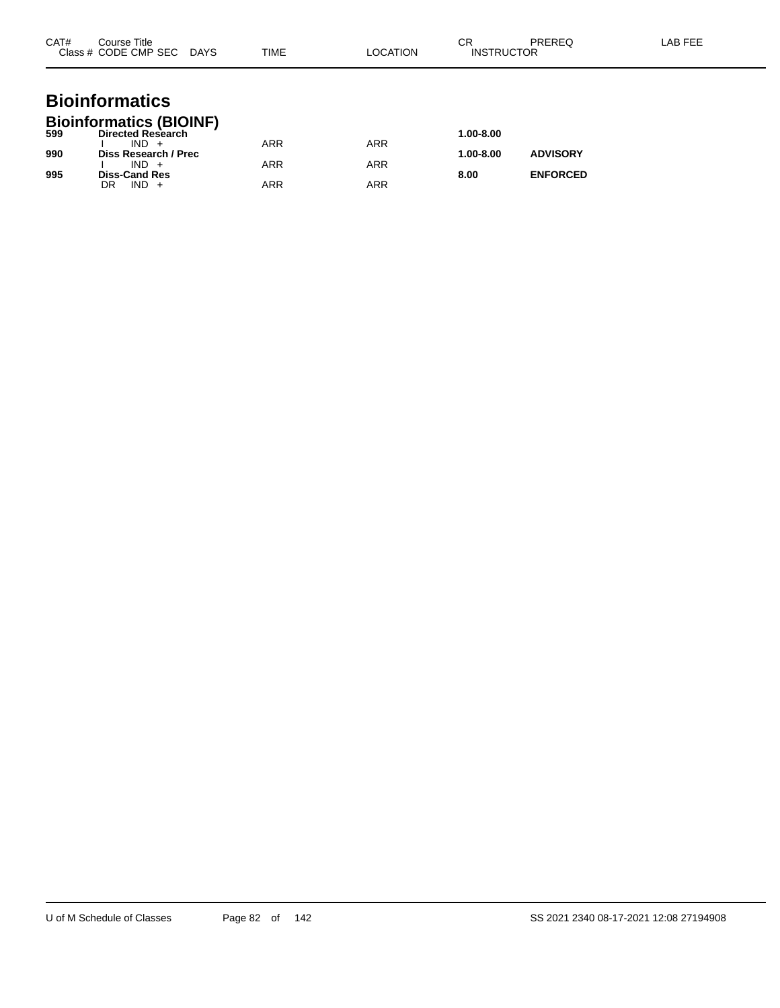| CAT# | Course Title<br>Class # CODE CMP SEC DAYS                             | TIME       | <b>LOCATION</b> | CR<br><b>INSTRUCTOR</b> | <b>PREREQ</b>   | LAB FEE |
|------|-----------------------------------------------------------------------|------------|-----------------|-------------------------|-----------------|---------|
|      | <b>Bioinformatics</b>                                                 |            |                 |                         |                 |         |
| 599  | <b>Bioinformatics (BIOINF)</b><br><b>Directed Research</b><br>$IND +$ | <b>ARR</b> | <b>ARR</b>      | 1.00-8.00               |                 |         |
| 990  | Diss Research / Prec<br>$IND +$                                       | <b>ARR</b> | <b>ARR</b>      | 1.00-8.00               | <b>ADVISORY</b> |         |
| 995  | <b>Diss-Cand Res</b><br>$IND +$<br>DR                                 | <b>ARR</b> | <b>ARR</b>      | 8.00                    | <b>ENFORCED</b> |         |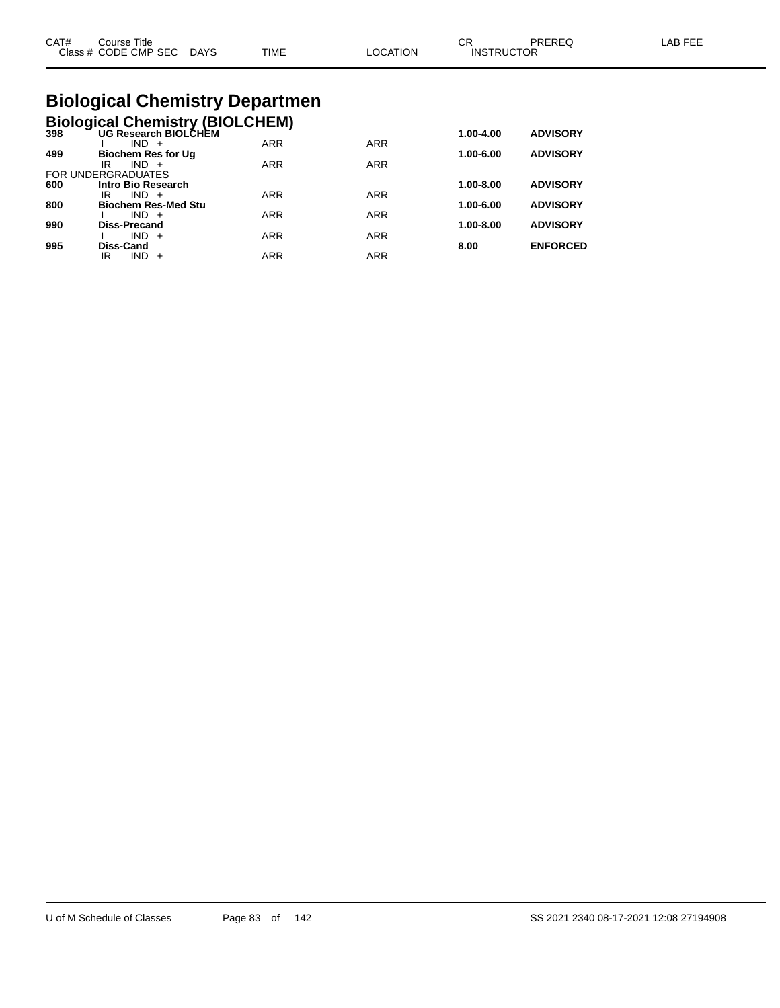|  | CAT#<br>⌒冖<br>PREREQ<br>LAB FEE<br>Course Title<br>◡<br>Class # CODE CMP SEC<br><b>TIME</b><br>LOCATION<br><b>INSTRUCTOR</b><br><b>DAYS</b> |
|--|---------------------------------------------------------------------------------------------------------------------------------------------|
|--|---------------------------------------------------------------------------------------------------------------------------------------------|

# **Biological Chemistry Departmen**

|  |  | Biological Chemistry (BIOLCHEM) |
|--|--|---------------------------------|
|  |  |                                 |

| 398 | <b>UG Research BIOLCHEM</b> |            |            | 1.00-4.00     | <b>ADVISORY</b> |
|-----|-----------------------------|------------|------------|---------------|-----------------|
|     | $IND +$                     | <b>ARR</b> | <b>ARR</b> |               |                 |
| 499 | <b>Biochem Res for Ug</b>   |            |            | 1.00-6.00     | <b>ADVISORY</b> |
|     | $IND +$<br>IR               | <b>ARR</b> | <b>ARR</b> |               |                 |
|     | FOR UNDERGRADUATES          |            |            |               |                 |
| 600 | Intro Bio Research          |            |            | $1.00 - 8.00$ | <b>ADVISORY</b> |
|     | $IND +$<br>IR               | <b>ARR</b> | <b>ARR</b> |               |                 |
| 800 | <b>Biochem Res-Med Stu</b>  |            |            | 1.00-6.00     | <b>ADVISORY</b> |
|     | $IND +$                     | <b>ARR</b> | <b>ARR</b> |               |                 |
| 990 | <b>Diss-Precand</b>         |            |            | $1.00 - 8.00$ | <b>ADVISORY</b> |
|     | $IND +$                     | <b>ARR</b> | <b>ARR</b> |               |                 |
| 995 | Diss-Cand                   |            |            | 8.00          | <b>ENFORCED</b> |
|     | <b>IND</b><br>IR<br>$+$     | <b>ARR</b> | ARR        |               |                 |
|     |                             |            |            |               |                 |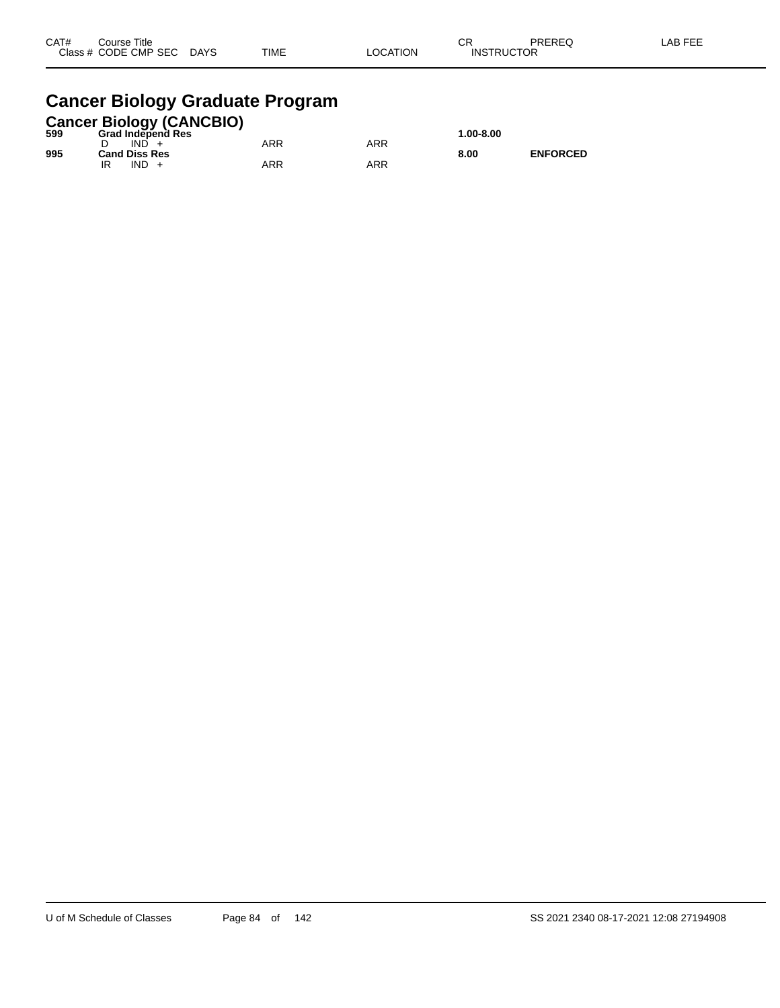| CAT# | Title<br>Course      |             |             |          | $\cap$<br>ັບເ     | PREREQ | _AB FEF |
|------|----------------------|-------------|-------------|----------|-------------------|--------|---------|
|      | Class # CODE CMP SEC | <b>DAYS</b> | <b>TIME</b> | _OCATION | <b>INSTRUCTOR</b> |        |         |

# **Cancer Biology Graduate Program**

|     |                      |      | <b>Cancer Biology (CANCBIO)</b> |     |     |           |                 |
|-----|----------------------|------|---------------------------------|-----|-----|-----------|-----------------|
| 599 |                      |      | <b>Grad Independ Res</b>        |     |     | 1.00-8.00 |                 |
|     |                      | IND. |                                 | ARR | ARR |           |                 |
| 995 | <b>Cand Diss Res</b> |      |                                 |     |     | 8.00      | <b>ENFORCED</b> |
|     |                      | IND. |                                 | ARR | ARR |           |                 |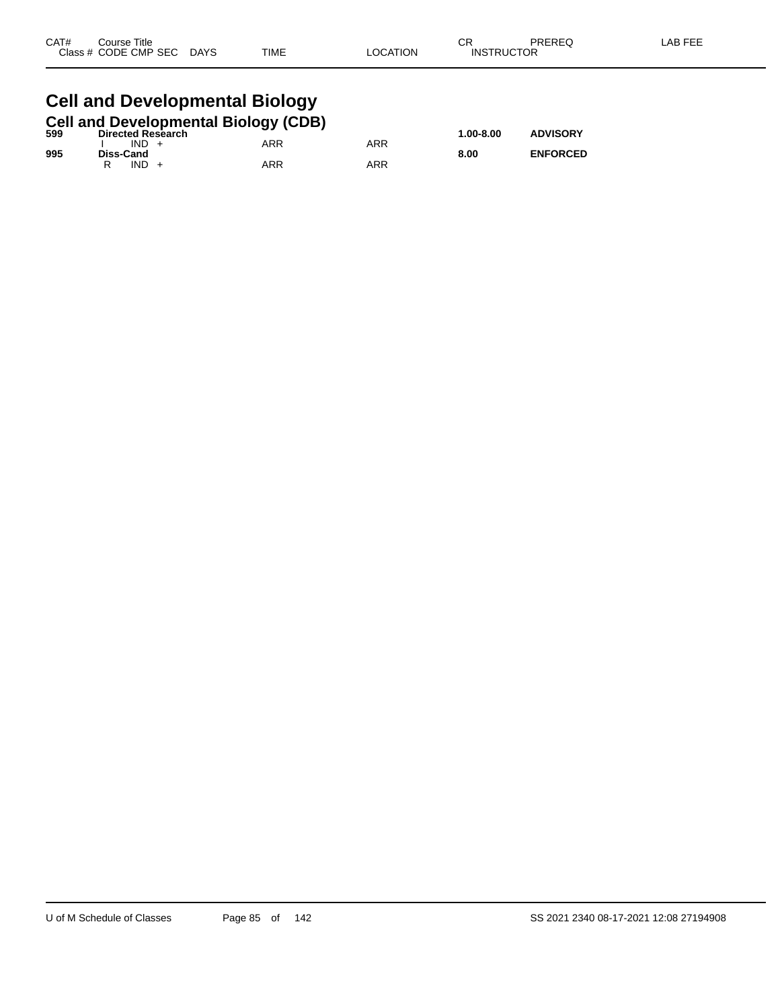| CAT# | Course Title              |      |          | ⌒冖<br>UΚ          | PREREQ | LAB FEE |
|------|---------------------------|------|----------|-------------------|--------|---------|
|      | Class # CODE CMP SEC DAYS | TIME | LOCATION | <b>INSTRUCTOR</b> |        |         |
|      |                           |      |          |                   |        |         |

#### **Cell and Developmental Biology**

|     |           |                          | <b>Cell and Developmental Biology (CDB)</b> |     |               |                 |
|-----|-----------|--------------------------|---------------------------------------------|-----|---------------|-----------------|
| 599 |           | <b>Directed Research</b> |                                             |     | $1.00 - 8.00$ | <b>ADVISORY</b> |
|     | $IND +$   |                          | ARR                                         | ARR |               |                 |
| 995 | Diss-Cand |                          |                                             |     | 8.00          | <b>ENFORCED</b> |
|     | $IND +$   |                          | ARR                                         | ARR |               |                 |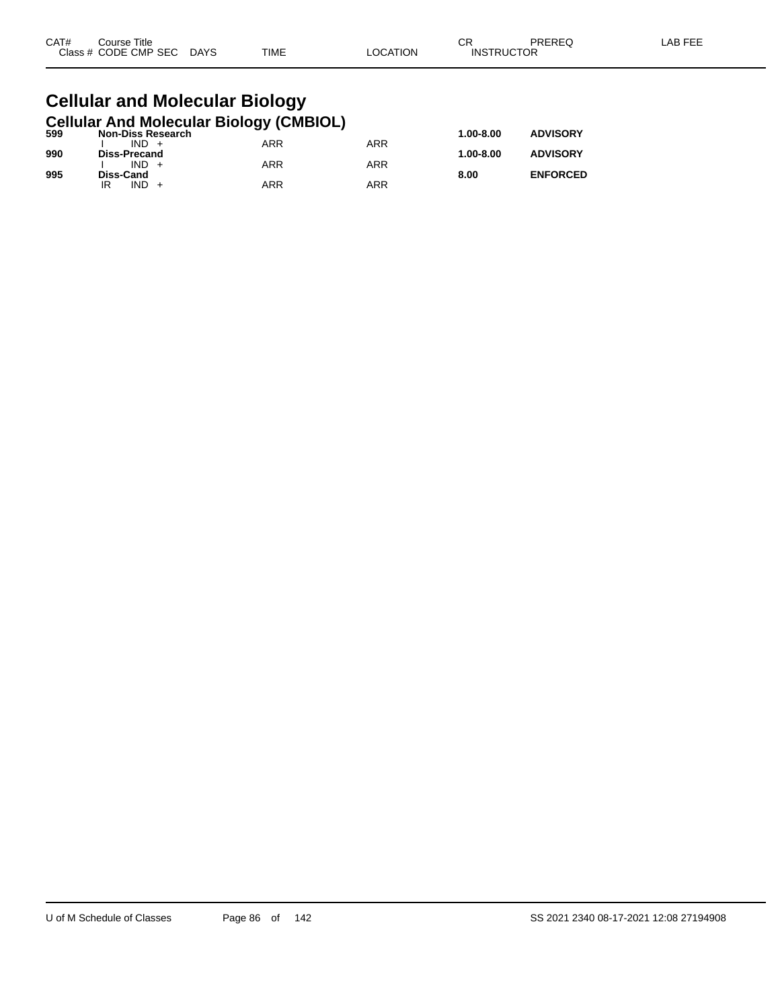| CAT# | Title<br>Course      |                       |             |          | СR                | PREREQ | LAB FEF |
|------|----------------------|-----------------------|-------------|----------|-------------------|--------|---------|
|      | Class # CODE CMP SEC | <b>DAYS</b><br>$\sim$ | <b>TIME</b> | _OCATION | <b>INSTRUCTOR</b> |        |         |

#### **Cellular and Molecular Biology Cellular And Molecular Biology (CMBIOL)**

| 599 | <b>Non-Diss Research</b> | .   |            | $1.00 - 8.00$ | <b>ADVISORY</b> |
|-----|--------------------------|-----|------------|---------------|-----------------|
|     | $IND +$                  | ARR | ARR        |               |                 |
| 990 | Diss-Precand             |     |            | $1.00 - 8.00$ | <b>ADVISORY</b> |
|     | $IND +$                  | ARR | <b>ARR</b> |               |                 |
| 995 | Diss-Cand                |     |            | 8.00          | <b>ENFORCED</b> |
|     | IND.<br>IR               | ARR | ARR        |               |                 |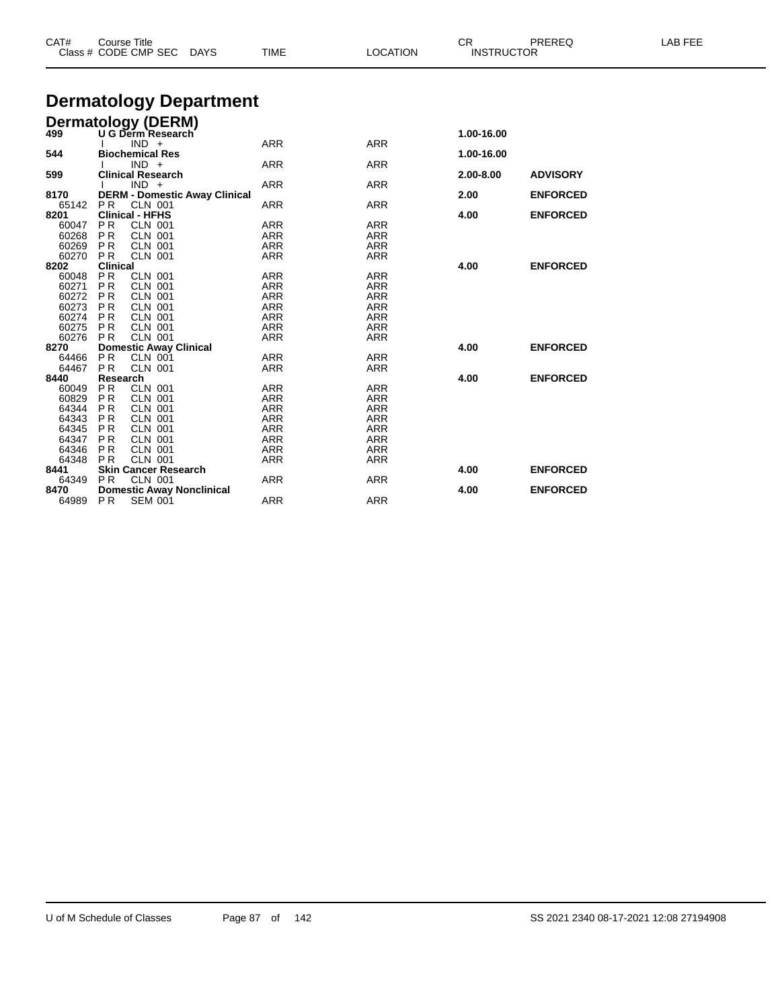| CAT#  | <b>Course Title</b><br>Class # CODE CMP SEC<br><b>DAYS</b> | <b>TIME</b> | <b>LOCATION</b> | CR.<br><b>INSTRUCTOR</b> | PREREQ          | LAB FEE |
|-------|------------------------------------------------------------|-------------|-----------------|--------------------------|-----------------|---------|
|       | <b>Dermatology Department</b>                              |             |                 |                          |                 |         |
|       |                                                            |             |                 |                          |                 |         |
|       | Dermatology (DERM)                                         |             |                 |                          |                 |         |
| 499   | U G Derm Research                                          |             |                 | 1.00-16.00               |                 |         |
|       | $IND +$                                                    | <b>ARR</b>  | <b>ARR</b>      |                          |                 |         |
| 544   | <b>Biochemical Res</b>                                     |             |                 | 1.00-16.00               |                 |         |
|       | $IND +$                                                    | <b>ARR</b>  | <b>ARR</b>      |                          |                 |         |
| 599   | <b>Clinical Research</b>                                   |             |                 | 2.00-8.00                | <b>ADVISORY</b> |         |
|       | $IND +$                                                    | ARR         | <b>ARR</b>      |                          |                 |         |
| 8170  | <b>DERM - Domestic Away Clinical</b>                       |             |                 | 2.00                     | <b>ENFORCED</b> |         |
| 65142 | PR<br><b>CLN 001</b>                                       | <b>ARR</b>  | <b>ARR</b>      |                          |                 |         |
| 8201  | <b>Clinical - HFHS</b>                                     |             |                 | 4.00                     | <b>ENFORCED</b> |         |
| 60047 | <b>PR</b><br><b>CLN 001</b>                                | ARR         | <b>ARR</b>      |                          |                 |         |
| 60268 | <b>PR</b><br><b>CLN 001</b>                                | ARR         | <b>ARR</b>      |                          |                 |         |
| 60269 | <b>PR</b><br><b>CLN 001</b>                                | ARR         | <b>ARR</b>      |                          |                 |         |
| 60270 | <b>CLN 001</b><br><b>PR</b>                                | <b>ARR</b>  | <b>ARR</b>      |                          |                 |         |
| 8202  | <b>Clinical</b>                                            |             |                 | 4.00                     | <b>ENFORCED</b> |         |
| 60048 | <b>PR</b><br><b>CLN 001</b>                                | ARR         | <b>ARR</b>      |                          |                 |         |
| 60271 | <b>PR</b><br><b>CLN 001</b>                                | ARR         | <b>ARR</b>      |                          |                 |         |
| 60272 | PR<br><b>CLN 001</b>                                       | <b>ARR</b>  | <b>ARR</b>      |                          |                 |         |
| 60273 | PR<br><b>CLN 001</b>                                       | <b>ARR</b>  | <b>ARR</b>      |                          |                 |         |
| 60274 | PR<br><b>CLN 001</b>                                       | ARR         | <b>ARR</b>      |                          |                 |         |
| 60275 | <b>PR</b><br><b>CLN 001</b>                                | ARR         | <b>ARR</b>      |                          |                 |         |
| 60276 | PR<br><b>CLN 001</b>                                       | <b>ARR</b>  | <b>ARR</b>      |                          |                 |         |
| 8270  | <b>Domestic Away Clinical</b>                              |             |                 | 4.00                     | <b>ENFORCED</b> |         |
| 64466 | <b>PR</b><br><b>CLN 001</b>                                | ARR         | <b>ARR</b>      |                          |                 |         |
| 64467 | <b>PR</b><br><b>CLN 001</b>                                | ARR         | <b>ARR</b>      |                          |                 |         |
| 8440  | Research                                                   |             |                 | 4.00                     | <b>ENFORCED</b> |         |
| 60049 | <b>PR</b><br><b>CLN 001</b>                                | <b>ARR</b>  | <b>ARR</b>      |                          |                 |         |
| 60829 | <b>PR</b><br><b>CLN 001</b>                                | ARR         | <b>ARR</b>      |                          |                 |         |
| 64344 | P <sub>R</sub><br><b>CLN 001</b>                           | ARR         | <b>ARR</b>      |                          |                 |         |
| 64343 | P <sub>R</sub><br><b>CLN 001</b>                           | <b>ARR</b>  | <b>ARR</b>      |                          |                 |         |
| 64345 | <b>PR</b><br><b>CLN 001</b>                                | ARR         | <b>ARR</b>      |                          |                 |         |
| 64347 | P <sub>R</sub><br><b>CLN 001</b>                           | <b>ARR</b>  | <b>ARR</b>      |                          |                 |         |
| 64346 | <b>PR</b><br><b>CLN 001</b>                                | ARR         | <b>ARR</b>      |                          |                 |         |
| 64348 | <b>CLN 001</b><br><b>PR</b>                                | <b>ARR</b>  | <b>ARR</b>      |                          |                 |         |
| 8441  | <b>Skin Cancer Research</b>                                |             |                 | 4.00                     | <b>ENFORCED</b> |         |
| 64349 | <b>PR</b><br><b>CLN 001</b>                                | ARR         | <b>ARR</b>      |                          |                 |         |
| 8470  | <b>Domestic Away Nonclinical</b>                           |             |                 | 4.00                     | <b>ENFORCED</b> |         |
| 64989 | <b>PR</b><br><b>SEM 001</b>                                | <b>ARR</b>  | <b>ARR</b>      |                          |                 |         |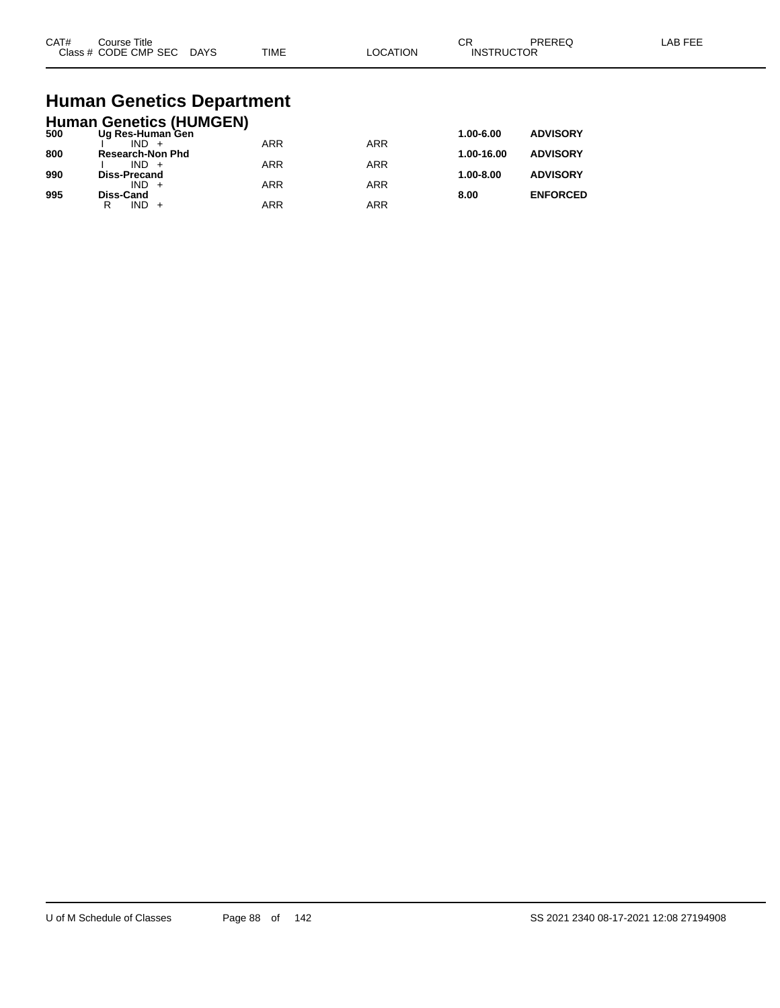| CAT#<br>$2\sqrt{2}$ | Title<br>ourse<br>CMP SEC<br>חר∈<br>$ -$ | DAYS<br>$\sim$ | <b>TIME</b> | ורו | $\sim$<br>UΗ<br>⊣N.S<br>₽ | ____ |  |
|---------------------|------------------------------------------|----------------|-------------|-----|---------------------------|------|--|
|---------------------|------------------------------------------|----------------|-------------|-----|---------------------------|------|--|

# **Human Genetics Department**

|     | <b>Human Genetics (HUMGEN)</b> |            |            |            |                 |
|-----|--------------------------------|------------|------------|------------|-----------------|
| 500 | Ug Res-Human Gen               |            |            | 1.00-6.00  | <b>ADVISORY</b> |
|     | $IND +$                        | <b>ARR</b> | <b>ARR</b> |            |                 |
| 800 | <b>Research-Non Phd</b>        |            |            | 1.00-16.00 | <b>ADVISORY</b> |
| 990 | $IND +$<br><b>Diss-Precand</b> | <b>ARR</b> | <b>ARR</b> | 1.00-8.00  | <b>ADVISORY</b> |
|     | $IND +$                        | <b>ARR</b> | <b>ARR</b> |            |                 |
| 995 | <b>Diss-Cand</b>               |            |            | 8.00       | <b>ENFORCED</b> |
|     | IND.<br>R                      | <b>ARR</b> | <b>ARR</b> |            |                 |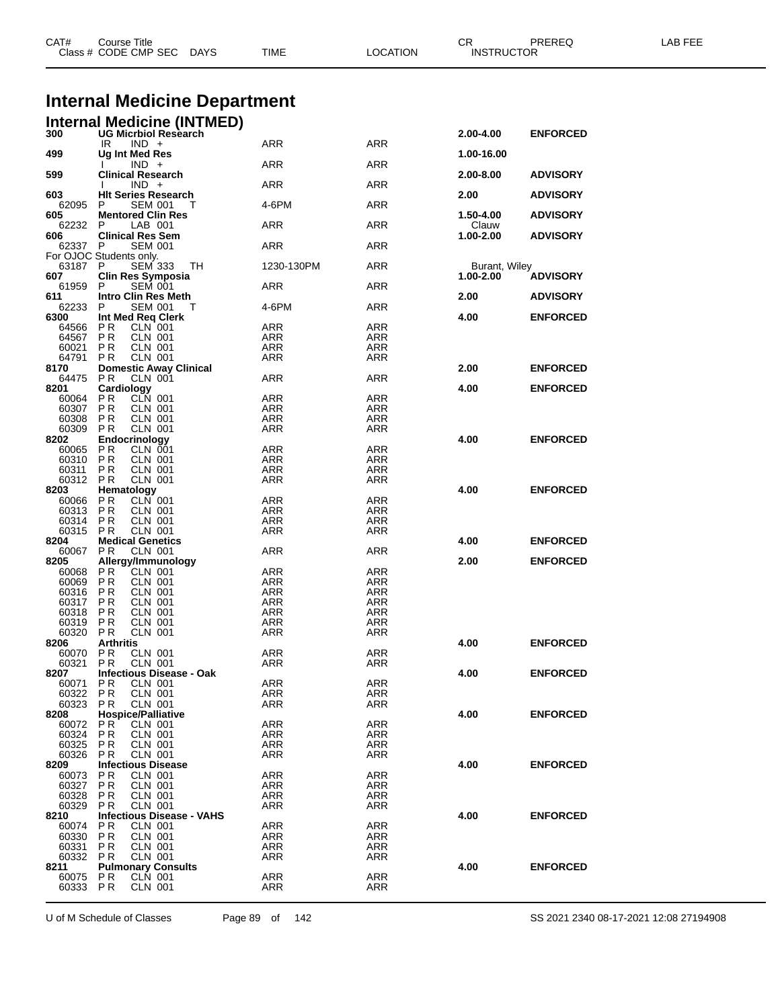| CAT#                 | Course Title<br>Class # CODE CMP SEC DAYS                     | TIME                     | <b>LOCATION</b>          | CR.<br><b>INSTRUCTOR</b> | PREREQ          | LAB FEE |
|----------------------|---------------------------------------------------------------|--------------------------|--------------------------|--------------------------|-----------------|---------|
|                      |                                                               |                          |                          |                          |                 |         |
|                      | <b>Internal Medicine Department</b>                           |                          |                          |                          |                 |         |
|                      | <b>Internal Medicine (INTMED)</b><br>300 UG Micrbiol Research |                          |                          |                          |                 |         |
|                      | $IND +$<br>IR                                                 | ARR                      | ARR                      | 2.00-4.00                | <b>ENFORCED</b> |         |
| 499                  | Ug Int Med Res                                                |                          |                          | 1.00-16.00               |                 |         |
| 599                  | $IND +$<br><b>Clinical Research</b>                           | ARR                      | ARR                      | 2.00-8.00                | <b>ADVISORY</b> |         |
|                      | $IND +$                                                       | ARR                      | ARR                      |                          |                 |         |
| 603<br>62095         | <b>HIt Series Research</b><br><b>SEM 001</b><br>P             | 4-6PM                    | <b>ARR</b>               | 2.00                     | <b>ADVISORY</b> |         |
| 605                  | <b>Mentored Clin Res</b>                                      |                          |                          | 1.50-4.00                | <b>ADVISORY</b> |         |
| 62232<br>606         | LAB 001<br>P<br><b>Clinical Res Sem</b>                       | ARR                      | ARR                      | Clauw<br>1.00-2.00       | <b>ADVISORY</b> |         |
| 62337 P              | <b>SEM 001</b>                                                | ARR                      | ARR                      |                          |                 |         |
| 63187 P              | For OJOC Students only.<br><b>SEM 333</b><br>TH.              | 1230-130PM               | <b>ARR</b>               | Burant, Wiley            |                 |         |
| 607                  | <b>Clin Res Symposia</b><br><b>SEM 001</b><br>P               |                          |                          | 1.00-2.00                | <b>ADVISORY</b> |         |
| 61959<br>611         | <b>Intro Clin Res Meth</b>                                    | ARR                      | ARR                      | 2.00                     | <b>ADVISORY</b> |         |
| 62233                | P<br><b>SEM 001</b><br>т                                      | 4-6PM                    | ARR                      |                          |                 |         |
| 6300<br>64566        | Int Med Req Clerk<br>PR<br>CLN 001                            | ARR                      | <b>ARR</b>               | 4.00                     | <b>ENFORCED</b> |         |
| 64567                | P R<br>CLN 001                                                | ARR                      | ARR                      |                          |                 |         |
| 60021<br>64791       | P <sub>R</sub><br><b>CLN 001</b><br>P R<br><b>CLN 001</b>     | <b>ARR</b><br><b>ARR</b> | <b>ARR</b><br><b>ARR</b> |                          |                 |         |
| 8170                 | <b>Domestic Away Clinical</b>                                 |                          |                          | 2.00                     | <b>ENFORCED</b> |         |
| 64475<br>8201        | P <sub>R</sub><br>CLN 001<br>Cardiology                       | ARR                      | ARR                      |                          |                 |         |
| 60064                | <b>CLN 001</b><br>PR                                          | ARR                      | ARR                      | 4.00                     | <b>ENFORCED</b> |         |
| 60307                | P <sub>R</sub><br><b>CLN 001</b>                              | <b>ARR</b>               | ARR                      |                          |                 |         |
| 60308                | <b>PR</b><br><b>CLN 001</b><br><b>CLN 001</b>                 | <b>ARR</b>               | <b>ARR</b>               |                          |                 |         |
| 60309<br>8202        | P R<br>Endocrinology                                          | ARR                      | ARR                      | 4.00                     | <b>ENFORCED</b> |         |
| 60065                | CLN 001<br>PR                                                 | ARR                      | <b>ARR</b>               |                          |                 |         |
| 60310                | P R<br>CLN 001                                                | ARR                      | ARR                      |                          |                 |         |
| 60311<br>60312       | P <sub>R</sub><br><b>CLN 001</b><br>PR<br><b>CLN 001</b>      | <b>ARR</b><br>ARR        | <b>ARR</b><br><b>ARR</b> |                          |                 |         |
| 8203                 | Hematology                                                    |                          |                          | 4.00                     | <b>ENFORCED</b> |         |
| 60066                | CLN 001<br>P R                                                | ARR                      | ARR                      |                          |                 |         |
| 60313<br>60314       | <b>CLN 001</b><br>P R<br>P R<br>CLN 001                       | <b>ARR</b><br>ARR        | ARR<br>ARR               |                          |                 |         |
| 60315                | <b>PR</b><br><b>CLN 001</b>                                   | <b>ARR</b>               | ARR                      |                          |                 |         |
| 8204                 | <b>Medical Genetics</b>                                       |                          |                          | 4.00                     | <b>ENFORCED</b> |         |
| 60067<br>8205        | P R<br><b>CLN 001</b><br>Allergy/Immunology                   | ARR                      | ARR                      | 2.00                     | <b>ENFORCED</b> |         |
| 60068                | CLN 001<br><b>PR</b>                                          | ARR                      | ARR                      |                          |                 |         |
| 60069                | PR<br><b>CLN 001</b>                                          | ARR                      | ARR                      |                          |                 |         |
| 60316<br>60317       | P <sub>R</sub><br><b>CLN 001</b><br>P <sub>R</sub><br>CLN 001 | <b>ARR</b><br>ARR        | <b>ARR</b><br><b>ARR</b> |                          |                 |         |
| 60318 PR             | <b>CLN 001</b>                                                | <b>ARR</b>               | <b>ARR</b>               |                          |                 |         |
| 60319                | <b>PR</b><br><b>CLN 001</b>                                   | <b>ARR</b>               | <b>ARR</b>               |                          |                 |         |
| 60320<br>8206        | <b>CLN 001</b><br>PR<br><b>Arthritis</b>                      | <b>ARR</b>               | ARR                      | 4.00                     | <b>ENFORCED</b> |         |
| 60070                | <b>CLN 001</b><br>P <sub>R</sub>                              | ARR                      | ARR                      |                          |                 |         |
| 60321                | <b>PR</b><br><b>CLN 001</b>                                   | <b>ARR</b>               | ARR                      |                          |                 |         |
| 8207<br>60071        | <b>Infectious Disease - Oak</b><br><b>CLN 001</b><br>P R      | <b>ARR</b>               | ARR                      | 4.00                     | <b>ENFORCED</b> |         |
| 60322                | PR<br><b>CLN 001</b>                                          | <b>ARR</b>               | ARR                      |                          |                 |         |
| 60323                | <b>CLN 001</b><br>PR.<br><b>Hospice/Palliative</b>            | ARR                      | ARR                      |                          |                 |         |
| 8208<br>60072        | P R<br><b>CLN 001</b>                                         | <b>ARR</b>               | <b>ARR</b>               | 4.00                     | <b>ENFORCED</b> |         |
| 60324                | P R<br>CLN 001                                                | ARR                      | <b>ARR</b>               |                          |                 |         |
| 60325                | <b>PR</b><br><b>CLN 001</b>                                   | <b>ARR</b>               | ARR                      |                          |                 |         |
| 60326<br>8209        | <b>CLN 001</b><br>P R<br><b>Infectious Disease</b>            | <b>ARR</b>               | ARR                      | 4.00                     | <b>ENFORCED</b> |         |
| 60073                | <b>CLN 001</b><br>P R                                         | <b>ARR</b>               | ARR                      |                          |                 |         |
| 60327                | PR<br><b>CLN 001</b>                                          | <b>ARR</b>               | ARR                      |                          |                 |         |
| 60328<br>60329       | P R<br>CLN 001<br><b>PR</b><br><b>CLN 001</b>                 | ARR<br>ARR               | ARR<br>ARR               |                          |                 |         |
| 8210                 | <b>Infectious Disease - VAHS</b>                              |                          |                          | 4.00                     | <b>ENFORCED</b> |         |
| 60074                | <b>CLN 001</b><br>P R                                         | ARR                      | <b>ARR</b>               |                          |                 |         |
| 60330<br>60331       | P <sub>R</sub><br><b>CLN 001</b><br><b>CLN 001</b><br>P R     | <b>ARR</b><br><b>ARR</b> | <b>ARR</b><br>ARR        |                          |                 |         |
| 60332                | P R<br>CLN 001                                                | ARR                      | ARR                      |                          |                 |         |
| 8211                 | <b>Pulmonary Consults</b>                                     |                          |                          | 4.00                     | <b>ENFORCED</b> |         |
| 60075 PR<br>60333 PR | CLN 001<br><b>CLN 001</b>                                     | <b>ARR</b><br>ARR        | ARR<br>ARR               |                          |                 |         |
|                      |                                                               |                          |                          |                          |                 |         |

U of M Schedule of Classes Page 89 of 142 SS 2021 2340 08-17-2021 12:08 27194908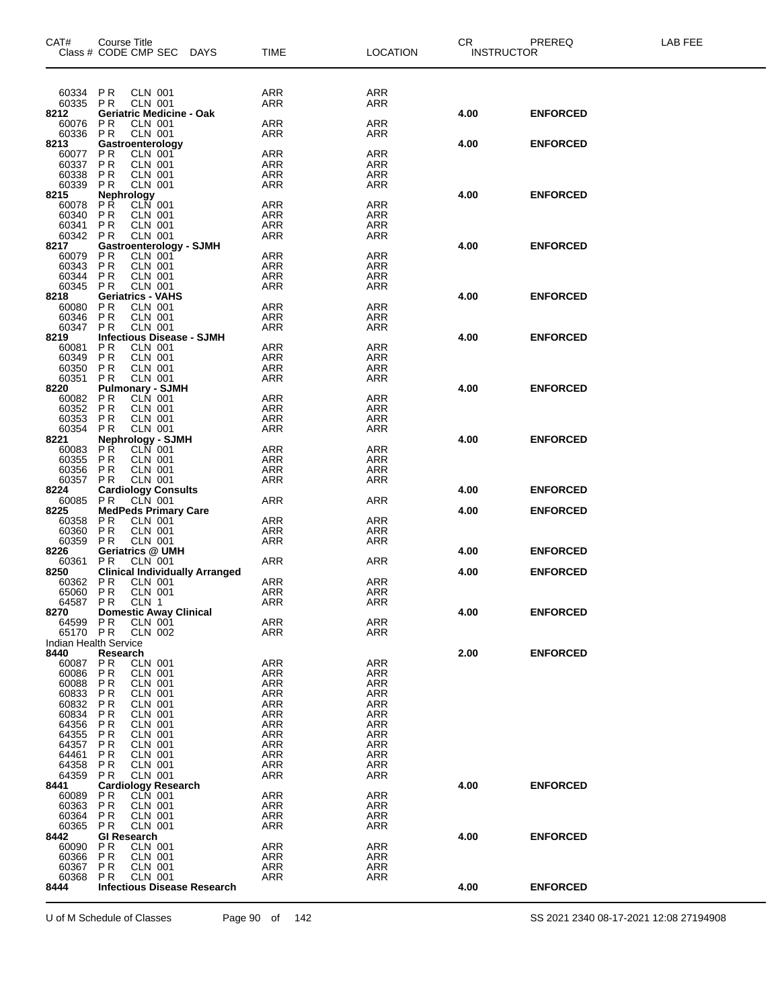| CAT#                                 | Course Title<br>Class # CODE CMP SEC DAYS                         |                                       | TIME              | <b>LOCATION</b>          | CR<br><b>INSTRUCTOR</b> | PREREQ          | LAB FEE |
|--------------------------------------|-------------------------------------------------------------------|---------------------------------------|-------------------|--------------------------|-------------------------|-----------------|---------|
|                                      |                                                                   |                                       |                   |                          |                         |                 |         |
| 60334                                | PR<br><b>CLN 001</b><br>CLN 001                                   |                                       | ARR               | ARR                      |                         |                 |         |
| 60335<br>8212                        | <b>PR</b><br><b>Geriatric Medicine - Oak</b>                      |                                       | ARR               | ARR                      | 4.00                    | <b>ENFORCED</b> |         |
| 60076<br>60336                       | <b>PR</b><br>CLN 001<br>$\overline{P}$ R<br><b>CLN 001</b>        |                                       | ARR<br>ARR        | ARR<br>ARR               |                         |                 |         |
| 8213                                 | Gastroenterology                                                  |                                       |                   |                          | 4.00                    | <b>ENFORCED</b> |         |
| 60077<br>60337                       | <b>PR</b><br><b>CLN 001</b><br>$\overline{P}$ R<br><b>CLN 001</b> |                                       | <b>ARR</b><br>ARR | <b>ARR</b><br>ARR        |                         |                 |         |
| 60338                                | <b>PR</b><br><b>CLN 001</b>                                       |                                       | ARR               | <b>ARR</b>               |                         |                 |         |
| 60339<br>8215                        | <b>PR</b><br><b>CLN 001</b>                                       |                                       | <b>ARR</b>        | <b>ARR</b>               | 4.00                    | <b>ENFORCED</b> |         |
| 60078                                | Nephrology<br>PR CLN<br><b>CLN 001</b>                            |                                       | ARR               | ARR                      |                         |                 |         |
| 60340<br>60341                       | <b>PR</b><br>CLN 001<br>CLN 001<br>P <sub>R</sub>                 |                                       | <b>ARR</b><br>ARR | <b>ARR</b><br>ARR        |                         |                 |         |
| 60342 PR                             | <b>CLN 001</b>                                                    |                                       | <b>ARR</b>        | <b>ARR</b>               |                         |                 |         |
| 8217<br>60079                        | Gastroenterology - SJMH<br>PR<br>CLN 001                          |                                       | <b>ARR</b>        | ARR                      | 4.00                    | <b>ENFORCED</b> |         |
| 60343<br>60344                       | <b>PR</b><br><b>CLN 001</b><br><b>PR</b><br><b>CLN 001</b>        |                                       | ARR<br><b>ARR</b> | ARR<br><b>ARR</b>        |                         |                 |         |
| 60345                                | <b>CLN 001</b><br><b>PR</b>                                       |                                       | ARR               | ARR                      |                         |                 |         |
| 8218<br>60080                        | <b>Geriatrics - VAHS</b><br>P <sub>R</sub><br><b>CLN 001</b>      |                                       | <b>ARR</b>        | <b>ARR</b>               | 4.00                    | <b>ENFORCED</b> |         |
| 60346                                | $\overline{P}$ R<br>CLN 001                                       |                                       | ARR               | ARR                      |                         |                 |         |
| 60347<br>8219                        | <b>CLN 001</b><br><b>PR</b><br><b>Infectious Disease - SJMH</b>   |                                       | <b>ARR</b>        | ARR                      | 4.00                    | <b>ENFORCED</b> |         |
| 60081                                | <b>CLN 001</b><br>PR                                              |                                       | ARR               | ARR                      |                         |                 |         |
| 60349<br>60350                       | <b>PR</b><br><b>CLN 001</b><br><b>PR</b>                          |                                       | ARR<br><b>ARR</b> | <b>ARR</b><br><b>ARR</b> |                         |                 |         |
| 60351                                | CLN 001<br>CLN 001<br><b>PR</b>                                   |                                       | ARR               | ARR                      |                         |                 |         |
| 8220<br>60082                        | <b>Pulmonary - SJMH</b><br><b>CLN 001</b><br>P <sub>R</sub>       |                                       | <b>ARR</b>        | <b>ARR</b>               | 4.00                    | <b>ENFORCED</b> |         |
| 60352<br>60353                       | <b>PR</b><br><b>CLN 001</b><br><b>PR</b><br><b>CLN 001</b>        |                                       | ARR               | ARR<br><b>ARR</b>        |                         |                 |         |
| 60354                                | <b>PR</b><br><b>CLN 001</b>                                       |                                       | ARR<br><b>ARR</b> | <b>ARR</b>               |                         |                 |         |
| 8221<br>60083                        | Nephrology - SJMH<br>PŔ<br><b>CLN 001</b>                         |                                       | ARR               | ARR                      | 4.00                    | <b>ENFORCED</b> |         |
| 60355                                | <b>PR</b><br>CLN 001                                              |                                       | <b>ARR</b>        | <b>ARR</b>               |                         |                 |         |
| 60356<br>60357                       | <b>CLN 001</b><br><b>PR</b><br><b>PR</b><br><b>CLN 001</b>        |                                       | ARR<br><b>ARR</b> | ARR<br><b>ARR</b>        |                         |                 |         |
| 8224                                 | <b>Cardiology Consults</b>                                        |                                       |                   |                          | 4.00                    | <b>ENFORCED</b> |         |
| 60085<br>8225                        | <b>CLN 001</b><br>PR<br><b>MedPeds Primary Care</b>               |                                       | <b>ARR</b>        | ARR                      | 4.00                    | <b>ENFORCED</b> |         |
| 60358<br>60360                       | P <sub>R</sub><br><b>CLN 001</b><br>$\overline{P}$ R              |                                       | <b>ARR</b>        | ARR                      |                         |                 |         |
| 60359                                | <b>CLN 001</b><br><b>PR</b><br><b>CLN 001</b>                     |                                       | ARR<br><b>ARR</b> | ARR<br>ARR               |                         |                 |         |
| 8226<br>60361                        | Geriatrics @ UMH<br><b>PR</b><br><b>CLN 001</b>                   |                                       | ARR               | ARR                      | 4.00                    | <b>ENFORCED</b> |         |
| 8250                                 |                                                                   | <b>Clinical Individually Arranged</b> |                   |                          | 4.00                    | <b>ENFORCED</b> |         |
| 60362<br>65060                       | PR<br><b>CLN 001</b><br><b>PR</b><br><b>CLN 001</b>               |                                       | ARR<br>ARR        | ARR<br>ARR               |                         |                 |         |
| 64587                                | PR<br>CLN 1                                                       |                                       | <b>ARR</b>        | <b>ARR</b>               |                         |                 |         |
| 8270<br>64599                        | <b>Domestic Away Clinical</b><br><b>PR</b><br>CLN 001             |                                       | ARR               | ARR                      | 4.00                    | <b>ENFORCED</b> |         |
| 65170 PR                             | <b>CLN 002</b>                                                    |                                       | <b>ARR</b>        | ARR                      |                         |                 |         |
| <b>Indian Health Service</b><br>8440 | Research                                                          |                                       |                   |                          | 2.00                    | <b>ENFORCED</b> |         |
| 60087<br>60086                       | <b>PR</b><br>CLN 001                                              |                                       | ARR               | ARR<br><b>ARR</b>        |                         |                 |         |
| 60088                                | P R<br>CLN 001<br><b>CLN 001</b><br>P R                           |                                       | ARR<br>ARR        | ARR                      |                         |                 |         |
| 60833<br>60832                       | P R<br>CLN 001<br><b>PR</b><br>CLN 001                            |                                       | ARR<br><b>ARR</b> | ARR<br><b>ARR</b>        |                         |                 |         |
| 60834                                | <b>CLN 001</b><br>P R                                             |                                       | ARR               | ARR                      |                         |                 |         |
| 64356<br>64355                       | P R<br>CLN 001<br>P R<br>CLN 001                                  |                                       | ARR<br><b>ARR</b> | ARR<br><b>ARR</b>        |                         |                 |         |
| 64357                                | <b>CLN 001</b><br>P R                                             |                                       | ARR               | ARR                      |                         |                 |         |
| 64461<br>64358                       | P R<br>CLN 001<br><b>PR</b><br>CLN 001                            |                                       | ARR<br>ARR        | <b>ARR</b><br><b>ARR</b> |                         |                 |         |
| 64359                                | <b>CLN 001</b><br>P R                                             |                                       | ARR               | ARR                      |                         |                 |         |
| 8441<br>60089                        | <b>Cardiology Research</b><br>P R<br>CLN 001                      |                                       | ARR               | <b>ARR</b>               | 4.00                    | <b>ENFORCED</b> |         |
| 60363<br>60364                       | <b>PR</b><br><b>CLN 001</b><br>P R<br>CLN 001                     |                                       | ARR<br>ARR        | ARR<br>ARR               |                         |                 |         |
| 60365                                | P R<br>CLN 001                                                    |                                       | ARR               | <b>ARR</b>               |                         |                 |         |
| 8442<br>60090                        | GI Research<br>P R<br>CLN 001                                     |                                       | ARR               | ARR                      | 4.00                    | <b>ENFORCED</b> |         |
| 60366                                | P R<br>CLN 001                                                    |                                       | <b>ARR</b>        | <b>ARR</b>               |                         |                 |         |
| 60367<br>60368                       | <b>CLN 001</b><br>P R<br><b>CLN 001</b><br>P R                    |                                       | ARR<br><b>ARR</b> | ARR<br><b>ARR</b>        |                         |                 |         |
| 8444                                 |                                                                   | <b>Infectious Disease Research</b>    |                   |                          | 4.00                    | <b>ENFORCED</b> |         |
|                                      |                                                                   |                                       |                   |                          |                         |                 |         |

U of M Schedule of Classes Page 90 of 142 SS 2021 2340 08-17-2021 12:08 27194908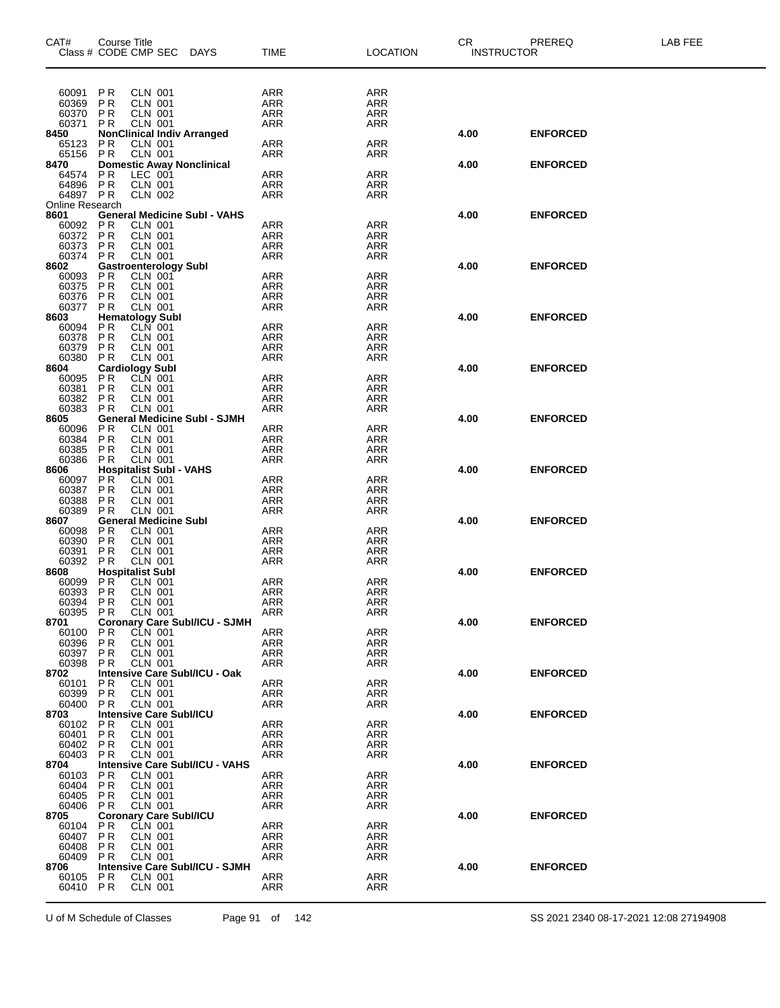| CAT#              | <b>Course Title</b>    | Class # CODE CMP SEC                             | <b>DAYS</b>                           | <b>TIME</b>              | <b>LOCATION</b>   | PREREQ<br><b>CR</b><br><b>INSTRUCTOR</b> |                 | <b>LAB FEE</b> |
|-------------------|------------------------|--------------------------------------------------|---------------------------------------|--------------------------|-------------------|------------------------------------------|-----------------|----------------|
|                   |                        |                                                  |                                       |                          |                   |                                          |                 |                |
| 60091             | P <sub>R</sub>         | <b>CLN 001</b>                                   |                                       | ARR                      | <b>ARR</b>        |                                          |                 |                |
| 60369             | <b>PR</b>              | <b>CLN 001</b>                                   |                                       | <b>ARR</b>               | ARR               |                                          |                 |                |
| 60370<br>60371    | <b>PR</b><br><b>PR</b> | <b>CLN 001</b>                                   |                                       | <b>ARR</b><br><b>ARR</b> | ARR<br><b>ARR</b> |                                          |                 |                |
| 8450              |                        | <b>CLN 001</b>                                   | <b>NonClinical Indiv Arranged</b>     |                          |                   | 4.00                                     | <b>ENFORCED</b> |                |
| 65123             | <b>PR</b>              | <b>CLN 001</b>                                   |                                       | <b>ARR</b>               | ARR               |                                          |                 |                |
| 65156             | PR                     | <b>CLN 001</b>                                   |                                       | ARR                      | ARR               |                                          |                 |                |
| 8470<br>64574     | P <sub>R</sub>         | LEC 001                                          | <b>Domestic Away Nonclinical</b>      | <b>ARR</b>               | ARR               | 4.00                                     | <b>ENFORCED</b> |                |
| 64896             | PR                     | <b>CLN 001</b>                                   |                                       | <b>ARR</b>               | ARR               |                                          |                 |                |
| 64897 PR          |                        | <b>CLN 002</b>                                   |                                       | <b>ARR</b>               | ARR               |                                          |                 |                |
| Online Research   |                        |                                                  |                                       |                          |                   |                                          |                 |                |
| 8601<br>60092     | PR                     | CLN 001                                          | <b>General Medicine Subl - VAHS</b>   | <b>ARR</b>               | <b>ARR</b>        | 4.00                                     | <b>ENFORCED</b> |                |
| 60372             | <b>PR</b>              | <b>CLN 001</b>                                   |                                       | <b>ARR</b>               | ARR               |                                          |                 |                |
| 60373             | <b>PR</b>              | <b>CLN 001</b>                                   |                                       | ARR                      | <b>ARR</b>        |                                          |                 |                |
| 60374             | <b>PR</b>              | <b>CLN 001</b>                                   |                                       | <b>ARR</b>               | ARR               |                                          |                 |                |
| 8602<br>60093     | <b>PR</b>              | <b>Gastroenterology Subl</b><br><b>CLN 001</b>   |                                       | ARR                      | <b>ARR</b>        | 4.00                                     | <b>ENFORCED</b> |                |
| 60375             | P <sub>R</sub>         | CLN 001                                          |                                       | ARR                      | ARR               |                                          |                 |                |
| 60376             | P <sub>R</sub>         | <b>CLN 001</b>                                   |                                       | <b>ARR</b>               | ARR               |                                          |                 |                |
| 60377             | PR                     | <b>CLN 001</b><br><b>Hematology Subl</b>         |                                       | <b>ARR</b>               | <b>ARR</b>        | 4.00                                     | <b>ENFORCED</b> |                |
| 8603<br>60094     | <b>PR</b>              | CLN 001                                          |                                       | <b>ARR</b>               | ARR               |                                          |                 |                |
| 60378             | PR                     | <b>CLN 001</b>                                   |                                       | <b>ARR</b>               | ARR               |                                          |                 |                |
| 60379             | <b>PR</b>              | <b>CLN 001</b>                                   |                                       | <b>ARR</b>               | <b>ARR</b>        |                                          |                 |                |
| 60380             | <b>PR</b>              | <b>CLN 001</b>                                   |                                       | ARR                      | ARR               |                                          |                 |                |
| 8604<br>60095     | P R                    | <b>Cardiology Subl</b><br>CLN 001                |                                       | <b>ARR</b>               | <b>ARR</b>        | 4.00                                     | <b>ENFORCED</b> |                |
| 60381             | <b>PR</b>              | <b>CLN 001</b>                                   |                                       | <b>ARR</b>               | ARR               |                                          |                 |                |
| 60382             | <b>PR</b>              | <b>CLN 001</b>                                   |                                       | ARR                      | <b>ARR</b>        |                                          |                 |                |
| 60383<br>8605     | <b>PR</b>              | <b>CLN 001</b>                                   | <b>General Medicine Subl - SJMH</b>   | <b>ARR</b>               | ARR               | 4.00                                     | <b>ENFORCED</b> |                |
| 60096             | <b>PR</b>              | <b>CLN 001</b>                                   |                                       | ARR                      | <b>ARR</b>        |                                          |                 |                |
| 60384             | <b>PR</b>              | <b>CLN 001</b>                                   |                                       | <b>ARR</b>               | ARR               |                                          |                 |                |
| 60385             | P <sub>R</sub>         | <b>CLN 001</b>                                   |                                       | <b>ARR</b>               | ARR               |                                          |                 |                |
| 60386             | <b>PR</b>              | <b>CLN 001</b>                                   |                                       | <b>ARR</b>               | <b>ARR</b>        |                                          |                 |                |
| 8606<br>60097     | P <sub>R</sub>         | <b>Hospitalist Subl - VAHS</b><br><b>CLN 001</b> |                                       | <b>ARR</b>               | ARR               | 4.00                                     | <b>ENFORCED</b> |                |
| 60387             | P <sub>R</sub>         | <b>CLN 001</b>                                   |                                       | <b>ARR</b>               | ARR               |                                          |                 |                |
| 60388             | P R                    | <b>CLN 001</b>                                   |                                       | <b>ARR</b>               | <b>ARR</b>        |                                          |                 |                |
| 60389             | <b>PR</b>              | <b>CLN 001</b><br><b>General Medicine Subl</b>   |                                       | ARR                      | ARR               |                                          |                 |                |
| 8607<br>60098     | <b>PR</b>              | <b>CLN 001</b>                                   |                                       | <b>ARR</b>               | <b>ARR</b>        | 4.00                                     | <b>ENFORCED</b> |                |
| 60390             | <b>PR</b>              | <b>CLN 001</b>                                   |                                       | <b>ARR</b>               | ARR               |                                          |                 |                |
| 60391             | <b>PR</b>              | <b>CLN 001</b>                                   |                                       | <b>ARR</b>               | <b>ARR</b>        |                                          |                 |                |
| 60392<br>8608     | PR                     | CLN 001<br><b>Hospitalist Subl</b>               |                                       | <b>ARR</b>               | ARR               | 4.00                                     | <b>ENFORCED</b> |                |
| 60099             | <b>PR</b>              | <b>CLN 001</b>                                   |                                       | <b>ARR</b>               | <b>ARR</b>        |                                          |                 |                |
| 60393             | PR                     | CLN 001                                          |                                       | ARR                      | ARR               |                                          |                 |                |
| 60394 PR          |                        | <b>CLN 001</b>                                   |                                       | ARR                      | ARR               |                                          |                 |                |
| 60395<br>8701     | PR                     | <b>CLN 001</b>                                   | <b>Coronary Care Subl/ICU - SJMH</b>  | <b>ARR</b>               | ARR               | 4.00                                     | <b>ENFORCED</b> |                |
| 60100             | P R                    | CLN 001                                          |                                       | ARR                      | ARR               |                                          |                 |                |
| 60396             | <b>PR</b>              | <b>CLN 001</b>                                   |                                       | <b>ARR</b>               | ARR               |                                          |                 |                |
| 60397             | P R                    | CLN 001                                          |                                       | <b>ARR</b>               | ARR               |                                          |                 |                |
| 60398<br>8702     | P R                    | <b>CLN 001</b>                                   | Intensive Care Subl/ICU - Oak         | ARR                      | ARR               | 4.00                                     | <b>ENFORCED</b> |                |
| 60101             | PR                     | <b>CLN 001</b>                                   |                                       | ARR                      | ARR               |                                          |                 |                |
| 60399             | <b>PR</b>              | <b>CLN 001</b>                                   |                                       | ARR                      | ARR               |                                          |                 |                |
| 60400             | <b>PR</b>              | <b>CLN 001</b>                                   |                                       | <b>ARR</b>               | <b>ARR</b>        |                                          |                 |                |
| 8703<br>60102     | P R                    | <b>Intensive Care Subl/ICU</b><br>CLN 001        |                                       | ARR                      | ARR               | 4.00                                     | <b>ENFORCED</b> |                |
| 60401             | P <sub>R</sub>         | <b>CLN 001</b>                                   |                                       | <b>ARR</b>               | ARR               |                                          |                 |                |
| 60402             | <b>PR</b>              | CLN 001                                          |                                       | ARR                      | ARR               |                                          |                 |                |
| 60403             | P R                    | <b>CLN 001</b>                                   |                                       | ARR                      | ARR               |                                          |                 |                |
| 8704<br>60103     | P R                    | CLN 001                                          | <b>Intensive Care Subl/ICU - VAHS</b> | <b>ARR</b>               | ARR               | 4.00                                     | <b>ENFORCED</b> |                |
| 60404             | <b>PR</b>              | CLN 001                                          |                                       | ARR                      | ARR               |                                          |                 |                |
| 60405             | P R                    | <b>CLN 001</b>                                   |                                       | <b>ARR</b>               | ARR               |                                          |                 |                |
| 60406             | P R                    | CLN 001                                          |                                       | ARR                      | ARR               |                                          |                 |                |
| 8705              |                        | <b>Coronary Care Subl/ICU</b>                    |                                       |                          |                   | 4.00                                     | <b>ENFORCED</b> |                |
| 60104<br>60407    | P R<br>P R             | <b>CLN 001</b><br><b>CLN 001</b>                 |                                       | <b>ARR</b><br>ARR        | <b>ARR</b><br>ARR |                                          |                 |                |
| 60408             | P R                    | <b>CLN 001</b>                                   |                                       | ARR                      | ARR               |                                          |                 |                |
| 60409             | <b>PR</b>              | <b>CLN 001</b>                                   |                                       | ARR                      | <b>ARR</b>        |                                          |                 |                |
| 8706              |                        |                                                  | <b>Intensive Care Subl/ICU - SJMH</b> |                          |                   | 4.00                                     | <b>ENFORCED</b> |                |
| 60105<br>60410 PR | P R                    | CLN 001<br><b>CLN 001</b>                        |                                       | ARR<br>ARR               | ARR<br>ARR        |                                          |                 |                |
|                   |                        |                                                  |                                       |                          |                   |                                          |                 |                |

U of M Schedule of Classes Page 91 of 142 SS 2021 2340 08-17-2021 12:08 27194908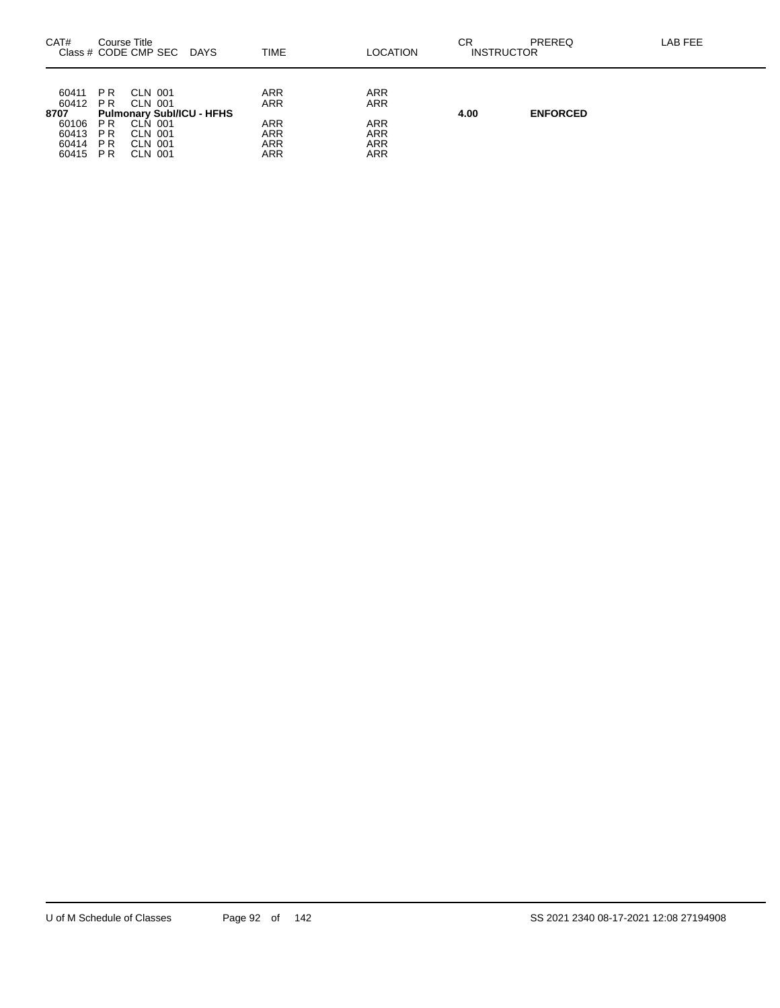| CAT#                                                       | Course Title                                       | Class # CODE CMP SEC<br>DAYS                                                                       | TIME                                                                      | LOCATION                                                    | СR<br><b>INSTRUCTOR</b> | PREREQ          | LAB FEE |
|------------------------------------------------------------|----------------------------------------------------|----------------------------------------------------------------------------------------------------|---------------------------------------------------------------------------|-------------------------------------------------------------|-------------------------|-----------------|---------|
| 60411<br>60412<br>8707<br>60106<br>60413<br>60414<br>60415 | <b>PR</b><br><b>PR</b><br>P R<br>P R<br>P R<br>P R | CLN 001<br>CLN 001<br><b>Pulmonary Subl/ICU - HFHS</b><br>CLN 001<br>CLN 001<br>CLN 001<br>CLN 001 | <b>ARR</b><br><b>ARR</b><br><b>ARR</b><br>ARR<br><b>ARR</b><br><b>ARR</b> | ARR<br><b>ARR</b><br><b>ARR</b><br>ARR<br><b>ARR</b><br>ARR | 4.00                    | <b>ENFORCED</b> |         |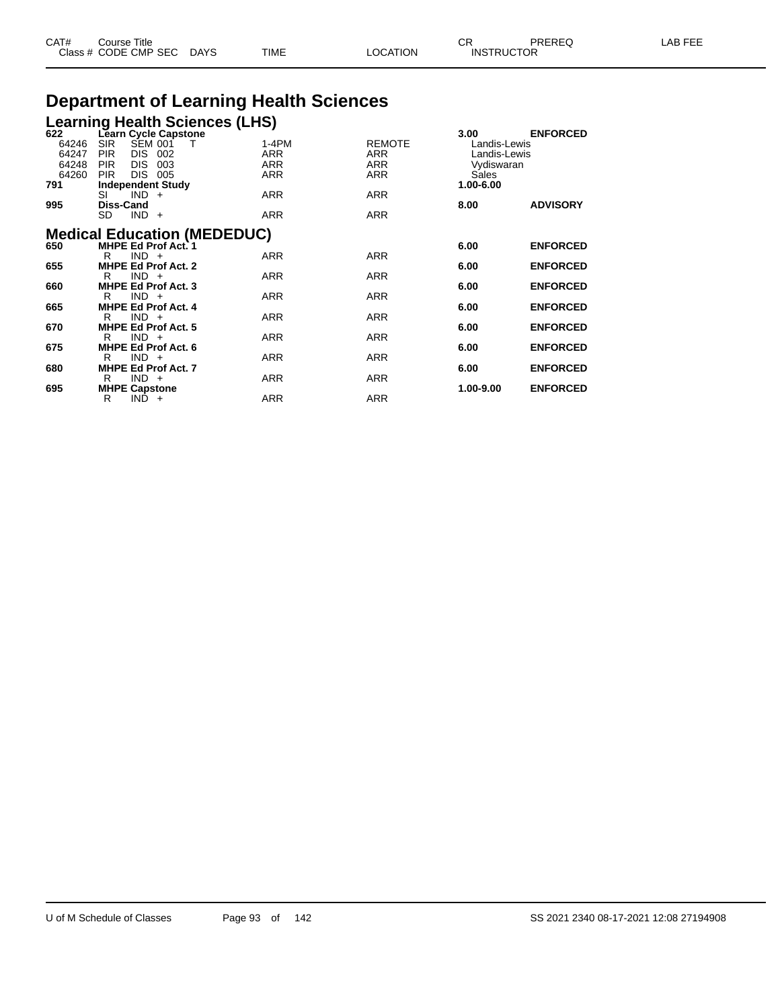| CAT# | Course Title         |             |      |         | $\sim$ $\sim$     | PREREQ | _AB_<br>. |
|------|----------------------|-------------|------|---------|-------------------|--------|-----------|
|      | Class # CODE CMP SEC | <b>DAYS</b> | TIME | OCATION | <b>INSTRUCTOR</b> |        |           |

# **Department of Learning Health Sciences**

|                                                | Learning Health Sciences (LHS)<br>622 Learn Cycle Capstone                                                                                       |                                            |                                    |                                                                          |                 |
|------------------------------------------------|--------------------------------------------------------------------------------------------------------------------------------------------------|--------------------------------------------|------------------------------------|--------------------------------------------------------------------------|-----------------|
| 622<br>64246<br>64247<br>64248<br>64260<br>791 | <b>SEM 001</b><br><b>SIR</b><br>Т<br><b>PIR</b><br>DIS.<br>002<br><b>PIR</b><br>DIS.<br>003<br>DIS 005<br><b>PIR</b><br><b>Independent Study</b> | $1-4PM$<br><b>ARR</b><br>ARR<br><b>ARR</b> | <b>REMOTE</b><br>ARR<br>ARR<br>ARR | 3.00<br>Landis-Lewis<br>Landis-Lewis<br>Vydiswaran<br>Sales<br>1.00-6.00 | <b>ENFORCED</b> |
|                                                | SI<br>$IND +$                                                                                                                                    | <b>ARR</b>                                 | <b>ARR</b>                         |                                                                          |                 |
| 995                                            | <b>Diss-Cand</b><br>SD.<br>$IND +$                                                                                                               | <b>ARR</b>                                 | <b>ARR</b>                         | 8.00                                                                     | <b>ADVISORY</b> |
|                                                | <b>Medical Education (MEDEDUC)</b><br><b>MHPE Ed Prof Act. 1</b>                                                                                 |                                            |                                    |                                                                          |                 |
| 650                                            | $IND +$<br>R                                                                                                                                     | ARR                                        | <b>ARR</b>                         | 6.00                                                                     | <b>ENFORCED</b> |
| 655                                            | <b>MHPE Ed Prof Act. 2</b>                                                                                                                       |                                            |                                    | 6.00                                                                     | <b>ENFORCED</b> |
|                                                | $IND +$<br>R                                                                                                                                     | <b>ARR</b>                                 | <b>ARR</b>                         |                                                                          |                 |
| 660                                            | <b>MHPE Ed Prof Act. 3</b><br>$IND +$<br>R                                                                                                       | <b>ARR</b>                                 | <b>ARR</b>                         | 6.00                                                                     | <b>ENFORCED</b> |
| 665                                            | <b>MHPE Ed Prof Act. 4</b>                                                                                                                       |                                            |                                    | 6.00                                                                     | <b>ENFORCED</b> |
|                                                | $IND +$<br>R                                                                                                                                     | <b>ARR</b>                                 | <b>ARR</b>                         |                                                                          |                 |
| 670                                            | <b>MHPE Ed Prof Act. 5</b><br>$IND +$                                                                                                            | <b>ARR</b>                                 | <b>ARR</b>                         | 6.00                                                                     | <b>ENFORCED</b> |
| 675                                            | R<br>MHPE Ed Prof Act. 6                                                                                                                         |                                            |                                    | 6.00                                                                     | <b>ENFORCED</b> |
|                                                | $IND +$<br>R                                                                                                                                     | <b>ARR</b>                                 | <b>ARR</b>                         |                                                                          |                 |
| 680                                            | <b>MHPE Ed Prof Act. 7</b>                                                                                                                       |                                            |                                    | 6.00                                                                     | <b>ENFORCED</b> |
| 695                                            | $IND +$<br>R<br><b>MHPE Capstone</b>                                                                                                             | <b>ARR</b>                                 | <b>ARR</b>                         | 1.00-9.00                                                                | <b>ENFORCED</b> |
|                                                | $IND +$<br>R                                                                                                                                     | <b>ARR</b>                                 | <b>ARR</b>                         |                                                                          |                 |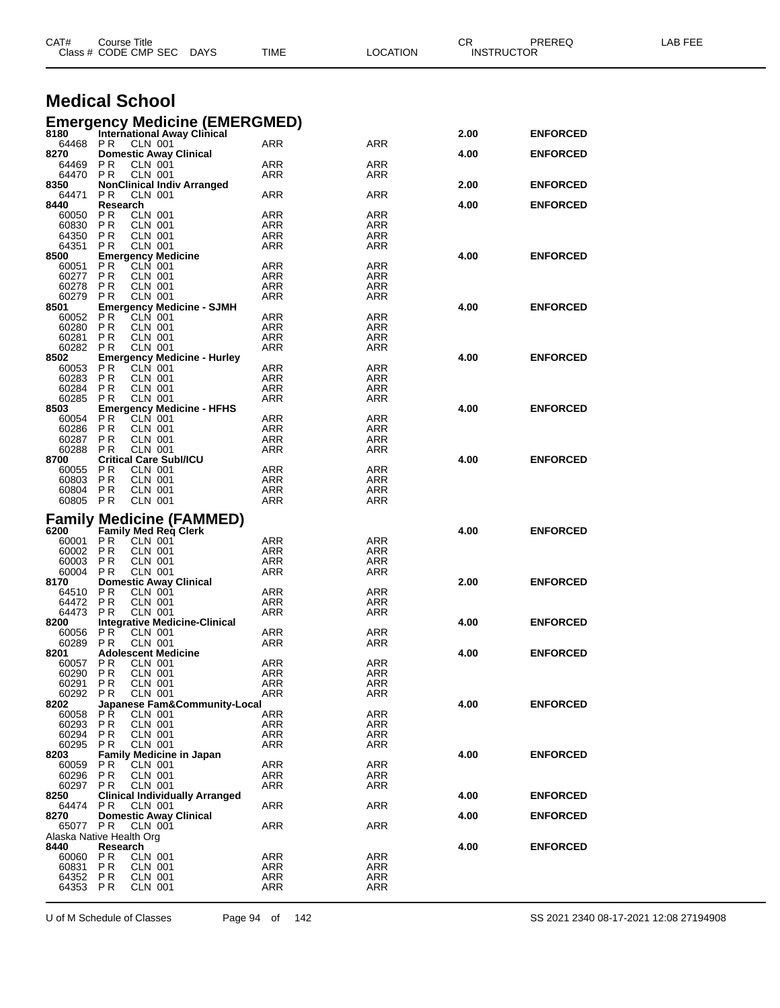| CAT#                             | <b>Course Title</b>   |                                              | Class # CODE CMP SEC DAYS             | TIME                                                                     | <b>LOCATION</b>   | CR.  | <b>PREREQ</b><br><b>INSTRUCTOR</b> | LAB FEE |
|----------------------------------|-----------------------|----------------------------------------------|---------------------------------------|--------------------------------------------------------------------------|-------------------|------|------------------------------------|---------|
| <b>Medical School</b>            |                       |                                              |                                       |                                                                          |                   |      |                                    |         |
|                                  |                       |                                              |                                       | <b>Emergency Medicine (EMERGMED)</b><br>8180 International Away Clinical |                   |      |                                    |         |
|                                  |                       |                                              |                                       |                                                                          |                   | 2.00 | <b>ENFORCED</b>                    |         |
| 64468 PR<br>8270                 |                       | CLN 001                                      | <b>Domestic Away Clinical</b>         | ARR                                                                      | ARR               | 4.00 | <b>ENFORCED</b>                    |         |
| 64469                            | PR.                   | <b>CLN 001</b>                               |                                       | ARR                                                                      | ARR               |      |                                    |         |
| 64470 PR<br>8350                 |                       | <b>CLN 001</b>                               | <b>NonClinical Indiv Arranged</b>     | ARR                                                                      | ARR               | 2.00 | <b>ENFORCED</b>                    |         |
| 64471                            | PR.                   | <b>CLN 001</b>                               |                                       | ARR                                                                      | ARR               |      |                                    |         |
| 8440                             | Research              |                                              |                                       |                                                                          |                   | 4.00 | <b>ENFORCED</b>                    |         |
| 60050<br>60830                   | PR.<br>P <sub>R</sub> | CLN 001<br>CLN 001                           |                                       | ARR<br>ARR                                                               | ARR<br>ARR        |      |                                    |         |
| 64350                            | P R                   | <b>CLN 001</b>                               |                                       | ARR                                                                      | ARR               |      |                                    |         |
| 64351<br>8500                    | PR.                   | CLN 001                                      |                                       | ARR                                                                      | ARR               | 4.00 |                                    |         |
| 60051                            | <b>PR</b>             | <b>Emergency Medicine</b><br>CLN 001         |                                       | ARR                                                                      | ARR               |      | <b>ENFORCED</b>                    |         |
| 60277                            | P R                   | CLN 001                                      |                                       | ARR                                                                      | ARR               |      |                                    |         |
| 60278<br>60279                   | <b>PR</b><br>P R      | CLN 001<br><b>CLN 001</b>                    |                                       | ARR<br>ARR                                                               | ARR<br>ARR        |      |                                    |         |
| 8501                             |                       |                                              | <b>Emergency Medicine - SJMH</b>      |                                                                          |                   | 4.00 | <b>ENFORCED</b>                    |         |
| 60052                            | P R                   | CLN 001                                      |                                       | ARR                                                                      | ARR               |      |                                    |         |
| 60280<br>60281                   | P R<br>P R            | <b>CLN 001</b><br><b>CLN 001</b>             |                                       | ARR<br>ARR                                                               | ARR<br>ARR        |      |                                    |         |
| 60282                            | P R                   | <b>CLN 001</b>                               |                                       | ARR                                                                      | ARR               |      |                                    |         |
| 8502                             |                       |                                              | <b>Emergency Medicine - Hurley</b>    |                                                                          |                   | 4.00 | <b>ENFORCED</b>                    |         |
| 60053<br>60283                   | P R<br><b>PR</b>      | <b>CLN 001</b><br><b>CLN 001</b>             |                                       | ARR<br>ARR                                                               | ARR<br>ARR        |      |                                    |         |
| 60284                            | P R                   | <b>CLN 001</b>                               |                                       | <b>ARR</b>                                                               | ARR               |      |                                    |         |
| 60285<br>8503                    | P R                   | CLN 001                                      | <b>Emergency Medicine - HFHS</b>      | ARR                                                                      | ARR               | 4.00 | <b>ENFORCED</b>                    |         |
| 60054                            | <b>PR</b>             | CLN 001                                      |                                       | ARR                                                                      | ARR               |      |                                    |         |
| 60286                            | P R                   | CLN 001                                      |                                       | ARR                                                                      | ARR               |      |                                    |         |
| 60287<br>60288                   | <b>PR</b><br>P R      | <b>CLN 001</b><br><b>CLN 001</b>             |                                       | ARR<br>ARR                                                               | ARR<br>ARR        |      |                                    |         |
| 8700                             |                       | <b>Critical Care Subl/ICU</b>                |                                       |                                                                          |                   | 4.00 | <b>ENFORCED</b>                    |         |
| 60055<br>60803                   | P R<br>P R            | <b>CLN 001</b><br><b>CLN 001</b>             |                                       | ARR<br><b>ARR</b>                                                        | ARR<br>ARR        |      |                                    |         |
| 60804                            | P R                   | CLN 001                                      |                                       | ARR                                                                      | ARR               |      |                                    |         |
| 60805                            | <b>PR</b>             | <b>CLN 001</b>                               |                                       | ARR                                                                      | ARR               |      |                                    |         |
|                                  |                       |                                              | <b>Family Medicine (FAMMED)</b>       |                                                                          |                   |      |                                    |         |
| 6200                             |                       | <b>Family Med Reg Clerk</b>                  |                                       |                                                                          |                   | 4.00 | <b>ENFORCED</b>                    |         |
| 60001 PR<br>60002                | P R                   | <b>CLN 001</b><br>CLN 001                    |                                       | ARR<br>ARR                                                               | ARR<br>ARR        |      |                                    |         |
| 60003                            | <b>PR</b>             | <b>CLN 001</b>                               |                                       | ARR                                                                      | ARR               |      |                                    |         |
| 60004                            | P R                   | <b>CLN 001</b>                               |                                       | ARR                                                                      | ARR               |      |                                    |         |
| 8170<br>64510                    | P R                   | CLN 001                                      | <b>Domestic Away Clinical</b>         | <b>ARR</b>                                                               | ARR               | 2.00 | <b>ENFORCED</b>                    |         |
| 64472                            | <b>PR</b>             | CLN 001                                      |                                       | ARR                                                                      | ARR               |      |                                    |         |
| 64473 PR<br>8200                 |                       | <b>CLN 001</b>                               | <b>Integrative Medicine-Clinical</b>  | <b>ARR</b>                                                               | ARR               | 4.00 | <b>ENFORCED</b>                    |         |
| 60056                            | PR                    | <b>CLN 001</b>                               |                                       | <b>ARR</b>                                                               | <b>ARR</b>        |      |                                    |         |
| 60289 PR                         |                       | <b>CLN 001</b>                               |                                       | ARR                                                                      | ARR               |      |                                    |         |
| 8201<br>60057                    | PR                    | <b>Adolescent Medicine</b><br><b>CLN 001</b> |                                       | <b>ARR</b>                                                               | <b>ARR</b>        | 4.00 | <b>ENFORCED</b>                    |         |
| 60290                            | PR.                   | <b>CLN 001</b>                               |                                       | <b>ARR</b>                                                               | ARR               |      |                                    |         |
| 60291<br>60292 PR                | PR.                   | <b>CLN 001</b><br><b>CLN 001</b>             |                                       | ARR<br><b>ARR</b>                                                        | <b>ARR</b><br>ARR |      |                                    |         |
| 8202                             |                       |                                              | Japanese Fam&Community-Local          |                                                                          |                   | 4.00 | <b>ENFORCED</b>                    |         |
| 60058                            | P Ř                   | <b>CLN 001</b>                               |                                       | <b>ARR</b>                                                               | <b>ARR</b>        |      |                                    |         |
| 60293<br>60294                   | PR<br>P R             | <b>CLN 001</b><br><b>CLN 001</b>             |                                       | ARR<br><b>ARR</b>                                                        | ARR<br>ARR        |      |                                    |         |
| 60295                            | PR.                   | <b>CLN 001</b>                               |                                       | <b>ARR</b>                                                               | <b>ARR</b>        |      |                                    |         |
| 8203                             |                       |                                              | Family Medicine in Japan              |                                                                          |                   | 4.00 | <b>ENFORCED</b>                    |         |
| 60059<br>60296                   | P R<br><b>PR</b>      | CLN 001<br><b>CLN 001</b>                    |                                       | <b>ARR</b><br><b>ARR</b>                                                 | <b>ARR</b><br>ARR |      |                                    |         |
| 60297 PR                         |                       | <b>CLN 001</b>                               |                                       | <b>ARR</b>                                                               | ARR               |      |                                    |         |
| 8250<br>64474 PR                 |                       | CLN 001                                      | <b>Clinical Individually Arranged</b> | ARR                                                                      | <b>ARR</b>        | 4.00 | <b>ENFORCED</b>                    |         |
| 8270                             |                       |                                              | <b>Domestic Away Clinical</b>         |                                                                          |                   | 4.00 | <b>ENFORCED</b>                    |         |
| 65077 PR                         |                       | CLN 001                                      |                                       | ARR                                                                      | <b>ARR</b>        |      |                                    |         |
| Alaska Native Health Org<br>8440 | Research              |                                              |                                       |                                                                          |                   | 4.00 | <b>ENFORCED</b>                    |         |
| 60060                            | <b>PR</b>             | CLN 001                                      |                                       | <b>ARR</b>                                                               | <b>ARR</b>        |      |                                    |         |
| 60831                            | P <sub>R</sub>        | <b>CLN 001</b><br><b>CLN 001</b>             |                                       | ARR                                                                      | <b>ARR</b>        |      |                                    |         |
| 64352<br>64353 PR                | PR                    | CLN 001                                      |                                       | ARR<br>ARR                                                               | ARR<br>ARR        |      |                                    |         |
|                                  |                       |                                              |                                       |                                                                          |                   |      |                                    |         |

U of M Schedule of Classes Page 94 of 142 SS 2021 2340 08-17-2021 12:08 27194908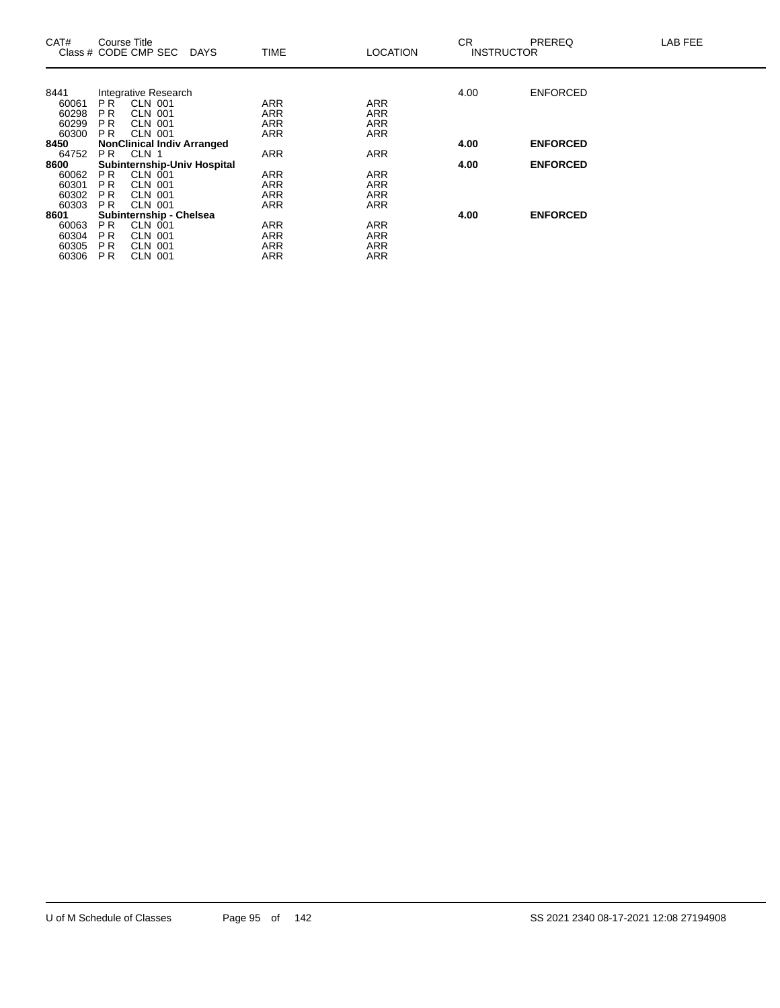| CAT#           | Course Title                     | Class # CODE CMP SEC                                | <b>DAYS</b> | <b>TIME</b>              | <b>LOCATION</b>          | CR.<br><b>INSTRUCTOR</b> | PREREQ          | LAB FEE |
|----------------|----------------------------------|-----------------------------------------------------|-------------|--------------------------|--------------------------|--------------------------|-----------------|---------|
|                |                                  |                                                     |             |                          |                          |                          |                 |         |
| 8441           |                                  | Integrative Research                                |             |                          |                          | 4.00                     | <b>ENFORCED</b> |         |
| 60061          | PR <sup>1</sup>                  | <b>CLN 001</b>                                      |             | <b>ARR</b>               | <b>ARR</b>               |                          |                 |         |
| 60298          | P <sub>R</sub>                   | <b>CLN 001</b>                                      |             | <b>ARR</b>               | <b>ARR</b>               |                          |                 |         |
| 60299<br>60300 | P <sub>R</sub><br>P <sub>R</sub> | <b>CLN 001</b>                                      |             | <b>ARR</b><br><b>ARR</b> | <b>ARR</b><br><b>ARR</b> |                          |                 |         |
| 8450           |                                  | <b>CLN 001</b><br><b>NonClinical Indiv Arranged</b> |             |                          |                          | 4.00                     | <b>ENFORCED</b> |         |
| 64752          | PR.                              | CLN 1                                               |             | <b>ARR</b>               | <b>ARR</b>               |                          |                 |         |
| 8600           |                                  | <b>Subinternship-Univ Hospital</b>                  |             |                          |                          | 4.00                     | <b>ENFORCED</b> |         |
| 60062          | P <sub>R</sub>                   | <b>CLN 001</b>                                      |             | <b>ARR</b>               | ARR                      |                          |                 |         |
| 60301          | P <sub>R</sub>                   | <b>CLN 001</b>                                      |             | <b>ARR</b>               | <b>ARR</b>               |                          |                 |         |
| 60302          | P R                              | <b>CLN 001</b>                                      |             | <b>ARR</b>               | <b>ARR</b>               |                          |                 |         |
| 60303          | P <sub>R</sub>                   | <b>CLN 001</b>                                      |             | <b>ARR</b>               | <b>ARR</b>               |                          |                 |         |
| 8601           |                                  | Subinternship - Chelsea                             |             |                          |                          | 4.00                     | <b>ENFORCED</b> |         |
| 60063          | P <sub>R</sub>                   | CLN 001                                             |             | <b>ARR</b>               | <b>ARR</b>               |                          |                 |         |
| 60304          | P <sub>R</sub>                   | <b>CLN 001</b>                                      |             | <b>ARR</b>               | <b>ARR</b>               |                          |                 |         |
| 60305          | <b>PR</b>                        | <b>CLN 001</b>                                      |             | <b>ARR</b>               | <b>ARR</b>               |                          |                 |         |
| 60306          | <b>PR</b>                        | <b>CLN 001</b>                                      |             | ARR                      | <b>ARR</b>               |                          |                 |         |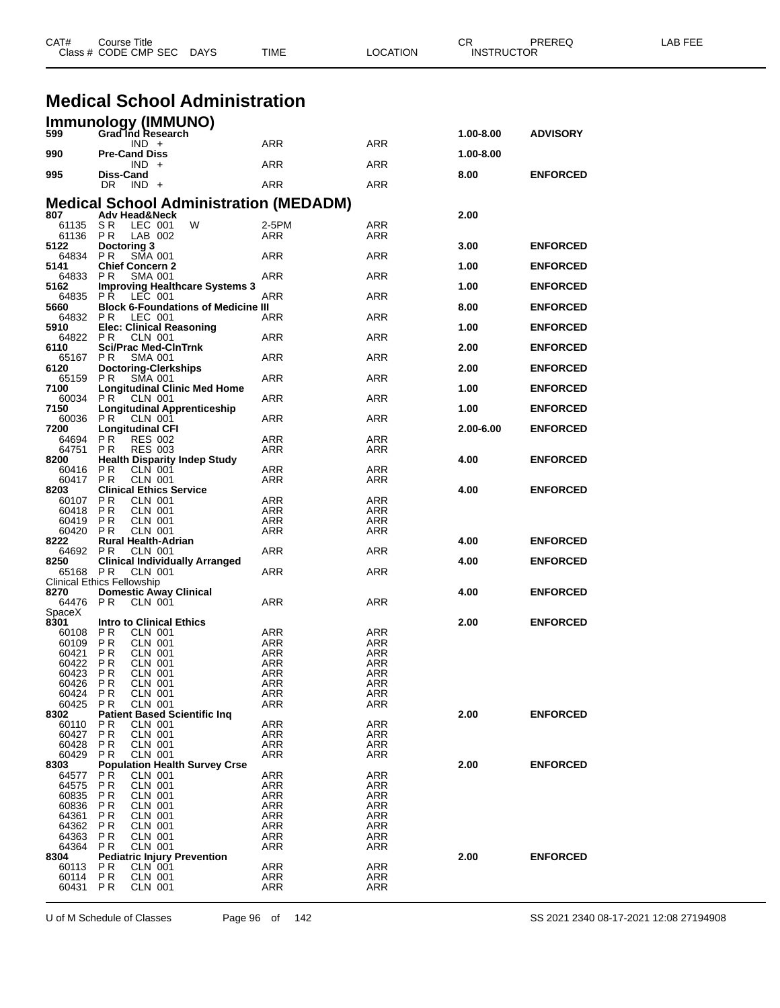|                    | Class # CODE CMP SEC<br>DAYS                                              | TIME                     | LOCATION                 | <b>INSTRUCTOR</b> |                 |  |
|--------------------|---------------------------------------------------------------------------|--------------------------|--------------------------|-------------------|-----------------|--|
|                    |                                                                           |                          |                          |                   |                 |  |
|                    | <b>Medical School Administration</b>                                      |                          |                          |                   |                 |  |
|                    | Immunology (IMMUNO)                                                       |                          |                          |                   |                 |  |
| 599                | Grad Ind Research<br>$IND +$                                              | ARR                      | ARR                      | 1.00-8.00         | <b>ADVISORY</b> |  |
| 990                | <b>Pre-Cand Diss</b><br>$IND +$                                           | ARR                      | ARR                      | 1.00-8.00         |                 |  |
| 995                | Diss-Cand                                                                 |                          |                          | 8.00              | <b>ENFORCED</b> |  |
|                    | $DR$ $IND +$                                                              | ARR                      | ARR                      |                   |                 |  |
| 807                | <b>Medical School Administration (MEDADM)</b><br><b>Adv Head&amp;Neck</b> |                          |                          | 2.00              |                 |  |
| 61135              | W<br>SR.<br>LEC 001                                                       | 2-5PM                    | ARR                      |                   |                 |  |
| 61136<br>5122      | LAB 002<br>P R<br>Doctoring 3                                             | ARR                      | ARR                      | 3.00              | <b>ENFORCED</b> |  |
| 64834              | <b>PR</b><br><b>SMA 001</b>                                               | ARR                      | ARR                      |                   |                 |  |
| 5141<br>64833      | <b>Chief Concern 2</b><br>PR.<br><b>SMA 001</b>                           | ARR                      | ARR                      | 1.00              | <b>ENFORCED</b> |  |
| 5162<br>64835      | <b>Improving Healthcare Systems 3</b><br><b>PR LEC 001</b>                | ARR                      | ARR                      | 1.00              | <b>ENFORCED</b> |  |
| 5660               | <b>Block 6-Foundations of Medicine III</b>                                |                          |                          | 8.00              | <b>ENFORCED</b> |  |
| 64832<br>5910      | PR.<br>LEC 001<br><b>Elec: Clinical Reasoning</b>                         | ARR                      | ARR                      | 1.00              | <b>ENFORCED</b> |  |
| 6110               | 64822 PR<br>CLN 001<br><b>Sci/Prac Med-CInTrnk</b>                        | ARR                      | ARR                      | 2.00              | <b>ENFORCED</b> |  |
| 65167              | P R<br><b>SMA 001</b>                                                     | ARR                      | ARR                      |                   |                 |  |
| 6120<br>65159      | <b>Doctoring-Clerkships</b><br>PR.<br><b>SMA 001</b>                      | <b>ARR</b>               | ARR                      | 2.00              | <b>ENFORCED</b> |  |
| 7100<br>60034      | <b>Longitudinal Clinic Med Home</b><br><b>PR CLN 001</b>                  | ARR                      | ARR                      | 1.00              | <b>ENFORCED</b> |  |
| 7150               | <b>Longitudinal Apprenticeship</b>                                        |                          |                          | 1.00              | <b>ENFORCED</b> |  |
| 60036<br>7200      | PR.<br>CLN 001<br><b>Longitudinal CFI</b>                                 | ARR                      | ARR                      | 2.00-6.00         | <b>ENFORCED</b> |  |
| 64694<br>64751     | PR.<br><b>RES 002</b>                                                     | <b>ARR</b>               | ARR                      |                   |                 |  |
| 8200               | P R<br><b>RES 003</b><br><b>Health Disparity Indep Study</b>              | ARR                      | ARR                      | 4.00              | <b>ENFORCED</b> |  |
| 60416<br>60417     | P R<br><b>CLN 001</b><br><b>CLN 001</b><br>PR.                            | <b>ARR</b><br>ARR        | <b>ARR</b><br>ARR        |                   |                 |  |
| 8203               | <b>Clinical Ethics Service</b>                                            |                          |                          | 4.00              | <b>ENFORCED</b> |  |
| 60107<br>60418     | PR.<br><b>CLN 001</b><br>P R<br><b>CLN 001</b>                            | <b>ARR</b><br>ARR        | <b>ARR</b><br>ARR        |                   |                 |  |
| 60419<br>60420     | P R<br>CLN 001<br>P R<br><b>CLN 001</b>                                   | ARR<br>ARR               | ARR<br>ARR               |                   |                 |  |
| 8222               | <b>Rural Health-Adrian</b>                                                |                          |                          | 4.00              | <b>ENFORCED</b> |  |
| 64692<br>8250      | PR.<br><b>CLN 001</b><br><b>Clinical Individually Arranged</b>            | ARR                      | ARR                      | 4.00              | <b>ENFORCED</b> |  |
| 65168 PR           | CLN 001<br>Clinical Ethics Fellowship                                     | ARR                      | ARR                      |                   |                 |  |
| 8270               | <b>Domestic Away Clinical</b>                                             |                          |                          | 4.00              | <b>ENFORCED</b> |  |
| 64476 PR<br>SpaceX | CLN 001                                                                   | ARR                      | ARR                      |                   |                 |  |
| 8301<br>60108      | <b>Intro to Clinical Ethics</b><br><b>CLN 001</b><br>PR.                  | <b>ARR</b>               | ARR                      | 2.00              | <b>ENFORCED</b> |  |
| 60109              | <b>PR</b><br><b>CLN 001</b>                                               | ARR                      | ARR                      |                   |                 |  |
| 60421<br>60422     | P <sub>R</sub><br><b>CLN 001</b><br><b>CLN 001</b><br>P R                 | <b>ARR</b><br><b>ARR</b> | <b>ARR</b><br>ARR        |                   |                 |  |
| 60423              | <b>PR</b><br><b>CLN 001</b>                                               | ARR                      | ARR                      |                   |                 |  |
| 60426              | <b>PR</b><br><b>CLN 001</b>                                               | <b>ARR</b>               | <b>ARR</b>               |                   |                 |  |
| 60424<br>60425     | <b>CLN 001</b><br>P R<br><b>PR</b><br><b>CLN 001</b>                      | ARR<br><b>ARR</b>        | ARR<br>ARR               |                   |                 |  |
| 8302               | <b>Patient Based Scientific Ing</b>                                       |                          |                          | 2.00              | <b>ENFORCED</b> |  |
| 60110              | <b>CLN 001</b><br>P R                                                     | <b>ARR</b>               | <b>ARR</b>               |                   |                 |  |
| 60427              | <b>PR</b><br><b>CLN 001</b>                                               | <b>ARR</b>               | ARR                      |                   |                 |  |
| 60428<br>60429     | <b>PR</b><br><b>CLN 001</b><br><b>CLN 001</b><br>P R                      | <b>ARR</b><br><b>ARR</b> | <b>ARR</b><br>ARR        |                   |                 |  |
| 8303               | <b>Population Health Survey Crse</b>                                      |                          |                          | 2.00              | <b>ENFORCED</b> |  |
| 64577              | <b>PR</b><br><b>CLN 001</b>                                               | <b>ARR</b>               | <b>ARR</b>               |                   |                 |  |
| 64575<br>60835     | <b>CLN 001</b><br>P R<br><b>PR</b><br><b>CLN 001</b>                      | <b>ARR</b><br><b>ARR</b> | ARR<br>ARR               |                   |                 |  |
| 60836              | <b>PR</b><br><b>CLN 001</b>                                               | <b>ARR</b>               | <b>ARR</b>               |                   |                 |  |
| 64361              | CLN 001<br>P R                                                            | ARR                      | ARR                      |                   |                 |  |
| 64362<br>64363     | <b>PR</b><br><b>CLN 001</b><br><b>PR</b><br><b>CLN 001</b>                | ARR<br><b>ARR</b>        | <b>ARR</b><br><b>ARR</b> |                   |                 |  |
| 64364              | <b>CLN 001</b><br>P R                                                     | ARR                      | ARR                      |                   |                 |  |
| 8304               | <b>Pediatric Injury Prevention</b>                                        |                          |                          | 2.00              | <b>ENFORCED</b> |  |
| 60113<br>60114     | $CLN$ 001<br>P R<br><b>PR</b><br><b>CLN 001</b>                           | <b>ARR</b><br><b>ARR</b> | <b>ARR</b><br>ARR        |                   |                 |  |
| 60431 PR           | <b>CLN 001</b>                                                            | <b>ARR</b>               | ARR                      |                   |                 |  |
|                    |                                                                           |                          |                          |                   |                 |  |

CAT# Course Title Case CR PREREQ LAB FEE

U of M Schedule of Classes Page 96 of 142 SS 2021 2340 08-17-2021 12:08 27194908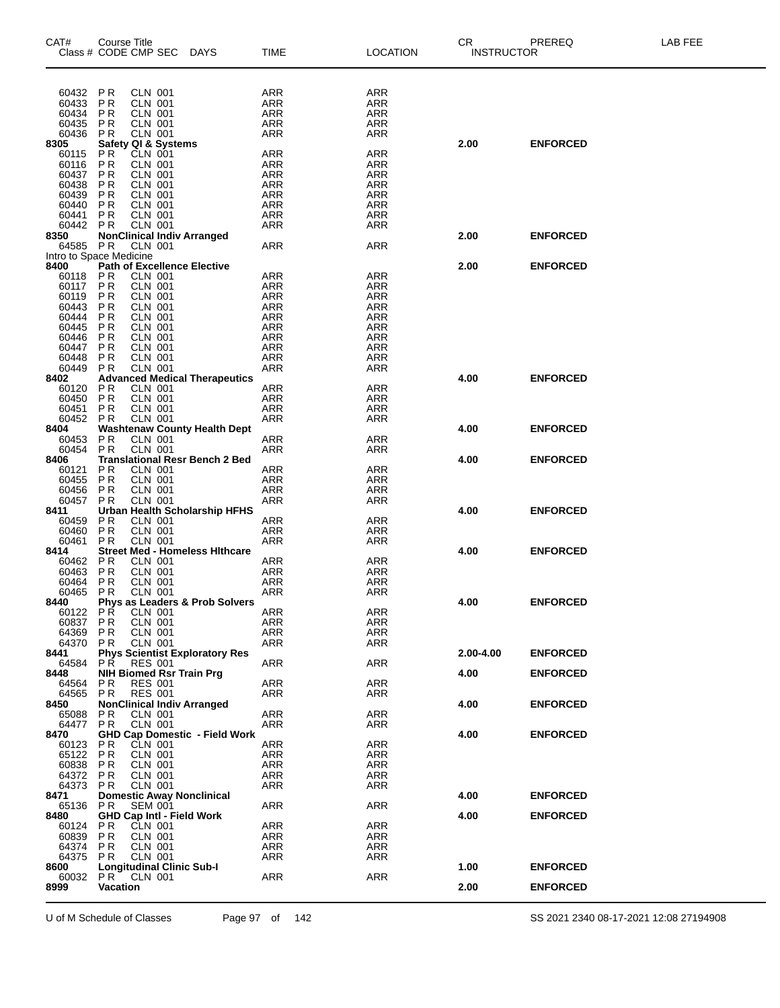| CAT#<br>Class # CODE CMP SEC     | Course Title                     |                                  | <b>DAYS</b>                           | <b>TIME</b>              | <b>LOCATION</b>          | CR.<br>INSTRUCTOR | PREREQ          | LAB FEE |
|----------------------------------|----------------------------------|----------------------------------|---------------------------------------|--------------------------|--------------------------|-------------------|-----------------|---------|
| 60432                            | P R                              | <b>CLN 001</b>                   |                                       | ARR                      | ARR                      |                   |                 |         |
| 60433                            | P <sub>R</sub>                   | <b>CLN 001</b>                   |                                       | ARR                      | <b>ARR</b>               |                   |                 |         |
| 60434                            | <b>PR</b>                        | <b>CLN 001</b>                   |                                       | <b>ARR</b>               | <b>ARR</b>               |                   |                 |         |
| 60435<br>60436                   | P R<br>P R                       | <b>CLN 001</b><br><b>CLN 001</b> |                                       | ARR<br>ARR               | <b>ARR</b><br><b>ARR</b> |                   |                 |         |
| 8305                             | Safety QI & Systems              |                                  |                                       |                          |                          | 2.00              | <b>ENFORCED</b> |         |
| 60115                            | P <sub>R</sub>                   | <b>CLN 001</b>                   |                                       | ARR                      | <b>ARR</b>               |                   |                 |         |
| 60116<br>60437                   | P <sub>R</sub><br>P <sub>R</sub> | CLN 001<br><b>CLN 001</b>        |                                       | ARR<br><b>ARR</b>        | <b>ARR</b><br><b>ARR</b> |                   |                 |         |
| 60438                            | P R                              | <b>CLN 001</b>                   |                                       | ARR                      | <b>ARR</b>               |                   |                 |         |
| 60439                            | P <sub>R</sub>                   | <b>CLN 001</b>                   |                                       | ARR                      | <b>ARR</b>               |                   |                 |         |
| 60440<br>60441                   | <b>PR</b><br>P <sub>R</sub>      | <b>CLN 001</b><br><b>CLN 001</b> |                                       | <b>ARR</b><br>ARR        | <b>ARR</b><br><b>ARR</b> |                   |                 |         |
| 60442                            | P R                              | CLN 001                          |                                       | <b>ARR</b>               | ARR                      |                   |                 |         |
| 8350                             |                                  |                                  | <b>NonClinical Indiv Arranged</b>     |                          |                          | 2.00              | <b>ENFORCED</b> |         |
| 64585<br>Intro to Space Medicine | <b>PR</b>                        | <b>CLN 001</b>                   |                                       | ARR                      | <b>ARR</b>               |                   |                 |         |
| 8400                             |                                  |                                  | <b>Path of Excellence Elective</b>    |                          |                          | 2.00              | <b>ENFORCED</b> |         |
| 60118<br>60117                   | <b>PR</b><br><b>PR</b>           | <b>CLN 001</b><br><b>CLN 001</b> |                                       | ARR<br>ARR               | ARR<br>ARR               |                   |                 |         |
| 60119                            | <b>PR</b>                        | <b>CLN 001</b>                   |                                       | <b>ARR</b>               | <b>ARR</b>               |                   |                 |         |
| 60443                            | <b>PR</b>                        | <b>CLN 001</b>                   |                                       | ARR                      | <b>ARR</b>               |                   |                 |         |
| 60444<br>60445                   | <b>PR</b><br><b>PR</b>           | <b>CLN 001</b><br><b>CLN 001</b> |                                       | ARR<br><b>ARR</b>        | <b>ARR</b><br><b>ARR</b> |                   |                 |         |
| 60446                            | P R                              | <b>CLN 001</b>                   |                                       | ARR                      | <b>ARR</b>               |                   |                 |         |
| 60447                            | P R                              | <b>CLN 001</b>                   |                                       | ARR                      | <b>ARR</b>               |                   |                 |         |
| 60448<br>60449                   | P <sub>R</sub><br><b>PR</b>      | <b>CLN 001</b><br><b>CLN 001</b> |                                       | <b>ARR</b><br>ARR        | ARR<br><b>ARR</b>        |                   |                 |         |
| 8402                             |                                  |                                  | <b>Advanced Medical Therapeutics</b>  |                          |                          | 4.00              | <b>ENFORCED</b> |         |
| 60120                            | PR                               | <b>CLN 001</b>                   |                                       | ARR                      | <b>ARR</b>               |                   |                 |         |
| 60450<br>60451                   | PR<br>P <sub>R</sub>             | <b>CLN 001</b>                   |                                       | ARR<br>ARR               | <b>ARR</b><br><b>ARR</b> |                   |                 |         |
| 60452                            | PR                               | CLN 001<br>CLN 001               |                                       | <b>ARR</b>               | <b>ARR</b>               |                   |                 |         |
| 8404                             |                                  |                                  | <b>Washtenaw County Health Dept</b>   |                          |                          | 4.00              | <b>ENFORCED</b> |         |
| 60453<br>60454                   | P <sub>R</sub><br><b>PR</b>      | CLN 001<br>CLN 001               |                                       | ARR<br>ARR               | <b>ARR</b><br>ARR        |                   |                 |         |
| 8406                             |                                  |                                  | <b>Translational Resr Bench 2 Bed</b> |                          |                          | 4.00              | <b>ENFORCED</b> |         |
| 60121                            | P R                              | <b>CLN 001</b>                   |                                       | <b>ARR</b>               | <b>ARR</b>               |                   |                 |         |
| 60455<br>60456                   | P <sub>R</sub><br>P R            | <b>CLN 001</b><br><b>CLN 001</b> |                                       | <b>ARR</b><br><b>ARR</b> | <b>ARR</b><br><b>ARR</b> |                   |                 |         |
| 60457                            | <b>PR</b>                        | <b>CLN 001</b>                   |                                       | ARR                      | <b>ARR</b>               |                   |                 |         |
| 8411                             |                                  |                                  | Urban Health Scholarship HFHS         |                          |                          | 4.00              | <b>ENFORCED</b> |         |
| 60459<br>60460                   | P <sub>R</sub><br>P <sub>R</sub> | <b>CLN 001</b><br>CLN 001        |                                       | ARR<br>ARR               | ARR<br><b>ARR</b>        |                   |                 |         |
| 60461                            | P <sub>R</sub>                   | <b>CLN 001</b>                   |                                       | ARR                      | <b>ARR</b>               |                   |                 |         |
| 8414                             |                                  |                                  | <b>Street Med - Homeless Hithcare</b> |                          |                          | 4.00              | <b>ENFORCED</b> |         |
| 60462<br>60463                   | PR<br>P <sub>R</sub>             | <b>CLN 001</b><br><b>CLN 001</b> |                                       | <b>ARR</b><br><b>ARR</b> | ARR<br>ARR               |                   |                 |         |
| 60464                            | P R                              | <b>CLN 001</b>                   |                                       | ARR                      | <b>ARR</b>               |                   |                 |         |
| 60465                            | P R                              | CLN 001                          |                                       | ARR                      | <b>ARR</b>               |                   |                 |         |
| 8440<br>60122 PR                 |                                  | CLN 001                          | Phys as Leaders & Prob Solvers        | ARR                      | <b>ARR</b>               | 4.00              | <b>ENFORCED</b> |         |
| 60837                            | P R                              | <b>CLN 001</b>                   |                                       | ARR                      | ARR                      |                   |                 |         |
| 64369                            | P R                              | <b>CLN 001</b>                   |                                       | <b>ARR</b>               | ARR                      |                   |                 |         |
| 64370<br>8441                    | <b>PR</b>                        | <b>CLN 001</b>                   | <b>Phys Scientist Exploratory Res</b> | <b>ARR</b>               | ARR                      | 2.00-4.00         | <b>ENFORCED</b> |         |
| 64584                            | РŔ                               | <b>RES 001</b>                   |                                       | ARR                      | ARR                      |                   |                 |         |
| 8448                             |                                  |                                  | <b>NIH Biomed Rsr Train Prg</b>       |                          |                          | 4.00              | <b>ENFORCED</b> |         |
| 64564<br>64565                   | P R<br>P <sub>R</sub>            | <b>RES 001</b><br><b>RES 001</b> |                                       | ARR<br>ARR               | ARR<br>ARR               |                   |                 |         |
| 8450                             |                                  |                                  | <b>NonClinical Indiv Arranged</b>     |                          |                          | 4.00              | <b>ENFORCED</b> |         |
| 65088                            | PR.                              | CLN 001                          |                                       | ARR                      | ARR                      |                   |                 |         |
| 64477<br>8470                    | P <sub>R</sub>                   | <b>CLN 001</b>                   | <b>GHD Cap Domestic - Field Work</b>  | ARR                      | ARR                      | 4.00              | <b>ENFORCED</b> |         |
| 60123                            | P R                              | <b>CLN 001</b>                   |                                       | <b>ARR</b>               | ARR                      |                   |                 |         |
| 65122                            | P <sub>R</sub>                   | <b>CLN 001</b>                   |                                       | ARR                      | ARR                      |                   |                 |         |
| 60838<br>64372                   | P R<br>P R                       | <b>CLN 001</b><br>CLN 001        |                                       | <b>ARR</b><br>ARR        | ARR<br>ARR               |                   |                 |         |
| 64373                            | P R                              | <b>CLN 001</b>                   |                                       | ARR                      | ARR                      |                   |                 |         |
| 8471                             |                                  |                                  | <b>Domestic Away Nonclinical</b>      |                          |                          | 4.00              | <b>ENFORCED</b> |         |
| 65136<br>8480                    | P R                              | <b>SEM 001</b>                   | <b>GHD Cap Intl - Field Work</b>      | ARR                      | ARR                      | 4.00              | <b>ENFORCED</b> |         |
| 60124                            | P R                              | <b>CLN 001</b>                   |                                       | ARR                      | ARR                      |                   |                 |         |
| 60839                            | P R                              | CLN 001                          |                                       | ARR                      | ARR                      |                   |                 |         |
| 64374<br>64375                   | P R<br>P R                       | <b>CLN 001</b><br><b>CLN 001</b> |                                       | ARR<br>ARR               | ARR<br>ARR               |                   |                 |         |
| 8600                             |                                  |                                  | <b>Longitudinal Clinic Sub-I</b>      |                          |                          | 1.00              | <b>ENFORCED</b> |         |
| 60032                            | PR                               | <b>CLN 001</b>                   |                                       | ARR                      | ARR                      |                   |                 |         |
| 8999                             | Vacation                         |                                  |                                       |                          |                          | 2.00              | <b>ENFORCED</b> |         |

U of M Schedule of Classes Page 97 of 142 SS 2021 2340 08-17-2021 12:08 27194908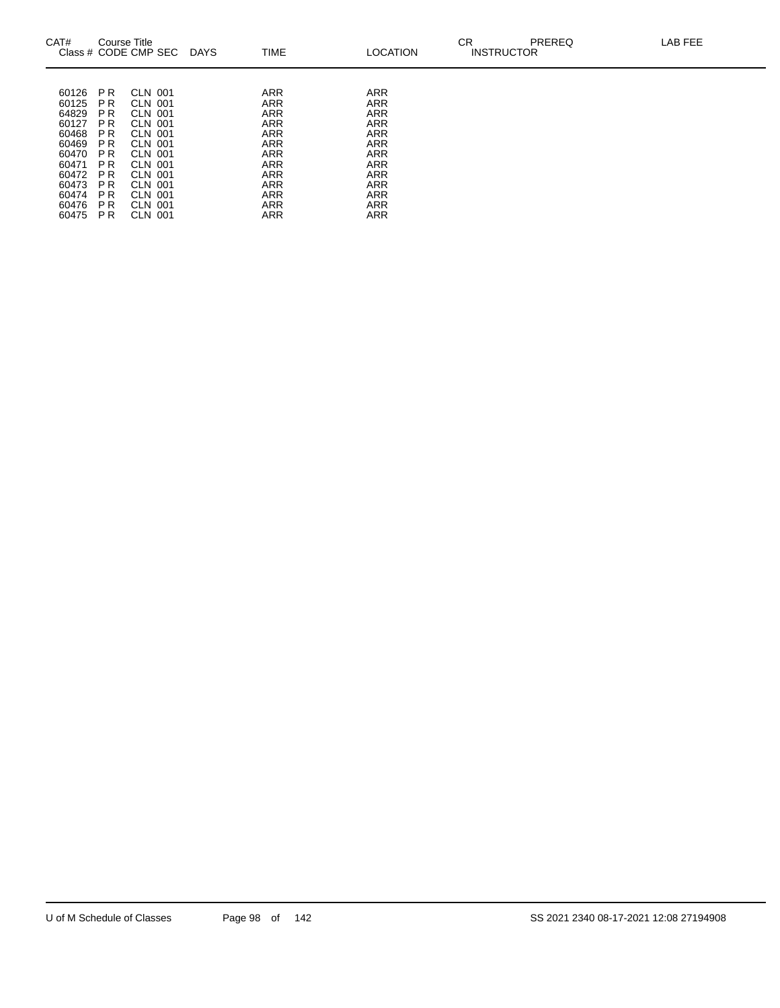| CAT#                                                                                                              | Course Title                                                                                                                                                                                                                | Class # CODE CMP SEC                                                                                                                                                                         | <b>DAYS</b> | TIME                                                                                                                                                                        | <b>LOCATION</b>                                                                                                                                                                    | CR<br><b>INSTRUCTOR</b> | <b>PREREQ</b> | LAB FEE |
|-------------------------------------------------------------------------------------------------------------------|-----------------------------------------------------------------------------------------------------------------------------------------------------------------------------------------------------------------------------|----------------------------------------------------------------------------------------------------------------------------------------------------------------------------------------------|-------------|-----------------------------------------------------------------------------------------------------------------------------------------------------------------------------|------------------------------------------------------------------------------------------------------------------------------------------------------------------------------------|-------------------------|---------------|---------|
| 60126<br>60125<br>64829<br>60127<br>60468<br>60469<br>60470<br>60471<br>60472<br>60473<br>60474<br>60476<br>60475 | P <sub>R</sub><br>P <sub>R</sub><br>P <sub>R</sub><br>P <sub>R</sub><br>P R<br>P <sub>R</sub><br>P <sub>R</sub><br>P <sub>R</sub><br>P <sub>R</sub><br>P <sub>R</sub><br>P <sub>R</sub><br>P <sub>R</sub><br>P <sub>R</sub> | <b>CLN 001</b><br><b>CLN 001</b><br>CLN 001<br><b>CLN 001</b><br><b>CLN 001</b><br>CLN 001<br><b>CLN 001</b><br><b>CLN 001</b><br>CLN 001<br><b>CLN 001</b><br>CLN 001<br>CLN 001<br>CLN 001 |             | <b>ARR</b><br><b>ARR</b><br><b>ARR</b><br><b>ARR</b><br><b>ARR</b><br><b>ARR</b><br><b>ARR</b><br><b>ARR</b><br><b>ARR</b><br><b>ARR</b><br><b>ARR</b><br>ARR<br><b>ARR</b> | <b>ARR</b><br><b>ARR</b><br><b>ARR</b><br><b>ARR</b><br><b>ARR</b><br><b>ARR</b><br><b>ARR</b><br><b>ARR</b><br><b>ARR</b><br><b>ARR</b><br><b>ARR</b><br><b>ARR</b><br><b>ARR</b> |                         |               |         |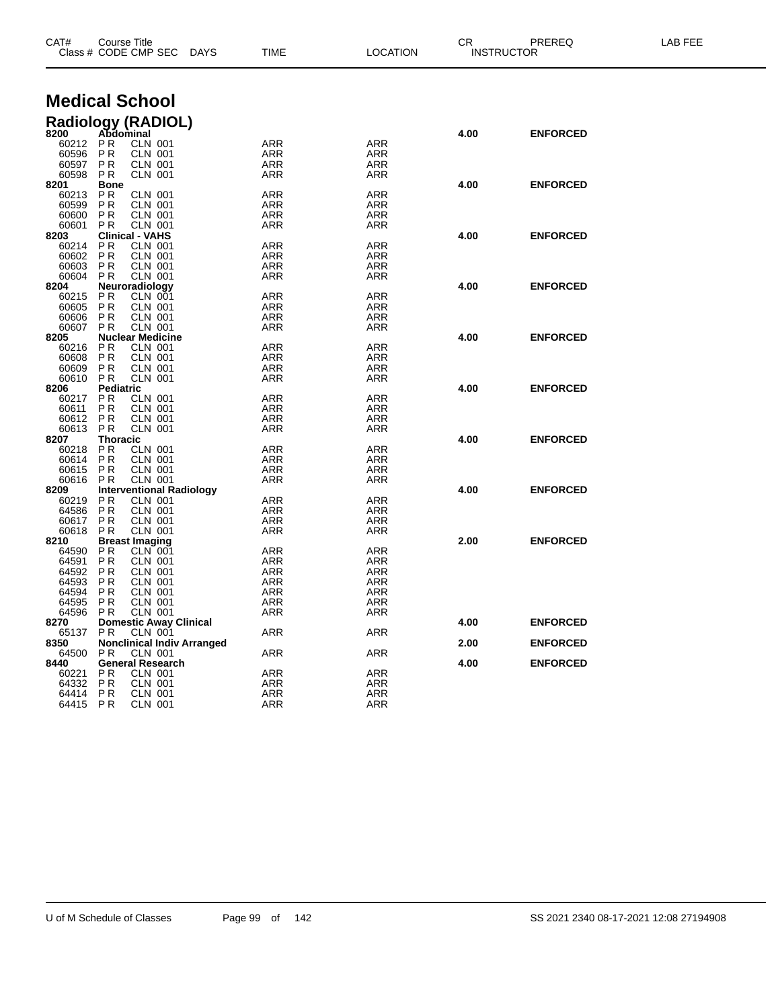| CAT#<br>Course Title<br>Class # CODE CMP SEC |                        |                                                   | <b>DAYS</b> | <b>TIME</b><br><b>LOCATION</b> |                          | PREREQ<br>CR.<br><b>INSTRUCTOR</b> |                 | LAB FEE |
|----------------------------------------------|------------------------|---------------------------------------------------|-------------|--------------------------------|--------------------------|------------------------------------|-----------------|---------|
|                                              |                        | <b>Medical School</b>                             |             |                                |                          |                                    |                 |         |
|                                              |                        |                                                   |             |                                |                          |                                    |                 |         |
|                                              |                        | Radiology (RADIOL)<br>8200 Abdominal              |             |                                |                          | 4.00                               | <b>ENFORCED</b> |         |
| 60212                                        | PR                     | <b>CLN 001</b>                                    |             | <b>ARR</b>                     | <b>ARR</b>               |                                    |                 |         |
| 60596                                        | P <sub>R</sub>         | CLN 001                                           |             | <b>ARR</b>                     | <b>ARR</b>               |                                    |                 |         |
| 60597                                        | <b>PR</b>              | <b>CLN 001</b>                                    |             | ARR                            | ARR                      |                                    |                 |         |
| 60598                                        | P R                    | <b>CLN 001</b>                                    |             | ARR                            | <b>ARR</b>               |                                    |                 |         |
| 8201<br>60213                                | <b>Bone</b><br>P R     | CLN 001                                           |             | <b>ARR</b>                     | <b>ARR</b>               | 4.00                               | <b>ENFORCED</b> |         |
| 60599                                        | P R                    | <b>CLN 001</b>                                    |             | <b>ARR</b>                     | ARR                      |                                    |                 |         |
| 60600                                        | P <sub>R</sub>         | CLN 001                                           |             | <b>ARR</b>                     | ARR                      |                                    |                 |         |
| 60601                                        | P <sub>R</sub>         | <b>CLN 001</b>                                    |             | ARR                            | ARR                      |                                    |                 |         |
| 8203                                         |                        | <b>Clinical - VAHS</b><br><b>CLN 001</b>          |             | <b>ARR</b>                     | <b>ARR</b>               | 4.00                               | <b>ENFORCED</b> |         |
| 60214<br>60602                               | P R<br><b>PR</b>       | <b>CLN 001</b>                                    |             | ARR                            | ARR                      |                                    |                 |         |
| 60603                                        | P R                    | <b>CLN 001</b>                                    |             | ARR                            | <b>ARR</b>               |                                    |                 |         |
| 60604                                        | <b>PR</b>              | <b>CLN 001</b>                                    |             | ARR                            | ARR                      |                                    |                 |         |
| 8204                                         |                        | Neuroradiology                                    |             |                                |                          | 4.00                               | <b>ENFORCED</b> |         |
| 60215                                        | PR<br>P <sub>R</sub>   | <b>CLN 001</b>                                    |             | <b>ARR</b><br><b>ARR</b>       | <b>ARR</b><br><b>ARR</b> |                                    |                 |         |
| 60605<br>60606                               | P <sub>R</sub>         | <b>CLN 001</b><br><b>CLN 001</b>                  |             | ARR                            | ARR                      |                                    |                 |         |
| 60607                                        | P <sub>R</sub>         | <b>CLN 001</b>                                    |             | <b>ARR</b>                     | <b>ARR</b>               |                                    |                 |         |
| 8205                                         |                        | <b>Nuclear Medicine</b>                           |             |                                |                          | 4.00                               | <b>ENFORCED</b> |         |
| 60216                                        | P R                    | <b>CLN 001</b>                                    |             | <b>ARR</b>                     | <b>ARR</b>               |                                    |                 |         |
| 60608<br>60609                               | P R<br>P <sub>R</sub>  | <b>CLN 001</b><br>CLN 001                         |             | ARR<br>ARR                     | ARR<br>ARR               |                                    |                 |         |
| 60610                                        | P R                    | <b>CLN 001</b>                                    |             | ARR                            | ARR                      |                                    |                 |         |
| 8206                                         | <b>Pediatric</b>       |                                                   |             |                                |                          | 4.00                               | <b>ENFORCED</b> |         |
| 60217                                        | P R                    | <b>CLN 001</b>                                    |             | <b>ARR</b>                     | <b>ARR</b>               |                                    |                 |         |
| 60611                                        | P <sub>R</sub>         | <b>CLN 001</b>                                    |             | ARR                            | ARR                      |                                    |                 |         |
| 60612<br>60613                               | <b>PR</b><br><b>PR</b> | <b>CLN 001</b><br><b>CLN 001</b>                  |             | <b>ARR</b><br>ARR              | <b>ARR</b><br>ARR        |                                    |                 |         |
| 8207                                         | Thoracic               |                                                   |             |                                |                          | 4.00                               | <b>ENFORCED</b> |         |
| 60218                                        | <b>PR</b>              | <b>CLN 001</b>                                    |             | <b>ARR</b>                     | <b>ARR</b>               |                                    |                 |         |
| 60614                                        | P <sub>R</sub>         | <b>CLN 001</b>                                    |             | <b>ARR</b>                     | <b>ARR</b>               |                                    |                 |         |
| 60615                                        | P R                    | <b>CLN 001</b>                                    |             | ARR                            | ARR                      |                                    |                 |         |
| 60616<br>8209                                | P R                    | <b>CLN 001</b><br><b>Interventional Radiology</b> |             | <b>ARR</b>                     | <b>ARR</b>               | 4.00                               | <b>ENFORCED</b> |         |
| 60219                                        | P R                    | <b>CLN 001</b>                                    |             | <b>ARR</b>                     | ARR                      |                                    |                 |         |
| 64586                                        | P R                    | <b>CLN 001</b>                                    |             | <b>ARR</b>                     | <b>ARR</b>               |                                    |                 |         |
| 60617                                        | P <sub>R</sub>         | <b>CLN 001</b>                                    |             | ARR                            | ARR                      |                                    |                 |         |
| 60618<br>8210                                | P <sub>R</sub>         | <b>CLN 001</b><br><b>Breast Imaging</b>           |             | ARR                            | ARR                      | 2.00                               | <b>ENFORCED</b> |         |
| 64590                                        | P R                    | <b>CLN 001</b>                                    |             | <b>ARR</b>                     | <b>ARR</b>               |                                    |                 |         |
| 64591                                        | <b>PR</b>              | CLN 001                                           |             | ARR                            | ARR                      |                                    |                 |         |
| 64592                                        | P R                    | CLN 001                                           |             | <b>ARR</b>                     | <b>ARR</b>               |                                    |                 |         |
| 64593                                        | P R                    | <b>CLN 001</b>                                    |             | ARR                            | ARR                      |                                    |                 |         |
| 64594<br>64595                               | P R<br>P R             | <b>CLN 001</b><br><b>CLN 001</b>                  |             | ARR<br><b>ARR</b>              | ARR<br><b>ARR</b>        |                                    |                 |         |
| 64596 PR                                     |                        | CLN 001                                           |             | ARR                            | ARR                      |                                    |                 |         |
| 8270                                         |                        | <b>Domestic Away Clinical</b>                     |             |                                |                          | 4.00                               | <b>ENFORCED</b> |         |
| 65137                                        | PR.                    | CLN 001                                           |             | ARR                            | ARR                      |                                    |                 |         |
| 8350                                         |                        | <b>Nonclinical Indiv Arranged</b>                 |             |                                |                          | 2.00                               | <b>ENFORCED</b> |         |
| 64500<br>8440                                | P R                    | CLN 001<br><b>General Research</b>                |             | <b>ARR</b>                     | ARR                      | 4.00                               | <b>ENFORCED</b> |         |
| 60221                                        | P R                    | <b>CLN 001</b>                                    |             | ARR                            | <b>ARR</b>               |                                    |                 |         |
| 64332                                        | <b>PR</b>              | <b>CLN 001</b>                                    |             | ARR                            | ARR                      |                                    |                 |         |
| 64414                                        | P R                    | <b>CLN 001</b>                                    |             | <b>ARR</b>                     | ARR                      |                                    |                 |         |
| 64415 PR                                     |                        | <b>CLN 001</b>                                    |             | <b>ARR</b>                     | <b>ARR</b>               |                                    |                 |         |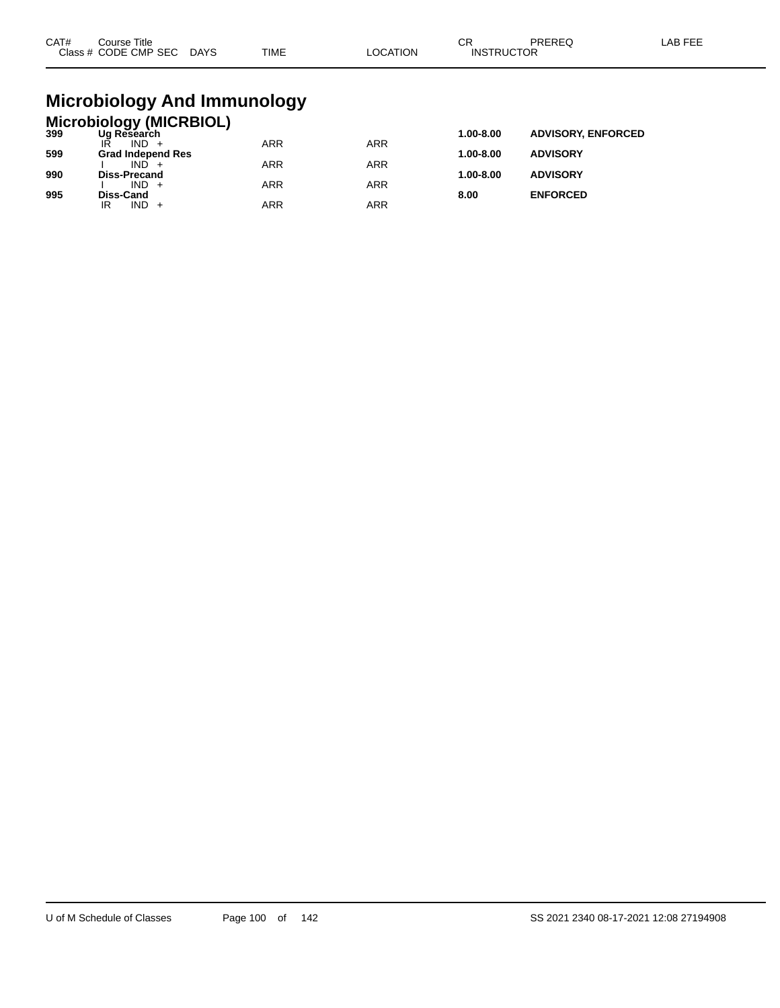| CAT# | Course Title<br>Class # CODE CMP SEC | <b>DAYS</b> | <b>TIME</b> | _OCATION | СR<br><b>INSTRUCTOR</b> | PREREQ | _AB FEE |
|------|--------------------------------------|-------------|-------------|----------|-------------------------|--------|---------|
|      |                                      |             |             |          |                         |        |         |

### **Microbiology And Immunology**

|     | <b>Microbiology (MICRBIOL)</b> |            |            |               |                           |
|-----|--------------------------------|------------|------------|---------------|---------------------------|
| 399 | Ug Research                    |            |            | 1.00-8.00     | <b>ADVISORY, ENFORCED</b> |
|     | $IND +$                        | <b>ARR</b> | <b>ARR</b> |               |                           |
| 599 | <b>Grad Independ Res</b>       |            |            | $1.00 - 8.00$ | <b>ADVISORY</b>           |
|     | $IND +$                        | ARR        | <b>ARR</b> |               |                           |
| 990 | <b>Diss-Precand</b>            |            |            | $1.00 - 8.00$ | <b>ADVISORY</b>           |
|     | $IND +$                        | ARR        | <b>ARR</b> |               |                           |
| 995 | Diss-Cand                      |            |            | 8.00          | <b>ENFORCED</b>           |
|     | IND<br>IR                      | ARR        | ARR        |               |                           |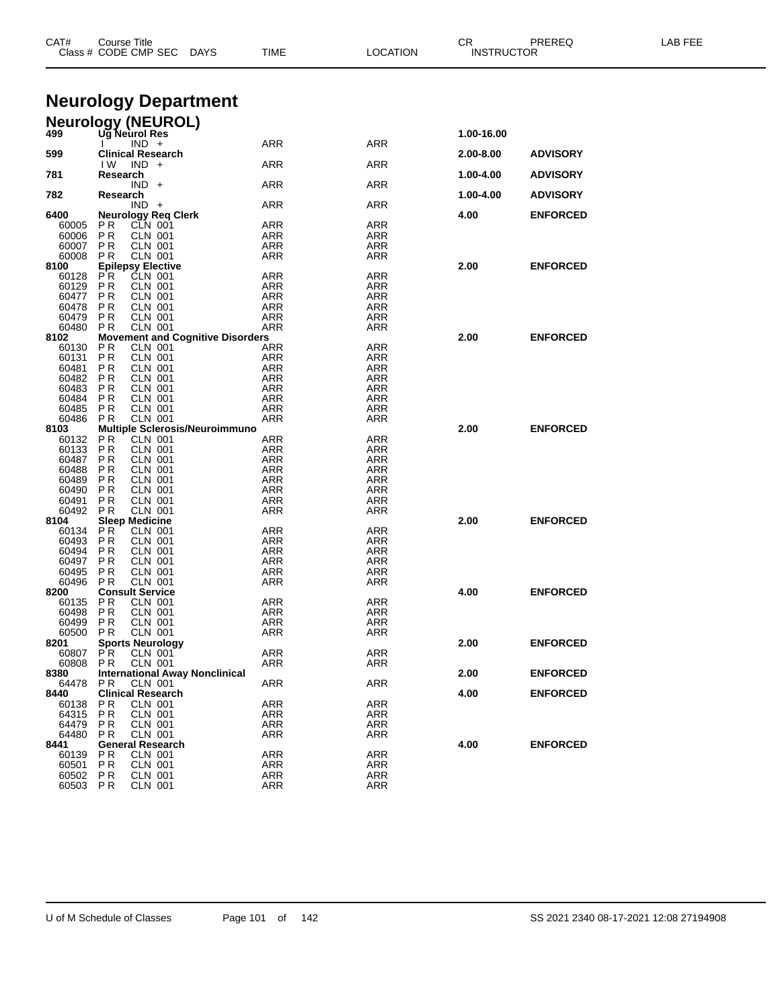| CAT#           | Course Title<br>Class # CODE CMP SEC                      | TIME<br><b>DAYS</b> | <b>LOCATION</b>          | CR<br><b>INSTRUCTOR</b> | PREREQ          | LAB FEE |
|----------------|-----------------------------------------------------------|---------------------|--------------------------|-------------------------|-----------------|---------|
|                |                                                           |                     |                          |                         |                 |         |
|                | <b>Neurology Department</b>                               |                     |                          |                         |                 |         |
|                | <b>Neurology (NEUROL)</b>                                 |                     |                          |                         |                 |         |
| 499            | Ug Neurol Res                                             |                     |                          | 1.00-16.00              |                 |         |
|                | $IND +$                                                   | ARR                 | <b>ARR</b>               |                         |                 |         |
| 599            | <b>Clinical Research</b><br>IW.<br>$IND +$                | ARR                 | ARR                      | 2.00-8.00               | <b>ADVISORY</b> |         |
| 781            | Research                                                  |                     |                          | 1.00-4.00               | <b>ADVISORY</b> |         |
|                | $IND +$                                                   | ARR                 | ARR                      |                         |                 |         |
| 782            | Research<br>$IND +$                                       | ARR                 | ARR                      | 1.00-4.00               | <b>ADVISORY</b> |         |
| 6400           | <b>Neurology Reg Clerk</b>                                |                     |                          | 4.00                    | <b>ENFORCED</b> |         |
| 60005          | P R<br>CLN 001                                            | ARR                 | ARR                      |                         |                 |         |
| 60006<br>60007 | P R<br>CLN 001<br><b>CLN 001</b><br>P R                   | ARR<br>ARR          | ARR<br>ARR               |                         |                 |         |
| 60008          | P R<br>CLN 001                                            | <b>ARR</b>          | <b>ARR</b>               |                         |                 |         |
| 8100           | <b>Epilepsy Elective</b>                                  |                     |                          | 2.00                    | <b>ENFORCED</b> |         |
| 60128          | P <sub>R</sub><br><b>CLN 001</b>                          | ARR                 | ARR                      |                         |                 |         |
| 60129          | <b>PR</b><br>CLN 001                                      | <b>ARR</b>          | <b>ARR</b>               |                         |                 |         |
| 60477          | P R<br>CLN 001                                            | ARR                 | ARR                      |                         |                 |         |
| 60478<br>60479 | <b>CLN 001</b><br>P R<br>P <sub>R</sub><br><b>CLN 001</b> | ARR<br><b>ARR</b>   | ARR<br><b>ARR</b>        |                         |                 |         |
| 60480          | P R<br>CLN 001                                            | ARR                 | ARR                      |                         |                 |         |
| 8102           | <b>Movement and Cognitive Disorders</b>                   |                     |                          | 2.00                    | <b>ENFORCED</b> |         |
| 60130          | P R<br><b>CLN 001</b>                                     | ARR                 | ARR                      |                         |                 |         |
| 60131          | P R<br>CLN 001                                            | ARR                 | ARR                      |                         |                 |         |
| 60481<br>60482 | <b>CLN 001</b><br>P R<br>P R<br>CLN 001                   | ARR<br><b>ARR</b>   | ARR<br><b>ARR</b>        |                         |                 |         |
| 60483          | P R<br>CLN 001                                            | ARR                 | ARR                      |                         |                 |         |
| 60484          | <b>CLN 001</b><br>P R                                     | ARR                 | ARR                      |                         |                 |         |
| 60485          | P R<br>CLN 001                                            | <b>ARR</b>          | <b>ARR</b>               |                         |                 |         |
| 60486          | P R<br>CLN 001                                            | ARR                 | ARR                      |                         |                 |         |
| 8103<br>60132  | <b>Multiple Sclerosis/Neuroimmuno</b><br>P R<br>CLN 001   | ARR                 | ARR                      | 2.00                    | <b>ENFORCED</b> |         |
| 60133          | P R<br>CLN 001                                            | ARR                 | ARR                      |                         |                 |         |
| 60487          | <b>CLN 001</b><br>P R                                     | ARR                 | ARR                      |                         |                 |         |
| 60488          | P R<br>CLN 001                                            | <b>ARR</b>          | <b>ARR</b>               |                         |                 |         |
| 60489          | P R<br>CLN 001                                            | ARR                 | ARR                      |                         |                 |         |
| 60490          | <b>CLN 001</b><br>P R                                     | ARR                 | ARR                      |                         |                 |         |
| 60491<br>60492 | P <sub>R</sub><br>CLN 001<br>P R<br>CLN 001               | <b>ARR</b><br>ARR   | <b>ARR</b><br>ARR        |                         |                 |         |
| 8104           | <b>Sleep Medicine</b>                                     |                     |                          | 2.00                    | <b>ENFORCED</b> |         |
| 60134          | P R<br>CLN 001                                            | ARR                 | ARR                      |                         |                 |         |
| 60493          | P R<br>CLN 001                                            | ARR                 | ARR                      |                         |                 |         |
| 60494          | P R<br>CLN 001                                            | ARR                 | ARR                      |                         |                 |         |
| 60497<br>60495 | <b>PR</b><br>CLN 001<br>P R<br>CLN 001                    | <b>ARR</b><br>ARR   | <b>ARR</b><br>ARR        |                         |                 |         |
| 60496          | <b>CLN 001</b><br>P <sub>R</sub>                          | ARR                 | ARR                      |                         |                 |         |
| 8200           | <b>Consult Service</b>                                    |                     |                          | 4.00                    | <b>ENFORCED</b> |         |
| 60135          | P R<br>CLN 001                                            | <b>ARR</b>          | <b>ARR</b>               |                         |                 |         |
| 60498          | <b>CLN 001</b><br>PR                                      | ARR                 | <b>ARR</b>               |                         |                 |         |
| 60499<br>60500 | <b>PR</b><br><b>CLN 001</b><br>P R<br>CLN 001             | ARR<br>ARR          | <b>ARR</b><br>ARR        |                         |                 |         |
| 8201           | <b>Sports Neurology</b>                                   |                     |                          | 2.00                    | <b>ENFORCED</b> |         |
| 60807          | <b>PR</b><br><b>CLN 001</b>                               | ARR                 | ARR                      |                         |                 |         |
| 60808          | <b>PR</b><br><b>CLN 001</b>                               | ARR                 | ARR                      |                         |                 |         |
| 8380           | <b>International Away Nonclinical</b>                     |                     |                          | 2.00                    | <b>ENFORCED</b> |         |
| 64478<br>8440  | <b>CLN 001</b><br>PR.<br><b>Clinical Research</b>         | ARR                 | ARR                      | 4.00                    | <b>ENFORCED</b> |         |
| 60138          | <b>PR</b><br><b>CLN 001</b>                               | <b>ARR</b>          | <b>ARR</b>               |                         |                 |         |
| 64315          | P <sub>R</sub><br><b>CLN 001</b>                          | ARR                 | ARR                      |                         |                 |         |
| 64479          | P R<br>CLN 001                                            | ARR                 | ARR                      |                         |                 |         |
| 64480          | <b>CLN 001</b><br>P <sub>R</sub>                          | ARR                 | <b>ARR</b>               |                         |                 |         |
| 8441           | <b>General Research</b>                                   |                     |                          | 4.00                    | <b>ENFORCED</b> |         |
| 60139<br>60501 | P R<br>CLN 001<br><b>PR</b><br><b>CLN 001</b>             | ARR<br><b>ARR</b>   | <b>ARR</b><br><b>ARR</b> |                         |                 |         |
| 60502          | P <sub>R</sub><br><b>CLN 001</b>                          | ARR                 | <b>ARR</b>               |                         |                 |         |
| 60503          | <b>PR</b><br>CLN 001                                      | ARR                 | ARR                      |                         |                 |         |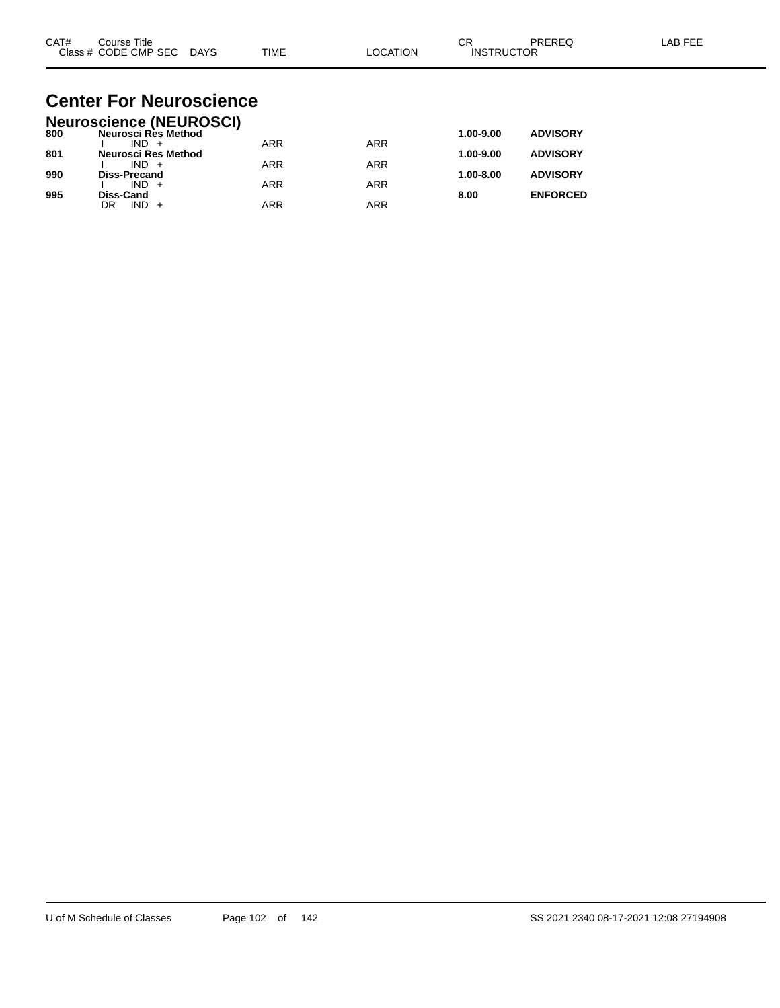| CAT# | Title<br>Course      |             |             |          | ⌒г<br>◡           | PREREC | $\lambda$ $\Gamma$ $\Gamma$ $\Gamma$<br>AR |
|------|----------------------|-------------|-------------|----------|-------------------|--------|--------------------------------------------|
|      | Class # CODE CMP SEC | <b>DAYS</b> | <b>TIME</b> | LOCATION | <b>INSTRUCTOR</b> |        |                                            |

#### **Center For Neuroscience Neuroscience (NEUROSCI)**

|     | Neuroscience (NEUROSCI) |            |            |               |                 |
|-----|-------------------------|------------|------------|---------------|-----------------|
| 800 | Neurosci Rès Method     |            |            | 1.00-9.00     | <b>ADVISORY</b> |
|     | $IND +$                 | <b>ARR</b> | <b>ARR</b> |               |                 |
| 801 | Neurosci Res Method     |            |            | 1.00-9.00     | <b>ADVISORY</b> |
|     | $IND +$                 | ARR        | ARR        |               |                 |
| 990 | <b>Diss-Precand</b>     |            |            | $1.00 - 8.00$ | <b>ADVISORY</b> |
|     | $IND +$                 | <b>ARR</b> | ARR        |               |                 |
| 995 | <b>Diss-Cand</b>        |            |            | 8.00          | <b>ENFORCED</b> |
|     | $IND +$<br>DR           | ARR        | ARR        |               |                 |
|     |                         |            |            |               |                 |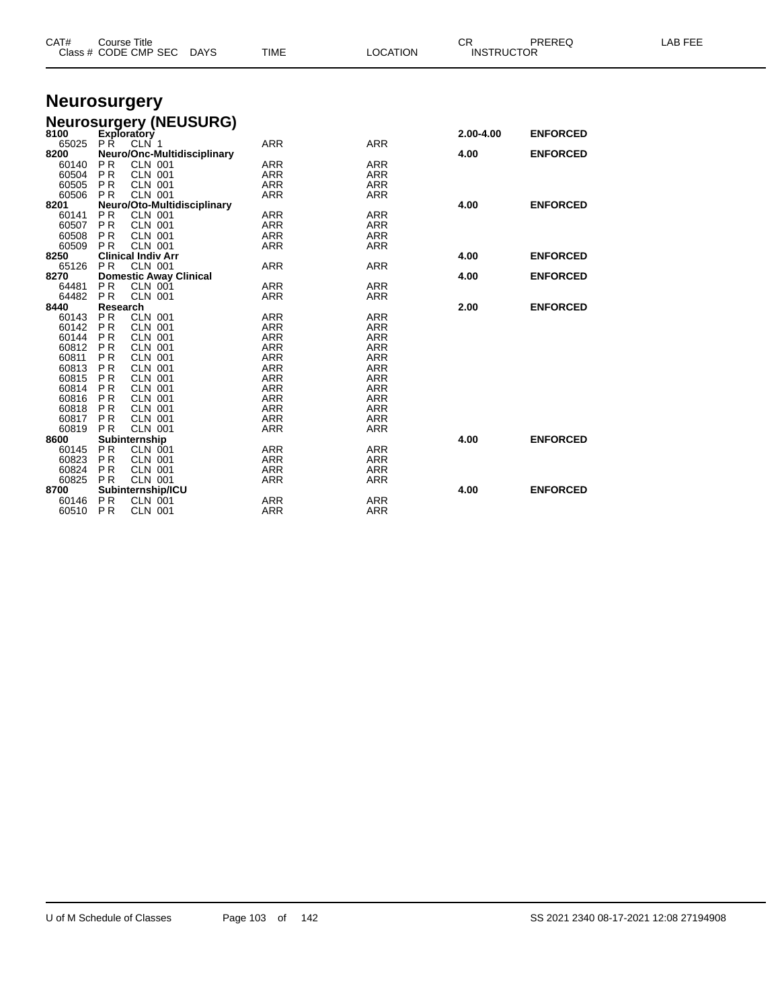| CAT#           | <b>Course Title</b><br>Class # CODE CMP SEC<br>DAYS        | <b>TIME</b> | <b>LOCATION</b>          | <b>CR</b><br><b>INSTRUCTOR</b> | PREREQ          | <b>LAB FEE</b> |
|----------------|------------------------------------------------------------|-------------|--------------------------|--------------------------------|-----------------|----------------|
|                |                                                            |             |                          |                                |                 |                |
|                | <b>Neurosurgery</b>                                        |             |                          |                                |                 |                |
|                | <b>Neurosurgery (NEUSURG)</b>                              |             |                          |                                |                 |                |
| 8100           | <b>Exploratory</b>                                         |             |                          | 2.00-4.00                      | <b>ENFORCED</b> |                |
| 65025          | PŔ.<br>CLN 1                                               | <b>ARR</b>  | <b>ARR</b>               |                                |                 |                |
| 8200           | Neuro/Onc-Multidisciplinary                                |             |                          | 4.00                           | <b>ENFORCED</b> |                |
| 60140          | P R<br><b>CLN 001</b>                                      | ARR         | <b>ARR</b>               |                                |                 |                |
| 60504          | PR<br><b>CLN 001</b>                                       | <b>ARR</b>  | <b>ARR</b>               |                                |                 |                |
| 60505          | <b>CLN 001</b><br>PR.                                      | <b>ARR</b>  | <b>ARR</b>               |                                |                 |                |
| 60506          | PR.<br><b>CLN 001</b>                                      | <b>ARR</b>  | <b>ARR</b>               |                                |                 |                |
| 8201           | Neuro/Oto-Multidisciplinary                                |             |                          | 4.00                           | <b>ENFORCED</b> |                |
| 60141          | <b>PR</b><br><b>CLN 001</b>                                | ARR         | <b>ARR</b>               |                                |                 |                |
| 60507          | <b>PR</b><br><b>CLN 001</b>                                | <b>ARR</b>  | <b>ARR</b>               |                                |                 |                |
| 60508          | <b>CLN 001</b><br>PR.                                      | <b>ARR</b>  | <b>ARR</b>               |                                |                 |                |
| 60509          | P <sub>R</sub><br><b>CLN 001</b>                           | <b>ARR</b>  | <b>ARR</b>               |                                |                 |                |
| 8250           | <b>Clinical Indiv Arr</b>                                  |             |                          | 4.00                           | <b>ENFORCED</b> |                |
| 65126          | PR<br><b>CLN 001</b>                                       | <b>ARR</b>  | <b>ARR</b>               |                                |                 |                |
| 8270           | <b>Domestic Away Clinical</b>                              |             |                          | 4.00                           | <b>ENFORCED</b> |                |
| 64481          | <b>PR</b><br><b>CLN 001</b>                                | <b>ARR</b>  | <b>ARR</b>               |                                |                 |                |
| 64482          | <b>PR</b><br><b>CLN 001</b>                                | <b>ARR</b>  | <b>ARR</b>               |                                |                 |                |
| 8440           | Research                                                   |             |                          | 2.00                           | <b>ENFORCED</b> |                |
| 60143          | <b>PR</b><br><b>CLN 001</b>                                | <b>ARR</b>  | <b>ARR</b>               |                                |                 |                |
| 60142          | <b>PR</b><br><b>CLN 001</b>                                | ARR         | <b>ARR</b>               |                                |                 |                |
| 60144          | PR<br><b>CLN 001</b>                                       | <b>ARR</b>  | <b>ARR</b>               |                                |                 |                |
| 60812          | <b>CLN 001</b><br><b>PR</b>                                | ARR         | <b>ARR</b>               |                                |                 |                |
| 60811          | P <sub>R</sub><br><b>CLN 001</b>                           | <b>ARR</b>  | <b>ARR</b>               |                                |                 |                |
| 60813<br>60815 | <b>PR</b><br><b>CLN 001</b>                                | <b>ARR</b>  | <b>ARR</b>               |                                |                 |                |
|                | <b>CLN 001</b><br><b>PR</b>                                | <b>ARR</b>  | <b>ARR</b>               |                                |                 |                |
| 60814          | <b>PR</b><br><b>CLN 001</b>                                | <b>ARR</b>  | <b>ARR</b>               |                                |                 |                |
| 60816          | PR<br><b>CLN 001</b>                                       | <b>ARR</b>  | <b>ARR</b>               |                                |                 |                |
| 60818<br>60817 | <b>PR</b><br><b>CLN 001</b><br><b>PR</b><br><b>CLN 001</b> | ARR         | <b>ARR</b><br><b>ARR</b> |                                |                 |                |
|                |                                                            | <b>ARR</b>  |                          |                                |                 |                |
| 60819          | <b>CLN 001</b><br>PR                                       | <b>ARR</b>  | <b>ARR</b>               |                                |                 |                |
| 8600           | Subinternship                                              |             |                          | 4.00                           | <b>ENFORCED</b> |                |
| 60145          | PR<br>CLN 001                                              | <b>ARR</b>  | <b>ARR</b>               |                                |                 |                |
| 60823          | PR<br><b>CLN 001</b>                                       | <b>ARR</b>  | <b>ARR</b>               |                                |                 |                |
| 60824          | <b>CLN 001</b><br><b>PR</b>                                | ARR         | <b>ARR</b>               |                                |                 |                |
| 60825          | <b>CLN 001</b><br><b>PR</b>                                | <b>ARR</b>  | <b>ARR</b>               |                                |                 |                |
| 8700           | Subinternship/ICU                                          | <b>ARR</b>  | <b>ARR</b>               | 4.00                           | <b>ENFORCED</b> |                |
| 60146          | <b>PR</b><br>CLN 001                                       |             |                          |                                |                 |                |

P R CLN 001 ARR ARR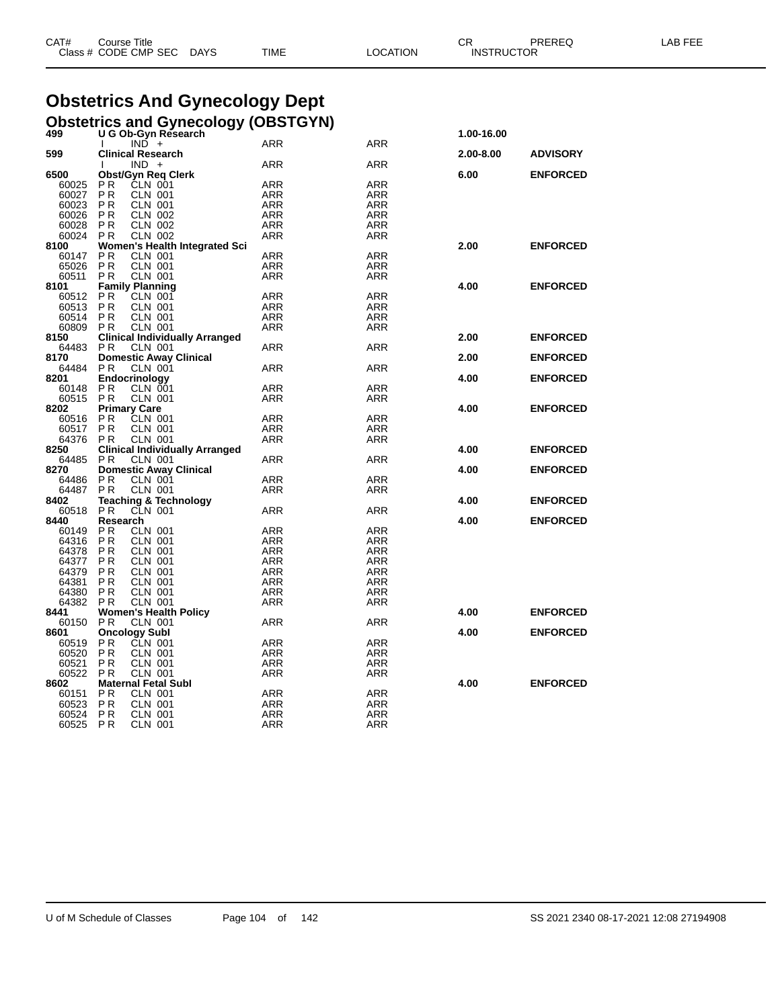| CAT# | Course Title         |             |             |          | $\sim$ r<br>UM    | PREREQ | LAB FEE<br>. |
|------|----------------------|-------------|-------------|----------|-------------------|--------|--------------|
|      | Class # CODE CMP SEC | <b>DAYS</b> | <b>TIME</b> | _OCATION | <b>INSTRUCTOR</b> |        |              |

# **Obstetrics And Gynecology Dept**

|     | <b>Obstetrics and Gynecology (OBSTGYN)</b> |            |
|-----|--------------------------------------------|------------|
| 499 | U G Ob-Gyn Research                        | 1.00-16.00 |

|                      | $IND +$<br>$\mathbf{I}$               | ARR               | ARR                      |           |                 |
|----------------------|---------------------------------------|-------------------|--------------------------|-----------|-----------------|
| 599                  | <b>Clinical Research</b>              |                   |                          | 2.00-8.00 | <b>ADVISORY</b> |
|                      | $IND +$                               | <b>ARR</b>        | <b>ARR</b>               |           |                 |
| 6500                 | <b>Obst/Gyn Req Clerk</b>             |                   |                          | 6.00      | <b>ENFORCED</b> |
|                      | <b>CLN 001</b>                        |                   |                          |           |                 |
| 60025                | P <sub>R</sub>                        | ARR               | ARR                      |           |                 |
| 60027                | PR<br><b>CLN 001</b>                  | <b>ARR</b>        | <b>ARR</b>               |           |                 |
| 60023                | <b>PR</b><br><b>CLN 001</b>           | ARR               | <b>ARR</b>               |           |                 |
| 60026 PR             | CLN 002                               | ARR               | <b>ARR</b>               |           |                 |
| 60028                | <b>PR</b><br><b>CLN 002</b>           | ARR               | <b>ARR</b>               |           |                 |
| 60024 PR             | <b>CLN 002</b>                        | ARR               | ARR                      |           |                 |
| 8100                 | Women's Health Integrated Sci         |                   |                          | 2.00      | <b>ENFORCED</b> |
| 60147                | PR<br><b>CLN 001</b>                  | ARR               | <b>ARR</b>               |           |                 |
| 65026                | PR<br><b>CLN 001</b>                  | <b>ARR</b>        | <b>ARR</b>               |           |                 |
| 60511                | <b>CLN 001</b><br>P <sub>R</sub>      | ARR               | <b>ARR</b>               |           |                 |
| 8101                 | <b>Family Planning</b>                |                   |                          | 4.00      | <b>ENFORCED</b> |
|                      | CLN 001                               | ARR               | <b>ARR</b>               |           |                 |
| 60512 PR             |                                       |                   |                          |           |                 |
| 60513 PR             | <b>CLN 001</b>                        | ARR               | <b>ARR</b>               |           |                 |
| 60514 PR             | <b>CLN 001</b>                        | ARR               | <b>ARR</b>               |           |                 |
| 60809 PR             | <b>CLN 001</b>                        | ARR               | <b>ARR</b>               |           |                 |
| 8150                 | <b>Clinical Individually Arranged</b> |                   |                          | 2.00      | <b>ENFORCED</b> |
| 64483 PR             | <b>CLN 001</b>                        | ARR               | <b>ARR</b>               |           |                 |
| 8170                 | <b>Domestic Away Clinical</b>         |                   |                          | 2.00      | <b>ENFORCED</b> |
| 64484 PR             | <b>CLN 001</b>                        | ARR               | <b>ARR</b>               |           |                 |
| 8201                 | Endocrinology                         |                   |                          | 4.00      | <b>ENFORCED</b> |
| 60148 PR             | CLN 001                               | ARR               | <b>ARR</b>               |           |                 |
| 60515 PR             | <b>CLN 001</b>                        | ARR               | <b>ARR</b>               |           |                 |
|                      |                                       |                   |                          |           |                 |
| 8202                 | <b>Primary Care</b>                   |                   |                          | 4.00      | <b>ENFORCED</b> |
| 60516 PR             | CLN 001                               | ARR               | <b>ARR</b>               |           |                 |
| 60517                | P <sub>R</sub><br><b>CLN 001</b>      | <b>ARR</b>        | <b>ARR</b>               |           |                 |
| 64376 PR             | CLN 001                               | <b>ARR</b>        | <b>ARR</b>               |           |                 |
| 8250                 | <b>Clinical Individually Arranged</b> |                   |                          | 4.00      | <b>ENFORCED</b> |
| 64485 PR             | <b>CLN 001</b>                        | ARR               | <b>ARR</b>               |           |                 |
| 8270                 | <b>Domestic Away Clinical</b>         |                   |                          | 4.00      | <b>ENFORCED</b> |
| 64486                | <b>CLN 001</b><br>P <sub>R</sub>      | ARR               | <b>ARR</b>               |           |                 |
| 64487                | P <sub>R</sub><br><b>CLN 001</b>      | <b>ARR</b>        | <b>ARR</b>               |           |                 |
| 8402                 | <b>Teaching &amp; Technology</b>      |                   |                          | 4.00      | <b>ENFORCED</b> |
| 60518 PR             | CLN 001                               | ARR               | <b>ARR</b>               |           |                 |
| 8440                 | Research                              |                   |                          | 4.00      | <b>ENFORCED</b> |
|                      |                                       |                   |                          |           |                 |
| 60149 PR             | CLN 001<br>CLN 001                    | ARR               | <b>ARR</b>               |           |                 |
| 64316 PR             |                                       |                   |                          |           |                 |
| 64378 PR             |                                       | <b>ARR</b>        | <b>ARR</b>               |           |                 |
|                      | <b>CLN 001</b>                        | ARR               | <b>ARR</b>               |           |                 |
| 64377 PR             | <b>CLN 001</b>                        | <b>ARR</b>        | <b>ARR</b>               |           |                 |
|                      |                                       |                   |                          |           |                 |
| 64379 PR<br>64381 PR | <b>CLN 001</b><br><b>CLN 001</b>      | ARR               | <b>ARR</b><br><b>ARR</b> |           |                 |
|                      |                                       | ARR               |                          |           |                 |
| 64380 PR             | <b>CLN 001</b>                        | ARR               | <b>ARR</b>               |           |                 |
| 64382 PR             | <b>CLN 001</b>                        | ARR               | <b>ARR</b>               |           |                 |
| 8441                 | <b>Women's Health Policy</b>          |                   |                          | 4.00      | <b>ENFORCED</b> |
| 60150 PR             | <b>CLN 001</b>                        | ARR               | <b>ARR</b>               |           |                 |
| 8601                 | <b>Oncology Subl</b>                  |                   |                          | 4.00      | <b>ENFORCED</b> |
| 60519 PR             | CLN 001                               | ARR               | ARR                      |           |                 |
| 60520 PR             | <b>CLN 001</b>                        | ARR               | <b>ARR</b>               |           |                 |
| 60521                | PR<br>CLN 001                         | ARR               | <b>ARR</b>               |           |                 |
| 60522 PR             | <b>CLN 001</b>                        | ARR               | <b>ARR</b>               |           |                 |
| 8602                 | <b>Maternal Fetal Subl</b>            |                   |                          | 4.00      | <b>ENFORCED</b> |
| 60151 PR             | <b>CLN 001</b>                        | ARR               | ARR                      |           |                 |
| 60523                |                                       |                   |                          |           |                 |
|                      | P R<br><b>CLN 001</b>                 | <b>ARR</b>        | <b>ARR</b>               |           |                 |
| 60524 PR<br>60525 PR | <b>CLN 001</b><br><b>CLN 001</b>      | ARR<br><b>ARR</b> | <b>ARR</b><br><b>ARR</b> |           |                 |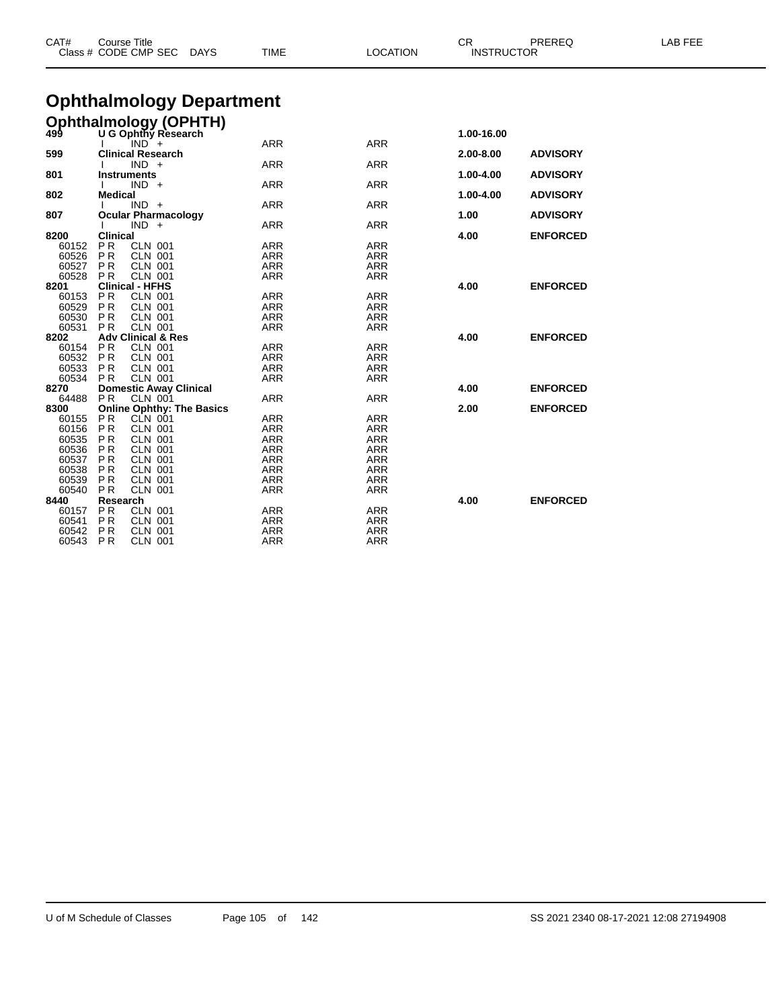| CAT#           | <b>Course Title</b>   | Class # CODE CMP SEC                | <b>DAYS</b>                                             | TIME                     | <b>LOCATION</b>   | CR<br><b>INSTRUCTOR</b> | PREREQ          | LAB FEE |
|----------------|-----------------------|-------------------------------------|---------------------------------------------------------|--------------------------|-------------------|-------------------------|-----------------|---------|
|                |                       |                                     | <b>Ophthalmology Department</b>                         |                          |                   |                         |                 |         |
|                |                       |                                     |                                                         |                          |                   |                         |                 |         |
|                |                       |                                     | <b>Ophthalmology (OPHTH)</b><br>499 U G Ophthy Research |                          |                   |                         |                 |         |
|                |                       | $IND^+$                             |                                                         | <b>ARR</b>               | <b>ARR</b>        | 1.00-16.00              |                 |         |
| 599            |                       | <b>Clinical Research</b>            |                                                         |                          |                   | 2.00-8.00               | <b>ADVISORY</b> |         |
|                |                       | $IND +$                             |                                                         | <b>ARR</b>               | <b>ARR</b>        |                         |                 |         |
| 801            | Instruments           |                                     |                                                         |                          |                   | 1.00-4.00               | <b>ADVISORY</b> |         |
|                |                       | $IND +$                             |                                                         | <b>ARR</b>               | <b>ARR</b>        |                         |                 |         |
| 802            | <b>Medical</b>        |                                     |                                                         |                          |                   | 1.00-4.00               | <b>ADVISORY</b> |         |
|                |                       | $IND +$                             |                                                         | <b>ARR</b>               | <b>ARR</b>        | 1.00                    |                 |         |
| 807            |                       | <b>Ocular Pharmacology</b><br>IND + |                                                         | <b>ARR</b>               | <b>ARR</b>        |                         | <b>ADVISORY</b> |         |
| 8200           | <b>Clinical</b>       |                                     |                                                         |                          |                   | 4.00                    | <b>ENFORCED</b> |         |
| 60152          | PR.                   | <b>CLN 001</b>                      |                                                         | <b>ARR</b>               | <b>ARR</b>        |                         |                 |         |
| 60526          | <b>PR</b>             | <b>CLN 001</b>                      |                                                         | <b>ARR</b>               | <b>ARR</b>        |                         |                 |         |
| 60527          | PR.                   | <b>CLN 001</b>                      |                                                         | <b>ARR</b>               | <b>ARR</b>        |                         |                 |         |
| 60528          | <b>PR</b>             | <b>CLN 001</b>                      |                                                         | <b>ARR</b>               | <b>ARR</b>        |                         |                 |         |
| 8201           |                       | <b>Clinical - HFHS</b>              |                                                         |                          |                   | 4.00                    | <b>ENFORCED</b> |         |
| 60153          | <b>PR</b>             | <b>CLN 001</b>                      |                                                         | <b>ARR</b>               | <b>ARR</b>        |                         |                 |         |
| 60529<br>60530 | P R<br><b>PR</b>      | <b>CLN 001</b><br><b>CLN 001</b>    |                                                         | <b>ARR</b><br><b>ARR</b> | ARR<br><b>ARR</b> |                         |                 |         |
| 60531          | PR.                   | <b>CLN 001</b>                      |                                                         | <b>ARR</b>               | ARR               |                         |                 |         |
| 8202           |                       | <b>Adv Clinical &amp; Res</b>       |                                                         |                          |                   | 4.00                    | <b>ENFORCED</b> |         |
| 60154          | P R                   | <b>CLN 001</b>                      |                                                         | <b>ARR</b>               | <b>ARR</b>        |                         |                 |         |
| 60532          | PR.                   | <b>CLN 001</b>                      |                                                         | <b>ARR</b>               | <b>ARR</b>        |                         |                 |         |
| 60533          | PR.                   | <b>CLN 001</b>                      |                                                         | <b>ARR</b>               | <b>ARR</b>        |                         |                 |         |
| 60534          | PR.                   | <b>CLN 001</b>                      |                                                         | <b>ARR</b>               | <b>ARR</b>        |                         |                 |         |
| 8270           | <b>PR</b>             | <b>Domestic Away Clinical</b>       |                                                         |                          | <b>ARR</b>        | 4.00                    | <b>ENFORCED</b> |         |
| 64488<br>8300  |                       | <b>CLN 001</b>                      | <b>Online Ophthy: The Basics</b>                        | <b>ARR</b>               |                   | 2.00                    | <b>ENFORCED</b> |         |
| 60155          | PR                    | CLN 001                             |                                                         | <b>ARR</b>               | <b>ARR</b>        |                         |                 |         |
| 60156          | <b>PR</b>             | <b>CLN 001</b>                      |                                                         | <b>ARR</b>               | <b>ARR</b>        |                         |                 |         |
| 60535          | PR.                   | <b>CLN 001</b>                      |                                                         | <b>ARR</b>               | <b>ARR</b>        |                         |                 |         |
| 60536          | <b>PR</b>             | <b>CLN 001</b>                      |                                                         | <b>ARR</b>               | <b>ARR</b>        |                         |                 |         |
| 60537          | <b>PR</b>             | <b>CLN 001</b>                      |                                                         | <b>ARR</b>               | <b>ARR</b>        |                         |                 |         |
| 60538          | PR.                   | <b>CLN 001</b>                      |                                                         | <b>ARR</b>               | <b>ARR</b>        |                         |                 |         |
| 60539          | PR.                   | <b>CLN 001</b>                      |                                                         | <b>ARR</b>               | <b>ARR</b>        |                         |                 |         |
| 60540<br>8440  | <b>PR</b><br>Research | <b>CLN 001</b>                      |                                                         | <b>ARR</b>               | <b>ARR</b>        | 4.00                    | <b>ENFORCED</b> |         |
| 60157          | P <sub>R</sub>        | <b>CLN 001</b>                      |                                                         | <b>ARR</b>               | <b>ARR</b>        |                         |                 |         |
| 60541          | P <sub>R</sub>        | <b>CLN 001</b>                      |                                                         | <b>ARR</b>               | <b>ARR</b>        |                         |                 |         |
| 60542          | P <sub>R</sub>        | <b>CLN 001</b>                      |                                                         | <b>ARR</b>               | <b>ARR</b>        |                         |                 |         |
| 60543          | <b>PR</b>             | <b>CLN 001</b>                      |                                                         | <b>ARR</b>               | <b>ARR</b>        |                         |                 |         |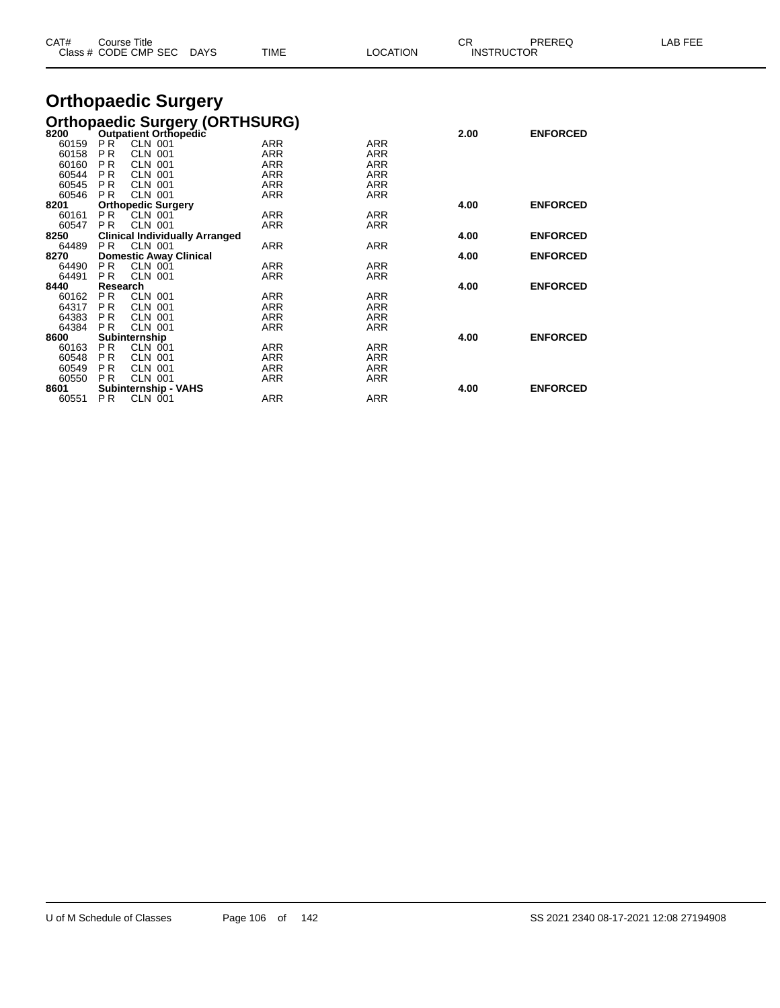| CAT#          | <b>Course Title</b><br>Class # CODE CMP SEC                  | TIME<br>DAYS                          | <b>LOCATION</b> | CR   | PREREQ<br><b>INSTRUCTOR</b> | <b>LAB FEE</b> |
|---------------|--------------------------------------------------------------|---------------------------------------|-----------------|------|-----------------------------|----------------|
|               | <b>Orthopaedic Surgery</b>                                   |                                       |                 |      |                             |                |
|               |                                                              | <b>Orthopaedic Surgery (ORTHSURG)</b> |                 |      |                             |                |
| 8200          | <b>Outpatient Orthopedic</b>                                 |                                       |                 | 2.00 | <b>ENFORCED</b>             |                |
| 60159         | PR <sup>-</sup><br><b>CLN 001</b>                            | <b>ARR</b>                            | <b>ARR</b>      |      |                             |                |
| 60158         | <b>PR</b><br><b>CLN 001</b>                                  | <b>ARR</b>                            | <b>ARR</b>      |      |                             |                |
| 60160         | P <sub>R</sub><br><b>CLN 001</b>                             | <b>ARR</b>                            | <b>ARR</b>      |      |                             |                |
| 60544         | P <sub>R</sub><br><b>CLN 001</b>                             | <b>ARR</b>                            | <b>ARR</b>      |      |                             |                |
| 60545         | <b>CLN 001</b><br><b>PR</b>                                  | <b>ARR</b>                            | <b>ARR</b>      |      |                             |                |
| 60546         | <b>CLN 001</b><br><b>PR</b>                                  | <b>ARR</b>                            | <b>ARR</b>      |      |                             |                |
| 8201          | <b>Orthopedic Surgery</b>                                    |                                       |                 | 4.00 | <b>ENFORCED</b>             |                |
| 60161         | P <sub>R</sub><br><b>CLN 001</b>                             | <b>ARR</b>                            | <b>ARR</b>      |      |                             |                |
| 60547         | <b>PR</b><br><b>CLN 001</b>                                  | <b>ARR</b>                            | <b>ARR</b>      |      |                             |                |
| 8250          | <b>Clinical Individually Arranged</b>                        |                                       |                 | 4.00 | <b>ENFORCED</b>             |                |
| 64489         | <b>PR</b><br><b>CLN 001</b>                                  | <b>ARR</b>                            | <b>ARR</b>      |      |                             |                |
| 8270<br>64490 | <b>Domestic Away Clinical</b><br><b>PR</b><br><b>CLN 001</b> | <b>ARR</b>                            | <b>ARR</b>      | 4.00 | <b>ENFORCED</b>             |                |
| 64491         | <b>PR</b><br><b>CLN 001</b>                                  | <b>ARR</b>                            | <b>ARR</b>      |      |                             |                |
| 8440          | Research                                                     |                                       |                 | 4.00 | <b>ENFORCED</b>             |                |
| 60162         | <b>PR</b><br><b>CLN 001</b>                                  | <b>ARR</b>                            | <b>ARR</b>      |      |                             |                |
| 64317         | <b>CLN 001</b><br><b>PR</b>                                  | <b>ARR</b>                            | <b>ARR</b>      |      |                             |                |
| 64383         | P <sub>R</sub><br><b>CLN 001</b>                             | <b>ARR</b>                            | <b>ARR</b>      |      |                             |                |
| 64384         | <b>PR</b><br><b>CLN 001</b>                                  | <b>ARR</b>                            | <b>ARR</b>      |      |                             |                |
| 8600          | Subinternship                                                |                                       |                 | 4.00 | <b>ENFORCED</b>             |                |
| 60163         | <b>PR</b><br><b>CLN 001</b>                                  | <b>ARR</b>                            | <b>ARR</b>      |      |                             |                |
| 60548         | P <sub>R</sub><br>CLN 001                                    | <b>ARR</b>                            | <b>ARR</b>      |      |                             |                |
| 60549         | P <sub>R</sub><br><b>CLN 001</b>                             | <b>ARR</b>                            | <b>ARR</b>      |      |                             |                |
| 60550         | <b>PR</b><br><b>CLN 001</b>                                  | <b>ARR</b>                            | <b>ARR</b>      |      |                             |                |
| 8601          | <b>Subinternship - VAHS</b>                                  |                                       |                 | 4.00 | <b>ENFORCED</b>             |                |
| 60551         | P <sub>R</sub><br><b>CLN 001</b>                             | <b>ARR</b>                            | <b>ARR</b>      |      |                             |                |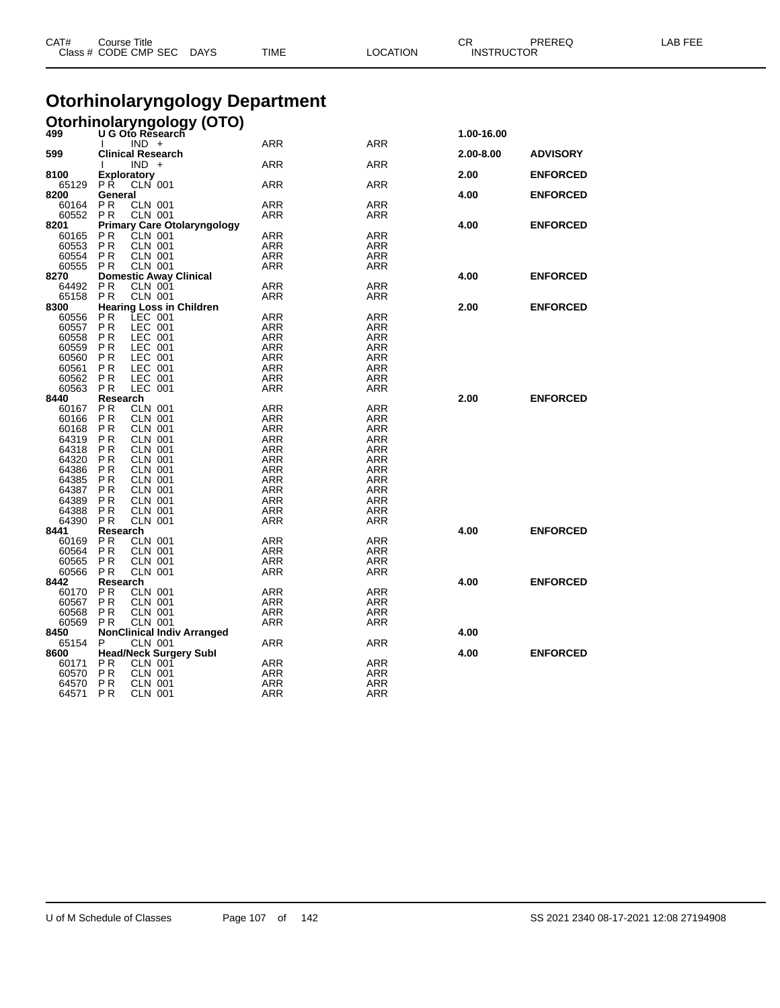| CAT#           | Course Title<br>Class # CODE CMP SEC                                 | DAYS                               | TIME                                  | <b>LOCATION</b>   | СR<br>PREREQ<br><b>INSTRUCTOR</b> |                 | LAB FEE |
|----------------|----------------------------------------------------------------------|------------------------------------|---------------------------------------|-------------------|-----------------------------------|-----------------|---------|
|                |                                                                      |                                    | <b>Otorhinolaryngology Department</b> |                   |                                   |                 |         |
|                |                                                                      |                                    |                                       |                   |                                   |                 |         |
|                |                                                                      | <b>Otorhinolaryngology (OTO)</b>   |                                       |                   |                                   |                 |         |
|                | $IND +$                                                              |                                    | <b>ARR</b>                            | <b>ARR</b>        | 1.00-16.00                        |                 |         |
| 599            | <b>Clinical Research</b>                                             |                                    |                                       |                   | 2.00-8.00                         | <b>ADVISORY</b> |         |
|                | $IND +$                                                              |                                    | ARR                                   | ARR               |                                   |                 |         |
| 8100           | Exploratory                                                          |                                    |                                       |                   | 2.00                              | <b>ENFORCED</b> |         |
| 65129<br>8200  | <b>PR</b><br><b>CLN 001</b><br>General                               |                                    | ARR                                   | ARR               | 4.00                              | <b>ENFORCED</b> |         |
| 60164          | P <sub>R</sub><br><b>CLN 001</b>                                     |                                    | ARR                                   | <b>ARR</b>        |                                   |                 |         |
| 60552          | <b>PR</b><br><b>CLN 001</b>                                          |                                    | ARR                                   | ARR               |                                   |                 |         |
| 8201           |                                                                      | <b>Primary Care Otolaryngology</b> |                                       |                   | 4.00                              | <b>ENFORCED</b> |         |
| 60165          | P <sub>R</sub><br><b>CLN 001</b>                                     |                                    | ARR                                   | <b>ARR</b>        |                                   |                 |         |
| 60553<br>60554 | P <sub>R</sub><br><b>CLN 001</b><br><b>PR</b><br><b>CLN 001</b>      |                                    | ARR<br><b>ARR</b>                     | ARR               |                                   |                 |         |
| 60555          | <b>PR</b><br><b>CLN 001</b>                                          |                                    | ARR                                   | ARR<br>ARR        |                                   |                 |         |
| 8270           | <b>Domestic Away Clinical</b>                                        |                                    |                                       |                   | 4.00                              | <b>ENFORCED</b> |         |
| 64492          | <b>PR</b><br>CLN 001                                                 |                                    | <b>ARR</b>                            | <b>ARR</b>        |                                   |                 |         |
| 65158          | <b>PR</b><br><b>CLN 001</b>                                          |                                    | ARR                                   | ARR               |                                   |                 |         |
| 8300           | <b>Hearing Loss in Children</b>                                      |                                    |                                       |                   | 2.00                              | <b>ENFORCED</b> |         |
| 60556          | LEC 001<br>P R                                                       |                                    | ARR                                   | ARR               |                                   |                 |         |
| 60557          | <b>PR</b><br>LEC 001                                                 |                                    | ARR                                   | ARR               |                                   |                 |         |
| 60558<br>60559 | LEC 001<br>P <sub>R</sub><br>LEC<br>P <sub>R</sub>                   | 001                                | <b>ARR</b>                            | <b>ARR</b>        |                                   |                 |         |
| 60560          | P <sub>R</sub><br>LEC 001                                            |                                    | ARR<br>ARR                            | ARR<br><b>ARR</b> |                                   |                 |         |
| 60561          | P R<br>LEC 001                                                       |                                    | ARR                                   | ARR               |                                   |                 |         |
| 60562          | <b>PR</b><br>LEC 001                                                 |                                    | ARR                                   | ARR               |                                   |                 |         |
| 60563          | LEC 001<br><b>PR</b>                                                 |                                    | ARR                                   | ARR               |                                   |                 |         |
| 8440           | Research                                                             |                                    |                                       |                   | 2.00                              | <b>ENFORCED</b> |         |
| 60167          | P R<br><b>CLN 001</b>                                                |                                    | ARR                                   | ARR               |                                   |                 |         |
| 60166          | P R<br><b>CLN 001</b>                                                |                                    | ARR                                   | ARR               |                                   |                 |         |
| 60168<br>64319 | P <sub>R</sub><br><b>CLN 001</b><br>P <sub>R</sub><br><b>CLN 001</b> |                                    | ARR<br><b>ARR</b>                     | ARR<br><b>ARR</b> |                                   |                 |         |
| 64318          | <b>PR</b><br><b>CLN 001</b>                                          |                                    | ARR                                   | <b>ARR</b>        |                                   |                 |         |
| 64320          | <b>PR</b><br><b>CLN 001</b>                                          |                                    | <b>ARR</b>                            | <b>ARR</b>        |                                   |                 |         |
| 64386          | P <sub>R</sub><br><b>CLN 001</b>                                     |                                    | ARR                                   | ARR               |                                   |                 |         |
| 64385          | <b>PR</b><br><b>CLN 001</b>                                          |                                    | <b>ARR</b>                            | <b>ARR</b>        |                                   |                 |         |
| 64387          | <b>PR</b><br><b>CLN 001</b>                                          |                                    | <b>ARR</b>                            | <b>ARR</b>        |                                   |                 |         |
| 64389          | P <sub>R</sub><br><b>CLN 001</b>                                     |                                    | ARR                                   | <b>ARR</b>        |                                   |                 |         |
| 64388          | P <sub>R</sub><br><b>CLN 001</b>                                     |                                    | ARR                                   | ARR               |                                   |                 |         |
| 64390<br>8441  | <b>CLN 001</b><br>P <sub>R</sub><br>Research                         |                                    | ARR                                   | ARR               | 4.00                              | <b>ENFORCED</b> |         |
| 60169          | P <sub>R</sub><br><b>CLN 001</b>                                     |                                    | ARR                                   | <b>ARR</b>        |                                   |                 |         |
| 60564          | P <sub>R</sub><br><b>CLN 001</b>                                     |                                    | ARR                                   | ARR               |                                   |                 |         |
| 60565          | P <sub>R</sub><br><b>CLN 001</b>                                     |                                    | ARR                                   | ARR               |                                   |                 |         |
| 60566          | <b>PR</b><br><b>CLN 001</b>                                          |                                    | ARR                                   | ARR               |                                   |                 |         |
| 8442           | Research                                                             |                                    |                                       |                   | 4.00                              | <b>ENFORCED</b> |         |
| 60170          | P <sub>R</sub><br><b>CLN 001</b>                                     |                                    | ARR                                   | ARR               |                                   |                 |         |
| 60567          | PR<br><b>CLN 001</b>                                                 |                                    | ARR                                   | ARR               |                                   |                 |         |
| 60568<br>60569 | P <sub>R</sub><br><b>CLN 001</b><br><b>PR</b><br><b>CLN 001</b>      |                                    | <b>ARR</b><br>ARR                     | <b>ARR</b><br>ARR |                                   |                 |         |
| 8450           |                                                                      | <b>NonClinical Indiv Arranged</b>  |                                       |                   | 4.00                              |                 |         |
| 65154          | P<br><b>CLN 001</b>                                                  |                                    | ARR                                   | <b>ARR</b>        |                                   |                 |         |
| 8600           | <b>Head/Neck Surgery Subl</b>                                        |                                    |                                       |                   | 4.00                              | <b>ENFORCED</b> |         |
| 60171          | CLN 001<br>P <sub>R</sub>                                            |                                    | ARR                                   | ARR               |                                   |                 |         |
| 60570          | P <sub>R</sub><br><b>CLN 001</b>                                     |                                    | ARR                                   | ARR               |                                   |                 |         |
| 64570          | <b>PR</b><br><b>CLN 001</b>                                          |                                    | ARR                                   | ARR               |                                   |                 |         |
| 64571          | P <sub>R</sub><br><b>CLN 001</b>                                     |                                    | ARR                                   | ARR               |                                   |                 |         |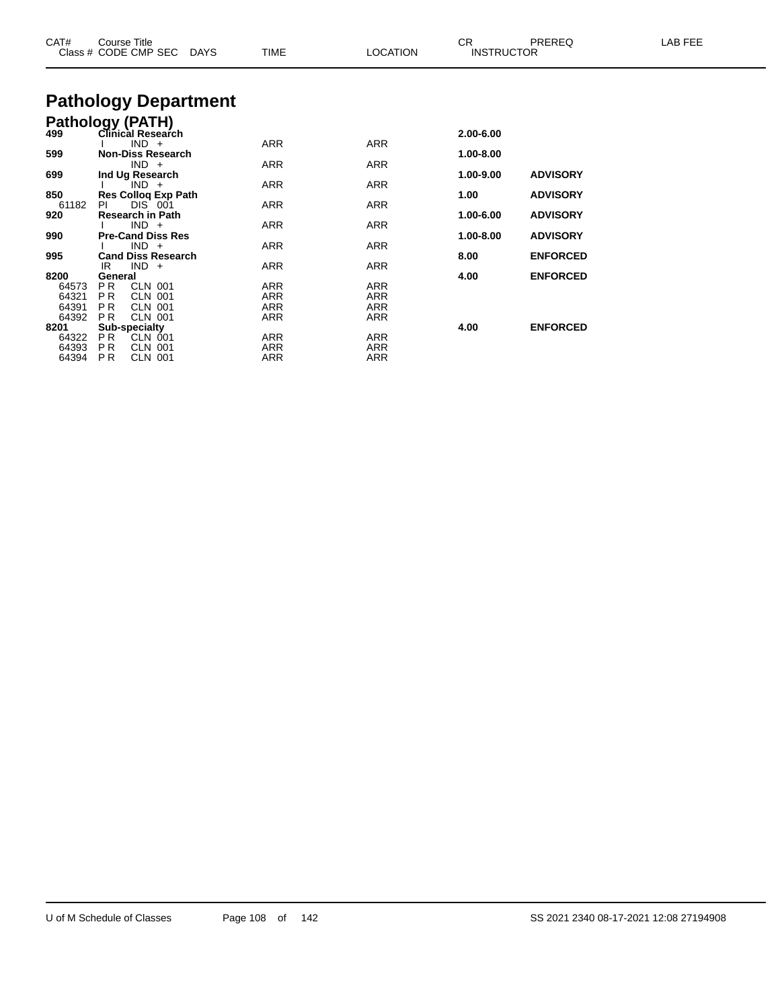| CAT#          | Course Title<br>Class # CODE CMP SEC DAYS | TIME | <b>LOCATION</b> | CR.<br>PREREQ<br><b>INSTRUCTOR</b> |                 | LAB FEE |
|---------------|-------------------------------------------|------|-----------------|------------------------------------|-----------------|---------|
|               | <b>Pathology Department</b>               |      |                 |                                    |                 |         |
|               | <b>Pathology (PATH)</b>                   |      |                 |                                    |                 |         |
| 499           | Clinical Research                         |      |                 | 2.00-6.00                          |                 |         |
|               | $IND +$                                   | ARR  | ARR             |                                    |                 |         |
| 599           | <b>Non-Diss Research</b><br>$IND +$       | ARR  | ARR             | 1.00-8.00                          |                 |         |
| 699           | Ind Ug Research                           |      |                 | 1.00-9.00                          | <b>ADVISORY</b> |         |
|               | $IND +$                                   | ARR  | ARR             |                                    |                 |         |
| 850           | <b>Res Collog Exp Path</b>                |      |                 | 1.00                               | <b>ADVISORY</b> |         |
| 61182         | PL<br>DIS 001                             | ARR  | ARR             |                                    |                 |         |
| 920           | <b>Research in Path</b><br>$IND +$        | ARR  | ARR             | 1.00-6.00                          | <b>ADVISORY</b> |         |
| 990           | <b>Pre-Cand Diss Res</b>                  |      |                 | 1.00-8.00                          | <b>ADVISORY</b> |         |
|               | $IND +$                                   | ARR  | ARR             |                                    |                 |         |
| 995           | <b>Cand Diss Research</b>                 |      |                 | 8.00                               | <b>ENFORCED</b> |         |
|               | $IND +$<br>IR                             | ARR  | ARR             |                                    |                 |         |
| 8200<br>64573 | General<br>PR.<br>CLN 001                 | ARR  | ARR             | 4.00                               | <b>ENFORCED</b> |         |
| 64321         | <b>CLN 001</b><br>P R                     | ARR  | ARR             |                                    |                 |         |
| 64391         | P <sub>R</sub><br><b>CLN 001</b>          | ARR  | ARR             |                                    |                 |         |
| 64392         | <b>CLN 001</b><br>P <sub>R</sub>          | ARR  | ARR             |                                    |                 |         |
| 8201          | <b>Sub-specialty</b>                      |      | 4.00            | <b>ENFORCED</b>                    |                 |         |
| 64322         | P R<br>CLN 001                            | ARR  | ARR             |                                    |                 |         |
| 64393         | PR.<br>CLN 001                            | ARR  | ARR             |                                    |                 |         |

P R CLN 001 ARR ARR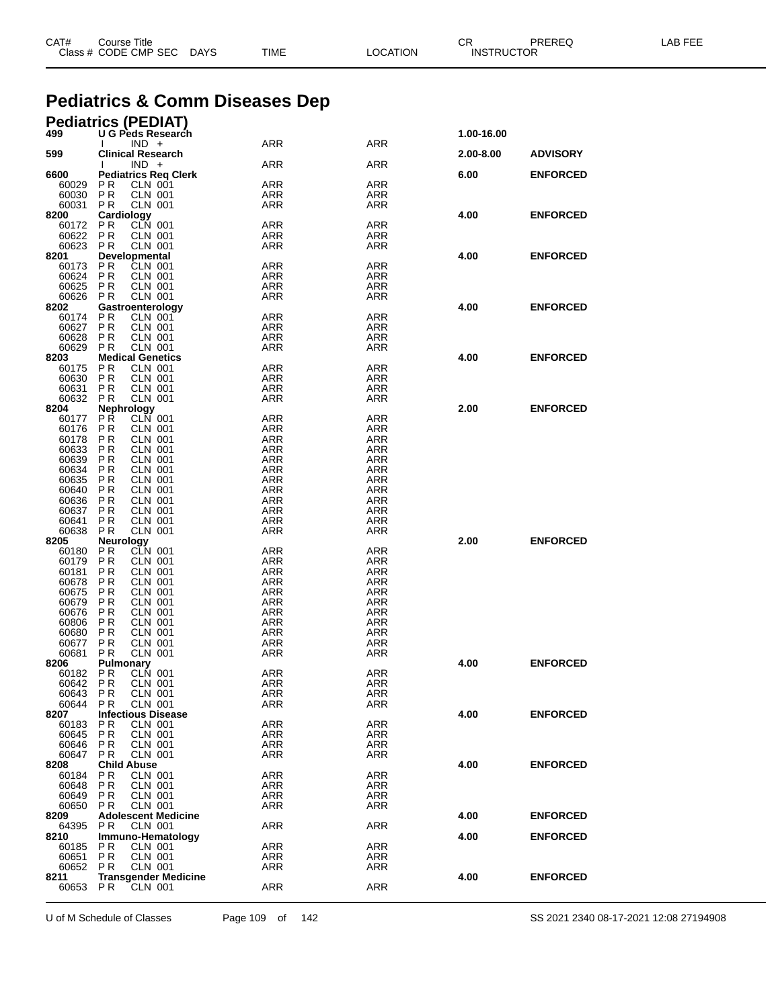| CAT# | Course Title              |      |          | ◠◻<br>◡ጙ          | PREREQ | LAB FEE |
|------|---------------------------|------|----------|-------------------|--------|---------|
|      | Class # CODE CMP SEC DAYS | TIME | LOCATION | <b>INSTRUCTOR</b> |        |         |
|      |                           |      |          |                   |        |         |

# **Pediatrics & Comm Diseases Dep**

### **Pediatrics (PEDIAT)**

| 499            | U G Peds Research                                          | <b>ARR</b>        | <b>ARR</b>               | 1.00-16.00 |                 |
|----------------|------------------------------------------------------------|-------------------|--------------------------|------------|-----------------|
| 599            | $IND +$<br><b>Clinical Research</b>                        |                   |                          | 2.00-8.00  | <b>ADVISORY</b> |
|                | $IND +$                                                    | ARR               | ARR                      |            |                 |
| 6600           | <b>Pediatrics Req Clerk</b>                                |                   |                          | 6.00       | <b>ENFORCED</b> |
| 60029          | P R<br><b>CLN 001</b>                                      | <b>ARR</b>        | <b>ARR</b>               |            |                 |
| 60030          | P <sub>R</sub><br><b>CLN 001</b>                           | ARR<br><b>ARR</b> | ARR                      |            |                 |
| 60031<br>8200  | <b>PR</b><br><b>CLN 001</b><br>Cardiology                  |                   | <b>ARR</b>               | 4.00       | <b>ENFORCED</b> |
| 60172          | CLN 001<br>P R                                             | ARR               | <b>ARR</b>               |            |                 |
| 60622          | <b>PR</b><br><b>CLN 001</b>                                | <b>ARR</b>        | <b>ARR</b>               |            |                 |
| 60623          | P R<br><b>CLN 001</b>                                      | ARR               | <b>ARR</b>               |            |                 |
| 8201           | <b>Developmental</b><br>P R<br>CLN 001                     | <b>ARR</b>        | <b>ARR</b>               | 4.00       | <b>ENFORCED</b> |
| 60173<br>60624 | <b>PR</b><br><b>CLN 001</b>                                | ARR               | <b>ARR</b>               |            |                 |
| 60625          | P <sub>R</sub><br><b>CLN 001</b>                           | ARR               | ARR                      |            |                 |
| 60626          | PR<br><b>CLN 001</b>                                       | ARR               | <b>ARR</b>               |            |                 |
| 8202           | Gastroenterology                                           |                   |                          | 4.00       | <b>ENFORCED</b> |
| 60174<br>60627 | P R<br>CLN 001<br>PR<br><b>CLN 001</b>                     | ARR<br><b>ARR</b> | <b>ARR</b><br><b>ARR</b> |            |                 |
| 60628          | <b>PR</b><br><b>CLN 001</b>                                | ARR               | <b>ARR</b>               |            |                 |
| 60629          | P <sub>R</sub><br><b>CLN 001</b>                           | ARR               | ARR                      |            |                 |
| 8203           | <b>Medical Genetics</b>                                    |                   |                          | 4.00       | <b>ENFORCED</b> |
| 60175          | PR.<br><b>CLN 001</b>                                      | <b>ARR</b>        | <b>ARR</b>               |            |                 |
| 60630<br>60631 | PR<br><b>CLN 001</b><br>P R<br><b>CLN 001</b>              | ARR<br><b>ARR</b> | ARR<br><b>ARR</b>        |            |                 |
| 60632          | <b>PR</b><br><b>CLN 001</b>                                | ARR               | <b>ARR</b>               |            |                 |
| 8204           | Nephrology                                                 |                   |                          | 2.00       | <b>ENFORCED</b> |
| 60177          | PŘ.<br>CLN 001                                             | <b>ARR</b>        | <b>ARR</b>               |            |                 |
| 60176          | <b>PR</b><br>CLN 001                                       | ARR               | <b>ARR</b>               |            |                 |
| 60178<br>60633 | <b>CLN 001</b><br>P R<br>P R<br><b>CLN 001</b>             | ARR<br>ARR        | ARR<br><b>ARR</b>        |            |                 |
| 60639          | <b>PR</b><br><b>CLN 001</b>                                | ARR               | <b>ARR</b>               |            |                 |
| 60634          | P R<br><b>CLN 001</b>                                      | ARR               | ARR                      |            |                 |
| 60635          | PR<br><b>CLN 001</b>                                       | ARR               | <b>ARR</b>               |            |                 |
| 60640          | <b>PR</b><br><b>CLN 001</b>                                | ARR               | <b>ARR</b>               |            |                 |
| 60636<br>60637 | PR<br><b>CLN 001</b><br>P R<br><b>CLN 001</b>              | ARR<br>ARR        | ARR<br><b>ARR</b>        |            |                 |
| 60641          | <b>PR</b><br><b>CLN 001</b>                                | ARR               | <b>ARR</b>               |            |                 |
| 60638          | <b>PR</b><br><b>CLN 001</b>                                | ARR               | ARR                      |            |                 |
| 8205           | Neurology                                                  |                   |                          | 2.00       | <b>ENFORCED</b> |
| 60180          | PR.<br>CLN 001                                             | <b>ARR</b>        | <b>ARR</b>               |            |                 |
| 60179<br>60181 | <b>PR</b><br><b>CLN 001</b><br><b>PR</b><br><b>CLN 001</b> | ARR<br>ARR        | ARR<br><b>ARR</b>        |            |                 |
| 60678          | <b>PR</b><br><b>CLN 001</b>                                | ARR               | <b>ARR</b>               |            |                 |
| 60675          | P R<br><b>CLN 001</b>                                      | ARR               | ARR                      |            |                 |
| 60679          | PR<br><b>CLN 001</b>                                       | ARR               | <b>ARR</b>               |            |                 |
| 60676          | <b>PR</b><br><b>CLN 001</b>                                | ARR               | <b>ARR</b>               |            |                 |
| 60806<br>60680 | P R<br><b>CLN 001</b><br>PR<br><b>CLN 001</b>              | ARR<br>ARR        | ARR<br><b>ARR</b>        |            |                 |
| 60677          | <b>PR</b><br><b>CLN 001</b>                                | ARR               | <b>ARR</b>               |            |                 |
| 60681          | <b>PR</b><br><b>CLN 001</b>                                | ARR               | ARR                      |            |                 |
| 8206           | Pulmonary                                                  |                   |                          | 4.00       | <b>ENFORCED</b> |
| 60182          | P R<br>CLN 001                                             | <b>ARR</b>        | <b>ARR</b>               |            |                 |
| 60642<br>60643 | <b>PR</b><br><b>CLN 001</b><br><b>PR</b><br>CLN 001        | ARR<br>ARR        | ARR<br><b>ARR</b>        |            |                 |
| 60644          | P R<br>CLN 001                                             | ARR               | ARR                      |            |                 |
| 8207           | <b>Infectious Disease</b>                                  |                   |                          | 4.00       | <b>ENFORCED</b> |
| 60183          | <b>CLN 001</b><br>PR.                                      | ARR               | <b>ARR</b>               |            |                 |
| 60645          | <b>PR</b><br>CLN 001                                       | ARR               | ARR                      |            |                 |
| 60646<br>60647 | PR.<br>CLN 001<br>PR.<br>CLN 001                           | ARR<br>ARR        | ARR<br>ARR               |            |                 |
| 8208           | <b>Child Abuse</b>                                         |                   |                          | 4.00       | <b>ENFORCED</b> |
| 60184          | <b>CLN 001</b><br>P R                                      | ARR               | <b>ARR</b>               |            |                 |
| 60648          | PR<br>CLN 001                                              | ARR               | ARR                      |            |                 |
| 60649          | P <sub>R</sub><br>CLN 001                                  | ARR               | ARR                      |            |                 |
| 60650<br>8209  | <b>CLN 001</b><br>P R<br><b>Adolescent Medicine</b>        | ARR               | ARR                      | 4.00       | <b>ENFORCED</b> |
| 64395          | P R<br>CLN 001                                             | ARR               | <b>ARR</b>               |            |                 |
| 8210           | Immuno-Hematology                                          |                   |                          | 4.00       | <b>ENFORCED</b> |
| 60185          | P R<br>CLN 001                                             | <b>ARR</b>        | <b>ARR</b>               |            |                 |
| 60651          | P R<br>CLN 001                                             | ARR               | ARR                      |            |                 |
| 60652<br>8211  | P R<br>CLN 001<br><b>Transgender Medicine</b>              | ARR               | ARR                      | 4.00       | <b>ENFORCED</b> |
| 60653 PR       | CLN 001                                                    | <b>ARR</b>        | <b>ARR</b>               |            |                 |
|                |                                                            |                   |                          |            |                 |

U of M Schedule of Classes Page 109 of 142 SS 2021 2340 08-17-2021 12:08 27194908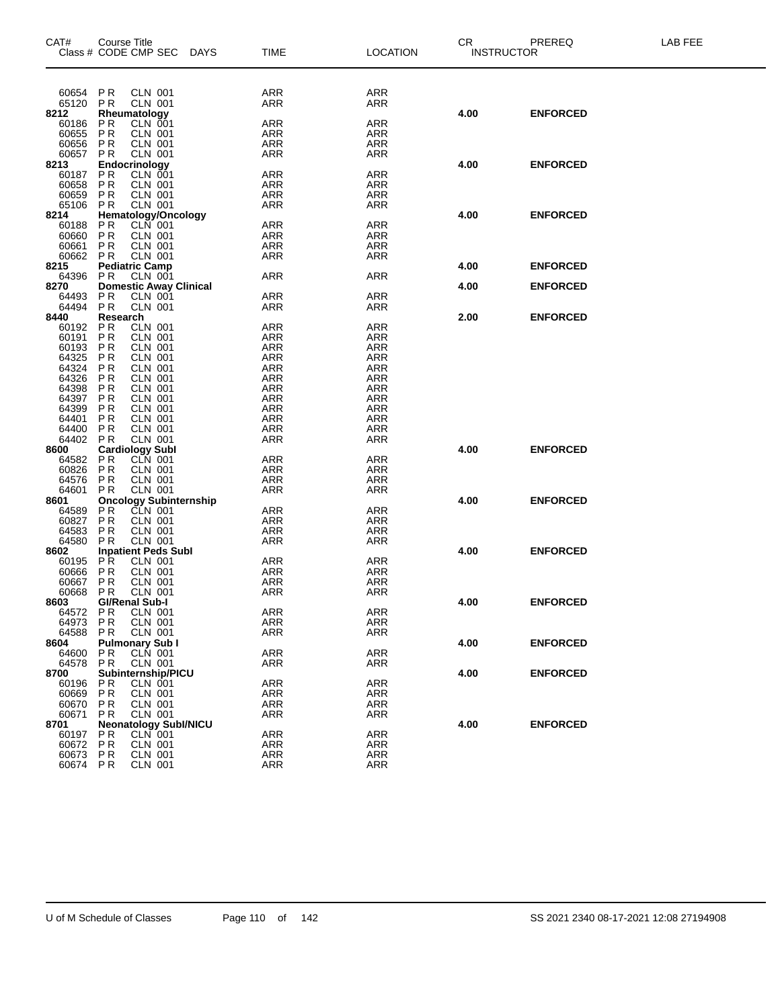| CAT#              | Course Title                | Class # CODE CMP SEC DAYS         | <b>TIME</b>       | <b>LOCATION</b>          | CR.<br><b>INSTRUCTOR</b> | PREREQ          | LAB FEE |
|-------------------|-----------------------------|-----------------------------------|-------------------|--------------------------|--------------------------|-----------------|---------|
|                   |                             |                                   |                   |                          |                          |                 |         |
| 60654             | PR                          | CLN 001                           | ARR               | ARR                      |                          |                 |         |
| 65120             | <b>PR</b>                   | <b>CLN 001</b>                    | ARR               | ARR                      |                          |                 |         |
| 8212              |                             | Rheumatology                      |                   |                          | 4.00                     | <b>ENFORCED</b> |         |
| 60186             | P <sub>R</sub>              | <b>CLN 001</b>                    | ARR               | ARR                      |                          |                 |         |
| 60655<br>60656    | P <sub>R</sub><br>PR        | <b>CLN 001</b><br>CLN 001         | ARR<br>ARR        | <b>ARR</b><br><b>ARR</b> |                          |                 |         |
| 60657             | P <sub>R</sub>              | <b>CLN 001</b>                    | ARR               | <b>ARR</b>               |                          |                 |         |
| 8213              |                             | Endocrinology                     |                   |                          | 4.00                     | <b>ENFORCED</b> |         |
| 60187             | P <sub>R</sub>              | CLN 001                           | <b>ARR</b>        | <b>ARR</b>               |                          |                 |         |
| 60658             | P <sub>R</sub>              | <b>CLN 001</b>                    | ARR               | <b>ARR</b>               |                          |                 |         |
| 60659             | PR                          | CLN 001                           | <b>ARR</b>        | <b>ARR</b>               |                          |                 |         |
| 65106             | <b>PR</b>                   | <b>CLN 001</b>                    | ARR               | <b>ARR</b>               |                          |                 |         |
| 8214<br>60188     | P <sub>R</sub>              | Hematology/Oncology<br>CLN 001    | <b>ARR</b>        | <b>ARR</b>               | 4.00                     | <b>ENFORCED</b> |         |
| 60660             | P <sub>R</sub>              | CLN 001                           | ARR               | <b>ARR</b>               |                          |                 |         |
| 60661             | P <sub>R</sub>              | <b>CLN 001</b>                    | <b>ARR</b>        | <b>ARR</b>               |                          |                 |         |
| 60662 PR          |                             | <b>CLN 001</b>                    | <b>ARR</b>        | <b>ARR</b>               |                          |                 |         |
| 8215              |                             | <b>Pediatric Camp</b>             |                   |                          | 4.00                     | <b>ENFORCED</b> |         |
| 64396             | P <sub>R</sub>              | <b>CLN 001</b>                    | ARR               | ARR                      |                          |                 |         |
| 8270              |                             | <b>Domestic Away Clinical</b>     |                   |                          | 4.00                     | <b>ENFORCED</b> |         |
| 64493<br>64494    | PR<br><b>PR</b>             | <b>CLN 001</b><br><b>CLN 001</b>  | ARR<br>ARR        | ARR<br>ARR               |                          |                 |         |
| 8440              | Research                    |                                   |                   |                          | 2.00                     | <b>ENFORCED</b> |         |
| 60192             | <b>PR</b>                   | <b>CLN 001</b>                    | ARR               | <b>ARR</b>               |                          |                 |         |
| 60191             | <b>PR</b>                   | <b>CLN 001</b>                    | ARR               | <b>ARR</b>               |                          |                 |         |
| 60193             | PR                          | <b>CLN 001</b>                    | <b>ARR</b>        | <b>ARR</b>               |                          |                 |         |
| 64325             | PR                          | CLN 001                           | ARR               | <b>ARR</b>               |                          |                 |         |
| 64324<br>64326    | PR<br>PR                    | <b>CLN 001</b>                    | ARR               | <b>ARR</b><br><b>ARR</b> |                          |                 |         |
| 64398             | PR                          | <b>CLN 001</b><br>CLN 001         | <b>ARR</b><br>ARR | <b>ARR</b>               |                          |                 |         |
| 64397             | PR                          | <b>CLN 001</b>                    | ARR               | <b>ARR</b>               |                          |                 |         |
| 64399             | PR                          | <b>CLN 001</b>                    | <b>ARR</b>        | ARR                      |                          |                 |         |
| 64401             | PR                          | <b>CLN 001</b>                    | ARR               | <b>ARR</b>               |                          |                 |         |
| 64400             | PR                          | <b>CLN 001</b>                    | ARR               | <b>ARR</b>               |                          |                 |         |
| 64402             | <b>PR</b>                   | CLN 001                           | <b>ARR</b>        | <b>ARR</b>               |                          |                 |         |
| 8600              | <b>PR</b>                   | <b>Cardiology Subl</b><br>CLN 001 | ARR               | <b>ARR</b>               | 4.00                     | <b>ENFORCED</b> |         |
| 64582<br>60826    | <b>PR</b>                   | <b>CLN 001</b>                    | ARR               | <b>ARR</b>               |                          |                 |         |
| 64576             | PR                          | CLN 001                           | ARR               | <b>ARR</b>               |                          |                 |         |
| 64601             | P <sub>R</sub>              | <b>CLN 001</b>                    | ARR               | <b>ARR</b>               |                          |                 |         |
| 8601              |                             | <b>Oncology Subinternship</b>     |                   |                          | 4.00                     | <b>ENFORCED</b> |         |
| 64589             | P <sub>R</sub>              | CLN 001                           | ARR               | <b>ARR</b>               |                          |                 |         |
| 60827             | <b>PR</b>                   | <b>CLN 001</b>                    | ARR               | <b>ARR</b>               |                          |                 |         |
| 64583<br>64580    | P <sub>R</sub><br><b>PR</b> | CLN 001<br><b>CLN 001</b>         | <b>ARR</b><br>ARR | ARR<br><b>ARR</b>        |                          |                 |         |
| 8602              |                             | <b>Inpatient Peds Subl</b>        |                   |                          | 4.00                     | <b>ENFORCED</b> |         |
| 60195             | <b>PR</b>                   | <b>CLN 001</b>                    | <b>ARR</b>        | ARR                      |                          |                 |         |
| 60666             | PR                          | <b>CLN 001</b>                    | ARR               | ARR                      |                          |                 |         |
| 60667             | P <sub>R</sub>              | <b>CLN 001</b>                    | <b>ARR</b>        | <b>ARR</b>               |                          |                 |         |
| 60668             | <b>PR</b>                   | <b>CLN 001</b>                    | <b>ARR</b>        | <b>ARR</b>               |                          |                 |         |
| 8603              |                             | GI/Renal Sub-I                    |                   |                          | 4.00                     | <b>ENFORCED</b> |         |
| 64572 PR<br>64973 | <b>PR</b>                   | CLN 001<br>CLN 001                | <b>ARR</b><br>ARR | <b>ARR</b><br>ARR        |                          |                 |         |
| 64588             | P R                         | <b>CLN 001</b>                    | ARR               | <b>ARR</b>               |                          |                 |         |
| 8604              |                             | <b>Pulmonary Sub I</b>            |                   |                          | 4.00                     | <b>ENFORCED</b> |         |
| 64600             | P <sub>R</sub>              | CLN 001                           | <b>ARR</b>        | <b>ARR</b>               |                          |                 |         |
| 64578             | P R                         | <b>CLN 001</b>                    | ARR               | ARR                      |                          |                 |         |
| 8700              |                             | Subinternship/PICU                |                   |                          | 4.00                     | <b>ENFORCED</b> |         |
| 60196             | P R                         | <b>CLN 001</b>                    | <b>ARR</b>        | <b>ARR</b>               |                          |                 |         |
| 60669<br>60670    | P R<br><b>PR</b>            | CLN 001<br><b>CLN 001</b>         | ARR<br><b>ARR</b> | <b>ARR</b><br><b>ARR</b> |                          |                 |         |
| 60671             | P R                         | <b>CLN 001</b>                    | ARR               | <b>ARR</b>               |                          |                 |         |
| 8701              |                             | <b>Neonatology Subl/NICU</b>      |                   |                          | 4.00                     | <b>ENFORCED</b> |         |
| 60197             | P R                         | <b>CLN 001</b>                    | ARR               | <b>ARR</b>               |                          |                 |         |
| 60672             | PR                          | <b>CLN 001</b>                    | ARR               | <b>ARR</b>               |                          |                 |         |
| 60673             | P R                         | CLN 001                           | ARR               | <b>ARR</b>               |                          |                 |         |
| 60674 PR          |                             | <b>CLN 001</b>                    | <b>ARR</b>        | <b>ARR</b>               |                          |                 |         |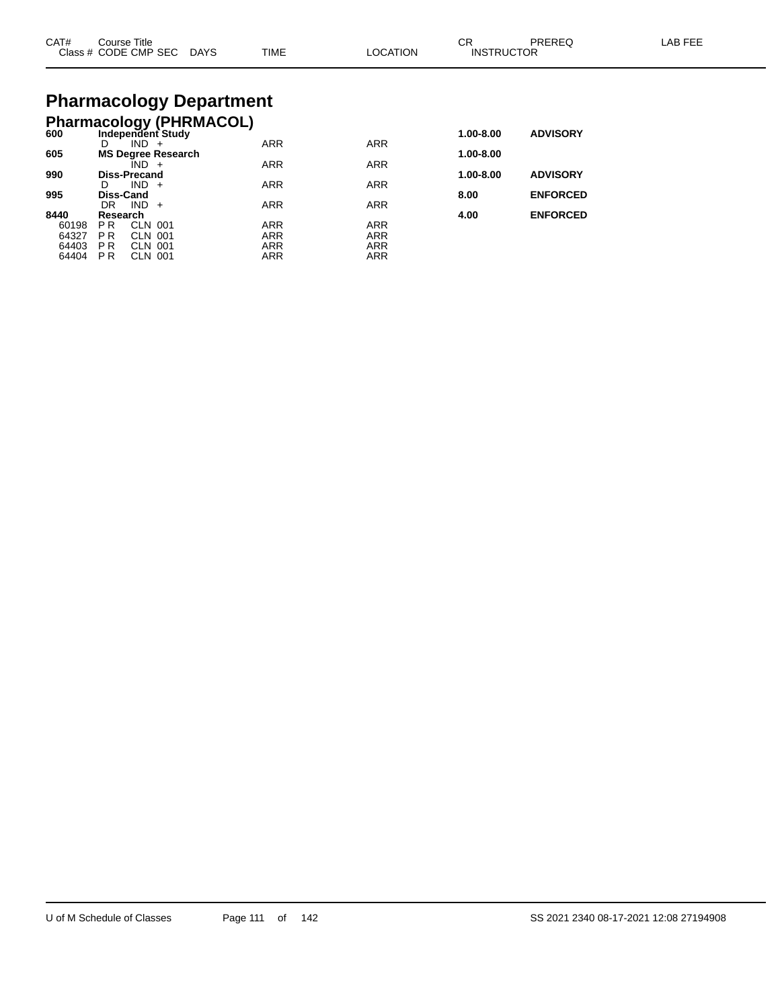| CAT# | Course Title<br>Class # CODE CMP SEC | <b>DAYS</b> | <b>TIME</b> | LOCATION | $\cap$<br>◡◠<br><b>INSTRUCTOR</b> | PREREQ | LAB FEE |
|------|--------------------------------------|-------------|-------------|----------|-----------------------------------|--------|---------|
|      |                                      |             |             |          |                                   |        |         |

# **Pharmacology Department**

|       |                |                     | <b>Pharmacology (PHRMACOL)</b> |            |            |           |                 |
|-------|----------------|---------------------|--------------------------------|------------|------------|-----------|-----------------|
| 600   |                |                     | Independent Study              |            |            | 1.00-8.00 | <b>ADVISORY</b> |
|       | D              | IND.                | $+$                            | <b>ARR</b> | <b>ARR</b> |           |                 |
| 605   |                |                     | <b>MS Degree Research</b>      |            |            | 1.00-8.00 |                 |
|       |                | $IND +$             |                                | <b>ARR</b> | <b>ARR</b> |           |                 |
| 990   |                | <b>Diss-Precand</b> |                                |            |            | 1.00-8.00 | <b>ADVISORY</b> |
| 995   | D<br>Diss-Cand | $IND +$             |                                | <b>ARR</b> | <b>ARR</b> |           | <b>ENFORCED</b> |
|       | DR             | IND.                | $+$                            | <b>ARR</b> | <b>ARR</b> | 8.00      |                 |
| 8440  | Research       |                     |                                |            |            | 4.00      | <b>ENFORCED</b> |
| 60198 | P R            | CLN 001             |                                | <b>ARR</b> | <b>ARR</b> |           |                 |
| 64327 | <b>PR</b>      | CLN 001             |                                | <b>ARR</b> | <b>ARR</b> |           |                 |
| 64403 | <b>PR</b>      | CLN 001             |                                | ARR        | <b>ARR</b> |           |                 |
| 64404 | P <sub>R</sub> | <b>CLN 001</b>      |                                | ARR        | <b>ARR</b> |           |                 |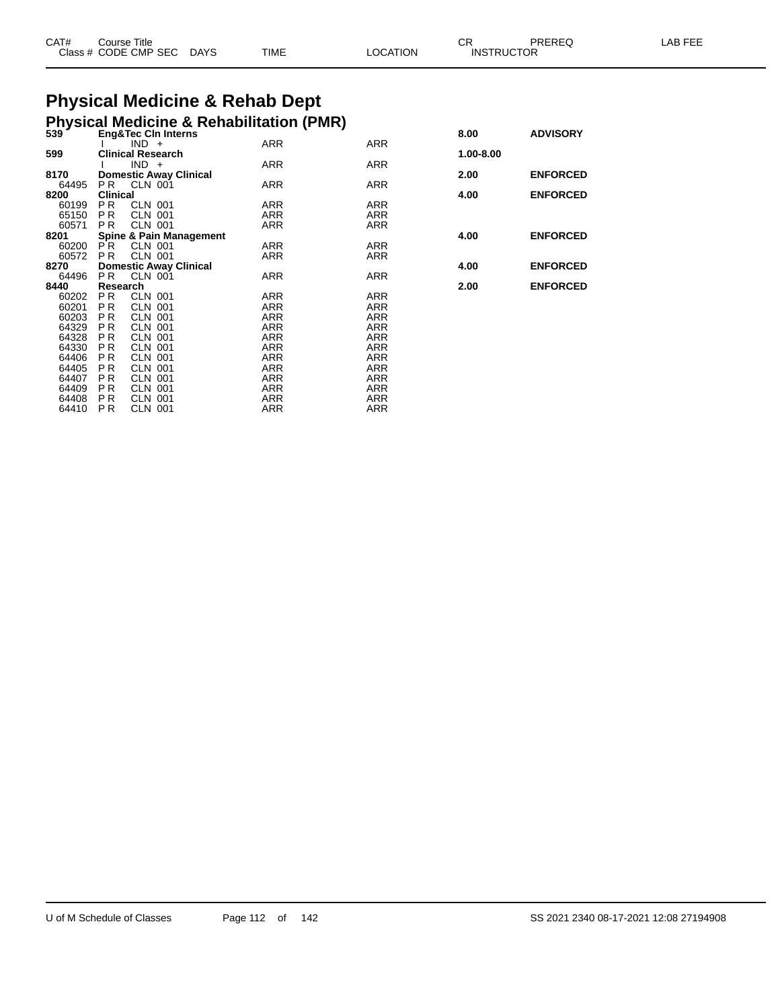| CAT# | Course Title         |             |      |          | ~~<br>◡ド          | PREREC | _AB FEF |
|------|----------------------|-------------|------|----------|-------------------|--------|---------|
|      | Class # CODE CMP SEC | <b>DAYS</b> | TIME | LOCATION | <b>INSTRUCTOR</b> |        |         |

### **Physical Medicine & Rehab Dept Physical Medicine & Rehabilitation (PMR)**

|       |                 |                | $\ldots$                           |            |            |           |                 |
|-------|-----------------|----------------|------------------------------------|------------|------------|-----------|-----------------|
| 539   |                 |                | <b>Eng&amp;Tec CIn Interns</b>     |            |            | 8.00      | <b>ADVISORY</b> |
|       |                 | $IND +$        |                                    | <b>ARR</b> | ARR        |           |                 |
| 599   |                 |                | <b>Clinical Research</b>           |            |            | 1.00-8.00 |                 |
|       |                 | $IND +$        |                                    | ARR        | ARR        |           |                 |
| 8170  |                 |                | <b>Domestic Away Clinical</b>      |            |            | 2.00      | <b>ENFORCED</b> |
| 64495 | PR.             | <b>CLN 001</b> |                                    | ARR        | ARR        |           |                 |
| 8200  | <b>Clinical</b> |                |                                    |            |            | 4.00      | <b>ENFORCED</b> |
| 60199 | PR.             | <b>CLN 001</b> |                                    | ARR        | ARR        |           |                 |
| 65150 | PR.             | CLN 001        |                                    | ARR        | <b>ARR</b> |           |                 |
| 60571 | P <sub>R</sub>  | <b>CLN 001</b> |                                    | ARR        | ARR        |           |                 |
| 8201  |                 |                | <b>Spine &amp; Pain Management</b> |            |            | 4.00      | <b>ENFORCED</b> |
| 60200 | P R             | <b>CLN 001</b> |                                    | ARR        | <b>ARR</b> |           |                 |
| 60572 | P <sub>R</sub>  | CLN 001        |                                    | ARR        | ARR        |           |                 |
| 8270  |                 |                | <b>Domestic Away Clinical</b>      |            |            | 4.00      | <b>ENFORCED</b> |
| 64496 | PR.             | CLN 001        |                                    | ARR        | ARR        |           |                 |
| 8440  | Research        |                |                                    |            |            | 2.00      | <b>ENFORCED</b> |
| 60202 | P <sub>R</sub>  | CLN 001        |                                    | ARR        | <b>ARR</b> |           |                 |
| 60201 | <b>PR</b>       | <b>CLN 001</b> |                                    | <b>ARR</b> | <b>ARR</b> |           |                 |
| 60203 | P R             | CLN 001        |                                    | ARR        | ARR        |           |                 |
| 64329 | <b>PR</b>       | <b>CLN 001</b> |                                    | ARR        | <b>ARR</b> |           |                 |
| 64328 | P <sub>R</sub>  | CLN 001        |                                    | ARR        | <b>ARR</b> |           |                 |
| 64330 | <b>PR</b>       | <b>CLN 001</b> |                                    | <b>ARR</b> | <b>ARR</b> |           |                 |
| 64406 | P <sub>R</sub>  | CLN 001        |                                    | ARR        | <b>ARR</b> |           |                 |
| 64405 | <b>PR</b>       | <b>CLN 001</b> |                                    | <b>ARR</b> | <b>ARR</b> |           |                 |
| 64407 | PR.             | CLN 001        |                                    | ARR        | ARR        |           |                 |
| 64409 | <b>PR</b>       | <b>CLN 001</b> |                                    | <b>ARR</b> | <b>ARR</b> |           |                 |
| 64408 | <b>PR</b>       | CLN 001        |                                    | ARR        | ARR        |           |                 |
| 64410 | <b>PR</b>       | <b>CLN 001</b> |                                    | ARR        | ARR        |           |                 |
|       |                 |                |                                    |            |            |           |                 |

| 8.00          | <b>ADVISORY</b> |
|---------------|-----------------|
| $1.00 - 8.00$ |                 |
| 2.00          | <b>ENFORCED</b> |
| 4.00          | <b>ENFORCED</b> |
|               |                 |
| 4.00          | <b>ENFORCED</b> |
|               |                 |
| 4.00          | <b>ENFORCED</b> |
| 2.00          | <b>ENFORCED</b> |
|               |                 |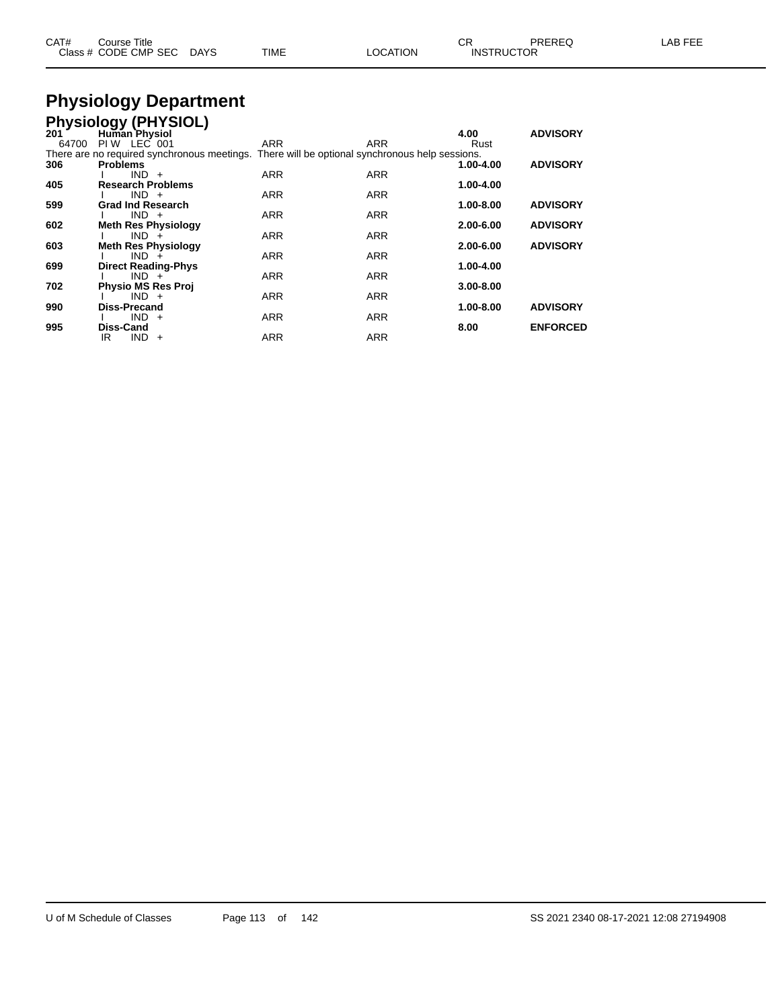| CAT# | Course Title              |      |          | Ωn<br>◡◚          | PREREQ | LAB FEE |
|------|---------------------------|------|----------|-------------------|--------|---------|
|      | Class # CODE CMP SEC DAYS | TIME | LOCATION | <b>INSTRUCTOR</b> |        |         |

# **Physiology Department**

|       | <b>Physiology (PHYSIOL)</b>                                                                   |            |            |               |                 |
|-------|-----------------------------------------------------------------------------------------------|------------|------------|---------------|-----------------|
| 201   | <b>Human Physiol</b>                                                                          |            |            | 4.00          | <b>ADVISORY</b> |
| 64700 | PIW LEC 001                                                                                   | ARR        | ARR        | Rust          |                 |
|       | There are no required synchronous meetings. There will be optional synchronous help sessions. |            |            |               |                 |
| 306   | <b>Problems</b>                                                                               |            |            | 1.00-4.00     | <b>ADVISORY</b> |
|       | $IND +$                                                                                       | <b>ARR</b> | <b>ARR</b> |               |                 |
| 405   | <b>Research Problems</b>                                                                      |            |            | 1.00-4.00     |                 |
|       | $IND +$                                                                                       | <b>ARR</b> | <b>ARR</b> |               |                 |
| 599   | <b>Grad Ind Research</b>                                                                      |            |            | 1.00-8.00     | <b>ADVISORY</b> |
|       | $IND +$                                                                                       | <b>ARR</b> | <b>ARR</b> |               |                 |
| 602   | <b>Meth Res Physiology</b>                                                                    |            |            | 2.00-6.00     | <b>ADVISORY</b> |
|       | $IND +$                                                                                       | <b>ARR</b> | <b>ARR</b> |               |                 |
| 603   | <b>Meth Res Physiology</b>                                                                    |            |            | $2.00 - 6.00$ | <b>ADVISORY</b> |
|       | $IND +$                                                                                       | <b>ARR</b> | <b>ARR</b> |               |                 |
| 699   | <b>Direct Reading-Phys</b>                                                                    |            |            | 1.00-4.00     |                 |
|       | $IND +$                                                                                       | <b>ARR</b> | <b>ARR</b> |               |                 |
| 702   | <b>Physio MS Res Proj</b>                                                                     |            |            | $3.00 - 8.00$ |                 |
|       | $IND +$                                                                                       | <b>ARR</b> | <b>ARR</b> |               |                 |
| 990   | Diss-Precand                                                                                  |            |            | 1.00-8.00     | <b>ADVISORY</b> |
|       | $IND +$                                                                                       | <b>ARR</b> | <b>ARR</b> |               |                 |
| 995   | <b>Diss-Cand</b>                                                                              |            |            | 8.00          | <b>ENFORCED</b> |
|       | $IND +$<br>IR                                                                                 | ARR        | <b>ARR</b> |               |                 |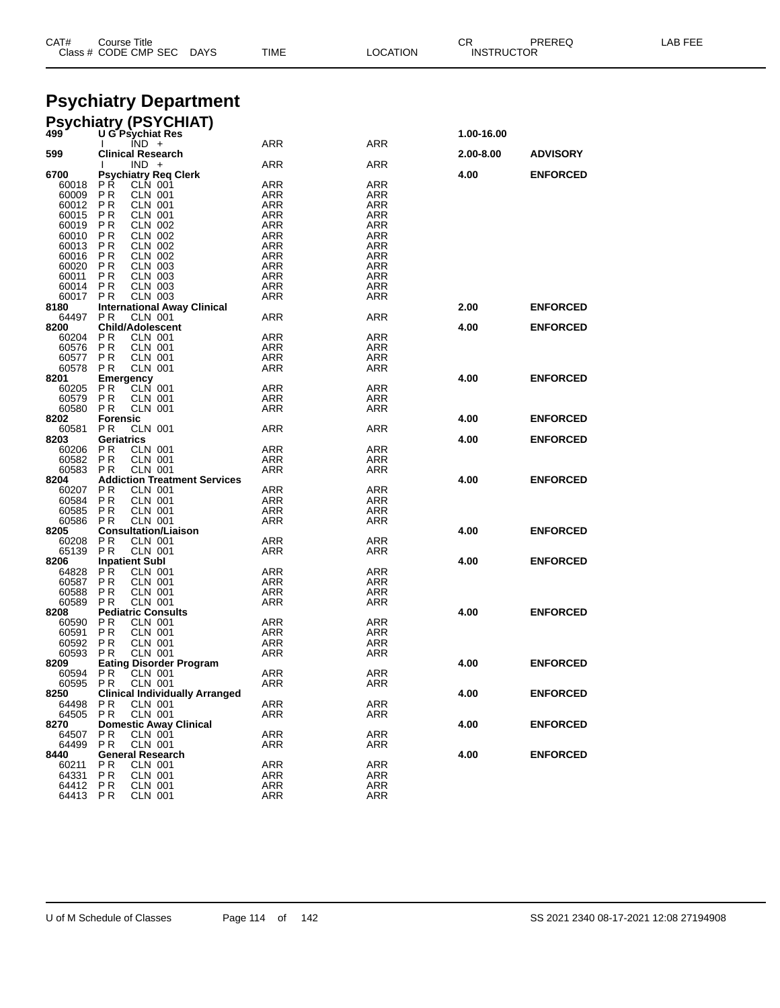| CAT#           | <b>Course Title</b><br>Class # CODE CMP SEC<br>DAYS     | TIME              | LOCATION          | CR<br>PREREQ<br><b>INSTRUCTOR</b> |                 | LAB FEE |
|----------------|---------------------------------------------------------|-------------------|-------------------|-----------------------------------|-----------------|---------|
|                | <b>Psychiatry Department</b>                            |                   |                   |                                   |                 |         |
|                | <b>Psychiatry (PSYCHIAT)</b><br>499 U G Psychiat Res    |                   |                   | 1.00-16.00                        |                 |         |
| 599            | IND +<br><b>Clinical Research</b>                       | ARR               | ARR               | 2.00-8.00                         | <b>ADVISORY</b> |         |
|                | $IND +$                                                 | ARR               | ARR               |                                   |                 |         |
| 6700           | <b>Psychiatry Req Clerk</b>                             |                   |                   | 4.00                              | <b>ENFORCED</b> |         |
| 60018<br>60009 | P R<br><b>CLN 001</b><br>P R<br><b>CLN 001</b>          | ARR<br>ARR        | <b>ARR</b><br>ARR |                                   |                 |         |
| 60012          | P <sub>R</sub><br><b>CLN 001</b>                        | ARR               | <b>ARR</b>        |                                   |                 |         |
| 60015          | P R<br><b>CLN 001</b>                                   | ARR               | ARR               |                                   |                 |         |
| 60019          | <b>CLN 002</b><br>P R                                   | ARR               | ARR               |                                   |                 |         |
| 60010          | P R<br>CLN 002                                          | <b>ARR</b>        | <b>ARR</b>        |                                   |                 |         |
| 60013          | P R<br>CLN 002<br><b>CLN 002</b>                        | ARR               | ARR               |                                   |                 |         |
| 60016<br>60020 | P R<br>P R<br><b>CLN 003</b>                            | ARR<br>ARR        | ARR<br><b>ARR</b> |                                   |                 |         |
| 60011          | P R<br><b>CLN 003</b>                                   | ARR               | ARR               |                                   |                 |         |
| 60014          | <b>CLN 003</b><br>P R                                   | ARR               | ARR               |                                   |                 |         |
| 60017          | P R<br><b>CLN 003</b>                                   | ARR               | ARR               |                                   |                 |         |
| 8180           | <b>International Away Clinical</b>                      |                   |                   | 2.00                              | <b>ENFORCED</b> |         |
| 64497<br>8200  | <b>CLN 001</b><br>P R<br><b>Child/Adolescent</b>        | ARR               | ARR               | 4.00                              | <b>ENFORCED</b> |         |
| 60204          | P R<br><b>CLN 001</b>                                   | ARR               | <b>ARR</b>        |                                   |                 |         |
| 60576          | <b>CLN 001</b><br>P R                                   | ARR               | ARR               |                                   |                 |         |
| 60577          | P R<br>CLN 001                                          | ARR               | ARR               |                                   |                 |         |
| 60578          | P R<br>CLN 001                                          | ARR               | ARR               |                                   |                 |         |
| 8201<br>60205  | <b>Emergency</b><br>CLN 001<br>P R                      | ARR               | ARR               | 4.00                              | <b>ENFORCED</b> |         |
| 60579          | P R<br><b>CLN 001</b>                                   | ARR               | ARR               |                                   |                 |         |
| 60580          | <b>CLN 001</b><br>P R                                   | ARR               | ARR               |                                   |                 |         |
| 8202           | <b>Forensic</b>                                         |                   |                   | 4.00                              | <b>ENFORCED</b> |         |
| 60581          | P R<br>CLN 001                                          | <b>ARR</b>        | ARR               |                                   |                 |         |
| 8203           | Geriatrics<br><b>CLN 001</b>                            |                   |                   | 4.00                              | <b>ENFORCED</b> |         |
| 60206<br>60582 | P R<br>P R<br><b>CLN 001</b>                            | ARR<br>ARR        | ARR<br>ARR        |                                   |                 |         |
| 60583          | CLN 001<br>P R                                          | ARR               | ARR               |                                   |                 |         |
| 8204           | <b>Addiction Treatment Services</b>                     |                   |                   | 4.00                              | <b>ENFORCED</b> |         |
| 60207          | P R<br><b>CLN 001</b>                                   | <b>ARR</b>        | <b>ARR</b>        |                                   |                 |         |
| 60584          | CLN 001<br>P R                                          | ARR               | ARR               |                                   |                 |         |
| 60585<br>60586 | <b>CLN 001</b><br>P R<br>P R<br><b>CLN 001</b>          | ARR<br>ARR        | ARR<br>ARR        |                                   |                 |         |
| 8205           | <b>Consultation/Liaison</b>                             |                   |                   | 4.00                              | <b>ENFORCED</b> |         |
| 60208          | P <sub>R</sub><br>CLN 001                               | ARR               | ARR               |                                   |                 |         |
| 65139          | P R<br>CLN 001                                          | ARR               | ARR               |                                   |                 |         |
| 8206           | <b>Inpatient Subl</b>                                   |                   |                   | 4.00                              | <b>ENFORCED</b> |         |
| 64828<br>60587 | PR.<br><b>CLN 001</b><br>P R<br>CLN 001                 | ARR<br>ARR        | ARR<br>ARR        |                                   |                 |         |
| 60588          | P R<br><b>CLN 001</b>                                   | ARR               | ARR               |                                   |                 |         |
| 60589          | P R<br><b>CLN 001</b>                                   | <b>ARR</b>        | ARR               |                                   |                 |         |
| 8208           | <b>Pediatric Consults</b>                               |                   |                   | 4.00                              | <b>ENFORCED</b> |         |
| 60590          | P R<br>CLN 001                                          | <b>ARR</b>        | <b>ARR</b>        |                                   |                 |         |
| 60591<br>60592 | PR<br><b>CLN 001</b><br><b>CLN 001</b><br>P R           | ARR<br><b>ARR</b> | ARR<br><b>ARR</b> |                                   |                 |         |
| 60593          | <b>CLN 001</b><br>PR.                                   | ARR               | ARR               |                                   |                 |         |
| 8209           | <b>Eating Disorder Program</b>                          |                   |                   | 4.00                              | <b>ENFORCED</b> |         |
| 60594          | P R<br><b>CLN 001</b>                                   | <b>ARR</b>        | <b>ARR</b>        |                                   |                 |         |
| 60595          | <b>CLN 001</b><br>PR.                                   | ARR               | ARR               |                                   |                 |         |
| 8250           | <b>Clinical Individually Arranged</b><br><b>CLN 001</b> | <b>ARR</b>        | ARR               | 4.00                              | <b>ENFORCED</b> |         |
| 64498<br>64505 | P R<br><b>CLN 001</b><br>PR.                            | ARR               | ARR               |                                   |                 |         |
| 8270           | <b>Domestic Away Clinical</b>                           |                   |                   | 4.00                              | <b>ENFORCED</b> |         |
| 64507          | PR.<br>CLN 001                                          | <b>ARR</b>        | ARR               |                                   |                 |         |
| 64499          | P <sub>R</sub><br><b>CLN 001</b>                        | ARR               | ARR               |                                   |                 |         |
| 8440           | <b>General Research</b>                                 |                   |                   | 4.00                              | <b>ENFORCED</b> |         |
| 60211<br>64331 | <b>CLN 001</b><br>РR<br>PR.<br><b>CLN 001</b>           | <b>ARR</b><br>ARR | <b>ARR</b><br>ARR |                                   |                 |         |
| 64412 PR       | <b>CLN 001</b>                                          | ARR               | ARR               |                                   |                 |         |
| 64413 PR       | <b>CLN 001</b>                                          | <b>ARR</b>        | ARR               |                                   |                 |         |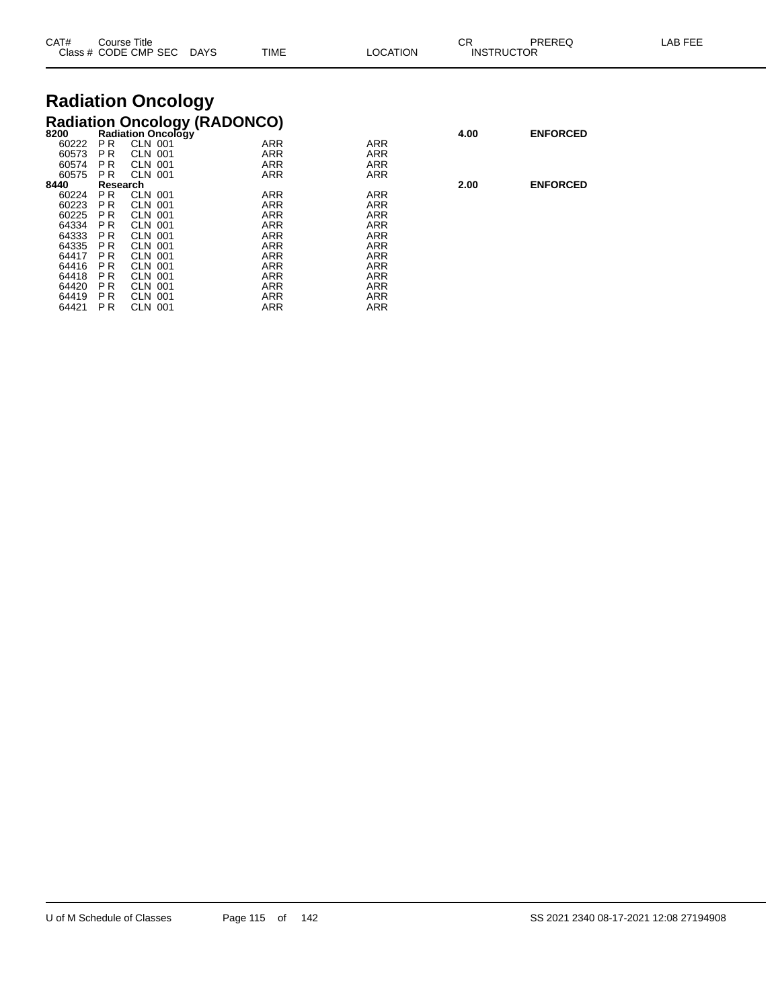| CAT#           |                       | Course Title<br>Class # CODE CMP SEC                             | <b>DAYS</b> | <b>TIME</b> | LOCATION          | СR<br>PREREQ<br><b>INSTRUCTOR</b> |                 | LAB FEE |
|----------------|-----------------------|------------------------------------------------------------------|-------------|-------------|-------------------|-----------------------------------|-----------------|---------|
|                |                       | <b>Radiation Oncology</b>                                        |             |             |                   |                                   |                 |         |
| 8200           |                       | <b>Radiation Oncology (RADONCO)</b><br><b>Radiation Oncology</b> |             |             |                   | 4.00                              | <b>ENFORCED</b> |         |
| 60222<br>60573 | PR.<br><b>PR</b>      | <b>CLN 001</b><br><b>CLN 001</b>                                 |             | ARR<br>ARR  | ARR<br><b>ARR</b> |                                   |                 |         |
| 60574<br>60575 | PR.<br>P <sub>R</sub> | CLN 001<br><b>CLN 001</b>                                        |             | ARR<br>ARR  | ARR<br>ARR        |                                   |                 |         |
| 8440           | Research              |                                                                  |             |             |                   | 2.00                              | <b>ENFORCED</b> |         |
| 60224          | PR.                   | <b>CLN 001</b>                                                   |             | ARR         | <b>ARR</b>        |                                   |                 |         |
| 60223          | P R                   | <b>CLN 001</b>                                                   |             | ARR         | <b>ARR</b>        |                                   |                 |         |
| 60225          | P <sub>R</sub>        | <b>CLN 001</b>                                                   |             | ARR         | <b>ARR</b>        |                                   |                 |         |
| 64334          | P <sub>R</sub>        | CLN 001                                                          |             | ARR         | <b>ARR</b>        |                                   |                 |         |
| 64333          | P R                   | <b>CLN 001</b>                                                   |             | ARR         | ARR               |                                   |                 |         |
| 64335          | P <sub>R</sub>        | <b>CLN 001</b>                                                   |             | ARR         | ARR               |                                   |                 |         |
| 64417          | P R                   | <b>CLN 001</b>                                                   |             | ARR         | ARR               |                                   |                 |         |
| 64416          | <b>PR</b>             | <b>CLN 001</b><br><b>CLN 001</b>                                 |             | ARR<br>ARR  | <b>ARR</b><br>ARR |                                   |                 |         |
| 64418<br>64420 | P R<br>P R            | CLN 001                                                          |             | ARR         | <b>ARR</b>        |                                   |                 |         |
| 64419          | PR.                   | <b>CLN 001</b>                                                   |             | ARR         | ARR               |                                   |                 |         |
| 64421          | P R                   | CLN 001                                                          |             | ARR         | ARR               |                                   |                 |         |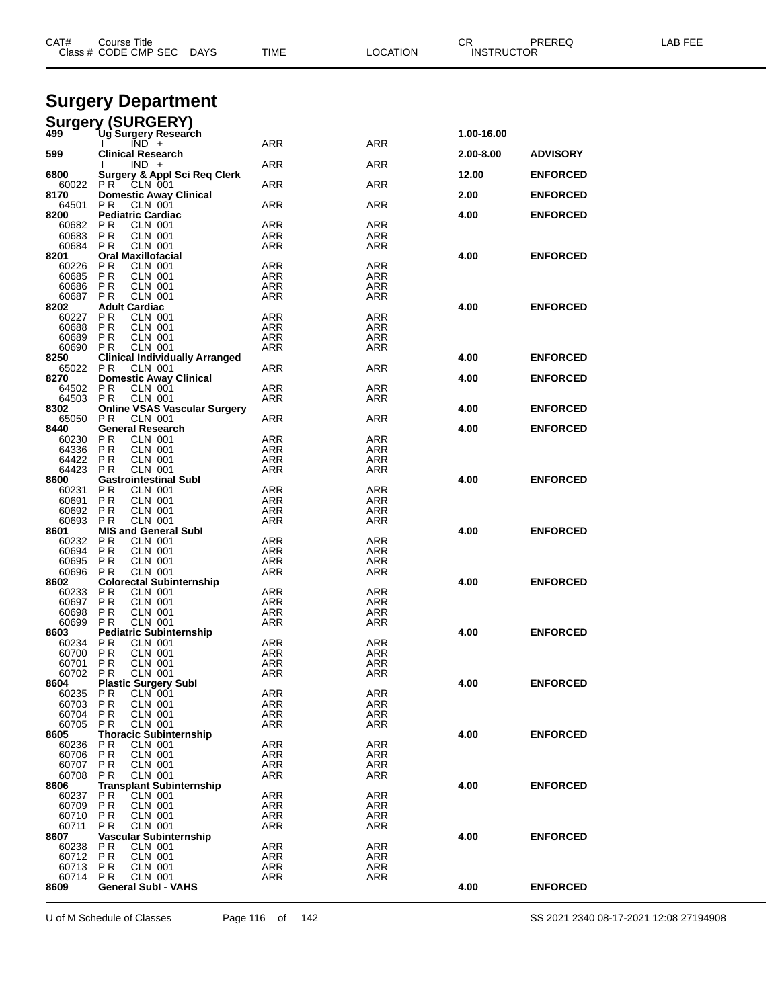| CAT#           | Course Title<br>Class # CODE CMP SEC<br><b>DAYS</b>                 | TIME              | LOCATION                 | CR<br><b>INSTRUCTOR</b> | PREREQ          | LAB FEE |
|----------------|---------------------------------------------------------------------|-------------------|--------------------------|-------------------------|-----------------|---------|
|                | <b>Surgery Department</b>                                           |                   |                          |                         |                 |         |
|                | <b>Surgery (SURGERY)</b>                                            |                   |                          |                         |                 |         |
| 499            | Ug`Surgery Research<br>$\overline{IND}$ +                           | ARR               | ARR                      | 1.00-16.00              |                 |         |
| 599            | Clinical Research                                                   |                   |                          | 2.00-8.00               | <b>ADVISORY</b> |         |
| 6800           | $IND +$<br><b>Surgery &amp; Appl Sci Req Clerk</b>                  | <b>ARR</b>        | ARR                      | 12.00                   | <b>ENFORCED</b> |         |
| 60022<br>8170  | PR.<br>CLN 001<br><b>Domestic Away Clinical</b>                     | ARR               | ARR                      | 2.00                    | <b>ENFORCED</b> |         |
| 64501          | P R<br>CLN 001                                                      | ARR               | ARR                      |                         |                 |         |
| 8200<br>60682  | <b>Pediatric Cardiac</b><br>P R<br><b>CLN 001</b>                   | ARR               | ARR                      | 4.00                    | <b>ENFORCED</b> |         |
| 60683<br>60684 | P R<br><b>CLN 001</b><br><b>CLN 001</b>                             | ARR               | ARR                      |                         |                 |         |
| 8201           | P R<br><b>Oral Maxillofacial</b>                                    | ARR               | ARR                      | 4.00                    | <b>ENFORCED</b> |         |
| 60226<br>60685 | P R<br>CLN 001<br><b>PR</b><br>CLN 001                              | ARR<br>ARR        | ARR<br>ARR               |                         |                 |         |
| 60686          | P R<br><b>CLN 001</b>                                               | ARR               | <b>ARR</b>               |                         |                 |         |
| 60687          | P R<br><b>CLN 001</b>                                               | ARR               | ARR                      |                         |                 |         |
| 8202<br>60227  | <b>Adult Cardiac</b><br><b>PR</b><br><b>CLN 001</b>                 | ARR               | ARR                      | 4.00                    | <b>ENFORCED</b> |         |
| 60688          | P R<br><b>CLN 001</b>                                               | ARR               | ARR                      |                         |                 |         |
| 60689          | <b>PR</b><br>CLN 001                                                | ARR               | ARR                      |                         |                 |         |
| 60690<br>8250  | <b>CLN 001</b><br>P R<br><b>Clinical Individually Arranged</b>      | ARR               | ARR                      | 4.00                    | <b>ENFORCED</b> |         |
| 65022          | P R<br>CLN 001                                                      | ARR               | ARR                      |                         |                 |         |
| 8270           | <b>Domestic Away Clinical</b>                                       |                   |                          | 4.00                    | <b>ENFORCED</b> |         |
| 64502<br>64503 | P R<br>CLN 001<br>P R<br><b>CLN 001</b>                             | ARR<br>ARR        | ARR<br>ARR               |                         |                 |         |
| 8302           | <b>Online VSAS Vascular Surgery</b>                                 |                   |                          | 4.00                    | <b>ENFORCED</b> |         |
| 65050          | <b>CLN 001</b><br>P R                                               | ARR               | ARR                      |                         |                 |         |
| 8440<br>60230  | <b>General Research</b><br><b>PR</b><br>CLN 001                     | ARR               | ARR                      | 4.00                    | <b>ENFORCED</b> |         |
| 64336          | P R<br><b>CLN 001</b>                                               | ARR               | ARR                      |                         |                 |         |
| 64422          | <b>CLN 001</b><br>P R                                               | ARR               | ARR                      |                         |                 |         |
| 64423<br>8600  | <b>CLN 001</b><br>P R<br><b>Gastrointestinal Subl</b>               | ARR               | ARR                      | 4.00                    | <b>ENFORCED</b> |         |
| 60231          | <b>PR</b><br>CLN 001                                                | ARR               | ARR                      |                         |                 |         |
| 60691          | <b>PR</b><br>CLN 001                                                | ARR               | ARR                      |                         |                 |         |
| 60692<br>60693 | P R<br>CLN 001<br><b>PR</b><br><b>CLN 001</b>                       | ARR<br>ARR        | ARR<br>ARR               |                         |                 |         |
| 8601           | <b>MIS and General Subl</b>                                         |                   |                          | 4.00                    | <b>ENFORCED</b> |         |
| 60232<br>60694 | P R<br>CLN 001<br><b>PR</b>                                         | ARR               | ARR                      |                         |                 |         |
| 60695          | CLN 001<br>P R<br>CLN 001                                           | ARR<br>ARR        | ARR<br>ARR               |                         |                 |         |
| 60696          | P R<br>CLN 001                                                      | ARR               | ARR                      |                         |                 |         |
| 8602           | <b>Colorectal Subinternship</b><br>P R                              | <b>ARR</b>        | ARR                      | 4.00                    | <b>ENFORCED</b> |         |
| 60233<br>60697 | CLN 001<br>P R<br><b>CLN 001</b>                                    | ARR               | ARR                      |                         |                 |         |
| 60698          | PR<br><b>CLN 001</b>                                                | ARR               | ARR                      |                         |                 |         |
| 60699<br>8603  | P R<br><b>CLN 001</b><br><b>Pediatric Subinternship</b>             | ARR               | <b>ARR</b>               | 4.00                    | <b>ENFORCED</b> |         |
| 60234          | P <sub>R</sub><br>CLN 001                                           | ARR               | ARR                      |                         |                 |         |
| 60700          | <b>PR</b><br><b>CLN 001</b>                                         | ARR               | <b>ARR</b>               |                         |                 |         |
| 60701<br>60702 | P R<br>CLN 001<br><b>PR</b><br><b>CLN 001</b>                       | ARR<br>ARR        | <b>ARR</b><br>ARR        |                         |                 |         |
| 8604           | <b>Plastic Surgery Subl</b>                                         |                   |                          | 4.00                    | <b>ENFORCED</b> |         |
| 60235          | P R<br>CLN 001                                                      | ARR               | ARR                      |                         |                 |         |
| 60703<br>60704 | <b>PR</b><br><b>CLN 001</b><br><b>PR</b><br><b>CLN 001</b>          | ARR<br>ARR        | ARR<br><b>ARR</b>        |                         |                 |         |
| 60705          | <b>CLN 001</b><br>P R                                               | ARR               | <b>ARR</b>               |                         |                 |         |
| 8605           | <b>Thoracic Subinternship</b>                                       |                   |                          | 4.00                    | <b>ENFORCED</b> |         |
| 60236<br>60706 | P <sub>R</sub><br><b>CLN 001</b><br><b>PR</b><br>CLN 001            | <b>ARR</b><br>ARR | ARR<br>ARR               |                         |                 |         |
| 60707          | <b>PR</b><br><b>CLN 001</b>                                         | ARR               | ARR                      |                         |                 |         |
| 60708          | P R<br>CLN 001                                                      | ARR               | <b>ARR</b>               |                         |                 |         |
| 8606<br>60237  | <b>Transplant Subinternship</b><br>P <sub>R</sub><br><b>CLN 001</b> | ARR               | ARR                      | 4.00                    | <b>ENFORCED</b> |         |
| 60709          | <b>PR</b><br><b>CLN 001</b>                                         | ARR               | <b>ARR</b>               |                         |                 |         |
| 60710          | P R<br>CLN 001                                                      | ARR               | <b>ARR</b>               |                         |                 |         |
| 60711<br>8607  | P <sub>R</sub><br><b>CLN 001</b><br>Vascular Subinternship          | ARR               | ARR                      | 4.00                    | <b>ENFORCED</b> |         |
| 60238          | P <sub>R</sub><br>CLN 001                                           | ARR               | ARR                      |                         |                 |         |
| 60712          | <b>PR</b><br><b>CLN 001</b>                                         | ARR               | <b>ARR</b>               |                         |                 |         |
| 60713<br>60714 | <b>PR</b><br><b>CLN 001</b><br>CLN 001<br>P R                       | ARR<br>ARR        | <b>ARR</b><br><b>ARR</b> |                         |                 |         |
| 8609           | <b>General Subl - VAHS</b>                                          |                   |                          | 4.00                    | <b>ENFORCED</b> |         |
|                |                                                                     |                   |                          |                         |                 |         |

U of M Schedule of Classes Page 116 of 142 SS 2021 2340 08-17-2021 12:08 27194908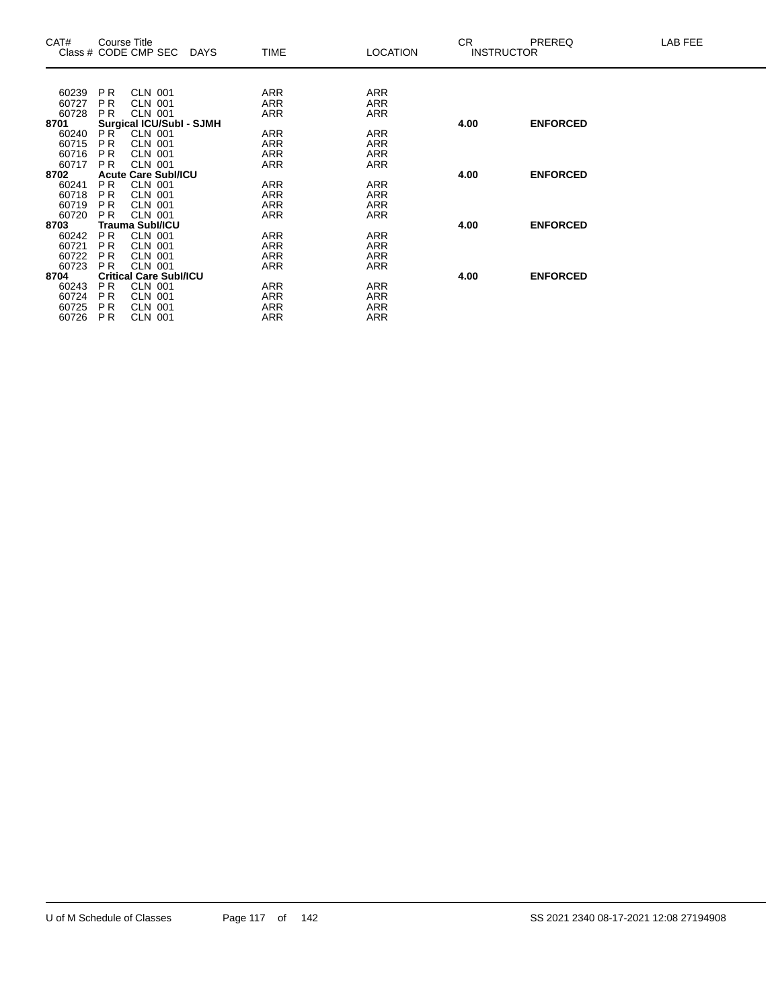| CAT#          | Course Title    | Class # CODE CMP SEC DAYS                  | TIME       | <b>LOCATION</b> | CR.  | <b>PREREQ</b><br><b>INSTRUCTOR</b> | LAB FEE |
|---------------|-----------------|--------------------------------------------|------------|-----------------|------|------------------------------------|---------|
|               |                 |                                            |            |                 |      |                                    |         |
| 60239         | <b>PR</b>       | <b>CLN 001</b>                             | ARR        | ARR             |      |                                    |         |
| 60727         | <b>PR</b>       | <b>CLN 001</b>                             | ARR        | <b>ARR</b>      |      |                                    |         |
| 60728         | P <sub>R</sub>  | CLN 001                                    | ARR        | ARR             |      |                                    |         |
| 8701<br>60240 | PR <sup>1</sup> | Surgical ICU/SubI - SJMH<br><b>CLN 001</b> | <b>ARR</b> | <b>ARR</b>      | 4.00 | <b>ENFORCED</b>                    |         |
| 60715         | P <sub>R</sub>  | <b>CLN 001</b>                             | ARR        | <b>ARR</b>      |      |                                    |         |
| 60716         | P <sub>R</sub>  | <b>CLN 001</b>                             | ARR        | <b>ARR</b>      |      |                                    |         |
| 60717         | P <sub>R</sub>  | CLN 001                                    | ARR        | ARR             |      |                                    |         |
| 8702          |                 | <b>Acute Care Subl/ICU</b>                 |            |                 | 4.00 | <b>ENFORCED</b>                    |         |
| 60241         | P <sub>R</sub>  | CLN 001                                    | ARR        | ARR             |      |                                    |         |
| 60718         | <b>PR</b>       | <b>CLN 001</b>                             | ARR        | <b>ARR</b>      |      |                                    |         |
| 60719         | P <sub>R</sub>  | CLN 001                                    | ARR        | ARR             |      |                                    |         |
| 60720         | <b>PR</b>       | <b>CLN 001</b>                             | ARR        | <b>ARR</b>      |      |                                    |         |
| 8703          |                 | <b>Trauma Subl/ICU</b>                     |            |                 | 4.00 | <b>ENFORCED</b>                    |         |
| 60242         | PR.             | <b>CLN 001</b>                             | ARR        | <b>ARR</b>      |      |                                    |         |
| 60721         | P <sub>R</sub>  | <b>CLN 001</b>                             | <b>ARR</b> | <b>ARR</b>      |      |                                    |         |
| 60722         | <b>PR</b>       | <b>CLN 001</b>                             | ARR        | ARR             |      |                                    |         |
| 60723         | <b>PR</b>       | <b>CLN 001</b>                             | ARR        | ARR             |      |                                    |         |
| 8704          |                 | <b>Critical Care Subl/ICU</b>              |            |                 | 4.00 | <b>ENFORCED</b>                    |         |
| 60243         | PR.             | <b>CLN 001</b>                             | ARR        | <b>ARR</b>      |      |                                    |         |
| 60724         | P <sub>R</sub>  | <b>CLN 001</b>                             | <b>ARR</b> | <b>ARR</b>      |      |                                    |         |
| 60725         | P <sub>R</sub>  | <b>CLN 001</b>                             | ARR        | ARR             |      |                                    |         |
| 60726         | P <sub>R</sub>  | <b>CLN 001</b>                             | ARR        | ARR             |      |                                    |         |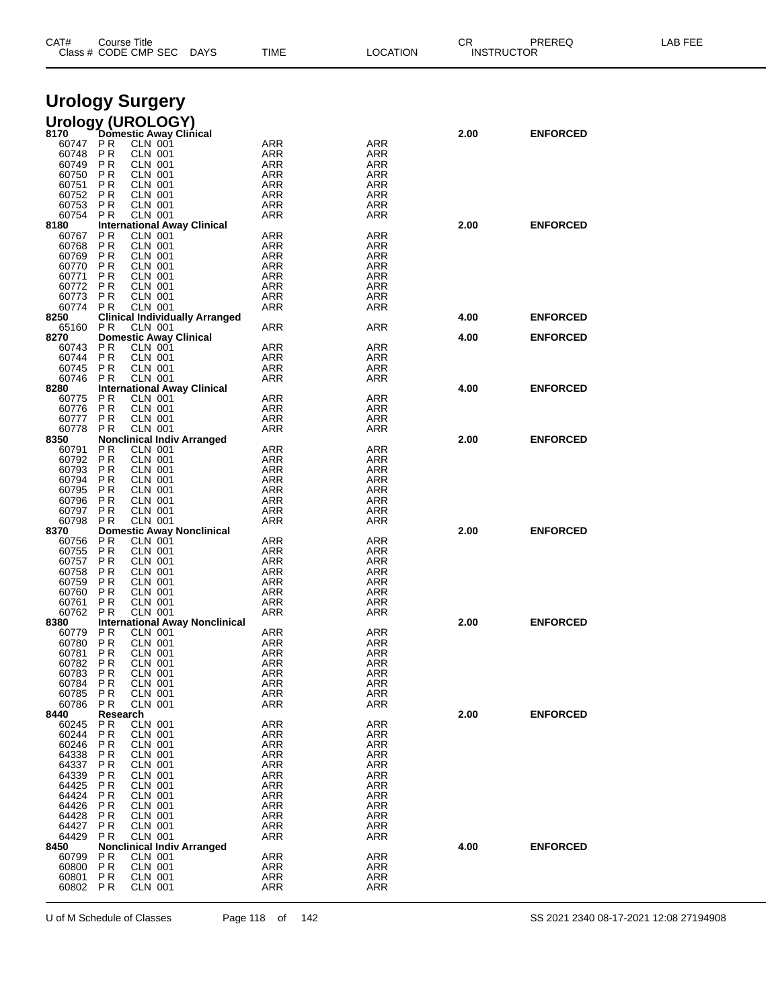| CAT#           |                       | Course Title<br>Class # CODE CMP SEC               | <b>DAYS</b> | TIME              | <b>LOCATION</b>          | CR   | PREREQ<br><b>INSTRUCTOR</b> | LAB FEE |
|----------------|-----------------------|----------------------------------------------------|-------------|-------------------|--------------------------|------|-----------------------------|---------|
|                |                       | <b>Urology Surgery</b>                             |             |                   |                          |      |                             |         |
|                |                       |                                                    |             |                   |                          |      |                             |         |
|                |                       | Urology (UROLOGY)<br>8170 Domestic Away Clinical   |             |                   |                          | 2.00 | <b>ENFORCED</b>             |         |
| 60747          | P R                   | <b>CLN 001</b>                                     |             | ARR               | <b>ARR</b>               |      |                             |         |
| 60748<br>60749 | ΡR<br>P R             | <b>CLN 001</b><br><b>CLN 001</b>                   |             | <b>ARR</b><br>ARR | ARR<br>ARR               |      |                             |         |
| 60750          | ΡR                    | <b>CLN 001</b>                                     |             | <b>ARR</b>        | <b>ARR</b>               |      |                             |         |
| 60751<br>60752 | P <sub>R</sub><br>ΡR  | <b>CLN 001</b><br><b>CLN 001</b>                   |             | ARR<br>ARR        | <b>ARR</b><br>ARR        |      |                             |         |
| 60753          | P R                   | <b>CLN 001</b>                                     |             | <b>ARR</b>        | <b>ARR</b>               |      |                             |         |
| 60754          | P R                   | <b>CLN 001</b>                                     |             | ARR               | <b>ARR</b>               |      |                             |         |
| 8180<br>60767  | PR                    | <b>International Away Clinical</b><br>CLN 001      |             | ARR               | <b>ARR</b>               | 2.00 | <b>ENFORCED</b>             |         |
| 60768          | P <sub>R</sub>        | <b>CLN 001</b>                                     |             | <b>ARR</b>        | <b>ARR</b>               |      |                             |         |
| 60769<br>60770 | P R<br>ΡR             | <b>CLN 001</b><br><b>CLN 001</b>                   |             | ARR<br><b>ARR</b> | ARR<br><b>ARR</b>        |      |                             |         |
| 60771          | P <sub>R</sub>        | <b>CLN 001</b>                                     |             | ARR               | <b>ARR</b>               |      |                             |         |
| 60772<br>60773 | ΡR<br>P R             | <b>CLN 001</b><br><b>CLN 001</b>                   |             | ARR<br><b>ARR</b> | ARR<br><b>ARR</b>        |      |                             |         |
| 60774          | P R                   | <b>CLN 001</b>                                     |             | ARR               | <b>ARR</b>               |      |                             |         |
| 8250<br>65160  | P R                   | <b>Clinical Individually Arranged</b>              |             |                   | <b>ARR</b>               | 4.00 | <b>ENFORCED</b>             |         |
| 8270           |                       | CLN 001<br><b>Domestic Away Clinical</b>           |             | ARR               |                          | 4.00 | <b>ENFORCED</b>             |         |
| 60743          | P R                   | <b>CLN 001</b>                                     |             | ARR               | ARR                      |      |                             |         |
| 60744<br>60745 | PR.<br>P R            | <b>CLN 001</b><br><b>CLN 001</b>                   |             | <b>ARR</b><br>ARR | <b>ARR</b><br>ARR        |      |                             |         |
| 60746          | P R                   | <b>CLN 001</b>                                     |             | ARR               | ARR                      |      |                             |         |
| 8280<br>60775  | ΡR                    | <b>International Away Clinical</b><br>CLN 001      |             | <b>ARR</b>        | <b>ARR</b>               | 4.00 | <b>ENFORCED</b>             |         |
| 60776          | P <sub>R</sub>        | <b>CLN 001</b>                                     |             | ARR               | ARR                      |      |                             |         |
| 60777<br>60778 | PR.<br>ΡR             | <b>CLN 001</b><br><b>CLN 001</b>                   |             | ARR<br>ARR        | <b>ARR</b><br>ARR        |      |                             |         |
| 8350           |                       | <b>Nonclinical Indiv Arranged</b>                  |             |                   |                          | 2.00 | <b>ENFORCED</b>             |         |
| 60791          | P R<br>ΡR             | <b>CLN 001</b>                                     |             | ARR<br><b>ARR</b> | <b>ARR</b><br><b>ARR</b> |      |                             |         |
| 60792<br>60793 | P R                   | <b>CLN 001</b><br><b>CLN 001</b>                   |             | ARR               | ARR                      |      |                             |         |
| 60794          | ΡR                    | <b>CLN 001</b>                                     |             | <b>ARR</b>        | <b>ARR</b>               |      |                             |         |
| 60795<br>60796 | P R<br>P R            | <b>CLN 001</b><br><b>CLN 001</b>                   |             | ARR<br>ARR        | <b>ARR</b><br>ARR        |      |                             |         |
| 60797          | P <sub>R</sub>        | <b>CLN 001</b>                                     |             | <b>ARR</b>        | <b>ARR</b>               |      |                             |         |
| 60798<br>8370  | ΡR                    | <b>CLN 001</b><br><b>Domestic Away Nonclinical</b> |             | ARR               | ARR                      | 2.00 | <b>ENFORCED</b>             |         |
| 60756          | PR                    | <b>CLN 001</b>                                     |             | ARR               | <b>ARR</b>               |      |                             |         |
| 60755<br>60757 | ΡR<br>P R             | <b>CLN 001</b><br><b>CLN 001</b>                   |             | ARR<br>ARR        | <b>ARR</b><br>ARR        |      |                             |         |
| 60758          | ΡR                    | <b>CLN 001</b>                                     |             | <b>ARR</b>        | <b>ARR</b>               |      |                             |         |
| 60759          | РR                    | <b>CLN 001</b>                                     |             | ARR               | <b>ARR</b>               |      |                             |         |
| 60760<br>60761 | P R<br>P R            | <b>CLN 001</b><br>CLN 001                          |             | ARR<br><b>ARR</b> | ARR<br><b>ARR</b>        |      |                             |         |
| 60762          | P R                   | <b>CLN 001</b>                                     |             | ARR               | ARR                      |      |                             |         |
| 8380<br>60779  | P R                   | <b>International Away Nonclinical</b><br>CLN 001   |             | ARR               | <b>ARR</b>               | 2.00 | <b>ENFORCED</b>             |         |
| 60780          | ΡR                    | <b>CLN 001</b>                                     |             | <b>ARR</b>        | <b>ARR</b>               |      |                             |         |
| 60781<br>60782 | P R<br>P R            | <b>CLN 001</b><br>CLN 001                          |             | <b>ARR</b><br>ARR | ARR<br>ARR               |      |                             |         |
| 60783          | РR                    | <b>CLN 001</b>                                     |             | <b>ARR</b>        | <b>ARR</b>               |      |                             |         |
| 60784<br>60785 | ΡR<br>P R             | <b>CLN 001</b><br>CLN 001                          |             | ARR<br>ARR        | <b>ARR</b><br><b>ARR</b> |      |                             |         |
| 60786          | P R                   | CLN 001                                            |             | ARR               | <b>ARR</b>               |      |                             |         |
| 8440           | Research              |                                                    |             |                   |                          | 2.00 | <b>ENFORCED</b>             |         |
| 60245<br>60244 | PR<br>ΡR              | <b>CLN 001</b><br><b>CLN 001</b>                   |             | <b>ARR</b><br>ARR | <b>ARR</b><br><b>ARR</b> |      |                             |         |
| 60246          | ΡR                    | <b>CLN 001</b>                                     |             | ARR               | ARR                      |      |                             |         |
| 64338<br>64337 | ΡR<br>P R             | CLN 001<br><b>CLN 001</b>                          |             | ARR<br>ARR        | ARR<br><b>ARR</b>        |      |                             |         |
| 64339          | ΡR                    | <b>CLN 001</b>                                     |             | ARR               | ARR                      |      |                             |         |
| 64425<br>64424 | P <sub>R</sub><br>P R | CLN 001<br><b>CLN 001</b>                          |             | ARR<br>ARR        | ARR<br><b>ARR</b>        |      |                             |         |
| 64426          | P R                   | <b>CLN 001</b>                                     |             | ARR               | ARR                      |      |                             |         |
| 64428          | ΡR                    | CLN 001                                            |             | <b>ARR</b>        | <b>ARR</b><br><b>ARR</b> |      |                             |         |
| 64427<br>64429 | P R<br>P R            | <b>CLN 001</b><br><b>CLN 001</b>                   |             | ARR<br>ARR        | ARR                      |      |                             |         |
| 8450           |                       | <b>Nonclinical Indiv Arranged</b>                  |             |                   |                          | 4.00 | <b>ENFORCED</b>             |         |
| 60799<br>60800 | ΡR<br><b>PR</b>       | <b>CLN 001</b><br><b>CLN 001</b>                   |             | <b>ARR</b><br>ARR | <b>ARR</b><br>ARR        |      |                             |         |
| 60801          | <b>PR</b>             | <b>CLN 001</b>                                     |             | ARR               | ARR                      |      |                             |         |
| 60802          | P R                   | <b>CLN 001</b>                                     |             | ARR               | <b>ARR</b>               |      |                             |         |

U of M Schedule of Classes Page 118 of 142 SS 2021 2340 08-17-2021 12:08 27194908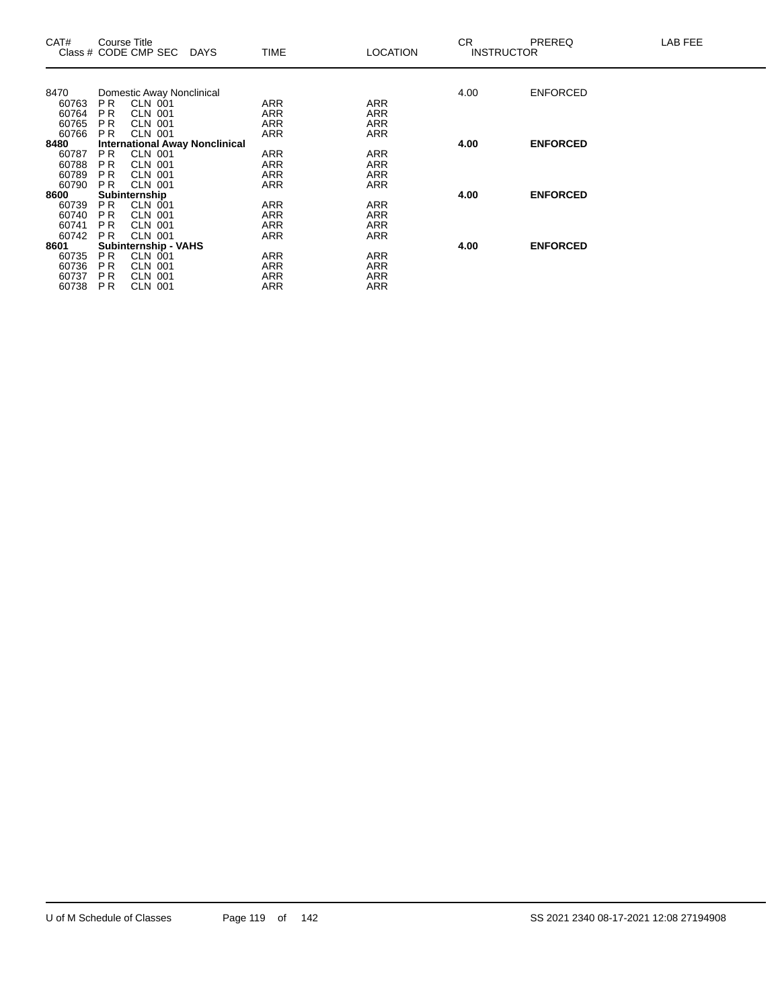| CAT#           | Course Title   | Class # CODE CMP SEC DAYS            |                                       | <b>TIME</b> | LOCATION   | CR.<br><b>INSTRUCTOR</b> | PREREQ          | LAB FEE |
|----------------|----------------|--------------------------------------|---------------------------------------|-------------|------------|--------------------------|-----------------|---------|
|                |                |                                      |                                       |             |            |                          |                 |         |
| 8470           |                | Domestic Away Nonclinical<br>CLN 001 |                                       | <b>ARR</b>  | <b>ARR</b> | 4.00                     | <b>ENFORCED</b> |         |
| 60763<br>60764 | P R<br>P R     | <b>CLN 001</b>                       |                                       | ARR         | ARR        |                          |                 |         |
| 60765          | P R            | <b>CLN 001</b>                       |                                       | ARR         | ARR        |                          |                 |         |
| 60766          | <b>PR</b>      | <b>CLN 001</b>                       |                                       | ARR         | ARR        |                          |                 |         |
| 8480           |                |                                      | <b>International Away Nonclinical</b> |             |            | 4.00                     | <b>ENFORCED</b> |         |
| 60787          | PR.            | <b>CLN 001</b>                       |                                       | ARR         | ARR        |                          |                 |         |
| 60788          | P R            | <b>CLN 001</b>                       |                                       | ARR         | ARR        |                          |                 |         |
| 60789          | P R            | CLN 001                              |                                       | ARR         | <b>ARR</b> |                          |                 |         |
| 60790          | P <sub>R</sub> | <b>CLN 001</b>                       |                                       | ARR         | ARR        |                          |                 |         |
| 8600           |                | Subinternship                        |                                       |             |            | 4.00                     | <b>ENFORCED</b> |         |
| 60739          | PR.            | CLN 001                              |                                       | ARR         | ARR        |                          |                 |         |
| 60740          | P R            | <b>CLN 001</b>                       |                                       | ARR         | <b>ARR</b> |                          |                 |         |
| 60741          | P <sub>R</sub> | <b>CLN 001</b>                       |                                       | ARR         | ARR        |                          |                 |         |
| 60742          | P <sub>R</sub> | <b>CLN 001</b>                       |                                       | ARR         | ARR        |                          |                 |         |
| 8601           |                | <b>Subinternship - VAHS</b>          |                                       |             |            | 4.00                     | <b>ENFORCED</b> |         |
| 60735          | PR.            | <b>CLN 001</b>                       |                                       | ARR         | ARR        |                          |                 |         |
| 60736          | P R            | CLN 001                              |                                       | ARR         | ARR        |                          |                 |         |
| 60737          | P <sub>R</sub> | CLN 001                              |                                       | ARR         | ARR        |                          |                 |         |
| 60738          | P <sub>R</sub> | CLN 001                              |                                       | ARR         | <b>ARR</b> |                          |                 |         |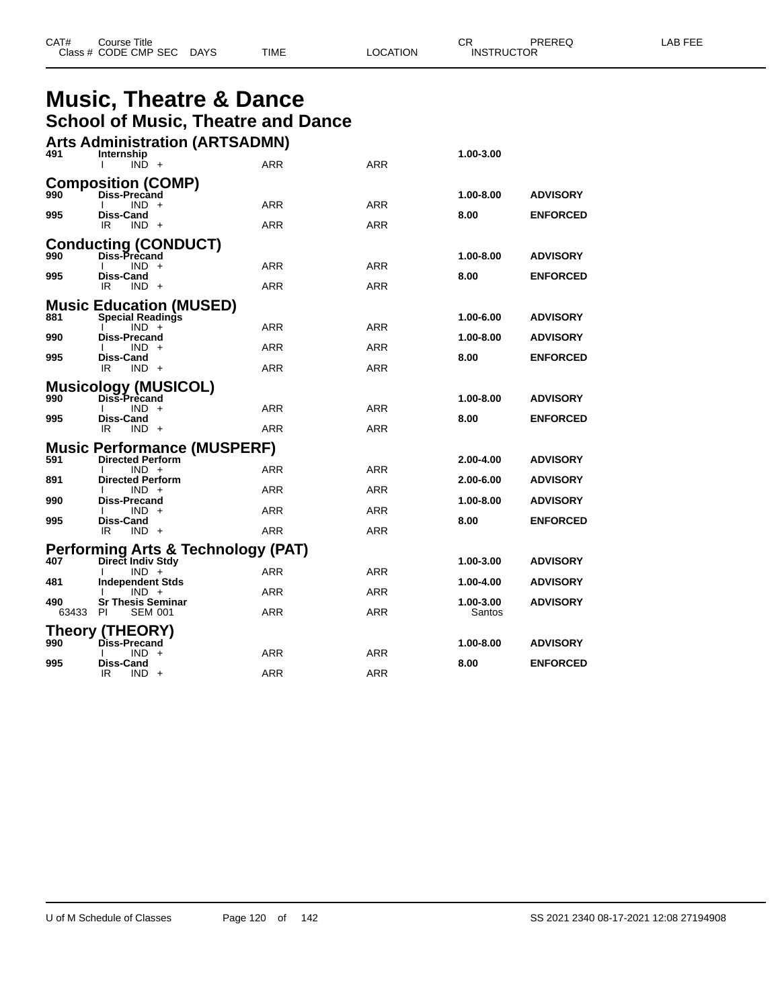| CAT# | Title<br>Course      |             |      |          | ◠г<br>◡⊓ | PREREQ            | AR FFF |
|------|----------------------|-------------|------|----------|----------|-------------------|--------|
|      | Class # CODE CMP SEC | <b>DAYS</b> | TIME | LOCATION |          | <b>INSTRUCTOR</b> |        |

## **Music, Theatre & Dance School of Music, Theatre and Dance**

|       | <b>Arts Administration (ARTSADMN)</b>                     |            |            |           |                 |
|-------|-----------------------------------------------------------|------------|------------|-----------|-----------------|
| 491   | Internship<br>$IND +$                                     | ARR        | <b>ARR</b> | 1.00-3.00 |                 |
|       | <b>Composition (COMP)</b>                                 |            |            |           |                 |
| 990   | <b>Diss-Precand</b><br>$IND +$                            | ARR        | <b>ARR</b> | 1.00-8.00 | <b>ADVISORY</b> |
| 995   | Diss-Cand<br>IR<br>$IND +$                                | <b>ARR</b> | <b>ARR</b> | 8.00      | <b>ENFORCED</b> |
|       | <b>Conducting (CONDUCT)</b>                               |            |            |           |                 |
| 990   | Diss-Precand<br>$IND +$                                   | ARR        | <b>ARR</b> | 1.00-8.00 | <b>ADVISORY</b> |
| 995   | Diss-Cand                                                 |            |            | 8.00      | <b>ENFORCED</b> |
|       | IR<br>$IND +$                                             | ARR        | ARR        |           |                 |
| 881   | <b>Music Education (MUSED)</b><br><b>Special Readings</b> |            |            | 1.00-6.00 | <b>ADVISORY</b> |
| 990   | $IND +$<br><b>Diss-Precand</b>                            | <b>ARR</b> | <b>ARR</b> | 1.00-8.00 | <b>ADVISORY</b> |
|       | IND +                                                     | ARR        | <b>ARR</b> |           |                 |
| 995   | Diss-Cand<br>IR<br>$IND +$                                | <b>ARR</b> | ARR        | 8.00      | <b>ENFORCED</b> |
|       | <b>Musicology (MUSICOL)</b>                               |            |            |           |                 |
| 990   | Diss-Precand<br>IND.                                      | <b>ARR</b> | <b>ARR</b> | 1.00-8.00 | <b>ADVISORY</b> |
| 995   | Diss-Cand<br>IR.<br>$IND +$                               | ARR        | <b>ARR</b> | 8.00      | <b>ENFORCED</b> |
|       | <b>Music Performance (MUSPERF)</b>                        |            |            |           |                 |
| 591   | <b>Directed Perform</b>                                   |            |            | 2.00-4.00 | <b>ADVISORY</b> |
| 891   | $IND +$<br><b>Directed Perform</b>                        | ARR        | ARR        | 2.00-6.00 | <b>ADVISORY</b> |
| 990   | $IND +$<br>Diss-Precand                                   | <b>ARR</b> | <b>ARR</b> | 1.00-8.00 | <b>ADVISORY</b> |
|       | $IND +$                                                   | <b>ARR</b> | <b>ARR</b> |           |                 |
| 995   | Diss-Cand<br>IR<br>$IND +$                                | <b>ARR</b> | <b>ARR</b> | 8.00      | <b>ENFORCED</b> |
|       | Performing Arts & Technology (PAT)                        |            |            |           |                 |
| 407   | Direct Indiv Stdy<br>$IND +$                              | ARR        | ARR        | 1.00-3.00 | <b>ADVISORY</b> |
| 481   | <b>Independent Stds</b>                                   | <b>ARR</b> | <b>ARR</b> | 1.00-4.00 | <b>ADVISORY</b> |
| 490   | $IND +$<br><b>Sr Thesis Seminar</b>                       |            |            | 1.00-3.00 | <b>ADVISORY</b> |
| 63433 | <b>PI</b><br><b>SEM 001</b>                               | <b>ARR</b> | <b>ARR</b> | Santos    |                 |
| 990   | <b>Theory (THEORY)</b><br>Diss-Precand                    |            |            | 1.00-8.00 | <b>ADVISORY</b> |
|       | IND.<br>$+$                                               | ARR        | <b>ARR</b> |           |                 |
| 995   | <b>Diss-Cand</b><br>IR<br>IND.<br>$+$                     | ARR        | <b>ARR</b> | 8.00      | <b>ENFORCED</b> |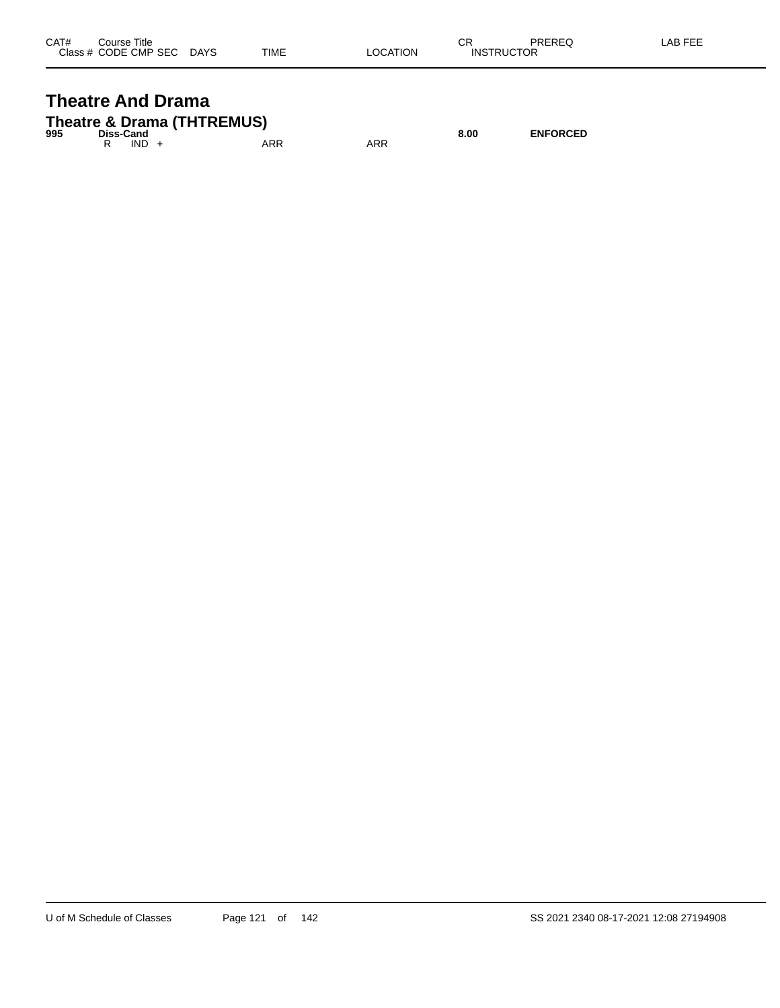| CAT# | Title<br>Course      |             |             |          | СR                | PREREQ | _AB FEE |
|------|----------------------|-------------|-------------|----------|-------------------|--------|---------|
|      | Class # CODE CMP SEC | <b>DAYS</b> | <b>TIME</b> | _OCATION | <b>INSTRUCTOR</b> |        |         |

### **Theatre And Drama Theatre & Drama (THTREMUS)**

| 995 | Diss-Cand |         | <b>THEALE &amp; DIAMA (THITLEMOO)</b> |     | 8.00 | <b>ENFORCED</b> |
|-----|-----------|---------|---------------------------------------|-----|------|-----------------|
|     |           | $IND +$ | ARR                                   | ARR |      |                 |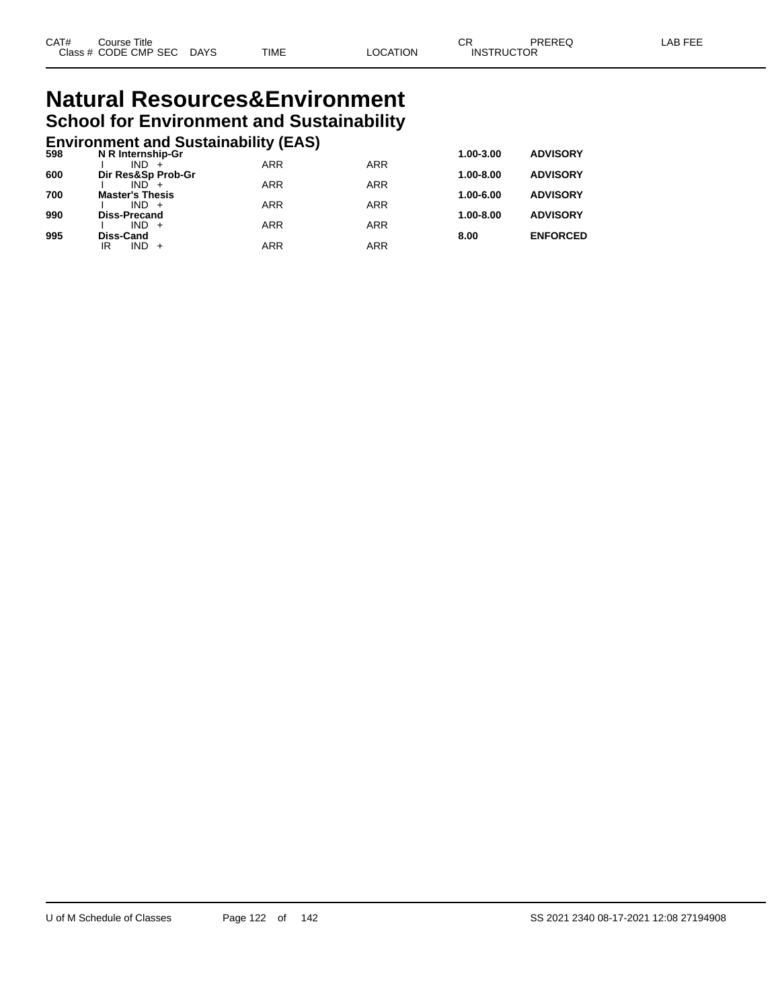# **Natural Resources&Environment School for Environment and Sustainability**

# **Environment and Sustainability (EAS) 598 N R Internship-Gr 1.00-3.00 ADVISORY**

| 598 | N R Internship-Gr             |            |            | 1.00-3.00     | <b>ADVISORY</b> |
|-----|-------------------------------|------------|------------|---------------|-----------------|
| 600 | $IND +$<br>Dir Res&Sp Prob-Gr | <b>ARR</b> | <b>ARR</b> | $1.00 - 8.00$ | <b>ADVISORY</b> |
|     | $IND +$                       | ARR        | <b>ARR</b> |               |                 |
| 700 | <b>Master's Thesis</b>        |            |            | 1.00-6.00     | <b>ADVISORY</b> |
|     | $IND +$                       | <b>ARR</b> | <b>ARR</b> |               |                 |
| 990 | <b>Diss-Precand</b>           |            |            | $1.00 - 8.00$ | <b>ADVISORY</b> |
|     | $IND +$                       | <b>ARR</b> | <b>ARR</b> |               |                 |
| 995 | Diss-Cand                     |            |            | 8.00          | <b>ENFORCED</b> |
|     | $IND +$<br>IR                 | ARR        | ARR        |               |                 |
|     |                               |            |            |               |                 |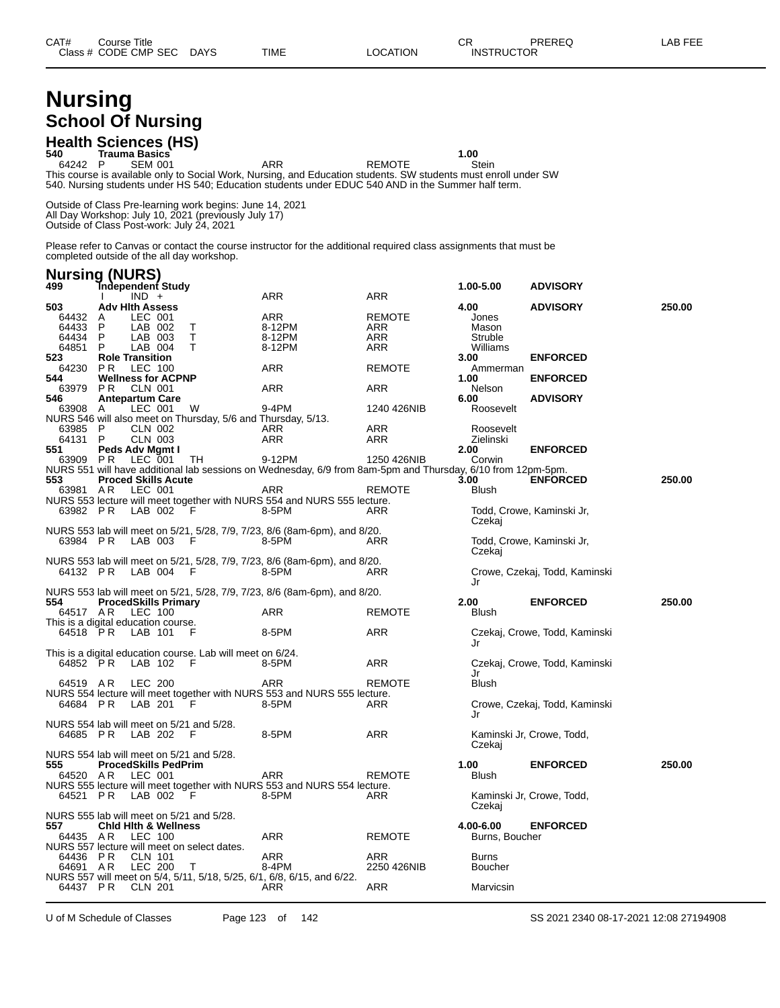# **Nursing School Of Nursing**

# **Health Sciences (HS) 540 Trauma Basics 1.00**

64242 P SEM 001 ARR REMOTE Stein This course is available only to Social Work, Nursing, and Education students. SW students must enroll under SW 540. Nursing students under HS 540; Education students under EDUC 540 AND in the Summer half term.

Outside of Class Pre-learning work begins: June 14, 2021 All Day Workshop: July 10, 2021 (previously July 17) Outside of Class Post-work: July 24, 2021

Please refer to Canvas or contact the course instructor for the additional required class assignments that must be completed outside of the all day workshop.

| 499          | <b>Nursing (NURS)</b>                                                                                       |            |               | 1.00-5.00         | <b>ADVISORY</b>               |        |
|--------------|-------------------------------------------------------------------------------------------------------------|------------|---------------|-------------------|-------------------------------|--------|
|              | Tndependent Study<br>$IND +$                                                                                | <b>ARR</b> | <b>ARR</b>    |                   |                               |        |
| 503          | <b>Adv Hith Assess</b>                                                                                      |            |               | 4.00              | <b>ADVISORY</b>               | 250.00 |
| 64432 A      | LEC 001                                                                                                     | <b>ARR</b> | <b>REMOTE</b> | Jones             |                               |        |
| 64433        | $\mathsf{P}$<br>LAB 002<br>Τ                                                                                | 8-12PM     | ARR           | Mason             |                               |        |
| 64434        | T<br>$\mathsf{P}$<br>LAB 003                                                                                | 8-12PM     | ARR           | Struble           |                               |        |
| 64851        | P<br>LAB 004<br>$\mathsf{T}$                                                                                | 8-12PM     | <b>ARR</b>    | Williams          |                               |        |
| 523          | <b>Role Transition</b>                                                                                      |            |               | 3.00              | <b>ENFORCED</b>               |        |
| 64230        | <b>LEC 100</b><br>P R                                                                                       | ARR        | <b>REMOTE</b> | Ammerman          |                               |        |
| 544          | <b>Wellness for ACPNP</b>                                                                                   |            |               | 1.00              | <b>ENFORCED</b>               |        |
| 63979        | CLN 001<br>P R                                                                                              | <b>ARR</b> | ARR           | <b>Nelson</b>     |                               |        |
| 546<br>63908 | <b>Antepartum Care</b><br>LEC 001<br>W<br>A                                                                 | 9-4PM      | 1240 426NIB   | 6.00<br>Roosevelt | <b>ADVISORY</b>               |        |
|              | NURS 546 will also meet on Thursday, 5/6 and Thursday, 5/13.                                                |            |               |                   |                               |        |
| 63985        | $\mathsf{P}$<br><b>CLN 002</b>                                                                              | ARR        | ARR           | Roosevelt         |                               |        |
| 64131        | - P<br><b>CLN 003</b>                                                                                       | ARR        | ARR           | Zielinski         |                               |        |
| 551          | Peds Adv Mgmt I                                                                                             |            |               | 2.00              | <b>ENFORCED</b>               |        |
| 63909        | <b>LEC 001</b><br>PR<br>TН                                                                                  | 9-12PM     | 1250 426NIB   | Corwin            |                               |        |
|              | NURS 551 will have additional lab sessions on Wednesday, 6/9 from 8am-5pm and Thursday, 6/10 from 12pm-5pm. |            |               |                   |                               |        |
| 553          | <b>Proced Skills Acute</b>                                                                                  |            |               | 3.00              | <b>ENFORCED</b>               | 250.00 |
| 63981 AR     | LEC 001                                                                                                     | ARR        | <b>REMOTE</b> | <b>Blush</b>      |                               |        |
|              | NURS 553 lecture will meet together with NURS 554 and NURS 555 lecture.                                     |            |               |                   |                               |        |
| 63982 PR     | LAB 002<br>- F                                                                                              | 8-5PM      | ARR           |                   | Todd, Crowe, Kaminski Jr,     |        |
|              |                                                                                                             |            |               | Czekaj            |                               |        |
|              | NURS 553 lab will meet on 5/21, 5/28, 7/9, 7/23, 8/6 (8am-6pm), and 8/20.                                   |            |               |                   |                               |        |
| 63984 PR     | LAB 003<br>- F                                                                                              | 8-5PM      | ARR           |                   | Todd, Crowe, Kaminski Jr,     |        |
|              |                                                                                                             |            |               | Czekaj            |                               |        |
| 64132 PR     | NURS 553 lab will meet on 5/21, 5/28, 7/9, 7/23, 8/6 (8am-6pm), and 8/20.<br>LAB 004<br>- F                 | 8-5PM      | ARR           |                   | Crowe, Czekaj, Todd, Kaminski |        |
|              |                                                                                                             |            |               |                   |                               |        |
|              |                                                                                                             |            |               |                   |                               |        |
|              |                                                                                                             |            |               | Jr                |                               |        |
| 554          | NURS 553 lab will meet on 5/21, 5/28, 7/9, 7/23, 8/6 (8am-6pm), and 8/20.                                   |            |               |                   |                               | 250.00 |
|              | <b>ProcedSkills Primary</b><br><b>LEC 100</b>                                                               | <b>ARR</b> | <b>REMOTE</b> | 2.00<br>Blush     | <b>ENFORCED</b>               |        |
| 64517 AR     | This is a digital education course.                                                                         |            |               |                   |                               |        |
| 64518 PR     | LAB 101<br>F                                                                                                | 8-5PM      | ARR           |                   | Czekaj, Crowe, Todd, Kaminski |        |
|              |                                                                                                             |            |               | Jr                |                               |        |
|              | This is a digital education course. Lab will meet on 6/24.                                                  |            |               |                   |                               |        |
| 64852 PR     | LAB 102<br>- F                                                                                              | 8-5PM      | ARR           |                   | Czekaj, Crowe, Todd, Kaminski |        |
|              |                                                                                                             |            |               | Jr                |                               |        |
| 64519 AR     | <b>LEC 200</b>                                                                                              | ARR        | <b>REMOTE</b> | Blush             |                               |        |
|              | NURS 554 lecture will meet together with NURS 553 and NURS 555 lecture.                                     |            |               |                   |                               |        |
| 64684 PR     | LAB 201<br>- F                                                                                              | 8-5PM      | ARR           |                   | Crowe, Czekaj, Todd, Kaminski |        |
|              |                                                                                                             |            |               | Jr                |                               |        |
|              | NURS 554 lab will meet on 5/21 and 5/28.                                                                    |            |               |                   |                               |        |
| 64685 PR     | LAB 202<br>F                                                                                                | 8-5PM      | ARR           |                   | Kaminski Jr, Crowe, Todd,     |        |
|              | NURS 554 lab will meet on 5/21 and 5/28.                                                                    |            |               | Czekaj            |                               |        |
| 555          | <b>ProcedSkills PedPrim</b>                                                                                 |            |               | 1.00              | <b>ENFORCED</b>               | 250.00 |
|              | 64520 AR LEC 001                                                                                            | ARR        | REMOTE        | Blush             |                               |        |
|              | NURS 555 lecture will meet together with NURS 553 and NURS 554 lecture.                                     |            |               |                   |                               |        |
|              | 64521 PR LAB 002<br>- F                                                                                     | 8-5PM      | ARR           |                   | Kaminski Jr, Crowe, Todd,     |        |
|              |                                                                                                             |            |               | Czekaj            |                               |        |
|              | NURS 555 lab will meet on 5/21 and 5/28.                                                                    |            |               |                   |                               |        |
| 557          | <b>Chid Hith &amp; Wellness</b>                                                                             |            |               | 4.00-6.00         | <b>ENFORCED</b>               |        |
| 64435 AR     | <b>LEC 100</b>                                                                                              | <b>ARR</b> | <b>REMOTE</b> | Burns, Boucher    |                               |        |
|              | NURS 557 lecture will meet on select dates.                                                                 |            |               |                   |                               |        |
| 64436 PR     | <b>CLN 101</b>                                                                                              | ARR        | ARR           | <b>Burns</b>      |                               |        |
| 64691        | LEC 200<br>AR<br>T                                                                                          | 8-4PM      | 2250 426NIB   | <b>Boucher</b>    |                               |        |
| 64437 PR     | NURS 557 will meet on 5/4, 5/11, 5/18, 5/25, 6/1, 6/8, 6/15, and 6/22.<br><b>CLN 201</b>                    | ARR        | ARR           | Marvicsin         |                               |        |

U of M Schedule of Classes Page 123 of 142 SS 2021 2340 08-17-2021 12:08 27194908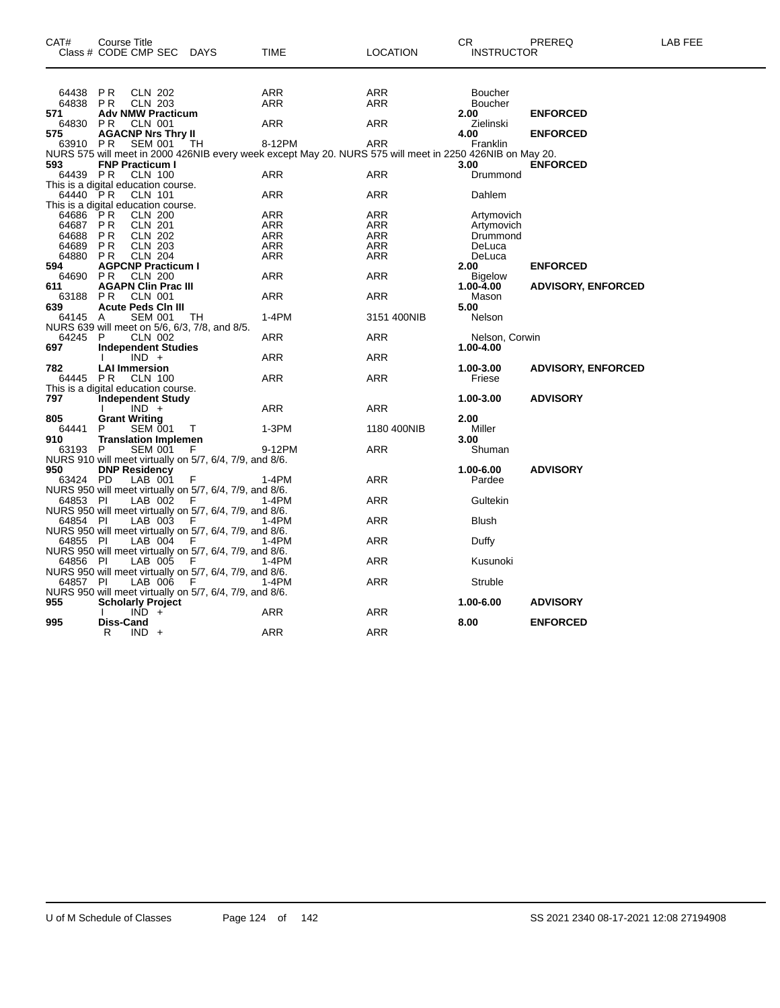| CAT#            | Course Title<br>Class # CODE CMP SEC DAYS                                           |        | <b>TIME</b>                                                                                              | <b>LOCATION</b>   | CR.<br><b>INSTRUCTOR</b>    | PREREQ                    | LAB FEE |
|-----------------|-------------------------------------------------------------------------------------|--------|----------------------------------------------------------------------------------------------------------|-------------------|-----------------------------|---------------------------|---------|
|                 |                                                                                     |        |                                                                                                          |                   |                             |                           |         |
| 64438           | <b>PR</b><br><b>CLN 202</b>                                                         |        | ARR                                                                                                      | ARR               | <b>Boucher</b>              |                           |         |
| 64838<br>571    | P <sub>R</sub><br><b>CLN 203</b><br><b>Adv NMW Practicum</b>                        |        | ARR                                                                                                      | ARR               | <b>Boucher</b><br>2.00      | <b>ENFORCED</b>           |         |
| 64830           | <b>CLN 001</b><br><b>PR</b>                                                         |        | ARR                                                                                                      | ARR               | Zielinski                   |                           |         |
| 575<br>63910    | <b>AGACNP Nrs Thry II</b><br>P <sub>R</sub><br><b>SEM 001</b>                       | TН     | 8-12PM                                                                                                   | <b>ARR</b>        | 4.00<br>Franklin            | <b>ENFORCED</b>           |         |
|                 |                                                                                     |        | NURS 575 will meet in 2000 426NIB every week except May 20. NURS 575 will meet in 2250 426NIB on May 20. |                   |                             |                           |         |
| 593             | <b>FNP Practicum I</b>                                                              |        |                                                                                                          |                   | 3.00                        | <b>ENFORCED</b>           |         |
| 64439 PR        | <b>CLN 100</b><br>This is a digital education course.                               |        | <b>ARR</b>                                                                                               | <b>ARR</b>        | Drummond                    |                           |         |
| 64440 PR        | <b>CLN 101</b>                                                                      |        | <b>ARR</b>                                                                                               | <b>ARR</b>        | Dahlem                      |                           |         |
|                 | This is a digital education course.                                                 |        |                                                                                                          |                   |                             |                           |         |
| 64686           | <b>CLN 200</b><br>PR                                                                |        | ARR                                                                                                      | ARR               | Artymovich                  |                           |         |
| 64687<br>64688  | <b>CLN 201</b><br><b>PR</b><br><b>CLN 202</b><br><b>PR</b>                          |        | ARR<br>ARR                                                                                               | ARR<br><b>ARR</b> | Artymovich<br>Drummond      |                           |         |
| 64689           | P <sub>R</sub><br><b>CLN 203</b>                                                    |        | <b>ARR</b>                                                                                               | <b>ARR</b>        | DeLuca                      |                           |         |
| 64880           | <b>CLN 204</b><br>P <sub>R</sub>                                                    |        | ARR                                                                                                      | <b>ARR</b>        | DeLuca                      |                           |         |
| 594             | <b>AGPCNP Practicum I</b>                                                           |        |                                                                                                          |                   | 2.00                        | <b>ENFORCED</b>           |         |
| 64690<br>611    | P <sub>R</sub><br><b>CLN 200</b><br><b>AGAPN Clin Prac III</b>                      |        | ARR                                                                                                      | ARR               | <b>Bigelow</b><br>1.00-4.00 | <b>ADVISORY, ENFORCED</b> |         |
| 63188 PR        | <b>CLN 001</b>                                                                      |        | ARR                                                                                                      | ARR               | Mason                       |                           |         |
| 639             | <b>Acute Peds CIn III</b>                                                           |        |                                                                                                          |                   | 5.00                        |                           |         |
| 64145 A         | <b>SEM 001</b><br>NURS 639 will meet on 5/6, 6/3, 7/8, and 8/5.                     | TH     | $1-4PM$                                                                                                  | 3151 400NIB       | Nelson                      |                           |         |
| 64245           | P<br><b>CLN 002</b>                                                                 |        | ARR                                                                                                      | ARR               | Nelson, Corwin              |                           |         |
| 697             | <b>Independent Studies</b>                                                          |        |                                                                                                          |                   | 1.00-4.00                   |                           |         |
|                 | $IND +$                                                                             |        | ARR                                                                                                      | ARR               |                             |                           |         |
| 782<br>64445 PR | <b>LAI Immersion</b><br><b>CLN 100</b>                                              |        | ARR                                                                                                      | <b>ARR</b>        | 1.00-3.00<br>Friese         | <b>ADVISORY, ENFORCED</b> |         |
|                 | This is a digital education course.                                                 |        |                                                                                                          |                   |                             |                           |         |
| 797             | <b>Independent Study</b>                                                            |        |                                                                                                          |                   | 1.00-3.00                   | <b>ADVISORY</b>           |         |
| 805             | $IND +$<br><b>Grant Writing</b>                                                     |        | ARR                                                                                                      | ARR               | 2.00                        |                           |         |
| 64441           | SEM 001<br>P                                                                        | $\top$ | 1-3PM                                                                                                    | 1180 400NIB       | Miller                      |                           |         |
| 910             | <b>Translation Implemen</b>                                                         |        |                                                                                                          |                   | 3.00                        |                           |         |
| 63193 P         | <b>SEM 001</b>                                                                      | .F     | 9-12PM                                                                                                   | <b>ARR</b>        | Shuman                      |                           |         |
| 950             | NURS 910 will meet virtually on 5/7, 6/4, 7/9, and 8/6.<br><b>DNP Residency</b>     |        |                                                                                                          |                   | 1.00-6.00                   | <b>ADVISORY</b>           |         |
| 63424 PD        | LAB 001                                                                             |        | 1-4PM                                                                                                    | ARR               | Pardee                      |                           |         |
|                 | NURS 950 will meet virtually on 5/7, 6/4, 7/9, and 8/6.                             |        |                                                                                                          |                   |                             |                           |         |
| 64853 PI        | LAB 002<br>NURS 950 will meet virtually on 5/7, 6/4, 7/9, and 8/6.                  | - F    | 1-4PM                                                                                                    | <b>ARR</b>        | Gultekin                    |                           |         |
| 64854 PI        | LAB 003                                                                             | F.     | 1-4PM                                                                                                    | ARR               | <b>Blush</b>                |                           |         |
|                 | NURS 950 will meet virtually on 5/7, 6/4, 7/9, and 8/6.<br>64855 PI LAB 004 F 1-4PM |        |                                                                                                          |                   |                             |                           |         |
|                 |                                                                                     |        | 1-4PM                                                                                                    | ARR               | Duffy                       |                           |         |
| 64856 PI        | NURS 950 will meet virtually on 5/7, 6/4, 7/9, and 8/6.<br>LAB 005                  | - F    | 1-4PM                                                                                                    | ARR               | Kusunoki                    |                           |         |
|                 | NURS 950 will meet virtually on 5/7, 6/4, 7/9, and 8/6.                             |        |                                                                                                          |                   |                             |                           |         |
| 64857 PI        | LAB 006                                                                             | F      | 1-4PM                                                                                                    | <b>ARR</b>        | Struble                     |                           |         |
| 955             | NURS 950 will meet virtually on 5/7, 6/4, 7/9, and 8/6.<br><b>Scholarly Project</b> |        |                                                                                                          |                   | 1.00-6.00                   | <b>ADVISORY</b>           |         |
|                 | $IND +$                                                                             |        | ARR                                                                                                      | ARR               |                             |                           |         |
| 995             | Diss-Cand                                                                           |        |                                                                                                          |                   | 8.00                        | <b>ENFORCED</b>           |         |
|                 | R<br>$IND +$                                                                        |        | <b>ARR</b>                                                                                               | <b>ARR</b>        |                             |                           |         |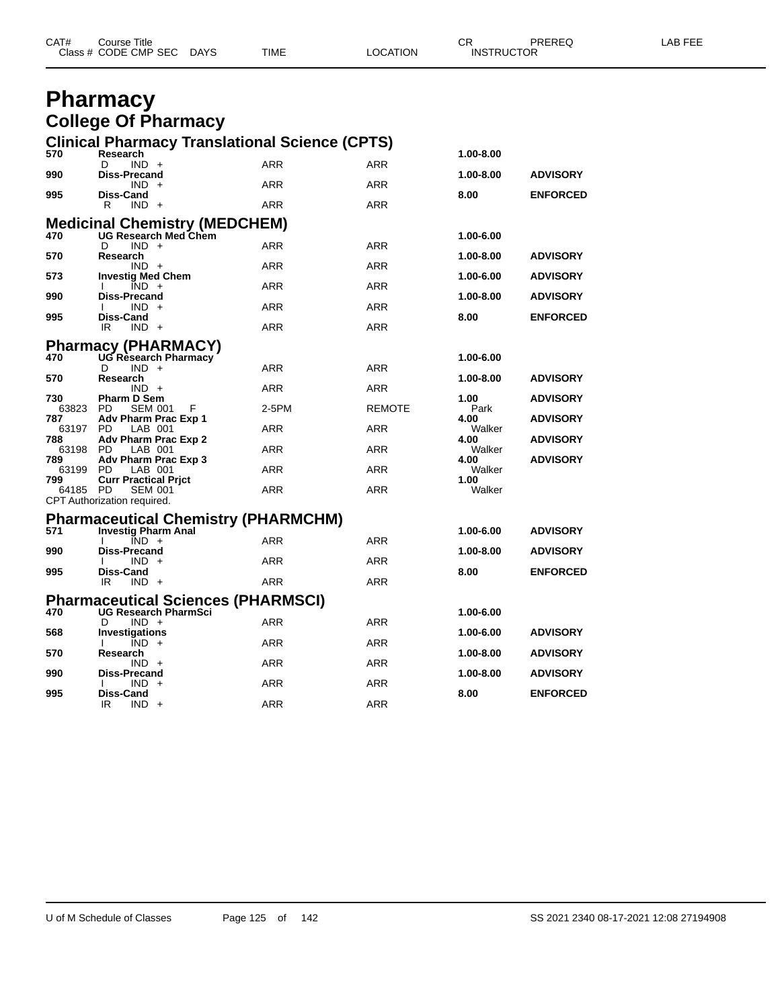| CAT# | Course Title<br>Class # CODE CMP SEC | <b>DAYS</b> | <b>TIME</b> | LOCATION | СR<br><b>INSTRUCTOR</b> | PREREQ | ∟AB FEE |
|------|--------------------------------------|-------------|-------------|----------|-------------------------|--------|---------|
|      |                                      |             |             |          |                         |        |         |

### **Pharmacy College Of Pharmacy**

| 570             | Research                                      | <b>Clinical Pharmacy Translational Science (CPTS)</b>     |            |               |                |                 |
|-----------------|-----------------------------------------------|-----------------------------------------------------------|------------|---------------|----------------|-----------------|
|                 | $IND +$<br>D                                  |                                                           | <b>ARR</b> | <b>ARR</b>    | 1.00-8.00      |                 |
| 990             | <b>Diss-Precand</b><br>$IND +$                |                                                           | <b>ARR</b> | <b>ARR</b>    | 1.00-8.00      | <b>ADVISORY</b> |
| 995             | Diss-Cand                                     |                                                           |            |               | 8.00           | <b>ENFORCED</b> |
|                 | $IND +$<br>R                                  |                                                           | ARR        | ARR           |                |                 |
|                 |                                               | Medicinal Chemistry (MEDCHEM)<br>470 UG Research Med Chem |            |               | 1.00-6.00      |                 |
|                 | $IND +$<br>D                                  |                                                           | <b>ARR</b> | <b>ARR</b>    |                |                 |
| 570             | Research<br>$IND +$                           |                                                           | <b>ARR</b> | ARR           | 1.00-8.00      | <b>ADVISORY</b> |
| 573             | <b>Investig Med Chem</b>                      |                                                           |            |               | 1.00-6.00      | <b>ADVISORY</b> |
| 990             | $IND +$<br>I.<br>Diss-Precand                 |                                                           | ARR        | <b>ARR</b>    | 1.00-8.00      | <b>ADVISORY</b> |
|                 | $IND +$<br>$\mathbf{I}$                       |                                                           | ARR        | <b>ARR</b>    |                |                 |
| 995             | Diss-Cand<br>IR<br>$IND +$                    |                                                           | <b>ARR</b> | <b>ARR</b>    | 8.00           | <b>ENFORCED</b> |
|                 |                                               | <b>Pharmacy (PHARMACY)</b>                                |            |               |                |                 |
| 470             |                                               | UG Research Pharmacy                                      |            |               | 1.00-6.00      |                 |
| 570             | $IND +$<br>D<br>Research                      |                                                           | <b>ARR</b> | <b>ARR</b>    | 1.00-8.00      | <b>ADVISORY</b> |
|                 | $IND +$                                       |                                                           | <b>ARR</b> | ARR           |                |                 |
| 730<br>63823    | <b>Pharm D Sem</b><br>PD.<br><b>SEM 001</b>   | F                                                         | 2-5PM      | <b>REMOTE</b> | 1.00<br>Park   | <b>ADVISORY</b> |
| 787             | Adv Pharm Prac Exp 1                          |                                                           |            |               | 4.00           | <b>ADVISORY</b> |
| 63197 PD<br>788 | LAB 001<br>Adv Pharm Prac Exp 2               |                                                           | <b>ARR</b> | <b>ARR</b>    | Walker<br>4.00 | <b>ADVISORY</b> |
| 63198 PD        | LAB 001                                       |                                                           | ARR        | <b>ARR</b>    | Walker         |                 |
| 789<br>63199 PD | Adv Pharm Prac Exp 3<br>LAB 001               |                                                           | ARR        | <b>ARR</b>    | 4.00<br>Walker | <b>ADVISORY</b> |
| 799             | <b>Curr Practical Prict</b>                   |                                                           |            |               | 1.00           |                 |
| 64185 PD        | <b>SEM 001</b><br>CPT Authorization required. |                                                           | <b>ARR</b> | <b>ARR</b>    | Walker         |                 |
|                 |                                               | <b>Pharmaceutical Chemistry (PHARMCHM)</b>                |            |               |                |                 |
| 571             | <b>Investig Pharm Anal</b>                    |                                                           |            |               | 1.00-6.00      | <b>ADVISORY</b> |
|                 | $\overline{IND}$ +<br>T                       |                                                           | <b>ARR</b> | <b>ARR</b>    |                |                 |
| 990             | <b>Diss-Precand</b><br>$IND +$<br>Ι.          |                                                           | ARR        | ARR           | 1.00-8.00      | <b>ADVISORY</b> |
| 995             | Diss-Cand                                     |                                                           |            |               | 8.00           | <b>ENFORCED</b> |
|                 | IR.<br>$IND +$                                |                                                           | <b>ARR</b> | <b>ARR</b>    |                |                 |
|                 |                                               | <b>Pharmaceutical Sciences (PHARMSCI)</b>                 |            |               |                |                 |
| 470             | $IND +$<br>D                                  | <b>UG Research PharmSci</b>                               | <b>ARR</b> | ARR           | 1.00-6.00      |                 |
| 568             | <b>Investigations</b>                         |                                                           |            |               | 1.00-6.00      | <b>ADVISORY</b> |
| 570             | $IND +$<br>I.<br>Research                     |                                                           | <b>ARR</b> | ARR           | 1.00-8.00      | <b>ADVISORY</b> |
|                 | $IND +$                                       |                                                           | ARR        | ARR           |                |                 |
| 990             | Diss-Precand<br>$IND +$<br>$\mathbf{I}$       |                                                           | ARR        | <b>ARR</b>    | 1.00-8.00      | <b>ADVISORY</b> |
| 995             | Diss-Cand                                     |                                                           |            |               | 8.00           | <b>ENFORCED</b> |
|                 | IR<br>$IND +$                                 |                                                           | <b>ARR</b> | ARR           |                |                 |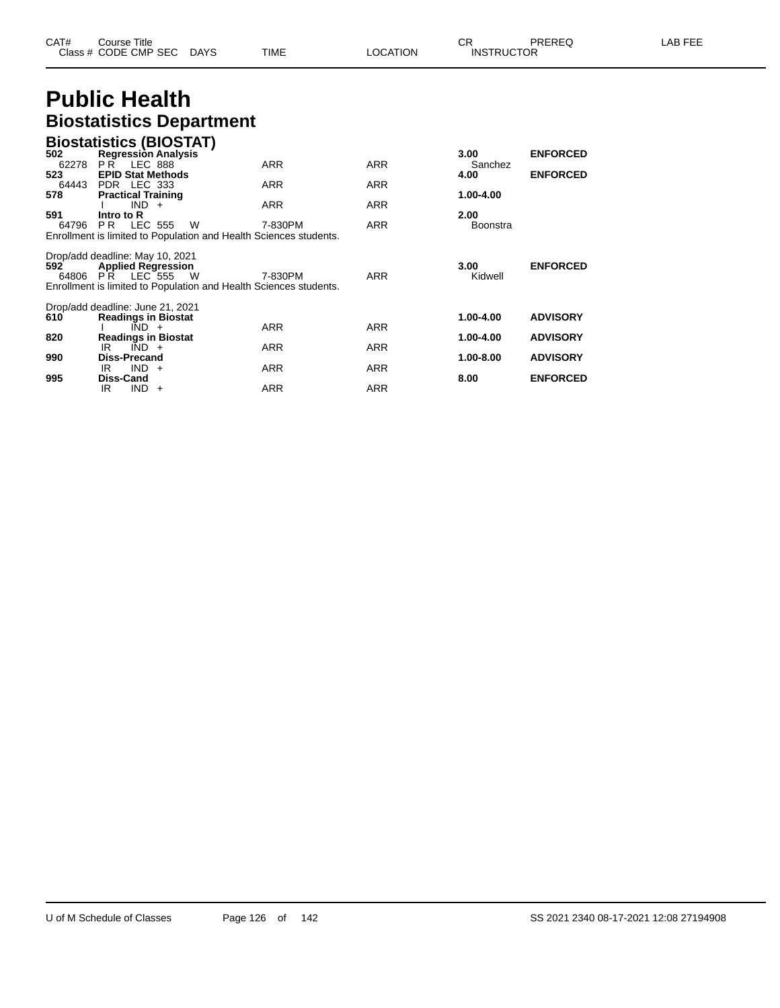| CAT# | Course Title              |      |          | - UN              | PREREQ | ∟AB FEE |
|------|---------------------------|------|----------|-------------------|--------|---------|
|      | Class # CODE CMP SEC DAYS | TIME | LOCATION | <b>INSTRUCTOR</b> |        |         |

# **Public Health Biostatistics Department**

|              | <b>Biostatistics (BIOSTAT)</b>                                    |            |            |                 |                 |
|--------------|-------------------------------------------------------------------|------------|------------|-----------------|-----------------|
| 502          | <b>Regression Analysis</b>                                        |            |            | 3.00            | <b>ENFORCED</b> |
| 62278        | <b>LEC 888</b><br>PR                                              | <b>ARR</b> | <b>ARR</b> | Sanchez         |                 |
| 523<br>64443 | <b>EPID Stat Methods</b><br>PDR LEC 333                           | <b>ARR</b> | <b>ARR</b> | 4.00            | <b>ENFORCED</b> |
| 578          | <b>Practical Training</b>                                         |            |            | 1.00-4.00       |                 |
|              | $IND +$                                                           | <b>ARR</b> | <b>ARR</b> |                 |                 |
| 591          | Intro to R                                                        |            |            | 2.00            |                 |
| 64796        | LEC 555<br>PR.<br>- W                                             | 7-830PM    | <b>ARR</b> | <b>Boonstra</b> |                 |
|              | Enrollment is limited to Population and Health Sciences students. |            |            |                 |                 |
|              | Drop/add deadline: May 10, 2021                                   |            |            |                 |                 |
| 592          | <b>Applied Regression</b>                                         |            |            | 3.00            | <b>ENFORCED</b> |
| 64806        | <b>PR LEC 555</b><br>W                                            | 7-830PM    | <b>ARR</b> | Kidwell         |                 |
|              | Enrollment is limited to Population and Health Sciences students. |            |            |                 |                 |
|              |                                                                   |            |            |                 |                 |
| 610          | Drop/add deadline: June 21, 2021<br><b>Readings in Biostat</b>    |            |            | 1.00-4.00       | <b>ADVISORY</b> |
|              | $\overline{IND}$ +                                                | <b>ARR</b> | <b>ARR</b> |                 |                 |
| 820          | <b>Readings in Biostat</b>                                        |            |            | 1.00-4.00       | <b>ADVISORY</b> |
|              | $\overline{IND}$ +<br>IR                                          | <b>ARR</b> | ARR        |                 |                 |
| 990          | <b>Diss-Precand</b>                                               |            |            | 1.00-8.00       | <b>ADVISORY</b> |
|              | IND.<br>IR<br>$+$                                                 | <b>ARR</b> | <b>ARR</b> |                 |                 |
| 995          | <b>Diss-Cand</b><br>IND.<br>IR<br>$+$                             | <b>ARR</b> | <b>ARR</b> | 8.00            | <b>ENFORCED</b> |
|              |                                                                   |            |            |                 |                 |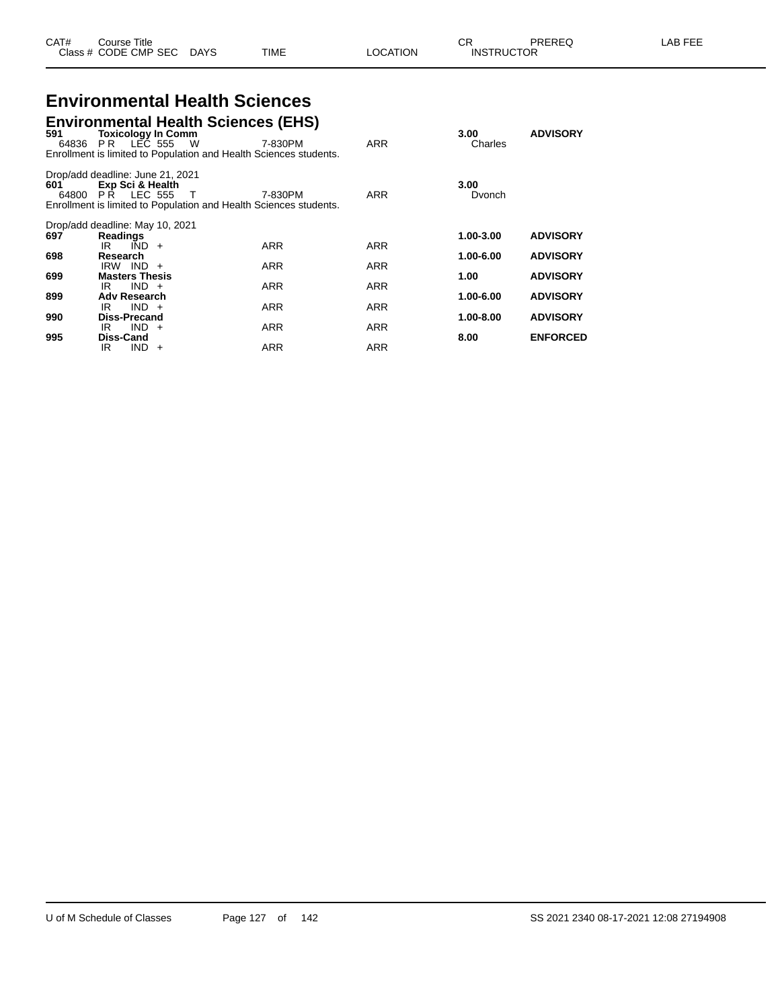#### **Environmental Health Sciences Environmental Health Sciences (EHS)**

| 591          | <b>Toxicology In Comm</b><br>64836 PR LEC 555 W                           | Eliviloninental Health Sciences (EHS)<br>Enrollment is limited to Population and Health Sciences students. | 7-830PM    | <b>ARR</b> | 3.00<br>Charles | <b>ADVISORY</b> |
|--------------|---------------------------------------------------------------------------|------------------------------------------------------------------------------------------------------------|------------|------------|-----------------|-----------------|
| 601<br>64800 | Drop/add deadline: June 21, 2021<br>Exp Sci & Health<br><b>PR LEC 555</b> | T<br>Enrollment is limited to Population and Health Sciences students.                                     | 7-830PM    | <b>ARR</b> | 3.00<br>Dvonch  |                 |
| 697          | Drop/add deadline: May 10, 2021<br><b>Readings</b>                        |                                                                                                            |            |            | 1.00-3.00       | <b>ADVISORY</b> |
|              | $IND +$<br>IR.                                                            |                                                                                                            | <b>ARR</b> | <b>ARR</b> |                 |                 |
| 698          | Research                                                                  |                                                                                                            |            |            | 1.00-6.00       | <b>ADVISORY</b> |
|              | $IRW$ $IND +$<br><b>Masters Thesis</b>                                    |                                                                                                            | <b>ARR</b> | <b>ARR</b> |                 |                 |
| 699          | $IND +$<br>IR                                                             |                                                                                                            | <b>ARR</b> | ARR        | 1.00            | <b>ADVISORY</b> |
| 899          | <b>Adv Research</b>                                                       |                                                                                                            |            |            | 1.00-6.00       | <b>ADVISORY</b> |
|              | $IND +$<br>IR                                                             |                                                                                                            | <b>ARR</b> | <b>ARR</b> |                 |                 |
| 990          | Diss-Precand                                                              |                                                                                                            |            |            | 1.00-8.00       | <b>ADVISORY</b> |
|              | $IND +$<br>IR.                                                            |                                                                                                            | <b>ARR</b> | <b>ARR</b> |                 |                 |
| 995          | Diss-Cand<br>IND.<br>IR.                                                  | $+$                                                                                                        | <b>ARR</b> | <b>ARR</b> | 8.00            | <b>ENFORCED</b> |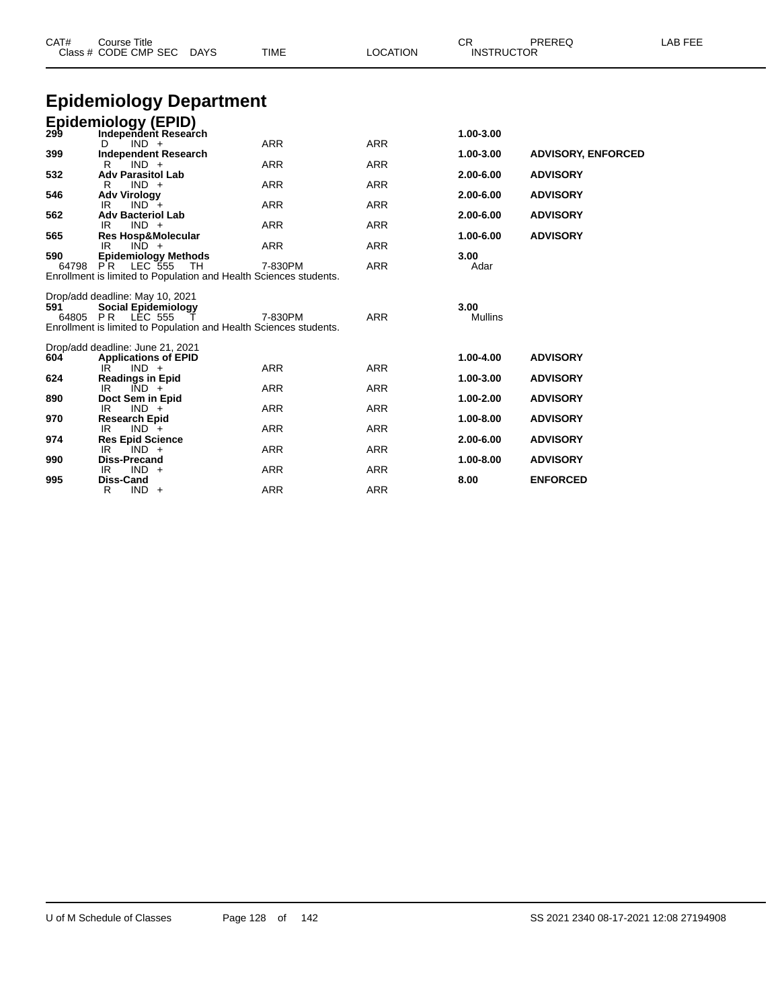| CAT#  | <b>Course Title</b><br>Class # CODE CMP SEC<br>DAYS               | <b>TIME</b> | <b>LOCATION</b> | CR<br><b>INSTRUCTOR</b> | PREREQ                    | LAB FEE |
|-------|-------------------------------------------------------------------|-------------|-----------------|-------------------------|---------------------------|---------|
|       | <b>Epidemiology Department</b>                                    |             |                 |                         |                           |         |
|       | <b>Epidemiology (EPID)</b>                                        |             |                 |                         |                           |         |
| 299   | Independent Research<br>$IND +$<br>D                              | <b>ARR</b>  | <b>ARR</b>      | 1.00-3.00               |                           |         |
| 399   | Independent Research                                              |             |                 | 1.00-3.00               | <b>ADVISORY, ENFORCED</b> |         |
|       | $IND +$<br>R.                                                     | <b>ARR</b>  | <b>ARR</b>      |                         |                           |         |
| 532   | <b>Adv Parasitol Lab</b>                                          |             |                 | 2.00-6.00               | <b>ADVISORY</b>           |         |
| 546   | $IND +$<br>R<br><b>Adv Virology</b>                               | <b>ARR</b>  | <b>ARR</b>      | 2.00-6.00               | <b>ADVISORY</b>           |         |
|       | IR<br>$IND +$                                                     | <b>ARR</b>  | <b>ARR</b>      |                         |                           |         |
| 562   | <b>Adv Bacteriol Lab</b>                                          |             |                 | 2.00-6.00               | <b>ADVISORY</b>           |         |
|       | $IND +$<br>IR                                                     | <b>ARR</b>  | <b>ARR</b>      |                         |                           |         |
| 565   | <b>Res Hosp&amp;Molecular</b><br>IR<br>$IND +$                    | <b>ARR</b>  | <b>ARR</b>      | 1.00-6.00               | <b>ADVISORY</b>           |         |
| 590   | <b>Epidemiology Methods</b>                                       |             |                 | 3.00                    |                           |         |
| 64798 | PR.<br>LEC 555<br>- TH                                            | 7-830PM     | <b>ARR</b>      | Adar                    |                           |         |
|       | Enrollment is limited to Population and Health Sciences students. |             |                 |                         |                           |         |
|       | Drop/add deadline: May 10, 2021                                   |             |                 |                         |                           |         |
| 591   | <b>Social Epidemiology</b>                                        |             |                 | 3.00                    |                           |         |
|       | 64805 PR LEC 555                                                  | 7-830PM     | <b>ARR</b>      | Mullins                 |                           |         |
|       | Enrollment is limited to Population and Health Sciences students. |             |                 |                         |                           |         |
|       |                                                                   |             |                 |                         |                           |         |
| 604   | Drop/add deadline: June 21, 2021<br><b>Applications of EPID</b>   |             |                 | 1.00-4.00               | <b>ADVISORY</b>           |         |
|       | $IND +$<br>IR.                                                    | <b>ARR</b>  | <b>ARR</b>      |                         |                           |         |
| 624   | <b>Readings in Epid</b>                                           |             |                 | 1.00-3.00               | <b>ADVISORY</b>           |         |
|       | IR<br>$IND +$                                                     | <b>ARR</b>  | <b>ARR</b>      |                         |                           |         |
| 890   | Doct Sem in Epid<br>IR.<br>$IND +$                                | <b>ARR</b>  | <b>ARR</b>      | 1.00-2.00               | <b>ADVISORY</b>           |         |
| 970   | <b>Research Epid</b>                                              |             |                 | 1.00-8.00               | <b>ADVISORY</b>           |         |
|       | $IND +$<br>IR                                                     | <b>ARR</b>  | <b>ARR</b>      |                         |                           |         |
| 974   | <b>Res Epid Science</b>                                           |             |                 | 2.00-6.00               | <b>ADVISORY</b>           |         |
|       | IR<br>$IND +$                                                     | <b>ARR</b>  | <b>ARR</b>      |                         |                           |         |
| 990   | <b>Diss-Precand</b><br>$IND +$<br>IR                              | <b>ARR</b>  | <b>ARR</b>      | 1.00-8.00               | <b>ADVISORY</b>           |         |
| 995   | <b>Diss-Cand</b>                                                  |             |                 | 8.00                    | <b>ENFORCED</b>           |         |
|       | R<br>$IND +$                                                      | <b>ARR</b>  | <b>ARR</b>      |                         |                           |         |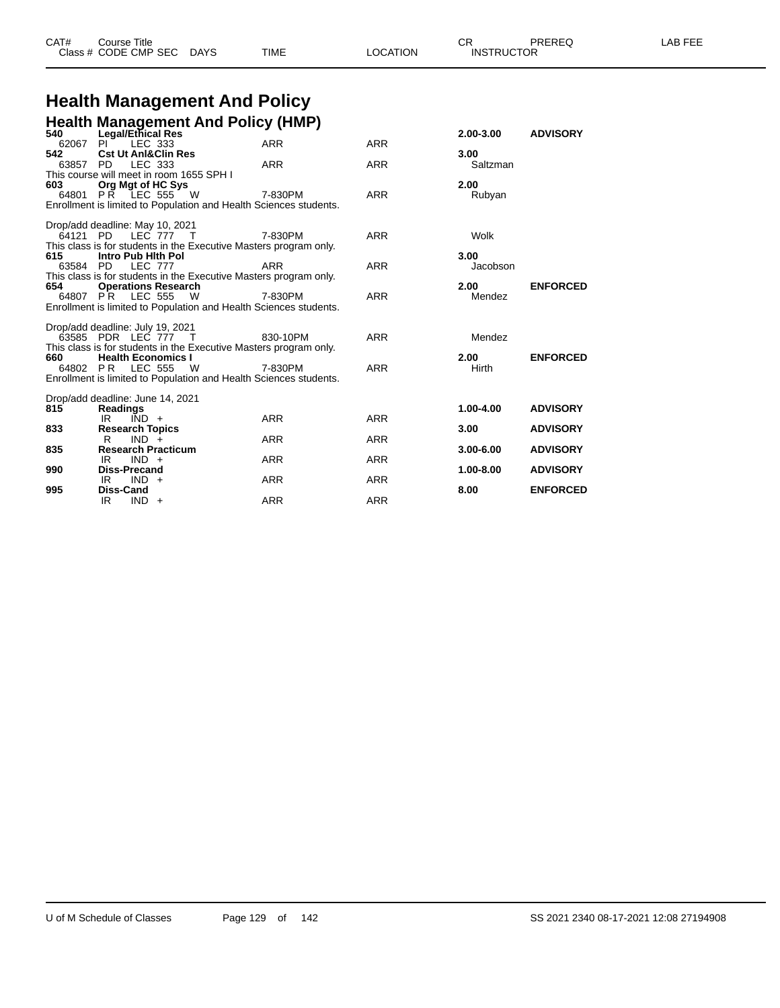| CAT# | Title<br>∴ourse      |             |             |          | ⌒冖<br>◡           | PREREQ | . FEF<br>AR. |
|------|----------------------|-------------|-------------|----------|-------------------|--------|--------------|
|      | Class # CODE CMP SEC | <b>DAYS</b> | <b>TIME</b> | LOCATION | <b>INSTRUCTOR</b> |        |              |

# **Health Management And Policy**

|           | Health Management And Policy (HMP)<br>540 Legal/Ethical Res       |            |            |               |                 |
|-----------|-------------------------------------------------------------------|------------|------------|---------------|-----------------|
| 62067     | LEC 333<br>$PI^{-}$                                               | <b>ARR</b> | <b>ARR</b> | 2.00-3.00     | <b>ADVISORY</b> |
| 542       | <b>Cst Ut AnI&amp;Clin Res</b>                                    |            |            | 3.00          |                 |
| 63857 PD  | LEC 333                                                           | <b>ARR</b> | <b>ARR</b> | Saltzman      |                 |
|           | This course will meet in room 1655 SPH I                          |            |            |               |                 |
| 603       | Org Mgt of HC Sys                                                 |            |            | 2.00          |                 |
|           | 64801 PR LEC 555 W 7-830PM                                        |            | <b>ARR</b> | Rubyan        |                 |
|           | Enrollment is limited to Population and Health Sciences students. |            |            |               |                 |
|           | Drop/add deadline: May 10, 2021                                   |            |            |               |                 |
|           | 64121 PD LEC 777 T                                                | 7-830PM    | <b>ARR</b> | Wolk          |                 |
|           | This class is for students in the Executive Masters program only. |            |            |               |                 |
| 615       | Intro Pub Hith Pol                                                |            |            | 3.00          |                 |
|           | 63584 PD LEC 777                                                  | <b>ARR</b> | <b>ARR</b> | Jacobson      |                 |
|           | This class is for students in the Executive Masters program only. |            |            |               |                 |
| 654 — 1   | <b>Operations Research</b>                                        |            |            | 2.00          | <b>ENFORCED</b> |
|           | 64807 PR LEC 555 W                                                | 7-830PM    | <b>ARR</b> | Mendez        |                 |
|           | Enrollment is limited to Population and Health Sciences students. |            |            |               |                 |
|           | Drop/add deadline: July 19, 2021                                  |            |            |               |                 |
|           | 63585 PDR LEC 777 T                                               | 830-10PM   | ARR        | Mendez        |                 |
|           | This class is for students in the Executive Masters program only. |            |            |               |                 |
| 660 — 100 | <b>Health Economics I</b>                                         |            |            | 2.00          | <b>ENFORCED</b> |
|           | 64802 PR LEC 555 W                                                | 7-830PM    | <b>ARR</b> | Hirth         |                 |
|           | Enrollment is limited to Population and Health Sciences students. |            |            |               |                 |
|           | Drop/add deadline: June 14, 2021                                  |            |            |               |                 |
| 815       | Readings                                                          |            |            | 1.00-4.00     | <b>ADVISORY</b> |
|           | IR<br>$IND +$                                                     | <b>ARR</b> | <b>ARR</b> |               |                 |
| 833       | <b>Research Topics</b>                                            |            |            | 3.00          | <b>ADVISORY</b> |
|           | R<br>$IND +$                                                      | <b>ARR</b> | <b>ARR</b> |               |                 |
| 835       | <b>Research Practicum</b>                                         |            |            | $3.00 - 6.00$ | <b>ADVISORY</b> |
|           | IR<br>$IND +$                                                     | <b>ARR</b> | <b>ARR</b> |               |                 |
| 990       | <b>Diss-Precand</b>                                               |            |            | 1.00-8.00     | <b>ADVISORY</b> |
|           | $IND +$<br>IR                                                     | <b>ARR</b> | <b>ARR</b> |               |                 |
| 995       | Diss-Cand                                                         |            |            | 8.00          | <b>ENFORCED</b> |
|           | IR.<br>$IND +$                                                    | <b>ARR</b> | <b>ARR</b> |               |                 |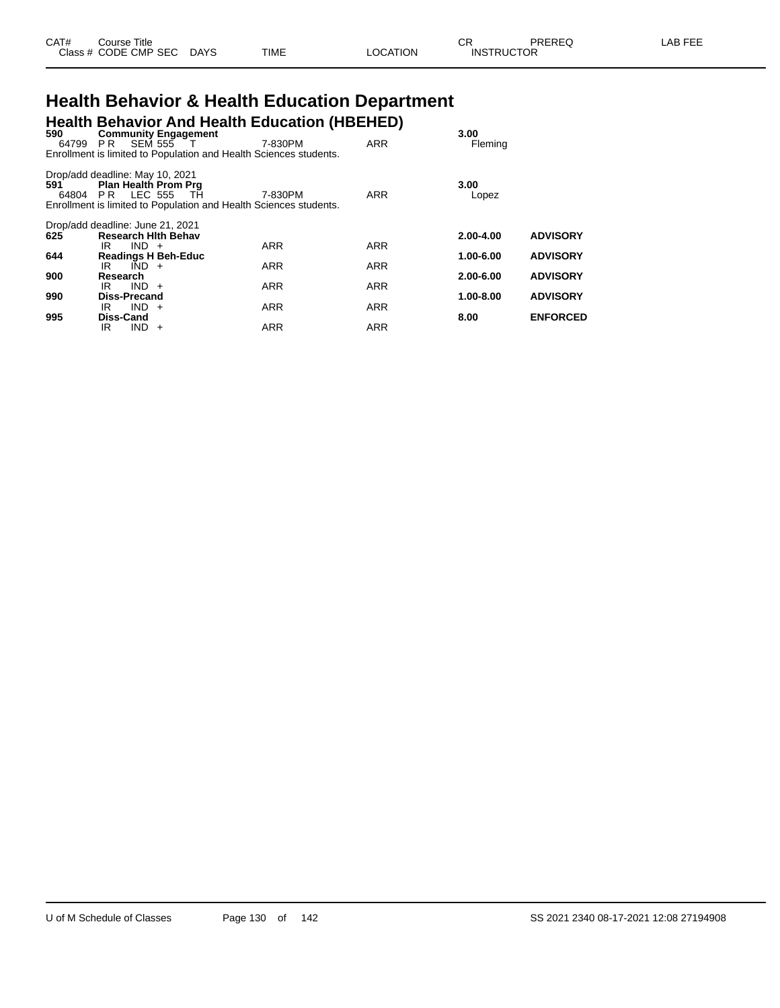| CAT# | Course Title         |             |      |          | ∼⊏<br>∪π          | PREREQ | LAB FEE |
|------|----------------------|-------------|------|----------|-------------------|--------|---------|
|      | Class # CODE CMP SEC | <b>DAYS</b> | TIME | LOCATION | <b>INSTRUCTOR</b> |        |         |

# **Health Behavior & Health Education Department**

| 590      |                                                                                       | <b>Community Engagement</b>                                       | <b>Health Behavior And Health Education (HBEHED)</b> |            | 3.00          |                 |
|----------|---------------------------------------------------------------------------------------|-------------------------------------------------------------------|------------------------------------------------------|------------|---------------|-----------------|
| 64799 PR |                                                                                       | SEM 555 T                                                         | 7-830PM                                              | <b>ARR</b> | Fleming       |                 |
|          |                                                                                       | Enrollment is limited to Population and Health Sciences students. |                                                      |            |               |                 |
| 591      | Drop/add deadline: May 10, 2021<br><b>Plan Health Prom Prg</b><br>64804 PR LEC 555 TH | Enrollment is limited to Population and Health Sciences students. | 7-830PM                                              | ARR        | 3.00<br>Lopez |                 |
|          | Drop/add deadline: June 21, 2021                                                      |                                                                   |                                                      |            |               |                 |
| 625      | <b>Research Hith Behav</b>                                                            |                                                                   |                                                      |            | $2.00 - 4.00$ | <b>ADVISORY</b> |
| 644      | $IND +$<br>IR<br><b>Readings H Beh-Educ</b>                                           |                                                                   | <b>ARR</b>                                           | <b>ARR</b> | 1.00-6.00     | <b>ADVISORY</b> |
|          | $\overline{IND}$ +<br>IR                                                              |                                                                   | <b>ARR</b>                                           | <b>ARR</b> |               |                 |
| 900      | Research                                                                              |                                                                   |                                                      |            | $2.00 - 6.00$ | <b>ADVISORY</b> |
| 990      | $IND +$<br>IR<br>Diss-Precand                                                         |                                                                   | <b>ARR</b>                                           | <b>ARR</b> | 1.00-8.00     | <b>ADVISORY</b> |
|          | $IND +$<br>IR                                                                         |                                                                   | <b>ARR</b>                                           | ARR        |               |                 |
| 995      | Diss-Cand                                                                             |                                                                   |                                                      |            | 8.00          | <b>ENFORCED</b> |
|          | IR<br>IND.                                                                            | $+$                                                               | <b>ARR</b>                                           | <b>ARR</b> |               |                 |
|          |                                                                                       |                                                                   |                                                      |            |               |                 |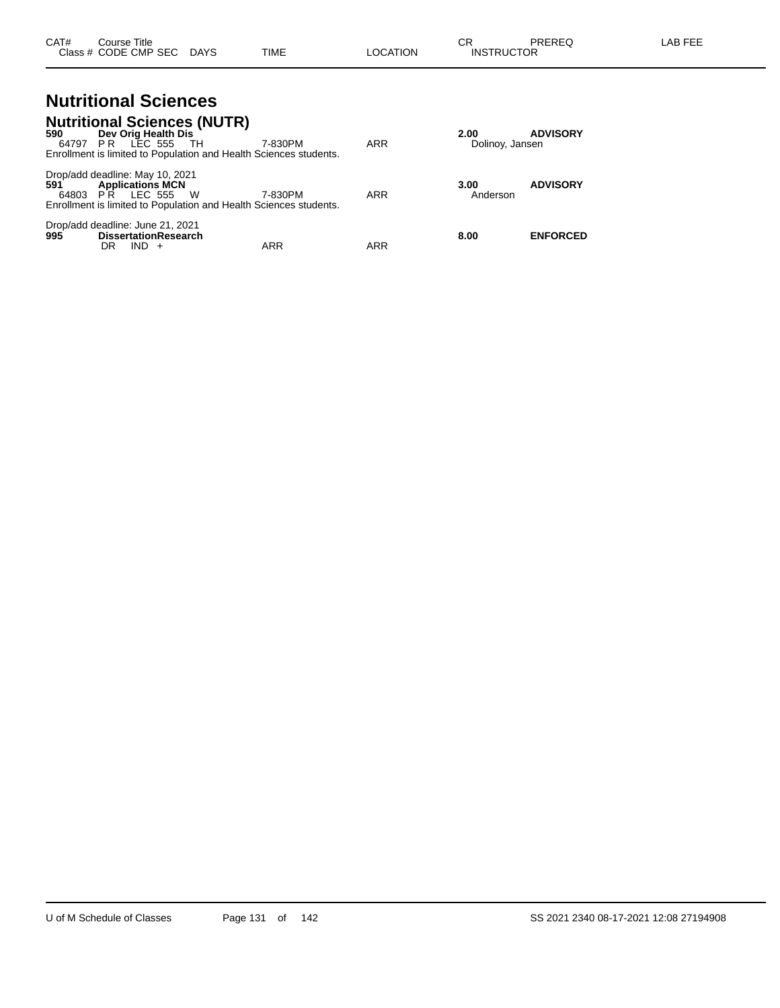#### **Nutritional Sciences Nutritional Sciences (NUTR)**

| 590<br>64797 PR | <b>NUITIIONAL SCIENCES (NUTR)</b><br>Dev Orig Health Dis<br>LEC 555 TH<br>Enrollment is limited to Population and Health Sciences students.                | 7-830PM    | <b>ARR</b> | 2.00<br>Dolinoy, Jansen | <b>ADVISORY</b> |
|-----------------|------------------------------------------------------------------------------------------------------------------------------------------------------------|------------|------------|-------------------------|-----------------|
| 591             | Drop/add deadline: May 10, 2021<br><b>Applications MCN</b><br>64803 PR LEC 555<br>- W<br>Enrollment is limited to Population and Health Sciences students. | 7-830PM    | <b>ARR</b> | 3.00<br>Anderson        | <b>ADVISORY</b> |
| 995             | Drop/add deadline: June 21, 2021<br><b>DissertationResearch</b><br>$IND +$<br>DR                                                                           | <b>ARR</b> | ARR        | 8.00                    | <b>ENFORCED</b> |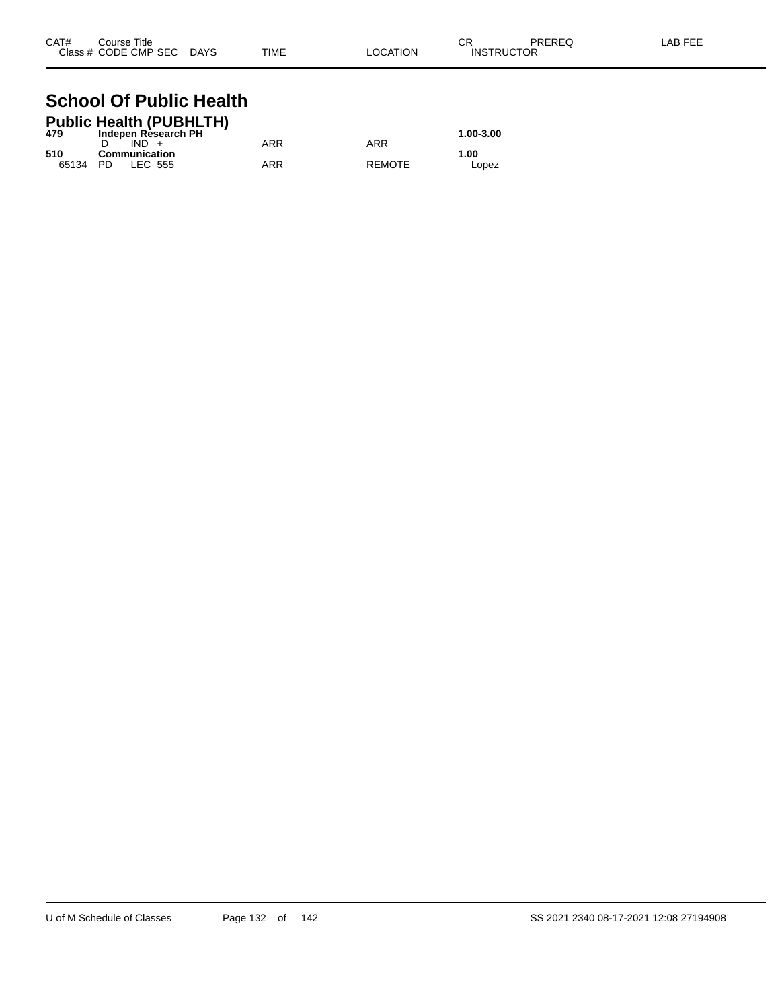| CAT# | Course Title              |      |          | СR                | PREREQ | LAB FEE |
|------|---------------------------|------|----------|-------------------|--------|---------|
|      | Class # CODE CMP SEC DAYS | TIME | LOCATION | <b>INSTRUCTOR</b> |        |         |

#### **School Of Public Health Public Health (PUBHLTH)**

|       | Public Health (PUBHLIH) |     |               |           |
|-------|-------------------------|-----|---------------|-----------|
| 479   | Indepen Rèsearch PH     |     |               | 1.00-3.00 |
|       | $IND +$                 | ARR | ARR           |           |
| 510   | Communication           |     |               | 1.00      |
| 65134 | LEC 555<br>- PD-        | ARR | <b>REMOTE</b> | Lopez     |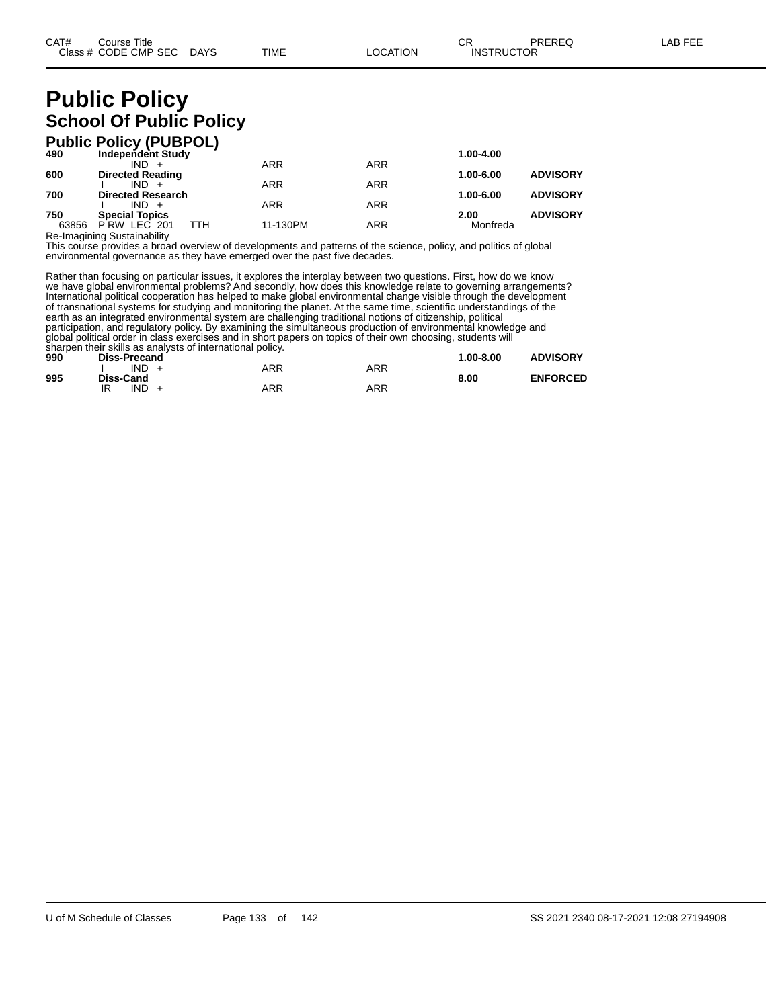# **Public Policy School Of Public Policy**

|       | <b>Public Policy (PUBPOL)</b> |            |            |           |                 |
|-------|-------------------------------|------------|------------|-----------|-----------------|
| 490   | <b>Independent Study</b>      |            |            | 1.00-4.00 |                 |
|       | $IND +$                       | ARR        | <b>ARR</b> |           |                 |
| 600   | <b>Directed Reading</b>       |            |            | 1.00-6.00 | <b>ADVISORY</b> |
|       | $IND +$                       | <b>ARR</b> | <b>ARR</b> |           |                 |
| 700   | <b>Directed Research</b>      |            |            | 1.00-6.00 | <b>ADVISORY</b> |
|       | $IND +$                       | <b>ARR</b> | <b>ARR</b> |           |                 |
| 750   | <b>Special Topics</b>         |            |            | 2.00      | <b>ADVISORY</b> |
| 63856 | ттн<br>PRW LEC 201            | 11-130PM   | ARR        | Monfreda  |                 |

Re-Imagining Sustainability This course provides a broad overview of developments and patterns of the science, policy, and politics of global environmental governance as they have emerged over the past five decades.

Rather than focusing on particular issues, it explores the interplay between two questions. First, how do we know we have global environmental problems? And secondly, how does this knowledge relate to governing arrangements? International political cooperation has helped to make global environmental change visible through the development of transnational systems for studying and monitoring the planet. At the same time, scientific understandings of the earth as an integrated environmental system are challenging traditional notions of citizenship, political participation, and regulatory policy. By examining the simultaneous production of environmental knowledge and global political order in class exercises and in short papers on topics of their own choosing, students will sharpen their skills as analysts of international policy.

| 990 | Diss-Precand |     |     | $1.00 - 8.00$ | <b>ADVISORY</b> |
|-----|--------------|-----|-----|---------------|-----------------|
|     | $IND +$      | ARR | ARR |               |                 |
| 995 | Diss-Cand    |     |     | 8.00          | <b>ENFORCED</b> |
|     | IND<br>IR    | ARR | ARR |               |                 |
|     |              |     |     |               |                 |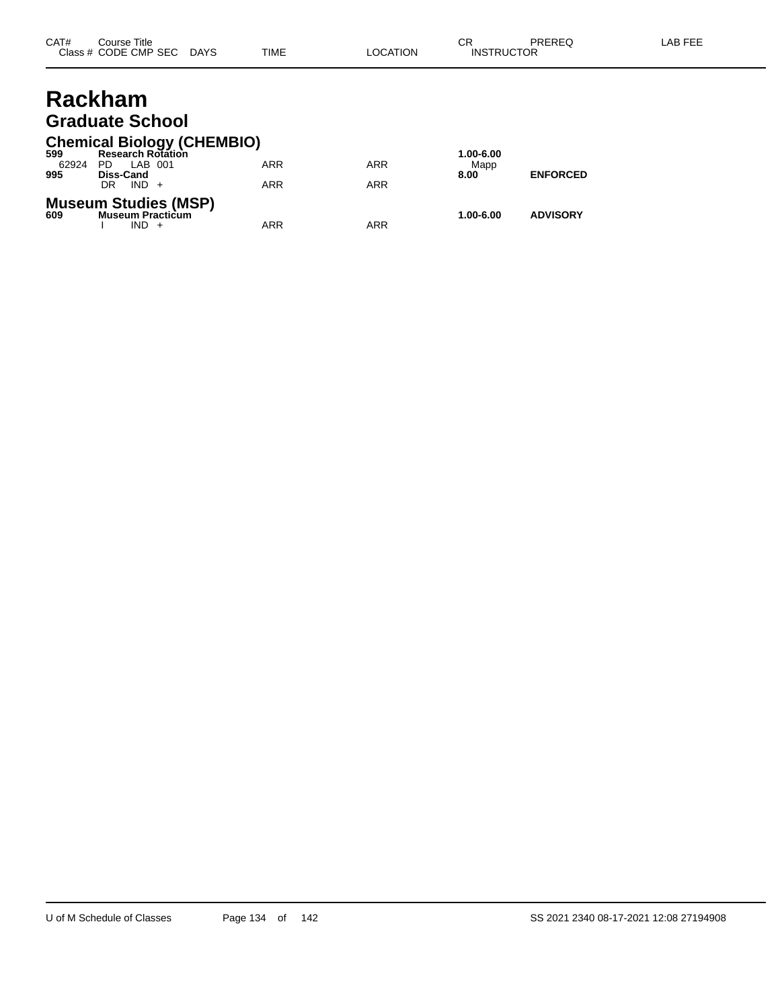### **Rackham Graduate School**

### **Chemical Biology (CHEMBIO)**

| 599   | <b>Research Rotation</b>                                      |            |            | 1.00-6.00 |                 |
|-------|---------------------------------------------------------------|------------|------------|-----------|-----------------|
| 62924 | PD<br>LAB 001                                                 | ARR        | <b>ARR</b> | Mapp      |                 |
| 995   | <b>Diss-Cand</b>                                              |            |            | 8.00      | <b>ENFORCED</b> |
|       | $IND +$<br>DR                                                 | <b>ARR</b> | ARR        |           |                 |
| 609   | <b>Museum Studies (MSP)</b><br><b>Museum Practicum</b><br>IND | ARR        | ARR        | 1.00-6.00 | <b>ADVISORY</b> |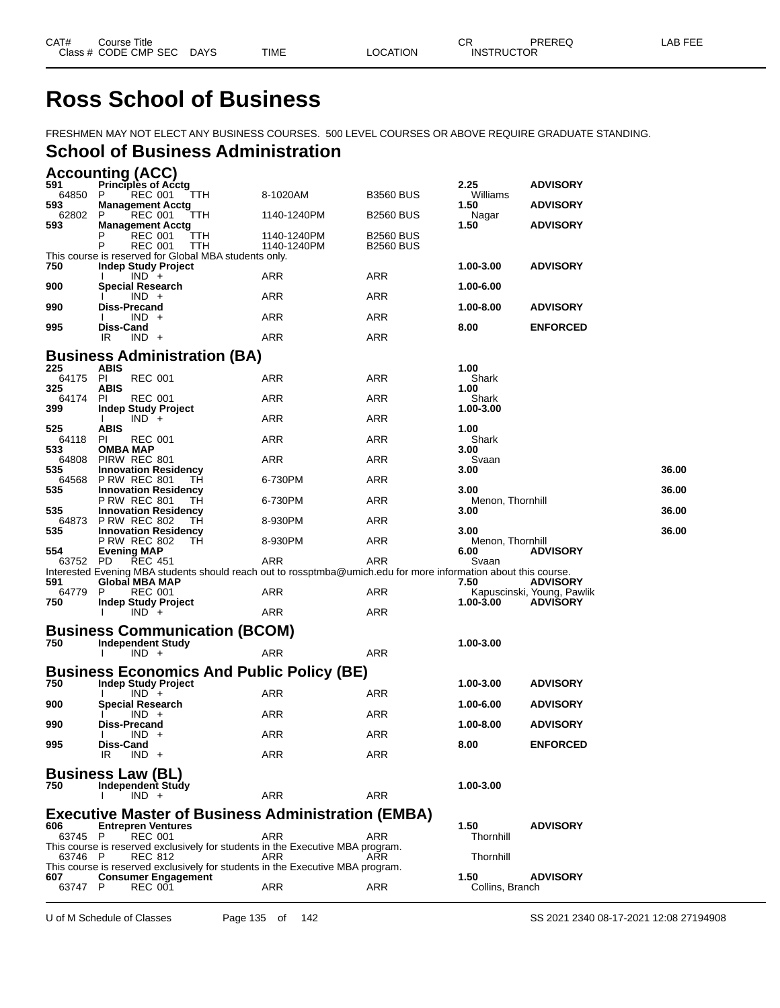# **Ross School of Business**

FRESHMEN MAY NOT ELECT ANY BUSINESS COURSES. 500 LEVEL COURSES OR ABOVE REQUIRE GRADUATE STANDING.

### **School of Business Administration**

### **Accounting (ACC)**

| 591             | <b>Principles of Acctg</b>                                                                                      |             |                  | 2.25                     | <b>ADVISORY</b>                               |       |
|-----------------|-----------------------------------------------------------------------------------------------------------------|-------------|------------------|--------------------------|-----------------------------------------------|-------|
| 64850<br>593    | <b>TTH</b><br>P.<br>REC 001<br><b>Management Acctg</b>                                                          | 8-1020AM    | <b>B3560 BUS</b> | Williams<br>1.50         | <b>ADVISORY</b>                               |       |
| 62802           | REC 001<br>P<br>TTH.                                                                                            | 1140-1240PM | <b>B2560 BUS</b> | Nagar                    |                                               |       |
| 593             | <b>Management Acctg</b><br>REC 001<br>TTH                                                                       | 1140-1240PM | <b>B2560 BUS</b> | 1.50                     | <b>ADVISORY</b>                               |       |
|                 | P<br><b>REC 001</b><br><b>TTH</b>                                                                               | 1140-1240PM | <b>B2560 BUS</b> |                          |                                               |       |
|                 | This course is reserved for Global MBA students only.                                                           |             |                  |                          |                                               |       |
| 750             | <b>Indep Study Project</b><br>$IND +$                                                                           | ARR         | ARR              | 1.00-3.00                | <b>ADVISORY</b>                               |       |
| 900             | <b>Special Research</b>                                                                                         |             |                  | 1.00-6.00                |                                               |       |
|                 | $IND +$<br>Diss-Precand                                                                                         | ARR         | ARR              |                          |                                               |       |
| 990             | $IND +$                                                                                                         | <b>ARR</b>  | ARR              | 1.00-8.00                | <b>ADVISORY</b>                               |       |
| 995             | Diss-Cand                                                                                                       |             |                  | 8.00                     | <b>ENFORCED</b>                               |       |
|                 | $IND +$<br>IR.                                                                                                  | ARR         | <b>ARR</b>       |                          |                                               |       |
|                 | <b>Business Administration (BA)</b>                                                                             |             |                  |                          |                                               |       |
| 225<br>64175 PI | <b>ABIS</b><br><b>REC 001</b>                                                                                   | <b>ARR</b>  | ARR              | 1.00<br>Shark            |                                               |       |
| 325             | <b>ABIS</b>                                                                                                     |             |                  | 1.00                     |                                               |       |
| 64174 PI        | <b>REC 001</b>                                                                                                  | <b>ARR</b>  | ARR              | Shark                    |                                               |       |
| 399             | Indep Study Project<br>$IND +$                                                                                  | ARR         | ARR              | 1.00-3.00                |                                               |       |
| 525             | <b>ABIS</b>                                                                                                     |             |                  | 1.00                     |                                               |       |
| 64118<br>533    | <b>REC 001</b><br>PI.<br>OMBA MAP                                                                               | <b>ARR</b>  | ARR              | Shark<br>3.00            |                                               |       |
| 64808           | PIRW REC 801                                                                                                    | <b>ARR</b>  | ARR              | Svaan                    |                                               |       |
| 535             | <b>Innovation Residency</b>                                                                                     |             |                  | 3.00                     |                                               | 36.00 |
| 64568<br>535    | <b>P RW REC 801</b><br>TH.<br><b>Innovation Residency</b>                                                       | 6-730PM     | ARR              | 3.00                     |                                               | 36.00 |
|                 | <b>P RW REC 801</b><br>TH                                                                                       | 6-730PM     | ARR              | Menon, Thornhill         |                                               |       |
| 535             | <b>Innovation Residency</b><br>64873 P RW REC 802<br>TH                                                         | 8-930PM     | ARR              | 3.00                     |                                               | 36.00 |
| 535             | <b>Innovation Residency</b>                                                                                     |             |                  | 3.00                     |                                               | 36.00 |
| 554             | <b>P RW REC 802</b><br>TH.<br><b>Evening MAP</b>                                                                | 8-930PM     | ARR              | Menon, Thornhill<br>6.00 | <b>ADVISORY</b>                               |       |
| 63752 PD        | <b>REC 451</b>                                                                                                  | ARR         | ARR              | Svaan                    |                                               |       |
|                 | Interested Evening MBA students should reach out to rossptmba@umich.edu for more information about this course. |             |                  |                          |                                               |       |
| 591<br>64779    | Global MBA MAP<br><b>REC 001</b><br>P                                                                           | ARR         | ARR              | 7.50                     | <b>ADVISORY</b><br>Kapuscinski, Young, Pawlik |       |
| 750             | Indep Study Project                                                                                             |             |                  | 1.00-3.00                | <b>ADVISORY</b>                               |       |
|                 | $IND +$                                                                                                         | ARR         | ARR              |                          |                                               |       |
|                 | <b>Business Communication (BCOM)</b>                                                                            |             |                  |                          |                                               |       |
| 750             | <b>Independent Study</b><br>$IND +$<br>$\mathbf{I}$                                                             | <b>ARR</b>  | ARR              | 1.00-3.00                |                                               |       |
|                 |                                                                                                                 |             |                  |                          |                                               |       |
|                 | <b>Business Economics And Public Policy (BE)</b><br><b>Indep Study Project</b>                                  |             |                  |                          |                                               |       |
| 750             | $IND +$                                                                                                         | ARR         | ARR              | 1.00-3.00                | <b>ADVISORY</b>                               |       |
| 900             | <b>Special Research</b>                                                                                         |             |                  | 1.00-6.00                | <b>ADVISORY</b>                               |       |
| 990             | $IND +$<br>Diss-Precand                                                                                         | ARR         | ARR              | 1.00-8.00                | <b>ADVISORY</b>                               |       |
|                 | $IND +$                                                                                                         | ARR         | <b>ARR</b>       |                          |                                               |       |
| 995             | Diss-Cand<br>IR.<br>$IND +$                                                                                     | ARR         |                  | 8.00                     | <b>ENFORCED</b>                               |       |
|                 |                                                                                                                 |             | ARR              |                          |                                               |       |
|                 | <b>Business Law (BL)</b>                                                                                        |             |                  |                          |                                               |       |
| 750             | Independent Study<br>$IND +$                                                                                    | ARR         | ARR              | 1.00-3.00                |                                               |       |
|                 | <b>Executive Master of Business Administration (EMBA)</b>                                                       |             |                  |                          |                                               |       |
| 606             | <b>Entrepren Ventures</b>                                                                                       |             |                  | 1.50                     | <b>ADVISORY</b>                               |       |
| 63745 P         | REC 001                                                                                                         | ARR         | ARR              | Thornhill                |                                               |       |
| 63746 P         | This course is reserved exclusively for students in the Executive MBA program.<br>REC 812                       | ARR         | ARR              | Thornhill                |                                               |       |
|                 | This course is reserved exclusively for students in the Executive MBA program.                                  |             |                  |                          |                                               |       |
| 607             | <b>Consumer Engagement</b>                                                                                      |             |                  | 1.50                     | <b>ADVISORY</b>                               |       |
| 63747 P         | <b>REC 001</b>                                                                                                  | <b>ARR</b>  | ARR              | Collins, Branch          |                                               |       |

U of M Schedule of Classes Page 135 of 142 SS 2021 2340 08-17-2021 12:08 27194908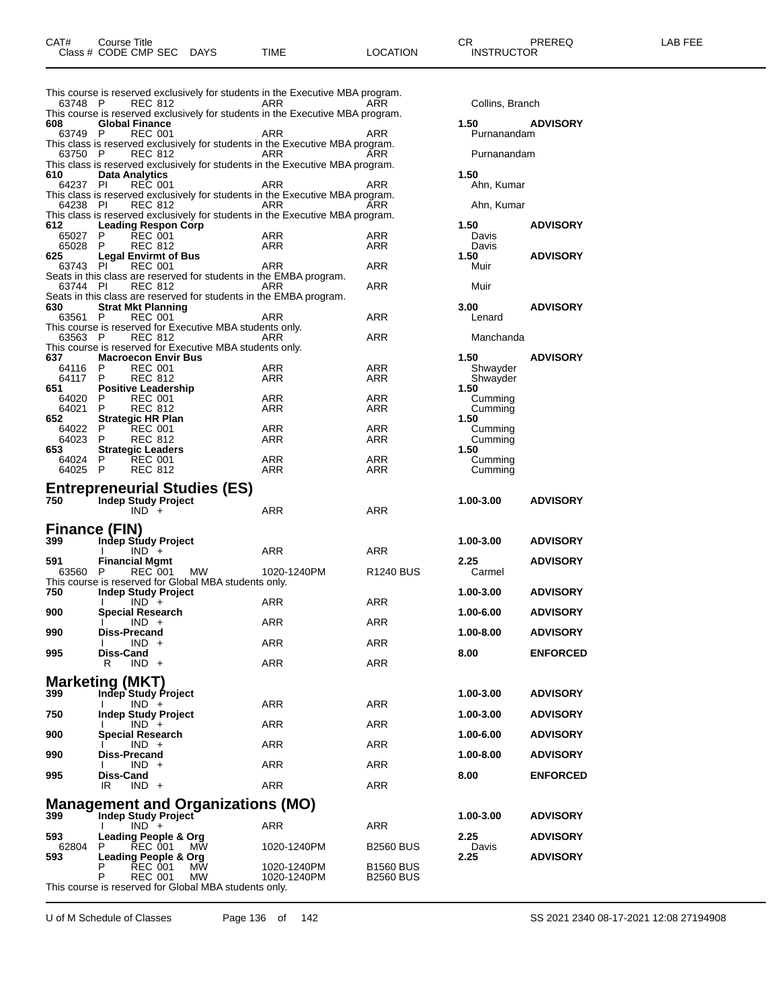| 63748 P        | <b>REC 812</b>                                   |                                                                    | This course is reserved exclusively for students in the Executive MBA program.<br>ARR | ARR                   | Collins, Branch |                 |
|----------------|--------------------------------------------------|--------------------------------------------------------------------|---------------------------------------------------------------------------------------|-----------------------|-----------------|-----------------|
|                |                                                  |                                                                    | This course is reserved exclusively for students in the Executive MBA program.        |                       |                 |                 |
| 608            | <b>Global Finance</b>                            |                                                                    |                                                                                       |                       | 1.50            | <b>ADVISORY</b> |
| 63749 P        | <b>REC 001</b>                                   |                                                                    | ARR                                                                                   | ARR                   | Purnanandam     |                 |
|                |                                                  |                                                                    | This class is reserved exclusively for students in the Executive MBA program.         |                       |                 |                 |
| 63750 P        | <b>REC 812</b>                                   |                                                                    | <b>ARR</b>                                                                            | ARR                   | Purnanandam     |                 |
|                |                                                  |                                                                    | This class is reserved exclusively for students in the Executive MBA program.         |                       |                 |                 |
| 610            | <b>Data Analytics</b>                            |                                                                    |                                                                                       |                       | 1.50            |                 |
| 64237 PI       | <b>REC 001</b>                                   |                                                                    | ARR                                                                                   | ARR                   | Ahn, Kumar      |                 |
|                |                                                  |                                                                    | This class is reserved exclusively for students in the Executive MBA program.         |                       |                 |                 |
| 64238 PI       | <b>REC 812</b>                                   |                                                                    | <b>ARR</b>                                                                            | ARR                   | Ahn, Kumar      |                 |
|                |                                                  |                                                                    | This class is reserved exclusively for students in the Executive MBA program.         |                       |                 |                 |
| 612            | <b>Leading Respon Corp</b>                       |                                                                    |                                                                                       |                       | 1.50            | <b>ADVISORY</b> |
| 65027          | <b>REC 001</b><br>P                              |                                                                    | ARR                                                                                   | ARR                   | Davis           |                 |
| 65028          | P<br><b>REC 812</b>                              |                                                                    | ARR                                                                                   | <b>ARR</b>            | Davis           |                 |
| 625            | <b>Legal Envirmt of Bus</b>                      |                                                                    |                                                                                       |                       | 1.50            | <b>ADVISORY</b> |
| 63743 PI       | <b>REC 001</b>                                   |                                                                    | <b>ARR</b>                                                                            | <b>ARR</b>            | Muir            |                 |
|                |                                                  | Seats in this class are reserved for students in the EMBA program. |                                                                                       |                       |                 |                 |
|                | 63744 PI REC 812                                 |                                                                    | ARR                                                                                   | <b>ARR</b>            | Muir            |                 |
|                |                                                  | Seats in this class are reserved for students in the EMBA program. |                                                                                       |                       |                 |                 |
| 630            | <b>Strat Mkt Planning</b>                        |                                                                    |                                                                                       |                       | 3.00            | <b>ADVISORY</b> |
| 63561 P        | <b>REC 001</b>                                   |                                                                    | ARR                                                                                   | <b>ARR</b>            | Lenard          |                 |
|                |                                                  | This course is reserved for Executive MBA students only.           |                                                                                       |                       |                 |                 |
| 63563 P        | <b>REC 812</b>                                   |                                                                    | ARR                                                                                   | ARR                   | Manchanda       |                 |
|                |                                                  | This course is reserved for Executive MBA students only.           |                                                                                       |                       |                 |                 |
| 637            | <b>Macroecon Envir Bus</b>                       |                                                                    |                                                                                       |                       | 1.50            | <b>ADVISORY</b> |
| 64116          | P<br><b>REC 001</b>                              |                                                                    | ARR                                                                                   | ARR                   | Shwayder        |                 |
| 64117          | P<br><b>REC 812</b>                              |                                                                    | ARR                                                                                   | ARR                   | Shwayder        |                 |
| 651            | <b>Positive Leadership</b>                       |                                                                    |                                                                                       |                       | 1.50            |                 |
| 64020          | P<br><b>REC 001</b>                              |                                                                    | ARR                                                                                   | ARR                   | Cumming         |                 |
| 64021          | <b>REC 812</b><br>P                              |                                                                    | <b>ARR</b>                                                                            | <b>ARR</b>            | Cumming         |                 |
| 652            | <b>Strategic HR Plan</b>                         |                                                                    |                                                                                       |                       | 1.50            |                 |
| 64022          | P<br><b>REC 001</b>                              |                                                                    | <b>ARR</b>                                                                            | ARR                   | Cumming         |                 |
| 64023 P<br>653 | <b>REC 812</b>                                   |                                                                    | ARR                                                                                   | ARR                   | Cumming<br>1.50 |                 |
| 64024          | <b>Strategic Leaders</b><br><b>REC 001</b><br>P. |                                                                    | <b>ARR</b>                                                                            | <b>ARR</b>            | Cumming         |                 |
| 64025          | $\mathsf{P}$<br><b>REC 812</b>                   |                                                                    | ARR                                                                                   | ARR                   | Cumming         |                 |
|                |                                                  |                                                                    |                                                                                       |                       |                 |                 |
|                |                                                  | <b>Entrepreneurial Studies (ES)</b>                                |                                                                                       |                       |                 |                 |
| 750            | <b>Indep Study Project</b>                       |                                                                    |                                                                                       |                       | 1.00-3.00       | <b>ADVISORY</b> |
|                | $IND +$                                          |                                                                    | ARR                                                                                   | <b>ARR</b>            |                 |                 |
|                |                                                  |                                                                    |                                                                                       |                       |                 |                 |
|                | Finance (FIN)                                    |                                                                    |                                                                                       |                       |                 |                 |
| 399            | Indep Study Project                              |                                                                    |                                                                                       |                       | 1.00-3.00       | <b>ADVISORY</b> |
|                | $IND +$<br>I.                                    |                                                                    | ARR                                                                                   | <b>ARR</b>            |                 |                 |
| 591            | <b>Financial Mgmt</b>                            |                                                                    |                                                                                       |                       | 2.25            | <b>ADVISORY</b> |
| 63560 P        | <b>REC 001</b>                                   | MW                                                                 | 1020-1240PM                                                                           | R <sub>1240</sub> BUS | Carmel          |                 |
|                |                                                  | This course is reserved for Global MBA students only.              |                                                                                       |                       |                 |                 |
| 750            | Indep Study Project                              |                                                                    |                                                                                       |                       | 1.00-3.00       | <b>ADVISORY</b> |
|                | $IND +$                                          |                                                                    | ARR                                                                                   | ARR                   |                 |                 |
| 900            | Special Research                                 |                                                                    |                                                                                       |                       | 1.00-6.00       | <b>ADVISORY</b> |
|                | $IND +$                                          |                                                                    | <b>ARR</b>                                                                            | <b>ARR</b>            |                 |                 |
| 990            | <b>Diss-Precand</b>                              |                                                                    |                                                                                       |                       | 1.00-8.00       | <b>ADVISORY</b> |
|                | $IND +$                                          |                                                                    | <b>ARR</b>                                                                            | <b>ARR</b>            |                 |                 |
| 995            | Diss-Cand                                        |                                                                    |                                                                                       |                       | 8.00            | <b>ENFORCED</b> |
|                | R<br>$IND +$                                     |                                                                    | <b>ARR</b>                                                                            | <b>ARR</b>            |                 |                 |

This course is reserved for Global MBA students only.

|                        |                 | 63748 P REC 812                               |                                                          | ARR                                                                                  | ARR                   | Collins, Branch      |                 |
|------------------------|-----------------|-----------------------------------------------|----------------------------------------------------------|--------------------------------------------------------------------------------------|-----------------------|----------------------|-----------------|
| 608                    |                 | <b>Global Finance</b>                         |                                                          | This course is reserved exclusively for students in the Executive MBA program.       |                       | 1.50                 | <b>ADVISORY</b> |
| 63749 P                |                 | <b>REC 001</b>                                |                                                          | ARR                                                                                  | ARR                   | Purnanandam          |                 |
|                        |                 |                                               |                                                          | This class is reserved exclusively for students in the Executive MBA program.        | ARR                   | Purnanandam          |                 |
| 63750 P                |                 | REC 812                                       |                                                          | ARR<br>This class is reserved exclusively for students in the Executive MBA program. |                       |                      |                 |
| 610                    |                 | <b>Data Analytics</b>                         |                                                          |                                                                                      |                       | 1.50                 |                 |
| 64237 PI               |                 | <b>REC 001</b>                                |                                                          | ARR<br>This class is reserved exclusively for students in the Executive MBA program. | ARR                   | Ahn, Kumar           |                 |
| 64238 PI               |                 | <b>REC 812</b>                                |                                                          | ARR                                                                                  | ARR                   | Ahn, Kumar           |                 |
|                        |                 |                                               |                                                          | This class is reserved exclusively for students in the Executive MBA program.        |                       |                      |                 |
| 612<br>65027 P         |                 | <b>Leading Respon Corp</b><br><b>REC 001</b>  |                                                          | ARR                                                                                  | ARR                   | 1.50<br>Davis        | <b>ADVISORY</b> |
| 65028 P                |                 | <b>REC 812</b>                                |                                                          | ARR                                                                                  | ARR                   | Davis                |                 |
| 625<br>63743 PI        |                 | <b>Legal Envirmt of Bus</b><br><b>REC 001</b> |                                                          | ARR                                                                                  | ARR                   | 1.50<br>Muir         | <b>ADVISORY</b> |
|                        |                 |                                               |                                                          | Seats in this class are reserved for students in the EMBA program.                   |                       |                      |                 |
| 63744 PI               |                 | <b>REC 812</b>                                |                                                          | ARR                                                                                  | ARR                   | Muir                 |                 |
| 630                    |                 | <b>Strat Mkt Planning</b>                     |                                                          | Seats in this class are reserved for students in the EMBA program.                   |                       | 3.00 <sub>1</sub>    | <b>ADVISORY</b> |
| 63561 P                |                 | <b>REC 001</b>                                |                                                          | ARR                                                                                  | ARR                   | Lenard               |                 |
|                        |                 |                                               | This course is reserved for Executive MBA students only. |                                                                                      |                       |                      |                 |
| 63563 P                |                 | <b>REC 812</b>                                | This course is reserved for Executive MBA students only. | ARR                                                                                  | ARR                   | Manchanda            |                 |
| 637                    |                 | <b>Macroecon Envir Bus</b>                    |                                                          |                                                                                      |                       | 1.50                 | <b>ADVISORY</b> |
| 64116<br>64117 P       | P               | <b>REC 001</b><br><b>REC 812</b>              |                                                          | ARR<br>ARR                                                                           | ARR<br>ARR            | Shwayder<br>Shwayder |                 |
| 651                    |                 | <b>Positive Leadership</b>                    |                                                          |                                                                                      |                       | 1.50                 |                 |
| 64020 P                |                 | <b>REC 001</b>                                |                                                          | ARR                                                                                  | ARR                   | Cumming              |                 |
| 64021 P<br>652.        |                 | <b>REC 812</b><br><b>Strategic HR Plan</b>    |                                                          | ARR                                                                                  | ARR                   | Cumming<br>1.50      |                 |
| 64022                  | - P             | <b>REC 001</b>                                |                                                          | ARR                                                                                  | ARR                   | Cumming              |                 |
| 64023 P<br>653.        |                 | <b>REC 812</b><br><b>Strategic Leaders</b>    |                                                          | ARR                                                                                  | ARR                   | Cumming<br>1.50      |                 |
| 64024 P                |                 | REC 001                                       |                                                          | ARR                                                                                  | ARR                   | Cumming              |                 |
| 64025 P                |                 | <b>REC 812</b>                                |                                                          | ARR                                                                                  | ARR                   | Cumming              |                 |
|                        |                 |                                               | <b>Entrepreneurial Studies (ES)</b>                      |                                                                                      |                       |                      |                 |
| 750                    |                 | <b>Indep Study Project</b>                    |                                                          |                                                                                      |                       | 1.00-3.00            | <b>ADVISORY</b> |
|                        |                 | $IND +$                                       |                                                          | <b>ARR</b>                                                                           | <b>ARR</b>            |                      |                 |
| <b>Finance (FIN)</b>   |                 |                                               |                                                          |                                                                                      |                       |                      |                 |
| 399                    | $\mathbf{I}$    | <b>Indep Study Project</b><br>$IND +$         |                                                          | ARR                                                                                  | ARR                   | 1.00-3.00            | <b>ADVISORY</b> |
| 591                    |                 | <b>Financial Mgmt</b>                         |                                                          |                                                                                      |                       | 2.25                 | <b>ADVISORY</b> |
| 63560                  | $\mathsf{P}$    | <b>REC 001</b>                                | МW                                                       | 1020-1240PM                                                                          | R <sub>1240</sub> BUS | Carmel               |                 |
| 750                    |                 | Indep Study Project                           | This course is reserved for Global MBA students only.    |                                                                                      |                       | 1.00-3.00            | <b>ADVISORY</b> |
|                        | I.              | $IND +$                                       |                                                          | ARR                                                                                  | ARR                   |                      |                 |
| 900                    | I.              | <b>Special Research</b><br>$IND +$            |                                                          | <b>ARR</b>                                                                           | ARR                   | 1.00-6.00            | <b>ADVISORY</b> |
| 990                    |                 | <b>Diss-Precand</b>                           |                                                          |                                                                                      |                       | 1.00-8.00            | <b>ADVISORY</b> |
| 995                    | I.              | $IND +$                                       |                                                          | ARR                                                                                  | ARR                   |                      |                 |
|                        | Diss-Cand<br>R. | $IND +$                                       |                                                          | ARR                                                                                  | ARR                   | 8.00                 | <b>ENFORCED</b> |
| <b>Marketing (MKT)</b> |                 |                                               |                                                          |                                                                                      |                       |                      |                 |
| 399                    |                 | Indep Study Project                           |                                                          |                                                                                      |                       | 1.00-3.00            | <b>ADVISORY</b> |
|                        | I.              | $IND +$                                       |                                                          | ARR                                                                                  | <b>ARR</b>            |                      |                 |
| 750                    | I.              | <b>Indep Study Project</b><br>$IND +$         |                                                          | ARR                                                                                  | ARR                   | 1.00-3.00            | <b>ADVISORY</b> |
| 900                    |                 | <b>Special Research</b>                       |                                                          |                                                                                      |                       | 1.00-6.00            | <b>ADVISORY</b> |
|                        |                 | $IND +$                                       |                                                          | ARR                                                                                  | ARR                   |                      |                 |
| 990                    | I.              | Diss-Precand<br>$IND +$                       |                                                          | ARR                                                                                  | ARR                   | 1.00-8.00            | <b>ADVISORY</b> |
| 995                    | Diss-Cand       |                                               |                                                          |                                                                                      |                       | 8.00                 | <b>ENFORCED</b> |
|                        | IR              | $IND +$                                       |                                                          | ARR                                                                                  | ARR                   |                      |                 |
|                        |                 |                                               | <b>Management and Organizations (MO)</b>                 |                                                                                      |                       |                      |                 |
| 399                    |                 | Indep Study Project                           |                                                          |                                                                                      |                       | 1.00-3.00            | <b>ADVISORY</b> |
| 593                    | I.              | $IND +$<br>Leading People & Org               |                                                          | ARR                                                                                  | ARR                   | 2.25                 | <b>ADVISORY</b> |
| 62804                  | P               | <b>REC 001</b>                                | MW                                                       | 1020-1240PM                                                                          | <b>B2560 BUS</b>      | Davis                |                 |
| 593                    | P               | Leading People & Org<br><b>REC 001</b>        | <b>MW</b>                                                | 1020-1240PM                                                                          | <b>B1560 BUS</b>      | 2.25                 | <b>ADVISORY</b> |
|                        | P               | <b>REC 001</b>                                | MW                                                       | 1020-1240PM                                                                          | <b>B2560 BUS</b>      |                      |                 |
|                        |                 |                                               | This course is reserved for Global MBA students only.    |                                                                                      |                       |                      |                 |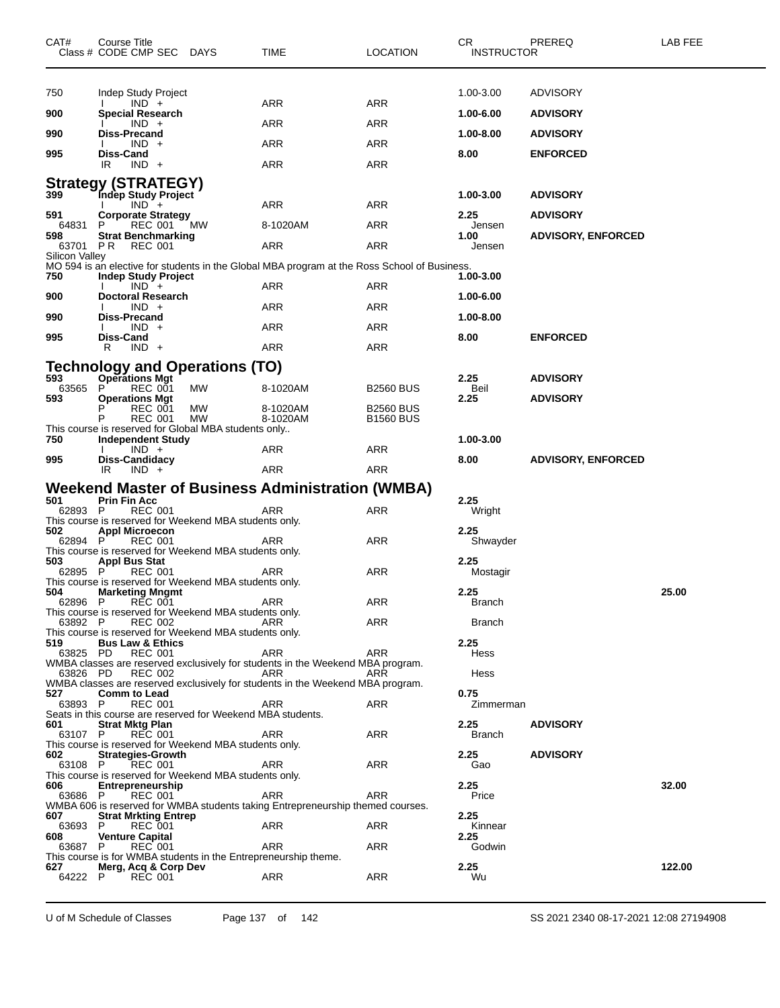| CAT#            | Course Title<br>Class # CODE CMP SEC DAYS      |                                                             | TIME                                                                                         | LOCATION                             | CR.<br><b>INSTRUCTOR</b> | PREREQ                    | LAB FEE |
|-----------------|------------------------------------------------|-------------------------------------------------------------|----------------------------------------------------------------------------------------------|--------------------------------------|--------------------------|---------------------------|---------|
| 750             | Indep Study Project                            |                                                             |                                                                                              |                                      | 1.00-3.00                | <b>ADVISORY</b>           |         |
| 900             | $IND +$<br><b>Special Research</b>             |                                                             | ARR                                                                                          | ARR                                  | 1.00-6.00                | <b>ADVISORY</b>           |         |
|                 | $IND +$                                        |                                                             | ARR                                                                                          | ARR                                  |                          |                           |         |
| 990             | <b>Diss-Precand</b><br>$IND +$                 |                                                             | ARR                                                                                          | ARR                                  | 1.00-8.00                | <b>ADVISORY</b>           |         |
| 995             | Diss-Cand<br>IR<br>$IND +$                     |                                                             | ARR                                                                                          | ARR                                  | 8.00                     | <b>ENFORCED</b>           |         |
|                 | <b>Strategy (STRATEGY)</b>                     |                                                             |                                                                                              |                                      |                          |                           |         |
| 399             | Indep Study Project<br>$IND +$<br>$\mathbf{I}$ |                                                             | ARR                                                                                          | ARR                                  | 1.00-3.00                | <b>ADVISORY</b>           |         |
| 591<br>64831    | <b>Corporate Strategy</b><br>REC 001<br>P      | МW                                                          | 8-1020AM                                                                                     | ARR                                  | 2.25<br>Jensen           | <b>ADVISORY</b>           |         |
| 598<br>63701 PR | <b>Strat Benchmarking</b><br>REC 001           |                                                             | ARR                                                                                          | ARR                                  | 1.00<br>Jensen           | <b>ADVISORY, ENFORCED</b> |         |
| Silicon Valley  |                                                |                                                             | MO 594 is an elective for students in the Global MBA program at the Ross School of Business. |                                      |                          |                           |         |
| 750             | <b>Indep Study Project</b><br>$IND +$          |                                                             | ARR                                                                                          | ARR                                  | 1.00-3.00                |                           |         |
| 900             | <b>Doctoral Research</b>                       |                                                             |                                                                                              |                                      | 1.00-6.00                |                           |         |
| 990             | $IND +$<br><b>Diss-Precand</b>                 |                                                             | ARR                                                                                          | ARR                                  | 1.00-8.00                |                           |         |
| 995             | $IND +$<br>Diss-Cand                           |                                                             | ARR                                                                                          | ARR                                  | 8.00                     | <b>ENFORCED</b>           |         |
|                 | $IND +$<br>R                                   |                                                             | ARR                                                                                          | ARR                                  |                          |                           |         |
| 593             | <b>Operations Mgt</b>                          | <b>Technology and Operations (TO)</b>                       |                                                                                              |                                      | 2.25                     | <b>ADVISORY</b>           |         |
| 63565<br>593    | P<br><b>REC 001</b><br><b>Operations Mgt</b>   | <b>MW</b>                                                   | 8-1020AM                                                                                     | <b>B2560 BUS</b>                     | Beil<br>2.25             | <b>ADVISORY</b>           |         |
|                 | P<br><b>REC 001</b><br>Р<br><b>REC 001</b>     | MW<br>МW                                                    | 8-1020AM<br>8-1020AM                                                                         | <b>B2560 BUS</b><br><b>B1560 BUS</b> |                          |                           |         |
| 750             |                                                | This course is reserved for Global MBA students only        |                                                                                              |                                      | 1.00-3.00                |                           |         |
|                 | <b>Independent Study</b><br>$IND +$            |                                                             | ARR                                                                                          | ARR                                  |                          |                           |         |
| 995             | Diss-Candidacy<br>IR<br>$IND +$                |                                                             | ARR                                                                                          | ARR                                  | 8.00                     | <b>ADVISORY, ENFORCED</b> |         |
|                 |                                                |                                                             | Weekend Master of Business Administration (WMBA)                                             |                                      |                          |                           |         |
| 501<br>62893 P  | <b>Prin Fin Acc</b><br><b>REC 001</b>          |                                                             | ARR                                                                                          | ARR                                  | 2.25<br>Wright           |                           |         |
| 502             | <b>Appl Microecon</b>                          | This course is reserved for Weekend MBA students only.      |                                                                                              |                                      | 2.25                     |                           |         |
| 62894 P         | REC 001                                        | This course is reserved for Weekend MBA students only.      | ARR                                                                                          | ARR                                  | Shwayder                 |                           |         |
| 503<br>62895 P  | <b>Appl Bus Stat</b><br><b>REC 001</b>         |                                                             | ARR                                                                                          | ARR                                  | 2.25<br>Mostagir         |                           |         |
|                 |                                                | This course is reserved for Weekend MBA students only.      |                                                                                              |                                      |                          |                           |         |
| 504             | <b>Marketing Mngmt</b><br>62896 P REC 001      |                                                             | ARR                                                                                          | ARR                                  | 2.25<br><b>Branch</b>    |                           | 25.00   |
| 63892 P         | <b>REC 002</b>                                 | This course is reserved for Weekend MBA students only.      | ARR                                                                                          | ARR                                  | <b>Branch</b>            |                           |         |
| 519             | <b>Bus Law &amp; Ethics</b>                    | This course is reserved for Weekend MBA students only.      |                                                                                              |                                      | 2.25                     |                           |         |
| 63825 PD        | <b>REC 001</b>                                 |                                                             | ARR<br>WMBA classes are reserved exclusively for students in the Weekend MBA program.        | <b>ARR</b>                           | Hess                     |                           |         |
| 63826 PD        | <b>REC 002</b>                                 |                                                             | ARR<br>WMBA classes are reserved exclusively for students in the Weekend MBA program.        | ARR                                  | Hess                     |                           |         |
| 527<br>63893 P  | <b>Comm to Lead</b><br><b>REC 001</b>          |                                                             | ARR                                                                                          | ARR                                  | 0.75<br>Zimmerman        |                           |         |
|                 |                                                | Seats in this course are reserved for Weekend MBA students. |                                                                                              |                                      |                          |                           |         |
| 601<br>63107 P  | <b>Strat Mktg Plan</b><br><b>REC 001</b>       |                                                             | ARR                                                                                          | ARR                                  | 2.25<br><b>Branch</b>    | <b>ADVISORY</b>           |         |
| 602             | <b>Strategies-Growth</b>                       | This course is reserved for Weekend MBA students only.      |                                                                                              |                                      | 2.25                     | <b>ADVISORY</b>           |         |
| 63108 P         | <b>REC 001</b>                                 | This course is reserved for Weekend MBA students only.      | <b>ARR</b>                                                                                   | ARR                                  | Gao                      |                           |         |
| 606<br>63686 P  | <b>Entrepreneurship</b><br><b>REC 001</b>      |                                                             | <b>ARR</b>                                                                                   | ARR                                  | 2.25<br>Price            |                           | 32.00   |
| 607             | <b>Strat Mrkting Entrep</b>                    |                                                             | WMBA 606 is reserved for WMBA students taking Entrepreneurship themed courses.               |                                      | 2.25                     |                           |         |
| 63693 P<br>608  | <b>REC 001</b><br><b>Venture Capital</b>       |                                                             | ARR                                                                                          | ARR                                  | Kinnear<br>2.25          |                           |         |
| 63687 P         | <b>REC 001</b>                                 |                                                             | ARR                                                                                          | ARR                                  | Godwin                   |                           |         |
| 627             | Merg, Acq & Corp Dev                           |                                                             | This course is for WMBA students in the Entrepreneurship theme.                              |                                      | 2.25                     |                           | 122.00  |
| 64222 P         | <b>REC 001</b>                                 |                                                             | ARR                                                                                          | ARR                                  | Wu                       |                           |         |

U of M Schedule of Classes Page 137 of 142 SS 2021 2340 08-17-2021 12:08 27194908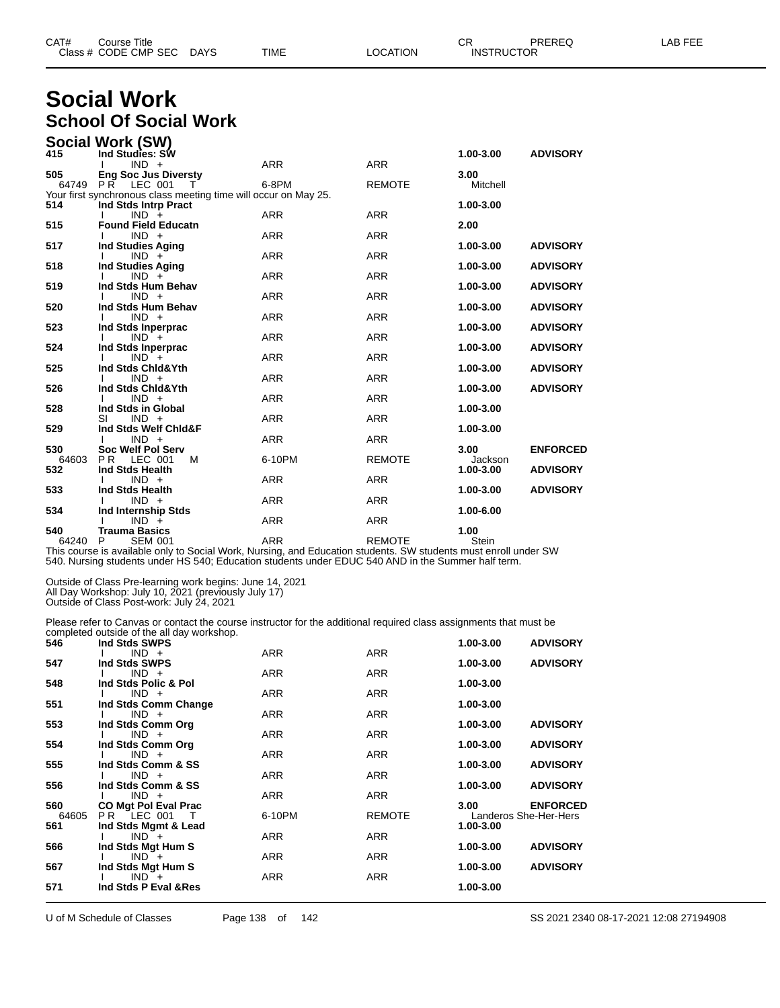| CAT# | Title<br>Sourse                    |                       |             |          | ~~<br>◡⊓                           | <b>PREREC</b> | $- - -$<br>ΔR<br>--- |
|------|------------------------------------|-----------------------|-------------|----------|------------------------------------|---------------|----------------------|
|      | Class # CODE CMP SEC<br>__<br>____ | <b>DAYS</b><br>$\sim$ | <b>TIME</b> | _OCATION | TRUCTOR<br><b>INST</b><br>________ |               |                      |

### **Social Work School Of Social Work**

|              | Social Work (SW)                                                |            |               |                      |                 |
|--------------|-----------------------------------------------------------------|------------|---------------|----------------------|-----------------|
| 415          | Ind Studies: SW                                                 |            |               | 1.00-3.00            | <b>ADVISORY</b> |
|              | $IND +$                                                         | <b>ARR</b> | <b>ARR</b>    |                      |                 |
| 505          | <b>Eng Soc Jus Diversty</b><br>64749 PR LEC 001<br>$\top$       | 6-8PM      | <b>REMOTE</b> | 3.00<br>Mitchell     |                 |
|              | Your first synchronous class meeting time will occur on May 25. |            |               |                      |                 |
| 514          | Ind Stds Intrp Pract                                            |            |               | 1.00-3.00            |                 |
|              | $IND +$                                                         | <b>ARR</b> | <b>ARR</b>    |                      |                 |
| 515          | <b>Found Field Educatn</b>                                      |            |               | 2.00                 |                 |
|              | $IND +$                                                         | <b>ARR</b> | <b>ARR</b>    |                      |                 |
| 517          | <b>Ind Studies Aging</b>                                        |            |               | 1.00-3.00            | <b>ADVISORY</b> |
|              | $IND +$                                                         | <b>ARR</b> | <b>ARR</b>    |                      |                 |
| 518          | <b>Ind Studies Aging</b><br>$IND +$                             | <b>ARR</b> | <b>ARR</b>    | 1.00-3.00            | <b>ADVISORY</b> |
| 519          | Ind Stds Hum Behav                                              |            |               | 1.00-3.00            | <b>ADVISORY</b> |
|              | $IND +$                                                         | <b>ARR</b> | <b>ARR</b>    |                      |                 |
| 520          | Ind Stds Hum Behav                                              |            |               | 1.00-3.00            | <b>ADVISORY</b> |
|              | $IND +$                                                         | <b>ARR</b> | <b>ARR</b>    |                      |                 |
| 523          | Ind Stds Inperprac                                              |            |               | 1.00-3.00            | <b>ADVISORY</b> |
|              | $IND +$                                                         | <b>ARR</b> | <b>ARR</b>    |                      |                 |
| 524          | Ind Stds Inperprac                                              |            |               | 1.00-3.00            | <b>ADVISORY</b> |
|              | $IND +$                                                         | <b>ARR</b> | <b>ARR</b>    |                      |                 |
| 525          | Ind Stds Chid&Yth<br>$IND +$                                    | <b>ARR</b> | <b>ARR</b>    | 1.00-3.00            | <b>ADVISORY</b> |
| 526          | Ind Stds Chid&Yth                                               |            |               | 1.00-3.00            | <b>ADVISORY</b> |
|              | $IND +$                                                         | <b>ARR</b> | <b>ARR</b>    |                      |                 |
| 528          | Ind Stds in Global                                              |            |               | 1.00-3.00            |                 |
|              | $IND +$<br>SI                                                   | <b>ARR</b> | <b>ARR</b>    |                      |                 |
| 529          | Ind Stds Welf Chid&F                                            |            |               | 1.00-3.00            |                 |
|              | $IND +$                                                         | <b>ARR</b> | <b>ARR</b>    |                      |                 |
| 530          | <b>Soc Welf Pol Serv</b>                                        |            |               | 3.00                 | <b>ENFORCED</b> |
| 64603<br>532 | <b>PR</b><br><b>LEC 001</b><br>м<br>Ind Stds Health             | 6-10PM     | <b>REMOTE</b> | Jackson<br>1.00-3.00 | <b>ADVISORY</b> |
|              | $IND +$                                                         | <b>ARR</b> | <b>ARR</b>    |                      |                 |
| 533          | Ind Stds Health                                                 |            |               | 1.00-3.00            | <b>ADVISORY</b> |
|              | $IND +$                                                         | <b>ARR</b> | <b>ARR</b>    |                      |                 |
| 534          | Ind Internship Stds                                             |            |               | 1.00-6.00            |                 |
|              | $IND +$                                                         | <b>ARR</b> | <b>ARR</b>    |                      |                 |
| 540          | <b>Trauma Basics</b>                                            |            |               | 1.00                 |                 |
| 64240        | <b>SEM 001</b><br>P                                             | <b>ARR</b> | <b>REMOTE</b> | Stein                |                 |

This course is available only to Social Work, Nursing, and Education students. SW students must enroll under SW 540. Nursing students under HS 540; Education students under EDUC 540 AND in the Summer half term.

Outside of Class Pre-learning work begins: June 14, 2021 All Day Workshop: July 10, 2021 (previously July 17)

Outside of Class Post-work: July 24, 2021

Please refer to Canvas or contact the course instructor for the additional required class assignments that must be completed outside of the all day workshop.

| 546   | Ind Stds SWPS                   |            |               | 1.00-3.00 | <b>ADVISORY</b>       |
|-------|---------------------------------|------------|---------------|-----------|-----------------------|
|       | $IND +$                         | <b>ARR</b> | <b>ARR</b>    |           |                       |
| 547   | Ind Stds SWPS                   |            |               | 1.00-3.00 | <b>ADVISORY</b>       |
|       | $IND +$                         | <b>ARR</b> | <b>ARR</b>    |           |                       |
| 548   | Ind Stds Polic & Pol            | <b>ARR</b> | <b>ARR</b>    | 1.00-3.00 |                       |
| 551   | $IND +$                         |            |               | 1.00-3.00 |                       |
|       | Ind Stds Comm Change<br>$IND +$ | <b>ARR</b> | <b>ARR</b>    |           |                       |
| 553   | Ind Stds Comm Org               |            |               | 1.00-3.00 | <b>ADVISORY</b>       |
|       | $IND +$                         | <b>ARR</b> | ARR           |           |                       |
| 554   | Ind Stds Comm Org               |            |               | 1.00-3.00 | <b>ADVISORY</b>       |
|       | $IND +$                         | <b>ARR</b> | ARR           |           |                       |
| 555   | Ind Stds Comm & SS              |            |               | 1.00-3.00 | <b>ADVISORY</b>       |
|       | $IND +$                         | <b>ARR</b> | <b>ARR</b>    |           |                       |
| 556   | Ind Stds Comm & SS              |            |               | 1.00-3.00 | <b>ADVISORY</b>       |
|       | $IND +$                         | <b>ARR</b> | <b>ARR</b>    |           |                       |
| 560   | <b>CO Mgt Pol Eval Prac</b>     |            |               | 3.00      | <b>ENFORCED</b>       |
| 64605 | <b>PR</b> LEC 001<br>$\top$     | 6-10PM     | <b>REMOTE</b> |           | Landeros She-Her-Hers |
| 561   | Ind Stds Mgmt & Lead            |            |               | 1.00-3.00 |                       |
|       | $IND +$                         | <b>ARR</b> | <b>ARR</b>    |           |                       |
| 566   | Ind Stds Mgt Hum S              |            |               | 1.00-3.00 | <b>ADVISORY</b>       |
| 567   | $IND +$                         | <b>ARR</b> | <b>ARR</b>    | 1.00-3.00 | <b>ADVISORY</b>       |
|       | Ind Stds Mgt Hum S<br>$IND^-+$  | <b>ARR</b> | ARR           |           |                       |
| 571   | Ind Stds P Eval & Res           |            |               | 1.00-3.00 |                       |
|       |                                 |            |               |           |                       |

U of M Schedule of Classes Page 138 of 142 SS 2021 2340 08-17-2021 12:08 27194908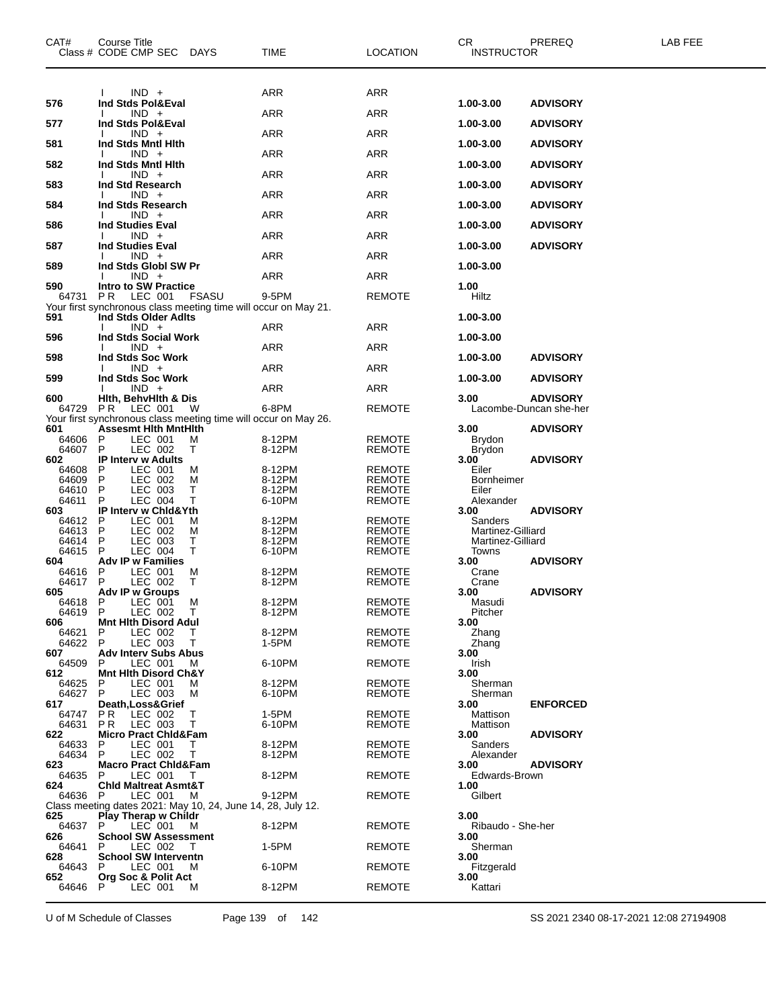| CAT#           | Course Title<br>Class # CODE CMP SEC                                                       | <b>DAYS</b>  | TIME             | <b>LOCATION</b>                | CR<br><b>INSTRUCTOR</b>      | PREREQ                                    | LAB FEE |
|----------------|--------------------------------------------------------------------------------------------|--------------|------------------|--------------------------------|------------------------------|-------------------------------------------|---------|
|                | $IND +$                                                                                    |              | <b>ARR</b>       | ARR                            |                              |                                           |         |
| 576            | Ind Stds Pol&Eval<br>$IND +$                                                               |              | ARR              | <b>ARR</b>                     | 1.00-3.00                    | <b>ADVISORY</b>                           |         |
| 577            | Ind Stds Pol&Eval<br>$IND +$                                                               |              | ARR              | ARR                            | 1.00-3.00                    | <b>ADVISORY</b>                           |         |
| 581            | Ind Stds Mntl Hith<br>$IND +$                                                              |              | <b>ARR</b>       |                                | 1.00-3.00                    | <b>ADVISORY</b>                           |         |
| 582            | Ind Stds Mntl Hith                                                                         |              |                  | ARR                            | 1.00-3.00                    | <b>ADVISORY</b>                           |         |
| 583            | $IND +$<br>Ind Std Research                                                                |              | ARR              | <b>ARR</b>                     | 1.00-3.00                    | <b>ADVISORY</b>                           |         |
| 584            | $IND +$<br>Ind Stds Research                                                               |              | ARR              | ARR                            | 1.00-3.00                    | <b>ADVISORY</b>                           |         |
| 586            | $IND +$<br><b>Ind Studies Eval</b>                                                         |              | <b>ARR</b>       | ARR                            | 1.00-3.00                    | <b>ADVISORY</b>                           |         |
| 587            | $IND +$                                                                                    |              | ARR              | <b>ARR</b>                     |                              |                                           |         |
|                | <b>Ind Studies Eval</b><br>$IND +$                                                         |              | ARR              | ARR                            | 1.00-3.00                    | <b>ADVISORY</b>                           |         |
| 589            | Ind Stds Globl SW Pr<br>$IND +$                                                            |              | <b>ARR</b>       | ARR                            | 1.00-3.00                    |                                           |         |
| 590<br>64731   | <b>Intro to SW Practice</b><br>PR.<br>LEC 001                                              | <b>FSASU</b> | 9-5PM            | <b>REMOTE</b>                  | 1.00<br>Hiltz                |                                           |         |
| 591            | Your first synchronous class meeting time will occur on May 21.<br>Ind Stds Older Adlts    |              |                  |                                | 1.00-3.00                    |                                           |         |
|                | $IND +$                                                                                    |              | ARR              | ARR                            |                              |                                           |         |
| 596            | Ind Stds Social Work<br>$IND +$                                                            |              | ARR              | ARR                            | 1.00-3.00                    |                                           |         |
| 598            | Ind Stds Soc Work<br>$IND +$                                                               |              | <b>ARR</b>       | ARR                            | 1.00-3.00                    | <b>ADVISORY</b>                           |         |
| 599            | Ind Stds Soc Work<br>$IND +$                                                               |              | ARR              | ARR                            | 1.00-3.00                    | <b>ADVISORY</b>                           |         |
| 600<br>64729   | Hith, BehvHith & Dis<br>PR LEC 001                                                         | - W          | 6-8PM            | <b>REMOTE</b>                  | 3.00                         | <b>ADVISORY</b><br>Lacombe-Duncan she-her |         |
|                | Your first synchronous class meeting time will occur on May 26.                            |              |                  |                                |                              |                                           |         |
| 601<br>64606   | <b>Assesmt Hith MntHith</b><br>P<br>LEC 001                                                | м            | 8-12PM           | <b>REMOTE</b>                  | 3.00<br><b>Brydon</b>        | <b>ADVISORY</b>                           |         |
| 64607<br>602   | P<br>LEC 002<br><b>IP Interv w Adults</b>                                                  | Т            | 8-12PM           | <b>REMOTE</b>                  | <b>Brydon</b><br>3.00        | <b>ADVISORY</b>                           |         |
| 64608<br>64609 | P<br>LEC 001<br>P<br>LEC 002                                                               | м<br>м       | 8-12PM<br>8-12PM | <b>REMOTE</b><br><b>REMOTE</b> | Eiler<br><b>Bornheimer</b>   |                                           |         |
| 64610          | P<br>LEC 003                                                                               | Т            | 8-12PM           | REMOTE                         | Eiler                        |                                           |         |
| 64611<br>603   | LEC 004<br>P<br>IP Interv w Chid&Yth                                                       | т            | 6-10PM           | <b>REMOTE</b>                  | Alexander<br>3.00            | <b>ADVISORY</b>                           |         |
| 64612<br>64613 | LEC 001<br>P<br>P<br>LEC 002                                                               | м<br>M       | 8-12PM<br>8-12PM | REMOTE<br>REMOTE               | Sanders<br>Martinez-Gilliard |                                           |         |
| 64614<br>64615 | P<br>LEC 003<br>P<br>LEC 004                                                               | Т<br>T       | 8-12PM<br>6-10PM | <b>REMOTE</b><br><b>REMOTE</b> | Martinez-Gilliard<br>Towns   |                                           |         |
| 604            | <b>Adv IP w Families</b>                                                                   |              |                  |                                | 3.00                         | <b>ADVISORY</b>                           |         |
| 64616<br>64617 | LEC 001<br>P<br>P<br>LEC 002                                                               | M<br>Τ       | 8-12PM<br>8-12PM | REMOTE<br><b>REMOTE</b>        | Crane<br>Crane               |                                           |         |
| 605<br>64618   | <b>Adv IP w Groups</b><br>P<br>LEC 001                                                     | м            | 8-12PM           | <b>REMOTE</b>                  | 3.00<br>Masudi               | <b>ADVISORY</b>                           |         |
| 64619<br>606   | P<br>LEC 002<br><b>Mnt Hith Disord Adul</b>                                                | $\top$       | 8-12PM           | <b>REMOTE</b>                  | Pitcher<br>3.00              |                                           |         |
| 64621          | P<br>LEC 002                                                                               | Τ            | 8-12PM           | <b>REMOTE</b>                  | Zhang                        |                                           |         |
| 64622<br>607   | P<br>LEC 003<br><b>Adv Interv Subs Abus</b>                                                | т            | 1-5PM            | <b>REMOTE</b>                  | Zhang<br>3.00                |                                           |         |
| 64509<br>612   | P<br>LEC 001<br><b>Mnt Hith Disord Ch&amp;Y</b>                                            | м            | 6-10PM           | <b>REMOTE</b>                  | Irish<br>3.00                |                                           |         |
| 64625<br>64627 | P<br>LEC 001<br>P<br>LEC 003                                                               | м<br>М       | 8-12PM<br>6-10PM | <b>REMOTE</b><br><b>REMOTE</b> | Sherman<br>Sherman           |                                           |         |
| 617<br>64747   | Death, Loss& Grief<br>P R<br>LEC 002                                                       | т            | 1-5PM            | <b>REMOTE</b>                  | 3.00<br>Mattison             | <b>ENFORCED</b>                           |         |
| 64631          | LEC 003<br>P R                                                                             | т            | 6-10PM           | <b>REMOTE</b>                  | Mattison                     |                                           |         |
| 622<br>64633   | <b>Micro Pract Chid&amp;Fam</b><br>P<br>LEC 001                                            | т            | 8-12PM           | <b>REMOTE</b>                  | 3.00<br><b>Sanders</b>       | <b>ADVISORY</b>                           |         |
| 64634<br>623   | P<br>LEC 002<br><b>Macro Pract Chid&amp;Fam</b>                                            | Τ            | 8-12PM           | <b>REMOTE</b>                  | Alexander<br>3.00            | <b>ADVISORY</b>                           |         |
| 64635<br>624   | P<br>LEC 001<br><b>Chid Maltreat Asmt&amp;T</b>                                            | $\top$       | 8-12PM           | <b>REMOTE</b>                  | Edwards-Brown<br>1.00        |                                           |         |
| 64636 P        | LEC 001                                                                                    | М            | 9-12PM           | <b>REMOTE</b>                  | Gilbert                      |                                           |         |
| 625            | Class meeting dates 2021: May 10, 24, June 14, 28, July 12.<br><b>Play Therap w Childr</b> |              |                  |                                | 3.00                         |                                           |         |
| 64637<br>626   | LEC 001<br>P<br><b>School SW Assessment</b>                                                | м            | 8-12PM           | <b>REMOTE</b>                  | Ribaudo - She-her<br>3.00    |                                           |         |
| 64641<br>628   | LEC 002<br>P<br><b>School SW Interventn</b>                                                | $\top$       | 1-5PM            | <b>REMOTE</b>                  | Sherman<br>3.00              |                                           |         |
| 64643<br>652   | LEC 001<br>P<br>Org Soc & Polit Act                                                        | M            | 6-10PM           | <b>REMOTE</b>                  | Fitzgerald<br>3.00           |                                           |         |
| 64646          | P<br>LEC 001                                                                               | м            | 8-12PM           | REMOTE                         | Kattari                      |                                           |         |
|                |                                                                                            |              |                  |                                |                              |                                           |         |

U of M Schedule of Classes Page 139 of 142 SS 2021 2340 08-17-2021 12:08 27194908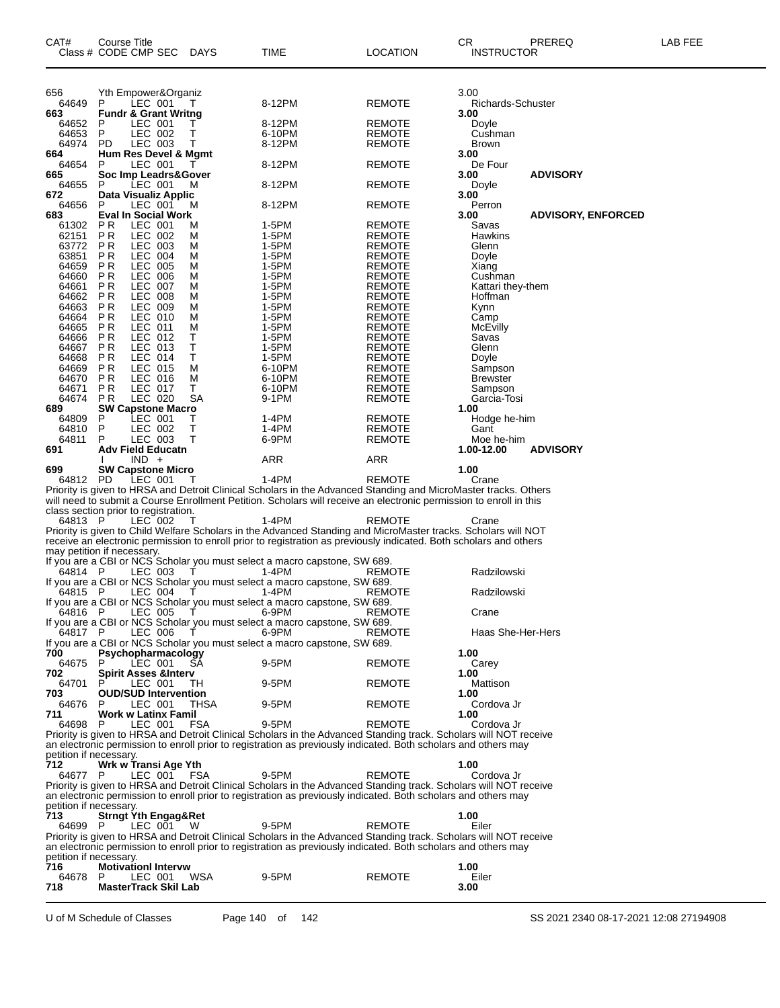| CAT#                       | Course Title | Class # CODE CMP SEC                         | DAYS         | TIME                                                                                                                                                                                                                                 | <b>LOCATION</b>                | CR<br>PREREQ<br><b>INSTRUCTOR</b>           | LAB FEE |
|----------------------------|--------------|----------------------------------------------|--------------|--------------------------------------------------------------------------------------------------------------------------------------------------------------------------------------------------------------------------------------|--------------------------------|---------------------------------------------|---------|
|                            |              |                                              |              |                                                                                                                                                                                                                                      |                                |                                             |         |
|                            |              |                                              |              |                                                                                                                                                                                                                                      |                                |                                             |         |
| 656<br>64649               | P            | Yth Empower&Organiz<br>LEC 001               | Т.           | 8-12PM                                                                                                                                                                                                                               | <b>REMOTE</b>                  | 3.00<br>Richards-Schuster                   |         |
| 663                        |              | <b>Fundr &amp; Grant Writng</b>              |              |                                                                                                                                                                                                                                      |                                | 3.00                                        |         |
| 64652<br>64653             | P<br>P       | LEC 001<br>LEC 002                           | Τ<br>т       | 8-12PM<br>6-10PM                                                                                                                                                                                                                     | <b>REMOTE</b><br><b>REMOTE</b> | Doyle<br>Cushman                            |         |
| 64974                      | <b>PD</b>    | LEC 003<br>Hum Res Devel & Mgmt              | Т            | 8-12PM                                                                                                                                                                                                                               | REMOTE                         | Brown                                       |         |
| 664<br>64654               | P            | LEC 001                                      |              | 8-12PM                                                                                                                                                                                                                               | REMOTE                         | 3.00<br>De Four                             |         |
| 665<br>64655               | P            | Soc Imp Leadrs&Gover<br>LEC 001              | M            | 8-12PM                                                                                                                                                                                                                               | <b>REMOTE</b>                  | <b>ADVISORY</b><br>3.00<br>Doyle            |         |
| 672                        |              | Data Visualiz Applic                         |              |                                                                                                                                                                                                                                      |                                | 3.00                                        |         |
| 64656<br>683               | P            | LEC 001<br><b>Eval In Social Work</b>        | м            | 8-12PM                                                                                                                                                                                                                               | REMOTE                         | Perron<br>3.00<br><b>ADVISORY, ENFORCED</b> |         |
| 61302                      | P R          | LEC 001                                      | M            | 1-5PM                                                                                                                                                                                                                                | <b>REMOTE</b>                  | Savas                                       |         |
| 62151<br>63772             | P R<br>P R   | LEC 002<br>LEC 003                           | M<br>M       | 1-5PM<br>1-5PM                                                                                                                                                                                                                       | <b>REMOTE</b><br><b>REMOTE</b> | Hawkins<br>Glenn                            |         |
| 63851                      | P R          | <b>LEC 004</b>                               | M            | 1-5PM                                                                                                                                                                                                                                | <b>REMOTE</b>                  | Doyle                                       |         |
| 64659<br>64660             | P R<br>P R   | LEC 005<br>LEC 006                           | M<br>M       | 1-5PM<br>1-5PM                                                                                                                                                                                                                       | <b>REMOTE</b><br><b>REMOTE</b> | Xiang<br>Cushman                            |         |
| 64661                      | P R          | LEC 007                                      | М            | 1-5PM                                                                                                                                                                                                                                | <b>REMOTE</b>                  | Kattari they-them                           |         |
| 64662<br>64663             | P R<br>P R   | LEC 008<br>LEC 009                           | M<br>M       | 1-5PM<br>1-5PM                                                                                                                                                                                                                       | <b>REMOTE</b><br><b>REMOTE</b> | Hoffman<br>Kynn                             |         |
| 64664                      | P R          | LEC 010                                      | M            | 1-5PM                                                                                                                                                                                                                                | <b>REMOTE</b>                  | Camp                                        |         |
| 64665<br>64666             | P R<br>P R   | LEC 011<br>LEC 012                           | M<br>т       | 1-5PM<br>1-5PM                                                                                                                                                                                                                       | <b>REMOTE</b><br><b>REMOTE</b> | <b>McEvilly</b><br>Savas                    |         |
| 64667                      | <b>PR</b>    | LEC 013                                      | т            | 1-5PM                                                                                                                                                                                                                                | <b>REMOTE</b>                  | Glenn                                       |         |
| 64668<br>64669             | P R<br>P R   | LEC 014<br>LEC 015                           | т<br>М       | 1-5PM<br>6-10PM                                                                                                                                                                                                                      | <b>REMOTE</b><br><b>REMOTE</b> | Doyle<br>Sampson                            |         |
| 64670                      | P R          | LEC 016                                      | М            | 6-10PM                                                                                                                                                                                                                               | <b>REMOTE</b>                  | <b>Brewster</b>                             |         |
| 64671<br>64674             | P R<br>P R   | LEC 017<br>LEC 020                           | Т<br>SA      | 6-10PM<br>9-1PM                                                                                                                                                                                                                      | <b>REMOTE</b><br>REMOTE        | Sampson<br>Garcia-Tosi                      |         |
| 689                        |              | <b>SW Capstone Macro</b>                     |              |                                                                                                                                                                                                                                      |                                | 1.00                                        |         |
| 64809<br>64810             | P<br>P       | LEC 001<br>LEC 002                           | Τ<br>т       | 1-4PM<br>1-4PM                                                                                                                                                                                                                       | REMOTE<br>REMOTE               | Hodge he-him<br>Gant                        |         |
| 64811                      | P            | LEC 003<br><b>Adv Field Educatn</b>          | T            | 6-9PM                                                                                                                                                                                                                                | <b>REMOTE</b>                  | Moe he-him                                  |         |
| 691                        |              | $IND +$                                      |              | ARR                                                                                                                                                                                                                                  | ARR                            | <b>ADVISORY</b><br>1.00-12.00               |         |
| 699<br>64812 PD            |              | <b>SW Capstone Micro</b><br>LEC 001          | T            | 1-4PM                                                                                                                                                                                                                                | REMOTE                         | 1.00<br>Crane                               |         |
|                            |              |                                              |              | Priority is given to HRSA and Detroit Clinical Scholars in the Advanced Standing and MicroMaster tracks. Others                                                                                                                      |                                |                                             |         |
|                            |              | class section prior to registration.         |              | will need to submit a Course Enrollment Petition. Scholars will receive an electronic permission to enroll in this                                                                                                                   |                                |                                             |         |
| 64813 P                    |              | LEC 002                                      | Т            | 1-4PM                                                                                                                                                                                                                                | REMOTE                         | Crane                                       |         |
|                            |              |                                              |              | Priority is given to Child Welfare Scholars in the Advanced Standing and MicroMaster tracks. Scholars will NOT<br>receive an electronic permission to enroll prior to registration as previously indicated. Both scholars and others |                                |                                             |         |
| may petition if necessary. |              |                                              |              |                                                                                                                                                                                                                                      |                                |                                             |         |
| 64814 P                    |              | LEC 003                                      | $\top$       | If you are a CBI or NCS Scholar you must select a macro capstone, SW 689.<br>1-4PM                                                                                                                                                   | REMOTE                         | Radzilowski                                 |         |
|                            |              | LEC 004                                      |              | If you are a CBI or NCS Scholar you must select a macro capstone, SW 689.                                                                                                                                                            |                                |                                             |         |
| 64815 P                    |              |                                              | $\mathbf{I}$ | 1-4PM<br>If you are a CBI or NCS Scholar you must select a macro capstone, SW 689.                                                                                                                                                   | REMOTE                         | Radzilowski                                 |         |
| 64816 P                    |              | LEC 005                                      | T            | 6-9PM<br>If you are a CBI or NCS Scholar you must select a macro capstone, SW 689.                                                                                                                                                   | REMOTE                         | Crane                                       |         |
| 64817 P                    |              | LEC 006                                      | T.           | 6-9PM                                                                                                                                                                                                                                | REMOTE                         | Haas She-Her-Hers                           |         |
| 700                        |              | Psychopharmacology                           |              | If you are a CBI or NCS Scholar you must select a macro capstone, SW 689.                                                                                                                                                            |                                | 1.00                                        |         |
| 64675                      | P            | LEC 001                                      | SA           | 9-5PM                                                                                                                                                                                                                                | REMOTE                         | Carey                                       |         |
| 702<br>64701               |              | <b>Spirit Asses &amp;Interv</b><br>LEC 001   | TH           | 9-5PM                                                                                                                                                                                                                                | REMOTE                         | 1.00<br>Mattison                            |         |
| 703                        |              | <b>OUD/SUD Intervention</b>                  |              |                                                                                                                                                                                                                                      |                                | 1.00                                        |         |
| 64676<br>711               | P            | LEC 001<br>Work w Latinx Famil               | THSA         | 9-5PM                                                                                                                                                                                                                                | REMOTE                         | Cordova Jr<br>1.00                          |         |
| 64698                      | P            | LEC 001                                      | <b>FSA</b>   | 9-5PM                                                                                                                                                                                                                                | REMOTE                         | Cordova Jr                                  |         |
|                            |              |                                              |              | Priority is given to HRSA and Detroit Clinical Scholars in the Advanced Standing track. Scholars will NOT receive<br>an electronic permission to enroll prior to registration as previously indicated. Both scholars and others may  |                                |                                             |         |
| petition if necessary.     |              |                                              |              |                                                                                                                                                                                                                                      |                                |                                             |         |
| 712<br>64677 P             |              | Wrk w Transi Age Yth<br>LEC 001              | FSA          | 9-5PM                                                                                                                                                                                                                                | REMOTE                         | 1.00<br>Cordova Jr                          |         |
|                            |              |                                              |              | Priority is given to HRSA and Detroit Clinical Scholars in the Advanced Standing track. Scholars will NOT receive                                                                                                                    |                                |                                             |         |
| petition if necessary.     |              |                                              |              | an electronic permission to enroll prior to registration as previously indicated. Both scholars and others may                                                                                                                       |                                |                                             |         |
| 713<br>64699 P             |              | <b>Strngt Yth Engag&amp;Ret</b><br>LEC 001 W |              | 9-5PM                                                                                                                                                                                                                                | REMOTE                         | 1.00<br>Eiler                               |         |
|                            |              |                                              |              | Priority is given to HRSA and Detroit Clinical Scholars in the Advanced Standing track. Scholars will NOT receive                                                                                                                    |                                |                                             |         |
| petition if necessary.     |              |                                              |              | an electronic permission to enroll prior to registration as previously indicated. Both scholars and others may                                                                                                                       |                                |                                             |         |
| 716                        |              | <b>Motivationl Intervw</b>                   |              |                                                                                                                                                                                                                                      |                                | 1.00                                        |         |
| 64678<br>718               | P            | LEC 001<br><b>MasterTrack Skil Lab</b>       | WSA          | 9-5PM                                                                                                                                                                                                                                | <b>REMOTE</b>                  | Eiler<br>3.00                               |         |
|                            |              |                                              |              |                                                                                                                                                                                                                                      |                                |                                             |         |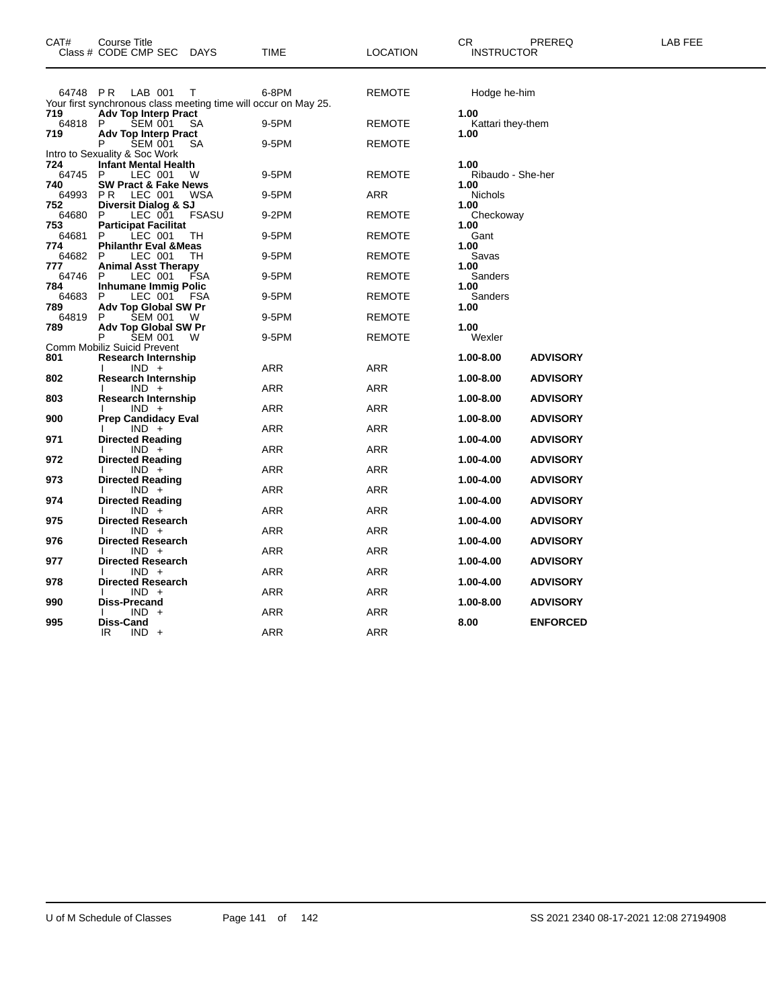| CAT#            | <b>Course Title</b><br>Class # CODE CMP SEC DAYS                                         | <b>TIME</b> | LOCATION      | PREREQ<br>CR.<br><b>INSTRUCTOR</b> | LAB FEE |
|-----------------|------------------------------------------------------------------------------------------|-------------|---------------|------------------------------------|---------|
|                 | 64748 PR LAB 001<br>T<br>Your first synchronous class meeting time will occur on May 25. | 6-8PM       | REMOTE        | Hodge he-him                       |         |
| 719<br>64818 P  | <b>Adv Top Interp Pract</b><br>SEM 001<br>SА                                             | 9-5PM       | <b>REMOTE</b> | 1.00<br>Kattari they-them          |         |
| 719             | <b>Adv Top Interp Pract</b><br><b>SEM 001</b><br>P<br>SА                                 | 9-5PM       | <b>REMOTE</b> | 1.00                               |         |
|                 | Intro to Sexuality & Soc Work                                                            |             |               |                                    |         |
| 724<br>64745 P  | <b>Infant Mental Health</b><br>LEC 001<br>W                                              | 9-5PM       | <b>REMOTE</b> | 1.00<br>Ribaudo - She-her          |         |
| 740<br>64993 PR | <b>SW Pract &amp; Fake News</b><br>LEC 001<br>WSA                                        | 9-5PM       | ARR           | 1.00<br>Nichols                    |         |
| 752<br>64680    | Diversit Dialog & SJ<br>LEC 001<br><b>FSASU</b><br>P.                                    | 9-2PM       | <b>REMOTE</b> | 1.00<br>Checkoway                  |         |
| 753<br>64681    | <b>Participat Facilitat</b><br>LEC 001<br>P.<br>TН                                       | 9-5PM       | <b>REMOTE</b> | 1.00<br>Gant                       |         |
| 774<br>64682    | <b>Philanthr Eval &amp; Meas</b><br>LEC 001<br>TН<br>P                                   | 9-5PM       | <b>REMOTE</b> | 1.00<br>Savas                      |         |
| 777<br>64746    | <b>Animal Asst Therapy</b><br>LEC 001<br><b>FSA</b><br>P                                 | 9-5PM       | <b>REMOTE</b> | 1.00<br>Sanders                    |         |
| 784<br>64683    | <b>Inhumane Immig Polic</b><br>LEC 001<br>P<br>FSA                                       | 9-5PM       | <b>REMOTE</b> | 1.00<br>Sanders                    |         |
| 789<br>64819    | Adv Top Global SW Pr<br><b>SEM 001</b><br>P<br>- W                                       | 9-5PM       | <b>REMOTE</b> | 1.00                               |         |
| 789             | <b>Adv Top Global SW Pr</b><br>P<br>SEM 001<br>W                                         | 9-5PM       | REMOTE        | 1.00<br>Wexler                     |         |
|                 | Comm Mobiliz Suicid Prevent                                                              |             |               |                                    |         |
| 801             | <b>Research Internship</b>                                                               |             |               | 1.00-8.00<br><b>ADVISORY</b>       |         |
| 802             | $IND +$<br><b>Research Internship</b>                                                    | <b>ARR</b>  | ARR           | <b>ADVISORY</b><br>1.00-8.00       |         |
| 803             | $IND +$<br><b>Research Internship</b>                                                    | <b>ARR</b>  | ARR           | 1.00-8.00<br><b>ADVISORY</b>       |         |
| 900             | $IND +$<br><b>Prep Candidacy Eval</b>                                                    | ARR         | ARR           | 1.00-8.00<br><b>ADVISORY</b>       |         |
| 971             | $IND +$<br><b>Directed Reading</b>                                                       | ARR         | ARR           | 1.00-4.00<br><b>ADVISORY</b>       |         |
| 972             | $IND +$<br><b>Directed Reading</b>                                                       | ARR         | ARR           | 1.00-4.00<br><b>ADVISORY</b>       |         |
| 973             | $IND +$<br><b>Directed Reading</b>                                                       | ARR         | ARR           | 1.00-4.00<br><b>ADVISORY</b>       |         |
|                 | $IND +$                                                                                  | ARR         | ARR           |                                    |         |
| 974             | <b>Directed Reading</b><br>$IND +$                                                       | ARR         | ARR           | 1.00-4.00<br><b>ADVISORY</b>       |         |
| 975             | <b>Directed Research</b><br>$IND +$                                                      | ARR         | ARR           | 1.00-4.00<br><b>ADVISORY</b>       |         |
| 976             | <b>Directed Research</b><br>$IND +$                                                      | ARR         | ARR           | 1.00-4.00<br><b>ADVISORY</b>       |         |
| 977             | <b>Directed Research</b><br>$IND +$                                                      | ARR         | ARR           | 1.00-4.00<br><b>ADVISORY</b>       |         |
| 978             | <b>Directed Research</b>                                                                 |             |               | 1.00-4.00<br><b>ADVISORY</b>       |         |
| 990             | $IND +$<br>Diss-Precand                                                                  | ARR         | ARR           | 1.00-8.00<br><b>ADVISORY</b>       |         |
| 995             | $IND +$<br>Diss-Cand                                                                     | ARR         | ARR           | 8.00<br><b>ENFORCED</b>            |         |
|                 | IR.<br>$IND +$                                                                           | <b>ARR</b>  | <b>ARR</b>    |                                    |         |